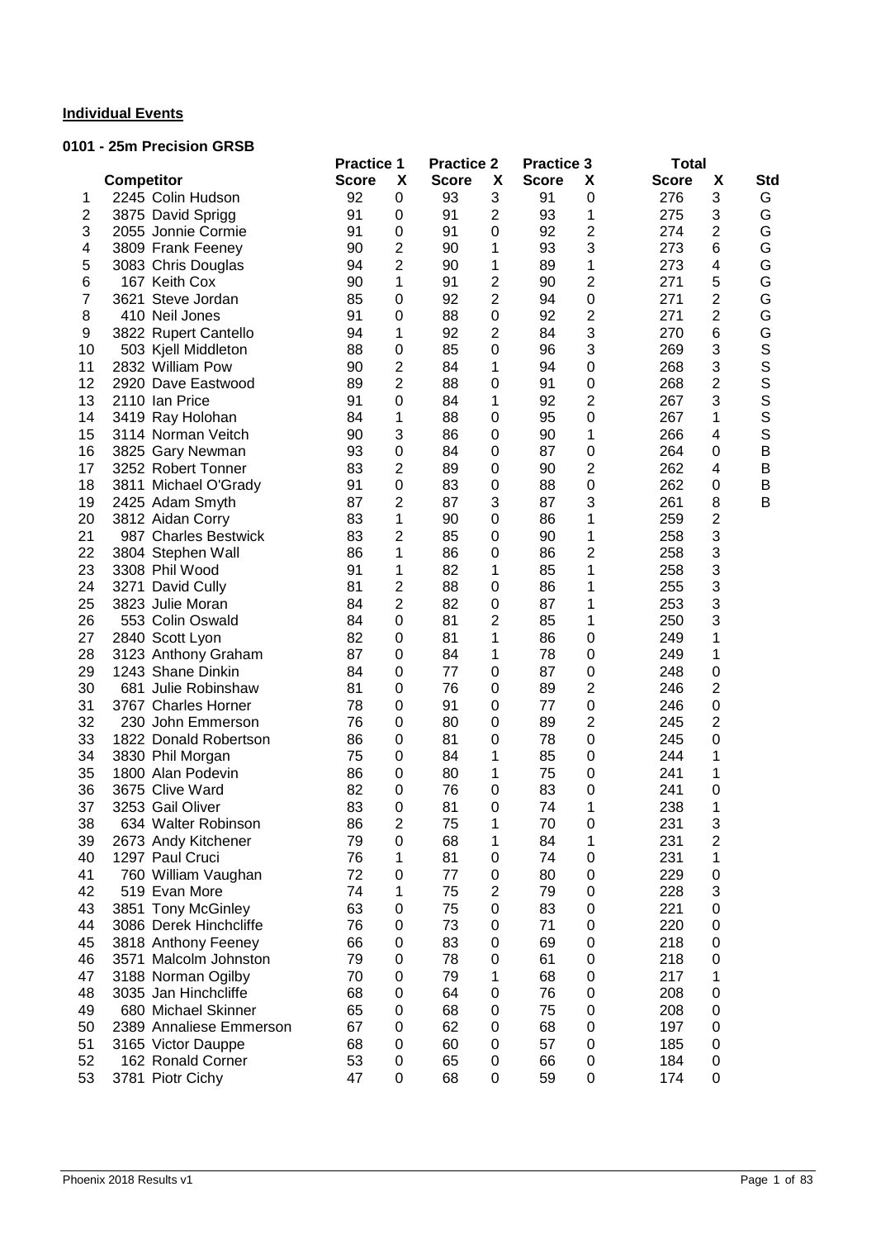## **Individual Events**

### **0101 - 25m Precision GRSB**

|                |                         | <b>Practice 1</b> |                         | <b>Practice 2</b> |                  | <b>Practice 3</b> |                  | <b>Total</b> |                |             |
|----------------|-------------------------|-------------------|-------------------------|-------------------|------------------|-------------------|------------------|--------------|----------------|-------------|
|                | Competitor              | <b>Score</b>      | X                       | <b>Score</b>      | X                | <b>Score</b>      | X                | <b>Score</b> | X              | Std         |
| 1              | 2245 Colin Hudson       | 92                | 0                       | 93                | 3                | 91                | $\boldsymbol{0}$ | 276          | 3              | G           |
| $\mathbf{2}$   | 3875 David Sprigg       | 91                | 0                       | 91                | $\overline{2}$   | 93                | 1                | 275          | 3              | G           |
| 3              | 2055 Jonnie Cormie      | 91                | 0                       | 91                | $\mathbf 0$      | 92                | 2                | 274          | $\overline{2}$ | G           |
| 4              | 3809 Frank Feeney       | 90                | 2                       | 90                | 1                | 93                | 3                | 273          | 6              | G           |
| 5              | 3083 Chris Douglas      | 94                | $\overline{2}$          | 90                | 1                | 89                | 1                | 273          | 4              | G           |
| 6              | 167 Keith Cox           | 90                | 1                       | 91                | 2                | 90                | 2                | 271          | 5              | G           |
| $\overline{7}$ | 3621 Steve Jordan       | 85                | 0                       | 92                | $\overline{c}$   | 94                | $\mathbf 0$      | 271          | 2              | G           |
| 8              | 410 Neil Jones          | 91                | 0                       | 88                | $\boldsymbol{0}$ | 92                | $\overline{2}$   | 271          | 2              | G           |
| 9              | 3822 Rupert Cantello    | 94                | 1                       | 92                | $\overline{2}$   | 84                | 3                | 270          | 6              | G           |
| 10             | 503 Kjell Middleton     | 88                | $\boldsymbol{0}$        | 85                | $\mathbf 0$      | 96                | 3                | 269          | 3              | $\mathbb S$ |
| 11             | 2832 William Pow        | 90                | $\overline{c}$          | 84                | 1                | 94                | 0                | 268          | 3              | S           |
| 12             | 2920 Dave Eastwood      | 89                | $\overline{2}$          | 88                | $\mathbf 0$      | 91                | 0                | 268          | 2              | S           |
| 13             | 2110 Ian Price          | 91                | $\mathbf 0$             | 84                | 1                | 92                | 2                | 267          | 3              |             |
| 14             | 3419 Ray Holohan        | 84                | 1                       | 88                | 0                | 95                | 0                | 267          | 1              | S<br>S      |
| 15             | 3114 Norman Veitch      | 90                | 3                       | 86                | 0                | 90                | 1                | 266          | 4              | $\mathsf S$ |
| 16             | 3825 Gary Newman        | 93                | 0                       | 84                | $\mathbf 0$      | 87                | 0                | 264          | 0              | B           |
| 17             | 3252 Robert Tonner      | 83                | $\overline{2}$          | 89                | $\mathbf 0$      | 90                | 2                | 262          | 4              | B           |
| 18             | 3811 Michael O'Grady    | 91                | 0                       | 83                | $\mathbf 0$      | 88                | $\mathbf 0$      | 262          | 0              | B           |
| 19             | 2425 Adam Smyth         | 87                | $\overline{c}$          | 87                | 3                | 87                | 3                | 261          | 8              | B           |
| 20             | 3812 Aidan Corry        | 83                | 1                       | 90                | $\pmb{0}$        | 86                | 1                | 259          | 2              |             |
| 21             | 987 Charles Bestwick    | 83                | $\overline{c}$          | 85                | $\pmb{0}$        | 90                | 1                | 258          | 3              |             |
| 22             | 3804 Stephen Wall       | 86                | 1                       | 86                | $\boldsymbol{0}$ | 86                | $\overline{c}$   | 258          | 3              |             |
| 23             | 3308 Phil Wood          | 91                | 1                       | 82                | 1                | 85                | 1                | 258          | 3              |             |
| 24             | 3271 David Cully        | 81                | 2                       | 88                | $\mathbf 0$      | 86                | 1                | 255          | 3              |             |
| 25             | 3823 Julie Moran        | 84                | $\overline{c}$          | 82                | $\mathbf 0$      | 87                | 1                | 253          | 3              |             |
| 26             | 553 Colin Oswald        | 84                | 0                       | 81                | 2                | 85                | 1                | 250          | 3              |             |
| 27             |                         | 82                | 0                       | 81                | 1                | 86                |                  | 249          | 1              |             |
|                | 2840 Scott Lyon         | 87                | 0                       | 84                | 1                | 78                | 0<br>0           | 249          | 1              |             |
| 28<br>29       | 3123 Anthony Graham     |                   |                         |                   |                  |                   |                  | 248          |                |             |
|                | 1243 Shane Dinkin       | 84                | 0                       | 77                | $\mathbf 0$      | 87                | 0                |              | 0              |             |
| 30             | 681 Julie Robinshaw     | 81                | 0                       | 76                | $\mathbf 0$      | 89                | 2                | 246          | 2              |             |
| 31             | 3767 Charles Horner     | 78                | 0                       | 91                | $\mathbf 0$      | 77                | $\mathbf 0$      | 246          | 0              |             |
| 32             | 230 John Emmerson       | 76                | 0                       | 80                | $\pmb{0}$        | 89                | $\overline{2}$   | 245          | 2              |             |
| 33             | 1822 Donald Robertson   | 86                | 0                       | 81                | $\mathbf 0$      | 78                | $\mathbf 0$      | 245          | 0              |             |
| 34             | 3830 Phil Morgan        | 75                | 0                       | 84                | 1                | 85                | $\mathbf 0$      | 244          | 1              |             |
| 35             | 1800 Alan Podevin       | 86                | 0                       | 80                | 1                | 75                | 0                | 241          | 1              |             |
| 36             | 3675 Clive Ward         | 82                | 0                       | 76                | $\mathbf 0$      | 83                | 0                | 241          | 0              |             |
| 37             | 3253 Gail Oliver        | 83                | 0                       | 81                | 0                | 74                | 1                | 238          | 1              |             |
| 38             | 634 Walter Robinson     | 86                | $\overline{\mathbf{c}}$ | 75                | 1                | 70                | 0                | 231          | 3              |             |
| 39             | 2673 Andy Kitchener     | 79                | 0                       | 68                | 1                | 84                | 1                | 231          | $\overline{c}$ |             |
| 40             | 1297 Paul Cruci         | 76                | 1                       | 81                | $\mathbf 0$      | 74                | 0                | 231          | 1              |             |
| 41             | 760 William Vaughan     | 72                | 0                       | 77                | 0                | 80                | 0                | 229          | 0              |             |
| 42             | 519 Evan More           | 74                | 1                       | 75                | $\overline{2}$   | 79                | 0                | 228          | 3              |             |
| 43             | 3851 Tony McGinley      | 63                | 0                       | 75                | $\boldsymbol{0}$ | 83                | 0                | 221          | 0              |             |
| 44             | 3086 Derek Hinchcliffe  | 76                | 0                       | 73                | $\pmb{0}$        | 71                | 0                | 220          | 0              |             |
| 45             | 3818 Anthony Feeney     | 66                | 0                       | 83                | $\pmb{0}$        | 69                | 0                | 218          | 0              |             |
| 46             | 3571 Malcolm Johnston   | 79                | 0                       | 78                | $\mathbf 0$      | 61                | $\mathbf 0$      | 218          | 0              |             |
| 47             | 3188 Norman Ogilby      | 70                | 0                       | 79                | 1                | 68                | $\mathbf 0$      | 217          | 1              |             |
| 48             | 3035 Jan Hinchcliffe    | 68                | 0                       | 64                | $\mathbf 0$      | 76                | $\mathbf 0$      | 208          | 0              |             |
| 49             | 680 Michael Skinner     | 65                | 0                       | 68                | $\pmb{0}$        | 75                | $\mathbf 0$      | 208          | 0              |             |
| 50             | 2389 Annaliese Emmerson | 67                | 0                       | 62                | 0                | 68                | 0                | 197          | 0              |             |
| 51             | 3165 Victor Dauppe      | 68                | 0                       | 60                | 0                | 57                | $\mathbf 0$      | 185          | 0              |             |
| 52             | 162 Ronald Corner       | 53                | $\pmb{0}$               | 65                | $\mathbf 0$      | 66                | 0                | 184          | 0              |             |
| 53             | 3781 Piotr Cichy        | 47                | 0                       | 68                | 0                | 59                | 0                | 174          | 0              |             |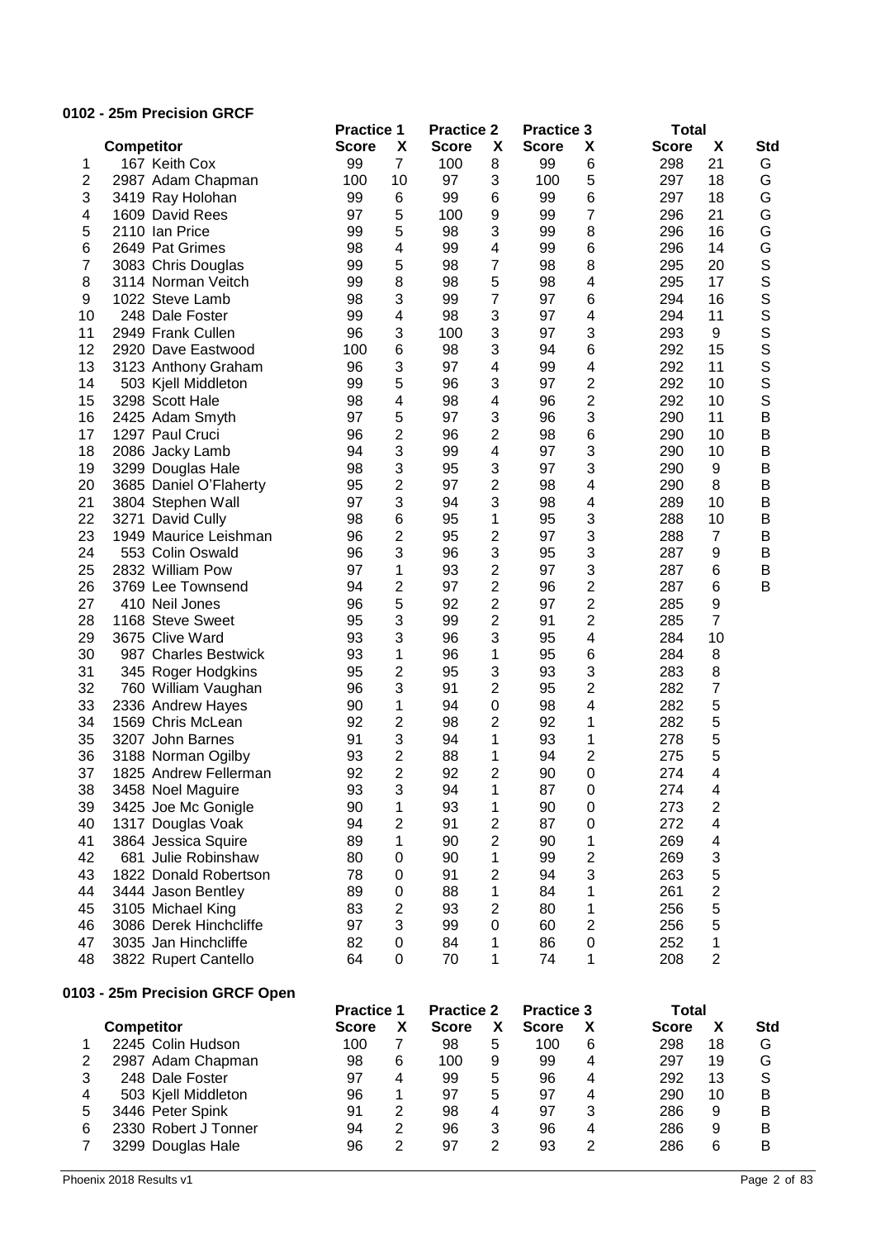## **0102 - 25m Precision GRCF**

|                |                                          | <b>Practice 1</b> |                | <b>Practice 2</b> |                         | <b>Practice 3</b> |                         | <b>Total</b> |                |             |
|----------------|------------------------------------------|-------------------|----------------|-------------------|-------------------------|-------------------|-------------------------|--------------|----------------|-------------|
|                | <b>Competitor</b>                        | <b>Score</b>      | X              | <b>Score</b>      | X                       | <b>Score</b>      | X                       | <b>Score</b> | X              | <b>Std</b>  |
| 1              | 167 Keith Cox                            | 99                | $\overline{7}$ | 100               | 8                       | 99                | 6                       | 298          | 21             | G           |
| $\overline{c}$ | 2987 Adam Chapman                        | 100               | 10             | 97                | 3                       | 100               | 5                       | 297          | 18             | G           |
| 3              | 3419 Ray Holohan                         | 99                | 6              | 99                | 6                       | 99                | $\,6$                   | 297          | 18             | G           |
| 4              | 1609 David Rees                          | 97                | 5              | 100               | 9                       | 99                | 7                       | 296          | 21             | G           |
| 5              | 2110 Ian Price                           | 99                | 5              | 98                | 3                       | 99                | 8                       | 296          | 16             | G           |
| 6              | 2649 Pat Grimes                          | 98                | 4              | 99                | $\overline{\mathbf{4}}$ | 99                | $6\phantom{1}6$         | 296          | 14             | G           |
| $\overline{7}$ | 3083 Chris Douglas                       | 99                | 5              | 98                | 7                       | 98                | 8                       | 295          | 20             | S           |
| 8              | 3114 Norman Veitch                       | 99                | 8              | 98                | 5                       | 98                | 4                       | 295          | 17             | S           |
| 9              | 1022 Steve Lamb                          | 98                | 3              | 99                | $\overline{7}$          | 97                | $\,6$                   | 294          | 16             | S           |
| 10             | 248 Dale Foster                          | 99                | 4              | 98                | 3                       | 97                | 4                       | 294          | 11             | S           |
| 11             | 2949 Frank Cullen                        | 96                | 3              | 100               | 3                       | 97                | 3                       | 293          | 9              | S           |
| 12             | 2920 Dave Eastwood                       | 100               | 6              | 98                | 3                       | 94                | $6\phantom{1}6$         | 292          | 15             | S           |
| 13             | 3123 Anthony Graham                      | 96                | 3              | 97                | $\overline{\mathbf{4}}$ | 99                | 4                       | 292          | 11             | S           |
| 14             | 503 Kjell Middleton                      | 99                | 5              | 96                | 3                       | 97                | $\overline{2}$          | 292          | 10             | S           |
| 15             | 3298 Scott Hale                          | 98                | 4              | 98                | 4                       | 96                | $\overline{2}$          | 292          | 10             | S           |
| 16             | 2425 Adam Smyth                          | 97                | 5              | 97                | 3                       | 96                | 3                       | 290          | 11             | B           |
| 17             | 1297 Paul Cruci                          | 96                | $\overline{2}$ | 96                | $\overline{2}$          | 98                | $6\phantom{1}6$         | 290          | 10             | B           |
| 18             | 2086 Jacky Lamb                          | 94                | 3              | 99                | $\overline{\mathbf{4}}$ | 97                | 3                       | 290          | 10             | B           |
| 19             | 3299 Douglas Hale                        | 98                | 3              | 95                | 3                       | 97                | 3                       | 290          | 9              | B           |
| 20             | 3685 Daniel O'Flaherty                   | 95                | $\overline{2}$ | 97                | $\overline{2}$          | 98                | 4                       | 290          | 8              | B           |
| 21             |                                          | 97                | 3              | 94                | 3                       | 98                | 4                       | 289          | 10             | B           |
| 22             | 3804 Stephen Wall<br>3271<br>David Cully | 98                | 6              | 95                | 1                       | 95                | 3                       | 288          | 10             | B           |
| 23             | 1949 Maurice Leishman                    |                   |                |                   |                         |                   | 3                       | 288          | $\overline{7}$ | B           |
|                |                                          | 96                | 2              | 95                | 2                       | 97                |                         |              |                |             |
| 24             | 553 Colin Oswald                         | 96                | 3              | 96                | 3                       | 95                | 3                       | 287          | 9              | B           |
| 25             | 2832 William Pow                         | 97                | 1              | 93                | $\overline{2}$          | 97                | 3                       | 287          | 6              | B           |
| 26             | 3769 Lee Townsend                        | 94                | 2              | 97                | $\overline{c}$          | 96                | $\overline{2}$          | 287          | 6              | B           |
| 27             | 410 Neil Jones                           | 96                | 5              | 92                | 2                       | 97                | $\overline{c}$          | 285          | 9              |             |
| 28             | 1168 Steve Sweet                         | 95                | 3              | 99                | $\overline{2}$          | 91                | $\overline{2}$          | 285          | $\overline{7}$ |             |
| 29             | 3675 Clive Ward                          | 93                | 3              | 96                | 3                       | 95                | 4                       | 284          | 10             |             |
| 30             | 987 Charles Bestwick                     | 93                | 1              | 96                | 1                       | 95                | $\,6$                   | 284          | 8              |             |
| 31             | 345 Roger Hodgkins                       | 95                | $\overline{2}$ | 95                | 3                       | 93                | 3                       | 283          | 8              |             |
| 32             | 760 William Vaughan                      | 96                | 3              | 91                | $\overline{2}$          | 95                | $\overline{2}$          | 282          | 7              |             |
| 33             | 2336 Andrew Hayes                        | 90                | 1              | 94                | $\mathbf 0$             | 98                | 4                       | 282          | 5              |             |
| 34             | 1569 Chris McLean                        | 92                | 2              | 98                | $\overline{2}$          | 92                | 1                       | 282          | 5              |             |
| 35             | 3207 John Barnes                         | 91                | 3              | 94                | 1                       | 93                | 1                       | 278          | 5              |             |
| 36             | 3188 Norman Ogilby                       | 93                | $\overline{2}$ | 88                | 1                       | 94                | 2                       | 275          | 5              |             |
| 37             | 1825 Andrew Fellerman                    | 92                | $\overline{2}$ | 92                | $\overline{2}$          | 90                | 0                       | 274          | 4              |             |
| 38             | 3458 Noel Maguire                        | 93                | 3              | 94                | 1                       | 87                | 0                       | 274          | 4              |             |
| 39             | 3425 Joe Mc Gonigle                      | 90                | 1              | 93                | 1                       | 90                | $\mathbf 0$             | 273          | $\overline{c}$ |             |
| 40             | 1317 Douglas Voak                        | 94                | 2              | 91                | $\overline{c}$          | 87                | $\mathbf 0$             | 272          | 4              |             |
| 41             | 3864 Jessica Squire                      | 89                | 1              | 90                | $\overline{c}$          | 90                | 1                       | 269          | 4              |             |
| 42             | 681 Julie Robinshaw                      | 80                | 0              | 90                | 1                       | 99                | $\overline{2}$          | 269          | 3              |             |
| 43             | 1822 Donald Robertson                    | 78                | 0              | 91                | $\overline{2}$          | 94                | 3                       | 263          | 5              |             |
| 44             | 3444 Jason Bentley                       | 89                | $\mathbf 0$    | 88                | 1                       | 84                | 1                       | 261          | $\overline{c}$ |             |
| 45             | 3105 Michael King                        | 83                | $\overline{2}$ | 93                | $\overline{2}$          | 80                | 1                       | 256          | 5              |             |
| 46             | 3086 Derek Hinchcliffe                   | 97                | 3              | 99                | 0                       | 60                | 2                       | 256          | 5              |             |
| 47             | 3035 Jan Hinchcliffe                     | 82                | 0              | 84                | 1                       | 86                | $\mathbf 0$             | 252          | 1              |             |
| 48             | 3822 Rupert Cantello                     | 64                | 0              | 70                | 1                       | 74                | 1                       | 208          | $\overline{2}$ |             |
|                | 0103 - 25m Precision GRCF Open           |                   |                |                   |                         |                   |                         |              |                |             |
|                |                                          | <b>Practice 1</b> |                | <b>Practice 2</b> |                         | <b>Practice 3</b> |                         | <b>Total</b> |                |             |
|                | <b>Competitor</b>                        | <b>Score</b>      | X              | <b>Score</b>      | X                       | <b>Score</b>      | X                       | <b>Score</b> | X              | <b>Std</b>  |
| 1              | 2245 Colin Hudson                        | 100               | 7              | 98                | 5                       | 100               | 6                       | 298          | 18             | G           |
| $\overline{2}$ | 2987 Adam Chapman                        | 98                | 6              | 100               | 9                       | 99                | $\overline{\mathbf{4}}$ | 297          | 19             | G           |
| 3              | 248 Dale Foster                          | 97                | 4              | 99                | 5                       | 96                | $\overline{\mathbf{4}}$ | 292          | 13             | $\mathsf S$ |
| 4              | 503 Kjell Middleton                      | 96                | 1              | 97                | 5                       | 97                | $\overline{\mathbf{4}}$ | 290          | 10             | B           |
| 5              | 3446 Peter Spink                         | 91                | $\overline{2}$ | 98                | 4                       | 97                | 3                       | 286          | 9              | B           |
| 6              | 2330 Robert J Tonner                     | 94                | $\overline{c}$ | 96                | 3                       | 96                | 4                       | 286          | 9              | Β           |
| $\overline{7}$ | 3299 Douglas Hale                        | 96                | $\overline{2}$ | 97                | $\overline{2}$          | 93                | $\overline{2}$          | 286          | 6              | B           |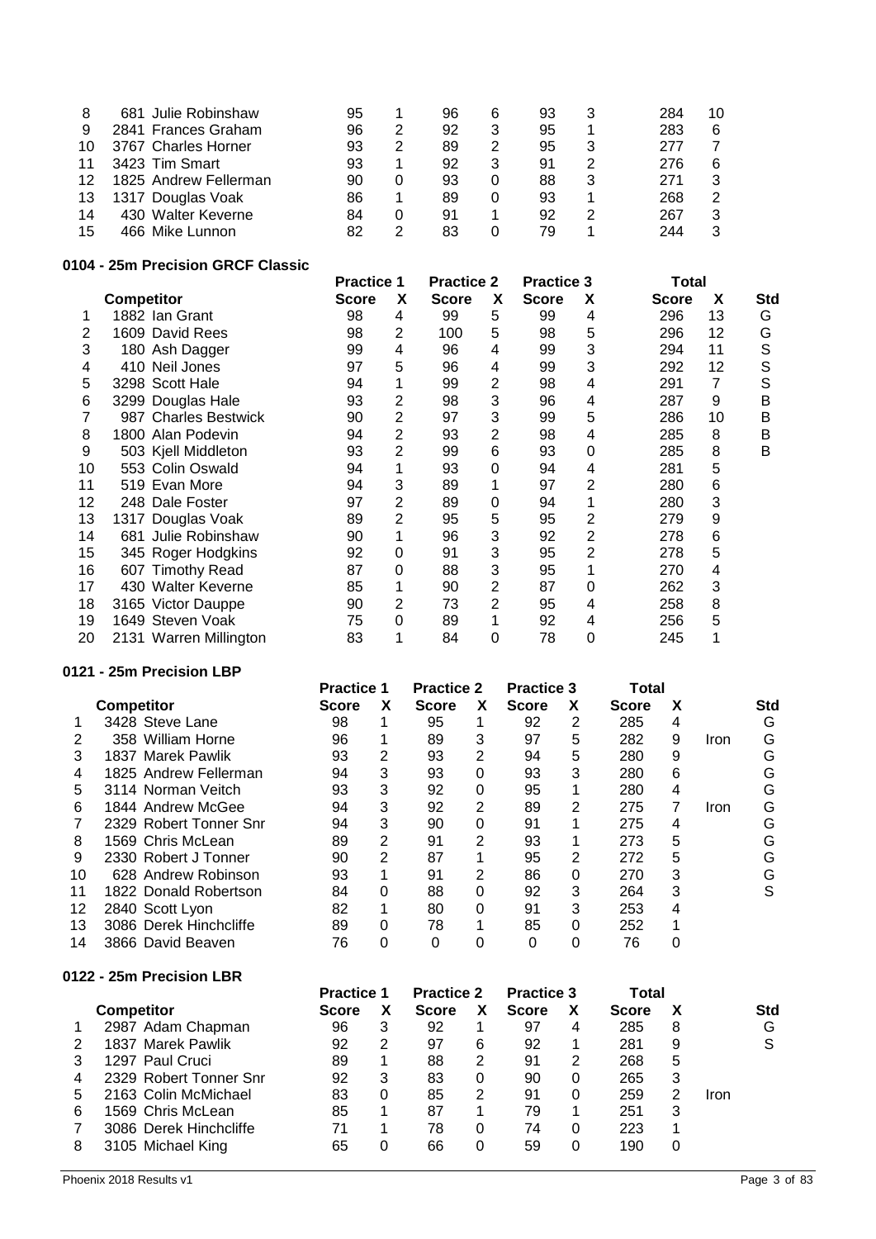| 8  | 681 Julie Robinshaw   | 95 |   | 96 | 6 | 93 |   | 284 | 10 |
|----|-----------------------|----|---|----|---|----|---|-----|----|
| 9  | 2841 Frances Graham   | 96 | 2 | 92 | 3 | 95 |   | 283 | 6  |
| 10 | 3767 Charles Horner   | 93 |   | 89 | 2 | 95 |   | 277 |    |
| 11 | 3423 Tim Smart        | 93 |   | 92 | 3 | 91 |   | 276 | 6  |
| 12 | 1825 Andrew Fellerman | 90 |   | 93 | 0 | 88 | 3 | 271 | 3  |
| 13 | 1317 Douglas Voak     | 86 |   | 89 | 0 | 93 |   | 268 | 2  |
| 14 | 430 Walter Keverne    | 84 |   | 91 |   | 92 |   | 267 | 3  |
| 15 | 466 Mike Lunnon       | 82 |   | 83 |   | 79 |   | 244 | 3  |
|    |                       |    |   |    |   |    |   |     |    |

## **0104 - 25m Precision GRCF Classic**

|    |                         | <b>Practice 1</b> |                | <b>Practice 2</b> |                | <b>Practice 3</b> |   | Total        |    |     |
|----|-------------------------|-------------------|----------------|-------------------|----------------|-------------------|---|--------------|----|-----|
|    | <b>Competitor</b>       | <b>Score</b>      | X              | <b>Score</b>      | X              | <b>Score</b>      | х | <b>Score</b> | X  | Std |
|    | 1882 Ian Grant          | 98                | 4              | 99                | 5              | 99                | 4 | 296          | 13 | G   |
| 2  | 1609 David Rees         | 98                | 2              | 100               | 5              | 98                | 5 | 296          | 12 | G   |
| 3  | 180 Ash Dagger          | 99                | 4              | 96                | 4              | 99                | 3 | 294          | 11 | S   |
| 4  | 410 Neil Jones          | 97                | 5              | 96                | 4              | 99                | 3 | 292          | 12 | S   |
| 5  | 3298 Scott Hale         | 94                | 1              | 99                | $\overline{2}$ | 98                | 4 | 291          | 7  | S   |
| 6  | 3299 Douglas Hale       | 93                | 2              | 98                | 3              | 96                | 4 | 287          | 9  | B   |
|    | 987 Charles Bestwick    | 90                | 2              | 97                | 3              | 99                | 5 | 286          | 10 | B   |
| 8  | 1800 Alan Podevin       | 94                | $\overline{2}$ | 93                | 2              | 98                | 4 | 285          | 8  | B   |
| 9  | 503 Kjell Middleton     | 93                | 2              | 99                | 6              | 93                | 0 | 285          | 8  | В   |
| 10 | 553 Colin Oswald        | 94                | 1              | 93                | $\Omega$       | 94                | 4 | 281          | 5  |     |
| 11 | 519 Evan More           | 94                | 3              | 89                | 1              | 97                | 2 | 280          | 6  |     |
| 12 | 248 Dale Foster         | 97                | 2              | 89                | 0              | 94                |   | 280          | 3  |     |
| 13 | 1317 Douglas Voak       | 89                | $\overline{2}$ | 95                | 5              | 95                | 2 | 279          | 9  |     |
| 14 | Julie Robinshaw<br>681. | 90                | 1              | 96                | 3              | 92                | 2 | 278          | 6  |     |
| 15 | 345 Roger Hodgkins      | 92                | 0              | 91                | 3              | 95                | 2 | 278          | 5  |     |
| 16 | 607 Timothy Read        | 87                | 0              | 88                | 3              | 95                |   | 270          | 4  |     |
| 17 | 430 Walter Keverne      | 85                | 1              | 90                | $\overline{2}$ | 87                | 0 | 262          | 3  |     |
| 18 | 3165 Victor Dauppe      | 90                | 2              | 73                | 2              | 95                | 4 | 258          | 8  |     |
| 19 | 1649 Steven Voak        | 75                | 0              | 89                | 1              | 92                | 4 | 256          | 5  |     |
| 20 | 2131 Warren Millington  | 83                | 1              | 84                | 0              | 78                | 0 | 245          |    |     |

## **0121 - 25m Precision LBP**

|    |                        | <b>Practice 1</b> |   | <b>Practice 2</b> |   | <b>Practice 3</b> |   | Total        |   |      |     |
|----|------------------------|-------------------|---|-------------------|---|-------------------|---|--------------|---|------|-----|
|    | <b>Competitor</b>      | Score             | х | <b>Score</b>      | X | <b>Score</b>      | x | <b>Score</b> | х |      | Std |
|    | 3428 Steve Lane        | 98                |   | 95                |   | 92                | 2 | 285          | 4 |      | G   |
|    | 358 William Horne      | 96                |   | 89                | 3 | 97                | 5 | 282          | 9 | Iron | G   |
| 3  | 1837 Marek Pawlik      | 93                | 2 | 93                | 2 | 94                | 5 | 280          | 9 |      | G   |
| 4  | 1825 Andrew Fellerman  | 94                | 3 | 93                |   | 93                | 3 | 280          | 6 |      | G   |
| 5  | 3114 Norman Veitch     | 93                | 3 | 92                | 0 | 95                |   | 280          | 4 |      | G   |
| 6  | 1844 Andrew McGee      | 94                | 3 | 92                | 2 | 89                | 2 | 275          | 7 | Iron | G   |
|    | 2329 Robert Tonner Snr | 94                | 3 | 90                |   | 91                |   | 275          | 4 |      | G   |
| 8  | 1569 Chris McLean      | 89                | 2 | 91                | 2 | 93                |   | 273          | 5 |      | G   |
| 9  | 2330 Robert J Tonner   | 90                | 2 | 87                |   | 95                | 2 | 272          | 5 |      | G   |
| 10 | 628 Andrew Robinson    | 93                |   | 91                | 2 | 86                | 0 | 270          | 3 |      | G   |
| 11 | 1822 Donald Robertson  | 84                | 0 | 88                | 0 | 92                | 3 | 264          | 3 |      | S   |
| 12 | 2840 Scott Lyon        | 82                |   | 80                | 0 | 91                | 3 | 253          | 4 |      |     |
| 13 | 3086 Derek Hinchcliffe | 89                | 0 | 78                |   | 85                | 0 | 252          |   |      |     |
| 14 | 3866 David Beaven      | 76                | 0 | 0                 |   | 0                 | 0 | 76           | 0 |      |     |
|    |                        |                   |   |                   |   |                   |   |              |   |      |     |

## **0122 - 25m Precision LBR**

| . | LUIII I IUUIJIUII LUI  |                   |   |                   |   |                   |   |              |   |      |            |
|---|------------------------|-------------------|---|-------------------|---|-------------------|---|--------------|---|------|------------|
|   |                        | <b>Practice 1</b> |   | <b>Practice 2</b> |   | <b>Practice 3</b> |   | Total        |   |      |            |
|   | <b>Competitor</b>      | Score             |   | <b>Score</b>      |   | <b>Score</b>      | x | <b>Score</b> |   |      | <b>Std</b> |
|   | 2987 Adam Chapman      | 96                | 3 | 92                |   | 97                | 4 | 285          | 8 |      | G          |
|   | 1837 Marek Pawlik      | 92                | 2 | 97                | 6 | 92                |   | 281          | 9 |      | S          |
|   | 1297 Paul Cruci        | 89                |   | 88                | 2 | 91                | 2 | 268          | 5 |      |            |
| 4 | 2329 Robert Tonner Snr | 92                | 3 | 83                | 0 | 90                | 0 | 265          | 3 |      |            |
| 5 | 2163 Colin McMichael   | 83                | 0 | 85                | 2 | 91                | 0 | 259          |   | Iron |            |
| 6 | 1569 Chris McLean      | 85                |   | 87                |   | 79                |   | 251          | 3 |      |            |
|   | 3086 Derek Hinchcliffe | 71                |   | 78                | 0 | 74                | 0 | 223          |   |      |            |
| 8 | 3105 Michael King      | 65                | O | 66                | 0 | 59                |   | 190          | O |      |            |
|   |                        |                   |   |                   |   |                   |   |              |   |      |            |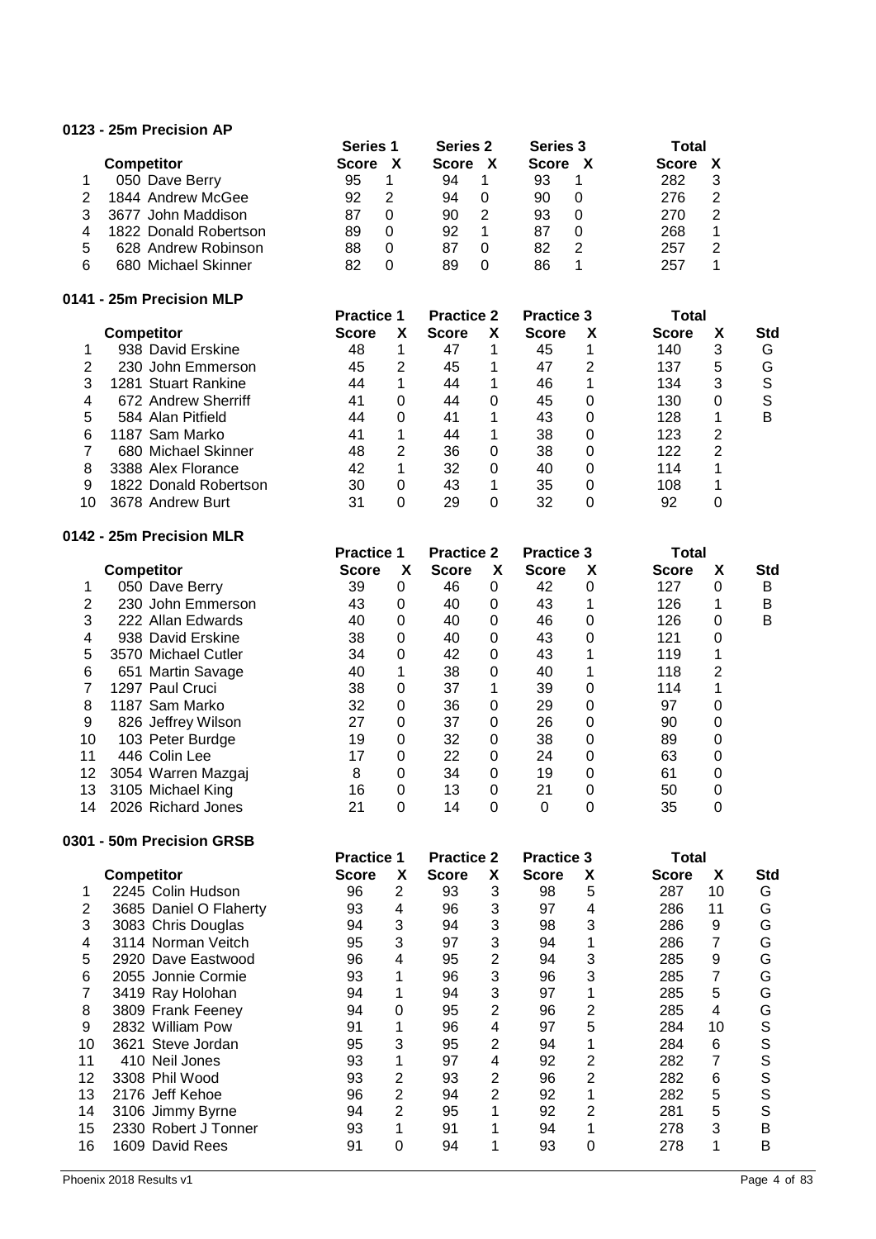### **0123 - 25m Precision AP**

|   |                       | <b>Series 1</b> |   | <b>Series 2</b> | Series 3     |   | Total        |   |
|---|-----------------------|-----------------|---|-----------------|--------------|---|--------------|---|
|   | <b>Competitor</b>     | <b>Score</b>    |   | <b>Score</b>    | <b>Score</b> |   | <b>Score</b> |   |
|   | 050 Dave Berry        | 95              |   | 94              | 93           |   | 282          |   |
|   | 1844 Andrew McGee     | 92              | 2 | 94              | 90           | 0 | 276          | 2 |
|   | 3677 John Maddison    | 87              | 0 | 90              | 93           | O | 270          | 2 |
| 4 | 1822 Donald Robertson | 89              | 0 | 92              | 87           | O | 268          |   |
| 5 | 628 Andrew Robinson   | 88              | 0 | 87              | 82           | 2 | 257          |   |
| 6 | 680 Michael Skinner   | 82              | 0 | 89              | 86           |   | 257          |   |

#### **0141 - 25m Precision MLP**

| .  | $-$ 4311 1 1 66131011 19161 |                   |   |                   |   |                   |   |              |   |            |
|----|-----------------------------|-------------------|---|-------------------|---|-------------------|---|--------------|---|------------|
|    |                             | <b>Practice 1</b> |   | <b>Practice 2</b> |   | <b>Practice 3</b> |   | Total        |   |            |
|    | <b>Competitor</b>           | <b>Score</b>      | X | <b>Score</b>      | X | <b>Score</b>      | х | <b>Score</b> | X | <b>Std</b> |
|    | 938 David Erskine           | 48                |   | 47                | 1 | 45                |   | 140          | 3 | G          |
| 2  | 230 John Emmerson           | 45                | 2 | 45                | 1 | 47                | 2 | 137          | 5 | G          |
| 3  | 1281 Stuart Rankine         | 44                | 1 | 44                | 1 | 46                | 1 | 134          | 3 | S          |
| 4  | 672 Andrew Sherriff         | 41                | 0 | 44                | 0 | 45                | 0 | 130          | 0 | S          |
| 5  | 584 Alan Pitfield           | 44                | 0 | 41                | 1 | 43                | 0 | 128          |   | в          |
| 6  | 1187 Sam Marko              | 41                | 1 | 44                | 1 | 38                | 0 | 123          | 2 |            |
|    | 680 Michael Skinner         | 48                | 2 | 36                | 0 | 38                | 0 | 122          | 2 |            |
| 8  | 3388 Alex Florance          | 42                | 1 | 32                | 0 | 40                | 0 | 114          |   |            |
| 9  | 1822 Donald Robertson       | 30                | 0 | 43                | 1 | 35                | 0 | 108          | 4 |            |
| 10 | 3678 Andrew Burt            | 31                | 0 | 29                | 0 | 32                | 0 | 92           |   |            |
|    |                             |                   |   |                   |   |                   |   |              |   |            |

#### **0142 - 25m Precision MLR**

|    | 142 - Z5M Precision MLR |                   |          |                   |   |                   |          |              |   |     |
|----|-------------------------|-------------------|----------|-------------------|---|-------------------|----------|--------------|---|-----|
|    |                         | <b>Practice 1</b> |          | <b>Practice 2</b> |   | <b>Practice 3</b> |          | Total        |   |     |
|    | <b>Competitor</b>       | <b>Score</b>      | X        | <b>Score</b>      | X | <b>Score</b>      | X        | <b>Score</b> | X | Std |
|    | 050 Dave Berry          | 39                | 0        | 46                | 0 | 42                | 0        | 127          | 0 | в   |
|    | 230 John Emmerson       | 43                | 0        | 40                | 0 | 43                |          | 126          |   | в   |
| 3  | 222 Allan Edwards       | 40                | 0        | 40                | 0 | 46                | $\Omega$ | 126          | 0 | B   |
| 4  | 938 David Erskine       | 38                | 0        | 40                | 0 | 43                | $\Omega$ | 121          |   |     |
| 5  | 3570 Michael Cutler     | 34                | 0        | 42                | 0 | 43                |          | 119          |   |     |
| 6  | 651 Martin Savage       | 40                |          | 38                | 0 | 40                |          | 118          | 2 |     |
|    | 1297 Paul Cruci         | 38                | 0        | 37                |   | 39                | $\Omega$ | 114          |   |     |
| 8  | 1187 Sam Marko          | 32                | 0        | 36                | 0 | 29                | 0        | 97           | 0 |     |
| 9  | 826 Jeffrey Wilson      | 27                | 0        | 37                | 0 | 26                | $\Omega$ | 90           | 0 |     |
| 10 | 103 Peter Burdge        | 19                | 0        | 32                | 0 | 38                | $\Omega$ | 89           | 0 |     |
| 11 | 446 Colin Lee           | 17                | 0        | 22                | 0 | 24                | 0        | 63           |   |     |
| 12 | 3054 Warren Mazgaj      | 8                 | 0        | 34                | 0 | 19                | $\Omega$ | 61           |   |     |
| 13 | 3105 Michael King       | 16                | $\Omega$ | 13                | 0 | 21                | $\Omega$ | 50           | 0 |     |
| 14 | 2026 Richard Jones      | 21                | 0        | 14                | 0 | 0                 |          | 35           |   |     |

### **0301 - 50m Precision GRSB**

|    |                        | <b>Practice 1</b> |   | <b>Practice 2</b> |   | <b>Practice 3</b> |                | <b>Total</b> |    |            |
|----|------------------------|-------------------|---|-------------------|---|-------------------|----------------|--------------|----|------------|
|    | <b>Competitor</b>      | <b>Score</b>      | X | <b>Score</b>      | X | <b>Score</b>      | X              | <b>Score</b> | X  | <b>Std</b> |
|    | 2245 Colin Hudson      | 96                | 2 | 93                | 3 | 98                | 5              | 287          | 10 | G          |
| 2  | 3685 Daniel O Flaherty | 93                | 4 | 96                | 3 | 97                | 4              | 286          | 11 | G          |
| 3  | 3083 Chris Douglas     | 94                | 3 | 94                | 3 | 98                | 3              | 286          | 9  | G          |
| 4  | 3114 Norman Veitch     | 95                | 3 | 97                | 3 | 94                |                | 286          | 7  | G          |
| 5  | 2920 Dave Eastwood     | 96                | 4 | 95                | 2 | 94                | 3              | 285          | 9  | G          |
| 6  | 2055 Jonnie Cormie     | 93                | 1 | 96                | 3 | 96                | 3              | 285          | 7  | G          |
|    | 3419 Ray Holohan       | 94                | 1 | 94                | 3 | 97                |                | 285          | 5  | G          |
| 8  | 3809 Frank Feeney      | 94                | 0 | 95                | 2 | 96                | $\overline{2}$ | 285          | 4  | G          |
| 9  | 2832 William Pow       | 91                | 1 | 96                | 4 | 97                | 5              | 284          | 10 | S          |
| 10 | 3621 Steve Jordan      | 95                | 3 | 95                | 2 | 94                |                | 284          | 6  | S          |
| 11 | 410 Neil Jones         | 93                | 1 | 97                | 4 | 92                | $\overline{2}$ | 282          | 7  | S          |
| 12 | 3308 Phil Wood         | 93                | 2 | 93                | 2 | 96                | 2              | 282          | 6  | S          |
| 13 | 2176 Jeff Kehoe        | 96                | 2 | 94                | 2 | 92                |                | 282          | 5  | S          |
| 14 | 3106 Jimmy Byrne       | 94                | 2 | 95                | 1 | 92                | 2              | 281          | 5  | S          |
| 15 | 2330 Robert J Tonner   | 93                | 1 | 91                | 1 | 94                |                | 278          | 3  | в          |
| 16 | 1609 David Rees        | 91                | 0 | 94                | 1 | 93                | 0              | 278          | 4  | B          |
|    |                        |                   |   |                   |   |                   |                |              |    |            |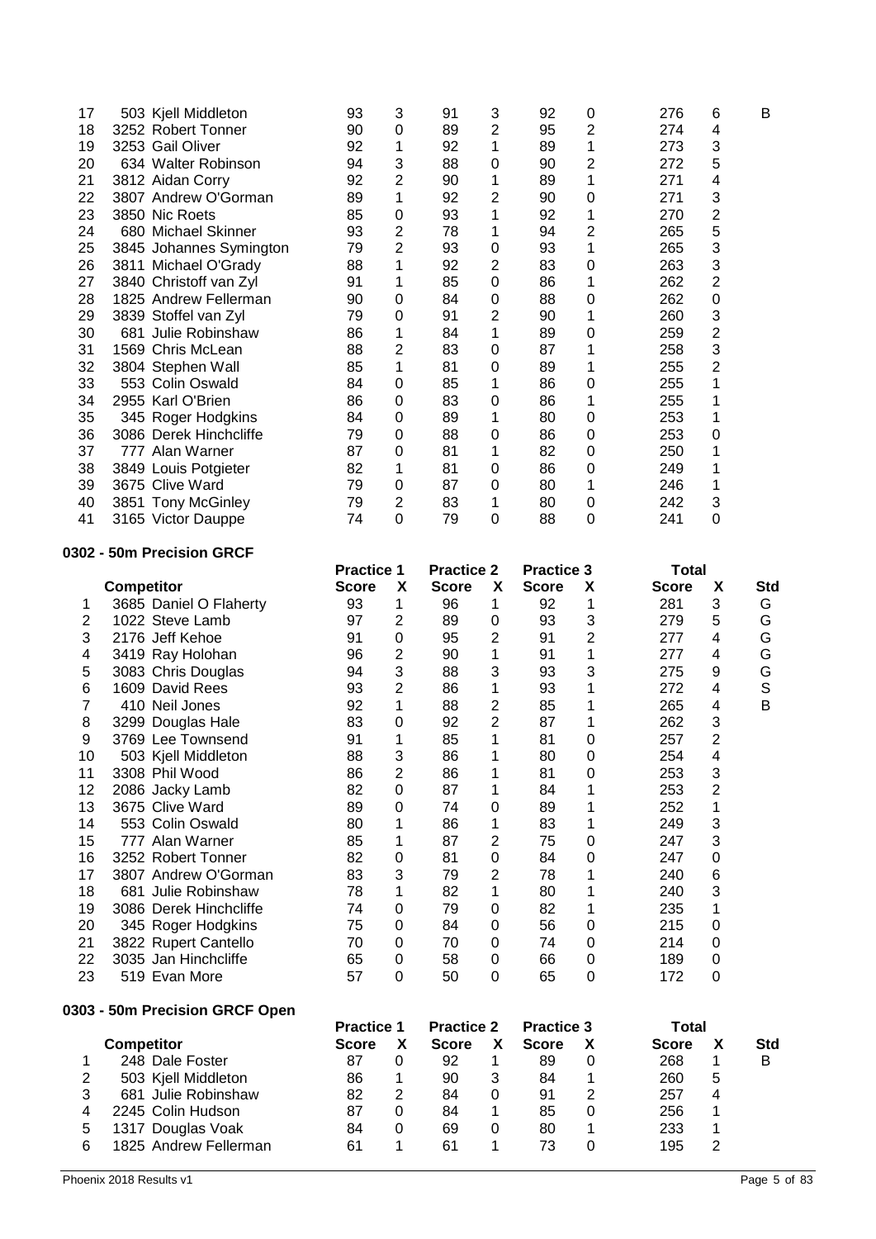| 17                  | 503 Kjell Middleton                        | 93                                | 3                       | 91                 | 3                                | 92                 | 0              | 276                 | 6                   | B                |
|---------------------|--------------------------------------------|-----------------------------------|-------------------------|--------------------|----------------------------------|--------------------|----------------|---------------------|---------------------|------------------|
| 18                  | 3252 Robert Tonner                         | 90                                | $\mathbf 0$             | 89                 | $\overline{c}$                   | 95                 | 2              | 274                 | 4                   |                  |
| 19                  | 3253 Gail Oliver                           | 92                                | 1                       | 92                 | 1                                | 89                 | 1              | 273                 | 3                   |                  |
| 20                  | 634 Walter Robinson                        | 94                                | 3                       | 88                 | $\mathbf 0$                      | 90                 | 2              | 272                 | 5                   |                  |
| 21                  | 3812 Aidan Corry                           | 92                                | $\overline{2}$          | 90                 | 1                                | 89                 | 1              | 271                 | 4                   |                  |
| 22                  | 3807 Andrew O'Gorman                       | 89                                | 1                       | 92                 | $\overline{2}$                   | 90                 | 0              | 271                 | 3                   |                  |
| 23                  | 3850 Nic Roets                             | 85                                | $\mathbf 0$             | 93                 | 1                                | 92                 | 1              | 270                 | $\mathbf 2$         |                  |
| 24                  | 680 Michael Skinner                        | 93                                | $\overline{c}$          | 78                 | 1                                | 94                 | 2              | 265                 | 5                   |                  |
| 25                  | 3845 Johannes Symington                    | 79                                | $\overline{2}$          | 93                 | $\boldsymbol{0}$                 | 93                 | 1              | 265                 | 3                   |                  |
| 26                  | 3811 Michael O'Grady                       | 88                                | 1                       | 92                 | $\overline{2}$                   | 83                 | 0              | 263                 | 3                   |                  |
| 27                  | 3840 Christoff van Zyl                     | 91                                | 1                       | 85                 | $\mathbf 0$                      | 86                 | 1              | 262                 | $\overline{2}$      |                  |
| 28                  | 1825 Andrew Fellerman                      | 90                                | $\mathbf 0$             | 84                 | $\mathbf 0$                      | 88                 | 0              | 262                 | 0                   |                  |
| 29                  | 3839 Stoffel van Zyl                       | 79                                | $\mathbf 0$             | 91                 | $\overline{2}$                   | 90                 | 1              | 260                 | 3                   |                  |
| 30<br>31            | 681 Julie Robinshaw                        | 86                                | 1<br>$\overline{2}$     | 84<br>83           | 1<br>$\mathbf 0$                 | 89                 | 0              | 259<br>258          | $\overline{c}$<br>3 |                  |
| 32                  | 1569 Chris McLean                          | 88<br>85                          | 1                       | 81                 | $\mathbf 0$                      | 87<br>89           | 1<br>1         | 255                 | $\overline{2}$      |                  |
| 33                  | 3804 Stephen Wall<br>553 Colin Oswald      | 84                                | $\mathbf 0$             | 85                 | 1                                | 86                 | 0              | 255                 | 1                   |                  |
| 34                  | 2955 Karl O'Brien                          | 86                                | $\mathbf 0$             | 83                 | $\boldsymbol{0}$                 | 86                 | 1              | 255                 | 1                   |                  |
| 35                  | 345 Roger Hodgkins                         | 84                                | 0                       | 89                 | 1                                | 80                 | 0              | 253                 | 1                   |                  |
| 36                  | 3086 Derek Hinchcliffe                     | 79                                | 0                       | 88                 | $\mathbf 0$                      | 86                 | 0              | 253                 | 0                   |                  |
| 37                  | 777 Alan Warner                            | 87                                | 0                       | 81                 | 1                                | 82                 | 0              | 250                 | 1                   |                  |
| 38                  | 3849 Louis Potgieter                       | 82                                | 1                       | 81                 | $\mathbf 0$                      | 86                 | 0              | 249                 | 1                   |                  |
| 39                  | 3675 Clive Ward                            | 79                                | $\mathbf 0$             | 87                 | $\mathbf 0$                      | 80                 | 1              | 246                 | 1                   |                  |
| 40                  | 3851 Tony McGinley                         | 79                                | $\overline{2}$          | 83                 | 1                                | 80                 | 0              | 242                 | 3                   |                  |
| 41                  | 3165 Victor Dauppe                         | 74                                | 0                       | 79                 | $\overline{0}$                   | 88                 | $\Omega$       | 241                 | 0                   |                  |
|                     |                                            |                                   |                         |                    |                                  |                    |                |                     |                     |                  |
|                     | 0302 - 50m Precision GRCF                  |                                   |                         |                    |                                  |                    |                |                     |                     |                  |
|                     |                                            | <b>Practice 1</b>                 |                         | <b>Practice 2</b>  |                                  | <b>Practice 3</b>  |                | <b>Total</b>        |                     |                  |
|                     | <b>Competitor</b>                          | <b>Score</b>                      | X                       | <b>Score</b>       | X                                | <b>Score</b>       | Χ              | <b>Score</b>        | X                   | <b>Std</b>       |
| 1                   | 3685 Daniel O Flaherty                     | 93                                | 1                       | 96                 | 1                                | 92                 | 1              | 281                 | 3                   | G                |
| $\overline{2}$      | 1022 Steve Lamb                            | 97                                | $\overline{\mathbf{c}}$ | 89                 | $\mathbf 0$                      | 93                 | 3              | 279                 | 5                   | G                |
| 3                   | 2176 Jeff Kehoe                            | 91                                | $\mathbf 0$             | 95                 | $\overline{c}$                   | 91                 | $\overline{2}$ | 277                 | 4                   | G                |
| 4                   | 3419 Ray Holohan                           | 96                                | $\overline{c}$          | 90                 | 1                                | 91                 | 1              | 277                 | 4                   | G                |
| 5                   | 3083 Chris Douglas                         | 94                                | 3                       | 88                 | 3                                | 93                 | 3              | 275                 | 9                   | G                |
| 6                   | 1609 David Rees                            | 93                                | $\overline{2}$          | 86                 | 1                                | 93                 | 1              | 272                 | 4                   | $\mathbb S$<br>B |
| $\overline{7}$      | 410 Neil Jones                             | 92                                | 1<br>$\mathbf 0$        | 88                 | $\overline{c}$<br>$\overline{2}$ | 85                 | 1              | 265<br>262          | 4<br>3              |                  |
| 8<br>9              | 3299 Douglas Hale<br>3769 Lee Townsend     | 83<br>91                          | 1                       | 92<br>85           | 1                                | 87<br>81           | 1<br>0         | 257                 | $\overline{2}$      |                  |
| 10                  | 503 Kjell Middleton                        | 88                                | 3                       | 86                 | 1                                | 80                 | 0              | 254                 | $\overline{4}$      |                  |
| 11                  | 3308 Phil Wood                             | 86                                | $\overline{2}$          | 86                 | 1                                | 81                 | 0              | 253                 | 3                   |                  |
| 12                  | 2086 Jacky Lamb                            | 82                                | $\mathbf 0$             | 87                 | 1                                | 84                 | 1              | 253                 | $\overline{2}$      |                  |
| 13                  | 3675 Clive Ward                            | 89                                | 0                       | 74                 | $\mathbf 0$                      | 89                 | 1              | 252                 | 1                   |                  |
| 14                  | 553 Colin Oswald                           | 80                                | 1                       | 86                 | 1                                | 83                 | 1              | 249                 | 3                   |                  |
| 15                  | 777 Alan Warner                            | 85                                | 1                       | 87                 | $\overline{2}$                   | 75                 | 0              | 247                 | 3                   |                  |
| 16                  | 3252 Robert Tonner                         | 82                                | 0                       | 81                 | $\mathbf 0$                      | 84                 | 0              | 247                 | 0                   |                  |
| 17                  | 3807 Andrew O'Gorman                       | 83                                | 3                       | 79                 | $\overline{2}$                   | 78                 | 1              | 240                 | 6                   |                  |
| 18                  | 681 Julie Robinshaw                        | 78                                | 1                       | 82                 | 1                                | 80                 | 1              | 240                 | 3                   |                  |
| 19                  | 3086 Derek Hinchcliffe                     | 74                                | 0                       | 79                 | 0                                | 82                 | 1              | 235                 | 1                   |                  |
| 20                  | 345 Roger Hodgkins                         | 75                                | 0                       | 84                 | 0                                | 56                 | 0              | 215                 | 0                   |                  |
| 21                  | 3822 Rupert Cantello                       | 70                                | 0                       | 70                 | 0                                | 74                 | 0              | 214                 | 0                   |                  |
| 22                  | 3035 Jan Hinchcliffe                       | 65                                | 0                       | 58                 | 0                                | 66                 | 0              | 189                 | $\pmb{0}$           |                  |
| 23                  | 519 Evan More                              | 57                                | 0                       | 50                 | 0                                | 65                 | 0              | 172                 | 0                   |                  |
|                     |                                            |                                   |                         |                    |                                  |                    |                |                     |                     |                  |
|                     | 0303 - 50m Precision GRCF Open             |                                   |                         |                    |                                  |                    |                |                     |                     |                  |
|                     |                                            | <b>Practice 1</b><br><b>Score</b> |                         | <b>Practice 2</b>  |                                  | <b>Practice 3</b>  |                | <b>Total</b>        |                     |                  |
|                     | <b>Competitor</b><br>248 Dale Foster       | 87                                | X<br>0                  | <b>Score</b><br>92 | X<br>1                           | <b>Score</b><br>89 | X<br>$\pmb{0}$ | <b>Score</b><br>268 | X                   | Std<br>B         |
| 1<br>$\overline{2}$ |                                            | 86                                | 1                       | 90                 | 3                                | 84                 | 1              | 260                 | 1<br>5              |                  |
| 3                   | 503 Kjell Middleton<br>681 Julie Robinshaw | 82                                | $\overline{2}$          | 84                 | 0                                | 91                 | 2              | 257                 | 4                   |                  |
| 4                   | 2245 Colin Hudson                          | 87                                | 0                       | 84                 | 1                                | 85                 | $\pmb{0}$      | 256                 | 1                   |                  |
| 5                   | 1317 Douglas Voak                          | 84                                | 0                       | 69                 | $\mathbf 0$                      | 80                 | 1              | 233                 | 1                   |                  |
| 6                   | 1825 Andrew Fellerman                      | 61                                | 1                       | 61                 | 1                                | 73                 | 0              | 195                 | $\overline{c}$      |                  |
|                     |                                            |                                   |                         |                    |                                  |                    |                |                     |                     |                  |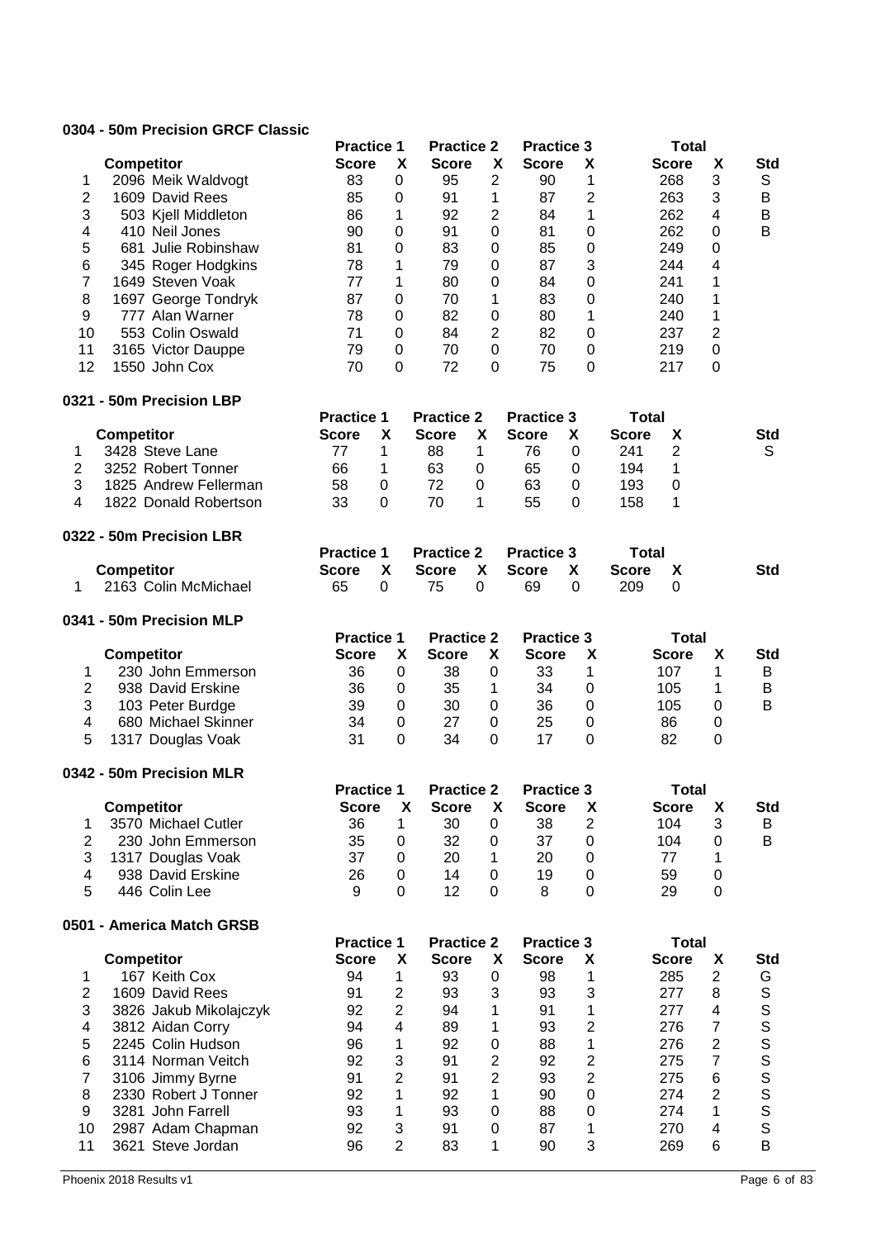### **0304 - 50m Precision GRCF Classic**

|                         |                           | <b>Practice 1</b> |                  | <b>Practice 2</b> |                  | <b>Practice 3</b> |                |              | <b>Total</b>   |                         |                |
|-------------------------|---------------------------|-------------------|------------------|-------------------|------------------|-------------------|----------------|--------------|----------------|-------------------------|----------------|
|                         | <b>Competitor</b>         | <b>Score</b>      | X                | <b>Score</b>      | X                | <b>Score</b>      | X              |              | <b>Score</b>   | X                       | <b>Std</b>     |
| 1                       | 2096 Meik Waldvogt        | 83                | $\pmb{0}$        | 95                | $\overline{2}$   | 90                | 1              |              | 268            | 3                       | S              |
| $\overline{2}$          | 1609 David Rees           | 85                | $\mathbf 0$      | 91                | 1                | 87                | $\overline{2}$ |              | 263            | 3                       | B              |
| 3                       | 503 Kjell Middleton       | 86                | 1                | 92                | $\overline{c}$   | 84                | 1              |              | 262            | 4                       | B              |
| $\overline{\mathbf{4}}$ | 410 Neil Jones            | 90                | $\mathbf 0$      | 91                | $\boldsymbol{0}$ | 81                | 0              |              | 262            | $\mathbf 0$             | $\overline{B}$ |
| 5                       | 681 Julie Robinshaw       | 81                | $\mathbf 0$      | 83                | $\boldsymbol{0}$ | 85                | 0              |              | 249            | $\mathbf 0$             |                |
|                         |                           |                   |                  |                   |                  |                   |                |              |                |                         |                |
| $\,$ 6 $\,$             | 345 Roger Hodgkins        | 78                | 1                | 79                | $\boldsymbol{0}$ | 87                | 3              |              | 244            | 4                       |                |
| $\overline{\mathbf{7}}$ | 1649 Steven Voak          | 77                | 1                | 80                | $\mathbf 0$      | 84                | $\mathbf 0$    |              | 241            | 1                       |                |
| 8                       | 1697 George Tondryk       | 87                | $\boldsymbol{0}$ | 70                | 1                | 83                | 0              |              | 240            | 1                       |                |
| 9                       | 777 Alan Warner           | 78                | $\mathbf 0$      | 82                | $\boldsymbol{0}$ | 80                | 1              |              | 240            | 1                       |                |
| 10                      | 553 Colin Oswald          | 71                | $\mathbf 0$      | 84                | $\overline{2}$   | 82                | 0              |              | 237            | $\overline{c}$          |                |
| 11                      | 3165 Victor Dauppe        | 79                | $\mathbf 0$      | 70                | $\boldsymbol{0}$ | 70                | 0              |              | 219            | $\boldsymbol{0}$        |                |
| 12                      | 1550 John Cox             | 70                | $\mathbf 0$      | 72                | 0                | 75                | 0              |              | 217            | $\pmb{0}$               |                |
|                         | 0321 - 50m Precision LBP  |                   |                  |                   |                  |                   |                |              |                |                         |                |
|                         |                           | <b>Practice 1</b> |                  | <b>Practice 2</b> |                  | <b>Practice 3</b> |                | <b>Total</b> |                |                         |                |
|                         | <b>Competitor</b>         | <b>Score</b>      | X                | <b>Score</b>      | X                | <b>Score</b>      | x              | <b>Score</b> | χ              |                         | <b>Std</b>     |
| 1                       | 3428 Steve Lane           | 77                | 1                | 88                | 1                | 76                | 0              | 241          | $\overline{2}$ |                         | S              |
| $\overline{c}$          | 3252 Robert Tonner        | 66                | 1                | 63                | $\pmb{0}$        | 65                | 0              | 194          | 1              |                         |                |
| 3                       | 1825 Andrew Fellerman     | 58                | $\boldsymbol{0}$ | 72                | $\boldsymbol{0}$ | 63                | 0              | 193          | $\pmb{0}$      |                         |                |
| 4                       | 1822 Donald Robertson     | 33                | $\mathbf 0$      | 70                | 1                | 55                | 0              | 158          | 1              |                         |                |
|                         | 0322 - 50m Precision LBR  |                   |                  |                   |                  |                   |                |              |                |                         |                |
|                         |                           | <b>Practice 1</b> |                  | <b>Practice 2</b> |                  | <b>Practice 3</b> |                | <b>Total</b> |                |                         |                |
|                         | <b>Competitor</b>         | <b>Score</b>      | X                | <b>Score</b>      | X                | <b>Score</b>      | X              | <b>Score</b> | X              |                         | <b>Std</b>     |
| $\mathbf 1$             | 2163 Colin McMichael      | 65                | $\mathbf 0$      | 75                | 0                | 69                | 0              | 209          | 0              |                         |                |
|                         | 0341 - 50m Precision MLP  |                   |                  |                   |                  |                   |                |              |                |                         |                |
|                         |                           | <b>Practice 1</b> |                  | <b>Practice 2</b> |                  | <b>Practice 3</b> |                |              | <b>Total</b>   |                         |                |
|                         | <b>Competitor</b>         | <b>Score</b>      | X                | <b>Score</b>      | X                | <b>Score</b>      | X              |              | <b>Score</b>   | X                       | <b>Std</b>     |
| 1                       | 230 John Emmerson         | 36                | 0                | 38                | $\mathbf 0$      | 33                | 1              |              | 107            | 1                       | B              |
| $\boldsymbol{2}$        | 938 David Erskine         | 36                | 0                | 35                | 1                | 34                | $\pmb{0}$      |              | 105            | 1                       | B              |
| $\sqrt{3}$              | 103 Peter Burdge          | 39                | $\mathbf 0$      | 30                | $\mathbf 0$      | 36                | $\pmb{0}$      |              | 105            | 0                       | B              |
| 4                       | 680 Michael Skinner       | 34                | 0                | 27                | 0                | 25                | 0              |              | 86             | 0                       |                |
|                         |                           |                   |                  |                   |                  |                   |                |              |                |                         |                |
| 5                       | 1317 Douglas Voak         | 31                | 0                | 34                | 0                | 17                | 0              |              | 82             | 0                       |                |
|                         | 0342 - 50m Precision MLR  |                   |                  |                   |                  |                   |                |              |                |                         |                |
|                         |                           | <b>Practice 1</b> |                  | <b>Practice 2</b> |                  | <b>Practice 3</b> |                |              | <b>Total</b>   |                         |                |
|                         | <b>Competitor</b>         | <b>Score</b>      | X                | <b>Score</b>      | X                | <b>Score</b>      | χ              |              | <b>Score</b>   | Χ                       | <b>Std</b>     |
| 1                       | 3570 Michael Cutler       | 36                | 1                | 30                | 0                | 38                | $\overline{2}$ |              | 104            | 3                       | B              |
| $\mathbf{2}$            | 230 John Emmerson         | 35                | 0                | 32                | 0                | 37                | 0              |              | 104            | 0                       | B              |
| 3                       | 1317 Douglas Voak         | 37                | 0                | 20                | 1                | 20                | 0              |              | 77             | 1                       |                |
| $\overline{\mathbf{4}}$ | 938 David Erskine         | 26                | 0                | 14                | $\mathbf 0$      | 19                | $\pmb{0}$      |              | 59             | $\boldsymbol{0}$        |                |
| 5                       | 446 Colin Lee             | 9                 | 0                | 12                | 0                | 8                 | $\mathbf 0$    |              | 29             | $\boldsymbol{0}$        |                |
|                         | 0501 - America Match GRSB |                   |                  |                   |                  |                   |                |              |                |                         |                |
|                         |                           | <b>Practice 1</b> |                  | <b>Practice 2</b> |                  | <b>Practice 3</b> |                |              | <b>Total</b>   |                         |                |
|                         | <b>Competitor</b>         | <b>Score</b>      | X                | <b>Score</b>      | X                | <b>Score</b>      | X              |              | <b>Score</b>   | X                       | <b>Std</b>     |
| 1                       | 167 Keith Cox             | 94                | $\mathbf 1$      | 93                | 0                | 98                | 1              |              | 285            | $\overline{2}$          | G              |
| $\mathbf{2}$            | 1609 David Rees           | 91                | $\overline{2}$   | 93                | 3                | 93                | 3              |              | 277            | 8                       |                |
| 3                       | 3826 Jakub Mikolajczyk    | 92                | $\overline{2}$   | 94                | 1                | 91                | 1              |              | 277            | 4                       |                |
|                         |                           |                   |                  |                   |                  |                   |                |              |                |                         |                |
| 4                       | 3812 Aidan Corry          | 94                | 4                | 89                | 1                | 93                | $\overline{2}$ |              | 276            | $\overline{7}$          |                |
| 5                       | 2245 Colin Hudson         | 96                | 1                | 92                | 0                | 88                | 1              |              | 276            | $\overline{c}$          | SSSSS          |
| 6                       | 3114 Norman Veitch        | 92                | 3                | 91                | $\overline{2}$   | 92                | $\overline{c}$ |              | 275            | $\overline{7}$          |                |
| $\overline{7}$          | 3106 Jimmy Byrne          | 91                | $\overline{2}$   | 91                | $\overline{2}$   | 93                | $\overline{2}$ |              | 275            | $\,6$                   |                |
| 8                       | 2330 Robert J Tonner      | 92                | 1                | 92                | 1                | 90                | 0              |              | 274            | $\overline{2}$          | S              |
| 9                       | 3281 John Farrell         | 93                | 1                | 93                | $\boldsymbol{0}$ | 88                | 0              |              | 274            | 1                       | S              |
| 10                      | 2987 Adam Chapman         | 92                | 3                | 91                | $\boldsymbol{0}$ | 87                | 1              |              | 270            | $\overline{\mathbf{4}}$ | $\mathsf S$    |
| 11                      | 3621 Steve Jordan         | 96                | $\overline{2}$   | 83                | 1                | 90                | 3              |              | 269            | 6                       | B              |
|                         |                           |                   |                  |                   |                  |                   |                |              |                |                         |                |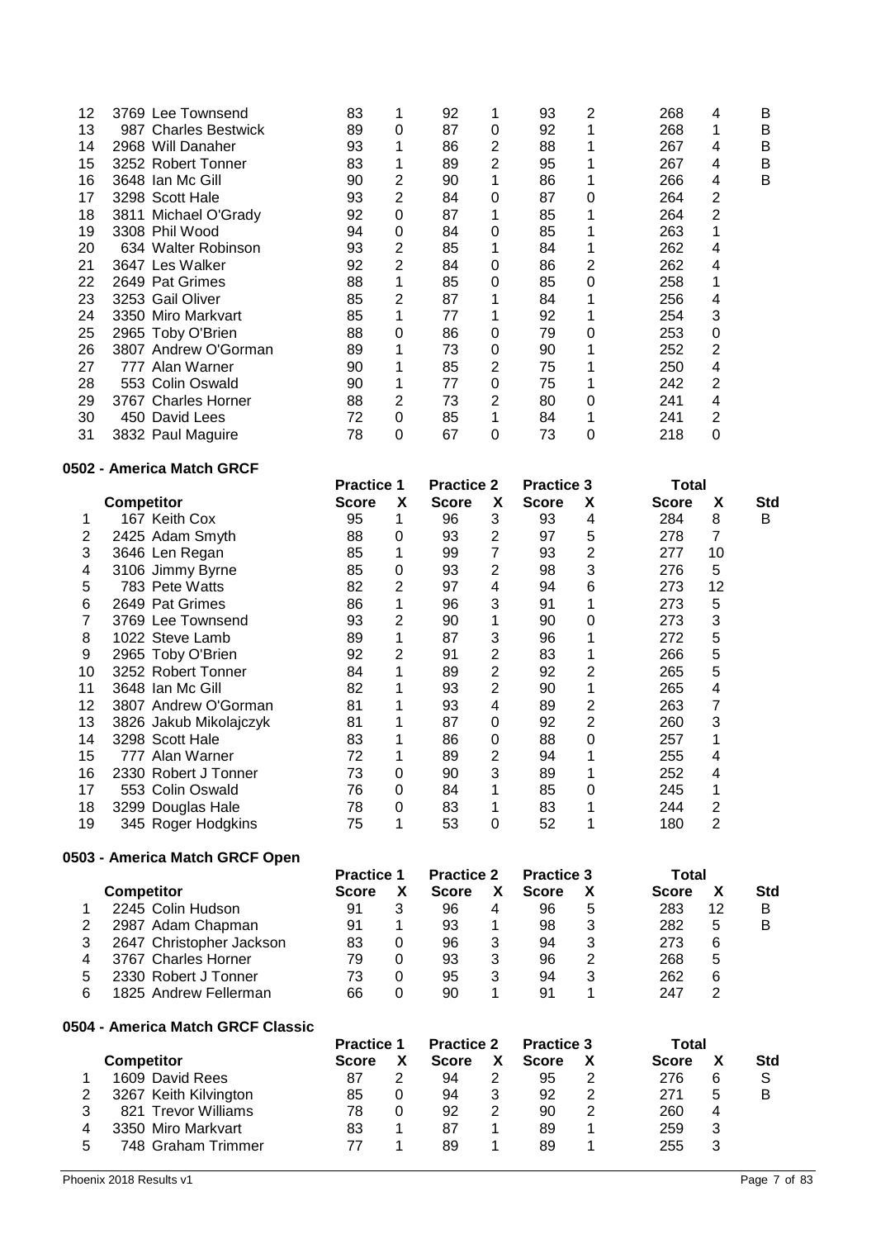| 12 | 3769 Lee Townsend    | 83 |                | 92 |   | 93 | 2 | 268 | 4 | B |
|----|----------------------|----|----------------|----|---|----|---|-----|---|---|
| 13 | 987 Charles Bestwick | 89 | 0              | 87 | 0 | 92 |   | 268 |   | B |
| 14 | 2968 Will Danaher    | 93 |                | 86 | 2 | 88 |   | 267 | 4 | B |
| 15 | 3252 Robert Tonner   | 83 |                | 89 | 2 | 95 |   | 267 | 4 | B |
| 16 | 3648 Ian Mc Gill     | 90 | 2              | 90 |   | 86 |   | 266 | 4 | B |
| 17 | 3298 Scott Hale      | 93 | 2              | 84 | 0 | 87 | 0 | 264 | 2 |   |
| 18 | 3811 Michael O'Grady | 92 | 0              | 87 |   | 85 |   | 264 | 2 |   |
| 19 | 3308 Phil Wood       | 94 | 0              | 84 | 0 | 85 |   | 263 |   |   |
| 20 | 634 Walter Robinson  | 93 | 2              | 85 |   | 84 |   | 262 | 4 |   |
| 21 | 3647 Les Walker      | 92 | $\overline{2}$ | 84 | 0 | 86 | 2 | 262 | 4 |   |
| 22 | 2649 Pat Grimes      | 88 |                | 85 | 0 | 85 | 0 | 258 |   |   |
| 23 | 3253 Gail Oliver     | 85 | 2              | 87 |   | 84 |   | 256 | 4 |   |
| 24 | 3350 Miro Markvart   | 85 |                | 77 |   | 92 |   | 254 | 3 |   |
| 25 | 2965 Toby O'Brien    | 88 | 0              | 86 | 0 | 79 | 0 | 253 | 0 |   |
| 26 | 3807 Andrew O'Gorman | 89 |                | 73 | 0 | 90 |   | 252 | 2 |   |
| 27 | 777 Alan Warner      | 90 |                | 85 | 2 | 75 |   | 250 | 4 |   |
| 28 | 553 Colin Oswald     | 90 |                | 77 | 0 | 75 |   | 242 | 2 |   |
| 29 | 3767 Charles Horner  | 88 | 2              | 73 | 2 | 80 | 0 | 241 | 4 |   |
| 30 | 450 David Lees       | 72 | 0              | 85 |   | 84 |   | 241 | 2 |   |
| 31 | 3832 Paul Maguire    | 78 | 0              | 67 | 0 | 73 | 0 | 218 | 0 |   |
|    |                      |    |                |    |   |    |   |     |   |   |

#### **0502 - America Match GRCF**

|    | <b>ouz - America Match GRUF</b> |                   |                |                   |                |                   |   |              |    |     |
|----|---------------------------------|-------------------|----------------|-------------------|----------------|-------------------|---|--------------|----|-----|
|    |                                 | <b>Practice 1</b> |                | <b>Practice 2</b> |                | <b>Practice 3</b> |   | Total        |    |     |
|    | <b>Competitor</b>               | <b>Score</b>      | X              | <b>Score</b>      | X              | <b>Score</b>      | X | <b>Score</b> | X  | Std |
|    | 167 Keith Cox                   | 95                | 1              | 96                | 3              | 93                | 4 | 284          | 8  | B   |
| 2  | 2425 Adam Smyth                 | 88                | 0              | 93                | 2              | 97                | 5 | 278          | 7  |     |
| 3  | 3646 Len Regan                  | 85                |                | 99                | 7              | 93                | 2 | 277          | 10 |     |
| 4  | 3106 Jimmy Byrne                | 85                | 0              | 93                | 2              | 98                | 3 | 276          | 5  |     |
| 5  | 783 Pete Watts                  | 82                | 2              | 97                | 4              | 94                | 6 | 273          | 12 |     |
| 6  | 2649 Pat Grimes                 | 86                | 1              | 96                | 3              | 91                |   | 273          | 5  |     |
|    | 3769 Lee Townsend               | 93                | 2              | 90                | 1              | 90                | 0 | 273          | 3  |     |
| 8  | 1022 Steve Lamb                 | 89                | 1              | 87                | 3              | 96                |   | 272          | 5  |     |
| 9  | 2965 Toby O'Brien               | 92                | $\overline{2}$ | 91                | 2              | 83                |   | 266          | 5  |     |
| 10 | 3252 Robert Tonner              | 84                | 1              | 89                | 2              | 92                | 2 | 265          | 5  |     |
| 11 | 3648 Ian Mc Gill                | 82                | 1              | 93                | $\overline{2}$ | 90                |   | 265          | 4  |     |
| 12 | 3807 Andrew O'Gorman            | 81                | 1              | 93                | 4              | 89                | 2 | 263          | 7  |     |
| 13 | 3826 Jakub Mikolajczyk          | 81                | 1              | 87                | 0              | 92                | 2 | 260          | 3  |     |
| 14 | 3298 Scott Hale                 | 83                | 1              | 86                | 0              | 88                | 0 | 257          | 1  |     |
| 15 | 777 Alan Warner                 | 72                | 1              | 89                | 2              | 94                |   | 255          | 4  |     |
| 16 | 2330 Robert J Tonner            | 73                | 0              | 90                | 3              | 89                |   | 252          | 4  |     |
| 17 | 553 Colin Oswald                | 76                | 0              | 84                | 1              | 85                | 0 | 245          | 1  |     |
| 18 | 3299 Douglas Hale               | 78                | 0              | 83                | 1              | 83                |   | 244          | 2  |     |
| 19 | 345 Roger Hodgkins              | 75                | 1              | 53                | 0              | 52                |   | 180          | 2  |     |

### **0503 - America Match GRCF Open**

|   | 2003 - Alliefica Malch GNCF Open | <b>Practice 1</b> |   | <b>Practice 2</b> |   | <b>Practice 3</b> |   | Total        |    |            |
|---|----------------------------------|-------------------|---|-------------------|---|-------------------|---|--------------|----|------------|
|   | <b>Competitor</b>                | <b>Score</b>      |   | <b>Score</b>      | X | <b>Score</b>      |   | <b>Score</b> | Х  | <b>Std</b> |
|   | 2245 Colin Hudson                | 91                | 3 | 96                | 4 | 96                | 5 | 283          | 12 | в          |
|   | 2987 Adam Chapman                | 91                |   | 93                |   | 98                | 3 | 282          | 5  | в          |
| 3 | 2647 Christopher Jackson         | 83                | 0 | 96                | 3 | 94                | 3 | 273          | 6  |            |
| 4 | 3767 Charles Horner              | 79                | 0 | 93                | 3 | 96                | 2 | 268          | 5  |            |
| 5 | 2330 Robert J Tonner             | 73                | 0 | 95                | 3 | 94                | 3 | 262          | 6  |            |
| 6 | 1825 Andrew Fellerman            | 66                | 0 | 90                |   | 91                |   | 247          | 2  |            |
|   |                                  |                   |   |                   |   |                   |   |              |    |            |

# **0504 - America Match GRCF Classic**

|   | 304 - Allielica Malch ONCF Classic |                   |   |                   |   |                   |   |              |   |     |
|---|------------------------------------|-------------------|---|-------------------|---|-------------------|---|--------------|---|-----|
|   |                                    | <b>Practice 1</b> |   | <b>Practice 2</b> |   | <b>Practice 3</b> |   | Total        |   |     |
|   | <b>Competitor</b>                  | <b>Score</b>      |   | <b>Score</b>      |   | <b>Score</b>      |   | <b>Score</b> |   | Std |
|   | 1609 David Rees                    | 87                |   | 94                |   | 95                |   | 276          | 6 | S   |
|   | 3267 Keith Kilvington              | 85                | 0 | 94                | 3 | 92                | 2 | 271          | 5 | B   |
|   | 821 Trevor Williams                | 78                | 0 | 92                | 2 | 90                | 2 | 260          | 4 |     |
| 4 | 3350 Miro Markvart                 | 83                |   | 87                |   | 89                |   | 259          | 3 |     |
|   | 748 Graham Trimmer                 | 77                |   | 89                |   | 89                |   | 255          |   |     |
|   |                                    |                   |   |                   |   |                   |   |              |   |     |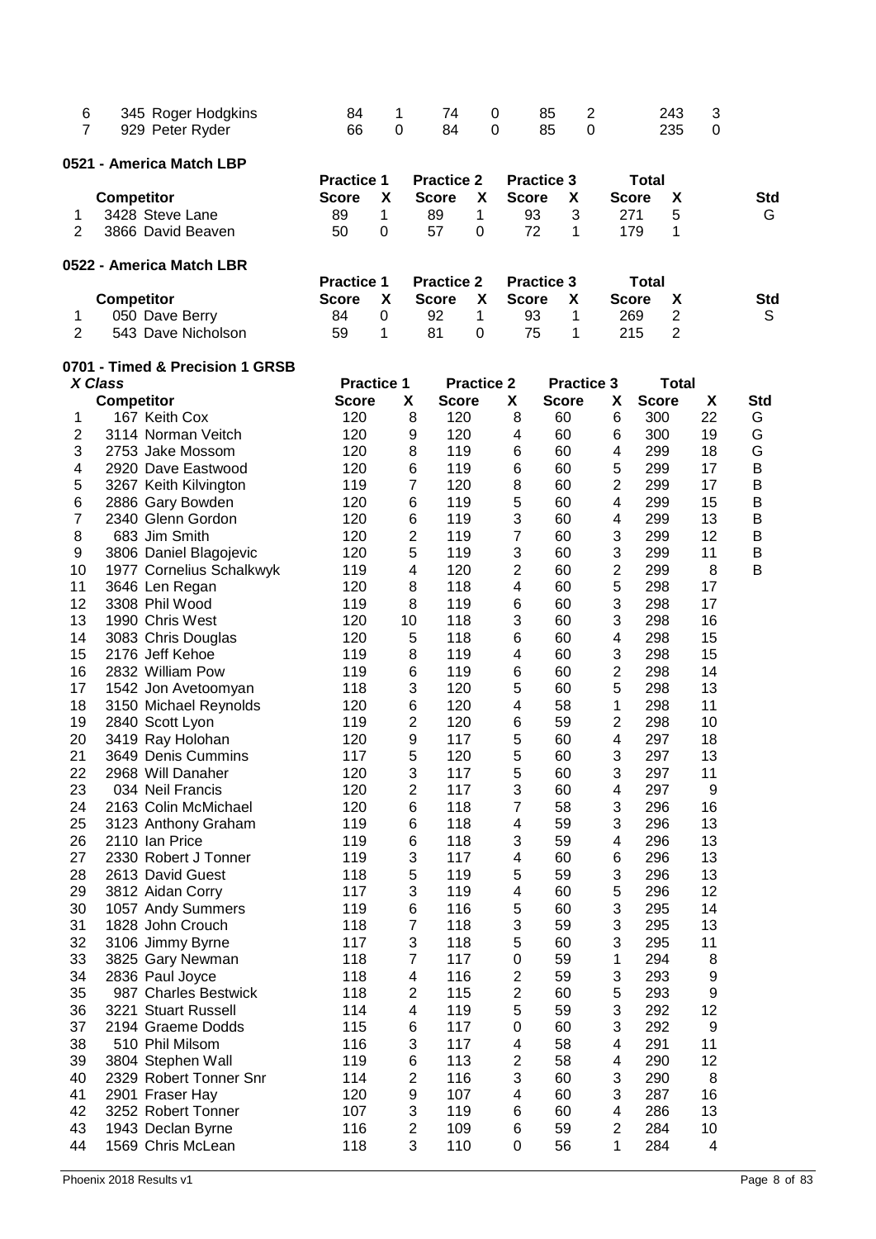| 6<br>7              | 345 Roger Hodgkins<br>929 Peter Ryder | 84<br>66                          | 1<br>0 |                              | 74<br>84           | 0<br>0            |                  | 85<br>85          | $\overline{c}$<br>0 |                     | 243<br>235          |                | 3<br>0   |                 |
|---------------------|---------------------------------------|-----------------------------------|--------|------------------------------|--------------------|-------------------|------------------|-------------------|---------------------|---------------------|---------------------|----------------|----------|-----------------|
|                     | 0521 - America Match LBP              |                                   |        |                              |                    |                   |                  |                   |                     |                     |                     |                |          |                 |
|                     |                                       | <b>Practice 1</b><br><b>Score</b> | X      |                              | <b>Practice 2</b>  | X                 | <b>Score</b>     | <b>Practice 3</b> |                     |                     | <b>Total</b>        |                |          |                 |
|                     | <b>Competitor</b><br>3428 Steve Lane  | 89                                | 1      |                              | <b>Score</b><br>89 | 1                 | 93               | X<br>3            |                     |                     | <b>Score</b><br>271 | X<br>5         |          | <b>Std</b><br>G |
| 1<br>$\overline{2}$ | 3866 David Beaven                     | 50                                | 0      |                              | 57                 | $\Omega$          | 72               | 1                 |                     |                     | 179                 | 1              |          |                 |
|                     |                                       |                                   |        |                              |                    |                   |                  |                   |                     |                     |                     |                |          |                 |
|                     | 0522 - America Match LBR              | <b>Practice 1</b>                 |        |                              | <b>Practice 2</b>  |                   |                  | <b>Practice 3</b> |                     |                     | <b>Total</b>        |                |          |                 |
|                     | <b>Competitor</b>                     | <b>Score</b>                      | X      |                              | <b>Score</b>       | X                 | <b>Score</b>     | X                 |                     |                     | <b>Score</b>        | X              |          | <b>Std</b>      |
| 1                   | 050 Dave Berry                        | 84                                | 0      |                              | 92                 | 1                 | 93               | 1                 |                     |                     | 269                 | 2              |          | S               |
| $\overline{2}$      | 543 Dave Nicholson                    | 59                                | 1      |                              | 81                 | 0                 | 75               | 1                 |                     |                     | 215                 | $\overline{2}$ |          |                 |
|                     | 0701 - Timed & Precision 1 GRSB       |                                   |        |                              |                    |                   |                  |                   |                     |                     |                     |                |          |                 |
|                     | X Class                               | <b>Practice 1</b>                 |        |                              |                    | <b>Practice 2</b> |                  | <b>Practice 3</b> |                     |                     |                     | <b>Total</b>   |          |                 |
|                     | <b>Competitor</b>                     | <b>Score</b>                      |        | X                            | <b>Score</b>       |                   | X                | <b>Score</b>      |                     | X                   | <b>Score</b>        |                | X        | <b>Std</b>      |
| 1                   | 167 Keith Cox                         | 120                               |        | 8                            | 120                |                   | 8                | 60                |                     | 6                   | 300                 |                | 22       | G               |
| 2                   | 3114 Norman Veitch                    | 120                               |        | 9                            | 120<br>119         |                   | 4                | 60                |                     | 6                   | 300                 |                | 19       | G               |
| 3                   | 2753 Jake Mossom                      | 120                               |        | 8                            |                    |                   | 6                | 60                |                     | 4                   | 299                 |                | 18       | G               |
| 4                   | 2920 Dave Eastwood                    | 120                               |        | 6                            | 119                |                   | $6\phantom{1}6$  | 60                |                     | 5                   | 299                 |                | 17<br>17 | B               |
| 5                   | 3267 Keith Kilvington                 | 119                               |        | 7                            | 120                |                   | 8                | 60                |                     | $\overline{2}$<br>4 | 299                 |                | 15       | B               |
| 6<br>$\overline{7}$ | 2886 Gary Bowden<br>2340 Glenn Gordon | 120<br>120                        |        | 6                            | 119<br>119         |                   | 5<br>3           | 60                |                     |                     | 299<br>299          |                | 13       | B<br>B          |
| 8                   | 683 Jim Smith                         | 120                               |        | 6<br>2                       | 119                |                   | $\overline{7}$   | 60<br>60          |                     | 4<br>3              | 299                 |                | 12       | B               |
| 9                   | 3806 Daniel Blagojevic                | 120                               |        | 5                            | 119                |                   | 3                | 60                |                     | 3                   | 299                 |                | 11       | B               |
| 10                  | 1977 Cornelius Schalkwyk              | 119                               |        | 4                            | 120                |                   | 2                | 60                |                     | $\overline{c}$      | 299                 |                | 8        | B               |
| 11                  | 3646 Len Regan                        | 120                               |        | 8                            | 118                |                   | 4                | 60                |                     | 5                   | 298                 |                | 17       |                 |
| 12                  | 3308 Phil Wood                        | 119                               |        | 8                            | 119                |                   | 6                | 60                |                     | 3                   | 298                 |                | 17       |                 |
| 13                  | 1990 Chris West                       | 120                               |        | 10                           | 118                |                   | 3                | 60                |                     | 3                   | 298                 |                | 16       |                 |
| 14                  | 3083 Chris Douglas                    | 120                               |        | 5                            | 118                |                   | 6                | 60                |                     | 4                   | 298                 |                | 15       |                 |
| 15                  | 2176 Jeff Kehoe                       | 119                               |        | 8                            | 119                |                   | 4                | 60                |                     | 3                   | 298                 |                | 15       |                 |
| 16                  | 2832 William Pow                      | 119                               |        | 6                            | 119                |                   | 6                | 60                |                     | $\overline{c}$      | 298                 |                | 14       |                 |
| 17                  | 1542 Jon Avetoomyan                   | 118                               |        | 3                            | 120                |                   | 5                | 60                |                     | 5                   | 298                 |                | 13       |                 |
| 18                  | 3150 Michael Reynolds                 | 120                               |        | 6                            | 120                |                   | 4                | 58                |                     | 1                   | 298                 |                | 11       |                 |
| 19                  | 2840 Scott Lyon                       | 119                               |        | 2                            | 120                |                   | 6                | 59                |                     | $\overline{c}$      | 298                 |                | 10       |                 |
| 20                  | 3419 Ray Holohan                      | 120                               |        | 9                            | 117                |                   | 5                | 60                |                     | 4                   | 297                 |                | 18       |                 |
| 21                  | 3649 Denis Cummins                    | 117                               |        | 5                            | 120                |                   | 5                | 60                |                     | 3                   | 297                 |                | 13       |                 |
| 22                  | 2968 Will Danaher                     | 120                               |        | 3                            | 117                |                   | 5                | 60                |                     | 3                   | 297                 |                | 11       |                 |
| 23                  | 034 Neil Francis                      | 120                               |        | $\overline{2}$               | 117                |                   | 3                | 60                |                     | 4                   | 297                 |                | 9        |                 |
| 24                  | 2163 Colin McMichael                  | 120                               |        | 6                            | 118                |                   | 7                | 58                |                     | 3                   | 296                 |                | 16       |                 |
| 25                  | 3123 Anthony Graham                   | 119                               |        | 6                            | 118                |                   | 4                | 59                |                     | 3                   | 296                 |                | 13       |                 |
| 26                  | 2110 Ian Price                        | 119                               |        | 6                            | 118                |                   | 3                | 59                |                     | 4                   | 296                 |                | 13       |                 |
| 27                  | 2330 Robert J Tonner                  | 119                               |        | 3                            | 117                |                   | 4                | 60                |                     | 6                   | 296                 |                | 13       |                 |
| 28                  | 2613 David Guest                      | 118                               |        | 5                            | 119                |                   | 5                | 59                |                     | 3                   | 296                 |                | 13       |                 |
| 29                  | 3812 Aidan Corry                      | 117                               |        | 3                            | 119                |                   | 4                | 60                |                     | 5                   | 296                 |                | 12       |                 |
| 30                  | 1057 Andy Summers                     | 119                               |        | 6                            | 116                |                   | 5                | 60                |                     | 3                   | 295                 |                | 14       |                 |
| 31                  | 1828 John Crouch                      | 118                               |        | $\overline{7}$               | 118                |                   | 3                | 59                |                     | 3                   | 295                 |                | 13       |                 |
| 32                  | 3106 Jimmy Byrne                      | 117                               |        | 3                            | 118                |                   | 5                | 60                |                     | 3                   | 295                 |                | 11       |                 |
| 33                  | 3825 Gary Newman                      | 118                               |        | 7                            | 117                |                   | 0                | 59                |                     | 1                   | 294                 |                | 8        |                 |
| 34                  | 2836 Paul Joyce                       | 118                               |        | 4                            | 116                |                   | $\boldsymbol{2}$ | 59                |                     | 3                   | 293                 |                | 9        |                 |
| 35                  | 987 Charles Bestwick                  | 118                               |        | $\overline{\mathbf{c}}$      | 115                |                   | $\overline{c}$   | 60                |                     | 5                   | 293                 |                | 9        |                 |
| 36                  | 3221 Stuart Russell                   | 114                               |        | 4                            | 119                |                   | 5                | 59                |                     | 3                   | 292                 |                | 12       |                 |
| 37                  | 2194 Graeme Dodds                     | 115                               |        | 6                            | 117                |                   | 0                | 60                |                     | 3                   | 292                 |                | 9        |                 |
| 38                  | 510 Phil Milsom                       | 116                               |        | 3                            | 117                |                   | 4                | 58                |                     | 4                   | 291                 |                | 11       |                 |
| 39                  | 3804 Stephen Wall                     | 119                               |        | 6                            | 113                |                   | 2                | 58                |                     | 4                   | 290                 |                | 12       |                 |
| 40                  | 2329 Robert Tonner Snr                | 114                               |        | 2                            | 116                |                   | 3                | 60                |                     | 3                   | 290                 |                | 8        |                 |
| 41                  | 2901 Fraser Hay                       | 120                               |        | 9                            | 107                |                   | 4                | 60                |                     | 3                   | 287                 |                | 16       |                 |
| 42                  | 3252 Robert Tonner                    | 107                               |        | 3                            | 119                |                   | 6                | 60                |                     | 4                   | 286                 |                | 13       |                 |
| 43                  | 1943 Declan Byrne                     | 116                               |        | $\overline{\mathbf{c}}$<br>3 | 109                |                   | $\,6$            | 59                |                     | $\overline{c}$      | 284                 |                | 10       |                 |
| 44                  | 1569 Chris McLean                     | 118                               |        |                              | 110                |                   | 0                | 56                |                     | 1                   | 284                 |                | 4        |                 |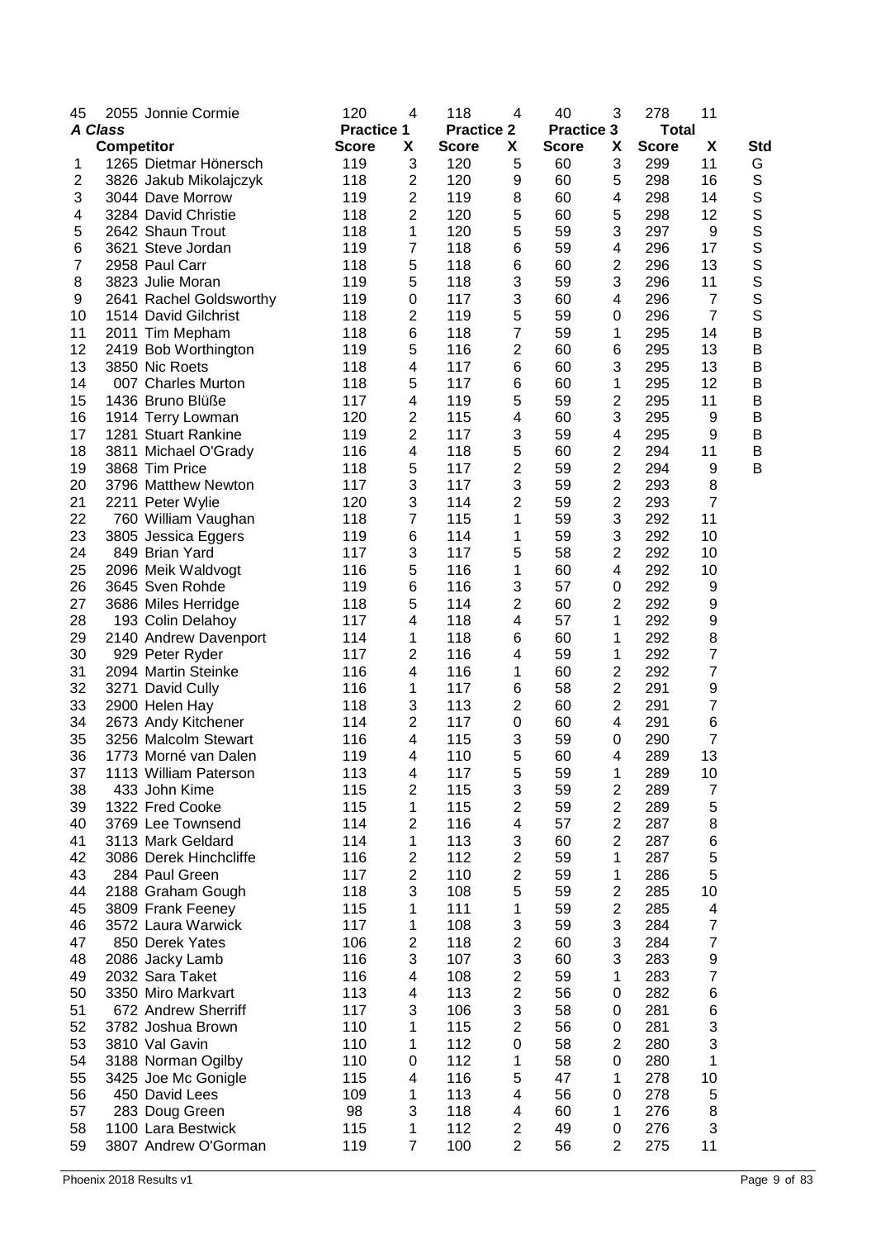| 45             |                   | 2055 Jonnie Cormie      | 120               | 4                       | 118               | 4                       | 40                | 3                       | 278          | 11                       |              |
|----------------|-------------------|-------------------------|-------------------|-------------------------|-------------------|-------------------------|-------------------|-------------------------|--------------|--------------------------|--------------|
| <b>A Class</b> |                   |                         | <b>Practice 1</b> |                         | <b>Practice 2</b> |                         | <b>Practice 3</b> |                         | <b>Total</b> |                          |              |
|                | <b>Competitor</b> |                         | <b>Score</b>      | X                       | <b>Score</b>      | X                       | <b>Score</b>      | X                       | <b>Score</b> | X                        | Std          |
| 1              |                   | 1265 Dietmar Hönersch   | 119               | 3                       | 120               | 5                       | 60                | 3                       | 299          | 11                       | G            |
| $\overline{2}$ |                   | 3826 Jakub Mikolajczyk  | 118               | $\overline{\mathbf{c}}$ | 120               | 9                       | 60                | 5                       | 298          | 16                       | S            |
| 3              |                   | 3044 Dave Morrow        | 119               | 2                       | 119               | 8                       | 60                | 4                       | 298          | 14                       | $\mathsf S$  |
| 4              |                   | 3284 David Christie     | 118               | 2                       | 120               | 5                       | 60                | 5                       | 298          | 12                       | $\mathbf S$  |
| 5              |                   | 2642 Shaun Trout        | 118               | 1                       | 120               | 5                       | 59                | 3                       | 297          | 9                        | S            |
| 6              |                   | 3621 Steve Jordan       | 119               | 7                       | 118               | 6                       | 59                | 4                       | 296          | 17                       | S            |
| $\overline{7}$ |                   | 2958 Paul Carr          | 118               | 5                       | 118               | 6                       | 60                | 2                       | 296          | 13                       | $\mathsf S$  |
| 8              |                   | 3823 Julie Moran        | 119               | 5                       | 118               | 3                       | 59                | 3                       | 296          | 11                       | S            |
| 9              |                   | 2641 Rachel Goldsworthy | 119               | 0                       | 117               | 3                       | 60                | 4                       | 296          | $\overline{7}$           | S            |
| 10             |                   | 1514 David Gilchrist    | 118               | 2                       | 119               | 5                       | 59                | 0                       | 296          | $\overline{7}$           | $\mathsf{S}$ |
| 11             |                   | 2011 Tim Mepham         | 118               | 6                       | 118               | 7                       | 59                | 1                       | 295          | 14                       | $\sf B$      |
| 12             |                   | 2419 Bob Worthington    | 119               | 5                       | 116               | $\overline{2}$          | 60                | 6                       | 295          | 13                       | B            |
| 13             |                   | 3850 Nic Roets          | 118               | 4                       | 117               | 6                       | 60                | 3                       | 295          | 13                       | B            |
| 14             |                   | 007 Charles Murton      | 118               |                         | 117               | 6                       | 60                | 1                       | 295          | 12                       | B            |
|                |                   |                         |                   | 5                       |                   |                         |                   |                         |              |                          |              |
| 15             |                   | 1436 Bruno Blüße        | 117               | 4                       | 119               | 5<br>4                  | 59                | 2                       | 295          | 11                       | B            |
| 16             |                   | 1914 Terry Lowman       | 120               | 2                       | 115               |                         | 60                | 3                       | 295          | 9                        | B            |
| 17             |                   | 1281 Stuart Rankine     | 119               | $\overline{c}$          | 117               | 3                       | 59                | 4                       | 295          | 9                        | B            |
| 18             |                   | 3811 Michael O'Grady    | 116               | 4                       | 118               | 5                       | 60                | $\overline{\mathbf{c}}$ | 294          | 11                       | B            |
| 19             |                   | 3868 Tim Price          | 118               | 5                       | 117               | $\overline{\mathbf{c}}$ | 59                | 2                       | 294          | 9                        | B            |
| 20             |                   | 3796 Matthew Newton     | 117               | 3                       | 117               | 3                       | 59                | $\overline{c}$          | 293          | 8                        |              |
| 21             |                   | 2211 Peter Wylie        | 120               | 3                       | 114               | $\overline{2}$          | 59                | 2                       | 293          | $\overline{7}$           |              |
| 22             |                   | 760 William Vaughan     | 118               | 7                       | 115               | 1                       | 59                | 3                       | 292          | 11                       |              |
| 23             |                   | 3805 Jessica Eggers     | 119               | 6                       | 114               | 1                       | 59                | 3                       | 292          | 10                       |              |
| 24             |                   | 849 Brian Yard          | 117               | 3                       | 117               | 5                       | 58                | $\overline{c}$          | 292          | 10                       |              |
| 25             |                   | 2096 Meik Waldvogt      | 116               | 5                       | 116               | 1                       | 60                | 4                       | 292          | 10                       |              |
| 26             |                   | 3645 Sven Rohde         | 119               | 6                       | 116               | 3                       | 57                | 0                       | 292          | 9                        |              |
| 27             |                   | 3686 Miles Herridge     | 118               | 5                       | 114               | $\overline{c}$          | 60                | 2                       | 292          | 9                        |              |
| 28             |                   | 193 Colin Delahoy       | 117               | 4                       | 118               | 4                       | 57                | 1                       | 292          | 9                        |              |
| 29             |                   | 2140 Andrew Davenport   | 114               | 1                       | 118               | 6                       | 60                | 1                       | 292          | 8                        |              |
| 30             |                   | 929 Peter Ryder         | 117               | 2                       | 116               | 4                       | 59                | 1                       | 292          | $\overline{7}$           |              |
| 31             |                   | 2094 Martin Steinke     | 116               | 4                       | 116               | 1                       | 60                | 2                       | 292          | $\boldsymbol{7}$         |              |
| 32             |                   | 3271 David Cully        | 116               | 1                       | 117               | 6                       | 58                | $\overline{2}$          | 291          | 9                        |              |
| 33             |                   | 2900 Helen Hay          | 118               | 3                       | 113               | $\overline{c}$          | 60                | 2                       | 291          | $\overline{7}$           |              |
| 34             |                   | 2673 Andy Kitchener     | 114               | 2                       | 117               | $\mathbf 0$             | 60                | 4                       | 291          | 6                        |              |
| 35             |                   | 3256 Malcolm Stewart    | 116               | 4                       | 115               | 3                       | 59                | 0                       | 290          | $\overline{7}$           |              |
| 36             |                   | 1773 Morné van Dalen    | 119               | 4                       | 110               | 5                       | 60                | 4                       | 289          | 13                       |              |
| 37             |                   | 1113 William Paterson   | 113               | 4                       | 117               | 5                       | 59                | 1                       | 289          | 10                       |              |
| 38             |                   | 433 John Kime           | 115               | 2                       | 115               | 3                       | 59                | $\overline{c}$          | 289          | $\overline{7}$           |              |
| 39             |                   | 1322 Fred Cooke         | 115               | 1                       | 115               | $\overline{2}$          | 59                | 2                       | 289          | 5                        |              |
| 40             |                   | 3769 Lee Townsend       | 114               | 2                       | 116               | 4                       | 57                | 2                       | 287          | 8                        |              |
| 41             |                   | 3113 Mark Geldard       | 114               | 1                       | 113               | 3                       | 60                | $\overline{2}$          | 287          | 6                        |              |
| 42             |                   | 3086 Derek Hinchcliffe  | 116               | 2                       | 112               | $\overline{2}$          | 59                | 1                       | 287          | 5                        |              |
| 43             |                   | 284 Paul Green          | 117               | $\overline{2}$          | 110               | $\overline{2}$          | 59                | 1                       | 286          | 5                        |              |
| 44             |                   | 2188 Graham Gough       | 118               | 3                       | 108               | 5                       | 59                | $\overline{2}$          | 285          | 10                       |              |
| 45             |                   | 3809 Frank Feeney       | 115               | 1                       | 111               | 1                       | 59                | 2                       | 285          | 4                        |              |
| 46             |                   | 3572 Laura Warwick      | 117               | 1                       | 108               | 3                       | 59                | 3                       | 284          | $\overline{\mathcal{I}}$ |              |
| 47             |                   | 850 Derek Yates         | 106               | 2                       | 118               | $\overline{2}$          | 60                | 3                       | 284          | $\overline{7}$           |              |
| 48             |                   | 2086 Jacky Lamb         | 116               | 3                       | 107               | 3                       | 60                | 3                       | 283          | 9                        |              |
| 49             |                   | 2032 Sara Taket         | 116               | 4                       | 108               | $\overline{2}$          | 59                | 1                       | 283          | $\overline{7}$           |              |
| 50             |                   | 3350 Miro Markvart      | 113               | 4                       | 113               | $\overline{2}$          | 56                | 0                       | 282          | 6                        |              |
| 51             |                   | 672 Andrew Sherriff     | 117               | 3                       | 106               | 3                       | 58                | 0                       | 281          | 6                        |              |
| 52             |                   | 3782 Joshua Brown       | 110               | 1                       | 115               | $\overline{c}$          | 56                | 0                       | 281          | 3                        |              |
| 53             |                   | 3810 Val Gavin          | 110               | 1                       | 112               | 0                       | 58                | $\overline{2}$          | 280          | 3                        |              |
| 54             |                   | 3188 Norman Ogilby      | 110               | 0                       | 112               | $\mathbf{1}$            | 58                | $\mathbf 0$             | 280          | 1                        |              |
| 55             |                   | 3425 Joe Mc Gonigle     | 115               | 4                       | 116               | 5                       | 47                | 1                       | 278          | 10                       |              |
| 56             |                   | 450 David Lees          | 109               | 1                       | 113               | 4                       | 56                | $\pmb{0}$               | 278          | $\mathbf 5$              |              |
| 57             |                   | 283 Doug Green          | 98                | 3                       | 118               | 4                       | 60                | 1                       | 276          | 8                        |              |
| 58             |                   | 1100 Lara Bestwick      | 115               | 1                       | 112               | $\mathbf{2}$            | 49                | $\pmb{0}$               | 276          | 3                        |              |
| 59             |                   | 3807 Andrew O'Gorman    | 119               | $\overline{7}$          | 100               | $\overline{2}$          | 56                | 2                       | 275          | 11                       |              |
|                |                   |                         |                   |                         |                   |                         |                   |                         |              |                          |              |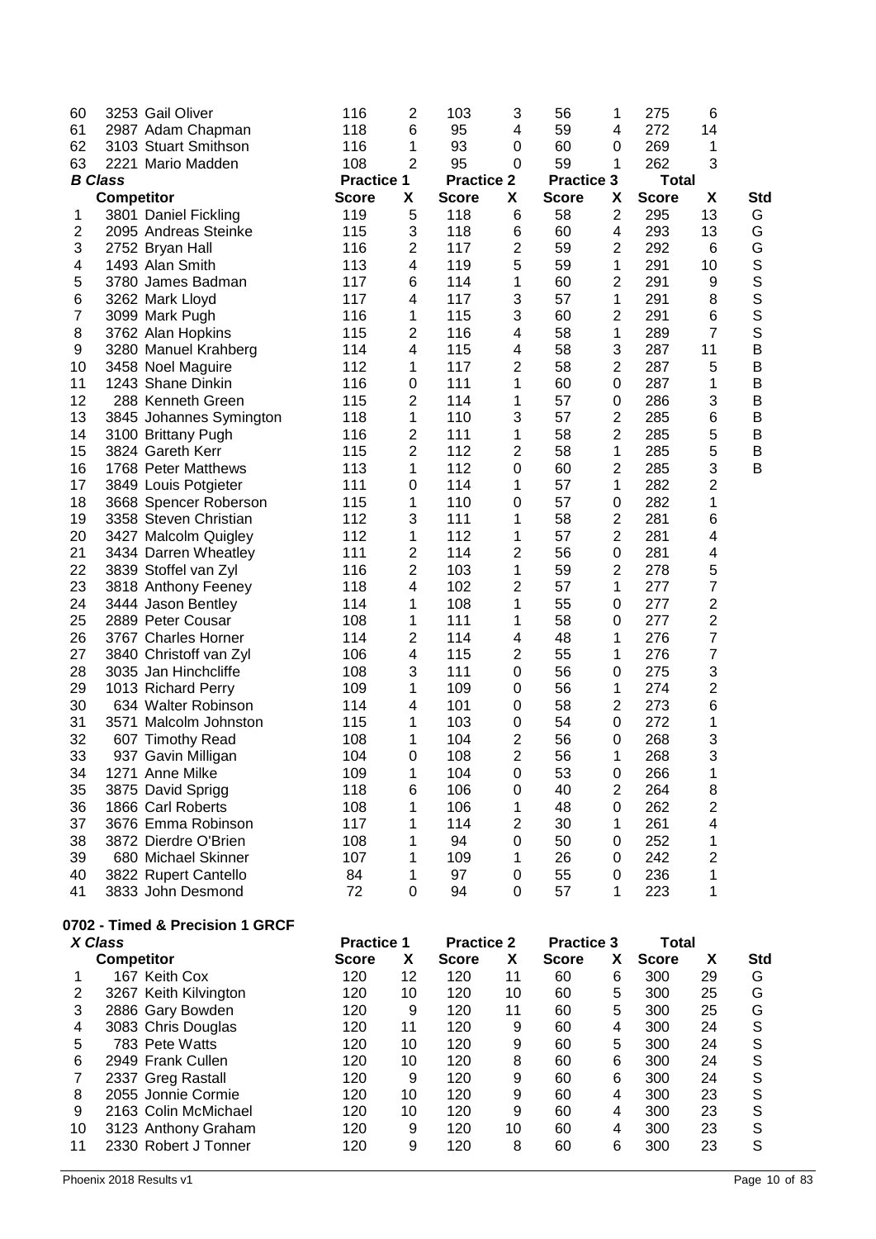| 60<br>61       | 3253 Gail Oliver<br>2987 Adam Chapman          | 116<br>118                        | 2<br>6         | 103<br>95                         | 3<br>4         | 56<br>59                          | 1<br>4                       | 275<br>272                   | 6<br>14        |               |
|----------------|------------------------------------------------|-----------------------------------|----------------|-----------------------------------|----------------|-----------------------------------|------------------------------|------------------------------|----------------|---------------|
| 62             | 3103 Stuart Smithson                           | 116                               | 1              | 93                                | 0              | 60                                | 0                            | 269                          | 1              |               |
| 63             | 2221 Mario Madden                              | 108                               | $\overline{2}$ | 95                                | 0              | 59                                | 1                            | 262                          | 3              |               |
|                | <b>B</b> Class<br>Competitor                   | <b>Practice 1</b><br><b>Score</b> | X              | <b>Practice 2</b><br><b>Score</b> | X              | <b>Practice 3</b><br><b>Score</b> | X                            | <b>Total</b><br><b>Score</b> | X              |               |
| 1              | 3801 Daniel Fickling                           | 119                               | 5              | 118                               | 6              | 58                                | 2                            | 295                          | 13             | Std<br>G      |
| 2              | 2095 Andreas Steinke                           | 115                               | 3              | 118                               | 6              | 60                                | 4                            | 293                          | 13             | G             |
| 3              | 2752 Bryan Hall                                | 116                               | 2              | 117                               | 2              | 59                                | 2                            | 292                          | 6              | G             |
| 4              | 1493 Alan Smith                                | 113                               | 4              | 119                               | 5              | 59                                | 1                            | 291                          | 10             | $\mathbb S$   |
| 5              | 3780 James Badman                              | 117                               | 6              | 114                               | 1              | 60                                | $\overline{\mathbf{c}}$      | 291                          | 9              | S             |
| 6              | 3262 Mark Lloyd                                | 117                               | 4              | 117                               | 3              | 57                                | 1                            | 291                          | 8              | S             |
| 7              | 3099 Mark Pugh                                 | 116                               | 1              | 115                               | 3              | 60                                | 2                            | 291                          | 6              | S             |
| 8              | 3762 Alan Hopkins                              | 115                               | 2              | 116                               | 4              | 58                                | 1                            | 289                          | $\overline{7}$ | S             |
| 9              | 3280 Manuel Krahberg                           | 114                               | 4              | 115                               | 4              | 58                                | 3                            | 287                          | 11             | B             |
| 10             | 3458 Noel Maguire                              | 112                               | 1              | 117                               | 2              | 58                                | 2                            | 287                          | 5              | B             |
| 11             | 1243 Shane Dinkin                              | 116                               | 0              | 111                               | 1              | 60                                | 0                            | 287                          | 1              | B             |
| 12             | 288 Kenneth Green                              | 115                               | 2              | 114                               | 1              | 57                                | 0                            | 286                          | 3              | B             |
| 13             | 3845 Johannes Symington                        | 118                               | 1              | 110                               | 3              | 57                                | 2                            | 285                          | 6              | B             |
| 14             | 3100 Brittany Pugh                             | 116                               | 2              | 111                               | 1              | 58                                | 2                            | 285                          | 5              | B             |
| 15             | 3824 Gareth Kerr                               | 115                               | $\overline{c}$ | 112                               | 2              | 58                                | 1                            | 285                          | 5              | B             |
| 16             | 1768 Peter Matthews                            | 113                               | 1              | 112                               | 0              | 60                                | 2                            | 285                          | 3              | B             |
| 17<br>18       | 3849 Louis Potgieter                           | 111<br>115                        | 0<br>1         | 114<br>110                        | 1<br>0         | 57<br>57                          | 1<br>0                       | 282<br>282                   | 2<br>1         |               |
| 19             | 3668 Spencer Roberson<br>3358 Steven Christian | 112                               | 3              | 111                               | 1              | 58                                | 2                            | 281                          | 6              |               |
| 20             | 3427 Malcolm Quigley                           | 112                               | 1              | 112                               | 1              | 57                                | 2                            | 281                          | 4              |               |
| 21             | 3434 Darren Wheatley                           | 111                               | 2              | 114                               | 2              | 56                                | 0                            | 281                          | 4              |               |
| 22             | 3839 Stoffel van Zyl                           | 116                               | $\overline{c}$ | 103                               | 1              | 59                                | 2                            | 278                          | 5              |               |
| 23             | 3818 Anthony Feeney                            | 118                               | 4              | 102                               | 2              | 57                                | 1                            | 277                          | 7              |               |
| 24             | 3444 Jason Bentley                             | 114                               | 1              | 108                               | 1              | 55                                | 0                            | 277                          | $\overline{c}$ |               |
| 25             | 2889 Peter Cousar                              | 108                               | 1              | 111                               | 1              | 58                                | 0                            | 277                          | $\overline{c}$ |               |
| 26             | 3767 Charles Horner                            | 114                               | 2              | 114                               | 4              | 48                                | 1                            | 276                          | 7              |               |
| 27             | 3840 Christoff van Zyl                         | 106                               | 4              | 115                               | 2              | 55                                | 1                            | 276                          | $\overline{7}$ |               |
| 28             | 3035 Jan Hinchcliffe                           | 108                               | 3              | 111                               | 0              | 56                                | 0                            | 275                          | 3              |               |
| 29             | 1013 Richard Perry                             | 109                               | 1              | 109                               | $\mathbf 0$    | 56                                | 1                            | 274                          | $\overline{c}$ |               |
| 30             | 634 Walter Robinson                            | 114                               | 4              | 101                               | $\mathbf 0$    | 58                                | $\overline{2}$               | 273                          | 6              |               |
| 31             | 3571 Malcolm Johnston                          | 115                               | 1              | 103                               | 0              | 54                                | 0                            | 272                          | 1              |               |
| 32             | 607 Timothy Read                               | 108                               | 1              | 104                               | 2              | 56                                | 0                            | 268                          | 3              |               |
| 33<br>34       | 937 Gavin Milligan<br>1271 Anne Milke          | 104<br>109                        | 0<br>1         | 108<br>104                        | 2              | 56<br>53                          | 1                            | 268<br>266                   | 3              |               |
| 35             | 3875 David Sprigg                              | 118                               | 6              | 106                               | 0<br>0         | 40                                | 0<br>$\overline{\mathbf{c}}$ | 264                          | 1<br>8         |               |
| 36             | 1866 Carl Roberts                              | 108                               | 1              | 106                               | 1              | 48                                | 0                            | 262                          | $\overline{c}$ |               |
| 37             | 3676 Emma Robinson                             | 117                               | 1              | 114                               | $\overline{2}$ | 30                                | 1                            | 261                          | 4              |               |
| 38             | 3872 Dierdre O'Brien                           | 108                               | 1              | 94                                | 0              | 50                                | 0                            | 252                          | 1              |               |
| 39             | 680 Michael Skinner                            | 107                               | 1              | 109                               | 1              | 26                                | 0                            | 242                          | $\overline{2}$ |               |
| 40             | 3822 Rupert Cantello                           | 84                                | 1              | 97                                | 0              | 55                                | 0                            | 236                          | 1              |               |
| 41             | 3833 John Desmond                              | 72                                | 0              | 94                                | 0              | 57                                | 1                            | 223                          | 1              |               |
|                | 0702 - Timed & Precision 1 GRCF                |                                   |                |                                   |                |                                   |                              |                              |                |               |
|                | X Class                                        | <b>Practice 1</b>                 |                | <b>Practice 2</b>                 |                | <b>Practice 3</b>                 |                              | <b>Total</b>                 |                |               |
|                | <b>Competitor</b>                              | <b>Score</b>                      | X              | <b>Score</b>                      | X              | <b>Score</b>                      | Х                            | <b>Score</b>                 | X              | Std           |
| 1              | 167 Keith Cox                                  | 120                               | 12             | 120                               | 11             | 60                                | 6                            | 300                          | 29             | G             |
| 2              | 3267 Keith Kilvington                          | 120                               | 10             | 120                               | 10             | 60                                | 5                            | 300                          | 25             | G             |
| 3              | 2886 Gary Bowden                               | 120                               | 9              | 120                               | 11             | 60                                | 5                            | 300                          | 25             | G             |
| 4              | 3083 Chris Douglas                             | 120                               | 11             | 120                               | 9              | 60                                | 4                            | 300                          | 24             | $\mathbb S$   |
| 5              | 783 Pete Watts                                 | 120                               | 10             | 120                               | 9              | 60                                | 5                            | 300                          | 24             | $\mathbb S$   |
| 6              | 2949 Frank Cullen                              | 120                               | 10             | 120                               | 8              | 60                                | 6                            | 300                          | 24             | S             |
| $\overline{7}$ | 2337 Greg Rastall                              | 120                               | 9              | 120                               | 9              | 60                                | 6                            | 300                          | 24             | $\frac{S}{S}$ |
| 8              | 2055 Jonnie Cormie                             | 120                               | 10             | 120                               | 9              | 60                                | 4                            | 300                          | 23             |               |

 2163 Colin McMichael 120 10 120 9 60 4 300 23 S 3123 Anthony Graham 120 9 120 10 60 4 300 23 S 2330 Robert J Tonner 120 9 120 8 60 6 300 23 S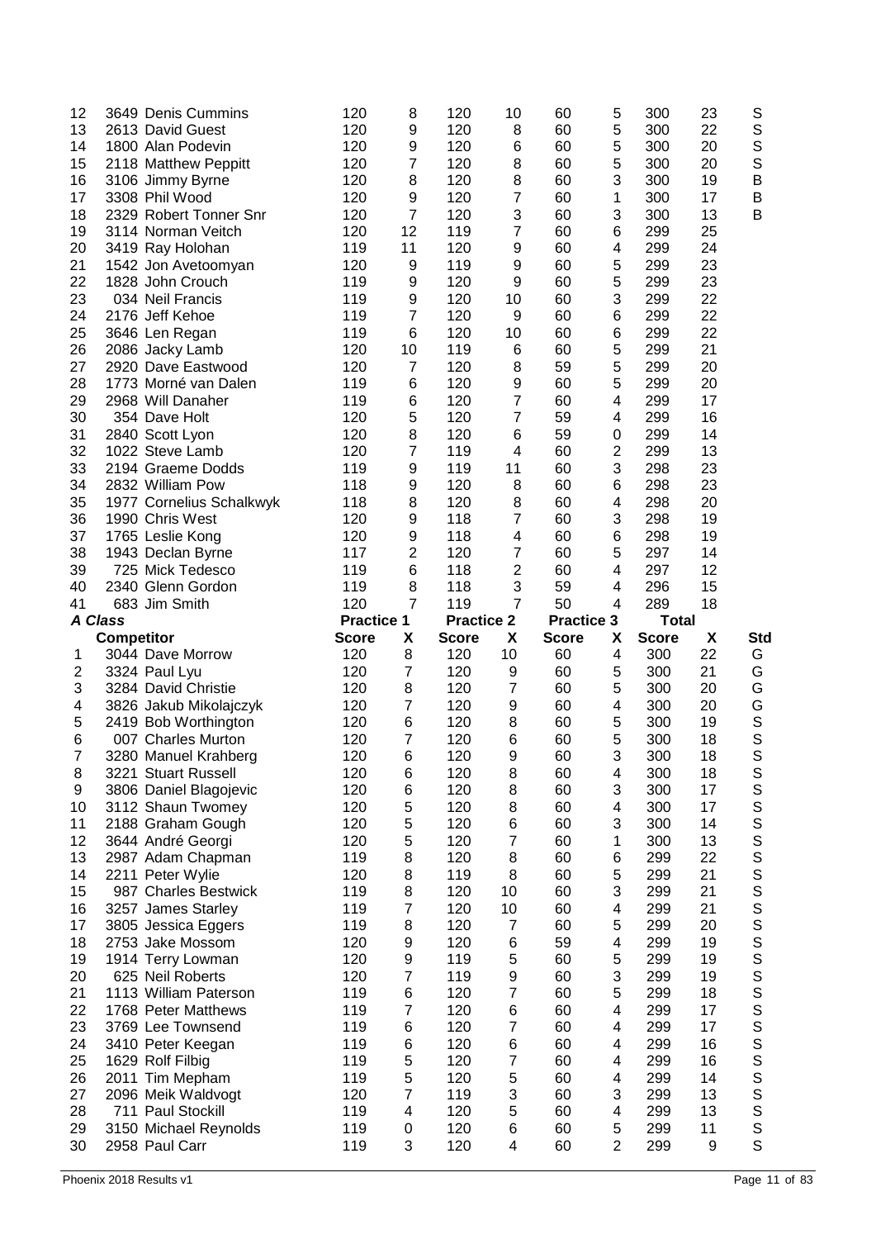| 12             |                   | 3649 Denis Cummins                      | 120               | 8                       | 120               | 10             | 60                | 5                   | 300          | 23      | S                                                                                                                            |
|----------------|-------------------|-----------------------------------------|-------------------|-------------------------|-------------------|----------------|-------------------|---------------------|--------------|---------|------------------------------------------------------------------------------------------------------------------------------|
| 13             |                   | 2613 David Guest                        | 120               | 9                       | 120               | 8              | 60                | 5                   | 300          | 22      | $\mathbb S$                                                                                                                  |
| 14             |                   | 1800 Alan Podevin                       | 120               | 9                       | 120               | 6              | 60                | 5                   | 300          | 20      | $\mathbf S$                                                                                                                  |
| 15             |                   | 2118 Matthew Peppitt                    | 120               | $\overline{7}$          | 120               | 8              | 60                | 5                   | 300          | 20      | $\mathsf S$                                                                                                                  |
| 16             |                   | 3106 Jimmy Byrne                        | 120               | 8                       | 120               | 8              | 60                | 3                   | 300          | 19      | $\sf B$                                                                                                                      |
| 17             |                   | 3308 Phil Wood                          | 120               | 9                       | 120               | 7              | 60                | 1                   | 300          | 17      | $\sf B$                                                                                                                      |
| 18             |                   | 2329 Robert Tonner Snr                  | 120               | $\overline{7}$          | 120               | 3              | 60                | 3                   | 300          | 13      | B                                                                                                                            |
| 19             |                   | 3114 Norman Veitch                      | 120               | 12                      | 119               | $\overline{7}$ | 60                | 6                   | 299          | 25      |                                                                                                                              |
| 20             |                   | 3419 Ray Holohan                        | 119               | 11                      | 120               | 9              | 60                | 4                   | 299          | 24      |                                                                                                                              |
| 21             |                   | 1542 Jon Avetoomyan                     | 120               | 9                       | 119               | 9              | 60                | 5                   | 299          | 23      |                                                                                                                              |
| 22             |                   | 1828 John Crouch                        | 119               | 9                       | 120               | 9              | 60                | 5                   | 299          | 23      |                                                                                                                              |
| 23             |                   | 034 Neil Francis                        | 119               | 9                       | 120               | 10             | 60                | 3                   | 299          | 22      |                                                                                                                              |
| 24             |                   | 2176 Jeff Kehoe                         | 119               | $\overline{7}$          | 120               | 9              | 60                | 6                   | 299          | 22      |                                                                                                                              |
| 25             |                   | 3646 Len Regan                          | 119               | 6                       | 120               | 10             | 60                | 6                   | 299          | 22      |                                                                                                                              |
| 26             |                   | 2086 Jacky Lamb                         | 120               | 10                      | 119               | 6              | 60                | 5                   | 299          | 21      |                                                                                                                              |
| 27             |                   | 2920 Dave Eastwood                      | 120               | 7                       | 120               | 8              | 59                | 5                   | 299          | 20      |                                                                                                                              |
| 28             |                   | 1773 Morné van Dalen                    | 119               | 6                       | 120               | 9              | 60                | 5                   | 299          | 20      |                                                                                                                              |
| 29             |                   | 2968 Will Danaher                       | 119               | 6                       | 120               | $\overline{7}$ | 60                | 4                   | 299          | 17      |                                                                                                                              |
| 30             |                   | 354 Dave Holt                           | 120               | 5                       | 120               | $\overline{7}$ | 59                | 4                   | 299          | 16      |                                                                                                                              |
| 31             |                   | 2840 Scott Lyon                         | 120               | 8                       | 120               | 6              | 59                | 0                   | 299          | 14      |                                                                                                                              |
| 32             |                   | 1022 Steve Lamb                         | 120               | 7                       | 119               | 4              | 60                | $\overline{c}$      | 299          | 13      |                                                                                                                              |
| 33             |                   | 2194 Graeme Dodds                       | 119               | 9                       | 119               | 11             | 60                | 3                   | 298          | 23      |                                                                                                                              |
| 34             |                   | 2832 William Pow                        | 118               | 9                       | 120               | 8              | 60                | 6                   | 298          | 23      |                                                                                                                              |
| 35             |                   | 1977 Cornelius Schalkwyk                | 118               | 8                       | 120               | 8              | 60                | 4                   | 298          | 20      |                                                                                                                              |
| 36             |                   | 1990 Chris West                         | 120               | 9                       | 118               | $\overline{7}$ | 60                | 3                   | 298          | 19      |                                                                                                                              |
| 37             |                   | 1765 Leslie Kong                        | 120               | 9                       | 118               | 4              | 60                | 6                   | 298          | 19      |                                                                                                                              |
| 38             |                   | 1943 Declan Byrne                       | 117               | $\mathbf 2$             | 120               | 7              | 60                | 5                   | 297          | 14      |                                                                                                                              |
| 39             |                   | 725 Mick Tedesco                        | 119               | 6                       | 118               | $\overline{2}$ | 60                | 4                   | 297          | 12      |                                                                                                                              |
| 40             |                   | 2340 Glenn Gordon                       | 119               | 8                       | 118               | 3              | 59                | 4                   | 296          | 15      |                                                                                                                              |
| 41             |                   | 683 Jim Smith                           | 120               | $\overline{7}$          | 119               | $\overline{7}$ | 50                | 4                   | 289          | 18      |                                                                                                                              |
|                |                   |                                         |                   |                         |                   |                |                   |                     |              |         |                                                                                                                              |
| <b>A Class</b> |                   |                                         | <b>Practice 1</b> |                         | <b>Practice 2</b> |                | <b>Practice 3</b> |                     | <b>Total</b> |         |                                                                                                                              |
|                | <b>Competitor</b> |                                         | <b>Score</b>      | X                       | <b>Score</b>      | X              | <b>Score</b>      | X                   | <b>Score</b> | X       | Std                                                                                                                          |
| 1              |                   | 3044 Dave Morrow                        | 120               | 8                       | 120               | 10             | 60                | 4                   | 300          | 22      | G                                                                                                                            |
| $\overline{c}$ |                   | 3324 Paul Lyu                           | 120               | 7                       | 120               | 9              | 60                | 5                   | 300          | 21      | G                                                                                                                            |
| 3              |                   | 3284 David Christie                     | 120               | 8                       | 120               | $\overline{7}$ | 60                | 5                   | 300          | 20      | G                                                                                                                            |
| 4              |                   | 3826 Jakub Mikolajczyk                  | 120               | 7                       | 120               | 9              | 60                | 4                   | 300          | 20      | G                                                                                                                            |
| 5              |                   | 2419 Bob Worthington                    | 120               | 6                       | 120               | 8              | 60                | 5                   | 300          | 19      | $\mathbb S$                                                                                                                  |
| 6              |                   | 007 Charles Murton                      | 120               | $\overline{7}$          | 120               | 6              | 60                | 5                   | 300          | 18      | S                                                                                                                            |
| 7              |                   | 3280 Manuel Krahberg                    | 120               | 6                       | 120               | 9              | 60                | 3                   | 300          | 18      | S                                                                                                                            |
| 8              |                   | 3221 Stuart Russell                     | 120               | 6                       | 120               | 8              | 60                | 4                   | 300          | 18      | S                                                                                                                            |
| 9              |                   | 3806 Daniel Blagojevic                  | 120               | 6                       | 120               | 8              | 60                | 3                   | 300          | 17      | $\mathbb S$                                                                                                                  |
| 10             |                   | 3112 Shaun Twomey                       | 120               | 5                       | 120               | 8              | 60                | 4                   | 300          | 17      |                                                                                                                              |
| 11             |                   | 2188 Graham Gough                       | 120               | 5                       | 120               | 6              | 60                | 3                   | 300          | 14      |                                                                                                                              |
| 12             |                   | 3644 André Georgi                       | 120               | 5                       | 120               | $\overline{7}$ | 60                | 1                   | 300          | 13      |                                                                                                                              |
| 13             |                   | 2987 Adam Chapman                       | 119               | 8                       | 120               | 8              | 60                | 6                   | 299          | 22      |                                                                                                                              |
| 14             |                   | 2211 Peter Wylie                        | 120               | 8                       | 119               | 8              | 60                | 5                   | 299          | 21      |                                                                                                                              |
| 15             |                   | 987 Charles Bestwick                    | 119               | 8                       | 120               | 10             | 60                | 3                   | 299          | 21      |                                                                                                                              |
| 16             |                   | 3257 James Starley                      | 119               | $\overline{7}$          | 120               | 10             | 60                | 4                   | 299          | 21      |                                                                                                                              |
| 17             |                   | 3805 Jessica Eggers                     | 119               | 8                       | 120               | $\overline{7}$ | 60                | 5                   | 299          | 20      |                                                                                                                              |
| 18             |                   | 2753 Jake Mossom                        | 120               | 9                       | 120               | 6              | 59                | 4                   | 299          | 19      | S<br>S<br>S<br>S<br>S<br>S<br>S<br>S<br>S<br>S<br>S<br>S<br><br><br><br><br><br><br><br><br><br><br><br><br><br><br><br><br> |
| 19             |                   | 1914 Terry Lowman                       | 120               | 9                       | 119               | 5              | 60                | 5                   | 299          | 19      | $\mathsf{s}$                                                                                                                 |
| 20             |                   | 625 Neil Roberts                        | 120               | $\overline{7}$          | 119               | 9              | 60                | 3                   | 299          | 19      | S                                                                                                                            |
| 21             |                   | 1113 William Paterson                   | 119               | 6                       | 120               | $\overline{7}$ | 60                | 5                   | 299          | 18      |                                                                                                                              |
| 22             |                   | 1768 Peter Matthews                     | 119               | 7                       | 120               | 6              | 60                | 4                   | 299          | 17      |                                                                                                                              |
| 23             |                   | 3769 Lee Townsend                       | 119               | 6                       | 120               | $\overline{7}$ | 60                | 4                   | 299          | 17      |                                                                                                                              |
| 24             |                   | 3410 Peter Keegan                       | 119               | 6                       | 120               | 6              | 60                | 4                   | 299          | 16      |                                                                                                                              |
| 25             |                   | 1629 Rolf Filbig                        | 119               | 5                       | 120               | $\overline{7}$ | 60                | 4                   | 299          | 16      |                                                                                                                              |
| 26             |                   | 2011 Tim Mepham                         | 119               | 5                       | 120               | 5              | 60                | 4                   | 299          | 14      |                                                                                                                              |
| 27             |                   | 2096 Meik Waldvogt                      | 120               | $\overline{7}$          | 119               | 3              | 60                | 3                   | 299          | 13      |                                                                                                                              |
| 28             |                   | 711 Paul Stockill                       | 119               | $\overline{\mathbf{4}}$ | 120               | 5              | 60                | 4                   | 299          | 13      | <b>SSSSSSSS</b>                                                                                                              |
| 29<br>30       |                   | 3150 Michael Reynolds<br>2958 Paul Carr | 119<br>119        | $\pmb{0}$<br>3          | 120<br>120        | 6<br>4         | 60<br>60          | 5<br>$\overline{2}$ | 299<br>299   | 11<br>9 | $\mathsf S$<br>$\mathsf{S}$                                                                                                  |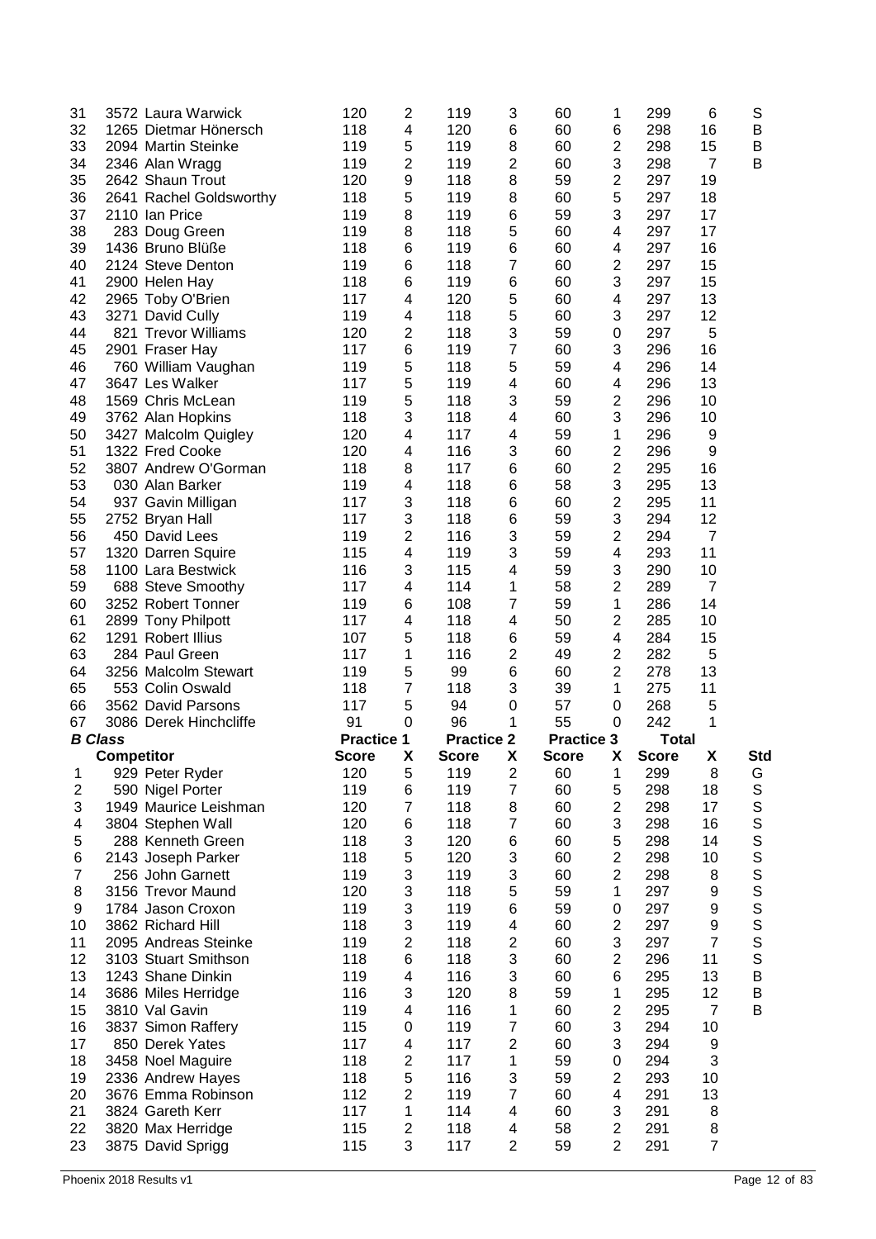| 31                      |                   | 3572 Laura Warwick                     | 120               | $\overline{c}$               | 119               | 3                   | 60                | 1                                | 299          | 6                    | S                |
|-------------------------|-------------------|----------------------------------------|-------------------|------------------------------|-------------------|---------------------|-------------------|----------------------------------|--------------|----------------------|------------------|
| 32                      |                   | 1265 Dietmar Hönersch                  | 118               | 4                            | 120               | 6                   | 60                | 6                                | 298          | 16                   | B                |
| 33                      |                   | 2094 Martin Steinke                    | 119               | 5                            | 119               | 8                   | 60                | $\boldsymbol{2}$                 | 298          | 15                   | B                |
| 34                      |                   | 2346 Alan Wragg                        | 119               | $\overline{\mathbf{c}}$      | 119               | $\boldsymbol{2}$    | 60                | 3                                | 298          | 7                    | B                |
| 35                      |                   | 2642 Shaun Trout                       | 120               | 9                            | 118               | 8                   | 59                | $\mathbf 2$                      | 297          | 19                   |                  |
| 36                      |                   | 2641 Rachel Goldsworthy                | 118               | 5                            | 119               | 8                   | 60                | 5                                | 297          | 18                   |                  |
| 37                      |                   | 2110 Ian Price                         | 119               | 8                            | 119               | 6                   | 59                | 3                                | 297          | 17                   |                  |
| 38                      |                   | 283 Doug Green                         | 119               | 8                            | 118               | 5                   | 60                | 4                                | 297          | 17                   |                  |
| 39                      |                   | 1436 Bruno Blüße                       | 118               | 6                            | 119               | 6                   | 60                | 4                                | 297          | 16                   |                  |
| 40                      |                   | 2124 Steve Denton                      | 119               | 6                            | 118               | $\overline{7}$      | 60                | $\mathbf 2$                      | 297          | 15                   |                  |
| 41                      |                   | 2900 Helen Hay                         | 118               | 6                            | 119               | 6                   | 60                | 3                                | 297          | 15                   |                  |
| 42                      |                   | 2965 Toby O'Brien                      | 117               | 4                            | 120               | 5                   | 60                | 4                                | 297          | 13                   |                  |
| 43                      |                   | 3271 David Cully                       | 119               | 4                            | 118               | 5                   | 60                | 3                                | 297          | 12                   |                  |
| 44                      |                   | 821 Trevor Williams                    | 120               | 2                            | 118               | 3                   | 59                | $\boldsymbol{0}$                 | 297          | 5                    |                  |
| 45                      |                   | 2901 Fraser Hay                        | 117               | 6                            | 119               | $\overline{7}$      | 60                | 3                                | 296          | 16                   |                  |
| 46                      |                   | 760 William Vaughan                    | 119               | 5                            | 118               | 5                   | 59                | 4                                | 296          | 14                   |                  |
| 47                      |                   | 3647 Les Walker                        | 117               | 5                            | 119               | 4                   | 60                | 4                                | 296          | 13                   |                  |
|                         |                   | 1569 Chris McLean                      |                   |                              |                   |                     |                   |                                  |              |                      |                  |
| 48                      |                   |                                        | 119               | 5                            | 118               | 3                   | 59                | $\mathbf 2$                      | 296          | 10                   |                  |
| 49                      |                   | 3762 Alan Hopkins                      | 118               | 3                            | 118               | 4                   | 60                | 3                                | 296          | 10                   |                  |
| 50                      |                   | 3427 Malcolm Quigley                   | 120               | 4                            | 117               | 4                   | 59                | 1                                | 296          | 9                    |                  |
| 51                      |                   | 1322 Fred Cooke                        | 120               | 4                            | 116               | 3                   | 60                | $\overline{2}$                   | 296          | 9                    |                  |
| 52                      |                   | 3807 Andrew O'Gorman                   | 118               | 8                            | 117               | 6                   | 60                | $\overline{2}$                   | 295          | 16                   |                  |
| 53                      |                   | 030 Alan Barker                        | 119               | 4                            | 118               | 6                   | 58                | 3                                | 295          | 13                   |                  |
| 54                      |                   | 937 Gavin Milligan                     | 117               | 3                            | 118               | 6                   | 60                | 2                                | 295          | 11                   |                  |
| 55                      |                   | 2752 Bryan Hall                        | 117               | 3                            | 118               | 6                   | 59                | 3                                | 294          | 12                   |                  |
| 56                      |                   | 450 David Lees                         | 119               | $\overline{c}$               | 116               | 3                   | 59                | $\overline{c}$                   | 294          | $\overline{7}$       |                  |
| 57                      |                   | 1320 Darren Squire                     | 115               | $\overline{\mathbf{4}}$      | 119               | 3                   | 59                | 4                                | 293          | 11                   |                  |
| 58                      |                   | 1100 Lara Bestwick                     | 116               | 3                            | 115               | 4                   | 59                | 3                                | 290          | 10                   |                  |
| 59                      |                   | 688 Steve Smoothy                      | 117               | 4                            | 114               | 1                   | 58                | $\mathbf 2$                      | 289          | $\overline{7}$       |                  |
| 60                      |                   | 3252 Robert Tonner                     | 119               | 6                            | 108               | $\overline{7}$      | 59                | 1                                | 286          | 14                   |                  |
| 61                      |                   | 2899 Tony Philpott                     | 117               | 4                            | 118               | 4                   | 50                | $\mathbf 2$                      | 285          | 10                   |                  |
| 62                      |                   | 1291 Robert Illius                     | 107               | 5                            | 118               | 6                   | 59                | 4                                | 284          | 15                   |                  |
|                         |                   | 284 Paul Green                         |                   |                              |                   |                     |                   |                                  |              |                      |                  |
| 63                      |                   |                                        | 117               | 1                            | 116               | $\overline{2}$      | 49                | $\mathbf 2$                      | 282          | 5                    |                  |
| 64                      |                   | 3256 Malcolm Stewart                   | 119               | 5                            | 99                | 6                   | 60                | $\overline{2}$                   | 278          | 13                   |                  |
| 65                      |                   | 553 Colin Oswald                       | 118               | 7                            | 118               | 3                   | 39                | 1                                | 275          | 11                   |                  |
| 66                      |                   | 3562 David Parsons                     | 117               | 5                            | 94                | $\mathbf 0$         | 57                | 0                                | 268          | 5                    |                  |
| 67                      |                   | 3086 Derek Hinchcliffe                 | 91                | $\mathbf 0$                  | 96                | 1                   | 55                | 0                                | 242          | 1                    |                  |
| <b>B</b> Class          |                   |                                        | <b>Practice 1</b> |                              | <b>Practice 2</b> |                     | <b>Practice 3</b> |                                  | <b>Total</b> |                      |                  |
|                         | <b>Competitor</b> |                                        | <b>Score</b>      | х                            | <b>Score</b>      | x                   | <b>Score</b>      | X                                | <b>Score</b> | X                    | Std              |
| $\mathbf{1}$            |                   | 929 Peter Ryder                        | 120               | 5                            | 119               | $\mathbf{2}$        | 60                | 1                                | 299          | 8                    | G                |
| $\overline{\mathbf{c}}$ |                   | 590 Nigel Porter                       | 119               | 6                            | 119               | $\overline{7}$      | 60                | 5                                | 298          | 18                   | $\mathbf S$      |
| 3                       |                   | 1949 Maurice Leishman                  | 120               | $\overline{7}$               | 118               | 8                   | 60                | $\boldsymbol{2}$                 | 298          | 17                   | $\mathbb S$      |
| 4                       |                   | 3804 Stephen Wall                      | 120               | 6                            | 118               | $\overline{7}$      | 60                | 3                                | 298          | 16                   |                  |
| 5                       |                   | 288 Kenneth Green                      | 118               | 3                            | 120               | 6                   | 60                | 5                                | 298          | 14                   | S                |
| 6                       |                   | 2143 Joseph Parker                     | 118               |                              | 120               | 3                   | 60                | $\overline{c}$                   | 298          | 10                   | S                |
| 7                       |                   | 256 John Garnett                       | 119               | 5<br>3                       | 119               | 3                   | 60                | $\overline{c}$                   | 298          | 8                    |                  |
| 8                       |                   | 3156 Trevor Maund                      | 120               | 3                            | 118               | 5                   | 59                | 1                                | 297          | 9                    |                  |
| 9                       |                   | 1784 Jason Croxon                      | 119               | 3                            | 119               | 6                   | 59                | 0                                | 297          | 9                    | S<br>S<br>S<br>S |
| 10                      |                   | 3862 Richard Hill                      | 118               | 3                            | 119               | 4                   | 60                | $\boldsymbol{2}$                 | 297          | 9                    |                  |
| 11                      |                   | 2095 Andreas Steinke                   | 119               |                              | 118               | $\overline{c}$      | 60                | 3                                | 297          | $\overline{7}$       | S                |
|                         |                   |                                        |                   | $\overline{c}$               |                   |                     |                   |                                  |              |                      | S                |
| 12                      |                   | 3103 Stuart Smithson                   | 118               | $\,6$                        | 118               | 3                   | 60                | $\boldsymbol{2}$                 | 296          | 11<br>13             | $\mathsf{S}$     |
| 13                      |                   | 1243 Shane Dinkin                      | 119               | 4                            | 116               | 3                   | 60                | 6                                | 295          |                      | B                |
| 14                      |                   | 3686 Miles Herridge                    | 116               | 3                            | 120               | 8                   | 59                | 1                                | 295          | 12<br>$\overline{7}$ | B<br>B           |
| 15                      |                   | 3810 Val Gavin                         | 119               | 4                            | 116               | 1                   | 60                | $\mathbf 2$                      | 295          |                      |                  |
| 16                      |                   | 3837 Simon Raffery                     | 115               | $\boldsymbol{0}$             | 119               | $\overline{7}$      | 60                | 3                                | 294          | 10                   |                  |
| 17                      |                   | 850 Derek Yates                        | 117               | 4                            | 117               | $\overline{c}$      | 60                | 3                                | 294          | 9                    |                  |
| 18                      |                   | 3458 Noel Maguire                      | 118               | $\overline{c}$               | 117               | 1                   | 59                | 0                                | 294          | 3                    |                  |
| 19                      |                   | 2336 Andrew Hayes                      | 118               | 5                            | 116               | 3                   | 59                | $\overline{c}$                   | 293          | 10                   |                  |
| 20                      |                   | 3676 Emma Robinson                     | 112               | $\overline{c}$               | 119               | $\overline{7}$      | 60                | 4                                | 291          | 13                   |                  |
| 21                      |                   | 3824 Gareth Kerr                       | 117               | 1                            | 114               | 4                   | 60                | 3                                | 291          | 8                    |                  |
| 22<br>23                |                   | 3820 Max Herridge<br>3875 David Sprigg | 115<br>115        | $\overline{\mathbf{c}}$<br>3 | 118<br>117        | 4<br>$\overline{2}$ | 58<br>59          | $\overline{c}$<br>$\overline{2}$ | 291<br>291   | 8<br>$\overline{7}$  |                  |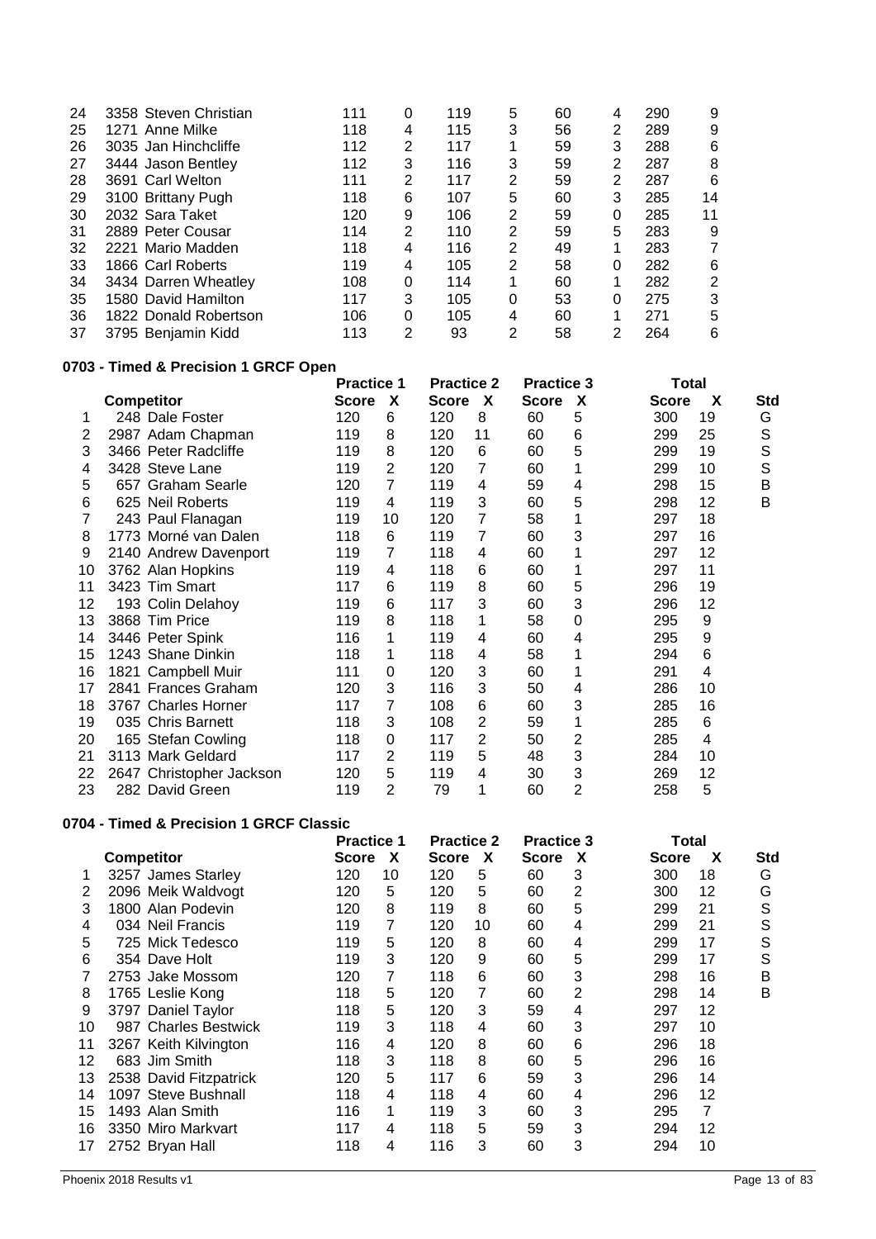| 24 | 3358 Steven Christian | 111 | 0              | 119 | 5 | 60 | 4 | 290 | 9  |
|----|-----------------------|-----|----------------|-----|---|----|---|-----|----|
| 25 | 1271 Anne Milke       | 118 | 4              | 115 | 3 | 56 | 2 | 289 | 9  |
| 26 | 3035 Jan Hinchcliffe  | 112 | 2              | 117 | 1 | 59 | 3 | 288 | 6  |
| 27 | 3444 Jason Bentley    | 112 | 3              | 116 | 3 | 59 | 2 | 287 | 8  |
| 28 | 3691 Carl Welton      | 111 | 2              | 117 | 2 | 59 | 2 | 287 | 6  |
| 29 | 3100 Brittany Pugh    | 118 | 6              | 107 | 5 | 60 | 3 | 285 | 14 |
| 30 | 2032 Sara Taket       | 120 | 9              | 106 | 2 | 59 | 0 | 285 | 11 |
| 31 | 2889 Peter Cousar     | 114 | $\overline{2}$ | 110 | 2 | 59 | 5 | 283 | 9  |
| 32 | 2221 Mario Madden     | 118 | 4              | 116 | 2 | 49 |   | 283 | 7  |
| 33 | 1866 Carl Roberts     | 119 | 4              | 105 | 2 | 58 | 0 | 282 | 6  |
| 34 | 3434 Darren Wheatley  | 108 | $\Omega$       | 114 | 1 | 60 | ◢ | 282 | 2  |
| 35 | 1580 David Hamilton   | 117 | 3              | 105 | 0 | 53 | 0 | 275 | 3  |
| 36 | 1822 Donald Robertson | 106 | $\Omega$       | 105 | 4 | 60 | 1 | 271 | 5  |
| 37 | 3795 Benjamin Kidd    | 113 | 2              | 93  | 2 | 58 | 2 | 264 | 6  |
|    |                       |     |                |     |   |    |   |     |    |

# **0703 - Timed & Precision 1 GRCF Open**

|    |                          | <b>Practice 1</b> |    | <b>Practice 2</b> |    | <b>Practice 3</b> |                           | Total        |    |     |
|----|--------------------------|-------------------|----|-------------------|----|-------------------|---------------------------|--------------|----|-----|
|    | <b>Competitor</b>        | <b>Score</b>      | X  | <b>Score</b>      | X  | <b>Score</b>      | $\boldsymbol{\mathsf{x}}$ | <b>Score</b> | X  | Std |
| 1  | 248 Dale Foster          | 120               | 6  | 120               | 8  | 60                | 5                         | 300          | 19 | G   |
| 2  | 2987 Adam Chapman        | 119               | 8  | 120               | 11 | 60                | 6                         | 299          | 25 | S   |
| 3  | 3466 Peter Radcliffe     | 119               | 8  | 120               | 6  | 60                | 5                         | 299          | 19 | S   |
| 4  | 3428 Steve Lane          | 119               | 2  | 120               | 7  | 60                |                           | 299          | 10 | S   |
| 5  | 657 Graham Searle        | 120               | 7  | 119               | 4  | 59                | 4                         | 298          | 15 | B   |
| 6  | 625 Neil Roberts         | 119               | 4  | 119               | 3  | 60                | 5                         | 298          | 12 | B   |
| 7  | 243 Paul Flanagan        | 119               | 10 | 120               | 7  | 58                |                           | 297          | 18 |     |
| 8  | 1773 Morné van Dalen     | 118               | 6  | 119               | 7  | 60                | 3                         | 297          | 16 |     |
| 9  | 2140 Andrew Davenport    | 119               | 7  | 118               | 4  | 60                |                           | 297          | 12 |     |
| 10 | 3762 Alan Hopkins        | 119               | 4  | 118               | 6  | 60                |                           | 297          | 11 |     |
| 11 | 3423 Tim Smart           | 117               | 6  | 119               | 8  | 60                | 5                         | 296          | 19 |     |
| 12 | 193 Colin Delahoy        | 119               | 6  | 117               | 3  | 60                | 3                         | 296          | 12 |     |
| 13 | 3868 Tim Price           | 119               | 8  | 118               | 1  | 58                | 0                         | 295          | 9  |     |
| 14 | 3446 Peter Spink         | 116               | 1  | 119               | 4  | 60                | 4                         | 295          | 9  |     |
| 15 | 1243 Shane Dinkin        | 118               | 1  | 118               | 4  | 58                |                           | 294          | 6  |     |
| 16 | 1821 Campbell Muir       | 111               | 0  | 120               | 3  | 60                |                           | 291          | 4  |     |
| 17 | 2841 Frances Graham      | 120               | 3  | 116               | 3  | 50                | 4                         | 286          | 10 |     |
| 18 | 3767 Charles Horner      | 117               | 7  | 108               | 6  | 60                | 3                         | 285          | 16 |     |
| 19 | 035 Chris Barnett        | 118               | 3  | 108               | 2  | 59                |                           | 285          | 6  |     |
| 20 | 165 Stefan Cowling       | 118               | 0  | 117               | 2  | 50                | 2                         | 285          | 4  |     |
| 21 | 3113 Mark Geldard        | 117               | 2  | 119               | 5  | 48                | 3                         | 284          | 10 |     |
| 22 | 2647 Christopher Jackson | 120               | 5  | 119               | 4  | 30                | 3                         | 269          | 12 |     |
| 23 | 282 David Green          | 119               | 2  | 79                | 1  | 60                | 2                         | 258          | 5  |     |

### **0704 - Timed & Precision 1 GRCF Classic**

|    |                        | <b>Practice 1</b> |    | <b>Practice 2</b> |    | <b>Practice 3</b> |   | Total        |    |     |
|----|------------------------|-------------------|----|-------------------|----|-------------------|---|--------------|----|-----|
|    | <b>Competitor</b>      | <b>Score</b>      | X  | <b>Score</b>      | X  | <b>Score</b>      | X | <b>Score</b> | X  | Std |
|    | 3257 James Starley     | 120               | 10 | 120               | 5  | 60                | 3 | 300          | 18 | G   |
| 2  | 2096 Meik Waldvogt     | 120               | 5  | 120               | 5  | 60                | 2 | 300          | 12 | G   |
| 3  | 1800 Alan Podevin      | 120               | 8  | 119               | 8  | 60                | 5 | 299          | 21 | S   |
| 4  | 034 Neil Francis       | 119               | 7  | 120               | 10 | 60                | 4 | 299          | 21 | S   |
| 5  | 725 Mick Tedesco       | 119               | 5  | 120               | 8  | 60                | 4 | 299          | 17 | S   |
| 6  | 354 Dave Holt          | 119               | 3  | 120               | 9  | 60                | 5 | 299          | 17 | S   |
|    | 2753 Jake Mossom       | 120               | 7  | 118               | 6  | 60                | 3 | 298          | 16 | B   |
| 8  | 1765 Leslie Kong       | 118               | 5  | 120               | 7  | 60                | 2 | 298          | 14 | B   |
| 9  | 3797 Daniel Taylor     | 118               | 5  | 120               | 3  | 59                | 4 | 297          | 12 |     |
| 10 | 987 Charles Bestwick   | 119               | 3  | 118               | 4  | 60                | 3 | 297          | 10 |     |
| 11 | 3267 Keith Kilvington  | 116               | 4  | 120               | 8  | 60                | 6 | 296          | 18 |     |
| 12 | 683 Jim Smith          | 118               | 3  | 118               | 8  | 60                | 5 | 296          | 16 |     |
| 13 | 2538 David Fitzpatrick | 120               | 5  | 117               | 6  | 59                | 3 | 296          | 14 |     |
| 14 | 1097 Steve Bushnall    | 118               | 4  | 118               | 4  | 60                | 4 | 296          | 12 |     |
| 15 | 1493 Alan Smith        | 116               | 1  | 119               | 3  | 60                | 3 | 295          | 7  |     |
| 16 | 3350 Miro Markvart     | 117               | 4  | 118               | 5  | 59                | 3 | 294          | 12 |     |
| 17 | 2752 Bryan Hall        | 118               | 4  | 116               | 3  | 60                | 3 | 294          | 10 |     |
|    |                        |                   |    |                   |    |                   |   |              |    |     |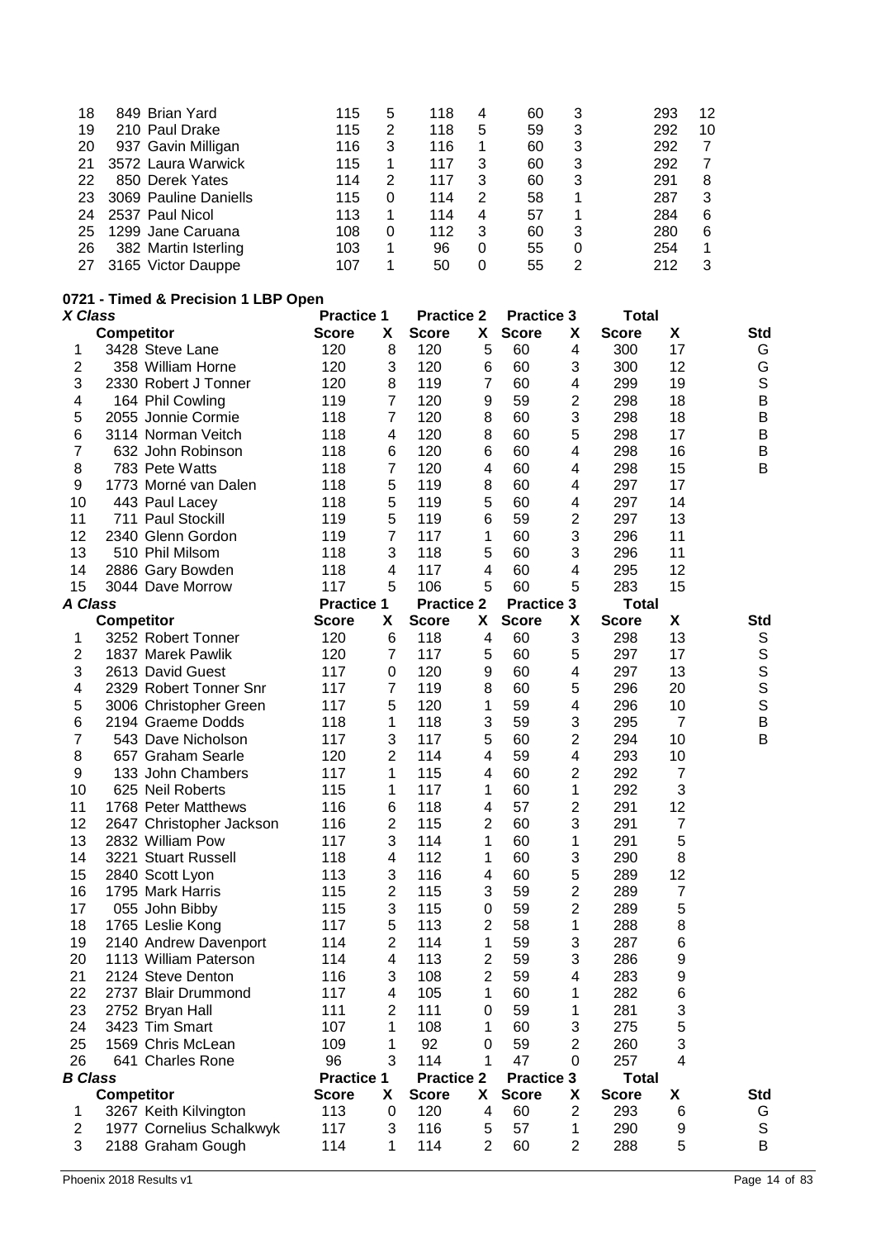| 18 | 849 Brian Yard        | 115 | 5 | 118 | 4 | 60 | 3 | 293 | 12 |
|----|-----------------------|-----|---|-----|---|----|---|-----|----|
| 19 | 210 Paul Drake        | 115 | 2 | 118 | 5 | 59 | 3 | 292 | 10 |
| 20 | 937 Gavin Milligan    | 116 | 3 | 116 |   | 60 | 3 | 292 | 7  |
| 21 | 3572 Laura Warwick    | 115 |   | 117 | 3 | 60 | 3 | 292 | 7  |
| 22 | 850 Derek Yates       | 114 | 2 | 117 | 3 | 60 | 3 | 291 | 8  |
| 23 | 3069 Pauline Daniells | 115 |   | 114 | 2 | 58 | 1 | 287 | 3  |
| 24 | 2537 Paul Nicol       | 113 |   | 114 | 4 | 57 |   | 284 | 6  |
| 25 | 1299 Jane Caruana     | 108 | 0 | 112 | 3 | 60 | 3 | 280 | 6  |
| 26 | 382 Martin Isterling  | 103 | 1 | 96  | 0 | 55 | 0 | 254 |    |
| 27 | 3165 Victor Dauppe    | 107 |   | 50  | 0 | 55 | 2 | 212 | 3  |
|    |                       |     |   |     |   |    |   |     |    |

## **0721 - Timed & Precision 1 LBP Open**

|                      | <b>Score</b>                                                                                                                                                                                                                                                                                                                                                                                                                                                                                                                                                                                                                                                                                                                                                                                                                                                                                                                                          | X                                                                                                                                                                                                                                                                                              | <b>Score</b>                                                                                                                                                                                                                                                                                                                        | X                                                                                                                                                                                                                                                                                              | <b>Score</b>                                                                                                                                                                                                                                                                                           | X                                                                                                                                                                                                                                                          | <b>Score</b>                                                                                                                                                                                                                                                                                                                                           | X                                                                                                                                                                                                                                                                                                      | Std                                                                                                                                                                                                                                                                                                              |
|----------------------|-------------------------------------------------------------------------------------------------------------------------------------------------------------------------------------------------------------------------------------------------------------------------------------------------------------------------------------------------------------------------------------------------------------------------------------------------------------------------------------------------------------------------------------------------------------------------------------------------------------------------------------------------------------------------------------------------------------------------------------------------------------------------------------------------------------------------------------------------------------------------------------------------------------------------------------------------------|------------------------------------------------------------------------------------------------------------------------------------------------------------------------------------------------------------------------------------------------------------------------------------------------|-------------------------------------------------------------------------------------------------------------------------------------------------------------------------------------------------------------------------------------------------------------------------------------------------------------------------------------|------------------------------------------------------------------------------------------------------------------------------------------------------------------------------------------------------------------------------------------------------------------------------------------------|--------------------------------------------------------------------------------------------------------------------------------------------------------------------------------------------------------------------------------------------------------------------------------------------------------|------------------------------------------------------------------------------------------------------------------------------------------------------------------------------------------------------------------------------------------------------------|--------------------------------------------------------------------------------------------------------------------------------------------------------------------------------------------------------------------------------------------------------------------------------------------------------------------------------------------------------|--------------------------------------------------------------------------------------------------------------------------------------------------------------------------------------------------------------------------------------------------------------------------------------------------------|------------------------------------------------------------------------------------------------------------------------------------------------------------------------------------------------------------------------------------------------------------------------------------------------------------------|
| 3428 Steve Lane      | 120                                                                                                                                                                                                                                                                                                                                                                                                                                                                                                                                                                                                                                                                                                                                                                                                                                                                                                                                                   | 8                                                                                                                                                                                                                                                                                              | 120                                                                                                                                                                                                                                                                                                                                 | 5                                                                                                                                                                                                                                                                                              | 60                                                                                                                                                                                                                                                                                                     | 4                                                                                                                                                                                                                                                          | 300                                                                                                                                                                                                                                                                                                                                                    | 17                                                                                                                                                                                                                                                                                                     | G                                                                                                                                                                                                                                                                                                                |
| 358 William Horne    | 120                                                                                                                                                                                                                                                                                                                                                                                                                                                                                                                                                                                                                                                                                                                                                                                                                                                                                                                                                   | 3                                                                                                                                                                                                                                                                                              | 120                                                                                                                                                                                                                                                                                                                                 | 6                                                                                                                                                                                                                                                                                              | 60                                                                                                                                                                                                                                                                                                     | 3                                                                                                                                                                                                                                                          | 300                                                                                                                                                                                                                                                                                                                                                    | 12                                                                                                                                                                                                                                                                                                     | G                                                                                                                                                                                                                                                                                                                |
| 2330 Robert J Tonner | 120                                                                                                                                                                                                                                                                                                                                                                                                                                                                                                                                                                                                                                                                                                                                                                                                                                                                                                                                                   | 8                                                                                                                                                                                                                                                                                              | 119                                                                                                                                                                                                                                                                                                                                 | 7                                                                                                                                                                                                                                                                                              | 60                                                                                                                                                                                                                                                                                                     | 4                                                                                                                                                                                                                                                          | 299                                                                                                                                                                                                                                                                                                                                                    | 19                                                                                                                                                                                                                                                                                                     | $\mathbb S$                                                                                                                                                                                                                                                                                                      |
|                      | 119                                                                                                                                                                                                                                                                                                                                                                                                                                                                                                                                                                                                                                                                                                                                                                                                                                                                                                                                                   | $\overline{7}$                                                                                                                                                                                                                                                                                 | 120                                                                                                                                                                                                                                                                                                                                 | 9                                                                                                                                                                                                                                                                                              | 59                                                                                                                                                                                                                                                                                                     | $\overline{2}$                                                                                                                                                                                                                                             | 298                                                                                                                                                                                                                                                                                                                                                    | 18                                                                                                                                                                                                                                                                                                     | $\sf B$                                                                                                                                                                                                                                                                                                          |
| 2055 Jonnie Cormie   | 118                                                                                                                                                                                                                                                                                                                                                                                                                                                                                                                                                                                                                                                                                                                                                                                                                                                                                                                                                   | $\overline{7}$                                                                                                                                                                                                                                                                                 | 120                                                                                                                                                                                                                                                                                                                                 | 8                                                                                                                                                                                                                                                                                              | 60                                                                                                                                                                                                                                                                                                     | 3                                                                                                                                                                                                                                                          | 298                                                                                                                                                                                                                                                                                                                                                    | 18                                                                                                                                                                                                                                                                                                     | $\sf B$                                                                                                                                                                                                                                                                                                          |
| 3114 Norman Veitch   | 118                                                                                                                                                                                                                                                                                                                                                                                                                                                                                                                                                                                                                                                                                                                                                                                                                                                                                                                                                   | 4                                                                                                                                                                                                                                                                                              | 120                                                                                                                                                                                                                                                                                                                                 |                                                                                                                                                                                                                                                                                                | 60                                                                                                                                                                                                                                                                                                     | 5                                                                                                                                                                                                                                                          | 298                                                                                                                                                                                                                                                                                                                                                    | 17                                                                                                                                                                                                                                                                                                     | $\sf B$                                                                                                                                                                                                                                                                                                          |
| 632 John Robinson    | 118                                                                                                                                                                                                                                                                                                                                                                                                                                                                                                                                                                                                                                                                                                                                                                                                                                                                                                                                                   | 6                                                                                                                                                                                                                                                                                              | 120                                                                                                                                                                                                                                                                                                                                 | 6                                                                                                                                                                                                                                                                                              | 60                                                                                                                                                                                                                                                                                                     | 4                                                                                                                                                                                                                                                          |                                                                                                                                                                                                                                                                                                                                                        | 16                                                                                                                                                                                                                                                                                                     | $\sf B$                                                                                                                                                                                                                                                                                                          |
|                      |                                                                                                                                                                                                                                                                                                                                                                                                                                                                                                                                                                                                                                                                                                                                                                                                                                                                                                                                                       |                                                                                                                                                                                                                                                                                                |                                                                                                                                                                                                                                                                                                                                     | 4                                                                                                                                                                                                                                                                                              |                                                                                                                                                                                                                                                                                                        | 4                                                                                                                                                                                                                                                          |                                                                                                                                                                                                                                                                                                                                                        |                                                                                                                                                                                                                                                                                                        | B                                                                                                                                                                                                                                                                                                                |
|                      |                                                                                                                                                                                                                                                                                                                                                                                                                                                                                                                                                                                                                                                                                                                                                                                                                                                                                                                                                       |                                                                                                                                                                                                                                                                                                |                                                                                                                                                                                                                                                                                                                                     |                                                                                                                                                                                                                                                                                                |                                                                                                                                                                                                                                                                                                        | 4                                                                                                                                                                                                                                                          |                                                                                                                                                                                                                                                                                                                                                        |                                                                                                                                                                                                                                                                                                        |                                                                                                                                                                                                                                                                                                                  |
|                      |                                                                                                                                                                                                                                                                                                                                                                                                                                                                                                                                                                                                                                                                                                                                                                                                                                                                                                                                                       |                                                                                                                                                                                                                                                                                                |                                                                                                                                                                                                                                                                                                                                     |                                                                                                                                                                                                                                                                                                |                                                                                                                                                                                                                                                                                                        |                                                                                                                                                                                                                                                            |                                                                                                                                                                                                                                                                                                                                                        | 14                                                                                                                                                                                                                                                                                                     |                                                                                                                                                                                                                                                                                                                  |
|                      |                                                                                                                                                                                                                                                                                                                                                                                                                                                                                                                                                                                                                                                                                                                                                                                                                                                                                                                                                       |                                                                                                                                                                                                                                                                                                |                                                                                                                                                                                                                                                                                                                                     |                                                                                                                                                                                                                                                                                                |                                                                                                                                                                                                                                                                                                        |                                                                                                                                                                                                                                                            |                                                                                                                                                                                                                                                                                                                                                        |                                                                                                                                                                                                                                                                                                        |                                                                                                                                                                                                                                                                                                                  |
|                      |                                                                                                                                                                                                                                                                                                                                                                                                                                                                                                                                                                                                                                                                                                                                                                                                                                                                                                                                                       |                                                                                                                                                                                                                                                                                                |                                                                                                                                                                                                                                                                                                                                     |                                                                                                                                                                                                                                                                                                |                                                                                                                                                                                                                                                                                                        |                                                                                                                                                                                                                                                            |                                                                                                                                                                                                                                                                                                                                                        |                                                                                                                                                                                                                                                                                                        |                                                                                                                                                                                                                                                                                                                  |
|                      |                                                                                                                                                                                                                                                                                                                                                                                                                                                                                                                                                                                                                                                                                                                                                                                                                                                                                                                                                       |                                                                                                                                                                                                                                                                                                |                                                                                                                                                                                                                                                                                                                                     |                                                                                                                                                                                                                                                                                                |                                                                                                                                                                                                                                                                                                        |                                                                                                                                                                                                                                                            |                                                                                                                                                                                                                                                                                                                                                        |                                                                                                                                                                                                                                                                                                        |                                                                                                                                                                                                                                                                                                                  |
|                      |                                                                                                                                                                                                                                                                                                                                                                                                                                                                                                                                                                                                                                                                                                                                                                                                                                                                                                                                                       |                                                                                                                                                                                                                                                                                                |                                                                                                                                                                                                                                                                                                                                     |                                                                                                                                                                                                                                                                                                |                                                                                                                                                                                                                                                                                                        |                                                                                                                                                                                                                                                            |                                                                                                                                                                                                                                                                                                                                                        |                                                                                                                                                                                                                                                                                                        |                                                                                                                                                                                                                                                                                                                  |
|                      |                                                                                                                                                                                                                                                                                                                                                                                                                                                                                                                                                                                                                                                                                                                                                                                                                                                                                                                                                       |                                                                                                                                                                                                                                                                                                |                                                                                                                                                                                                                                                                                                                                     |                                                                                                                                                                                                                                                                                                |                                                                                                                                                                                                                                                                                                        |                                                                                                                                                                                                                                                            |                                                                                                                                                                                                                                                                                                                                                        |                                                                                                                                                                                                                                                                                                        |                                                                                                                                                                                                                                                                                                                  |
|                      |                                                                                                                                                                                                                                                                                                                                                                                                                                                                                                                                                                                                                                                                                                                                                                                                                                                                                                                                                       |                                                                                                                                                                                                                                                                                                |                                                                                                                                                                                                                                                                                                                                     |                                                                                                                                                                                                                                                                                                |                                                                                                                                                                                                                                                                                                        |                                                                                                                                                                                                                                                            |                                                                                                                                                                                                                                                                                                                                                        |                                                                                                                                                                                                                                                                                                        |                                                                                                                                                                                                                                                                                                                  |
|                      |                                                                                                                                                                                                                                                                                                                                                                                                                                                                                                                                                                                                                                                                                                                                                                                                                                                                                                                                                       |                                                                                                                                                                                                                                                                                                |                                                                                                                                                                                                                                                                                                                                     |                                                                                                                                                                                                                                                                                                |                                                                                                                                                                                                                                                                                                        |                                                                                                                                                                                                                                                            |                                                                                                                                                                                                                                                                                                                                                        |                                                                                                                                                                                                                                                                                                        | <b>Std</b>                                                                                                                                                                                                                                                                                                       |
|                      |                                                                                                                                                                                                                                                                                                                                                                                                                                                                                                                                                                                                                                                                                                                                                                                                                                                                                                                                                       |                                                                                                                                                                                                                                                                                                |                                                                                                                                                                                                                                                                                                                                     |                                                                                                                                                                                                                                                                                                |                                                                                                                                                                                                                                                                                                        |                                                                                                                                                                                                                                                            |                                                                                                                                                                                                                                                                                                                                                        |                                                                                                                                                                                                                                                                                                        | S                                                                                                                                                                                                                                                                                                                |
|                      |                                                                                                                                                                                                                                                                                                                                                                                                                                                                                                                                                                                                                                                                                                                                                                                                                                                                                                                                                       |                                                                                                                                                                                                                                                                                                |                                                                                                                                                                                                                                                                                                                                     |                                                                                                                                                                                                                                                                                                |                                                                                                                                                                                                                                                                                                        |                                                                                                                                                                                                                                                            |                                                                                                                                                                                                                                                                                                                                                        |                                                                                                                                                                                                                                                                                                        | $\mathbb S$                                                                                                                                                                                                                                                                                                      |
|                      |                                                                                                                                                                                                                                                                                                                                                                                                                                                                                                                                                                                                                                                                                                                                                                                                                                                                                                                                                       |                                                                                                                                                                                                                                                                                                |                                                                                                                                                                                                                                                                                                                                     |                                                                                                                                                                                                                                                                                                |                                                                                                                                                                                                                                                                                                        |                                                                                                                                                                                                                                                            |                                                                                                                                                                                                                                                                                                                                                        |                                                                                                                                                                                                                                                                                                        | S                                                                                                                                                                                                                                                                                                                |
|                      |                                                                                                                                                                                                                                                                                                                                                                                                                                                                                                                                                                                                                                                                                                                                                                                                                                                                                                                                                       |                                                                                                                                                                                                                                                                                                |                                                                                                                                                                                                                                                                                                                                     |                                                                                                                                                                                                                                                                                                |                                                                                                                                                                                                                                                                                                        |                                                                                                                                                                                                                                                            |                                                                                                                                                                                                                                                                                                                                                        |                                                                                                                                                                                                                                                                                                        | $\mathsf S$                                                                                                                                                                                                                                                                                                      |
|                      |                                                                                                                                                                                                                                                                                                                                                                                                                                                                                                                                                                                                                                                                                                                                                                                                                                                                                                                                                       |                                                                                                                                                                                                                                                                                                |                                                                                                                                                                                                                                                                                                                                     |                                                                                                                                                                                                                                                                                                |                                                                                                                                                                                                                                                                                                        |                                                                                                                                                                                                                                                            |                                                                                                                                                                                                                                                                                                                                                        |                                                                                                                                                                                                                                                                                                        | $\mathbb S$                                                                                                                                                                                                                                                                                                      |
|                      |                                                                                                                                                                                                                                                                                                                                                                                                                                                                                                                                                                                                                                                                                                                                                                                                                                                                                                                                                       |                                                                                                                                                                                                                                                                                                |                                                                                                                                                                                                                                                                                                                                     |                                                                                                                                                                                                                                                                                                |                                                                                                                                                                                                                                                                                                        |                                                                                                                                                                                                                                                            |                                                                                                                                                                                                                                                                                                                                                        |                                                                                                                                                                                                                                                                                                        | $\sf B$                                                                                                                                                                                                                                                                                                          |
|                      |                                                                                                                                                                                                                                                                                                                                                                                                                                                                                                                                                                                                                                                                                                                                                                                                                                                                                                                                                       |                                                                                                                                                                                                                                                                                                |                                                                                                                                                                                                                                                                                                                                     |                                                                                                                                                                                                                                                                                                |                                                                                                                                                                                                                                                                                                        |                                                                                                                                                                                                                                                            |                                                                                                                                                                                                                                                                                                                                                        |                                                                                                                                                                                                                                                                                                        | B                                                                                                                                                                                                                                                                                                                |
|                      |                                                                                                                                                                                                                                                                                                                                                                                                                                                                                                                                                                                                                                                                                                                                                                                                                                                                                                                                                       |                                                                                                                                                                                                                                                                                                |                                                                                                                                                                                                                                                                                                                                     |                                                                                                                                                                                                                                                                                                |                                                                                                                                                                                                                                                                                                        |                                                                                                                                                                                                                                                            |                                                                                                                                                                                                                                                                                                                                                        |                                                                                                                                                                                                                                                                                                        |                                                                                                                                                                                                                                                                                                                  |
|                      |                                                                                                                                                                                                                                                                                                                                                                                                                                                                                                                                                                                                                                                                                                                                                                                                                                                                                                                                                       |                                                                                                                                                                                                                                                                                                |                                                                                                                                                                                                                                                                                                                                     |                                                                                                                                                                                                                                                                                                |                                                                                                                                                                                                                                                                                                        |                                                                                                                                                                                                                                                            |                                                                                                                                                                                                                                                                                                                                                        |                                                                                                                                                                                                                                                                                                        |                                                                                                                                                                                                                                                                                                                  |
|                      |                                                                                                                                                                                                                                                                                                                                                                                                                                                                                                                                                                                                                                                                                                                                                                                                                                                                                                                                                       |                                                                                                                                                                                                                                                                                                |                                                                                                                                                                                                                                                                                                                                     |                                                                                                                                                                                                                                                                                                |                                                                                                                                                                                                                                                                                                        |                                                                                                                                                                                                                                                            |                                                                                                                                                                                                                                                                                                                                                        |                                                                                                                                                                                                                                                                                                        |                                                                                                                                                                                                                                                                                                                  |
|                      |                                                                                                                                                                                                                                                                                                                                                                                                                                                                                                                                                                                                                                                                                                                                                                                                                                                                                                                                                       |                                                                                                                                                                                                                                                                                                |                                                                                                                                                                                                                                                                                                                                     |                                                                                                                                                                                                                                                                                                |                                                                                                                                                                                                                                                                                                        |                                                                                                                                                                                                                                                            |                                                                                                                                                                                                                                                                                                                                                        |                                                                                                                                                                                                                                                                                                        |                                                                                                                                                                                                                                                                                                                  |
|                      |                                                                                                                                                                                                                                                                                                                                                                                                                                                                                                                                                                                                                                                                                                                                                                                                                                                                                                                                                       |                                                                                                                                                                                                                                                                                                |                                                                                                                                                                                                                                                                                                                                     |                                                                                                                                                                                                                                                                                                |                                                                                                                                                                                                                                                                                                        |                                                                                                                                                                                                                                                            |                                                                                                                                                                                                                                                                                                                                                        |                                                                                                                                                                                                                                                                                                        |                                                                                                                                                                                                                                                                                                                  |
|                      |                                                                                                                                                                                                                                                                                                                                                                                                                                                                                                                                                                                                                                                                                                                                                                                                                                                                                                                                                       |                                                                                                                                                                                                                                                                                                |                                                                                                                                                                                                                                                                                                                                     |                                                                                                                                                                                                                                                                                                |                                                                                                                                                                                                                                                                                                        |                                                                                                                                                                                                                                                            |                                                                                                                                                                                                                                                                                                                                                        |                                                                                                                                                                                                                                                                                                        |                                                                                                                                                                                                                                                                                                                  |
|                      |                                                                                                                                                                                                                                                                                                                                                                                                                                                                                                                                                                                                                                                                                                                                                                                                                                                                                                                                                       |                                                                                                                                                                                                                                                                                                |                                                                                                                                                                                                                                                                                                                                     |                                                                                                                                                                                                                                                                                                |                                                                                                                                                                                                                                                                                                        |                                                                                                                                                                                                                                                            |                                                                                                                                                                                                                                                                                                                                                        |                                                                                                                                                                                                                                                                                                        |                                                                                                                                                                                                                                                                                                                  |
|                      |                                                                                                                                                                                                                                                                                                                                                                                                                                                                                                                                                                                                                                                                                                                                                                                                                                                                                                                                                       |                                                                                                                                                                                                                                                                                                |                                                                                                                                                                                                                                                                                                                                     |                                                                                                                                                                                                                                                                                                |                                                                                                                                                                                                                                                                                                        |                                                                                                                                                                                                                                                            |                                                                                                                                                                                                                                                                                                                                                        |                                                                                                                                                                                                                                                                                                        |                                                                                                                                                                                                                                                                                                                  |
|                      |                                                                                                                                                                                                                                                                                                                                                                                                                                                                                                                                                                                                                                                                                                                                                                                                                                                                                                                                                       |                                                                                                                                                                                                                                                                                                |                                                                                                                                                                                                                                                                                                                                     |                                                                                                                                                                                                                                                                                                |                                                                                                                                                                                                                                                                                                        |                                                                                                                                                                                                                                                            |                                                                                                                                                                                                                                                                                                                                                        |                                                                                                                                                                                                                                                                                                        |                                                                                                                                                                                                                                                                                                                  |
|                      |                                                                                                                                                                                                                                                                                                                                                                                                                                                                                                                                                                                                                                                                                                                                                                                                                                                                                                                                                       |                                                                                                                                                                                                                                                                                                |                                                                                                                                                                                                                                                                                                                                     |                                                                                                                                                                                                                                                                                                |                                                                                                                                                                                                                                                                                                        |                                                                                                                                                                                                                                                            |                                                                                                                                                                                                                                                                                                                                                        |                                                                                                                                                                                                                                                                                                        |                                                                                                                                                                                                                                                                                                                  |
|                      |                                                                                                                                                                                                                                                                                                                                                                                                                                                                                                                                                                                                                                                                                                                                                                                                                                                                                                                                                       |                                                                                                                                                                                                                                                                                                |                                                                                                                                                                                                                                                                                                                                     |                                                                                                                                                                                                                                                                                                |                                                                                                                                                                                                                                                                                                        |                                                                                                                                                                                                                                                            |                                                                                                                                                                                                                                                                                                                                                        |                                                                                                                                                                                                                                                                                                        |                                                                                                                                                                                                                                                                                                                  |
|                      |                                                                                                                                                                                                                                                                                                                                                                                                                                                                                                                                                                                                                                                                                                                                                                                                                                                                                                                                                       |                                                                                                                                                                                                                                                                                                |                                                                                                                                                                                                                                                                                                                                     |                                                                                                                                                                                                                                                                                                |                                                                                                                                                                                                                                                                                                        |                                                                                                                                                                                                                                                            |                                                                                                                                                                                                                                                                                                                                                        |                                                                                                                                                                                                                                                                                                        |                                                                                                                                                                                                                                                                                                                  |
|                      |                                                                                                                                                                                                                                                                                                                                                                                                                                                                                                                                                                                                                                                                                                                                                                                                                                                                                                                                                       |                                                                                                                                                                                                                                                                                                |                                                                                                                                                                                                                                                                                                                                     |                                                                                                                                                                                                                                                                                                |                                                                                                                                                                                                                                                                                                        |                                                                                                                                                                                                                                                            |                                                                                                                                                                                                                                                                                                                                                        |                                                                                                                                                                                                                                                                                                        |                                                                                                                                                                                                                                                                                                                  |
|                      |                                                                                                                                                                                                                                                                                                                                                                                                                                                                                                                                                                                                                                                                                                                                                                                                                                                                                                                                                       |                                                                                                                                                                                                                                                                                                |                                                                                                                                                                                                                                                                                                                                     |                                                                                                                                                                                                                                                                                                |                                                                                                                                                                                                                                                                                                        |                                                                                                                                                                                                                                                            |                                                                                                                                                                                                                                                                                                                                                        |                                                                                                                                                                                                                                                                                                        |                                                                                                                                                                                                                                                                                                                  |
|                      |                                                                                                                                                                                                                                                                                                                                                                                                                                                                                                                                                                                                                                                                                                                                                                                                                                                                                                                                                       |                                                                                                                                                                                                                                                                                                |                                                                                                                                                                                                                                                                                                                                     |                                                                                                                                                                                                                                                                                                |                                                                                                                                                                                                                                                                                                        |                                                                                                                                                                                                                                                            |                                                                                                                                                                                                                                                                                                                                                        |                                                                                                                                                                                                                                                                                                        |                                                                                                                                                                                                                                                                                                                  |
|                      |                                                                                                                                                                                                                                                                                                                                                                                                                                                                                                                                                                                                                                                                                                                                                                                                                                                                                                                                                       |                                                                                                                                                                                                                                                                                                |                                                                                                                                                                                                                                                                                                                                     |                                                                                                                                                                                                                                                                                                |                                                                                                                                                                                                                                                                                                        |                                                                                                                                                                                                                                                            |                                                                                                                                                                                                                                                                                                                                                        |                                                                                                                                                                                                                                                                                                        |                                                                                                                                                                                                                                                                                                                  |
|                      |                                                                                                                                                                                                                                                                                                                                                                                                                                                                                                                                                                                                                                                                                                                                                                                                                                                                                                                                                       |                                                                                                                                                                                                                                                                                                |                                                                                                                                                                                                                                                                                                                                     |                                                                                                                                                                                                                                                                                                |                                                                                                                                                                                                                                                                                                        |                                                                                                                                                                                                                                                            |                                                                                                                                                                                                                                                                                                                                                        |                                                                                                                                                                                                                                                                                                        |                                                                                                                                                                                                                                                                                                                  |
|                      |                                                                                                                                                                                                                                                                                                                                                                                                                                                                                                                                                                                                                                                                                                                                                                                                                                                                                                                                                       |                                                                                                                                                                                                                                                                                                |                                                                                                                                                                                                                                                                                                                                     |                                                                                                                                                                                                                                                                                                |                                                                                                                                                                                                                                                                                                        |                                                                                                                                                                                                                                                            |                                                                                                                                                                                                                                                                                                                                                        |                                                                                                                                                                                                                                                                                                        |                                                                                                                                                                                                                                                                                                                  |
|                      |                                                                                                                                                                                                                                                                                                                                                                                                                                                                                                                                                                                                                                                                                                                                                                                                                                                                                                                                                       |                                                                                                                                                                                                                                                                                                |                                                                                                                                                                                                                                                                                                                                     |                                                                                                                                                                                                                                                                                                |                                                                                                                                                                                                                                                                                                        |                                                                                                                                                                                                                                                            |                                                                                                                                                                                                                                                                                                                                                        |                                                                                                                                                                                                                                                                                                        |                                                                                                                                                                                                                                                                                                                  |
|                      |                                                                                                                                                                                                                                                                                                                                                                                                                                                                                                                                                                                                                                                                                                                                                                                                                                                                                                                                                       |                                                                                                                                                                                                                                                                                                |                                                                                                                                                                                                                                                                                                                                     |                                                                                                                                                                                                                                                                                                |                                                                                                                                                                                                                                                                                                        |                                                                                                                                                                                                                                                            |                                                                                                                                                                                                                                                                                                                                                        |                                                                                                                                                                                                                                                                                                        |                                                                                                                                                                                                                                                                                                                  |
|                      |                                                                                                                                                                                                                                                                                                                                                                                                                                                                                                                                                                                                                                                                                                                                                                                                                                                                                                                                                       |                                                                                                                                                                                                                                                                                                |                                                                                                                                                                                                                                                                                                                                     |                                                                                                                                                                                                                                                                                                |                                                                                                                                                                                                                                                                                                        |                                                                                                                                                                                                                                                            |                                                                                                                                                                                                                                                                                                                                                        |                                                                                                                                                                                                                                                                                                        |                                                                                                                                                                                                                                                                                                                  |
|                      |                                                                                                                                                                                                                                                                                                                                                                                                                                                                                                                                                                                                                                                                                                                                                                                                                                                                                                                                                       |                                                                                                                                                                                                                                                                                                |                                                                                                                                                                                                                                                                                                                                     |                                                                                                                                                                                                                                                                                                |                                                                                                                                                                                                                                                                                                        |                                                                                                                                                                                                                                                            |                                                                                                                                                                                                                                                                                                                                                        |                                                                                                                                                                                                                                                                                                        | <b>Std</b>                                                                                                                                                                                                                                                                                                       |
|                      |                                                                                                                                                                                                                                                                                                                                                                                                                                                                                                                                                                                                                                                                                                                                                                                                                                                                                                                                                       |                                                                                                                                                                                                                                                                                                |                                                                                                                                                                                                                                                                                                                                     |                                                                                                                                                                                                                                                                                                |                                                                                                                                                                                                                                                                                                        |                                                                                                                                                                                                                                                            |                                                                                                                                                                                                                                                                                                                                                        |                                                                                                                                                                                                                                                                                                        | G                                                                                                                                                                                                                                                                                                                |
|                      |                                                                                                                                                                                                                                                                                                                                                                                                                                                                                                                                                                                                                                                                                                                                                                                                                                                                                                                                                       |                                                                                                                                                                                                                                                                                                |                                                                                                                                                                                                                                                                                                                                     |                                                                                                                                                                                                                                                                                                |                                                                                                                                                                                                                                                                                                        |                                                                                                                                                                                                                                                            |                                                                                                                                                                                                                                                                                                                                                        |                                                                                                                                                                                                                                                                                                        | ${\mathsf S}$                                                                                                                                                                                                                                                                                                    |
|                      |                                                                                                                                                                                                                                                                                                                                                                                                                                                                                                                                                                                                                                                                                                                                                                                                                                                                                                                                                       | 1                                                                                                                                                                                                                                                                                              |                                                                                                                                                                                                                                                                                                                                     |                                                                                                                                                                                                                                                                                                |                                                                                                                                                                                                                                                                                                        |                                                                                                                                                                                                                                                            |                                                                                                                                                                                                                                                                                                                                                        |                                                                                                                                                                                                                                                                                                        | $\sf B$                                                                                                                                                                                                                                                                                                          |
|                      | X Class<br><b>Competitor</b><br>164 Phil Cowling<br>783 Pete Watts<br>1773 Morné van Dalen<br>443 Paul Lacey<br>711 Paul Stockill<br>2340 Glenn Gordon<br>510 Phil Milsom<br>2886 Gary Bowden<br>3044 Dave Morrow<br>A Class<br><b>Competitor</b><br>3252 Robert Tonner<br>1837 Marek Pawlik<br>2613 David Guest<br>2329 Robert Tonner Snr<br>3006 Christopher Green<br>2194 Graeme Dodds<br>543 Dave Nicholson<br>657 Graham Searle<br>133 John Chambers<br>625 Neil Roberts<br>1768 Peter Matthews<br>2647 Christopher Jackson<br>2832 William Pow<br>3221 Stuart Russell<br>2840 Scott Lyon<br>1795 Mark Harris<br>055 John Bibby<br>1765 Leslie Kong<br>2140 Andrew Davenport<br>1113 William Paterson<br>2124 Steve Denton<br>2737 Blair Drummond<br>2752 Bryan Hall<br>3423 Tim Smart<br>1569 Chris McLean<br>641 Charles Rone<br><b>B</b> Class<br><b>Competitor</b><br>3267 Keith Kilvington<br>1977 Cornelius Schalkwyk<br>2188 Graham Gough | 118<br>118<br>118<br>119<br>119<br>118<br>118<br>117<br><b>Score</b><br>120<br>120<br>117<br>117<br>117<br>118<br>117<br>120<br>117<br>115<br>116<br>116<br>117<br>118<br>113<br>115<br>115<br>117<br>114<br>114<br>116<br>117<br>111<br>107<br>109<br>96<br><b>Score</b><br>113<br>117<br>114 | <b>Practice 1</b><br>7<br>5<br>5<br>5<br>$\overline{7}$<br>3<br>4<br>5<br><b>Practice 1</b><br>X<br>6<br>$\overline{7}$<br>0<br>7<br>5<br>1<br>3<br>2<br>1<br>1<br>6<br>2<br>3<br>4<br>3<br>$\overline{\mathbf{c}}$<br>3<br>5<br>$\overline{c}$<br>4<br>3<br>4<br>$\overline{2}$<br>1<br>1<br>3<br><b>Practice 1</b><br>X<br>0<br>3 | 120<br>119<br>119<br>119<br>117<br>118<br>117<br>106<br><b>Score</b><br>118<br>117<br>120<br>119<br>120<br>118<br>117<br>114<br>115<br>117<br>118<br>115<br>114<br>112<br>116<br>115<br>115<br>113<br>114<br>113<br>108<br>105<br>111<br>108<br>92<br>114<br><b>Score</b><br>120<br>116<br>114 | <b>Practice 2</b><br>8<br>8<br>5<br>6<br>1<br>5<br>4<br>5<br><b>Practice 2</b><br>X.<br>$\overline{4}$<br>5<br>9<br>8<br>1<br>3<br>5<br>4<br>4<br>1<br>4<br>2<br>1<br>1<br>4<br>3<br>0<br>2<br>1<br>2<br>$\overline{2}$<br>1<br>0<br>1<br>0<br>1<br><b>Practice 2</b><br>X<br>4<br>5<br>$\overline{2}$ | 60<br>60<br>60<br>59<br>60<br>60<br>60<br>60<br><b>Score</b><br>60<br>60<br>60<br>60<br>59<br>59<br>60<br>59<br>60<br>60<br>57<br>60<br>60<br>60<br>60<br>59<br>59<br>58<br>59<br>59<br>59<br>60<br>59<br>60<br>59<br>47<br><b>Score</b><br>60<br>57<br>60 | <b>Practice 3</b><br>4<br>$\overline{c}$<br>3<br>3<br>4<br>5<br><b>Practice 3</b><br>X<br>3<br>5<br>4<br>5<br>4<br>3<br>$\overline{2}$<br>4<br>2<br>1<br>$\overline{2}$<br>3<br>1<br>3<br>5<br>$\overline{2}$<br>$\overline{c}$<br>1<br>3<br>3<br>4<br>1<br>1<br>3<br>$\overline{2}$<br>$\Omega$<br><b>Practice 3</b><br>X<br>2<br>1<br>$\overline{2}$ | 298<br>298<br>297<br>297<br>297<br>296<br>296<br>295<br>283<br><b>Score</b><br>298<br>297<br>297<br>296<br>296<br>295<br>294<br>293<br>292<br>292<br>291<br>291<br>291<br>290<br>289<br>289<br>289<br>288<br>287<br>286<br>283<br>282<br>281<br>275<br>260<br>257<br><b>Score</b><br>293<br>290<br>288 | <b>Total</b><br>15<br>17<br>13<br>11<br>11<br>12<br>15<br><b>Total</b><br>X<br>13<br>17<br>13<br>20<br>10<br>$\overline{7}$<br>10<br>10<br>$\overline{7}$<br>3<br>12<br>7<br>5<br>8<br>12<br>$\boldsymbol{7}$<br>5<br>8<br>6<br>9<br>9<br>6<br>3<br>5<br>3<br>$\overline{4}$<br><b>Total</b><br>X<br>6<br>9<br>5 |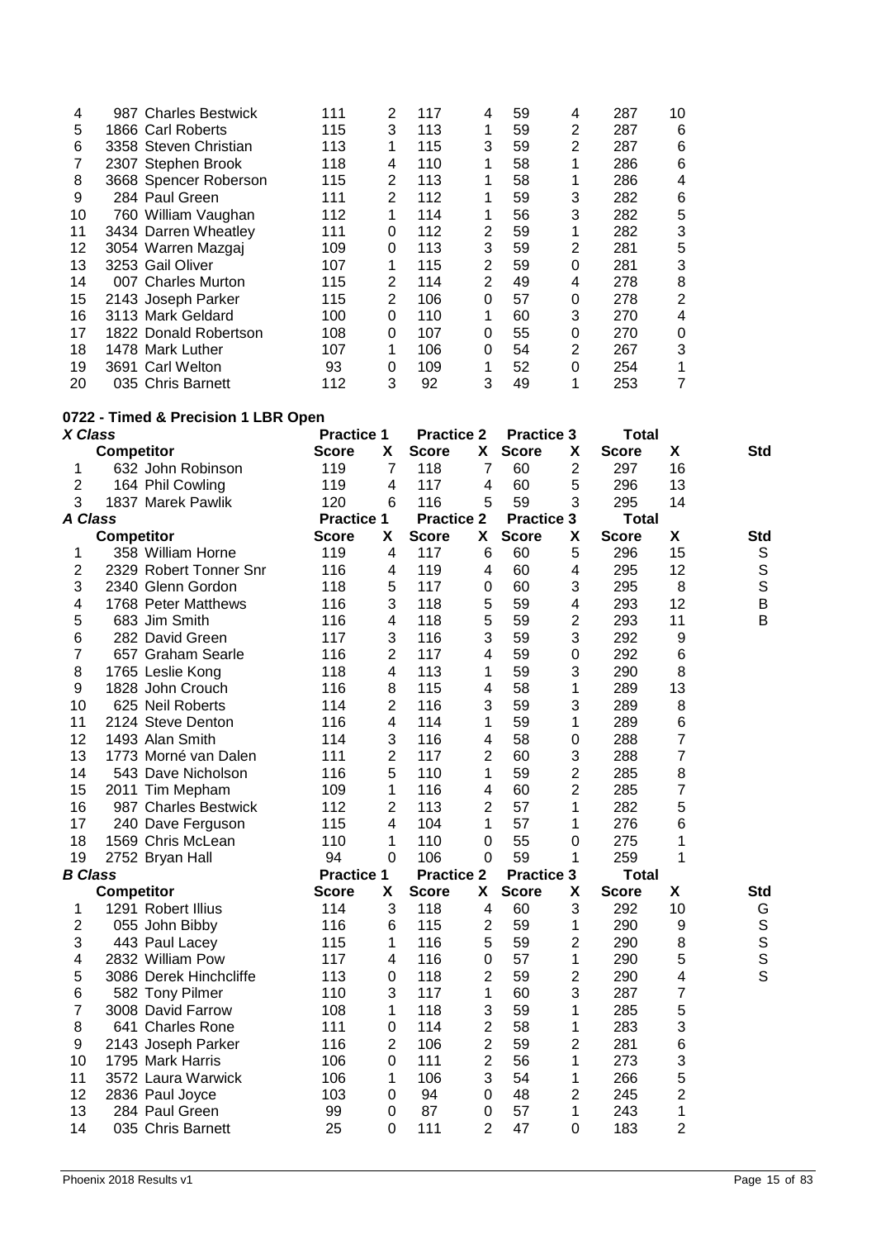| 1866 Carl Roberts<br>3358 Steven Christian | 115<br>113                                                                                                                                                                                                                                                     | 3 | 113 | 1              | 59 | 2              |     |          |
|--------------------------------------------|----------------------------------------------------------------------------------------------------------------------------------------------------------------------------------------------------------------------------------------------------------------|---|-----|----------------|----|----------------|-----|----------|
|                                            |                                                                                                                                                                                                                                                                |   |     |                |    |                | 287 | 6        |
|                                            |                                                                                                                                                                                                                                                                |   | 115 | 3              | 59 | 2              | 287 | 6        |
| 2307 Stephen Brook                         | 118                                                                                                                                                                                                                                                            | 4 | 110 | 1              | 58 |                | 286 | 6        |
| 3668 Spencer Roberson                      | 115                                                                                                                                                                                                                                                            | 2 | 113 | 1              | 58 |                | 286 | 4        |
|                                            | 111                                                                                                                                                                                                                                                            | 2 | 112 | 1              | 59 | 3              | 282 | 6        |
|                                            | 112                                                                                                                                                                                                                                                            |   | 114 | 1              | 56 | 3              | 282 | 5        |
|                                            | 111                                                                                                                                                                                                                                                            | 0 | 112 | $\overline{2}$ | 59 | 1              | 282 | 3        |
|                                            | 109                                                                                                                                                                                                                                                            | 0 | 113 | 3              | 59 | $\overline{2}$ | 281 | 5        |
|                                            | 107                                                                                                                                                                                                                                                            |   | 115 | $\overline{2}$ | 59 | 0              | 281 | 3        |
|                                            | 115                                                                                                                                                                                                                                                            | 2 | 114 | $\overline{2}$ | 49 | 4              | 278 | 8        |
|                                            | 115                                                                                                                                                                                                                                                            | 2 | 106 | 0              | 57 | 0              | 278 | 2        |
|                                            | 100                                                                                                                                                                                                                                                            | 0 | 110 | 1              | 60 | 3              | 270 | 4        |
|                                            | 108                                                                                                                                                                                                                                                            | 0 | 107 | 0              | 55 | 0              | 270 | $\Omega$ |
|                                            | 107                                                                                                                                                                                                                                                            |   | 106 | 0              | 54 | 2              | 267 | 3        |
|                                            | 93                                                                                                                                                                                                                                                             | 0 | 109 | 1              | 52 | 0              | 254 |          |
|                                            | 112                                                                                                                                                                                                                                                            | 3 | 92  | 3              | 49 |                | 253 | 7        |
|                                            | 284 Paul Green<br>760 William Vaughan<br>3434 Darren Wheatley<br>3054 Warren Mazgaj<br>3253 Gail Oliver<br>007 Charles Murton<br>2143 Joseph Parker<br>3113 Mark Geldard<br>1822 Donald Robertson<br>1478 Mark Luther<br>3691 Carl Welton<br>035 Chris Barnett |   |     |                |    |                |     |          |

# **0722 - Timed & Precision 1 LBR Open**

| X Class        |                        | <b>Practice 1</b> |                | <b>Practice 2</b> |                | <b>Practice 3</b> |                    | <b>Total</b> |                         |             |
|----------------|------------------------|-------------------|----------------|-------------------|----------------|-------------------|--------------------|--------------|-------------------------|-------------|
|                | <b>Competitor</b>      | <b>Score</b>      | X              | <b>Score</b>      | X              | <b>Score</b>      | X                  | <b>Score</b> | X                       | <b>Std</b>  |
| 1              | 632 John Robinson      | 119               | $\overline{7}$ | 118               | $\overline{7}$ | 60                | $\overline{2}$     | 297          | 16                      |             |
| 2              | 164 Phil Cowling       | 119               | 4              | 117               | 4              | 60                | 5                  | 296          | 13                      |             |
| 3              | 1837 Marek Pawlik      | 120               | 6              | 116               | 5              | 59                | 3                  | 295          | 14                      |             |
| A Class        |                        | <b>Practice 1</b> |                | <b>Practice 2</b> |                | <b>Practice 3</b> |                    | <b>Total</b> |                         |             |
|                | <b>Competitor</b>      | <b>Score</b>      | X              | <b>Score</b>      | X              | <b>Score</b>      | $\pmb{\mathsf{X}}$ | <b>Score</b> | X                       | <b>Std</b>  |
| 1              | 358 William Horne      | 119               | 4              | 117               | 6              | 60                | 5                  | 296          | 15                      | S           |
| 2              | 2329 Robert Tonner Snr | 116               | 4              | 119               | 4              | 60                | 4                  | 295          | 12                      | $\mathbb S$ |
| 3              | 2340 Glenn Gordon      | 118               | 5              | 117               | 0              | 60                | 3                  | 295          | 8                       | $\mathsf S$ |
| 4              | 1768 Peter Matthews    | 116               | 3              | 118               | 5              | 59                | 4                  | 293          | 12                      | B           |
| 5              | 683 Jim Smith          | 116               | 4              | 118               | 5              | 59                | $\overline{2}$     | 293          | 11                      | B           |
| 6              | 282 David Green        | 117               | 3              | 116               | 3              | 59                | 3                  | 292          | 9                       |             |
| 7              | 657 Graham Searle      | 116               | $\overline{2}$ | 117               | 4              | 59                | 0                  | 292          | 6                       |             |
| 8              | 1765 Leslie Kong       | 118               | 4              | 113               | 1              | 59                | 3                  | 290          | 8                       |             |
| 9              | 1828 John Crouch       | 116               | 8              | 115               | 4              | 58                | 1                  | 289          | 13                      |             |
| 10             | 625 Neil Roberts       | 114               | $\overline{2}$ | 116               | 3              | 59                | 3                  | 289          | 8                       |             |
| 11             | 2124 Steve Denton      | 116               | 4              | 114               | 1              | 59                | 1                  | 289          | 6                       |             |
| 12             | 1493 Alan Smith        | 114               | 3              | 116               | 4              | 58                | 0                  | 288          | $\overline{7}$          |             |
| 13             | 1773 Morné van Dalen   | 111               | $\overline{2}$ | 117               | $\overline{2}$ | 60                | 3                  | 288          | $\overline{7}$          |             |
| 14             | 543 Dave Nicholson     | 116               | 5              | 110               | 1              | 59                | $\overline{2}$     | 285          | 8                       |             |
| 15             | 2011 Tim Mepham        | 109               | 1              | 116               | 4              | 60                | $\overline{2}$     | 285          | 7                       |             |
| 16             | 987 Charles Bestwick   | 112               | $\overline{2}$ | 113               | $\overline{2}$ | 57                | 1                  | 282          | 5                       |             |
| 17             | 240 Dave Ferguson      | 115               | 4              | 104               | $\mathbf{1}$   | 57                | 1                  | 276          | 6                       |             |
| 18             | 1569 Chris McLean      | 110               | 1              | 110               | $\overline{0}$ | 55                | 0                  | 275          | 1                       |             |
| 19             | 2752 Bryan Hall        | 94                | $\mathbf 0$    | 106               | $\mathbf 0$    | 59                | 1                  | 259          | 1                       |             |
| <b>B</b> Class |                        | <b>Practice 1</b> |                | <b>Practice 2</b> |                | <b>Practice 3</b> |                    | <b>Total</b> |                         |             |
|                | <b>Competitor</b>      | <b>Score</b>      | X              | <b>Score</b>      | X              | <b>Score</b>      | X                  | <b>Score</b> | X                       | <b>Std</b>  |
| 1              | 1291 Robert Illius     | 114               | 3              | 118               | 4              | 60                | 3                  | 292          | 10                      | G           |
| 2              | 055 John Bibby         | 116               | 6              | 115               | $\overline{2}$ | 59                | 1                  | 290          | $\boldsymbol{9}$        | $\mathbb S$ |
| 3              | 443 Paul Lacey         | 115               | 1              | 116               | 5              | 59                | $\overline{2}$     | 290          | 8                       | S<br>S<br>S |
| 4              | 2832 William Pow       | 117               | 4              | 116               | 0              | 57                | 1                  | 290          | 5                       |             |
| 5              | 3086 Derek Hinchcliffe | 113               | 0              | 118               | $\overline{c}$ | 59                | $\overline{2}$     | 290          | $\overline{\mathbf{4}}$ |             |
| 6              | 582 Tony Pilmer        | 110               | 3              | 117               | 1              | 60                | 3                  | 287          | $\overline{7}$          |             |
| 7              | 3008 David Farrow      | 108               | 1              | 118               | 3              | 59                | 1                  | 285          | 5                       |             |
| 8              | 641 Charles Rone       | 111               | 0              | 114               | 2              | 58                | 1                  | 283          | 3                       |             |
| 9              | 2143 Joseph Parker     | 116               | $\overline{c}$ | 106               | $\overline{2}$ | 59                | $\overline{c}$     | 281          | 6                       |             |
| 10             | 1795 Mark Harris       | 106               | 0              | 111               | $\overline{2}$ | 56                | 1                  | 273          | 3                       |             |
| 11             | 3572 Laura Warwick     | 106               | 1              | 106               | 3              | 54                | 1                  | 266          | 5                       |             |
| 12             | 2836 Paul Joyce        | 103               | 0              | 94                | 0              | 48                | $\overline{2}$     | 245          | $\overline{2}$          |             |
| 13             | 284 Paul Green         | 99                | 0              | 87                | 0              | 57                | 1                  | 243          | 1                       |             |
| 14             | 035 Chris Barnett      | 25                | 0              | 111               | $\overline{2}$ | 47                | 0                  | 183          | $\overline{2}$          |             |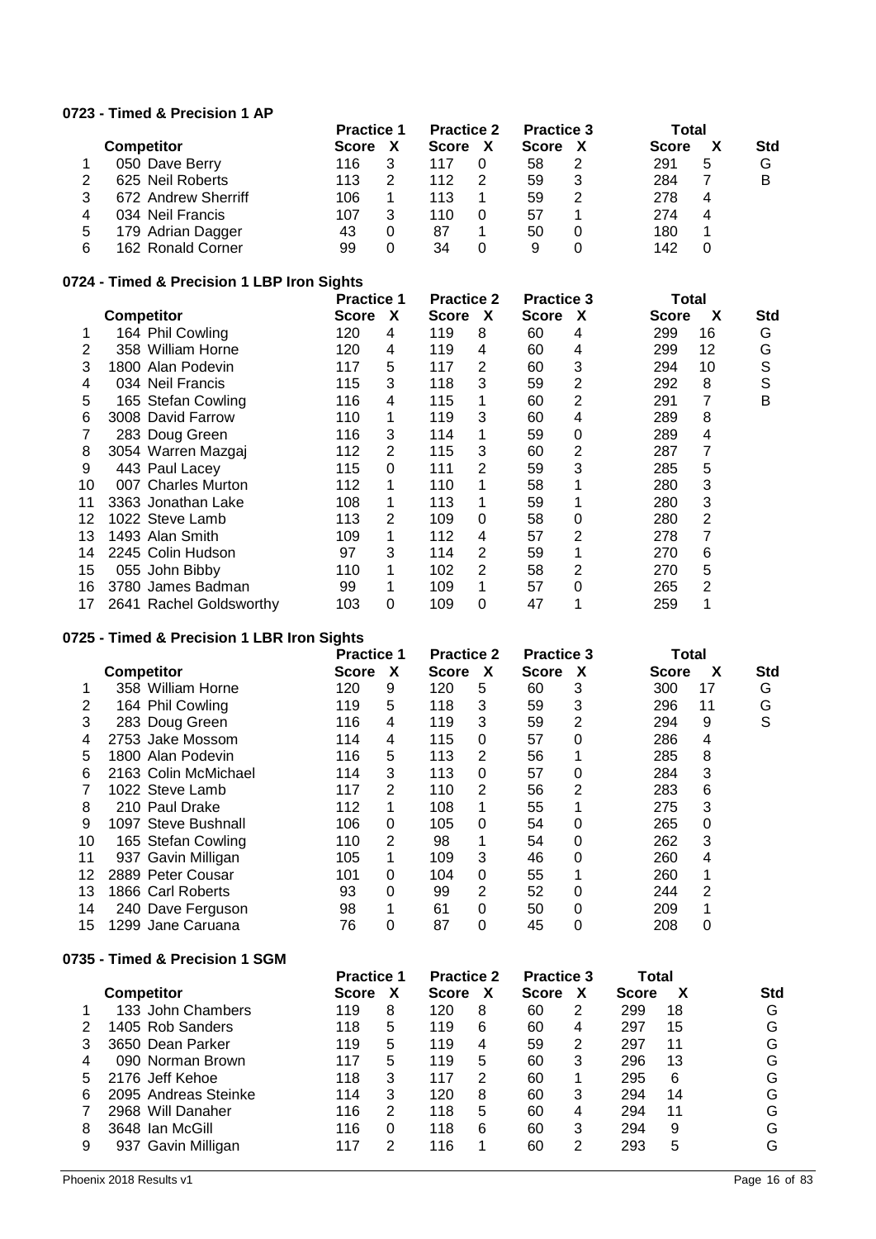## **0723 - Timed & Precision 1 AP**

|   |                     | <b>Practice 1</b> |   | <b>Practice 2</b> |   | <b>Practice 3</b> |   | Total        |   |            |
|---|---------------------|-------------------|---|-------------------|---|-------------------|---|--------------|---|------------|
|   | <b>Competitor</b>   | <b>Score</b>      |   | <b>Score</b>      | х | <b>Score</b>      |   | <b>Score</b> |   | <b>Std</b> |
|   | 050 Dave Berry      | 116               |   | 117               |   | 58                |   | 291          | 5 | G          |
|   | 625 Neil Roberts    | 113               |   | 112               |   | 59                | 3 | 284          |   | B          |
| 3 | 672 Andrew Sherriff | 106               |   | 113               |   | 59                | 2 | 278          | 4 |            |
| 4 | 034 Neil Francis    | 107               |   | 110               |   | 57                |   | 274          | 4 |            |
| 5 | 179 Adrian Dagger   | 43                |   | 87                |   | 50                |   | 180          |   |            |
| 6 | 162 Ronald Corner   | 99                | ი | 34                |   | 9                 |   | 142          |   |            |

#### **0724 - Timed & Precision 1 LBP Iron Sights**

|    |                         | <b>Practice 1</b> |   | <b>Practice 2</b> |   | <b>Practice 3</b> |   | Total        |    |            |
|----|-------------------------|-------------------|---|-------------------|---|-------------------|---|--------------|----|------------|
|    | <b>Competitor</b>       | <b>Score</b>      | X | <b>Score</b>      | X | Score             | X | <b>Score</b> | x  | <b>Std</b> |
|    | 164 Phil Cowling        | 120               | 4 | 119               | 8 | 60                | 4 | 299          | 16 | G          |
| 2  | 358 William Horne       | 120               | 4 | 119               | 4 | 60                | 4 | 299          | 12 | G          |
| 3  | 1800 Alan Podevin       | 117               | 5 | 117               | 2 | 60                | 3 | 294          | 10 | S          |
| 4  | 034 Neil Francis        | 115               | 3 | 118               | 3 | 59                | 2 | 292          | 8  | S          |
| 5  | 165 Stefan Cowling      | 116               | 4 | 115               |   | 60                | 2 | 291          |    | B          |
| 6  | 3008 David Farrow       | 110               | 1 | 119               | 3 | 60                | 4 | 289          | 8  |            |
|    | 283 Doug Green          | 116               | 3 | 114               |   | 59                | 0 | 289          | 4  |            |
| 8  | 3054 Warren Mazgaj      | 112               | 2 | 115               | 3 | 60                | 2 | 287          |    |            |
| 9  | 443 Paul Lacey          | 115               | 0 | 111               | 2 | 59                | 3 | 285          | 5  |            |
| 10 | 007 Charles Murton      | 112               |   | 110               |   | 58                |   | 280          | 3  |            |
| 11 | 3363 Jonathan Lake      | 108               |   | 113               |   | 59                |   | 280          | 3  |            |
| 12 | 1022 Steve Lamb         | 113               | 2 | 109               | 0 | 58                | 0 | 280          | 2  |            |
| 13 | 1493 Alan Smith         | 109               |   | 112               | 4 | 57                | 2 | 278          |    |            |
| 14 | 2245 Colin Hudson       | 97                | 3 | 114               | 2 | 59                |   | 270          | 6  |            |
| 15 | 055 John Bibby          | 110               |   | 102               | 2 | 58                | 2 | 270          | 5  |            |
| 16 | 3780 James Badman       | 99                | 1 | 109               |   | 57                | 0 | 265          | 2  |            |
| 17 | 2641 Rachel Goldsworthy | 103               | 0 | 109               | 0 | 47                |   | 259          |    |            |

# **0725 - Timed & Precision 1 LBR Iron Sights**

|    |                      | <b>Practice 1</b> |   | <b>Practice 2</b> |   | <b>Practice 3</b> |   | Total        |    |            |
|----|----------------------|-------------------|---|-------------------|---|-------------------|---|--------------|----|------------|
|    | <b>Competitor</b>    | <b>Score</b>      | X | Score             | X | <b>Score</b>      | X | <b>Score</b> | X  | <b>Std</b> |
|    | 358 William Horne    | 120               | 9 | 120               | 5 | 60                | 3 | 300          | 17 | G          |
| 2  | 164 Phil Cowling     | 119               | 5 | 118               | 3 | 59                | 3 | 296          | 11 | G          |
| 3  | 283 Doug Green       | 116               | 4 | 119               | 3 | 59                | 2 | 294          | 9  | S          |
| 4  | 2753 Jake Mossom     | 114               | 4 | 115               | 0 | 57                | 0 | 286          | 4  |            |
| 5  | 1800 Alan Podevin    | 116               | 5 | 113               | 2 | 56                |   | 285          | 8  |            |
| 6  | 2163 Colin McMichael | 114               | 3 | 113               | 0 | 57                | 0 | 284          | 3  |            |
|    | 1022 Steve Lamb      | 117               | 2 | 110               | 2 | 56                | 2 | 283          | 6  |            |
| 8  | 210 Paul Drake       | 112               |   | 108               |   | 55                |   | 275          | 3  |            |
| 9  | 1097 Steve Bushnall  | 106               | 0 | 105               | 0 | 54                | 0 | 265          | 0  |            |
| 10 | 165 Stefan Cowling   | 110               | 2 | 98                |   | 54                | 0 | 262          | 3  |            |
| 11 | 937 Gavin Milligan   | 105               |   | 109               | 3 | 46                | 0 | 260          | 4  |            |
| 12 | 2889 Peter Cousar    | 101               | 0 | 104               | 0 | 55                |   | 260          |    |            |
| 13 | 1866 Carl Roberts    | 93                | 0 | 99                | 2 | 52                | 0 | 244          | 2  |            |
| 14 | 240 Dave Ferguson    | 98                |   | 61                | 0 | 50                | 0 | 209          |    |            |
| 15 | 1299 Jane Caruana    | 76                | 0 | 87                | 0 | 45                | 0 | 208          | 0  |            |

## **0735 - Timed & Precision 1 SGM**

| <b>Competitor</b>    | <b>Score</b> | $\boldsymbol{\mathsf{x}}$ | <b>Score</b>      | χ | <b>Score</b>      | χ | <b>Score</b>      | X  | <b>Std</b> |
|----------------------|--------------|---------------------------|-------------------|---|-------------------|---|-------------------|----|------------|
| 133 John Chambers    | 119          | 8                         | 120               | 8 | 60                | 2 | 299               | 18 | G          |
| 1405 Rob Sanders     | 118          | 5                         | 119               | 6 | 60                | 4 | 297               | 15 | G          |
| 3650 Dean Parker     | 119          | 5                         | 119               | 4 | 59                | 2 | 297               | 11 | G          |
| 090 Norman Brown     | 117          | 5                         | 119               | 5 | 60                | 3 | 296               | 13 | G          |
| 2176 Jeff Kehoe      | 118          | 3                         | 117               | 2 | 60                |   | 295               | 6  | G          |
| 2095 Andreas Steinke | 114          | 3                         | 120               | 8 | 60                | 3 | 294               | 14 | G          |
| 2968 Will Danaher    | 116          | 2                         | 118               | 5 | 60                | 4 | 294               | 11 | G          |
| 3648 Ian McGill      | 116          | 0                         | 118               | 6 | 60                | 3 | 294               | 9  | G          |
| 937 Gavin Milligan   | 117          | 2                         | 116               |   | 60                | 2 | 293               | 5  | G          |
|                      |              |                           | <b>Practice 1</b> |   | <b>Practice 2</b> |   | <b>Practice 3</b> |    | Total      |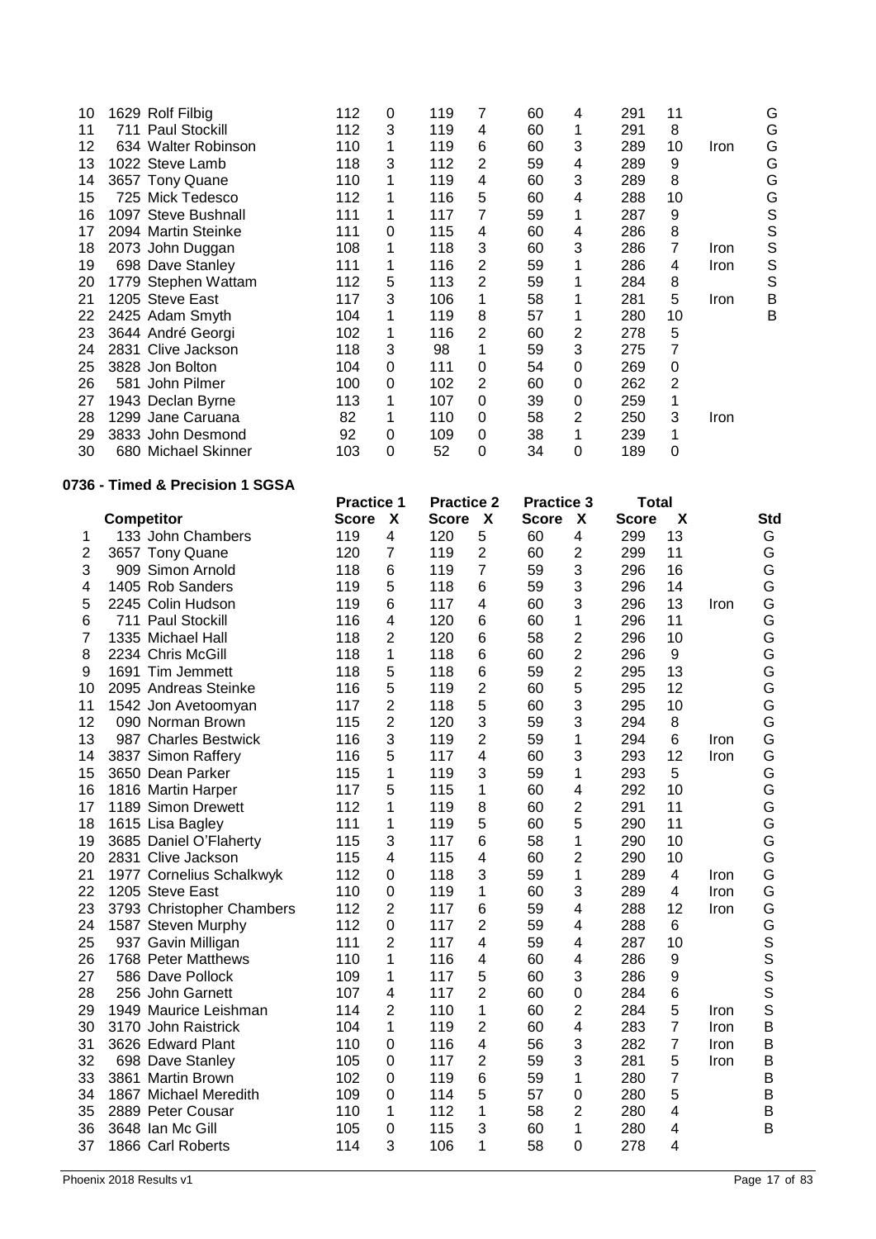| 10 | 1629 Rolf Filbig    | 112 | 0 | 119 |   | 60 | 4 | 291 | 11 |      | G |
|----|---------------------|-----|---|-----|---|----|---|-----|----|------|---|
| 11 | 711 Paul Stockill   | 112 | 3 | 119 | 4 | 60 |   | 291 | 8  |      | G |
| 12 | 634 Walter Robinson | 110 |   | 119 | 6 | 60 | 3 | 289 | 10 | Iron | G |
| 13 | 1022 Steve Lamb     | 118 | 3 | 112 | 2 | 59 | 4 | 289 | 9  |      | G |
| 14 | 3657 Tony Quane     | 110 |   | 119 | 4 | 60 | 3 | 289 | 8  |      | G |
| 15 | 725 Mick Tedesco    | 112 |   | 116 | 5 | 60 | 4 | 288 | 10 |      | G |
| 16 | 1097 Steve Bushnall | 111 |   | 117 |   | 59 |   | 287 | 9  |      | S |
| 17 | 2094 Martin Steinke | 111 | 0 | 115 | 4 | 60 | 4 | 286 | 8  |      | S |
| 18 | 2073 John Duggan    | 108 |   | 118 | 3 | 60 | 3 | 286 | 7  | Iron | S |
| 19 | 698 Dave Stanley    | 111 |   | 116 | 2 | 59 |   | 286 | 4  | Iron | S |
| 20 | 1779 Stephen Wattam | 112 | 5 | 113 | 2 | 59 |   | 284 | 8  |      | S |
| 21 | 1205 Steve East     | 117 | 3 | 106 |   | 58 |   | 281 | 5  | Iron | B |
| 22 | 2425 Adam Smyth     | 104 |   | 119 | 8 | 57 |   | 280 | 10 |      | B |
| 23 | 3644 André Georgi   | 102 |   | 116 | 2 | 60 | 2 | 278 | 5  |      |   |
| 24 | 2831 Clive Jackson  | 118 | 3 | 98  |   | 59 | 3 | 275 |    |      |   |
| 25 | 3828 Jon Bolton     | 104 | 0 | 111 | 0 | 54 | 0 | 269 | 0  |      |   |
| 26 | 581 John Pilmer     | 100 | 0 | 102 | 2 | 60 | 0 | 262 | 2  |      |   |
| 27 | 1943 Declan Byrne   | 113 |   | 107 | 0 | 39 | 0 | 259 | 1  |      |   |
| 28 | 1299 Jane Caruana   | 82  |   | 110 | 0 | 58 | 2 | 250 | 3  | Iron |   |
| 29 | 3833 John Desmond   | 92  | 0 | 109 | 0 | 38 |   | 239 |    |      |   |
| 30 | 680 Michael Skinner | 103 | 0 | 52  | 0 | 34 | 0 | 189 | 0  |      |   |

## **0736 - Timed & Precision 1 SGSA**

|                |                           | <b>Practice 1</b> |                           | <b>Practice 2</b> |                | <b>Practice 3</b> |                           | <b>Total</b> |                         |             |     |
|----------------|---------------------------|-------------------|---------------------------|-------------------|----------------|-------------------|---------------------------|--------------|-------------------------|-------------|-----|
|                | <b>Competitor</b>         | <b>Score</b>      | $\boldsymbol{\mathsf{X}}$ | <b>Score</b>      | X              | <b>Score</b>      | $\boldsymbol{\mathsf{x}}$ | <b>Score</b> | X                       |             | Std |
| 1              | 133 John Chambers         | 119               | 4                         | 120               | 5              | 60                | 4                         | 299          | 13                      |             | G   |
| $\overline{2}$ | 3657 Tony Quane           | 120               | 7                         | 119               | $\overline{c}$ | 60                | $\overline{2}$            | 299          | 11                      |             | G   |
| 3              | 909 Simon Arnold          | 118               | 6                         | 119               | $\overline{7}$ | 59                | 3                         | 296          | 16                      |             | G   |
| 4              | 1405 Rob Sanders          | 119               | 5                         | 118               | 6              | 59                | 3                         | 296          | 14                      |             | G   |
| 5              | 2245 Colin Hudson         | 119               | 6                         | 117               | 4              | 60                | 3                         | 296          | 13                      | Iron        | G   |
| 6              | 711 Paul Stockill         | 116               | 4                         | 120               | 6              | 60                | 1                         | 296          | 11                      |             | G   |
| 7              | 1335 Michael Hall         | 118               | 2                         | 120               | 6              | 58                | 2                         | 296          | 10                      |             | G   |
| 8              | 2234 Chris McGill         | 118               | 1                         | 118               | 6              | 60                | $\overline{2}$            | 296          | 9                       |             | G   |
| 9              | 1691 Tim Jemmett          | 118               | 5                         | 118               | 6              | 59                | $\overline{2}$            | 295          | 13                      |             | G   |
| 10             | 2095 Andreas Steinke      | 116               | 5                         | 119               | $\overline{c}$ | 60                | 5                         | 295          | 12                      |             | G   |
| 11             | 1542 Jon Avetoomyan       | 117               | 2                         | 118               | 5              | 60                | 3                         | 295          | 10                      |             | G   |
| 12             | 090 Norman Brown          | 115               | $\overline{2}$            | 120               | 3              | 59                | 3                         | 294          | 8                       |             | G   |
| 13             | 987 Charles Bestwick      | 116               | 3                         | 119               | $\overline{c}$ | 59                | 1                         | 294          | 6                       | <b>Iron</b> | G   |
| 14             | 3837 Simon Raffery        | 116               | 5                         | 117               | 4              | 60                | 3                         | 293          | 12                      | Iron        | G   |
| 15             | 3650 Dean Parker          | 115               | 1                         | 119               | 3              | 59                | 1                         | 293          | 5                       |             | G   |
| 16             | 1816 Martin Harper        | 117               | 5                         | 115               | 1              | 60                | 4                         | 292          | 10                      |             | G   |
| 17             | 1189 Simon Drewett        | 112               | 1                         | 119               | 8              | 60                | $\overline{2}$            | 291          | 11                      |             | G   |
| 18             | 1615 Lisa Bagley          | 111               | 1                         | 119               | 5              | 60                | 5                         | 290          | 11                      |             | G   |
| 19             | 3685 Daniel O'Flaherty    | 115               | 3                         | 117               | 6              | 58                | 1                         | 290          | 10                      |             | G   |
| 20             | 2831 Clive Jackson        | 115               | 4                         | 115               | 4              | 60                | $\overline{2}$            | 290          | 10                      |             | G   |
| 21             | 1977 Cornelius Schalkwyk  | 112               | $\mathbf 0$               | 118               | 3              | 59                | 1                         | 289          | $\overline{\mathbf{4}}$ | Iron        | G   |
| 22             | 1205 Steve East           | 110               | 0                         | 119               | 1              | 60                | 3                         | 289          | $\overline{4}$          | Iron        | G   |
| 23             | 3793 Christopher Chambers | 112               | 2                         | 117               | 6              | 59                | 4                         | 288          | 12                      | <b>Iron</b> | G   |
| 24             | 1587 Steven Murphy        | 112               | 0                         | 117               | 2              | 59                | 4                         | 288          | 6                       |             | G   |
| 25             | 937 Gavin Milligan        | 111               | $\overline{2}$            | 117               | 4              | 59                | 4                         | 287          | 10                      |             | S   |
| 26             | 1768 Peter Matthews       | 110               | 1                         | 116               | 4              | 60                | 4                         | 286          | $\boldsymbol{9}$        |             | S   |
| 27             | 586 Dave Pollock          | 109               | 1                         | 117               | 5              | 60                | 3                         | 286          | 9                       |             | S   |
| 28             | 256 John Garnett          | 107               | 4                         | 117               | $\overline{2}$ | 60                | 0                         | 284          | $6\phantom{1}6$         |             | S   |
| 29             | 1949 Maurice Leishman     | 114               | 2                         | 110               | 1              | 60                | $\overline{2}$            | 284          | 5                       | Iron        | S   |
| 30             | 3170 John Raistrick       | 104               | 1                         | 119               | $\overline{2}$ | 60                | 4                         | 283          | 7                       | Iron        | B   |
| 31             | 3626 Edward Plant         | 110               | 0                         | 116               | 4              | 56                | 3                         | 282          | 7                       | Iron        | B   |
| 32             | 698 Dave Stanley          | 105               | 0                         | 117               | $\overline{c}$ | 59                | 3                         | 281          | 5                       | Iron        | B   |
| 33             | 3861 Martin Brown         | 102               | $\Omega$                  | 119               | 6              | 59                | 1                         | 280          | 7                       |             | B   |
| 34             | 1867 Michael Meredith     | 109               | 0                         | 114               | 5              | 57                | 0                         | 280          | 5                       |             | B   |
| 35             | 2889 Peter Cousar         | 110               | 1                         | 112               | 1              | 58                | $\overline{2}$            | 280          | 4                       |             | B   |
| 36             | 3648 Ian Mc Gill          | 105               | 0                         | 115               | 3              | 60                | 1                         | 280          | 4                       |             | B   |
| 37             | 1866 Carl Roberts         | 114               | 3                         | 106               | 1              | 58                | 0                         | 278          | 4                       |             |     |
|                |                           |                   |                           |                   |                |                   |                           |              |                         |             |     |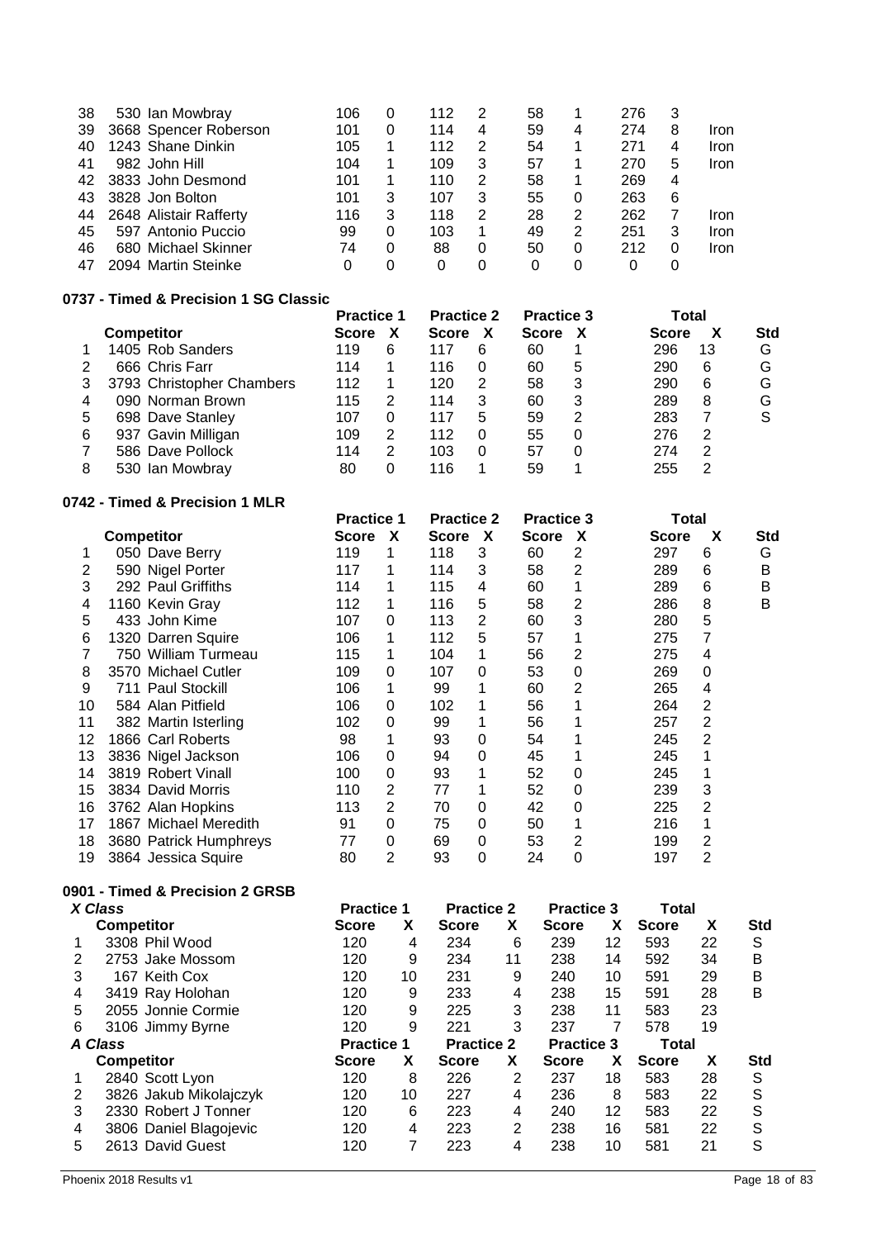| 38 | 530 Ian Mowbray        | 106 | O | 112 | 2 | 58 |   | 276 | 3 |      |
|----|------------------------|-----|---|-----|---|----|---|-----|---|------|
| 39 | 3668 Spencer Roberson  | 101 | 0 | 114 | 4 | 59 | 4 | 274 | 8 | Iron |
| 40 | 1243 Shane Dinkin      | 105 |   | 112 | 2 | 54 |   | 271 | 4 | Iron |
| 41 | 982 John Hill          | 104 |   | 109 | 3 | 57 |   | 270 | 5 | Iron |
| 42 | 3833 John Desmond      | 101 |   | 110 | 2 | 58 |   | 269 | 4 |      |
| 43 | 3828 Jon Bolton        | 101 | 3 | 107 | 3 | 55 |   | 263 | 6 |      |
| 44 | 2648 Alistair Rafferty | 116 | 3 | 118 | 2 | 28 | 2 | 262 |   | Iron |
| 45 | 597 Antonio Puccio     | 99  | 0 | 103 |   | 49 | 2 | 251 | 3 | Iron |
| 46 | 680 Michael Skinner    | 74  | 0 | 88  | 0 | 50 |   | 212 | 0 | Iron |
| 47 | 2094 Martin Steinke    |     | 0 |     | 0 | 0  |   |     |   |      |

## **0737 - Timed & Precision 1 SG Classic**

|   |                           | <b>Practice 1</b> |   | <b>Practice 2</b> |   | <b>Practice 3</b> |   | Total        |    |            |
|---|---------------------------|-------------------|---|-------------------|---|-------------------|---|--------------|----|------------|
|   | <b>Competitor</b>         | <b>Score</b>      |   | <b>Score</b>      |   | <b>Score</b>      |   | <b>Score</b> | x  | <b>Std</b> |
|   | 1405 Rob Sanders          | 119               | 6 | 117               | 6 | 60                |   | 296          | 13 | G          |
|   | 666 Chris Farr            | 114               |   | 116               | 0 | 60                | 5 | 290          | 6  | G          |
| 3 | 3793 Christopher Chambers | 112               |   | 120               | 2 | 58                | 3 | 290          | 6  | G          |
|   | 090 Norman Brown          | 115               |   | 114               | 3 | 60                | 3 | 289          | 8  | G          |
| 5 | 698 Dave Stanley          | 107               |   | 117               | 5 | 59                | 2 | 283          |    |            |
| 6 | 937 Gavin Milligan        | 109               | 2 | 112               |   | 55                | 0 | 276          | 2  |            |
|   | 586 Dave Pollock          | 114               | 2 | 103               | 0 | 57                | 0 | 274          | 2  |            |
| 8 | 530 Ian Mowbrav           | 80                |   | 116               |   | 59                |   | 255          | っ  |            |

### **0742 - Timed & Precision 1 MLR**

|    |                        | <b>Practice 1</b> |   | <b>Practice 2</b> |   | <b>Practice 3</b> |   | Total        |   |     |
|----|------------------------|-------------------|---|-------------------|---|-------------------|---|--------------|---|-----|
|    | <b>Competitor</b>      | Score             | X | <b>Score</b>      | X | Score             | X | <b>Score</b> | X | Std |
|    | 050 Dave Berry         | 119               |   | 118               | 3 | 60                | 2 | 297          | 6 | G   |
| 2  | 590 Nigel Porter       | 117               |   | 114               | 3 | 58                | 2 | 289          | 6 | В   |
| 3  | 292 Paul Griffiths     | 114               |   | 115               | 4 | 60                |   | 289          | 6 | В   |
| 4  | 1160 Kevin Gray        | 112               |   | 116               | 5 | 58                | 2 | 286          | 8 | B   |
| 5  | 433 John Kime          | 107               | 0 | 113               | 2 | 60                | 3 | 280          | 5 |     |
| 6  | 1320 Darren Squire     | 106               |   | 112               | 5 | 57                |   | 275          | 7 |     |
|    | 750 William Turmeau    | 115               | 1 | 104               |   | 56                | 2 | 275          | 4 |     |
| 8  | 3570 Michael Cutler    | 109               | 0 | 107               | 0 | 53                | 0 | 269          | 0 |     |
| 9  | 711 Paul Stockill      | 106               |   | 99                |   | 60                | 2 | 265          | 4 |     |
| 10 | 584 Alan Pitfield      | 106               | 0 | 102               |   | 56                |   | 264          | 2 |     |
| 11 | 382 Martin Isterling   | 102               | 0 | 99                |   | 56                |   | 257          | 2 |     |
| 12 | 1866 Carl Roberts      | 98                |   | 93                | 0 | 54                |   | 245          | 2 |     |
| 13 | 3836 Nigel Jackson     | 106               | 0 | 94                | 0 | 45                |   | 245          |   |     |
| 14 | 3819 Robert Vinall     | 100               | 0 | 93                |   | 52                | 0 | 245          |   |     |
| 15 | 3834 David Morris      | 110               | 2 | 77                |   | 52                | 0 | 239          | 3 |     |
| 16 | 3762 Alan Hopkins      | 113               | 2 | 70                | 0 | 42                | 0 | 225          | 2 |     |
| 17 | 1867 Michael Meredith  | 91                | 0 | 75                | 0 | 50                |   | 216          |   |     |
| 18 | 3680 Patrick Humphreys | 77                | 0 | 69                | 0 | 53                | 2 | 199          | 2 |     |
| 19 | 3864 Jessica Squire    | 80                | 2 | 93                | 0 | 24                | 0 | 197          | 2 |     |

# **0901 - Timed & Precision 2 GRSB**

|   | X Class                | <b>Practice 1</b> |    | <b>Practice 2</b> |    | <b>Practice 3</b> |    | Total        |    |            |
|---|------------------------|-------------------|----|-------------------|----|-------------------|----|--------------|----|------------|
|   | <b>Competitor</b>      | <b>Score</b>      | X  | <b>Score</b>      | х  | <b>Score</b>      | X  | <b>Score</b> | X  | <b>Std</b> |
|   | 3308 Phil Wood         | 120               | 4  | 234               | 6  | 239               | 12 | 593          | 22 | S          |
|   | 2753 Jake Mossom       | 120               | 9  | 234               | 11 | 238               | 14 | 592          | 34 | B          |
| 3 | 167 Keith Cox          | 120               | 10 | 231               | 9  | 240               | 10 | 591          | 29 | B          |
| 4 | 3419 Ray Holohan       | 120               | 9  | 233               | 4  | 238               | 15 | 591          | 28 | B          |
| 5 | 2055 Jonnie Cormie     | 120               | 9  | 225               | 3  | 238               | 11 | 583          | 23 |            |
| 6 | 3106 Jimmy Byrne       | 120               | 9  | 221               | 3  | 237               | 7  | 578          | 19 |            |
|   | A Class                | <b>Practice 1</b> |    | <b>Practice 2</b> |    | <b>Practice 3</b> |    | Total        |    |            |
|   | <b>Competitor</b>      | <b>Score</b>      | X  | <b>Score</b>      | X  | <b>Score</b>      | х  | <b>Score</b> | X  | <b>Std</b> |
|   |                        |                   |    |                   |    |                   |    |              |    |            |
|   | 2840 Scott Lyon        | 120               | 8  | 226               | 2  | 237               | 18 | 583          | 28 | S          |
|   | 3826 Jakub Mikolajczyk | 120               | 10 | 227               | 4  | 236               | 8  | 583          | 22 | S          |
| 3 | 2330 Robert J Tonner   | 120               | 6  | 223               | 4  | 240               | 12 | 583          | 22 | S          |
| 4 | 3806 Daniel Blagojevic | 120               | 4  | 223               | 2  | 238               | 16 | 581          | 22 | S          |
| 5 | 2613 David Guest       | 120               | 7  | 223               | 4  | 238               | 10 | 581          | 21 | S          |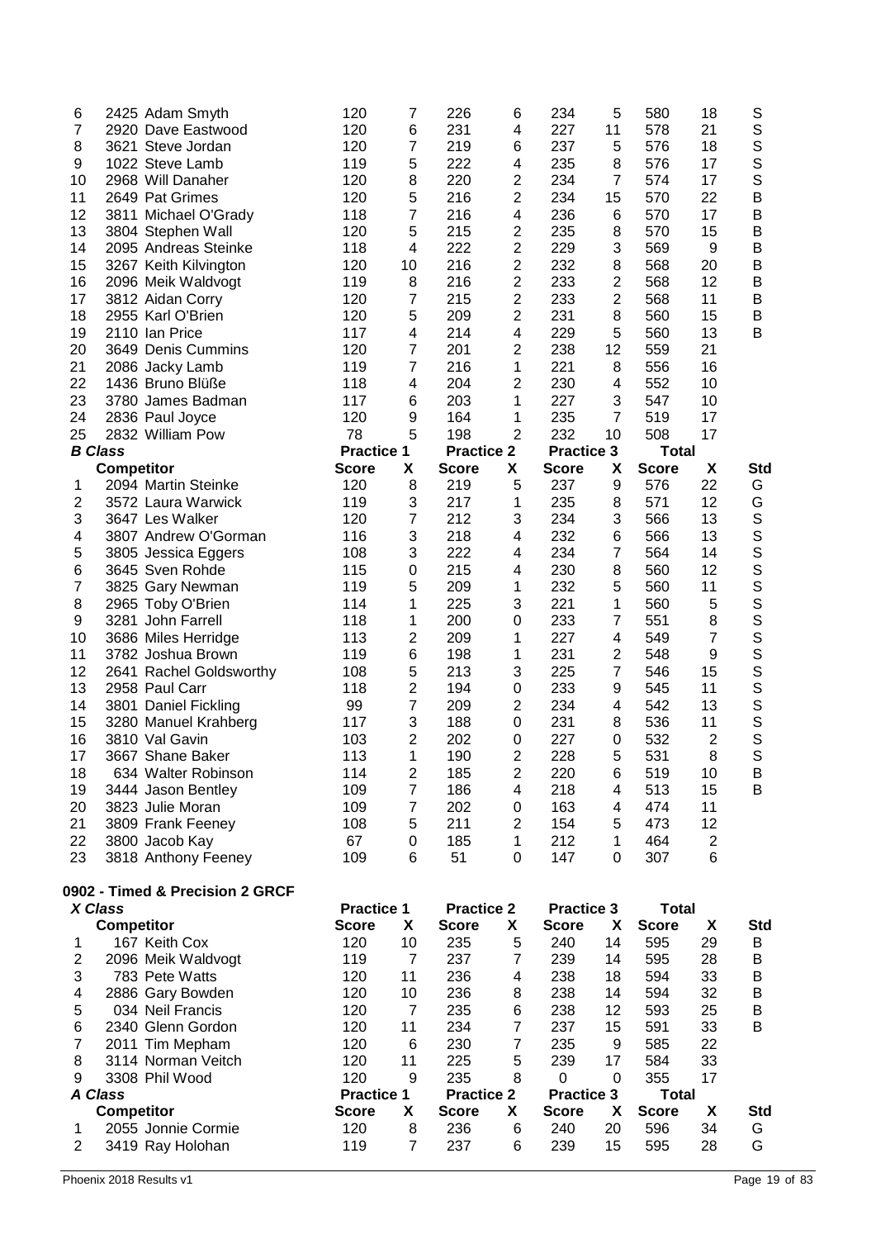| X Class        | $R$ amnatitar                   |                   |                         | <b>Practice 2</b> | $\mathbf{v}$   | <b>Practice 3</b><br>$\overline{\phantom{a}}$ |                         | <b>Total</b> |                |             |
|----------------|---------------------------------|-------------------|-------------------------|-------------------|----------------|-----------------------------------------------|-------------------------|--------------|----------------|-------------|
|                | 0902 - Timed & Precision 2 GRCF | <b>Practice 1</b> |                         |                   |                |                                               |                         |              |                |             |
|                |                                 |                   |                         |                   |                |                                               |                         |              |                |             |
| 23             | 3818 Anthony Feeney             | 109               | 6                       | 51                | 0              | 147                                           | 0                       | 307          | 6              |             |
| 22             | 3800 Jacob Kay                  | 67                | 0                       | 185               | 1              | 212                                           | 1                       | 464          | $\overline{c}$ |             |
| 21             | 3809 Frank Feeney               | 108               | 5                       | 211               | 2              | 154                                           | 5                       | 473          | 12             |             |
| 20             | 3823 Julie Moran                | 109               | $\overline{7}$          | 202               | 0              | 163                                           | 4                       | 474          | 11             |             |
| 19             | 3444 Jason Bentley              | 109               | $\overline{7}$          | 186               | 4              | 218                                           | 4                       | 513          | 15             | B           |
| 18             | 634 Walter Robinson             | 114               | $\overline{c}$          | 185               | $\mathbf{2}$   | 220                                           | 6                       | 519          | 10             | B           |
| 17             | 3667 Shane Baker                | 113               | 1                       | 190               | 2              | 228                                           | 5                       | 531          | 8              | S           |
| 16             | 3810 Val Gavin                  | 103               | $\overline{2}$          | 202               | 0              | 227                                           | 0                       | 532          | $\overline{2}$ | S           |
| 15             | 3280 Manuel Krahberg            | 117               | 3                       | 188               | 0              | 231                                           | 8                       | 536          | 11             | S           |
| 14             | 3801 Daniel Fickling            | 99                | 7                       | 209               | 2              | 234                                           | 4                       | 542          | 13             | $\mathsf S$ |
| 13             | 2958 Paul Carr                  | 118               | $\overline{2}$          | 194               | 0              | 233                                           | 9                       | 545          | 11             | $\mathsf S$ |
| 12             | 2641 Rachel Goldsworthy         | 108               | 5                       | 213               | 3              | 225                                           | $\overline{7}$          | 546          | 15             | S           |
| 11             | 3782 Joshua Brown               | 119               | 6                       | 198               | 1              | 231                                           | $\overline{\mathbf{c}}$ | 548          | 9              | S           |
| 10             | 3686 Miles Herridge             | 113               | 2                       | 209               | 1              | 227                                           | 4                       | 549          | $\overline{7}$ | S           |
| 9              | 3281 John Farrell               | 118               | 1                       | 200               | 0              | 233                                           | 7                       | 551          | 8              | S           |
| 8              | 2965 Toby O'Brien               | 114               | 1                       | 225               | 3              | 221                                           | 1                       | 560          | 5              | S           |
| 7              | 3825 Gary Newman                | 119               | 5                       | 209               | 1              | 232                                           | 5                       | 560          | 11             | S           |
| 6              | 3645 Sven Rohde                 | 115               | 0                       | 215               | 4              | 230                                           | 8                       | 560          | 12             | S           |
| 5              | 3805 Jessica Eggers             | 108               | 3                       | 222               | 4              | 234                                           | $\overline{7}$          | 564          | 14             | $\mathbb S$ |
| 4              | 3807 Andrew O'Gorman            | 116               | 3                       | 218               | 4              | 232                                           | 6                       | 566          | 13             | $\mathsf S$ |
| 3              | 3647 Les Walker                 | 120               | 7                       | 212               | 3              | 234                                           | 3                       | 566          | 13             | $\mathbf S$ |
| $\overline{2}$ | 3572 Laura Warwick              | 119               | 3                       | 217               | 1              | 235                                           | 8                       | 571          | 12             | G           |
| 1              | 2094 Martin Steinke             | 120               | 8                       | 219               | 5              | 237                                           | 9                       | 576          | 22             | G           |
|                | <b>Competitor</b>               | <b>Score</b>      | X                       | <b>Score</b>      | X              | <b>Score</b>                                  | Х                       | <b>Score</b> | X              | Std         |
| <b>B</b> Class |                                 | <b>Practice 1</b> |                         | <b>Practice 2</b> |                | <b>Practice 3</b>                             |                         | <b>Total</b> |                |             |
| 25             | 2832 William Pow                | 78                | 5                       | 198               | 2              | 232                                           | 10                      | 508          | 17             |             |
| 24             | 2836 Paul Joyce                 | 120               | 9                       | 164               | 1              | 235                                           | $\overline{7}$          | 519          | 17             |             |
| 23             | 3780 James Badman               | 117               | 6                       | 203               | 1              | 227                                           | 3                       | 547          | 10             |             |
| 22             | 1436 Bruno Blüße                | 118               | 4                       | 204               | 2              | 230                                           | 4                       | 552          | 10             |             |
| 21             | 2086 Jacky Lamb                 | 119               | $\overline{7}$          | 216               | 1              | 221                                           | 8                       | 556          | 16             |             |
| 20             | 3649 Denis Cummins              | 120               | $\overline{7}$          | 201               | 2              | 238                                           | 12                      | 559          | 21             |             |
| 19             | 2110 Ian Price                  | 117               | $\overline{\mathbf{4}}$ | 214               | 4              | 229                                           | 5                       | 560          | 13             | B           |
| 18             | 2955 Karl O'Brien               | 120               | 5                       | 209               | 2              | 231                                           | 8                       | 560          | 15             | B           |
| 17             | 3812 Aidan Corry                | 120               | 7                       | 215               | 2              | 233                                           | 2                       | 568          | 11             | B           |
| 16             | 2096 Meik Waldvogt              | 119               | 8                       | 216               | $\mathbf{2}$   | 233                                           | $\overline{\mathbf{c}}$ | 568          | 12             | B           |
| 15             | 3267 Keith Kilvington           | 120               | 10                      | 216               | $\overline{c}$ | 232                                           | 8                       | 568          | 20             | B           |
| 14             | 2095 Andreas Steinke            | 118               | 4                       | 222               | $\overline{2}$ | 229                                           | 3                       | 569          | 9              | B           |
| 13             | 3804 Stephen Wall               | 120               | 5                       | 215               | 2              | 235                                           | 8                       | 570          | 15             | B           |
| 12             | 3811 Michael O'Grady            | 118               | 7                       | 216               | 4              | 236                                           | 6                       | 570          | 17             | B           |
| 11             | 2649 Pat Grimes                 | 120               | 5                       | 216               | 2              | 234                                           | 15                      | 570          | 22             | B           |
| 10             | 2968 Will Danaher               | 120               | 8                       | 220               | $\overline{c}$ | 234                                           | $\overline{7}$          | 574          | 17             | S           |
| 9              | 1022 Steve Lamb                 | 119               | 5                       | 222               | 4              | 235                                           | 8                       | 576          | 17             | S           |
| 8              | 3621 Steve Jordan               | 120               | $\overline{7}$          | 219               | 6              | 237                                           | 5                       | 576          | 18             | $\mathsf S$ |
| $\overline{7}$ | 2920 Dave Eastwood              | 120               | 6                       | 231               | 4              | 227                                           | 11                      | 578          | 21             | $\mathbb S$ |
| 6              | 2425 Adam Smyth                 | 120               | 7                       | 226               | 6              | 234                                           | 5                       | 580          | 18             | S           |
|                |                                 |                   |                         |                   |                |                                               |                         |              |                |             |

|                | л ыаээ             | Γιανιινσ          |    | Fiacuce Z         |   | гтасное э         |    | ι υιαι       |    |            |
|----------------|--------------------|-------------------|----|-------------------|---|-------------------|----|--------------|----|------------|
|                | <b>Competitor</b>  | <b>Score</b>      | X  | <b>Score</b>      | X | <b>Score</b>      | X  | <b>Score</b> | x  | <b>Std</b> |
|                | 167 Keith Cox      | 120               | 10 | 235               | 5 | 240               | 14 | 595          | 29 | В          |
| $\overline{2}$ | 2096 Meik Waldvogt | 119               | 7  | 237               | 7 | 239               | 14 | 595          | 28 | B          |
| 3              | 783 Pete Watts     | 120               | 11 | 236               | 4 | 238               | 18 | 594          | 33 | B          |
| 4              | 2886 Gary Bowden   | 120               | 10 | 236               | 8 | 238               | 14 | 594          | 32 | B          |
| 5              | 034 Neil Francis   | 120               | 7  | 235               | 6 | 238               | 12 | 593          | 25 | B          |
| 6              | 2340 Glenn Gordon  | 120               | 11 | 234               | 7 | 237               | 15 | 591          | 33 | B          |
|                | 2011 Tim Mepham    | 120               | 6  | 230               | 7 | 235               | 9  | 585          | 22 |            |
| 8              | 3114 Norman Veitch | 120               | 11 | 225               | 5 | 239               | 17 | 584          | 33 |            |
| 9              | 3308 Phil Wood     | 120               | 9  | 235               | 8 | 0                 | 0  | 355          | 17 |            |
|                | A Class            | <b>Practice 1</b> |    | <b>Practice 2</b> |   | <b>Practice 3</b> |    | Total        |    |            |
|                | <b>Competitor</b>  | Score             | X  | <b>Score</b>      | X | <b>Score</b>      | X  | <b>Score</b> | x  | <b>Std</b> |
|                | 2055 Jonnie Cormie | 120               | 8  | 236               | 6 | 240               | 20 | 596          | 34 | G          |
|                | 3419 Ray Holohan   | 119               | 7  | 237               | 6 | 239               | 15 | 595          | 28 | G          |
|                |                    |                   |    |                   |   |                   |    |              |    |            |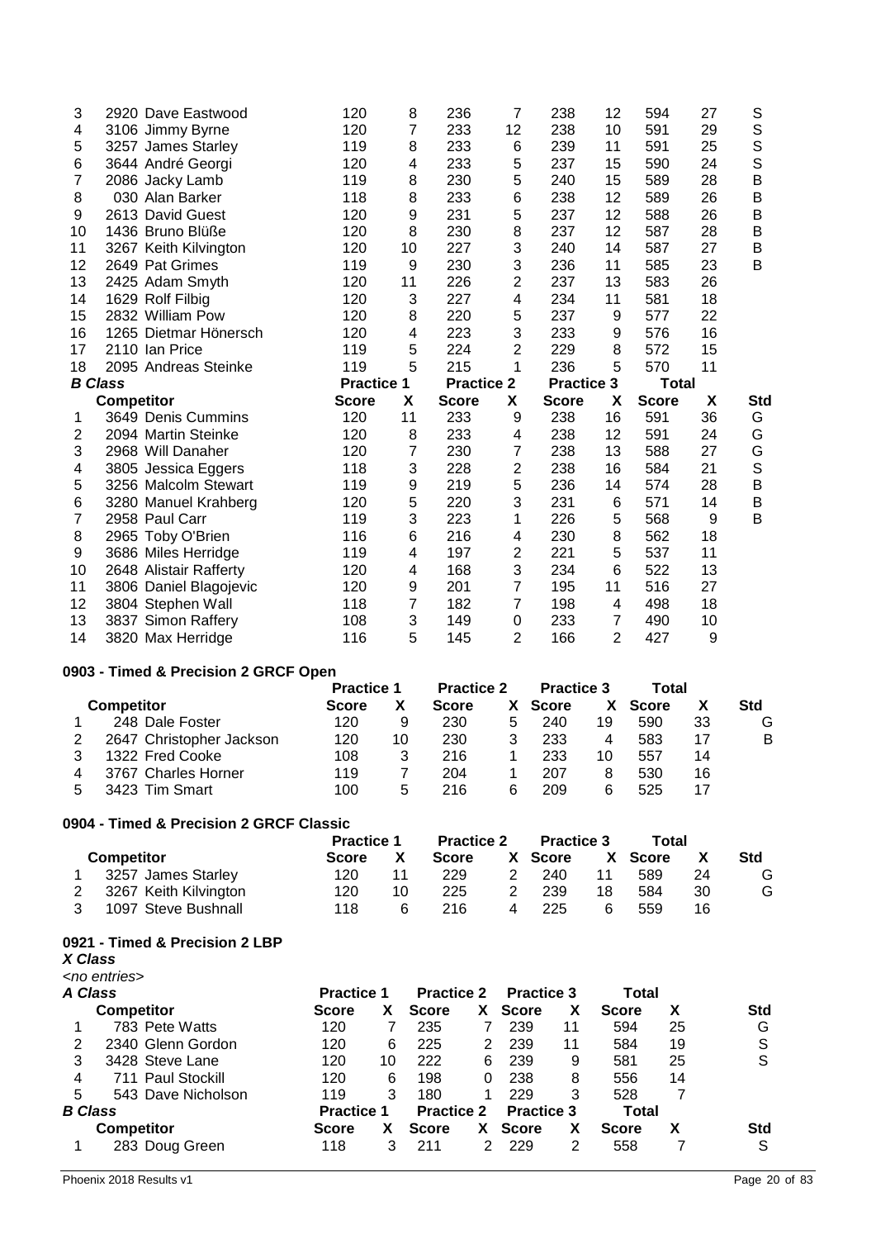| 3                       | 2920 Dave Eastwood                   | 120               | 8                  | 236               | 7              | 238               | 12             | 594          | 27 | S           |
|-------------------------|--------------------------------------|-------------------|--------------------|-------------------|----------------|-------------------|----------------|--------------|----|-------------|
| 4                       | 3106 Jimmy Byrne                     | 120               | $\overline{7}$     | 233               | 12             | 238               | 10             | 591          | 29 | $\mathbb S$ |
| 5                       | 3257 James Starley                   | 119               | 8                  | 233               | 6              | 239               | 11             | 591          | 25 | $\mathbb S$ |
| 6                       | 3644 André Georgi                    | 120               | 4                  | 233               | 5              | 237               | 15             | 590          | 24 | S           |
| 7                       | 2086 Jacky Lamb                      | 119               | 8                  | 230               | 5              | 240               | 15             | 589          | 28 | B           |
| 8                       | 030 Alan Barker                      | 118               | 8                  | 233               | 6              | 238               | 12             | 589          | 26 | B           |
| 9                       | 2613 David Guest                     | 120               | 9                  | 231               | 5              | 237               | 12             | 588          | 26 | $\sf B$     |
| 10                      | 1436 Bruno Blüße                     | 120               | 8                  | 230               | 8              | 237               | 12             | 587          | 28 | B           |
| 11                      | 3267 Keith Kilvington                | 120               | 10                 | 227               | 3              | 240               | 14             | 587          | 27 | B           |
| 12                      | 2649 Pat Grimes                      | 119               | 9                  | 230               | 3              | 236               | 11             | 585          | 23 | B           |
| 13                      | 2425 Adam Smyth                      | 120               | 11                 | 226               | $\overline{2}$ | 237               | 13             | 583          | 26 |             |
| 14                      | 1629 Rolf Filbig                     | 120               | 3                  | 227               | 4              | 234               | 11             | 581          | 18 |             |
| 15                      | 2832 William Pow                     | 120               | 8                  | 220               | 5              | 237               | 9              | 577          | 22 |             |
| 16                      | 1265 Dietmar Hönersch                | 120               | 4                  | 223               | 3              | 233               | 9              | 576          | 16 |             |
| 17                      | 2110 Ian Price                       | 119               | 5                  | 224               | $\overline{2}$ | 229               | 8              | 572          | 15 |             |
| 18                      | 2095 Andreas Steinke                 | 119               | 5                  | 215               | 1              | 236               | 5              | 570          | 11 |             |
|                         | <b>B</b> Class                       | <b>Practice 1</b> |                    | <b>Practice 2</b> |                | <b>Practice 3</b> |                | <b>Total</b> |    |             |
|                         | <b>Competitor</b>                    | <b>Score</b>      | X                  | <b>Score</b>      | X              | <b>Score</b>      | X              | <b>Score</b> | X  | <b>Std</b>  |
| 1                       | 3649 Denis Cummins                   | 120               | 11                 | 233               | 9              | 238               | 16             | 591          | 36 | G           |
| $\overline{\mathbf{c}}$ | 2094 Martin Steinke                  | 120               | 8                  | 233               | 4              | 238               | 12             | 591          | 24 | G           |
| 3                       | 2968 Will Danaher                    | 120               | 7                  | 230               | 7              | 238               | 13             | 588          | 27 | G           |
| 4                       | 3805 Jessica Eggers                  | 118               | 3                  | 228               | $\overline{2}$ | 238               | 16             | 584          | 21 | S           |
| 5                       | 3256 Malcolm Stewart                 | 119               | $\boldsymbol{9}$   | 219               | 5              | 236               | 14             | 574          | 28 | B           |
| 6                       | 3280 Manuel Krahberg                 | 120               | 5                  | 220               | 3              | 231               | 6              | 571          | 14 | $\sf B$     |
| $\overline{7}$          | 2958 Paul Carr                       | 119               | 3                  | 223               | 1              | 226               | 5              | 568          | 9  | B           |
| 8                       | 2965 Toby O'Brien                    | 116               | 6                  | 216               | 4              | 230               | 8              | 562          | 18 |             |
| 9                       | 3686 Miles Herridge                  | 119               | 4                  | 197               | 2              | 221               | 5              | 537          | 11 |             |
| 10                      | 2648 Alistair Rafferty               | 120               | 4                  | 168               | 3              | 234               | 6              | 522          | 13 |             |
| 11                      | 3806 Daniel Blagojevic               | 120               | $\boldsymbol{9}$   | 201               | $\overline{7}$ | 195               | 11             | 516          | 27 |             |
| 12                      | 3804 Stephen Wall                    | 118               | 7                  | 182               | $\overline{7}$ | 198               | 4              | 498          | 18 |             |
| 13                      | 3837 Simon Raffery                   | 108               | 3                  | 149               | $\mathbf 0$    | 233               | $\overline{7}$ | 490          | 10 |             |
| 14                      | 3820 Max Herridge                    | 116               | 5                  | 145               | $\overline{2}$ | 166               | $\overline{2}$ | 427          | 9  |             |
|                         | 0903 - Timed & Precision 2 GRCF Open |                   |                    |                   |                |                   |                |              |    |             |
|                         |                                      | <b>Practice 1</b> |                    | <b>Practice 2</b> |                | <b>Practice 3</b> |                | <b>Total</b> |    |             |
|                         | <b>Competitor</b>                    | <b>Score</b>      | $\pmb{\mathsf{X}}$ | <b>Score</b>      | X              | <b>Score</b>      | X              | <b>Score</b> | X  | <b>Std</b>  |
| 1                       | 248 Dale Foster                      | 120               | 9                  | 230               | 5              | 240               | 19             | 590          | 33 | G           |
| 2                       | 2647 Christopher Jackson             | 120               | 10                 | 230               | 3              | 233               | 4              | 583          | 17 | B           |
| 3                       | 1322 Fred Cooke                      | 108               | 3                  | 216               | 1              | 233               | 10             | 557          | 14 |             |
| 4                       | 3767 Charles Horner                  | 119               | $\overline{7}$     | 204               | 1              | 207               | 8              | 530          | 16 |             |
| 5                       | 3423 Tim Smart                       | 100               | 5                  | 216               | 6              | 209               | 6              | 525          | 17 |             |

## **0904 - Timed & Precision 2 GRCF Classic**

| <b>Competitor</b> |                       | <b>Practice 1</b> |    | <b>Practice 2</b> |  | <b>Practice 3</b> |    | Total   |    |     |
|-------------------|-----------------------|-------------------|----|-------------------|--|-------------------|----|---------|----|-----|
|                   |                       | <b>Score</b>      |    | <b>Score</b>      |  | X Score           |    | X Score |    | Std |
|                   | 3257 James Starley    | 120               |    | 229               |  | 240               | 11 | 589     | 24 | G   |
|                   | 3267 Keith Kilvington | 120               | 10 | 225               |  | 239               | 18 | 584     | 30 | G   |
|                   | 1097 Steve Bushnall   | 118               | 6  | 216               |  | 225               |    | 559     | 16 |     |

### **0921 - Timed & Precision 2 LBP**

*X Class*

| <no entries=""></no> |  |
|----------------------|--|
|----------------------|--|

|   | A Class            | <b>Practice 1</b> |    | <b>Practice 2</b> |    | <b>Practice 3</b> |    | Total        |    |            |
|---|--------------------|-------------------|----|-------------------|----|-------------------|----|--------------|----|------------|
|   | <b>Competitor</b>  | <b>Score</b>      | X  | <b>Score</b>      | X  | <b>Score</b>      | х  | <b>Score</b> | х  | <b>Std</b> |
|   | 783 Pete Watts     | 120               |    | 235               |    | 239               | 11 | 594          | 25 | G          |
| 2 | 2340 Glenn Gordon  | 120               | 6  | 225               | 2  | 239               | 11 | 584          | 19 | S          |
| 3 | 3428 Steve Lane    | 120               | 10 | 222               | 6  | 239               | 9  | 581          | 25 | S          |
| 4 | 711 Paul Stockill  | 120               | 6  | 198               | 0  | 238               | 8  | 556          | 14 |            |
| 5 | 543 Dave Nicholson | 119               | 3  | 180               |    | 229               | 3  | 528          |    |            |
|   | <b>B</b> Class     | <b>Practice 1</b> |    | <b>Practice 2</b> |    | <b>Practice 3</b> |    | Total        |    |            |
|   | <b>Competitor</b>  | <b>Score</b>      |    | <b>Score</b>      | X. | <b>Score</b>      | х  | <b>Score</b> |    | <b>Std</b> |
|   | 283 Doug Green     | 118               | 3  | 211               | 2  | 229               | 2  | 558          |    | S          |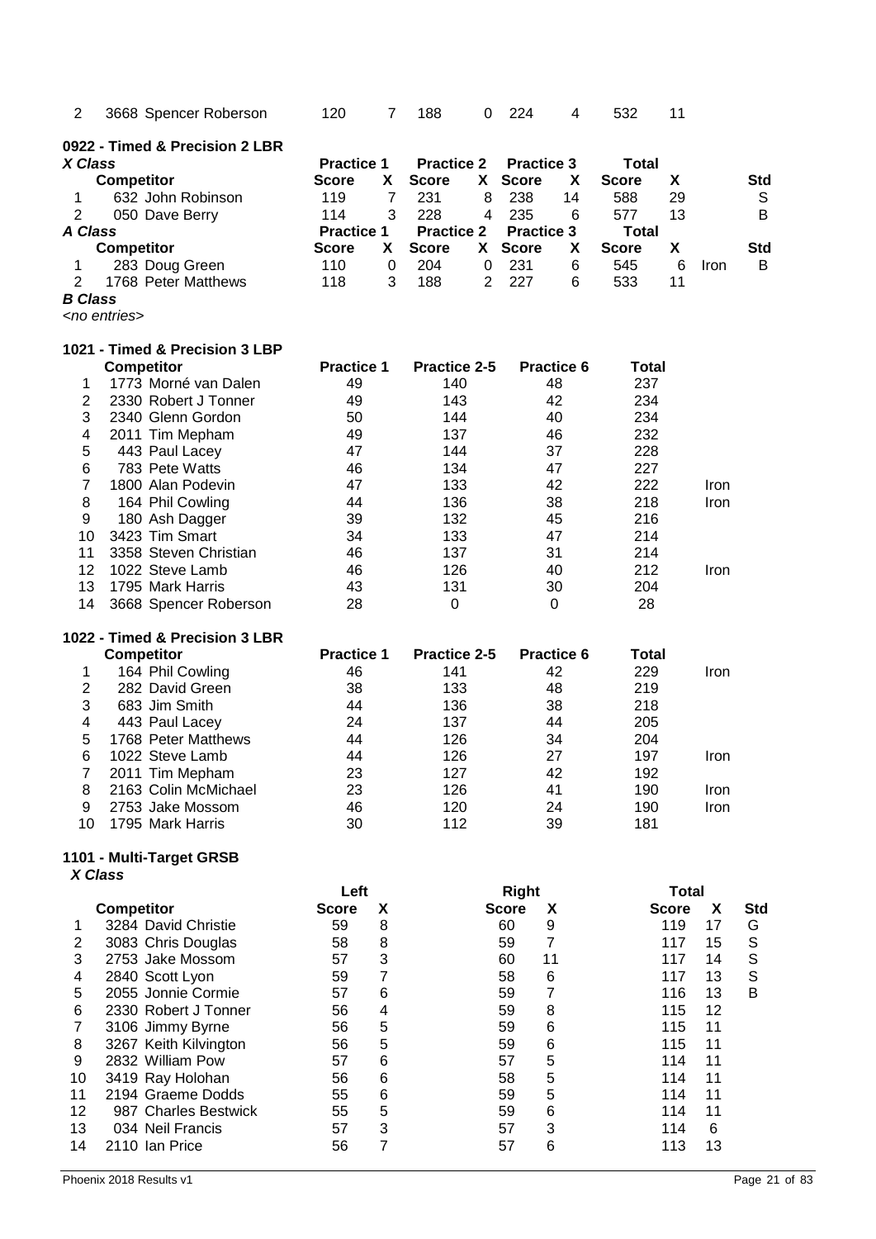| $\overline{2}$                   | 3668 Spencer Roberson                | 120                  | $\overline{7}$ | 188                 | 0              | 224                               | 4  | 532          | 11                           |      |             |
|----------------------------------|--------------------------------------|----------------------|----------------|---------------------|----------------|-----------------------------------|----|--------------|------------------------------|------|-------------|
|                                  | 0922 - Timed & Precision 2 LBR       |                      |                |                     |                |                                   |    |              |                              |      |             |
| X Class                          |                                      | <b>Practice 1</b>    |                | <b>Practice 2</b>   |                | <b>Practice 3</b>                 |    | <b>Total</b> |                              |      |             |
|                                  | <b>Competitor</b>                    | <b>Score</b>         | X              | <b>Score</b>        | X.             | <b>Score</b>                      | X  | <b>Score</b> | Χ                            |      | Std         |
| 1                                | 632 John Robinson                    | 119                  | $\overline{7}$ | 231                 | 8              | 238                               | 14 | 588          | 29                           |      | S           |
| $\overline{2}$                   | 050 Dave Berry                       | 114                  | 3              | 228                 | 4              | 235                               | 6  | 577          | 13                           |      | B           |
| <b>A Class</b>                   |                                      | <b>Practice 1</b>    |                | <b>Practice 2</b>   |                | <b>Practice 3</b>                 |    | <b>Total</b> |                              |      |             |
|                                  | <b>Competitor</b>                    | <b>Score</b>         | X              | <b>Score</b>        | X.             | <b>Score</b>                      | X  | <b>Score</b> | X                            |      | <b>Std</b>  |
| 1                                | 283 Doug Green                       | 110                  | 0              | 204                 | 0              | 231                               | 6  | 545          | 6                            | Iron | В           |
| $\overline{2}$<br><b>B</b> Class | 1768 Peter Matthews                  | 118                  | 3              | 188                 | $\overline{2}$ | 227                               | 6  | 533          | 11                           |      |             |
|                                  | <no entries=""></no>                 |                      |                |                     |                |                                   |    |              |                              |      |             |
|                                  |                                      |                      |                |                     |                |                                   |    |              |                              |      |             |
|                                  | 1021 - Timed & Precision 3 LBP       |                      |                |                     |                |                                   |    |              |                              |      |             |
|                                  | <b>Competitor</b>                    | <b>Practice 1</b>    |                | <b>Practice 2-5</b> |                | <b>Practice 6</b>                 |    | Total        |                              |      |             |
| 1                                | 1773 Morné van Dalen                 | 49                   |                | 140                 |                | 48                                |    | 237          |                              |      |             |
| $\overline{2}$                   | 2330 Robert J Tonner                 | 49                   |                | 143<br>144          |                | 42<br>40                          |    | 234<br>234   |                              |      |             |
| 3<br>4                           | 2340 Glenn Gordon<br>2011 Tim Mepham | 50<br>49             |                | 137                 |                | 46                                |    | 232          |                              |      |             |
| 5                                | 443 Paul Lacey                       | 47                   |                | 144                 |                | 37                                |    | 228          |                              |      |             |
| 6                                | 783 Pete Watts                       | 46                   |                | 134                 |                | 47                                |    | 227          |                              |      |             |
| $\overline{7}$                   | 1800 Alan Podevin                    | 47                   |                | 133                 |                | 42                                |    | 222          |                              | Iron |             |
| 8                                | 164 Phil Cowling                     | 44                   |                | 136                 |                | 38                                |    | 218          |                              | Iron |             |
| 9                                | 180 Ash Dagger                       | 39                   |                | 132                 |                | 45                                |    | 216          |                              |      |             |
| 10                               | 3423 Tim Smart                       | 34                   |                | 133                 |                | 47                                |    | 214          |                              |      |             |
| 11                               | 3358 Steven Christian                | 46                   |                | 137                 |                | 31                                |    | 214          |                              |      |             |
| 12                               | 1022 Steve Lamb                      | 46                   |                | 126                 |                | 40                                |    | 212          |                              | Iron |             |
| 13                               | 1795 Mark Harris                     | 43                   |                | 131                 |                | 30                                |    | 204          |                              |      |             |
| 14                               | 3668 Spencer Roberson                | 28                   |                | 0                   |                | $\Omega$                          |    | 28           |                              |      |             |
|                                  | 1022 - Timed & Precision 3 LBR       |                      |                |                     |                |                                   |    |              |                              |      |             |
|                                  | <b>Competitor</b>                    | <b>Practice 1</b>    |                | <b>Practice 2-5</b> |                | <b>Practice 6</b>                 |    | <b>Total</b> |                              |      |             |
| 1                                | 164 Phil Cowling                     | 46                   |                | 141                 |                | 42                                |    | 229          |                              | Iron |             |
| $\boldsymbol{2}$                 | 282 David Green                      | 38                   |                | 133                 |                | 48                                |    | 219          |                              |      |             |
| 3                                | 683 Jim Smith                        | 44                   |                | 136                 |                | 38                                |    | 218          |                              |      |             |
| 4                                | 443 Paul Lacey                       | 24                   |                | 137                 |                | 44                                |    | 205          |                              |      |             |
| 5                                | 1768 Peter Matthews                  | 44                   |                | 126                 |                | 34                                |    | 204          |                              |      |             |
| 6                                | 1022 Steve Lamb                      | 44                   |                | 126                 |                | 27                                |    | 197          |                              | Iron |             |
| 7                                | 2011 Tim Mepham                      | 23                   |                | 127                 |                | 42                                |    | 192          |                              |      |             |
| 8                                | 2163 Colin McMichael                 | 23                   |                | 126                 |                | 41                                |    | 190          |                              | Iron |             |
| 9                                | 2753 Jake Mossom<br>1795 Mark Harris | 46                   |                | 120                 |                | 24                                |    | 190          |                              | Iron |             |
| 10                               |                                      | 30                   |                | 112                 |                | 39                                |    | 181          |                              |      |             |
|                                  | 1101 - Multi-Target GRSB             |                      |                |                     |                |                                   |    |              |                              |      |             |
| X Class                          |                                      |                      |                |                     |                |                                   |    |              |                              |      |             |
|                                  | <b>Competitor</b>                    | Left<br><b>Score</b> | X              |                     |                | <b>Right</b><br><b>Score</b><br>X |    |              | <b>Total</b><br><b>Score</b> | X    | <b>Std</b>  |
| 1                                | 3284 David Christie                  | 59                   | 8              |                     |                | 9<br>60                           |    |              | 119                          | 17   | G           |
| $\overline{c}$                   | 3083 Chris Douglas                   | 58                   | 8              |                     |                | $\overline{7}$<br>59              |    |              | 117                          | 15   | $\mathbb S$ |
| 3                                | 2753 Jake Mossom                     | 57                   | 3              |                     |                | 11<br>60                          |    |              | 117                          | 14   | S           |
| 4                                | 2840 Scott Lyon                      | 59                   | $\overline{7}$ |                     |                | 58<br>6                           |    |              | 117                          | 13   | $\mathbb S$ |
| 5                                | 2055 Jonnie Cormie                   | 57                   | 6              |                     |                | $\overline{7}$<br>59              |    |              | 116                          | 13   | B           |
| 6                                | 2330 Robert J Tonner                 | 56                   | 4              |                     |                | 8<br>59                           |    |              | 115                          | 12   |             |
| $\overline{7}$                   | 3106 Jimmy Byrne                     | 56                   | 5              |                     |                | 59<br>6                           |    |              | 115                          | 11   |             |
| 8                                | 3267 Keith Kilvington                | 56                   | 5              |                     |                | 59<br>6                           |    |              | 115                          | 11   |             |
| 9                                | 2832 William Pow                     | 57                   | 6              |                     |                | 5<br>57                           |    |              | 114                          | 11   |             |
| 10                               | 3419 Ray Holohan                     | 56                   | 6              |                     |                | 5<br>58                           |    |              | 114                          | 11   |             |
| 11                               | 2194 Graeme Dodds                    | 55                   | 6              |                     |                | 5<br>59                           |    |              | 114                          | 11   |             |
| 12                               | 987 Charles Bestwick                 | 55                   | 5              |                     |                | 6<br>59                           |    |              | 114                          | 11   |             |
| 13                               | 034 Neil Francis                     | 57                   | 3              |                     |                | 3<br>57                           |    |              | 114                          | 6    |             |
| 14                               | 2110 Ian Price                       | 56                   | $\overline{7}$ |                     |                | 57<br>6                           |    |              | 113                          | 13   |             |
|                                  |                                      |                      |                |                     |                |                                   |    |              |                              |      |             |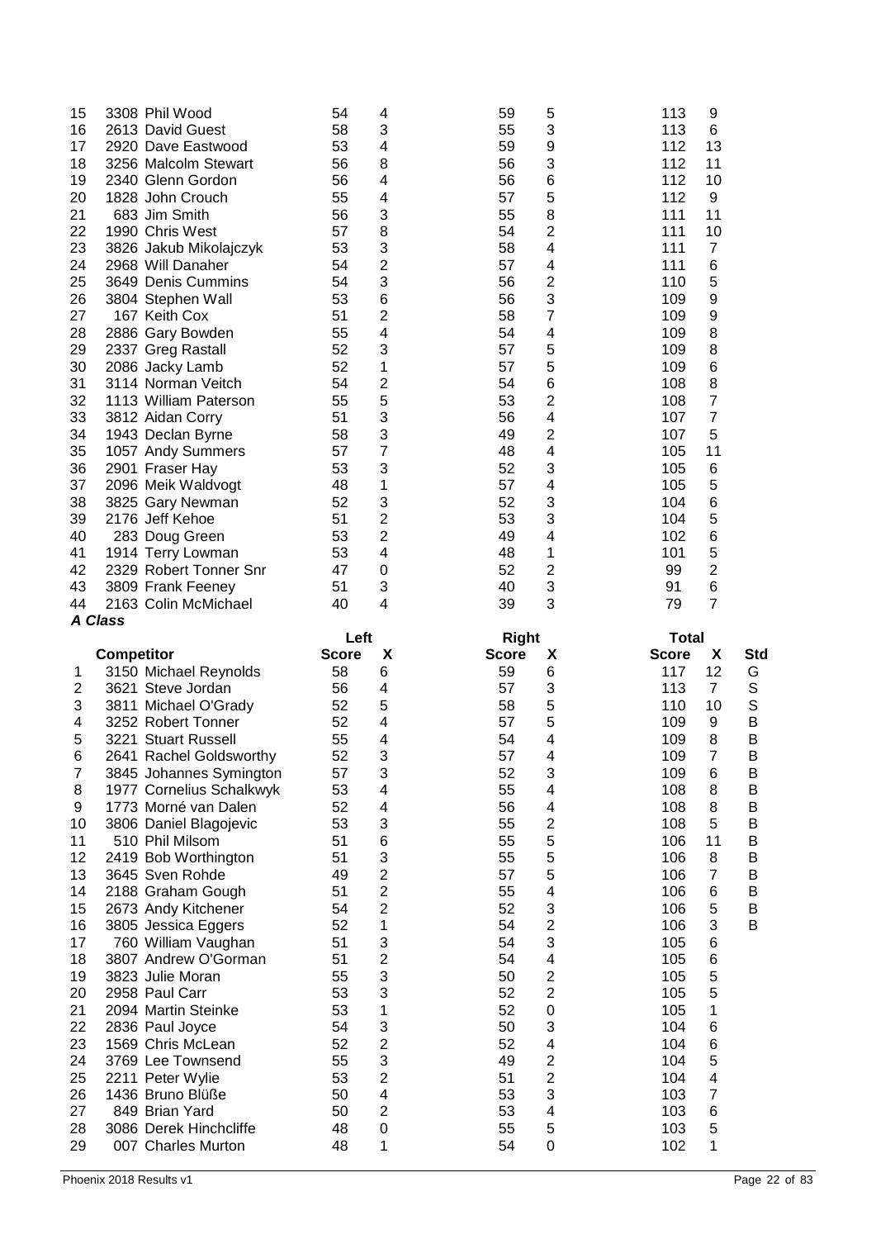| 15             |                   | 3308 Phil Wood                              | 54           | 4                       | 59           | 5                       | 113          | 9                   |     |
|----------------|-------------------|---------------------------------------------|--------------|-------------------------|--------------|-------------------------|--------------|---------------------|-----|
| 16             |                   | 2613 David Guest                            | 58           | 3                       | 55           | 3                       | 113          | 6                   |     |
| 17             |                   | 2920 Dave Eastwood                          | 53           | 4                       | 59           | 9                       | 112          | 13                  |     |
| 18             |                   | 3256 Malcolm Stewart                        | 56           | 8                       | 56           | 3                       | 112          | 11                  |     |
| 19             |                   | 2340 Glenn Gordon                           | 56           | 4                       | 56           | 6                       | 112          | 10                  |     |
| 20             |                   | 1828 John Crouch                            | 55           | 4                       | 57           | 5                       | 112          | 9                   |     |
| 21             |                   | 683 Jim Smith                               | 56           | 3                       | 55           | 8                       | 111          | 11                  |     |
| 22             |                   | 1990 Chris West                             | 57           | 8                       | 54           | 2                       | 111          | 10                  |     |
| 23             |                   | 3826 Jakub Mikolajczyk                      | 53           | 3                       | 58           | 4                       | 111          | $\overline{7}$      |     |
| 24             |                   | 2968 Will Danaher                           | 54           | 2                       | 57           | 4                       | 111          | 6                   |     |
| 25             |                   | 3649 Denis Cummins                          | 54           | 3                       | 56           | 2                       | 110          | 5                   |     |
| 26             |                   | 3804 Stephen Wall                           | 53           | 6                       | 56           | 3                       | 109          | $\boldsymbol{9}$    |     |
| 27             |                   | 167 Keith Cox                               | 51           | 2                       | 58           | 7                       | 109          | 9                   |     |
| 28             |                   | 2886 Gary Bowden                            | 55           | 4                       | 54           | 4                       | 109          | 8                   |     |
| 29             |                   | 2337 Greg Rastall                           | 52           | 3                       | 57           | 5                       | 109          | 8                   |     |
| 30             |                   | 2086 Jacky Lamb                             | 52           | 1                       | 57           | 5                       | 109          | 6                   |     |
| 31             |                   | 3114 Norman Veitch                          | 54           | 2                       | 54           | 6                       | 108          | 8                   |     |
| 32             |                   | 1113 William Paterson                       | 55           | 5                       | 53           | $\overline{c}$          | 108          | $\overline{7}$      |     |
| 33             |                   | 3812 Aidan Corry                            | 51           | 3                       | 56           | 4                       | 107          | $\overline{7}$      |     |
| 34             |                   | 1943 Declan Byrne                           | 58           | 3                       | 49           | 2                       | 107          | 5                   |     |
| 35             |                   | 1057 Andy Summers                           | 57           | 7                       | 48           | 4                       | 105          | 11                  |     |
| 36             |                   | 2901 Fraser Hay                             | 53           | 3                       | 52           | 3                       | 105          | 6                   |     |
| 37             |                   | 2096 Meik Waldvogt                          | 48           | 1                       | 57           | 4                       | 105          | 5                   |     |
| 38             |                   | 3825 Gary Newman                            | 52           | 3                       | 52           | 3                       | 104          | 6                   |     |
| 39             |                   | 2176 Jeff Kehoe                             | 51           | $\overline{c}$          | 53           | 3                       | 104          | 5                   |     |
| 40             |                   |                                             | 53           | $\overline{c}$          | 49           | 4                       | 102          | 6                   |     |
| 41             |                   | 283 Doug Green                              | 53           | 4                       | 48           | 1                       | 101          | 5                   |     |
|                |                   | 1914 Terry Lowman<br>2329 Robert Tonner Snr |              | 0                       | 52           |                         |              | $\overline{c}$      |     |
| 42             |                   |                                             | 47           |                         |              | 2                       | 99           |                     |     |
| 43             |                   | 3809 Frank Feeney                           | 51           | 3                       | 40           | 3                       | 91           | 6<br>$\overline{7}$ |     |
| 44             | <b>A Class</b>    | 2163 Colin McMichael                        | 40           | 4                       | 39           | 3                       | 79           |                     |     |
|                |                   |                                             |              |                         |              |                         |              |                     |     |
|                |                   |                                             |              |                         |              |                         |              |                     |     |
|                |                   |                                             | Left         |                         | <b>Right</b> |                         | <b>Total</b> |                     |     |
|                | <b>Competitor</b> |                                             | <b>Score</b> | X                       | <b>Score</b> | X                       | <b>Score</b> | X                   | Std |
| 1              |                   | 3150 Michael Reynolds                       | 58           | 6                       | 59           | 6                       | 117          | 12                  | G   |
| 2              |                   | 3621 Steve Jordan                           | 56           | 4                       | 57           | 3                       | 113          | $\overline{7}$      | S   |
| 3              |                   | 3811 Michael O'Grady                        | 52           | 5                       | 58           | 5                       | 110          | 10                  | S   |
| 4              |                   | 3252 Robert Tonner                          | 52           | 4                       | 57           | 5                       | 109          | 9                   | B   |
| 5              |                   | 3221 Stuart Russell                         | 55           | 4                       | 54           | 4                       | 109          | 8                   | B   |
| 6              |                   | 2641 Rachel Goldsworthy                     | 52           | 3                       | 57           | 4                       | 109          | $\overline{7}$      | B   |
| $\overline{7}$ |                   | 3845 Johannes Symington                     | 57           | 3                       | 52           | 3                       | 109          | 6                   | Β   |
| 8              |                   | 1977 Cornelius Schalkwyk                    | 53           | 4                       | 55           | 4                       | 108          | 8                   | B   |
| 9              |                   | 1773 Morné van Dalen                        | 52           | 4                       | 56           | 4                       | 108          | 8                   | В   |
| 10             |                   | 3806 Daniel Blagojevic                      | 53           | 3                       | 55           | 2                       | 108          | 5                   | В   |
| 11             |                   | 510 Phil Milsom                             | 51           | 6                       | 55           | 5                       | 106          | 11                  | B   |
| 12             |                   | 2419 Bob Worthington                        | 51           | 3                       | 55           | 5                       | 106          | 8                   | В   |
| 13             |                   | 3645 Sven Rohde                             | 49           | $\overline{\mathbf{c}}$ | 57           | 5                       | 106          | $\overline{7}$      | Β   |
| 14             |                   | 2188 Graham Gough                           | 51           | 2                       | 55           | 4                       | 106          | 6                   | B   |
| 15             |                   | 2673 Andy Kitchener                         | 54           | $\overline{c}$          | 52           | 3                       | 106          | 5                   | B   |
| 16             |                   | 3805 Jessica Eggers                         | 52           | 1                       | 54           | $\overline{c}$          | 106          | 3                   | B   |
| 17             |                   | 760 William Vaughan                         | 51           | 3                       | 54           | 3                       | 105          | 6                   |     |
| 18             |                   | 3807 Andrew O'Gorman                        | 51           | $\overline{c}$          | 54           | 4                       | 105          | $\,6$               |     |
| 19             |                   | 3823 Julie Moran                            | 55           | 3                       | 50           | 2                       | 105          | 5                   |     |
| 20             |                   | 2958 Paul Carr                              | 53           | 3                       | 52           | 2                       | 105          | 5                   |     |
| 21             |                   | 2094 Martin Steinke                         | 53           | 1                       | 52           | $\mathbf 0$             | 105          | 1                   |     |
| 22             |                   | 2836 Paul Joyce                             | 54           | 3                       | 50           | 3                       | 104          | 6                   |     |
| 23             |                   | 1569 Chris McLean                           | 52           | $\overline{\mathbf{c}}$ | 52           | 4                       | 104          | 6                   |     |
| 24             |                   | 3769 Lee Townsend                           | 55           | 3                       | 49           | 2                       | 104          | 5                   |     |
| 25             |                   | 2211 Peter Wylie                            | 53           | $\overline{\mathbf{c}}$ | 51           | $\overline{\mathbf{c}}$ | 104          | 4                   |     |
| 26             |                   | 1436 Bruno Blüße                            | 50           | 4                       | 53           | 3                       | 103          | $\overline{7}$      |     |
| 27             |                   | 849 Brian Yard                              | 50           | $\overline{c}$          | 53           | $\overline{\mathbf{4}}$ | 103          | 6                   |     |
| 28             |                   | 3086 Derek Hinchcliffe                      | 48           | $\mathsf{O}\xspace$     | 55           | 5                       | 103          | 5                   |     |
| 29             |                   | 007 Charles Murton                          | 48           | 1                       | 54           | 0                       | 102          | 1                   |     |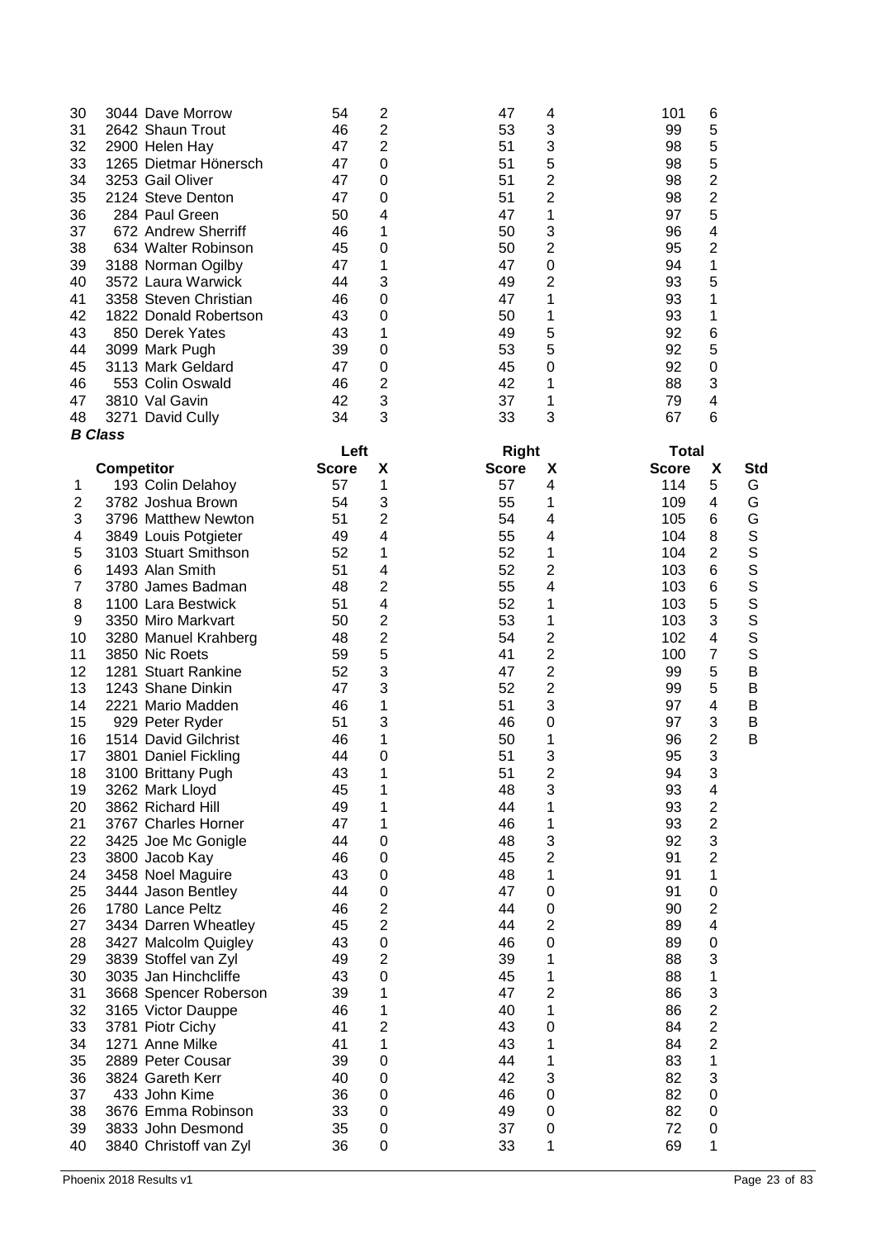| 30             | 3044 Dave Morrow       | 54           | $\overline{\mathbf{c}}$ | 47           | 4                       | 101          | 6                        |              |
|----------------|------------------------|--------------|-------------------------|--------------|-------------------------|--------------|--------------------------|--------------|
| 31             | 2642 Shaun Trout       | 46           | $\overline{\mathbf{c}}$ | 53           | 3                       | 99           | 5                        |              |
| 32             | 2900 Helen Hay         | 47           | $\overline{c}$          | 51           | 3                       | 98           | 5                        |              |
| 33             | 1265 Dietmar Hönersch  | 47           | $\mathbf 0$             | 51           | 5                       | 98           | 5                        |              |
| 34             | 3253 Gail Oliver       | 47           | $\mathbf 0$             | 51           | 2                       | 98           | $\overline{\mathbf{c}}$  |              |
| 35             | 2124 Steve Denton      | 47           | $\mathbf 0$             | 51           | 2                       | 98           | $\overline{c}$           |              |
| 36             | 284 Paul Green         | 50           | 4                       | 47           | 1                       | 97           | 5                        |              |
| 37             | 672 Andrew Sherriff    | 46           | 1                       | 50           | 3                       | 96           | 4                        |              |
| 38             | 634 Walter Robinson    | 45           | 0                       | 50           | 2                       | 95           | $\overline{c}$           |              |
| 39             | 3188 Norman Ogilby     | 47           | 1                       | 47           | 0                       | 94           | 1                        |              |
| 40             | 3572 Laura Warwick     | 44           | 3                       | 49           | $\overline{c}$          | 93           | 5                        |              |
| 41             | 3358 Steven Christian  | 46           | $\mathbf 0$             | 47           | 1                       | 93           | 1                        |              |
| 42             | 1822 Donald Robertson  | 43           | $\mathbf 0$             | 50           | 1                       | 93           | 1                        |              |
| 43             | 850 Derek Yates        | 43           | 1                       | 49           | 5                       | 92           | 6                        |              |
| 44             | 3099 Mark Pugh         | 39           | $\mathbf 0$             | 53           | 5                       | 92           | 5                        |              |
| 45             | 3113 Mark Geldard      | 47           | $\mathbf 0$             | 45           | 0                       | 92           | $\mathbf 0$              |              |
| 46             | 553 Colin Oswald       | 46           | 2                       | 42           | 1                       | 88           | 3                        |              |
| 47             | 3810 Val Gavin         | 42           | 3                       | 37           | 1                       | 79           | 4                        |              |
| 48             | 3271 David Cully       | 34           | 3                       | 33           | 3                       | 67           | 6                        |              |
|                | <b>B</b> Class         | Left         |                         | <b>Right</b> |                         | <b>Total</b> |                          |              |
|                | <b>Competitor</b>      | <b>Score</b> | X                       | <b>Score</b> | X                       | <b>Score</b> | X                        | <b>Std</b>   |
| 1              | 193 Colin Delahoy      | 57           | 1                       | 57           | 4                       | 114          | 5                        | G            |
| $\overline{c}$ | 3782 Joshua Brown      | 54           | 3                       | 55           | 1                       | 109          | 4                        | G            |
| 3              | 3796 Matthew Newton    | 51           | $\overline{\mathbf{c}}$ | 54           | 4                       | 105          | 6                        | G            |
| 4              | 3849 Louis Potgieter   | 49           | 4                       | 55           | 4                       | 104          | 8                        | $\mathsf{S}$ |
| 5              | 3103 Stuart Smithson   | 52           | 1                       | 52           | 1                       | 104          | $\overline{2}$           | S            |
| 6              | 1493 Alan Smith        | 51           | 4                       | 52           | 2                       | 103          | $\,6$                    | S            |
| 7              | 3780 James Badman      | 48           | 2                       | 55           | 4                       | 103          | 6                        | S            |
| 8              | 1100 Lara Bestwick     | 51           | 4                       | 52           | 1                       | 103          | 5                        | S            |
| 9              | 3350 Miro Markvart     | 50           | 2                       | 53           | 1                       | 103          | 3                        | S            |
| 10             | 3280 Manuel Krahberg   | 48           | $\overline{\mathbf{c}}$ | 54           | 2                       | 102          | 4                        | $\mathsf{S}$ |
| 11             | 3850 Nic Roets         | 59           | 5                       | 41           | 2                       | 100          | $\overline{7}$           | $\mathsf{S}$ |
| 12             | 1281 Stuart Rankine    | 52           | 3                       | 47           | 2                       | 99           | 5                        | B            |
| 13             | 1243 Shane Dinkin      | 47           | 3                       | 52           | 2                       | 99           | 5                        | B            |
| 14             | 2221 Mario Madden      | 46           | 1                       | 51           | 3                       | 97           | 4                        | B            |
| 15             | 929 Peter Ryder        | 51           | 3                       | 46           | 0                       | 97           | 3                        | В            |
| 16             | 1514 David Gilchrist   | 46           | 1                       | 50           | 1                       | 96           | $\overline{2}$           | В            |
| 17             | 3801 Daniel Fickling   | 44           | $\mathbf 0$             | 51           | 3                       | 95           | 3                        |              |
| 18             | 3100 Brittany Pugh     | 43           | 1                       | 51           | $\overline{\mathbf{c}}$ | 94           | 3                        |              |
| 19             | 3262 Mark Lloyd        | 45           | 1                       | 48           | 3                       | 93           | $\overline{\mathcal{A}}$ |              |
| 20             | 3862 Richard Hill      | 49           | 1                       | 44           | 1                       | 93           | $\overline{c}$           |              |
| 21             | 3767 Charles Horner    | 47           | 1                       | 46           | 1                       | 93           | $\overline{c}$           |              |
| 22             | 3425 Joe Mc Gonigle    | 44           | 0                       | 48           | 3                       | 92           | 3                        |              |
| 23             | 3800 Jacob Kay         | 46           | $\mathbf 0$             | 45           | $\overline{2}$          | 91           | $\overline{2}$           |              |
| 24             | 3458 Noel Maguire      | 43           | $\mathbf 0$             | 48           | 1                       | 91           | 1                        |              |
| 25             | 3444 Jason Bentley     | 44           | $\mathbf 0$             | 47           | 0                       | 91           | $\boldsymbol{0}$         |              |
| 26             | 1780 Lance Peltz       | 46           | $\overline{2}$          | 44           | $\mathbf 0$             | 90           | $\overline{2}$           |              |
| 27             | 3434 Darren Wheatley   | 45           | $\overline{c}$          | 44           | $\overline{2}$          | 89           | 4                        |              |
| 28             | 3427 Malcolm Quigley   | 43           | $\pmb{0}$               | 46           | $\mathbf 0$             | 89           | $\boldsymbol{0}$         |              |
| 29             | 3839 Stoffel van Zyl   | 49           | $\overline{c}$          | 39           | 1                       | 88           | 3                        |              |
| 30             | 3035 Jan Hinchcliffe   | 43           | $\mathbf 0$             | 45           | 1                       | 88           | 1                        |              |
| 31             | 3668 Spencer Roberson  | 39           | 1                       | 47           | 2                       | 86           | 3                        |              |
| 32             | 3165 Victor Dauppe     | 46           | 1                       | 40           | 1                       | 86           | $\overline{\mathbf{c}}$  |              |
| 33             | 3781 Piotr Cichy       | 41           | 2                       | 43           | 0                       | 84           | $\overline{c}$           |              |
| 34             | 1271 Anne Milke        | 41           | 1                       | 43           | 1                       | 84           | $\overline{c}$           |              |
| 35             | 2889 Peter Cousar      | 39           | $\mathbf 0$             | 44           | 1                       | 83           | 1                        |              |
| 36             | 3824 Gareth Kerr       | 40           | 0                       | 42           | 3                       | 82           | 3                        |              |
| 37             | 433 John Kime          | 36           | $\mathbf 0$             | 46           | 0                       | 82           | $\boldsymbol{0}$         |              |
| 38             | 3676 Emma Robinson     | 33           | $\mathbf 0$             | 49           | 0                       | 82           | 0                        |              |
| 39             | 3833 John Desmond      | 35           | 0                       | 37           | $\pmb{0}$               | 72           | $\pmb{0}$                |              |
| 40             | 3840 Christoff van Zyl | 36           | $\mathbf 0$             | 33           | 1                       | 69           | 1                        |              |
|                |                        |              |                         |              |                         |              |                          |              |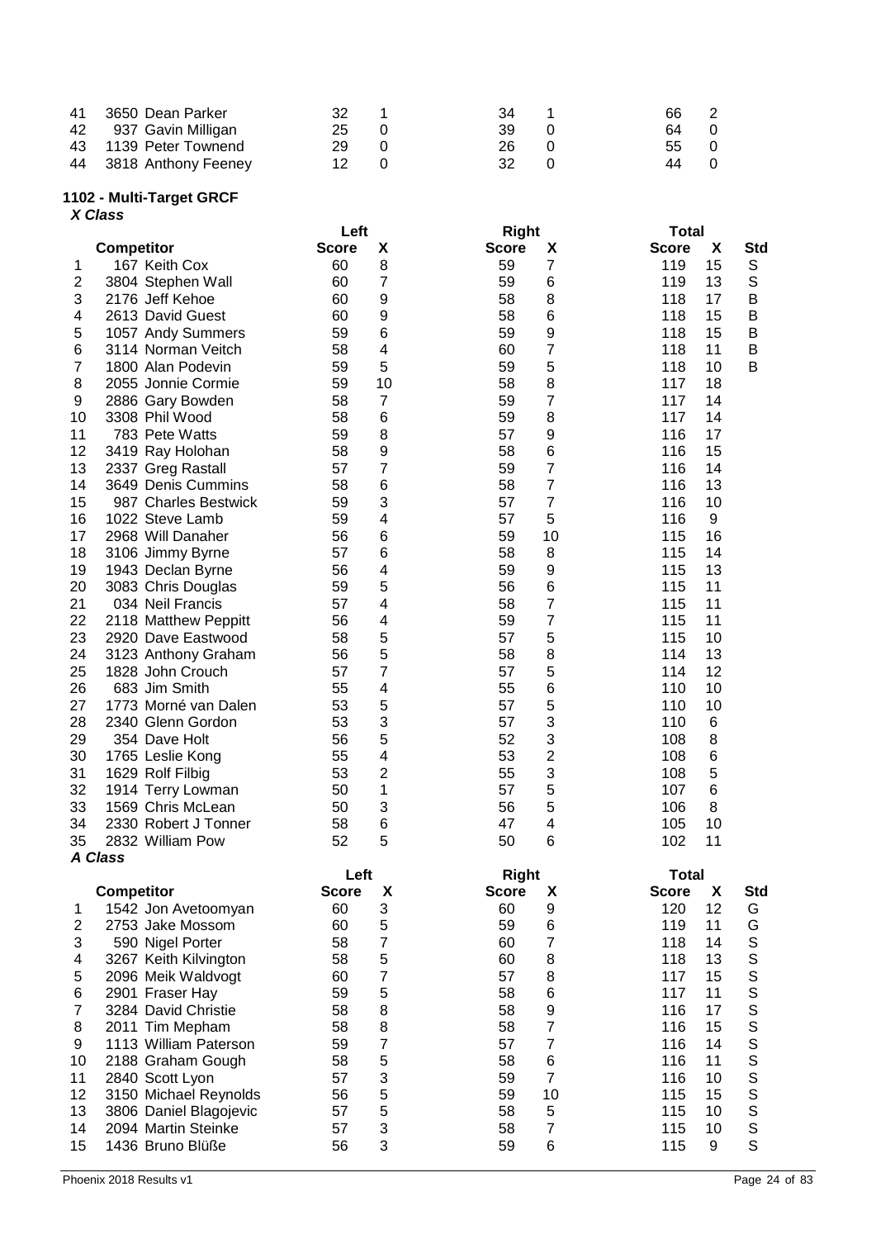| 41 3650 Dean Parker    | 32 | 34 | 66 2 |      |
|------------------------|----|----|------|------|
| 42 937 Gavin Milligan  | 25 | 39 | 64 0 |      |
| 43 1139 Peter Townend  | 29 | 26 | 55 0 |      |
| 44 3818 Anthony Feeney | 12 | 32 |      | 44 O |

## **- Multi -Target GRCF**

|                         | X Class                                 |              |                         |                           |                          |
|-------------------------|-----------------------------------------|--------------|-------------------------|---------------------------|--------------------------|
|                         |                                         | Left         |                         | <b>Right</b>              | <b>Total</b>             |
|                         | <b>Competitor</b>                       | <b>Score</b> | X                       | <b>Score</b><br>X         | <b>Score</b><br>X<br>Std |
| 1                       | 167 Keith Cox                           | 60           | 8                       | 7<br>59                   | S<br>119<br>15           |
| $\overline{\mathbf{c}}$ | 3804 Stephen Wall                       | 60           | 7                       | 59<br>6                   | $\mathbb S$<br>119<br>13 |
| 3                       | 2176 Jeff Kehoe                         | 60           | 9                       | 58<br>8                   | B<br>118<br>17           |
| 4                       | 2613 David Guest                        | 60           | 9                       | 6<br>58                   | 118<br>15<br>B<br>118    |
| 5                       | 1057 Andy Summers                       | 59           | 6                       | 9<br>59<br>$\overline{7}$ | 15<br>B                  |
| 6                       | 3114 Norman Veitch                      | 58           | 4<br>5                  | 60                        | 118<br>11<br>B<br>B      |
| 7                       | 1800 Alan Podevin                       | 59           |                         | 5<br>59                   | 118<br>10                |
| 8                       | 2055 Jonnie Cormie                      | 59           | 10                      | 8<br>58                   | 117<br>18                |
| 9                       | 2886 Gary Bowden                        | 58           | $\overline{7}$          | 7<br>59                   | 117<br>14                |
| 10                      | 3308 Phil Wood                          | 58           | 6                       | 8<br>59                   | 117<br>14                |
| 11                      | 783 Pete Watts                          | 59           | 8                       | 57<br>9                   | 116<br>17                |
| 12                      | 3419 Ray Holohan                        | 58           | 9<br>7                  | 6<br>58<br>7              | 116<br>15                |
| 13                      | 2337 Greg Rastall<br>3649 Denis Cummins | 57           |                         | 59<br>$\overline{7}$      | 116<br>14                |
| 14                      |                                         | 58           | 6                       | 58<br>$\overline{7}$      | 116<br>13                |
| 15                      | 987 Charles Bestwick                    | 59           | 3                       | 57                        | 116<br>10                |
| 16                      | 1022 Steve Lamb                         | 59           | 4                       | 5<br>57                   | 116<br>9                 |
| 17                      | 2968 Will Danaher                       | 56           | 6<br>6                  | 59<br>10<br>8             | 115<br>16                |
| 18                      | 3106 Jimmy Byrne                        | 57           |                         | 58                        | 115<br>14                |
| 19                      | 1943 Declan Byrne                       | 56           | 4                       | 9<br>59                   | 115<br>13                |
| 20                      | 3083 Chris Douglas                      | 59           | 5                       | 6<br>56                   | 115<br>11                |
| 21                      | 034 Neil Francis                        | 57           | 4                       | 7<br>58<br>7              | 115<br>11                |
| 22                      | 2118 Matthew Peppitt                    | 56           | 4                       | 59                        | 115<br>11                |
| 23<br>24                | 2920 Dave Eastwood                      | 58           | 5<br>5                  | 5<br>57<br>8              | 115<br>10<br>114<br>13   |
| 25                      | 3123 Anthony Graham<br>1828 John Crouch | 56<br>57     | 7                       | 58<br>57                  | 114<br>12                |
|                         | 683 Jim Smith                           | 55           | 4                       | 5                         | 110<br>10                |
| 26<br>27                | 1773 Morné van Dalen                    | 53           | 5                       | 6<br>55<br>5<br>57        | 110<br>10                |
| 28                      | 2340 Glenn Gordon                       | 53           | 3                       | 3<br>57                   | 110<br>6                 |
| 29                      |                                         | 56           | 5                       | 3<br>52                   | 8<br>108                 |
|                         | 354 Dave Holt                           | 55           | 4                       | $\overline{2}$<br>53      | 6<br>108                 |
| 30<br>31                | 1765 Leslie Kong<br>1629 Rolf Filbig    | 53           | 2                       | 3<br>55                   | 5<br>108                 |
| 32                      | 1914 Terry Lowman                       | 50           | 1                       | 5<br>57                   | 6<br>107                 |
| 33                      | 1569 Chris McLean                       | 50           | 3                       | 5<br>56                   | 106<br>8                 |
| 34                      | 2330 Robert J Tonner                    | 58           | 6                       | 47<br>4                   | 105<br>10                |
| 35                      | 2832 William Pow                        | 52           | 5                       | 6<br>50                   | 102<br>11                |
|                         | <b>A Class</b>                          |              |                         |                           |                          |
|                         |                                         | Left         |                         | <b>Right</b>              | <b>Total</b>             |
|                         | <b>Competitor</b>                       | <b>Score</b> | X                       | <b>Score</b><br>X         | <b>Score</b><br>X<br>Std |
| 1                       | 1542 Jon Avetoomyan                     | 60           | 3                       | 9<br>60                   | 12<br>120<br>G           |
| 2                       | 2753 Jake Mossom                        | 60           | 5                       | 59<br>6                   | G<br>119<br>11           |
| 3                       | 590 Nigel Porter                        | 58           | $\overline{7}$          | $\overline{7}$<br>60      | $\mathbb S$<br>118<br>14 |
| 4                       | 3267 Keith Kilvington                   | 58           | 5                       | 8<br>60                   | $\mathsf S$<br>118<br>13 |
| 5                       | 2096 Meik Waldvogt                      | 60           | $\overline{7}$          | 8<br>57                   | S<br>15<br>117           |
| 6                       | 2901 Fraser Hay                         | 59           | 5                       | 58<br>6                   | S<br>117<br>11           |
| $\overline{7}$          | 3284 David Christie                     | 58           | 8                       | 9<br>58                   | S<br>116<br>17           |
| 8                       | 2011 Tim Mepham                         | 58           | 8                       | $\overline{7}$<br>58      | S<br>116<br>15           |
| 9                       | 1113 William Paterson                   | 59           | $\overline{\mathbf{7}}$ | $\overline{7}$<br>57      | S<br>116<br>14           |
| 10                      | 2188 Graham Gough                       | 58           | 5                       | 6<br>58                   | S<br>116<br>11           |
| 11                      | 2840 Scott Lyon                         | 57           | 3                       | $\overline{7}$<br>59      | 116<br>10                |
| 12                      | 3150 Michael Reynolds                   | 56           | 5                       | 59<br>10                  | S<br>S<br>S<br>115<br>15 |
| 13                      | 3806 Daniel Blagojevic                  | 57           | 5                       | 5<br>58                   | 115<br>10                |
| 14                      | 2094 Martin Steinke                     | 57           | 3                       | $\overline{7}$<br>58      | $\mathbb S$<br>115<br>10 |
| 15                      | 1436 Bruno Blüße                        | 56           | 3                       | 59<br>6                   | $\mathsf{S}$<br>115<br>9 |
|                         |                                         |              |                         |                           |                          |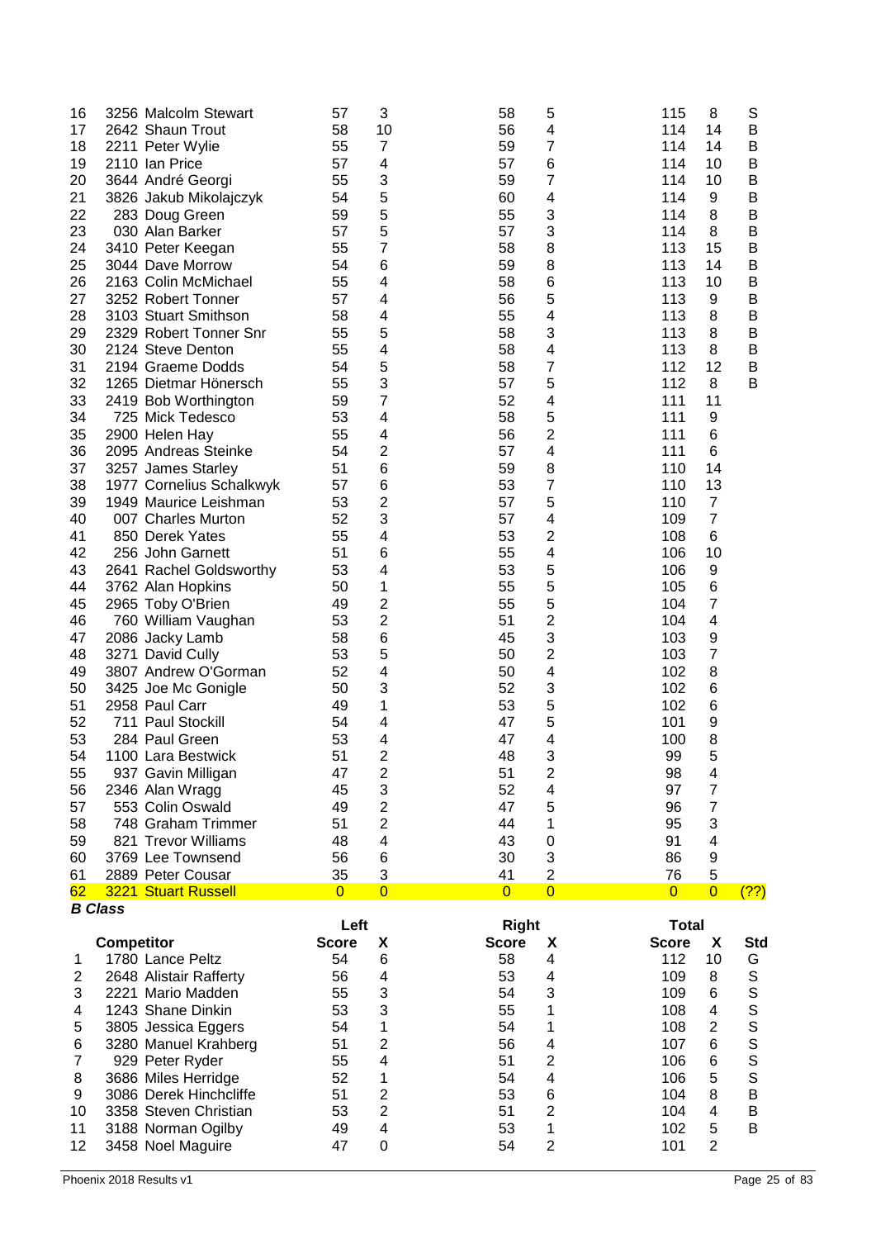| 17<br>18<br>19<br>20<br>21<br>22<br>23<br>24<br>25<br>26<br>27<br>28<br>29<br>30<br>31<br>32<br>33<br>34<br>35<br>36<br>37<br>38<br>39<br>40<br>41<br>42<br>43<br>44<br>45<br>46<br>47<br>48<br>49<br>50<br>51<br>52<br>53<br>54<br>55 | 3256 Malcolm Stewart<br>2642 Shaun Trout<br>2211 Peter Wylie<br>2110 Ian Price<br>3644 André Georgi<br>3826 Jakub Mikolajczyk<br>283 Doug Green<br>030 Alan Barker<br>3410 Peter Keegan<br>3044 Dave Morrow<br>2163 Colin McMichael<br>3252 Robert Tonner<br>3103 Stuart Smithson<br>2329 Robert Tonner Snr<br>2124 Steve Denton<br>2194 Graeme Dodds<br>1265 Dietmar Hönersch<br>2419 Bob Worthington<br>725 Mick Tedesco<br>2900 Helen Hay<br>2095 Andreas Steinke<br>3257 James Starley<br>1977 Cornelius Schalkwyk<br>1949 Maurice Leishman<br>007 Charles Murton<br>850 Derek Yates<br>256 John Garnett<br>2641 Rachel Goldsworthy<br>3762 Alan Hopkins<br>2965 Toby O'Brien<br>760 William Vaughan<br>2086 Jacky Lamb<br>3271 David Cully<br>3807 Andrew O'Gorman<br>3425 Joe Mc Gonigle<br>2958 Paul Carr<br>711 Paul Stockill<br>284 Paul Green<br>1100 Lara Bestwick<br>937 Gavin Milligan | 57<br>58<br>55<br>57<br>55<br>54<br>59<br>57<br>55<br>54<br>55<br>57<br>58<br>55<br>55<br>54<br>55<br>59<br>53<br>55<br>54<br>51<br>57<br>53<br>52<br>55<br>51<br>53<br>50<br>49<br>53<br>58<br>53<br>52<br>50<br>49<br>54<br>53<br>51<br>47 | 3<br>10<br>7<br>4<br>3<br>5<br>5<br>5<br>7<br>6<br>4<br>4<br>4<br>5<br>4<br>5<br>3<br>7<br>4<br>4<br>2<br>6<br>6<br>2<br>3<br>4<br>6<br>4<br>1<br>2<br>$\overline{c}$<br>6<br>5<br>4<br>3<br>1<br>4<br>4<br>$\overline{2}$<br>$\overline{\mathbf{c}}$ | 5<br>58<br>56<br>4<br>7<br>59<br>57<br>6<br>7<br>59<br>4<br>60<br>55<br>3<br>3<br>57<br>58<br>8<br>8<br>59<br>58<br>6<br>5<br>56<br>55<br>4<br>58<br>3<br>58<br>4<br>7<br>58<br>5<br>57<br>52<br>4<br>5<br>58<br>$\overline{c}$<br>56<br>57<br>4<br>59<br>8<br>7<br>53<br>5<br>57<br>57<br>4<br>53<br>$\overline{c}$<br>55<br>4<br>53<br>5<br>5<br>55<br>5<br>55<br>2<br>51<br>3<br>45<br>$\overline{c}$<br>50<br>50<br>4<br>52<br>3<br>5<br>53<br>5<br>47<br>47<br>4<br>3<br>48<br>51<br>$\overline{2}$ | 115<br>8<br>S<br>114<br>B<br>14<br>14<br>B<br>114<br>114<br>10<br>B<br>114<br>10<br>B<br>114<br>9<br>Β<br>B<br>114<br>8<br>B<br>114<br>8<br>15<br>113<br>Β<br>113<br>B<br>14<br>113<br>10<br>B<br>113<br>9<br>Β<br>113<br>8<br>B<br>113<br>8<br>B<br>113<br>8<br>Β<br>12<br>112<br>B<br>112<br>8<br>В<br>111<br>11<br>111<br>9<br>111<br>6<br>111<br>6<br>14<br>110<br>13<br>110<br>$\overline{7}$<br>110<br>$\overline{7}$<br>109<br>6<br>108<br>106<br>10<br>9<br>106<br>6<br>105<br>7<br>104<br>4<br>104<br>103<br>9<br>7<br>103<br>102<br>8<br>102<br>6<br>6<br>102<br>101<br>9<br>8<br>100<br>5<br>99<br>98<br>4 |
|----------------------------------------------------------------------------------------------------------------------------------------------------------------------------------------------------------------------------------------|-----------------------------------------------------------------------------------------------------------------------------------------------------------------------------------------------------------------------------------------------------------------------------------------------------------------------------------------------------------------------------------------------------------------------------------------------------------------------------------------------------------------------------------------------------------------------------------------------------------------------------------------------------------------------------------------------------------------------------------------------------------------------------------------------------------------------------------------------------------------------------------------------------|----------------------------------------------------------------------------------------------------------------------------------------------------------------------------------------------------------------------------------------------|-------------------------------------------------------------------------------------------------------------------------------------------------------------------------------------------------------------------------------------------------------|----------------------------------------------------------------------------------------------------------------------------------------------------------------------------------------------------------------------------------------------------------------------------------------------------------------------------------------------------------------------------------------------------------------------------------------------------------------------------------------------------------|-----------------------------------------------------------------------------------------------------------------------------------------------------------------------------------------------------------------------------------------------------------------------------------------------------------------------------------------------------------------------------------------------------------------------------------------------------------------------------------------------------------------------------------------------------------------------------------------------------------------------|
| 56<br>57<br>58                                                                                                                                                                                                                         | 2346 Alan Wragg<br>553 Colin Oswald<br>748 Graham Trimmer                                                                                                                                                                                                                                                                                                                                                                                                                                                                                                                                                                                                                                                                                                                                                                                                                                           | 45<br>49<br>51<br>48                                                                                                                                                                                                                         | 3<br>$\overline{\mathbf{c}}$<br>$\overline{2}$<br>4                                                                                                                                                                                                   | 52<br>4<br>47<br>5<br>44<br>1<br>43                                                                                                                                                                                                                                                                                                                                                                                                                                                                      | 7<br>97<br>$\overline{7}$<br>96<br>3<br>95<br>91<br>4                                                                                                                                                                                                                                                                                                                                                                                                                                                                                                                                                                 |
| 59<br>60                                                                                                                                                                                                                               | 821 Trevor Williams<br>3769 Lee Townsend                                                                                                                                                                                                                                                                                                                                                                                                                                                                                                                                                                                                                                                                                                                                                                                                                                                            | 56                                                                                                                                                                                                                                           | 6                                                                                                                                                                                                                                                     | 0<br>3<br>30                                                                                                                                                                                                                                                                                                                                                                                                                                                                                             | 9<br>86                                                                                                                                                                                                                                                                                                                                                                                                                                                                                                                                                                                                               |
| 61<br>62                                                                                                                                                                                                                               | 2889 Peter Cousar<br>3221 Stuart Russell                                                                                                                                                                                                                                                                                                                                                                                                                                                                                                                                                                                                                                                                                                                                                                                                                                                            | 35<br>$\overline{0}$                                                                                                                                                                                                                         | 3<br>$\overline{0}$                                                                                                                                                                                                                                   | $\overline{2}$<br>41<br>$\overline{0}$<br>$\overline{0}$                                                                                                                                                                                                                                                                                                                                                                                                                                                 | 5<br>76<br>$\overline{0}$<br>$\overline{0}$<br>(?)                                                                                                                                                                                                                                                                                                                                                                                                                                                                                                                                                                    |
| <b>B</b> Class                                                                                                                                                                                                                         |                                                                                                                                                                                                                                                                                                                                                                                                                                                                                                                                                                                                                                                                                                                                                                                                                                                                                                     |                                                                                                                                                                                                                                              |                                                                                                                                                                                                                                                       |                                                                                                                                                                                                                                                                                                                                                                                                                                                                                                          |                                                                                                                                                                                                                                                                                                                                                                                                                                                                                                                                                                                                                       |
|                                                                                                                                                                                                                                        | <b>Competitor</b>                                                                                                                                                                                                                                                                                                                                                                                                                                                                                                                                                                                                                                                                                                                                                                                                                                                                                   | Left<br><b>Score</b>                                                                                                                                                                                                                         | X                                                                                                                                                                                                                                                     | <b>Right</b><br><b>Score</b><br>X                                                                                                                                                                                                                                                                                                                                                                                                                                                                        | <b>Total</b><br><b>Score</b><br>X<br>Std                                                                                                                                                                                                                                                                                                                                                                                                                                                                                                                                                                              |
| 1                                                                                                                                                                                                                                      | 1780 Lance Peltz                                                                                                                                                                                                                                                                                                                                                                                                                                                                                                                                                                                                                                                                                                                                                                                                                                                                                    | 54                                                                                                                                                                                                                                           | 6                                                                                                                                                                                                                                                     | 58<br>4                                                                                                                                                                                                                                                                                                                                                                                                                                                                                                  | 112<br>10<br>G                                                                                                                                                                                                                                                                                                                                                                                                                                                                                                                                                                                                        |
| $\mathbf{2}$                                                                                                                                                                                                                           | 2648 Alistair Rafferty                                                                                                                                                                                                                                                                                                                                                                                                                                                                                                                                                                                                                                                                                                                                                                                                                                                                              | 56                                                                                                                                                                                                                                           | 4                                                                                                                                                                                                                                                     | 53<br>4                                                                                                                                                                                                                                                                                                                                                                                                                                                                                                  | S<br>109<br>8                                                                                                                                                                                                                                                                                                                                                                                                                                                                                                                                                                                                         |
| 3                                                                                                                                                                                                                                      | 2221 Mario Madden                                                                                                                                                                                                                                                                                                                                                                                                                                                                                                                                                                                                                                                                                                                                                                                                                                                                                   | 55                                                                                                                                                                                                                                           | 3                                                                                                                                                                                                                                                     | 3<br>54<br>1                                                                                                                                                                                                                                                                                                                                                                                                                                                                                             | S<br>109<br>6                                                                                                                                                                                                                                                                                                                                                                                                                                                                                                                                                                                                         |
| 4<br>5                                                                                                                                                                                                                                 | 1243 Shane Dinkin                                                                                                                                                                                                                                                                                                                                                                                                                                                                                                                                                                                                                                                                                                                                                                                                                                                                                   | 53<br>54                                                                                                                                                                                                                                     | 3<br>1                                                                                                                                                                                                                                                | 55<br>54<br>1                                                                                                                                                                                                                                                                                                                                                                                                                                                                                            | 108<br>4<br>$\overline{2}$<br>108                                                                                                                                                                                                                                                                                                                                                                                                                                                                                                                                                                                     |
| 6                                                                                                                                                                                                                                      | 3805 Jessica Eggers                                                                                                                                                                                                                                                                                                                                                                                                                                                                                                                                                                                                                                                                                                                                                                                                                                                                                 | 51                                                                                                                                                                                                                                           | 2                                                                                                                                                                                                                                                     | 56<br>4                                                                                                                                                                                                                                                                                                                                                                                                                                                                                                  | S<br>S<br>107<br>6                                                                                                                                                                                                                                                                                                                                                                                                                                                                                                                                                                                                    |
| 7                                                                                                                                                                                                                                      | 3280 Manuel Krahberg<br>929 Peter Ryder                                                                                                                                                                                                                                                                                                                                                                                                                                                                                                                                                                                                                                                                                                                                                                                                                                                             | 55                                                                                                                                                                                                                                           | 4                                                                                                                                                                                                                                                     | 2<br>51                                                                                                                                                                                                                                                                                                                                                                                                                                                                                                  | S<br>S<br>6<br>106                                                                                                                                                                                                                                                                                                                                                                                                                                                                                                                                                                                                    |
| 8                                                                                                                                                                                                                                      | 3686 Miles Herridge                                                                                                                                                                                                                                                                                                                                                                                                                                                                                                                                                                                                                                                                                                                                                                                                                                                                                 | 52                                                                                                                                                                                                                                           | 1                                                                                                                                                                                                                                                     | 54<br>4                                                                                                                                                                                                                                                                                                                                                                                                                                                                                                  | S<br>5<br>106                                                                                                                                                                                                                                                                                                                                                                                                                                                                                                                                                                                                         |
| 9                                                                                                                                                                                                                                      | 3086 Derek Hinchcliffe                                                                                                                                                                                                                                                                                                                                                                                                                                                                                                                                                                                                                                                                                                                                                                                                                                                                              | 51                                                                                                                                                                                                                                           | $\overline{\mathbf{c}}$                                                                                                                                                                                                                               | 53<br>6                                                                                                                                                                                                                                                                                                                                                                                                                                                                                                  | 8<br>$\sf B$<br>104                                                                                                                                                                                                                                                                                                                                                                                                                                                                                                                                                                                                   |
| 10                                                                                                                                                                                                                                     | 3358 Steven Christian                                                                                                                                                                                                                                                                                                                                                                                                                                                                                                                                                                                                                                                                                                                                                                                                                                                                               | 53                                                                                                                                                                                                                                           | $\overline{2}$                                                                                                                                                                                                                                        | 2<br>51                                                                                                                                                                                                                                                                                                                                                                                                                                                                                                  | $\overline{4}$<br>104<br>B                                                                                                                                                                                                                                                                                                                                                                                                                                                                                                                                                                                            |
| 11<br>12                                                                                                                                                                                                                               | 3188 Norman Ogilby<br>3458 Noel Maguire                                                                                                                                                                                                                                                                                                                                                                                                                                                                                                                                                                                                                                                                                                                                                                                                                                                             | 49<br>47                                                                                                                                                                                                                                     | $\overline{\mathbf{4}}$<br>0                                                                                                                                                                                                                          | 1<br>53<br>$\overline{c}$<br>54                                                                                                                                                                                                                                                                                                                                                                                                                                                                          | 5<br>B<br>102<br>$\overline{2}$<br>101                                                                                                                                                                                                                                                                                                                                                                                                                                                                                                                                                                                |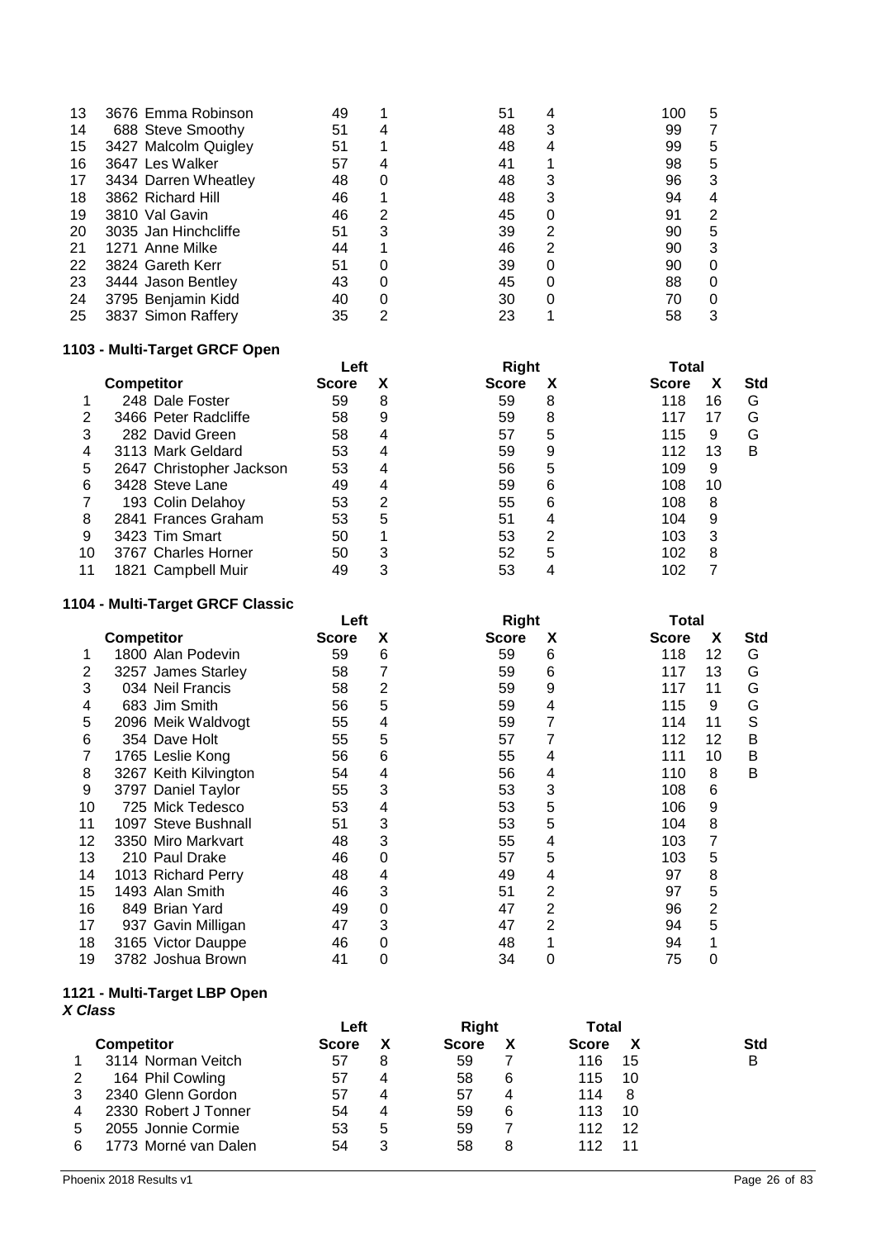| 13 | 3676 Emma Robinson   | 49 |   | 51 |   | 100 | 5 |
|----|----------------------|----|---|----|---|-----|---|
| 14 | 688 Steve Smoothy    | 51 |   | 48 | 3 | 99  |   |
| 15 | 3427 Malcolm Quigley | 51 |   | 48 |   | 99  | 5 |
| 16 | 3647 Les Walker      | 57 |   | 41 |   | 98  | 5 |
| 17 | 3434 Darren Wheatley | 48 |   | 48 | 3 | 96  | 3 |
| 18 | 3862 Richard Hill    | 46 |   | 48 | 3 | 94  |   |
| 19 | 3810 Val Gavin       | 46 |   | 45 |   | 91  |   |
| 20 | 3035 Jan Hinchcliffe | 51 | 3 | 39 | 2 | 90  | 5 |
| 21 | 1271 Anne Milke      | 44 |   | 46 |   | 90  |   |
| 22 | 3824 Gareth Kerr     | 51 |   | 39 |   | 90  |   |
| 23 | 3444 Jason Bentley   | 43 |   | 45 |   | 88  |   |
| 24 | 3795 Benjamin Kidd   | 40 |   | 30 |   | 70  |   |
| 25 | 3837 Simon Raffery   | 35 | っ | 23 |   | 58  | 3 |
|    |                      |    |   |    |   |     |   |

# **1103 - Multi-Target GRCF Open**

|    |                          | Left         |   | <b>Right</b> |   | Total        |    |            |
|----|--------------------------|--------------|---|--------------|---|--------------|----|------------|
|    | <b>Competitor</b>        | <b>Score</b> | х | <b>Score</b> |   | <b>Score</b> |    | <b>Std</b> |
|    | 248 Dale Foster          | 59           | 8 | 59           | 8 | 118          | 16 | G          |
| 2  | 3466 Peter Radcliffe     | 58           | 9 | 59           | 8 | 117          | 17 | G          |
| 3  | 282 David Green          | 58           |   | 57           | 5 | 115          | 9  | G          |
| 4  | 3113 Mark Geldard        | 53           |   | 59           | 9 | 112          | 13 | в          |
| 5  | 2647 Christopher Jackson | 53           | 4 | 56           | 5 | 109          | 9  |            |
| 6  | 3428 Steve Lane          | 49           |   | 59           | 6 | 108          | 10 |            |
|    | 193 Colin Delahoy        | 53           | 2 | 55           | 6 | 108          | 8  |            |
| 8  | 2841 Frances Graham      | 53           | 5 | 51           | 4 | 104          | 9  |            |
| 9  | 3423 Tim Smart           | 50           |   | 53           | 2 | 103          | 3  |            |
| 10 | 3767 Charles Horner      | 50           | 3 | 52           | 5 | 102          | 8  |            |
|    | 1821 Campbell Muir       | 49           | 3 | 53           |   | 102          |    |            |
|    |                          |              |   |              |   |              |    |            |

## **1104 - Multi-Target GRCF Classic**

|    |                       | Left         |   |              | <b>Right</b> |              | Total |            |  |
|----|-----------------------|--------------|---|--------------|--------------|--------------|-------|------------|--|
|    | <b>Competitor</b>     | <b>Score</b> | х | <b>Score</b> | X            | <b>Score</b> | X     | <b>Std</b> |  |
|    | 1800 Alan Podevin     | 59           | 6 | 59           | 6            | 118          | 12    | G          |  |
| 2  | 3257 James Starley    | 58           |   | 59           | 6            | 117          | 13    | G          |  |
| 3  | 034 Neil Francis      | 58           | 2 | 59           | 9            | 117          | 11    | G          |  |
| 4  | 683 Jim Smith         | 56           | 5 | 59           | 4            | 115          | 9     | G          |  |
| 5  | 2096 Meik Waldvogt    | 55           | 4 | 59           |              | 114          | 11    | S          |  |
| 6  | 354 Dave Holt         | 55           | 5 | 57           |              | 112          | 12    | в          |  |
|    | 1765 Leslie Kong      | 56           | 6 | 55           | 4            | 111          | 10    | в          |  |
| 8  | 3267 Keith Kilvington | 54           | 4 | 56           | 4            | 110          | 8     | в          |  |
| 9  | 3797 Daniel Taylor    | 55           | 3 | 53           | 3            | 108          | 6     |            |  |
| 10 | 725 Mick Tedesco      | 53           | 4 | 53           | 5            | 106          | 9     |            |  |
| 11 | 1097 Steve Bushnall   | 51           | 3 | 53           | 5            | 104          | 8     |            |  |
| 12 | 3350 Miro Markvart    | 48           | 3 | 55           | 4            | 103          | 7     |            |  |
| 13 | 210 Paul Drake        | 46           | 0 | 57           | 5            | 103          | 5     |            |  |
| 14 | 1013 Richard Perry    | 48           | 4 | 49           | 4            | 97           | 8     |            |  |
| 15 | 1493 Alan Smith       | 46           | 3 | 51           | 2            | 97           | 5     |            |  |
| 16 | 849 Brian Yard        | 49           | 0 | 47           |              | 96           | 2     |            |  |
| 17 | 937 Gavin Milligan    | 47           | 3 | 47           | 2            | 94           | 5     |            |  |
| 18 | 3165 Victor Dauppe    | 46           |   | 48           |              | 94           |       |            |  |
| 19 | 3782 Joshua Brown     | 41           | 0 | 34           | 0            | 75           | 0     |            |  |

#### **1121 - Multi-Target LBP Open** *X Class*

|   |                      | Left         |   | Right        |   | Total        |            |
|---|----------------------|--------------|---|--------------|---|--------------|------------|
|   | <b>Competitor</b>    | <b>Score</b> |   | <b>Score</b> |   | <b>Score</b> | <b>Std</b> |
|   | 3114 Norman Veitch   | 57           | 8 | 59           |   | 116<br>15    | B          |
|   | 164 Phil Cowling     | 57           | 4 | 58           | 6 | 115<br>10    |            |
|   | 2340 Glenn Gordon    | 57           | 4 | 57           | 4 | 114<br>8     |            |
|   | 2330 Robert J Tonner | 54           | 4 | 59           | 6 | 113<br>10    |            |
| 5 | 2055 Jonnie Cormie   | 53           | 5 | 59           |   | 12           |            |
| 6 | 1773 Morné van Dalen | 54           |   | 58           | 8 |              |            |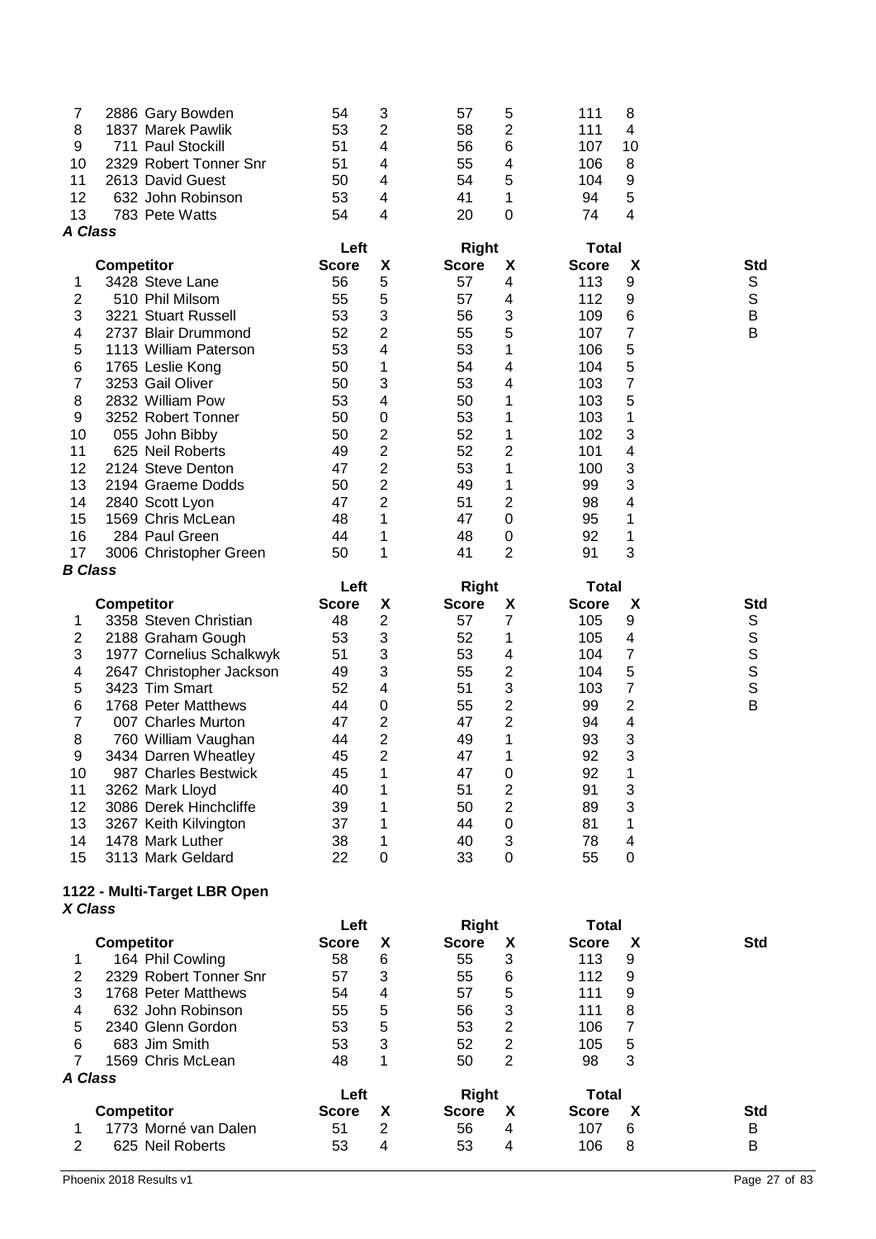| 7                   | 2886 Gary Bowden                            | 54                   | 3              | 57                           | 5                                | 111                          | 8                   |               |
|---------------------|---------------------------------------------|----------------------|----------------|------------------------------|----------------------------------|------------------------------|---------------------|---------------|
| 8                   | 1837 Marek Pawlik                           | 53                   | 2              | 58                           | 2                                | 111                          | 4                   |               |
| 9                   | 711 Paul Stockill                           | 51                   | 4              | 56                           | 6                                | 107                          | 10                  |               |
| 10                  | 2329 Robert Tonner Snr                      | 51                   | 4              | 55                           | 4                                | 106                          | 8                   |               |
| 11                  | 2613 David Guest                            | 50                   | 4              | 54                           | 5                                | 104                          | 9                   |               |
| 12                  | 632 John Robinson                           | 53                   | 4              | 41                           | 1                                | 94                           | 5                   |               |
| 13                  | 783 Pete Watts                              | 54                   | 4              | 20                           | 0                                | 74                           | 4                   |               |
| A Class             |                                             |                      |                |                              |                                  |                              |                     |               |
|                     | <b>Competitor</b>                           | Left<br><b>Score</b> | X              | <b>Right</b><br><b>Score</b> | X                                | <b>Total</b><br><b>Score</b> | X                   | Std           |
| 1                   | 3428 Steve Lane                             | 56                   | 5              | 57                           | 4                                | 113                          | 9                   | S             |
| 2                   | 510 Phil Milsom                             | 55                   | 5              | 57                           | 4                                | 112                          | 9                   | $\mathsf S$   |
| 3                   | 3221 Stuart Russell                         | 53                   | 3              | 56                           | 3                                | 109                          | 6                   | B             |
| 4                   | 2737 Blair Drummond                         | 52                   | 2              | 55                           | 5                                | 107                          | 7                   | B             |
| 5                   | 1113 William Paterson                       | 53                   | 4              | 53                           | 1                                | 106                          | 5                   |               |
| 6                   | 1765 Leslie Kong                            | 50                   | 1              | 54                           | 4                                | 104                          | 5                   |               |
| 7                   | 3253 Gail Oliver                            | 50                   | 3              | 53                           | 4                                | 103                          | 7                   |               |
| 8                   | 2832 William Pow                            | 53                   | 4              | 50                           | 1                                | 103                          | 5                   |               |
| 9                   | 3252 Robert Tonner                          | 50                   | 0              | 53                           | 1                                | 103                          | 1                   |               |
| 10                  | 055 John Bibby                              | 50                   | 2              | 52                           | 1                                | 102                          | 3                   |               |
| 11                  | 625 Neil Roberts                            | 49                   | 2              | 52                           | 2                                | 101                          | 4                   |               |
| 12                  | 2124 Steve Denton                           | 47                   | 2              | 53                           | 1                                | 100                          | 3                   |               |
| 13                  | 2194 Graeme Dodds                           | 50                   | $\overline{2}$ | 49                           | 1                                | 99                           | 3                   |               |
| 14                  | 2840 Scott Lyon                             | 47                   | 2              | 51                           | 2                                | 98                           | 4                   |               |
| 15                  | 1569 Chris McLean                           | 48                   | 1              | 47                           | $\boldsymbol{0}$                 | 95                           | 1                   |               |
| 16                  | 284 Paul Green                              | 44                   | 1              | 48                           | $\mathbf 0$                      | 92                           | 1                   |               |
| 17                  | 3006 Christopher Green                      | 50                   | 1              | 41                           | $\overline{2}$                   | 91                           | 3                   |               |
| <b>B</b> Class      |                                             |                      |                |                              |                                  |                              |                     |               |
|                     |                                             | Left                 |                | <b>Right</b>                 |                                  | <b>Total</b>                 |                     |               |
|                     | <b>Competitor</b>                           | <b>Score</b>         | X              | <b>Score</b>                 | X                                | <b>Score</b>                 | X                   | Std           |
| 1                   | 3358 Steven Christian                       | 48                   | 2              | 57                           | 7                                | 105                          | 9                   | S             |
| 2                   | 2188 Graham Gough                           | 53                   | 3              | 52                           | 1                                | 105                          | 4                   | $\mathbb S$   |
| 3                   | 1977 Cornelius Schalkwyk                    | 51                   | 3              | 53                           | 4                                | 104                          | 7                   | $\mathbb S$   |
| 4                   | 2647 Christopher Jackson                    | 49                   | 3              | 55                           | 2                                | 104                          | 5                   | S             |
| 5                   | 3423 Tim Smart                              | 52                   | 4              | 51                           | 3                                | 103                          | $\overline{7}$      | $\mathsf{s}$  |
| 6<br>$\overline{7}$ | 1768 Peter Matthews                         | 44<br>47             | 0<br>2         | 55<br>47                     | 2<br>2                           | 99<br>94                     | 2<br>4              | B             |
|                     | 007 Charles Murton                          | 44                   | 2              | 49                           | 1                                | 93                           | 3                   |               |
| 8<br>9              | 760 William Vaughan<br>3434 Darren Wheatley | 45                   | $\overline{2}$ | 47                           | 1                                | 92                           | 3                   |               |
| 10                  | 987 Charles Bestwick                        | 45                   | 1              | 47                           | 0                                | 92                           | 1                   |               |
| 11                  | 3262 Mark Lloyd                             | 40                   | 1              | 51                           | 2                                | 91                           | 3                   |               |
| 12                  | 3086 Derek Hinchcliffe                      | 39                   | 1              | 50                           | $\overline{c}$                   | 89                           | 3                   |               |
| 13                  | 3267 Keith Kilvington                       | 37                   | 1              | 44                           | 0                                | 81                           | 1                   |               |
| 14                  | 1478 Mark Luther                            | 38                   | 1              | 40                           | 3                                | 78                           | 4                   |               |
| 15                  | 3113 Mark Geldard                           | 22                   | 0              | 33                           | 0                                | 55                           | 0                   |               |
|                     |                                             |                      |                |                              |                                  |                              |                     |               |
|                     | 1122 - Multi-Target LBR Open                |                      |                |                              |                                  |                              |                     |               |
| X Class             |                                             |                      |                |                              |                                  |                              |                     |               |
|                     |                                             | Left                 |                | <b>Right</b>                 |                                  | <b>Total</b>                 |                     |               |
|                     | <b>Competitor</b>                           | <b>Score</b>         | X              | <b>Score</b>                 | X                                | <b>Score</b>                 | X                   | <b>Std</b>    |
| 1                   | 164 Phil Cowling                            | 58                   | 6              | 55                           | 3                                | 113                          | 9                   |               |
| 2                   | 2329 Robert Tonner Snr                      | 57                   | 3              | 55                           | 6                                | 112                          | 9                   |               |
| 3                   | 1768 Peter Matthews                         | 54                   | 4              | 57                           | 5                                | 111                          | 9                   |               |
| 4                   | 632 John Robinson                           | 55                   | 5              | 56                           | 3                                | 111                          | 8                   |               |
| 5                   | 2340 Glenn Gordon                           | 53<br>53             | 5<br>3         | 53<br>52                     | $\overline{c}$<br>$\overline{2}$ | 106                          | $\overline{7}$<br>5 |               |
| 6<br>$\overline{7}$ | 683 Jim Smith<br>1569 Chris McLean          | 48                   | 1              | 50                           | $\overline{2}$                   | 105<br>98                    | 3                   |               |
| A Class             |                                             |                      |                |                              |                                  |                              |                     |               |
|                     |                                             | Left                 |                | <b>Right</b>                 |                                  | <b>Total</b>                 |                     |               |
|                     | <b>Competitor</b>                           | <b>Score</b>         | X              | <b>Score</b>                 | X                                | <b>Score</b>                 | X                   | <b>Std</b>    |
| 1                   | 1773 Morné van Dalen                        | 51                   | $\overline{2}$ | 56                           | 4                                | 107                          | 6                   | B             |
| $\overline{2}$      | 625 Neil Roberts                            | 53                   | 4              | 53                           | 4                                | 106                          | 8                   | В             |
|                     |                                             |                      |                |                              |                                  |                              |                     |               |
|                     | Phoenix 2018 Results v1                     |                      |                |                              |                                  |                              |                     | Page 27 of 83 |

#### **- Multi -Target LBR Open** *X Class*

|         |                        | Left         |   |              | <b>Right</b> |              | Total |            |
|---------|------------------------|--------------|---|--------------|--------------|--------------|-------|------------|
|         | <b>Competitor</b>      | <b>Score</b> | Х | <b>Score</b> | X            | <b>Score</b> | X     | <b>Std</b> |
|         | 164 Phil Cowling       | 58           | 6 | 55           | 3            | 113          | 9     |            |
| 2       | 2329 Robert Tonner Snr | 57           | 3 | 55           | 6            | 112          | 9     |            |
| 3       | 1768 Peter Matthews    | 54           | 4 | 57           | 5            | 111          | 9     |            |
| 4       | 632 John Robinson      | 55           | 5 | 56           | 3            | 111          | 8     |            |
| 5       | 2340 Glenn Gordon      | 53           | 5 | 53           | 2            | 106          |       |            |
| 6       | 683 Jim Smith          | 53           | 3 | 52           | 2            | 105          | 5     |            |
|         | 1569 Chris McLean      | 48           |   | 50           | 2            | 98           | 3     |            |
| A Class |                        |              |   |              |              |              |       |            |
|         |                        | Left         |   | Right        |              | <b>Total</b> |       |            |
|         | <b>Competitor</b>      | <b>Score</b> | х | <b>Score</b> | X            | <b>Score</b> | X     | <b>Std</b> |
|         | 1773 Morné van Dalen   | 51           | 2 | 56           | 4            | 107          | 6     | B          |
| 2       | 625 Neil Roberts       | 53           | 4 | 53           | 4            | 106          | 8     | В          |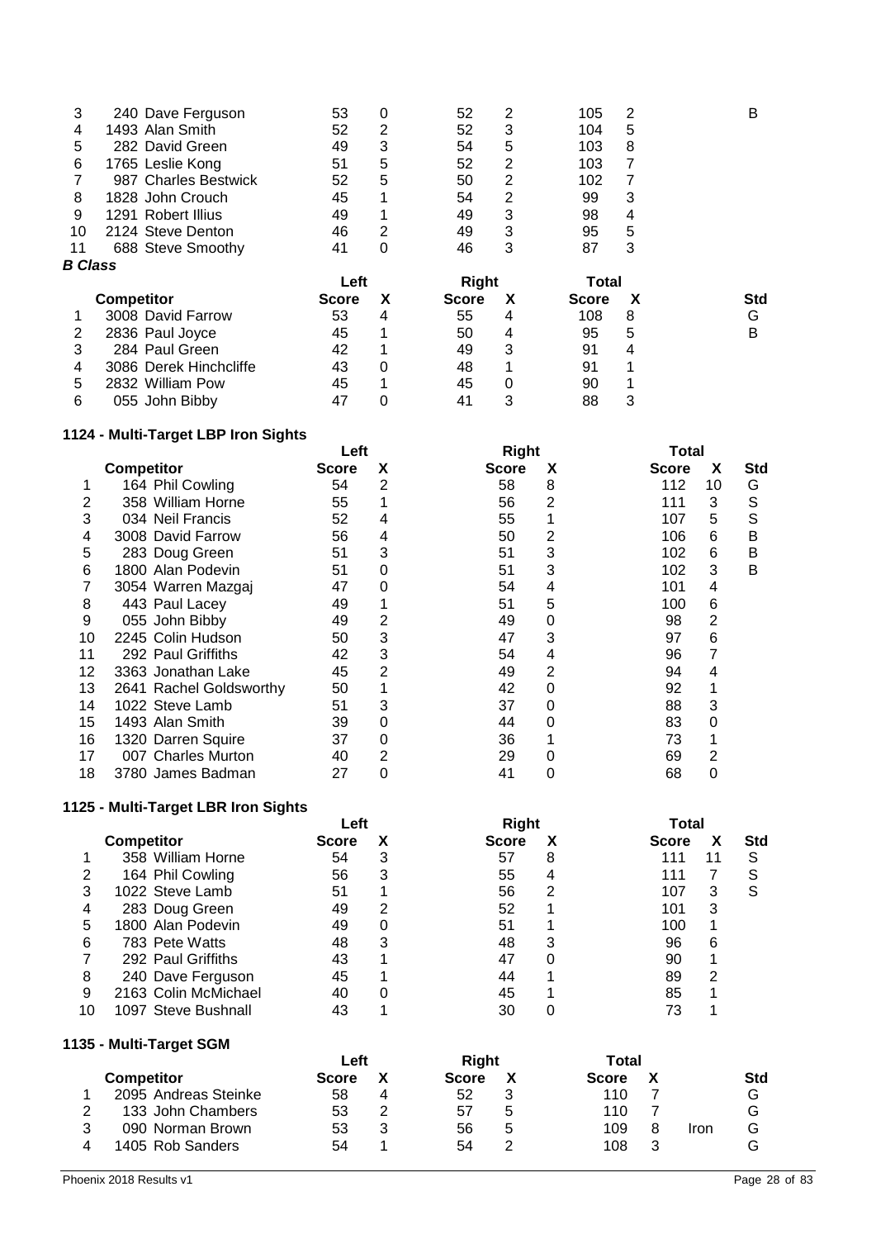| Std |
|-----|
| G   |
| в   |
|     |
|     |
|     |
|     |
|     |

## **1124 - Multi-Target LBP Iron Sights**

|    |                         | Left         |   |              | <b>Right</b> |              | Total |            |  |
|----|-------------------------|--------------|---|--------------|--------------|--------------|-------|------------|--|
|    | <b>Competitor</b>       | <b>Score</b> | х | <b>Score</b> | X            | <b>Score</b> | X     | <b>Std</b> |  |
|    | 164 Phil Cowling        | 54           | 2 | 58           | 8            | 112          | 10    | G          |  |
|    | 358 William Horne       | 55           |   | 56           | 2            | 111          | 3     | S          |  |
| 3  | 034 Neil Francis        | 52           | 4 | 55           |              | 107          | 5     | S          |  |
| 4  | 3008 David Farrow       | 56           | 4 | 50           | 2            | 106          | 6     | в          |  |
| 5  | 283 Doug Green          | 51           | 3 | 51           | 3            | 102          | 6     | в          |  |
| 6  | 1800 Alan Podevin       | 51           | 0 | 51           | 3            | 102          | 3     | В          |  |
|    | 3054 Warren Mazgaj      | 47           | 0 | 54           | 4            | 101          | 4     |            |  |
| 8  | 443 Paul Lacey          | 49           |   | 51           | 5            | 100          | 6     |            |  |
| 9  | 055 John Bibby          | 49           | 2 | 49           | 0            | 98           | 2     |            |  |
| 10 | 2245 Colin Hudson       | 50           | 3 | 47           | 3            | 97           | 6     |            |  |
| 11 | 292 Paul Griffiths      | 42           | 3 | 54           | 4            | 96           | 7     |            |  |
| 12 | 3363 Jonathan Lake      | 45           | 2 | 49           | 2            | 94           | 4     |            |  |
| 13 | 2641 Rachel Goldsworthy | 50           |   | 42           | 0            | 92           |       |            |  |
| 14 | 1022 Steve Lamb         | 51           | 3 | 37           | 0            | 88           | 3     |            |  |
| 15 | 1493 Alan Smith         | 39           | 0 | 44           | 0            | 83           | 0     |            |  |
| 16 | 1320 Darren Squire      | 37           | 0 | 36           |              | 73           |       |            |  |
| 17 | 007 Charles Murton      | 40           | 2 | 29           |              | 69           | 2     |            |  |
| 18 | 3780 James Badman       | 27           |   | 41           | 0            | 68           | 0     |            |  |

## **1125 - Multi-Target LBR Iron Sights**

|    |                      | Left  |   | <b>Right</b> | Total |              |   |            |
|----|----------------------|-------|---|--------------|-------|--------------|---|------------|
|    | <b>Competitor</b>    | Score |   | <b>Score</b> | χ     | <b>Score</b> |   | <b>Std</b> |
|    | 358 William Horne    | 54    | 3 | 57           | 8     | 111          |   | S          |
| 2  | 164 Phil Cowling     | 56    | 3 | 55           | 4     | 111          |   | S          |
| 3  | 1022 Steve Lamb      | 51    |   | 56           |       | 107          | 3 | S          |
| 4  | 283 Doug Green       | 49    |   | 52           |       | 101          | 3 |            |
| 5  | 1800 Alan Podevin    | 49    | 0 | 51           |       | 100          |   |            |
| 6  | 783 Pete Watts       | 48    | 3 | 48           | З     | 96           | 6 |            |
|    | 292 Paul Griffiths   | 43    |   | 47           |       | 90           |   |            |
| 8  | 240 Dave Ferguson    | 45    |   | 44           |       | 89           | 2 |            |
| 9  | 2163 Colin McMichael | 40    |   | 45           |       | 85           |   |            |
| 10 | 1097 Steve Bushnall  | 43    |   | 30           |       |              |   |            |

### **1135 - Multi-Target SGM**

|                      | Left         |   | <b>Right</b> |   | Total        |   |      |            |
|----------------------|--------------|---|--------------|---|--------------|---|------|------------|
| <b>Competitor</b>    | <b>Score</b> |   | <b>Score</b> |   | <b>Score</b> |   |      | <b>Std</b> |
| 2095 Andreas Steinke | 58           |   | 52           |   | 110          |   |      | G          |
| 133 John Chambers    | 53           | າ | 57           | 5 | 110          |   |      | G          |
| 090 Norman Brown     | 53           |   | 56           | 5 | 109          | 8 | Iron | G          |
| 1405 Rob Sanders     | 54           |   | 54           |   | 108          | 3 |      |            |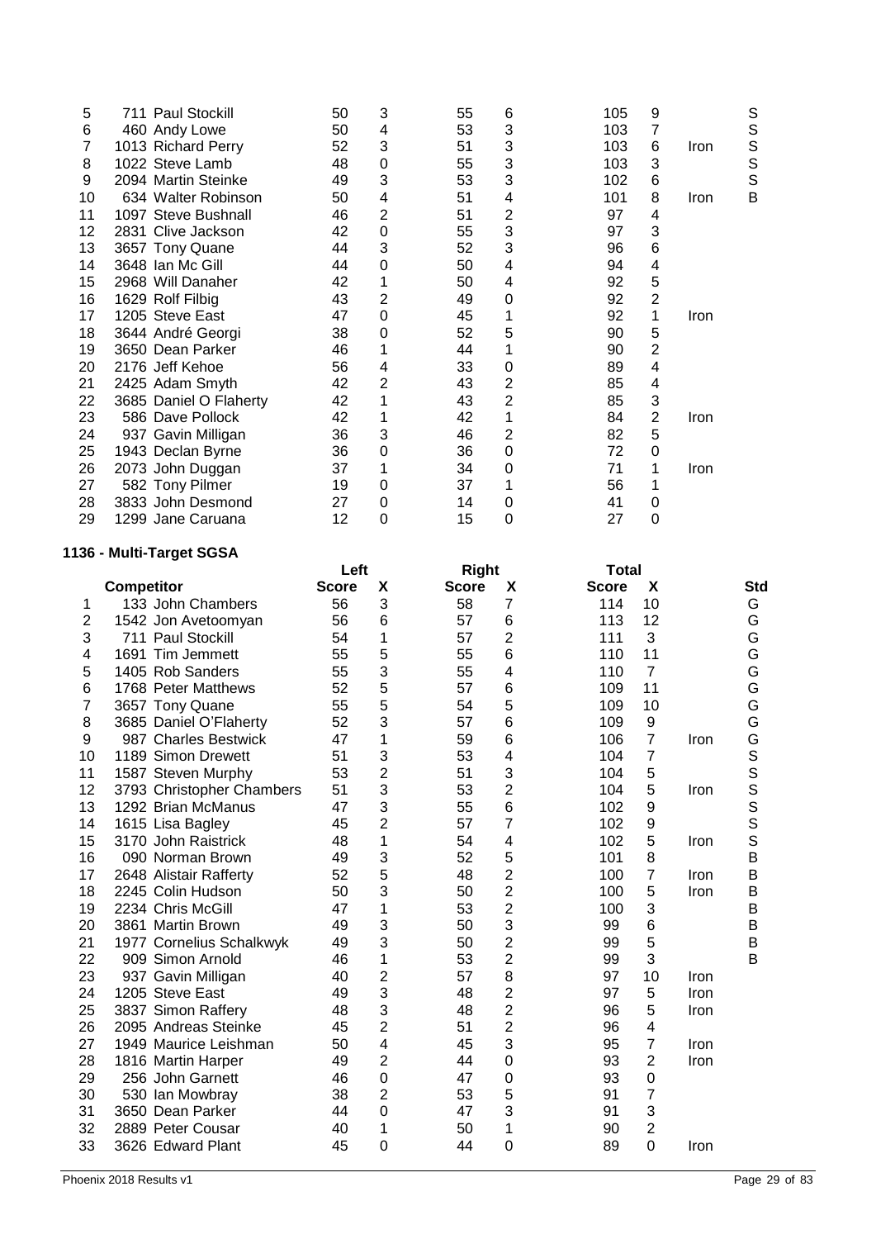| 5  | 711 Paul Stockill      | 50 | 3 | 55 | 6 | 105 | 9              |             | S |
|----|------------------------|----|---|----|---|-----|----------------|-------------|---|
| 6  | 460 Andy Lowe          | 50 | 4 | 53 | 3 | 103 | 7              |             | S |
| 7  | 1013 Richard Perry     | 52 | 3 | 51 | 3 | 103 | 6              | <b>Iron</b> | S |
| 8  | 1022 Steve Lamb        | 48 | 0 | 55 | 3 | 103 | 3              |             | S |
| 9  | 2094 Martin Steinke    | 49 | 3 | 53 | 3 | 102 | 6              |             | S |
| 10 | 634 Walter Robinson    | 50 | 4 | 51 | 4 | 101 | 8              | Iron        | B |
| 11 | 1097 Steve Bushnall    | 46 | 2 | 51 | 2 | 97  | 4              |             |   |
| 12 | 2831 Clive Jackson     | 42 | 0 | 55 | 3 | 97  | 3              |             |   |
| 13 | 3657 Tony Quane        | 44 | 3 | 52 | 3 | 96  | 6              |             |   |
| 14 | 3648 Ian Mc Gill       | 44 | 0 | 50 | 4 | 94  | 4              |             |   |
| 15 | 2968 Will Danaher      | 42 |   | 50 | 4 | 92  | 5              |             |   |
| 16 | 1629 Rolf Filbig       | 43 | 2 | 49 | 0 | 92  | $\overline{c}$ |             |   |
| 17 | 1205 Steve East        | 47 | 0 | 45 |   | 92  | 1              | Iron        |   |
| 18 | 3644 André Georgi      | 38 | 0 | 52 | 5 | 90  | 5              |             |   |
| 19 | 3650 Dean Parker       | 46 |   | 44 |   | 90  | $\overline{c}$ |             |   |
| 20 | 2176 Jeff Kehoe        | 56 | 4 | 33 | 0 | 89  | 4              |             |   |
| 21 | 2425 Adam Smyth        | 42 | 2 | 43 | 2 | 85  | 4              |             |   |
| 22 | 3685 Daniel O Flaherty | 42 |   | 43 | 2 | 85  | 3              |             |   |
| 23 | 586 Dave Pollock       | 42 |   | 42 |   | 84  | 2              | <b>Iron</b> |   |
| 24 | 937 Gavin Milligan     | 36 | 3 | 46 | 2 | 82  | 5              |             |   |
| 25 | 1943 Declan Byrne      | 36 | 0 | 36 | 0 | 72  | 0              |             |   |
| 26 | 2073 John Duggan       | 37 |   | 34 | 0 | 71  |                | Iron        |   |
| 27 | 582 Tony Pilmer        | 19 | 0 | 37 |   | 56  |                |             |   |
| 28 | 3833 John Desmond      | 27 | 0 | 14 | 0 | 41  | 0              |             |   |
| 29 | 1299 Jane Caruana      | 12 | 0 | 15 | 0 | 27  | 0              |             |   |
|    |                        |    |   |    |   |     |                |             |   |

# **1136 - Multi-Target SGSA**

|                         |                                            | Left         |                | <b>Right</b> |                                  | <b>Total</b> |                |      |        |
|-------------------------|--------------------------------------------|--------------|----------------|--------------|----------------------------------|--------------|----------------|------|--------|
|                         | <b>Competitor</b>                          | <b>Score</b> | X              | <b>Score</b> | X                                | <b>Score</b> | X              |      | Std    |
| 1                       | 133 John Chambers                          | 56           | 3              | 58           | 7                                | 114          | 10             |      | G      |
| $\overline{\mathbf{c}}$ | 1542 Jon Avetoomyan                        | 56           | 6              | 57           | $\,6$                            | 113          | 12             |      | G      |
| 3                       | 711 Paul Stockill                          | 54           | 1              | 57           | $\overline{2}$                   | 111          | 3              |      | G      |
| 4                       | 1691 Tim Jemmett                           | 55           | 5              | 55           | $6\phantom{1}6$                  | 110          | 11             |      | G      |
| 5                       | 1405 Rob Sanders                           | 55           | 3              | 55           | 4                                | 110          | $\overline{7}$ |      | G      |
| 6                       | 1768 Peter Matthews                        | 52           | 5              | 57           | 6                                | 109          | 11             |      | G      |
| 7                       | 3657 Tony Quane                            | 55           | 5              | 54           | 5                                | 109          | 10             |      | G      |
| 8                       | 3685 Daniel O'Flaherty                     | 52           | 3              | 57           | $\,6$                            | 109          | 9              |      | G      |
| 9                       | 987 Charles Bestwick                       | 47           | 1              | 59           | $\,6$                            | 106          | $\overline{7}$ | Iron | G      |
| 10                      | 1189 Simon Drewett                         | 51           | 3              | 53           | 4                                | 104          | $\overline{7}$ |      | S      |
| 11                      | 1587 Steven Murphy                         | 53           | $\overline{2}$ | 51           | 3                                | 104          | 5              |      | S      |
| 12                      | 3793 Christopher Chambers                  | 51           | 3              | 53           | $\overline{2}$                   | 104          | 5              | Iron |        |
| 13                      | 1292 Brian McManus                         | 47           | 3              | 55           | $\,6$                            | 102          | 9              |      | s<br>s |
| 14                      | 1615 Lisa Bagley                           | 45           | $\overline{2}$ | 57           | $\overline{7}$                   | 102          | 9              |      |        |
| 15                      | 3170 John Raistrick                        | 48           | 1              | 54           | 4                                | 102          | 5              | Iron | S      |
| 16                      | 090 Norman Brown                           | 49           | 3              | 52           | 5                                | 101          | 8              |      | B      |
| 17                      | 2648 Alistair Rafferty                     | 52           | 5              | 48           | $\overline{2}$                   | 100          | 7              | Iron | B      |
| 18                      | 2245 Colin Hudson                          | 50           | 3              | 50           | $\overline{2}$                   | 100          | 5              | Iron | B      |
| 19                      | 2234 Chris McGill                          | 47           | 1              | 53           | $\overline{2}$                   | 100          | 3              |      | B      |
| 20                      | 3861 Martin Brown                          | 49           | 3              | 50           | 3                                | 99           | 6              |      | B      |
| 21                      | 1977 Cornelius Schalkwyk                   | 49           | 3              | 50           | $\overline{c}$                   | 99           | 5              |      | B      |
| 22                      | 909 Simon Arnold                           | 46           | 1              | 53           | $\overline{2}$                   | 99           | 3              |      | B      |
| 23                      | 937 Gavin Milligan                         | 40           | $\overline{2}$ | 57           | 8                                | 97           | 10             | Iron |        |
| 24                      | 1205 Steve East                            | 49<br>48     | 3<br>3         | 48<br>48     | $\overline{c}$<br>$\overline{2}$ | 97<br>96     | 5<br>5         | Iron |        |
| 25<br>26                | 3837 Simon Raffery<br>2095 Andreas Steinke | 45           | $\overline{2}$ | 51           | $\overline{c}$                   | 96           |                | Iron |        |
| 27                      |                                            |              | 4              | 45           | 3                                | 95           | 4<br>7         |      |        |
| 28                      | 1949 Maurice Leishman                      | 50<br>49     | $\overline{2}$ | 44           | $\mathbf 0$                      | 93           | 2              | Iron |        |
| 29                      | 1816 Martin Harper<br>256 John Garnett     | 46           | $\mathbf 0$    | 47           | $\boldsymbol{0}$                 | 93           | 0              | Iron |        |
| 30                      | 530 Ian Mowbray                            | 38           | $\overline{2}$ | 53           | 5                                | 91           | 7              |      |        |
| 31                      | 3650 Dean Parker                           | 44           | $\mathbf 0$    | 47           | 3                                | 91           | 3              |      |        |
| 32                      | 2889 Peter Cousar                          | 40           | 1              | 50           | 1                                | 90           | $\overline{c}$ |      |        |
| 33                      | 3626 Edward Plant                          | 45           | $\overline{0}$ | 44           | $\Omega$                         | 89           | $\overline{0}$ | Iron |        |
|                         |                                            |              |                |              |                                  |              |                |      |        |
|                         |                                            |              |                |              |                                  |              |                |      |        |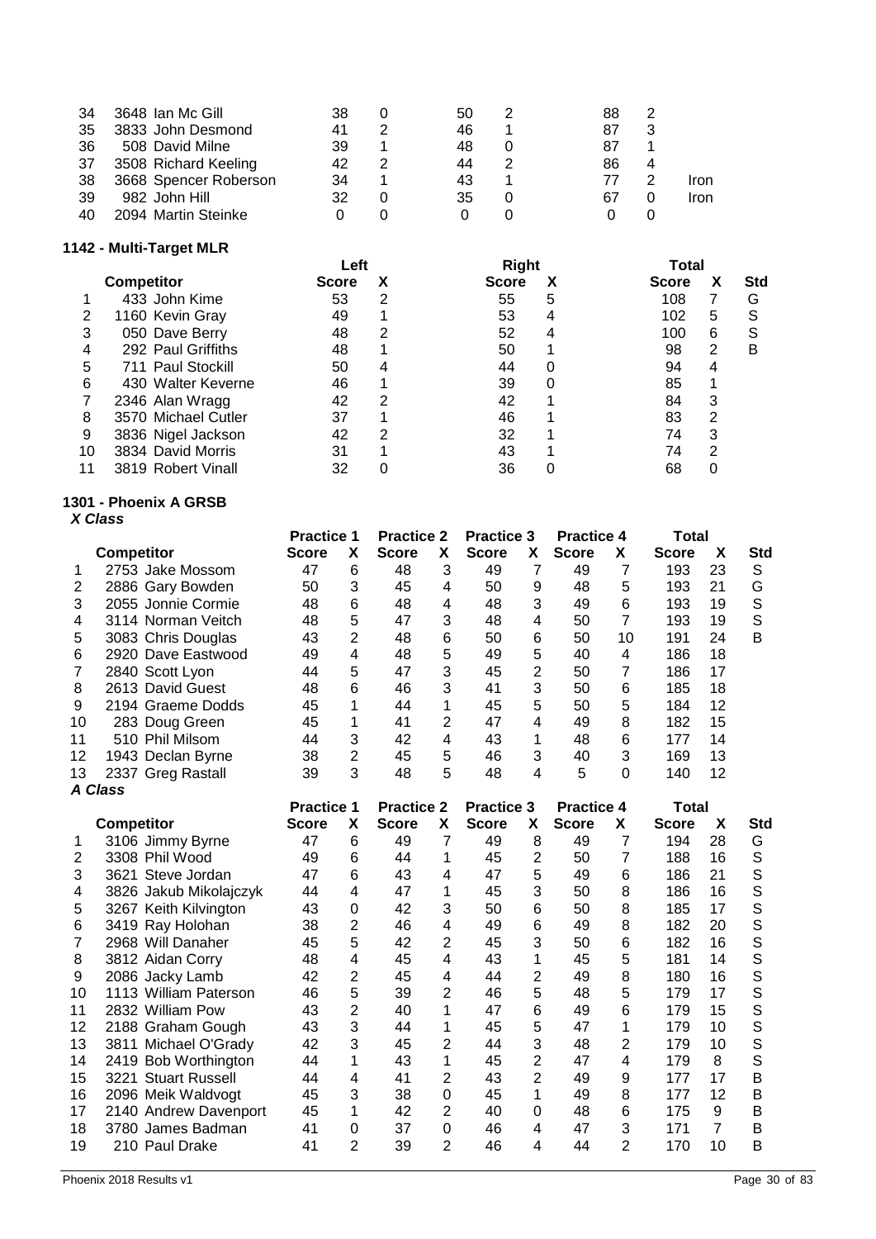| 34  | 3648 Ian Mc Gill      | 38 | 50 | 88 |      |
|-----|-----------------------|----|----|----|------|
| 35  | 3833 John Desmond     | 41 | 46 | 87 |      |
| 36  | 508 David Milne       | 39 | 48 | 87 |      |
| -37 | 3508 Richard Keeling  | 42 |    | 86 |      |
| 38  | 3668 Spencer Roberson | 34 |    | 77 | Iron |
| 39  | 982 John Hill         | 32 | 35 | 67 | Iron |
| 40  | 2094 Martin Steinke   |    |    |    |      |

## **1142 - Multi-Target MLR**

| <b>Competitor</b>   | <b>Score</b> | х | <b>Score</b> | х        | <b>Score</b> | х | Std   |
|---------------------|--------------|---|--------------|----------|--------------|---|-------|
| 433 John Kime       | 53           | 2 | 55           | 5        | 108          |   | G     |
| 1160 Kevin Gray     | 49           |   | 53           | 4        | 102          | 5 | S     |
| 050 Dave Berry      | 48           | 2 | 52           |          | 100          | 6 | S     |
| 292 Paul Griffiths  | 48           |   | 50           |          | 98           | 2 | B     |
| 711 Paul Stockill   | 50           | 4 | 44           | $\Omega$ | 94           | 4 |       |
| 430 Walter Keverne  | 46           |   | 39           | $\Omega$ | 85           |   |       |
| 2346 Alan Wragg     | 42           | 2 | 42           |          | 84           | 3 |       |
| 3570 Michael Cutler | 37           |   | 46           |          | 83           | 2 |       |
| 3836 Nigel Jackson  | 42           | 2 | 32           |          | 74           | 3 |       |
| 3834 David Morris   | 31           |   | 43           |          | 74           | 2 |       |
| 3819 Robert Vinall  | 32           | 0 | 36           |          | 68           | 0 |       |
|                     |              |   | Left         |          | <b>Right</b> |   | Total |

#### **1301 - Phoenix A GRSB** *X Class*

|                  |                        | <b>Practice 1</b> |                 | <b>Practice 2</b> |                | <b>Practice 3</b> |                | <b>Practice 4</b> |                         | <b>Total</b> |                |            |
|------------------|------------------------|-------------------|-----------------|-------------------|----------------|-------------------|----------------|-------------------|-------------------------|--------------|----------------|------------|
|                  | <b>Competitor</b>      | <b>Score</b>      | X               | <b>Score</b>      | X              | <b>Score</b>      | X              | <b>Score</b>      | X                       | <b>Score</b> | X              | <b>Std</b> |
| 1                | 2753 Jake Mossom       | 47                | $6\phantom{1}6$ | 48                | 3              | 49                | $\overline{7}$ | 49                | $\overline{7}$          | 193          | 23             | S          |
| $\overline{2}$   | 2886 Gary Bowden       | 50                | 3               | 45                | 4              | 50                | 9              | 48                | 5                       | 193          | 21             | G          |
| 3                | 2055 Jonnie Cormie     | 48                | $6\phantom{1}6$ | 48                | 4              | 48                | 3              | 49                | 6                       | 193          | 19             | S          |
| 4                | 3114 Norman Veitch     | 48                | 5               | 47                | 3              | 48                | 4              | 50                | $\overline{7}$          | 193          | 19             | S          |
| 5                | 3083 Chris Douglas     | 43                | $\overline{2}$  | 48                | 6              | 50                | 6              | 50                | 10                      | 191          | 24             | B          |
| 6                | 2920 Dave Eastwood     | 49                | 4               | 48                | 5              | 49                | 5              | 40                | 4                       | 186          | 18             |            |
| $\overline{7}$   | 2840 Scott Lyon        | 44                | 5               | 47                | 3              | 45                | $\overline{2}$ | 50                | $\overline{7}$          | 186          | 17             |            |
| 8                | 2613 David Guest       | 48                | $6\phantom{1}6$ | 46                | 3              | 41                | 3              | 50                | 6                       | 185          | 18             |            |
| 9                | 2194 Graeme Dodds      | 45                | 1               | 44                | 1              | 45                | 5              | 50                | 5                       | 184          | 12             |            |
| 10 <sup>1</sup>  | 283 Doug Green         | 45                | 1               | 41                | 2              | 47                | 4              | 49                | 8                       | 182          | 15             |            |
| 11               | 510 Phil Milsom        | 44                | 3               | 42                | 4              | 43                | 1              | 48                | 6                       | 177          | 14             |            |
| 12               | 1943 Declan Byrne      | 38                | $\overline{2}$  | 45                | 5              | 46                | 3              | 40                | 3                       | 169          | 13             |            |
| 13               | 2337 Greg Rastall      | 39                | 3               | 48                | 5              | 48                | 4              | 5                 | 0                       | 140          | 12             |            |
|                  | <b>A Class</b>         |                   |                 |                   |                |                   |                |                   |                         |              |                |            |
|                  |                        | <b>Practice 1</b> |                 | <b>Practice 2</b> |                | <b>Practice 3</b> |                | <b>Practice 4</b> |                         | <b>Total</b> |                |            |
|                  | Competitor             | <b>Score</b>      | X               | <b>Score</b>      | X              | <b>Score</b>      | х              | <b>Score</b>      | Χ                       | <b>Score</b> | X              | <b>Std</b> |
| 1                | 3106 Jimmy Byrne       | 47                | $6\phantom{1}6$ | 49                | 7              | 49                | 8              | 49                | $\overline{7}$          | 194          | 28             | G          |
| $\overline{2}$   | 3308 Phil Wood         | 49                | 6               | 44                | 1              | 45                | $\overline{2}$ | 50                | $\overline{7}$          | 188          | 16             | S          |
| 3                | 3621 Steve Jordan      | 47                | $6\phantom{1}6$ | 43                | $\overline{4}$ | 47                | 5              | 49                | 6                       | 186          | 21             | S          |
| 4                | 3826 Jakub Mikolajczyk | 44                | 4               | 47                | 1              | 45                | 3              | 50                | 8                       | 186          | 16             | S          |
| 5                | 3267 Keith Kilvington  | 43                | $\mathbf 0$     | 42                | 3              | 50                | 6              | 50                | 8                       | 185          | 17             | S          |
| $\,6$            | 3419 Ray Holohan       | 38                | $\overline{2}$  | 46                | 4              | 49                | 6              | 49                | 8                       | 182          | 20             | S          |
| $\overline{7}$   | 2968 Will Danaher      | 45                | 5               | 42                | 2              | 45                | 3              | 50                | 6                       | 182          | 16             | S          |
| 8                | 3812 Aidan Corry       | 48                | 4               | 45                | 4              | 43                | 1              | 45                | 5                       | 181          | 14             | S          |
| $\boldsymbol{9}$ | 2086 Jacky Lamb        | 42                | $\overline{2}$  | 45                | 4              | 44                | $\overline{c}$ | 49                | 8                       | 180          | 16             | S          |
| 10               | 1113 William Paterson  | 46                | 5               | 39                | $\overline{2}$ | 46                | 5              | 48                | 5                       | 179          | 17             | S          |
| 11               | 2832 William Pow       | 43                | $\overline{2}$  | 40                | 1              | 47                | 6              | 49                | 6                       | 179          | 15             | S          |
| 12               | 2188 Graham Gough      | 43                | 3               | 44                | 1              | 45                | 5              | 47                | 1                       | 179          | 10             | S          |
| 13               | 3811 Michael O'Grady   | 42                | 3               | 45                | $\overline{c}$ | 44                | 3              | 48                | 2                       | 179          | 10             | S          |
| 14               | 2419 Bob Worthington   | 44                | 1               | 43                | 1              | 45                | $\overline{c}$ | 47                | $\overline{\mathbf{4}}$ | 179          | 8              | S          |
| 15               | 3221 Stuart Russell    | 44                | 4               | 41                | $\overline{c}$ | 43                | $\overline{2}$ | 49                | 9                       | 177          | 17             | B          |
| 16               | 2096 Meik Waldvogt     | 45                | 3               | 38                | $\mathbf 0$    | 45                | 1              | 49                | 8                       | 177          | 12             | B          |
| 17               | 2140 Andrew Davenport  | 45                | 1               | 42                | 2              | 40                | 0              | 48                | 6                       | 175          | 9              | B          |
| 18               | 3780 James Badman      | 41                | $\mathbf 0$     | 37                | $\mathbf 0$    | 46                | 4              | 47                | 3                       | 171          | $\overline{7}$ | B          |
| 19               | 210 Paul Drake         | 41                | $\overline{2}$  | 39                | 2              | 46                | 4              | 44                | 2                       | 170          | 10             | B          |
|                  |                        |                   |                 |                   |                |                   |                |                   |                         |              |                |            |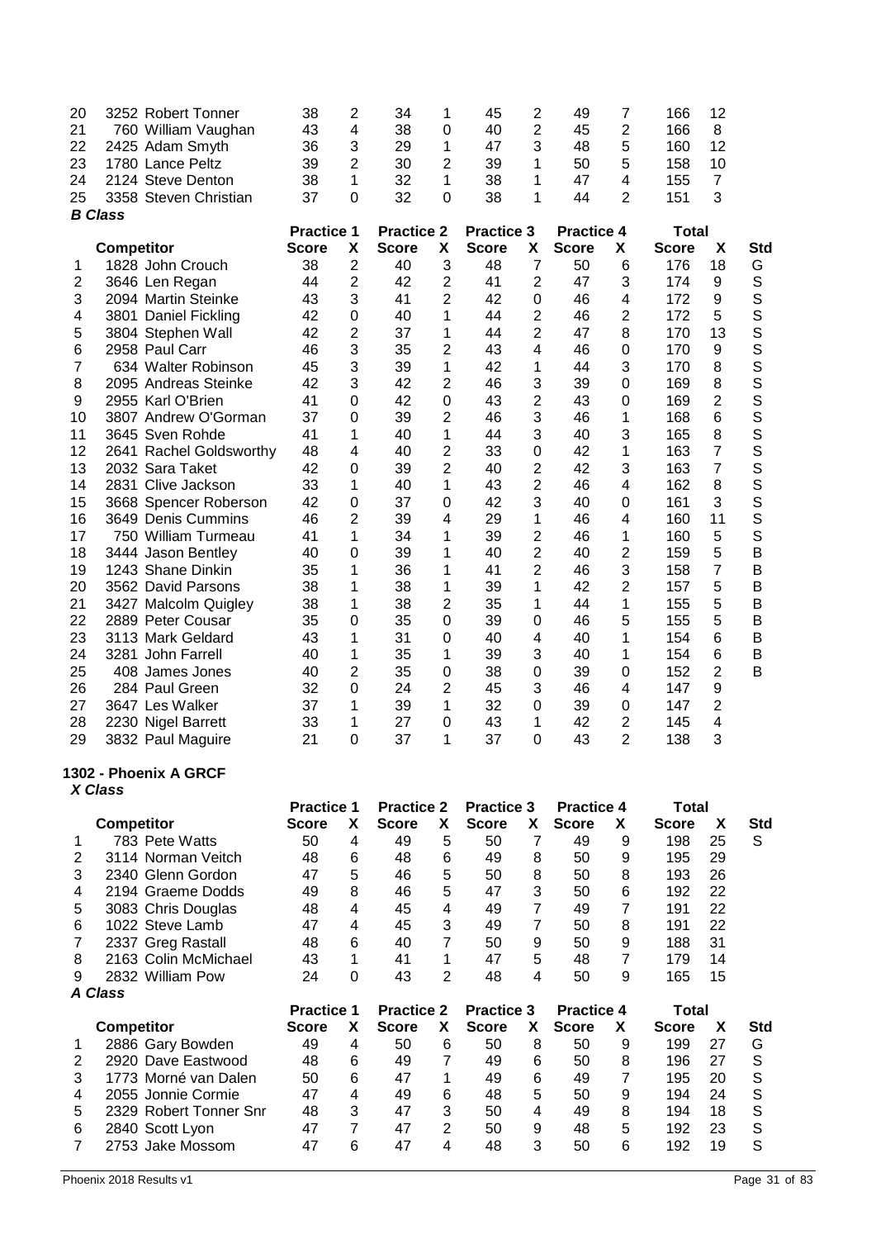| 20<br>21<br>22 | 3252 Robert Tonner<br>760 William Vaughan<br>2425 Adam Smyth | 38<br>43<br>36                    | $\overline{2}$<br>4<br>3       | 34<br>38<br>29                    | 1<br>$\mathbf 0$<br>1 | 45<br>40<br>47                    | 2<br>2<br>3    | 49<br>45<br>48                    | 7<br>2<br>5         | 166<br>166<br>160            | 12<br>8<br>12        |            |
|----------------|--------------------------------------------------------------|-----------------------------------|--------------------------------|-----------------------------------|-----------------------|-----------------------------------|----------------|-----------------------------------|---------------------|------------------------------|----------------------|------------|
| 23<br>24       | 1780 Lance Peltz<br>2124 Steve Denton                        | 39<br>38                          | $\overline{2}$<br>$\mathbf{1}$ | 30<br>32                          | 2<br>1                | 39<br>38                          | 1<br>1         | 50<br>47                          | 5<br>$\overline{4}$ | 158<br>155                   | 10<br>$\overline{7}$ |            |
| 25             | 3358 Steven Christian<br><b>B</b> Class                      | 37                                | $\mathbf 0$                    | 32                                | 0                     | 38                                | 1              | 44                                | 2                   | 151                          | 3                    |            |
|                | <b>Competitor</b>                                            | <b>Practice 1</b><br><b>Score</b> | X                              | <b>Practice 2</b><br><b>Score</b> | X                     | <b>Practice 3</b><br><b>Score</b> | Χ              | <b>Practice 4</b><br><b>Score</b> | X                   | <b>Total</b><br><b>Score</b> | X                    | <b>Std</b> |
| 1              | 1828 John Crouch                                             | 38                                | $\overline{2}$                 | 40                                | 3                     | 48                                | $\overline{7}$ | 50                                | 6                   | 176                          | 18                   | G          |
| 2              | 3646 Len Regan                                               | 44                                | $\overline{2}$                 | 42                                | $\overline{2}$        | 41                                | $\overline{2}$ | 47                                | 3                   | 174                          | 9                    | S          |
| 3              | 2094 Martin Steinke                                          | 43                                | 3                              | 41                                | 2                     | 42                                | 0              | 46                                | 4                   | 172                          | 9                    | S          |
| 4              | 3801 Daniel Fickling                                         | 42                                | 0                              | 40                                | 1                     | 44                                | $\overline{2}$ | 46                                | $\overline{2}$      | 172                          | 5                    | S          |
| 5              | 3804 Stephen Wall                                            | 42                                | 2                              | 37                                | 1                     | 44                                | 2              | 47                                | 8                   | 170                          | 13                   | S          |
| 6              | 2958 Paul Carr                                               | 46                                | 3                              | 35                                | $\overline{2}$        | 43                                | 4              | 46                                | 0                   | 170                          | 9                    | S          |
| $\overline{7}$ | 634 Walter Robinson                                          | 45                                | 3                              | 39                                | 1                     | 42                                | 1              | 44                                | 3                   | 170                          | 8                    | S          |
| 8              | 2095 Andreas Steinke                                         | 42                                | 3                              | 42                                | 2                     | 46                                | 3              | 39                                | 0                   | 169                          | 8                    | S          |
| 9              | 2955 Karl O'Brien                                            | 41                                | 0                              | 42                                | $\mathbf 0$           | 43                                | 2              | 43                                | 0                   | 169                          | $\overline{2}$       | S          |
| 10             | 3807 Andrew O'Gorman                                         | 37                                | $\mathbf 0$                    | 39                                | 2                     | 46                                | 3              | 46                                | 1                   | 168                          | $6\phantom{1}6$      | S          |
| 11             | 3645 Sven Rohde                                              | 41                                | 1                              | 40                                | 1                     | 44                                | 3              | 40                                | 3                   | 165                          | 8                    | S          |
| 12             | 2641 Rachel Goldsworthy                                      | 48                                | 4                              | 40                                | 2                     | 33                                | 0              | 42                                | 1                   | 163                          | $\overline{7}$       | S          |
| 13             | 2032 Sara Taket                                              | 42                                | $\mathbf 0$                    | 39                                | $\overline{2}$        | 40                                | 2              | 42                                | 3                   | 163                          | $\overline{7}$       | S          |
| 14             | 2831 Clive Jackson                                           | 33                                | 1                              | 40                                | 1                     | 43                                | $\overline{2}$ | 46                                | 4                   | 162                          | 8                    | S          |
| 15             | 3668 Spencer Roberson                                        | 42                                | $\mathbf 0$                    | 37                                | 0                     | 42                                | 3              | 40                                | 0                   | 161                          | 3                    | S          |
| 16             | 3649 Denis Cummins                                           | 46                                | 2                              | 39                                | 4                     | 29                                | 1              | 46                                | 4                   | 160                          | 11                   | S<br>S     |
| 17<br>18       | 750 William Turmeau<br>3444 Jason Bentley                    | 41<br>40                          | 1<br>0                         | 34<br>39                          | 1<br>1                | 39<br>40                          | 2<br>2         | 46<br>40                          | 1<br>2              | 160<br>159                   | 5<br>5               | B          |
| 19             | 1243 Shane Dinkin                                            | 35                                | 1                              | 36                                | 1                     | 41                                | 2              | 46                                | 3                   | 158                          | $\overline{7}$       | B          |
| 20             | 3562 David Parsons                                           | 38                                | 1                              | 38                                | 1                     | 39                                | 1              | 42                                | $\overline{2}$      | 157                          | 5                    | B          |
| 21             | 3427 Malcolm Quigley                                         | 38                                | 1                              | 38                                | 2                     | 35                                | 1              | 44                                | 1                   | 155                          | 5                    | B          |
| 22             | 2889 Peter Cousar                                            | 35                                | $\mathbf 0$                    | 35                                | $\mathbf 0$           | 39                                | 0              | 46                                | 5                   | 155                          | 5                    | B          |
| 23             | 3113 Mark Geldard                                            | 43                                | 1                              | 31                                | $\mathbf 0$           | 40                                | 4              | 40                                | 1                   | 154                          | 6                    | B          |
| 24             | 3281 John Farrell                                            | 40                                | 1                              | 35                                | 1                     | 39                                | 3              | 40                                | 1                   | 154                          | 6                    | B          |
| 25             | 408 James Jones                                              | 40                                | 2                              | 35                                | $\mathbf 0$           | 38                                | 0              | 39                                | 0                   | 152                          | 2                    | B          |
| 26             | 284 Paul Green                                               | 32                                | $\mathbf 0$                    | 24                                | $\overline{2}$        | 45                                | 3              | 46                                | 4                   | 147                          | 9                    |            |
| 27             | 3647 Les Walker                                              | 37                                | 1                              | 39                                | 1                     | 32                                | 0              | 39                                | 0                   | 147                          | $\overline{2}$       |            |
| 28             | 2230 Nigel Barrett                                           | 33                                | 1                              | 27                                | $\mathbf 0$           | 43                                | 1              | 42                                | 2                   | 145                          | 4                    |            |
| 29             | 3832 Paul Maguire                                            | 21                                | $\mathbf 0$                    | 37                                | 1                     | 37                                | 0              | 43                                | $\overline{2}$      | 138                          | 3                    |            |
|                | 1302 - Phoenix A GRCF<br>X Class                             |                                   |                                |                                   |                       |                                   |                |                                   |                     |                              |                      |            |
|                |                                                              | <b>Practice 1</b>                 |                                | <b>Practice 2</b>                 |                       | <b>Practice 3</b>                 |                | <b>Practice 4</b>                 |                     | <b>Total</b>                 |                      |            |
|                | <b>Competitor</b>                                            | <b>Score</b>                      | X                              | <b>Score</b>                      | X                     | <b>Score</b>                      | X              | <b>Score</b>                      | X                   | <b>Score</b>                 | X                    | <b>Std</b> |
| 1              | 783 Pete Watts                                               | 50                                | $\overline{4}$                 | 49                                | 5                     | 50                                | $\overline{7}$ | 49                                | 9                   | 198                          | 25                   | S          |
| 2              | 3114 Norman Veitch                                           | 48                                | 6                              | 48                                | 6                     | 49                                | 8              | 50                                | 9                   | 195                          | 29                   |            |
| 3              | 2340 Glenn Gordon                                            | 47                                | 5                              | 46                                | 5                     | 50                                | 8              | 50                                | 8                   | 193                          | 26                   |            |
| 4              | 2194 Graeme Dodds                                            | 49                                | 8                              | 46                                | 5                     | 47                                | 3              | 50                                | 6                   | 192                          | 22                   |            |
| 5              | 3083 Chris Douglas                                           | 48                                | 4                              | 45                                | 4                     | 49                                | $\overline{7}$ | 49                                | $\overline{7}$      | 191                          | 22                   |            |
| 6              | 1022 Steve Lamb                                              | 47                                | 4                              | 45                                | 3                     | 49                                | 7              | 50                                | 8                   | 191                          | 22                   |            |
| 7              | 2337 Greg Rastall                                            | 48                                | 6                              | 40                                | $\overline{7}$        | 50                                | 9              | 50                                | 9                   | 188                          | 31                   |            |
| 8              | 2163 Colin McMichael                                         | 43                                | 1                              | 41                                | 1                     | 47                                | 5              | 48                                | $\overline{7}$      | 179                          | 14                   |            |
| 9              | 2832 William Pow<br><b>A Class</b>                           | 24                                | $\mathbf 0$                    | 43                                | $\overline{2}$        | 48                                | 4              | 50                                | 9                   | 165                          | 15                   |            |
|                |                                                              | <b>Practice 1</b>                 |                                | <b>Practice 2</b>                 |                       | <b>Practice 3</b>                 |                | <b>Practice 4</b>                 |                     | <b>Total</b>                 |                      |            |
|                | <b>Competitor</b>                                            | <b>Score</b>                      | X                              | <b>Score</b>                      | X                     | <b>Score</b>                      | X              | <b>Score</b>                      | X                   | <b>Score</b>                 | X                    | <b>Std</b> |
| 1              | 2886 Gary Bowden                                             | 49                                | $\overline{\mathbf{4}}$        | 50                                | 6                     | 50                                | 8              | 50                                | 9                   | 199                          | 27                   | G          |
| $\overline{2}$ | 2920 Dave Eastwood                                           | 48                                | 6                              | 49                                | $\overline{7}$        | 49                                | 6              | 50                                | 8                   | 196                          | 27                   | S          |
| 3              | 1773 Morné van Dalen                                         | 50                                | 6                              | 47                                | 1                     | 49                                | 6              | 49                                | $\overline{7}$      | 195                          | 20                   | S          |
| 4              | 2055 Jonnie Cormie                                           | 47                                | $\overline{\mathbf{4}}$        | 49                                | 6                     | 48                                | 5              | 50                                | 9                   | 194                          | 24                   | S          |
| 5              | 2329 Robert Tonner Snr                                       | 48                                | 3                              | 47                                | 3                     | 50                                | 4              | 49                                | 8                   | 194                          | 18                   | S          |
| 6              | 2840 Scott Lyon                                              | 47                                | $\overline{7}$                 | 47                                | $\overline{c}$        | 50                                | 9              | 48                                | 5                   | 192                          | 23                   | S          |
| $\overline{7}$ | 2753 Jake Mossom                                             | 47                                | 6                              | 47                                | 4                     | 48                                | 3              | 50                                | 6                   | 192                          | 19                   | S          |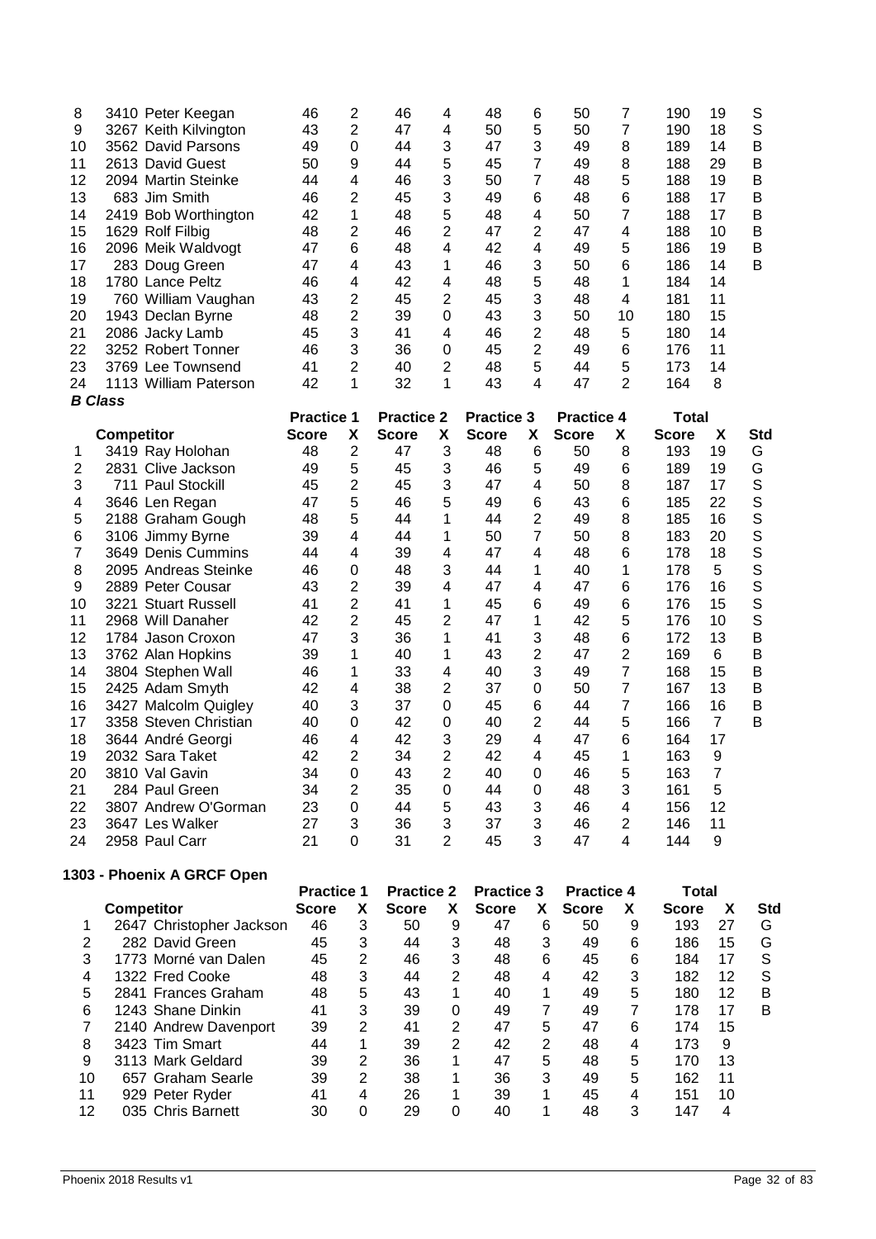| 8              |                   | 3410 Peter Keegan     | 46                | $\overline{c}$          | 46                | 4              | 48                | 6              | 50                | $\overline{7}$          | 190   | 19             | S   |
|----------------|-------------------|-----------------------|-------------------|-------------------------|-------------------|----------------|-------------------|----------------|-------------------|-------------------------|-------|----------------|-----|
| 9              |                   | 3267 Keith Kilvington | 43                | $\overline{2}$          | 47                | 4              | 50                | 5              | 50                | $\overline{7}$          | 190   | 18             | S   |
| 10             |                   | 3562 David Parsons    | 49                | $\Omega$                | 44                | 3              | 47                | 3              | 49                | 8                       | 189   | 14             | B   |
| 11             |                   | 2613 David Guest      | 50                | 9                       | 44                | 5              | 45                | $\overline{7}$ | 49                | 8                       | 188   | 29             | B   |
| 12             |                   | 2094 Martin Steinke   | 44                | $\overline{4}$          | 46                | 3              | 50                | $\overline{7}$ | 48                | 5                       | 188   | 19             | B   |
| 13             |                   | 683 Jim Smith         | 46                | 2                       | 45                | 3              | 49                | 6              | 48                | 6                       | 188   | 17             | B   |
| 14             |                   | 2419 Bob Worthington  | 42                | 1                       | 48                | 5              | 48                | 4              | 50                | 7                       | 188   | 17             | B   |
| 15             |                   | 1629 Rolf Filbig      | 48                | 2                       | 46                | $\overline{2}$ | 47                | 2              | 47                | 4                       | 188   | 10             | B   |
| 16             |                   | 2096 Meik Waldvogt    | 47                | 6                       | 48                | 4              | 42                | 4              | 49                | 5                       | 186   | 19             | B   |
| 17             |                   | 283 Doug Green        | 47                | 4                       | 43                | 1              | 46                | 3              | 50                | 6                       | 186   | 14             | B   |
| 18             |                   | 1780 Lance Peltz      | 46                | $\overline{\mathbf{4}}$ | 42                | 4              | 48                | 5              | 48                | 1                       | 184   | 14             |     |
| 19             |                   | 760 William Vaughan   | 43                | $\overline{2}$          | 45                | 2              | 45                | 3              | 48                | 4                       | 181   | 11             |     |
| 20             |                   | 1943 Declan Byrne     | 48                | 2                       | 39                | 0              | 43                | 3              | 50                | 10                      | 180   | 15             |     |
| 21             |                   | 2086 Jacky Lamb       | 45                | 3                       | 41                | 4              | 46                | 2              | 48                | 5                       | 180   | 14             |     |
| 22             |                   | 3252 Robert Tonner    | 46                | 3                       | 36                | $\mathbf 0$    | 45                | 2              | 49                | 6                       | 176   | 11             |     |
| 23             |                   | 3769 Lee Townsend     | 41                | 2                       | 40                | $\overline{2}$ | 48                | 5              | 44                | 5                       | 173   | 14             |     |
| 24             |                   | 1113 William Paterson | 42                | 1                       | 32                | 1              | 43                | 4              | 47                | $\overline{2}$          | 164   | 8              |     |
|                | <b>B</b> Class    |                       |                   |                         |                   |                |                   |                |                   |                         |       |                |     |
|                |                   |                       | <b>Practice 1</b> |                         | <b>Practice 2</b> |                | <b>Practice 3</b> |                | <b>Practice 4</b> |                         | Total |                |     |
|                | <b>Competitor</b> |                       | <b>Score</b>      | х                       | Score             | X              | Score             | X              | <b>Score</b>      | X.                      | Score | X              | Std |
| $\mathbf{1}$   |                   | 3419 Ray Holohan      | 48                | $\overline{2}$          | 47                | 3              | 48                | 6              | 50                | 8                       | 193   | 19             | G   |
| $\overline{2}$ |                   | 2831 Clive Jackson    | 49                | 5                       | 45                | 3              | 46                | 5              | 49                | 6                       | 189   | 19             | G   |
| 3              |                   | 711 Paul Stockill     | 45                | 2                       | 45                | 3              | 47                | 4              | 50                | 8                       | 187   | 17             | S   |
| 4              |                   | 3646 Len Regan        | 47                | 5                       | 46                | 5              | 49                | 6              | 43                | 6                       | 185   | 22             | S   |
| 5              |                   | 2188 Graham Gough     | 48                | 5                       | 44                | 1              | 44                | 2              | 49                | 8                       | 185   | 16             | S   |
| 6              |                   | 3106 Jimmy Byrne      | 39                | 4                       | 44                | 1              | 50                | 7              | 50                | 8                       | 183   | 20             | S   |
| $\overline{7}$ |                   | 3649 Denis Cummins    | 44                | 4                       | 39                | 4              | 47                | 4              | 48                | 6                       | 178   | 18             | S   |
| 8              |                   | 2095 Andreas Steinke  | 46                | $\mathbf 0$             | 48                | 3              | 44                | 1              | 40                | 1                       | 178   | 5              | S   |
| 9              |                   | 2889 Peter Cousar     | 43                | $\overline{2}$          | 39                | 4              | 47                | 4              | 47                | 6                       | 176   | 16             | S   |
| 10             |                   | 3221 Stuart Russell   | 41                | 2                       | 41                | 1              | 45                | 6              | 49                | 6                       | 176   | 15             | S   |
| 11             |                   | 2968 Will Danaher     | 42                | $\overline{2}$          | 45                | 2              | 47                | 1              | 42                | 5                       | 176   | 10             | S   |
| 12             |                   | 1784 Jason Croxon     | 47                | 3                       | 36                | 1              | 41                | 3              | 48                | 6                       | 172   | 13             | B   |
| 13             |                   | 3762 Alan Hopkins     | 39                | 1                       | 40                | 1              | 43                | 2              | 47                | $\overline{2}$          | 169   | 6              | B   |
| 14             |                   | 3804 Stephen Wall     | 46                | 1                       | 33                | 4              | 40                | 3              | 49                | $\overline{7}$          | 168   | 15             | B   |
| 15             |                   | 2425 Adam Smyth       | 42                | $\overline{\mathbf{4}}$ | 38                | $\overline{2}$ | 37                | $\mathbf 0$    | 50                | $\overline{7}$          | 167   | 13             | B   |
| 16             |                   | 3427 Malcolm Quigley  | 40                | 3                       | 37                | $\mathbf 0$    | 45                | 6              | 44                | $\overline{7}$          | 166   | 16             | B   |
| 17             |                   | 3358 Steven Christian | 40                | 0                       | 42                | 0              | 40                | 2              | 44                | 5                       | 166   | $\overline{7}$ | B   |
| 18             |                   | 3644 André Georgi     | 46                | $\overline{\mathbf{4}}$ | 42                | 3              | 29                | 4              | 47                | 6                       | 164   | 17             |     |
| 19             |                   | 2032 Sara Taket       | 42                | $\overline{2}$          | 34                | 2              | 42                | 4              | 45                | 1                       | 163   | $9$            |     |
| 20             |                   | 3810 Val Gavin        | 34                | $\mathbf 0$             | 43                | $\overline{2}$ | 40                | 0              | 46                | 5                       | 163   | $\overline{7}$ |     |
| 21             |                   | 284 Paul Green        | 34                | $\overline{2}$          | 35                | $\mathbf 0$    | 44                | $\mathbf 0$    | 48                | 3                       | 161   | 5              |     |
| 22             |                   | 3807 Andrew O'Gorman  | 23                | $\mathbf 0$             | 44                | 5              | 43                | 3              | 46                | $\overline{\mathbf{4}}$ | 156   | 12             |     |
| 23             |                   | 3647 Les Walker       | 27                | 3                       | 36                | 3              | 37                | 3              | 46                | $\overline{2}$          | 146   | 11             |     |
| 24             |                   | 2958 Paul Carr        | 21                | $\Omega$                | 31                | 2              | 45                | 3              | 47                | 4                       | 144   | 9              |     |

# **1303 - Phoenix A GRCF Open**

|                          |              |                |                   |   | <b>Practice 3</b> |   |              |   | Total             |    |     |
|--------------------------|--------------|----------------|-------------------|---|-------------------|---|--------------|---|-------------------|----|-----|
| <b>Competitor</b>        | <b>Score</b> | X              | <b>Score</b>      | x | <b>Score</b>      | X | <b>Score</b> | x | <b>Score</b>      | x  | Std |
| 2647 Christopher Jackson | 46           | 3              | 50                | 9 | 47                | 6 | 50           | 9 | 193               | 27 | G   |
| 282 David Green          | 45           | 3              | 44                | 3 | 48                | 3 | 49           | 6 | 186               | 15 | G   |
| 1773 Morné van Dalen     | 45           | $\overline{2}$ | 46                | 3 | 48                | 6 | 45           | 6 | 184               | 17 | S   |
| 1322 Fred Cooke          | 48           | 3              | 44                | 2 | 48                | 4 | 42           | 3 | 182               | 12 | S   |
| 2841 Frances Graham      | 48           | 5              | 43                |   | 40                |   | 49           | 5 | 180               | 12 | в   |
| 1243 Shane Dinkin        | 41           | 3              | 39                | 0 | 49                | 7 | 49           |   | 178               | 17 | В   |
| 2140 Andrew Davenport    | 39           | 2              | 41                | 2 | 47                | 5 | 47           | 6 | 174               | 15 |     |
| 3423 Tim Smart           | 44           | 1              | 39                | 2 | 42                | 2 | 48           | 4 | 173               | 9  |     |
| 3113 Mark Geldard        | 39           | 2              | 36                |   | 47                | 5 | 48           | 5 | 170               | 13 |     |
| 657 Graham Searle        | 39           | 2              | 38                | 1 | 36                | 3 | 49           | 5 | 162               | 11 |     |
| 929 Peter Ryder          | 41           | 4              | 26                |   | 39                |   | 45           | 4 | 151               | 10 |     |
| 035 Chris Barnett        | 30           | 0              | 29                | 0 | 40                |   | 48           | 3 | 147               |    |     |
|                          |              |                | <b>Practice 1</b> |   | <b>Practice 2</b> |   |              |   | <b>Practice 4</b> |    |     |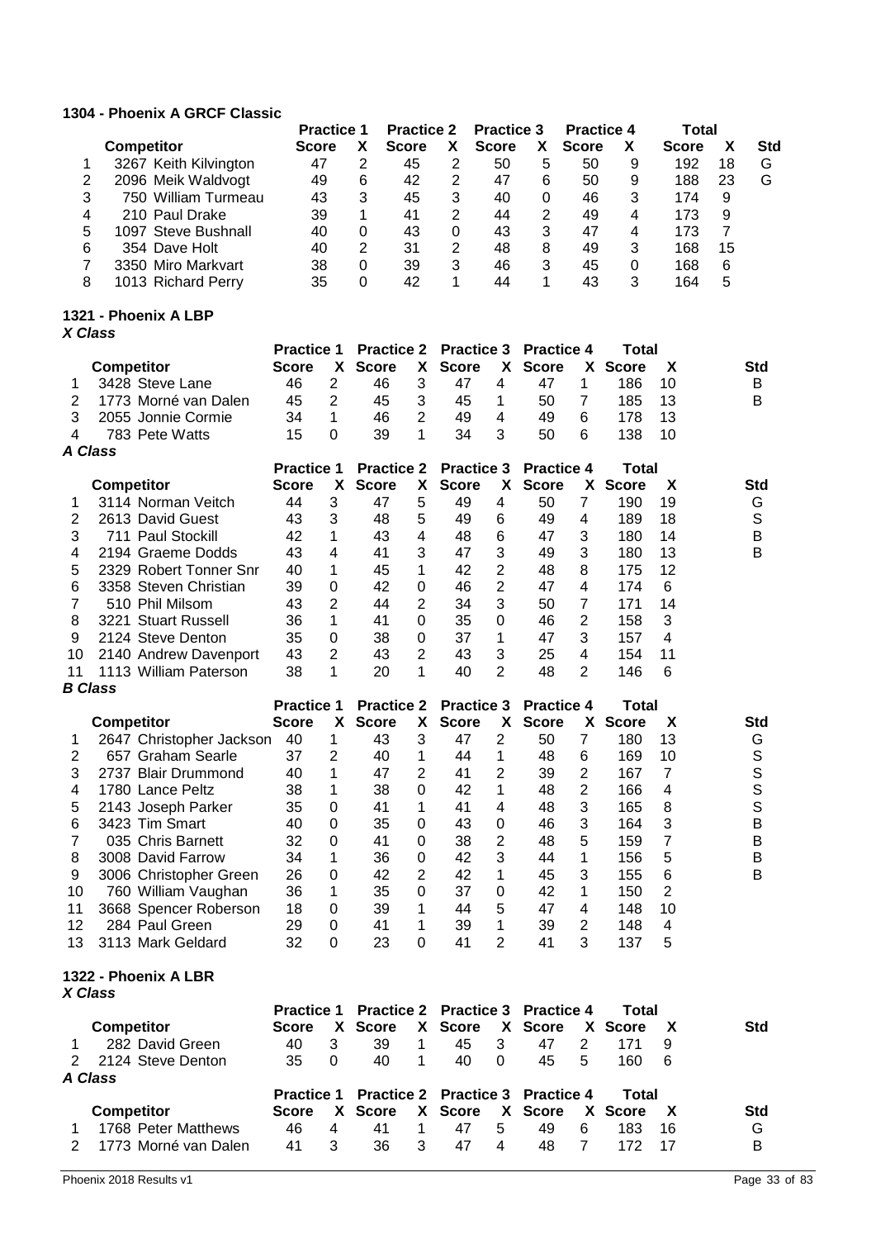### **1304 - Phoenix A GRCF Classic**

|   |                       | <b>Practice 1</b> |   | <b>Practice 2</b> |   | <b>Practice 3</b> |   | <b>Practice 4</b> |   | Total        |    |            |
|---|-----------------------|-------------------|---|-------------------|---|-------------------|---|-------------------|---|--------------|----|------------|
|   | <b>Competitor</b>     | <b>Score</b>      | χ | <b>Score</b>      |   | <b>Score</b>      | х | <b>Score</b>      | X | <b>Score</b> |    | <b>Std</b> |
|   | 3267 Keith Kilvington | 47                | 2 | 45                |   | 50                | 5 | 50                | 9 | 192          | 18 | G          |
|   | 2096 Meik Waldvogt    | 49                | 6 | 42                | 2 | 47                | 6 | 50                | 9 | 188          | 23 | G          |
|   | 750 William Turmeau   | 43                | 3 | 45                | 3 | 40                | 0 | 46                | 3 | 174          | 9  |            |
| 4 | 210 Paul Drake        | 39                |   | 41                | 2 | 44                | 2 | 49                | 4 | 173          | 9  |            |
| 5 | 1097 Steve Bushnall   | 40                | 0 | 43                | 0 | 43                | 3 | 47                | 4 | 173          |    |            |
| 6 | 354 Dave Holt         | 40                | 2 | 31                | 2 | 48                | 8 | 49                | 3 | 168          | 15 |            |
|   | 3350 Miro Markvart    | 38                | 0 | 39                | 3 | 46                | 3 | 45                | 0 | 168          | 6  |            |
| 8 | 1013 Richard Perry    | 35                | 0 | 42                |   | 44                |   | 43                | 3 | 164          | 5  |            |

#### **1321 - Phoenix A LBP** *X Class*

|    |                        | <b>Practice 1</b> |    |              |                | <b>Practice 2</b> Practice 3 |                | <b>Practice 4</b> |    | Total        |    |     |
|----|------------------------|-------------------|----|--------------|----------------|------------------------------|----------------|-------------------|----|--------------|----|-----|
|    | <b>Competitor</b>      | <b>Score</b>      | X. | <b>Score</b> | X.             | <b>Score</b>                 | <b>X</b>       | <b>Score</b>      | X. | <b>Score</b> | X  | Std |
|    | 3428 Steve Lane        | 46                | 2  | 46           | 3              | 47                           | 4              | 47                |    | 186          | 10 | B   |
| 2  | 1773 Morné van Dalen   | 45                | 2  | 45           | 3              | 45                           | 1              | 50                |    | 185          | 13 | B   |
| 3  | 2055 Jonnie Cormie     | 34                | 1  | 46           | $\overline{2}$ | 49                           | 4              | 49                | 6  | 178          | 13 |     |
| 4  | 783 Pete Watts         | 15                | 0  | 39           | 1              | 34                           | 3              | 50                | 6  | 138          | 10 |     |
|    | A Class                |                   |    |              |                |                              |                |                   |    |              |    |     |
|    |                        | <b>Practice 1</b> |    |              |                | <b>Practice 2 Practice 3</b> |                | <b>Practice 4</b> |    | Total        |    |     |
|    | <b>Competitor</b>      | <b>Score</b>      | x. | <b>Score</b> | X.             | <b>Score</b>                 | X.             | <b>Score</b>      | X. | <b>Score</b> | X  | Std |
|    | 3114 Norman Veitch     | 44                | 3  | 47           | 5              | 49                           | 4              | 50                | 7  | 190          | 19 | G   |
| 2  | 2613 David Guest       | 43                | 3  | 48           | 5              | 49                           | 6              | 49                | 4  | 189          | 18 | S   |
| 3  | 711 Paul Stockill      | 42                | 1  | 43           | 4              | 48                           | 6              | 47                | 3  | 180          | 14 | B   |
| 4  | 2194 Graeme Dodds      | 43                | 4  | 41           | 3              | 47                           | 3              | 49                | 3  | 180          | 13 | B   |
| 5  | 2329 Robert Tonner Snr | 40                | 1  | 45           | 1              | 42                           | 2              | 48                | 8  | 175          | 12 |     |
| 6  | 3358 Steven Christian  | 39                | 0  | 42           | 0              | 46                           | 2              | 47                | 4  | 174          | 6  |     |
|    | 510 Phil Milsom        | 43                | 2  | 44           | $\overline{2}$ | 34                           | 3              | 50                | 7  | 171          | 14 |     |
| 8  | 3221 Stuart Russell    | 36                | 1  | 41           | 0              | 35                           | 0              | 46                | 2  | 158          | 3  |     |
| 9  | 2124 Steve Denton      | 35                | 0  | 38           | 0              | 37                           | 1              | 47                | 3  | 157          | 4  |     |
| 10 | 2140 Andrew Davenport  | 43                | 2  | 43           | 2              | 43                           | 3              | 25                | 4  | 154          | 11 |     |
| 11 | 1113 William Paterson  | 38                | 1  | 20           |                | 40                           | $\overline{2}$ | 48                | 2  | 146          | 6  |     |

#### *B Class*

|    |                          | <b>Practice 1</b> |    |              |          | <b>Practice 2 Practice 3</b> |    | <b>Practice 4</b> |    | Total |    |            |
|----|--------------------------|-------------------|----|--------------|----------|------------------------------|----|-------------------|----|-------|----|------------|
|    | <b>Competitor</b>        | <b>Score</b>      | X. | <b>Score</b> | X.       | <b>Score</b>                 | X. | <b>Score</b>      | X. | Score | X  | <b>Std</b> |
|    | 2647 Christopher Jackson | 40                |    | 43           | 3        | 47                           | 2  | 50                |    | 180   | 13 | G          |
|    | 657 Graham Searle        | 37                | 2  | 40           |          | 44                           |    | 48                | 6  | 169   | 10 | S          |
| 3  | 2737 Blair Drummond      | 40                | 1  | 47           | 2        | 41                           | 2  | 39                | 2  | 167   | 7  | S          |
| 4  | 1780 Lance Peltz         | 38                | 1  | 38           | $\Omega$ | 42                           |    | 48                | 2  | 166   | 4  | S          |
| 5  | 2143 Joseph Parker       | 35                | 0  | 41           |          | 41                           | 4  | 48                | 3  | 165   | 8  | S          |
| 6  | 3423 Tim Smart           | 40                | 0  | 35           | $\Omega$ | 43                           | 0  | 46                | 3  | 164   | 3  | B          |
|    | 035 Chris Barnett        | 32                | 0  | 41           | 0        | 38                           | 2  | 48                | 5  | 159   | 7  | в          |
| 8  | 3008 David Farrow        | 34                | 1  | 36           | $\Omega$ | 42                           | 3  | 44                | 1  | 156   | 5  | в          |
| 9  | 3006 Christopher Green   | 26                | 0  | 42           | 2        | 42                           | 1  | 45                | 3  | 155   | 6  | В          |
| 10 | 760 William Vaughan      | 36                | 1  | 35           | $\Omega$ | 37                           | 0  | 42                | 1  | 150   | 2  |            |
| 11 | 3668 Spencer Roberson    | 18                | 0  | 39           | 1        | 44                           | 5  | 47                | 4  | 148   | 10 |            |
| 12 | 284 Paul Green           | 29                | 0  | 41           | 1        | 39                           | 1  | 39                | 2  | 148   | 4  |            |
| 13 | 3113 Mark Geldard        | 32                | 0  | 23           | 0        | 41                           | 2  | 41                | 3  | 137   | 5  |            |

#### **1322 - Phoenix A LBR** *X Class*

|   |                      | <b>Practice 1</b> |   |         |   | <b>Practice 2 Practice 3 Practice 4</b> |   |         |   | Total   |    |            |
|---|----------------------|-------------------|---|---------|---|-----------------------------------------|---|---------|---|---------|----|------------|
|   | <b>Competitor</b>    | <b>Score</b>      |   | X Score |   | X Score                                 |   | X Score |   | X Score |    | <b>Std</b> |
|   | 282 David Green      | 40                |   | 39      |   | 45                                      | 3 | 47      |   | 171     | 9  |            |
| 2 | 2124 Steve Denton    | 35                | 0 | 40      |   | 40                                      | 0 | 45      | 5 | 160.    | 6  |            |
|   | A Class              |                   |   |         |   |                                         |   |         |   |         |    |            |
|   |                      | <b>Practice 1</b> |   |         |   | <b>Practice 2 Practice 3 Practice 4</b> |   |         |   | Total   |    |            |
|   | <b>Competitor</b>    | <b>Score</b>      |   | X Score |   | X Score                                 |   | X Score |   | X Score |    | <b>Std</b> |
|   | 1768 Peter Matthews  | 46                | 4 | 41      |   | 47                                      | 5 | 49      | 6 | 183     | 16 | G          |
|   | 1773 Morné van Dalen | 41                | 3 | 36      | 3 | 47                                      | 4 | 48      |   |         |    | в          |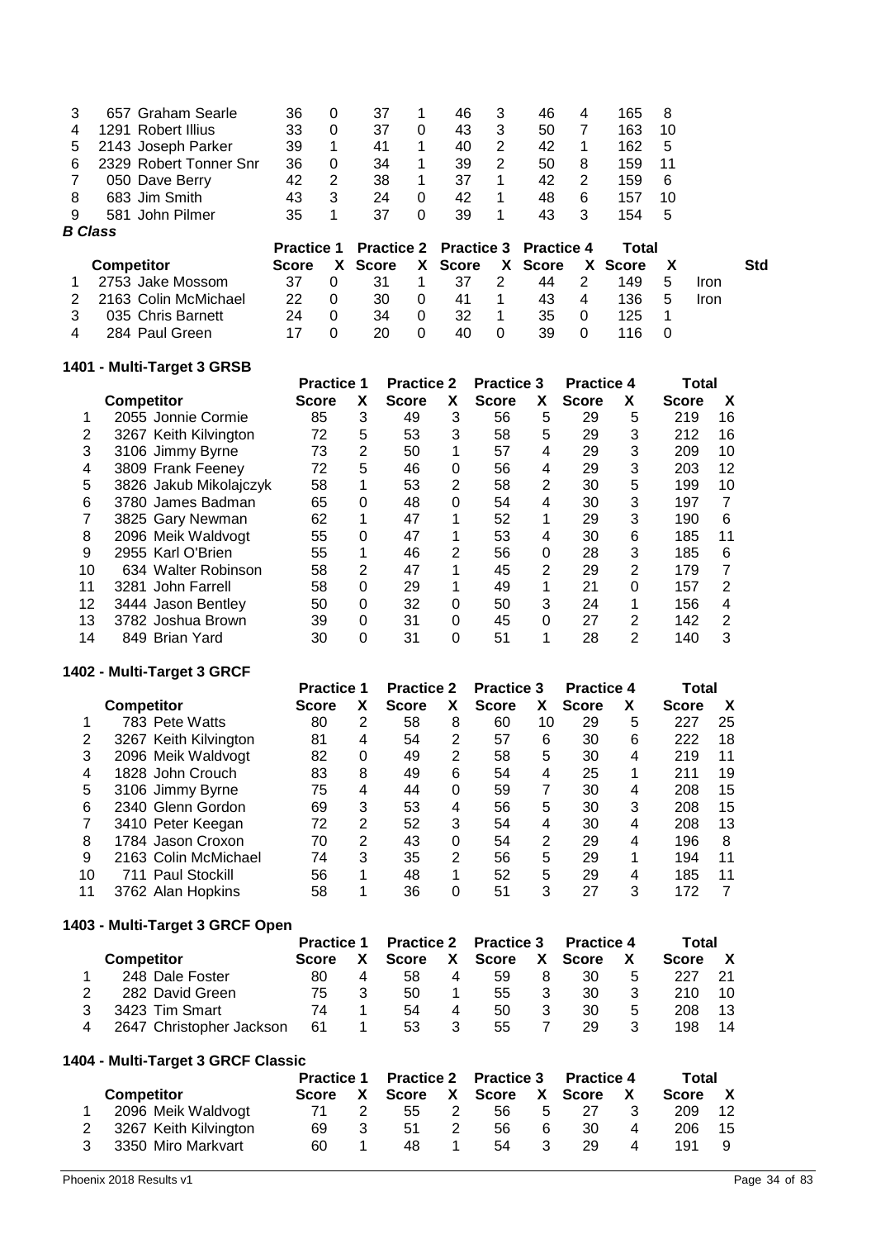| 3 | 657 Graham Searle      | 36                | 0  | 37           |          | 46                                      | 3             | 46           | 4 | 165     | 8  |             |     |
|---|------------------------|-------------------|----|--------------|----------|-----------------------------------------|---------------|--------------|---|---------|----|-------------|-----|
| 4 | 1291 Robert Illius     | 33                | 0  | 37           | 0        | 43                                      | 3             | 50           | 7 | 163     | 10 |             |     |
| 5 | 2143 Joseph Parker     | 39                |    | 41           | 1        | 40                                      | 2             | 42           | 1 | 162     | 5  |             |     |
| 6 | 2329 Robert Tonner Snr | 36                | 0  | 34           |          | 39                                      | 2             | 50           | 8 | 159     | 11 |             |     |
|   | 050 Dave Berry         | 42                | 2  | 38           | 1        | 37                                      |               | 42           | 2 | 159     | 6  |             |     |
| 8 | 683 Jim Smith          | 43                | 3  | 24           | 0        | 42                                      | 1             | 48           | 6 | 157     | 10 |             |     |
| 9 | 581 John Pilmer        | 35                |    | 37           | 0        | 39                                      |               | 43           | 3 | 154     | 5  |             |     |
|   |                        |                   |    |              |          |                                         |               |              |   |         |    |             |     |
|   | <b>B</b> Class         |                   |    |              |          |                                         |               |              |   |         |    |             |     |
|   |                        | <b>Practice 1</b> |    |              |          | <b>Practice 2 Practice 3 Practice 4</b> |               |              |   | Total   |    |             |     |
|   | <b>Competitor</b>      | <b>Score</b>      | X. | <b>Score</b> | X.       | <b>Score</b>                            | X.            | <b>Score</b> |   | X Score | X  |             | Std |
|   | 2753 Jake Mossom       | 37                | 0  | 31           |          | 37                                      | $\mathcal{P}$ | 44           | 2 | 149     | 5  | <b>Iron</b> |     |
| 2 | 2163 Colin McMichael   | 22                | 0  | 30           | 0        | 41                                      | 1             | 43           | 4 | 136     | 5  | <b>Iron</b> |     |
| 3 | 035 Chris Barnett      | 24                | 0  | 34           | $\Omega$ | 32                                      | 1             | 35           | 0 | 125     | 1  |             |     |

# 284 Paul Green **1401 - Multi-Target 3 GRSB**

|    |                        | <b>Practice 1</b> |                | <b>Practice 2</b> |   | <b>Practice 3</b> |          | <b>Practice 4</b> |                | Total        |    |  |
|----|------------------------|-------------------|----------------|-------------------|---|-------------------|----------|-------------------|----------------|--------------|----|--|
|    | <b>Competitor</b>      | <b>Score</b>      | X              | <b>Score</b>      | x | <b>Score</b>      | X        | <b>Score</b>      | X              | <b>Score</b> | X  |  |
|    | 2055 Jonnie Cormie     | 85                | 3              | 49                | 3 | 56                | 5        | 29                | 5              | 219          | 16 |  |
| 2  | 3267 Keith Kilvington  | 72                | 5              | 53                | 3 | 58                | 5        | 29                | 3              | 212          | 16 |  |
| 3  | 3106 Jimmy Byrne       | 73                | $\overline{2}$ | 50                | 1 | 57                | 4        | 29                | 3              | 209          | 10 |  |
| 4  | 3809 Frank Feeney      | 72                | 5              | 46                | 0 | 56                | 4        | 29                | 3              | 203          | 12 |  |
| 5  | 3826 Jakub Mikolajczyk | 58                | 1              | 53                | 2 | 58                | 2        | 30                | 5              | 199          | 10 |  |
| 6  | 3780 James Badman      | 65                | 0              | 48                | 0 | 54                | 4        | 30                | 3              | 197          | 7  |  |
|    | 3825 Gary Newman       | 62                | 1              | 47                | 1 | 52                |          | 29                | 3              | 190          | 6  |  |
| 8  | 2096 Meik Waldvogt     | 55                | 0              | 47                | 1 | 53                | 4        | 30                | 6              | 185          | 11 |  |
| 9  | 2955 Karl O'Brien      | 55                | 1              | 46                | 2 | 56                | $\Omega$ | 28                | 3              | 185          | 6  |  |
| 10 | 634 Walter Robinson    | 58                | 2              | 47                | 1 | 45                | 2        | 29                | 2              | 179          | 7  |  |
| 11 | 3281 John Farrell      | 58                | 0              | 29                |   | 49                |          | 21                | 0              | 157          | 2  |  |
| 12 | 3444 Jason Bentley     | 50                | 0              | 32                | 0 | 50                | 3        | 24                |                | 156          | 4  |  |
| 13 | 3782 Joshua Brown      | 39                | 0              | 31                | 0 | 45                | 0        | 27                | $\overline{2}$ | 142          | 2  |  |
| 14 | 849 Brian Yard         | 30                | 0              | 31                | 0 | 51                |          | 28                | 2              | 140          | 3  |  |

## **1402 - Multi-Target 3 GRCF**

|    |                       | <b>Practice 1</b> |   | <b>Practice 2</b> |   | <b>Practice 3</b> |    | <b>Practice 4</b> |   | Total        |    |  |
|----|-----------------------|-------------------|---|-------------------|---|-------------------|----|-------------------|---|--------------|----|--|
|    | <b>Competitor</b>     | <b>Score</b>      |   | <b>Score</b>      | X | <b>Score</b>      | X. | <b>Score</b>      | х | <b>Score</b> | χ  |  |
|    | 783 Pete Watts        | 80                | 2 | 58                | 8 | 60                | 10 | 29                | 5 | 227          | 25 |  |
| 2  | 3267 Keith Kilvington | 81                | 4 | 54                | 2 | 57                | 6  | 30                | 6 | 222          | 18 |  |
| 3  | 2096 Meik Waldvogt    | 82                | 0 | 49                | 2 | 58                | 5  | 30                | 4 | 219          | 11 |  |
| 4  | 1828 John Crouch      | 83                | 8 | 49                | 6 | 54                | 4  | 25                |   | 211          | 19 |  |
| 5  | 3106 Jimmy Byrne      | 75                | 4 | 44                | 0 | 59                | 7  | 30                | 4 | 208          | 15 |  |
| 6  | 2340 Glenn Gordon     | 69                | 3 | 53                | 4 | 56                | 5  | 30                | 3 | 208          | 15 |  |
|    | 3410 Peter Keegan     | 72                | 2 | 52                | 3 | 54                | 4  | 30                | 4 | 208          | 13 |  |
| 8  | 1784 Jason Croxon     | 70                | 2 | 43                | 0 | 54                | 2  | 29                | 4 | 196          | 8  |  |
| 9  | 2163 Colin McMichael  | 74                | 3 | 35                | 2 | 56                | 5  | 29                | 1 | 194          | 11 |  |
| 10 | 711 Paul Stockill     | 56                | 1 | 48                |   | 52                | 5  | 29                | 4 | 185          | 11 |  |
| 11 | 3762 Alan Hopkins     | 58                |   | 36                |   | 51                | 3  | 27                | 3 | 172          | 7  |  |

## **1403 - Multi-Target 3 GRCF Open**

|                          | <b>Practice 1</b> |              |   | <b>Practice 2 Practice 3</b> |    | <b>Practice 4</b> |   | Total        |     |  |
|--------------------------|-------------------|--------------|---|------------------------------|----|-------------------|---|--------------|-----|--|
| <b>Competitor</b>        |                   | <b>Score</b> | X | Score                        | X. | Score             |   | <b>Score</b> | X   |  |
| 248 Dale Foster          | 80                | 58           | 4 | 59                           | 8  | 30                | 5 | 227          | -21 |  |
| 282 David Green          | 75                | 50           |   | 55                           | 3  | 30                |   | 210          | 10  |  |
| 3423 Tim Smart           | 74                | 54           | 4 | 50                           | 3  | 30                | 5 | 208          | 13  |  |
| 2647 Christopher Jackson | 61                | 53           |   | 55                           |    | 29                |   | 198          | 14  |  |

### **1404 - Multi-Target 3 GRCF Classic**

|                         |    | Practice 1 Practice 2 Practice 3 Practice 4 |                                 |   |      |   |     | Total |         |      |
|-------------------------|----|---------------------------------------------|---------------------------------|---|------|---|-----|-------|---------|------|
| <b>Competitor</b>       |    |                                             | Score X Score X Score X Score X |   |      |   |     |       | Score X |      |
| 2096 Meik Waldvogt      |    |                                             | 55.                             | 2 | 56 - | 5 | -27 | -3    | 209     | - 12 |
| 2 3267 Keith Kilvington | 69 |                                             | 51.                             |   | 56.  | 6 | 30  | 4     | 206     | - 15 |
| 3 3350 Miro Markvart    | 60 |                                             | 48                              |   | 54   | 3 | 29  | 4     | 191     | - 9  |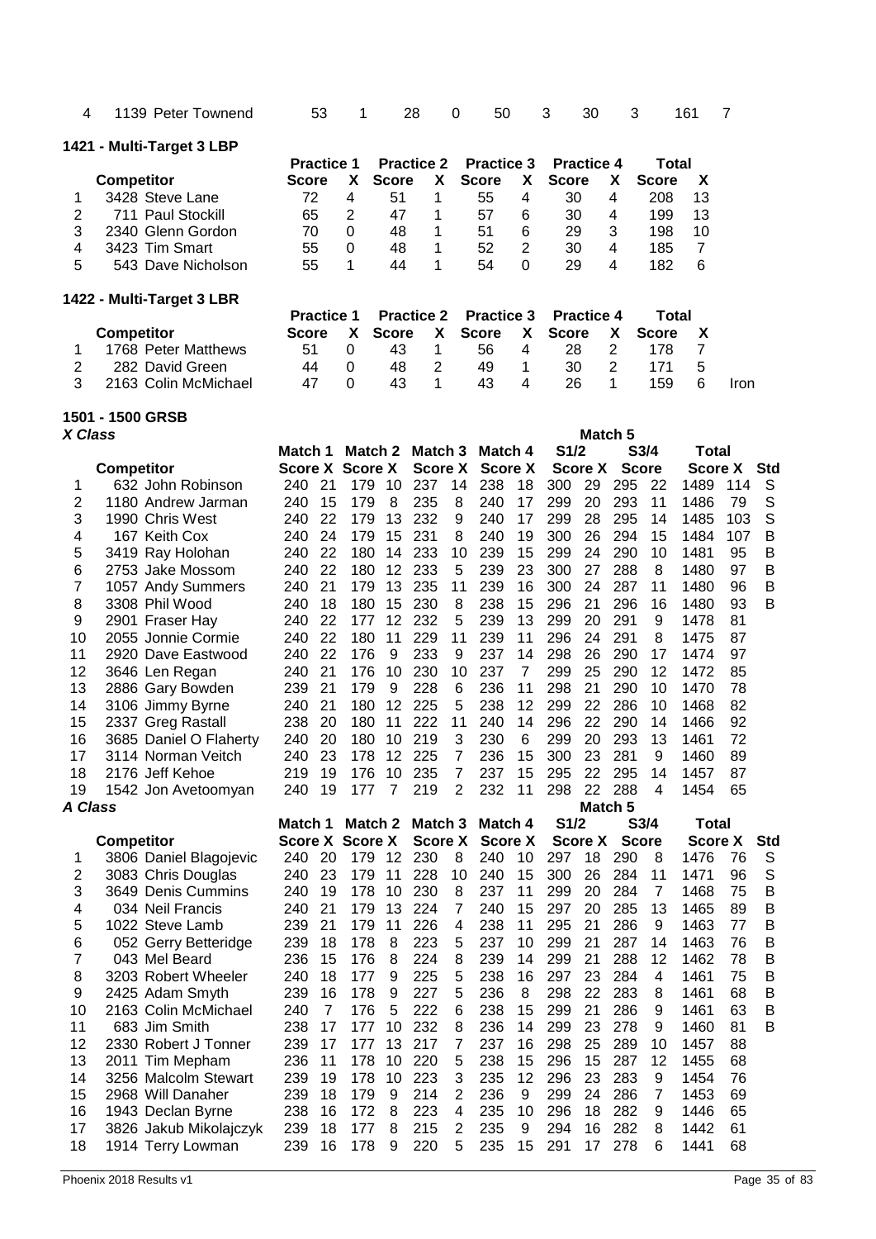| 4       | 1139 Peter Townend        |                        | 53             | 1                       |              | 28                | 0              | 50                |                | 3            | 30                | 3            |                | 161            | 7    |             |
|---------|---------------------------|------------------------|----------------|-------------------------|--------------|-------------------|----------------|-------------------|----------------|--------------|-------------------|--------------|----------------|----------------|------|-------------|
|         | 1421 - Multi-Target 3 LBP |                        |                |                         |              |                   |                |                   |                |              |                   |              |                |                |      |             |
|         |                           | <b>Practice 1</b>      |                |                         |              | <b>Practice 2</b> |                | <b>Practice 3</b> |                |              | <b>Practice 4</b> |              | Total          |                |      |             |
|         | <b>Competitor</b>         | <b>Score</b>           |                | χ                       | <b>Score</b> | χ                 |                | <b>Score</b>      | X              | <b>Score</b> |                   | X            | <b>Score</b>   | X              |      |             |
| 1       | 3428 Steve Lane           | 72                     |                | $\overline{\mathbf{4}}$ | 51           | 1                 |                | 55                | 4              | 30           |                   | 4            | 208            | 13             |      |             |
| 2       | 711 Paul Stockill         | 65                     |                | 2                       | 47           | 1                 |                | 57                | 6              | 30           |                   | 4            | 199            | 13             |      |             |
| 3       | 2340 Glenn Gordon         | 70                     |                | 0                       | 48           | 1                 |                | 51                | 6              | 29           |                   | 3            | 198            | 10             |      |             |
| 4       | 3423 Tim Smart            | 55                     |                | $\mathbf 0$             | 48           | 1                 |                | 52                | $\overline{2}$ | 30           |                   | 4            | 185            | $\overline{7}$ |      |             |
| 5       | 543 Dave Nicholson        | 55                     |                | 1                       | 44           | 1                 |                | 54                | 0              | 29           |                   | 4            | 182            | 6              |      |             |
|         | 1422 - Multi-Target 3 LBR |                        |                |                         |              |                   |                |                   |                |              |                   |              |                |                |      |             |
|         |                           | <b>Practice 1</b>      |                |                         |              | <b>Practice 2</b> |                | <b>Practice 3</b> |                |              | <b>Practice 4</b> |              | Total          |                |      |             |
|         | <b>Competitor</b>         | Score                  |                | X                       | <b>Score</b> | X                 |                | <b>Score</b>      | X              | <b>Score</b> |                   | X            | <b>Score</b>   | X              |      |             |
| 1       | 1768 Peter Matthews       | 51                     |                | 0                       | 43           | 1                 |                | 56                | 4              | 28           |                   | 2            | 178            | 7              |      |             |
| 2       | 282 David Green           | 44                     |                | 0                       | 48           | 2                 |                | 49                | 1              | 30           |                   | 2            | 171            | 5              |      |             |
| 3       | 2163 Colin McMichael      | 47                     |                | 0                       | 43           | 1                 |                | 43                | 4              | 26           |                   | 1            | 159            | 6              | Iron |             |
|         |                           |                        |                |                         |              |                   |                |                   |                |              |                   |              |                |                |      |             |
| X Class | 1501 - 1500 GRSB          |                        |                |                         |              |                   |                |                   |                |              |                   | Match 5      |                |                |      |             |
|         |                           | Match 1                |                | Match 2                 |              | Match 3           |                | Match 4           |                | S1/2         |                   |              | S3/4           | <b>Total</b>   |      |             |
|         | <b>Competitor</b>         | <b>Score X Score X</b> |                |                         |              | <b>Score X</b>    |                | <b>Score X</b>    |                |              | <b>Score X</b>    | <b>Score</b> |                | <b>Score X</b> |      | <b>Std</b>  |
| 1       | 632 John Robinson         | 240                    | 21             | 179                     | 10           | 237               | 14             | 238               | 18             | 300          | 29                | 295          | 22             | 1489           | 114  | S           |
| 2       | 1180 Andrew Jarman        | 240                    | 15             | 179                     | 8            | 235               | 8              | 240               | 17             | 299          | 20                | 293          | 11             | 1486           | 79   | S           |
| 3       | 1990 Chris West           | 240                    | 22             | 179                     | 13           | 232               | 9              | 240               | 17             | 299          | 28                | 295          | 14             | 1485           | 103  | S           |
| 4       | 167 Keith Cox             | 240                    | 24             | 179                     | 15           | 231               | 8              | 240               | 19             | 300          | 26                | 294          | 15             | 1484           | 107  | B           |
| 5       | 3419 Ray Holohan          | 240                    | 22             | 180                     | 14           | 233               | 10             | 239               | 15             | 299          | 24                | 290          | 10             | 1481           | 95   | B           |
| 6       | 2753 Jake Mossom          | 240                    | 22             | 180                     | 12           | 233               | 5              | 239               | 23             | 300          | 27                | 288          | 8              | 1480           | 97   | $\mathsf B$ |
| 7       | 1057 Andy Summers         | 240                    | 21             | 179                     | 13           | 235               | 11             | 239               | 16             | 300          | 24                | 287          | 11             | 1480           | 96   | $\mathsf B$ |
|         | 3308 Phil Wood            | 240                    | 18             | 180                     | 15           | 230               | 8              | 238               | 15             | 296          | 21                | 296          | 16             | 1480           | 93   | B           |
| 8       |                           |                        | 22             |                         | 12           |                   |                |                   |                |              |                   |              |                |                | 81   |             |
| 9       | 2901 Fraser Hay           | 240                    |                | 177                     |              | 232               | 5              | 239               | 13             | 299          | 20                | 291          | 9              | 1478           |      |             |
| 10      | 2055 Jonnie Cormie        | 240                    | 22             | 180                     | 11           | 229               | 11             | 239               | 11             | 296          | 24                | 291          | 8              | 1475           | 87   |             |
| 11      | 2920 Dave Eastwood        | 240                    | 22             | 176                     | 9            | 233               | 9              | 237               | 14             | 298          | 26                | 290          | 17             | 1474           | 97   |             |
| 12      | 3646 Len Regan            | 240                    | 21             | 176                     | 10           | 230               | 10             | 237               | $\overline{7}$ | 299          | 25                | 290          | 12             | 1472           | 85   |             |
| 13      | 2886 Gary Bowden          | 239                    | 21             | 179                     | 9            | 228               | 6              | 236               | 11             | 298          | 21                | 290          | 10             | 1470           | 78   |             |
| 14      | 3106 Jimmy Byrne          | 240                    | 21             | 180                     | 12           | 225               | 5              | 238               | 12             | 299          | 22                | 286          | 10             | 1468           | 82   |             |
| 15      | 2337 Greg Rastall         | 238                    | 20             | 180                     | 11           | 222               | 11             | 240               | 14             | 296          | 22                | 290          | 14             | 1466           | 92   |             |
| 16      | 3685 Daniel O Flaherty    | 240                    | 20             | 180                     | 10           | 219               | 3              | 230               | 6              | 299          | 20                | 293          | 13             | 1461           | 72   |             |
| 17      | 3114 Norman Veitch        | 240                    | 23             | 178                     | 12           | 225               | 7              | 236               | 15             | 300          | 23                | 281          | 9              | 1460           | 89   |             |
| 18      | 2176 Jeff Kehoe           | 219                    | 19             | 176                     | 10           | 235               | 7              | 237               | 15             | 295          | 22                | 295          | 14             | 1457           | 87   |             |
| 19      | 1542 Jon Avetoomyan       | 240                    | 19             | 177                     | 7            | 219               | 2              | 232               | 11             | 298          | 22                | 288          | 4              | 1454           | 65   |             |
| A Class |                           |                        |                |                         |              |                   |                |                   |                |              |                   | Match 5      |                |                |      |             |
|         |                           | Match 1                |                |                         |              | Match 2 Match 3   |                | Match 4           |                | S1/2         |                   |              | S3/4           | <b>Total</b>   |      |             |
|         | <b>Competitor</b>         | <b>Score X Score X</b> |                |                         |              | <b>Score X</b>    |                | <b>Score X</b>    |                |              | Score X           | <b>Score</b> |                | <b>Score X</b> |      | <b>Std</b>  |
| 1       | 3806 Daniel Blagojevic    | 240                    | 20             | 179                     | 12           | 230               | 8              | 240               | 10             | 297          | 18                | 290          | 8              | 1476           | 76   | S           |
| 2       | 3083 Chris Douglas        | 240                    | 23             | 179                     | 11           | 228               | 10             | 240               | 15             | 300          | 26                | 284          | 11             | 1471           | 96   | S           |
| 3       | 3649 Denis Cummins        | 240                    | 19             | 178                     | 10           | 230               | 8              | 237               | 11             | 299          | 20                | 284          | $\overline{7}$ | 1468           | 75   | B           |
| 4       | 034 Neil Francis          | 240                    | 21             | 179                     | 13           | 224               | $\overline{7}$ | 240               | 15             | 297          | 20                | 285          | 13             | 1465           | 89   | B           |
| 5       | 1022 Steve Lamb           | 239                    | 21             | 179                     | 11           | 226               | 4              | 238               | 11             | 295          | 21                | 286          | 9              | 1463           | 77   | B           |
| 6       | 052 Gerry Betteridge      | 239                    | 18             | 178                     | 8            | 223               | 5              | 237               | 10             | 299          | 21                | 287          | 14             | 1463           | 76   | B           |
| 7       | 043 Mel Beard             | 236                    | 15             | 176                     | 8            | 224               | 8              | 239               | 14             | 299          | 21                | 288          | 12             | 1462           | 78   | B           |
| 8       | 3203 Robert Wheeler       | 240                    | 18             | 177                     | 9            | 225               | 5              | 238               | 16             | 297          | 23                | 284          | 4              | 1461           | 75   | B           |
| 9       | 2425 Adam Smyth           | 239                    | 16             | 178                     | 9            | 227               | 5              | 236               | 8              | 298          | 22                | 283          | 8              | 1461           | 68   | B           |
| 10      | 2163 Colin McMichael      | 240                    | $\overline{7}$ | 176                     | 5            | 222               | 6              | 238               | 15             | 299          | 21                | 286          | 9              | 1461           | 63   | B           |
| 11      | 683 Jim Smith             | 238                    | 17             | 177                     | 10           | 232               | 8              | 236               | 14             | 299          | 23                | 278          | 9              | 1460           | 81   | в           |
| 12      | 2330 Robert J Tonner      | 239                    | 17             | 177                     | 13           | 217               | 7              | 237               | 16             | 298          | 25                | 289          | 10             | 1457           | 88   |             |
| 13      | 2011 Tim Mepham           | 236                    | 11             | 178                     | 10           | 220               | 5              | 238               | 15             | 296          | 15                | 287          | 12             | 1455           | 68   |             |
| 14      | 3256 Malcolm Stewart      | 239                    | 19             | 178                     | 10           | 223               | 3              | 235               | 12             | 296          | 23                | 283          | 9              | 1454           | 76   |             |
| 15      | 2968 Will Danaher         | 239                    | 18             | 179                     | 9            | 214               | 2              | 236               | 9              | 299          | 24                | 286          | $\overline{7}$ | 1453           | 69   |             |
|         |                           |                        |                |                         |              |                   |                |                   |                |              |                   |              |                |                |      |             |

 3256 Malcolm Stewart 239 19 178 10 223 3 235 12 296 23 283 9 1454 76 2968 Will Danaher 239 18 179 9 214 2 236 9 299 24 286 7 1453 69 1943 Declan Byrne 238 16 172 8 223 4 235 10 296 18 282 9 1446 65 3826 Jakub Mikolajczyk 239 18 177 8 215 2 235 9 294 16 282 8 1442 61 1914 Terry Lowman 239 16 178 9 220 5 235 15 291 17 278 6 1441 68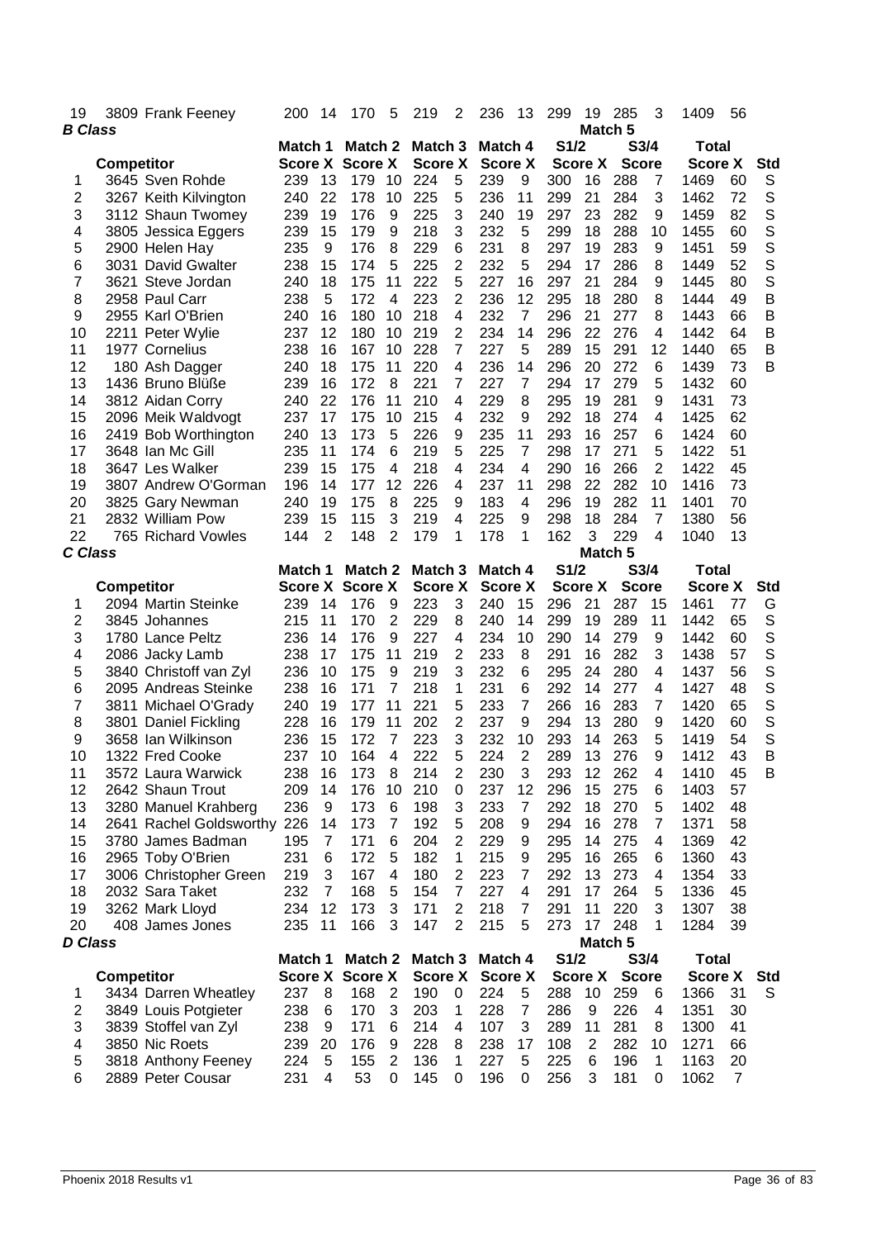| 19             | 3809 Frank Feeney                        | 200        | 14             | 170                               | 5                   | 219                       | 2              | 236                       | 13                  | 299        | 19             | 285                        | 3              | 1409                           | 56                   |            |
|----------------|------------------------------------------|------------|----------------|-----------------------------------|---------------------|---------------------------|----------------|---------------------------|---------------------|------------|----------------|----------------------------|----------------|--------------------------------|----------------------|------------|
| <b>B</b> Class |                                          | Match 1    |                | Match 2                           |                     | Match <sub>3</sub>        |                | Match 4                   |                     | S1/2       |                | Match <sub>5</sub><br>S3/4 |                | <b>Total</b>                   |                      |            |
|                | <b>Competitor</b>                        |            | <b>Score X</b> |                                   | <b>Score X</b>      | <b>Score X</b>            |                | <b>Score X</b>            |                     |            | <b>Score X</b> | <b>Score</b>               |                | <b>Score X</b>                 |                      | Std        |
| 1              | 3645 Sven Rohde                          | 239        | 13             | 179                               | 10                  | 224                       | 5              | 239                       | 9                   | 300        | 16             | 288                        | 7              | 1469                           | 60                   | S          |
| 2              | 3267 Keith Kilvington                    | 240        | 22             | 178                               | 10                  | 225                       | 5              | 236                       | 11                  | 299        | 21             | 284                        | 3              | 1462                           | 72                   | S          |
| 3              | 3112 Shaun Twomey                        | 239        | 19             | 176                               | 9                   | 225                       | 3              | 240                       | 19                  | 297        | 23             | 282                        | 9              | 1459                           | 82                   | S          |
| 4              | 3805 Jessica Eggers                      | 239        | 15             | 179                               | 9                   | 218                       | 3              | 232                       | 5                   | 299        | 18             | 288                        | 10             | 1455                           | 60                   | S          |
| 5              | 2900 Helen Hay                           | 235        | 9              | 176                               | 8                   | 229                       | 6              | 231                       | 8                   | 297        | 19             | 283                        | 9              | 1451                           | 59                   | S          |
| 6              | 3031 David Gwalter                       | 238        | 15             | 174                               | 5                   | 225                       | 2              | 232                       | 5                   | 294        | 17             | 286                        | 8              | 1449                           | 52                   | S          |
| 7              | 3621 Steve Jordan                        | 240        | 18             | 175                               | 11                  | 222                       | 5              | 227                       | 16                  | 297        | 21             | 284                        | 9              | 1445                           | 80                   | S          |
| 8              | 2958 Paul Carr                           | 238        | 5              | 172                               | 4                   | 223                       | 2              | 236                       | 12                  | 295        | 18             | 280                        | 8              | 1444                           | 49                   | B          |
| 9              | 2955 Karl O'Brien                        | 240        | 16             | 180                               | 10                  | 218                       | 4              | 232                       | 7                   | 296        | 21             | 277                        | 8              | 1443                           | 66                   | B          |
| 10             | 2211 Peter Wylie                         | 237        | 12             | 180                               | 10                  | 219                       | 2              | 234                       | 14                  | 296        | 22             | 276                        | 4              | 1442                           | 64                   | B          |
| 11             | 1977 Cornelius                           | 238        | 16             | 167                               | 10                  | 228                       | 7              | 227                       | 5                   | 289        | 15             | 291                        | 12             | 1440                           | 65                   | B          |
| 12             | 180 Ash Dagger                           | 240        | 18             | 175                               | 11                  | 220                       | $\overline{4}$ | 236                       | 14                  | 296        | 20             | 272                        | 6              | 1439                           | 73                   | B          |
| 13             | 1436 Bruno Blüße                         | 239        | 16             | 172                               | 8                   | 221                       | 7              | 227                       | 7                   | 294        | 17             | 279                        | 5              | 1432                           | 60                   |            |
| 14             | 3812 Aidan Corry                         | 240        | 22             | 176                               | 11                  | 210                       | 4              | 229                       | 8                   | 295        | 19             | 281                        | 9              | 1431                           | 73                   |            |
| 15             | 2096 Meik Waldvogt                       | 237        | 17             | 175                               | 10                  | 215                       | 4              | 232                       | 9                   | 292        | 18             | 274                        | 4              | 1425                           | 62                   |            |
| 16             | 2419 Bob Worthington                     | 240        | 13             | 173                               | 5                   | 226                       | 9              | 235                       | 11                  | 293        | 16             | 257                        | 6              | 1424                           | 60                   |            |
| 17             | 3648 Ian Mc Gill                         | 235        | 11             | 174                               | 6                   | 219                       | 5              | 225                       | 7                   | 298        | 17             | 271                        | 5              | 1422                           | 51                   |            |
| 18             | 3647 Les Walker                          | 239        | 15             | 175                               | 4                   | 218                       | 4              | 234                       | 4                   | 290        | 16             | 266                        | 2              | 1422                           | 45                   |            |
| 19             | 3807 Andrew O'Gorman                     | 196        | 14             | 177                               | 12                  | 226                       | 4              | 237                       | 11                  | 298        | 22             | 282                        | 10             | 1416                           | 73                   |            |
| 20             | 3825 Gary Newman                         | 240        | 19             | 175                               | 8                   | 225                       | 9              | 183                       | 4                   | 296        | 19             | 282                        | 11             | 1401                           | 70                   |            |
| 21             | 2832 William Pow                         | 239        | 15             | 115                               | 3                   | 219                       | 4              | 225                       | 9                   | 298        | 18             | 284                        | 7              | 1380                           | 56                   |            |
| 22             | 765 Richard Vowles                       | 144        | 2              | 148                               | 2                   | 179                       | 1              | 178                       | 1                   | 162        | 3              | 229                        | 4              | 1040                           | 13                   |            |
| C Class        |                                          |            |                |                                   |                     |                           |                |                           |                     | S1/2       |                | Match 5<br>S3/4            |                |                                |                      |            |
|                | <b>Competitor</b>                        | Match 1    |                | Match 2<br><b>Score X Score X</b> |                     | Match 3<br><b>Score X</b> |                | Match 4<br><b>Score X</b> |                     |            | <b>Score X</b> | <b>Score</b>               |                | <b>Total</b><br><b>Score X</b> |                      | Std        |
| 1              | 2094 Martin Steinke                      | 239        | 14             | 176                               | 9                   | 223                       | 3              | 240                       | 15                  | 296        | 21             | 287                        | 15             | 1461                           | 77                   | G          |
| 2              | 3845 Johannes                            | 215        | 11             | 170                               | $\overline{2}$      | 229                       | 8              | 240                       | 14                  | 299        | 19             | 289                        | 11             | 1442                           | 65                   | S          |
| 3              | 1780 Lance Peltz                         | 236        | 14             | 176                               | 9                   | 227                       | 4              | 234                       | 10                  | 290        | 14             | 279                        | 9              | 1442                           | 60                   | S          |
| 4              | 2086 Jacky Lamb                          | 238        | 17             | 175                               | 11                  | 219                       | $\overline{2}$ | 233                       | 8                   | 291        | 16             | 282                        | 3              | 1438                           | 57                   | S          |
| 5              | 3840 Christoff van Zyl                   | 236        | 10             | 175                               | 9                   | 219                       | 3              | 232                       | 6                   | 295        | 24             | 280                        | 4              | 1437                           | 56                   | S          |
| 6              | 2095 Andreas Steinke                     | 238        | 16             | 171                               | 7                   | 218                       | 1              | 231                       | 6                   | 292        | 14             | 277                        | 4              | 1427                           | 48                   | S          |
| 7              | 3811 Michael O'Grady                     | 240        | 19             | 177                               | 11                  | 221                       | 5              | 233                       | 7                   | 266        | 16             | 283                        | 7              | 1420                           | 65                   | S          |
| 8              | 3801 Daniel Fickling                     | 228        | 16             | 179                               | 11                  | 202                       | 2              | 237                       | 9                   | 294        | 13             | 280                        | 9              | 1420                           | 60                   | S          |
| 9              | 3658 Ian Wilkinson                       | 236        | 15             | 172                               | 7                   | 223                       | 3              | 232                       | 10                  | 293        | 14             | 263                        | 5              | 1419                           | 54                   | S          |
| 10             | 1322 Fred Cooke                          | 237        | 10             | 164                               | 4                   | 222                       | 5              | 224                       | 2                   | 289        | 13             | 276                        | 9              | 1412                           | 43                   | B          |
| 11             | 3572 Laura Warwick                       | 238        | 16             | 173                               | 8                   | 214                       | $\overline{2}$ | 230                       | 3                   | 293        | 12             | 262                        | 4              | 1410                           | 45                   | B          |
| 12             | 2642 Shaun Trout                         | 209        | 14             | 176                               | 10                  | 210                       | $\mathbf 0$    | 237                       | 12                  | 296        | 15             | 275                        | 6              | 1403                           | 57                   |            |
| 13             | 3280 Manuel Krahberg                     | 236        | 9              | 173                               | 6                   | 198                       | 3              | 233                       | $\overline{7}$      | 292        | 18             | 270                        | 5              | 1402                           | 48                   |            |
| 14             | 2641 Rachel Goldsworthy 226              |            | 14             | 173                               | $\overline{7}$      | 192                       | 5              | 208                       | 9                   | 294        | 16             | 278                        | $\overline{7}$ | 1371                           | 58                   |            |
| 15             | 3780 James Badman                        | 195        | $\overline{7}$ | 171                               | 6                   | 204                       | $\overline{2}$ | 229                       | 9                   | 295        | 14             | 275                        | 4              | 1369                           | 42                   |            |
| 16             | 2965 Toby O'Brien                        | 231        | 6              | 172                               | 5                   | 182                       | 1              | 215                       | 9                   | 295        | 16             | 265                        | 6              | 1360                           | 43                   |            |
| 17             | 3006 Christopher Green                   | 219        | 3              | 167                               | 4                   | 180                       | $\overline{2}$ | 223                       | $\overline{7}$      | 292        | 13             | 273                        | 4              | 1354                           | 33                   |            |
| 18             | 2032 Sara Taket                          | 232        | $\overline{7}$ | 168                               | 5                   | 154                       | $\overline{7}$ | 227                       | 4                   | 291        | 17             | 264                        | 5              | 1336                           | 45                   |            |
| 19             | 3262 Mark Lloyd                          | 234        | 12             | 173                               | 3                   | 171                       | $\overline{2}$ | 218                       | 7                   | 291        | 11             | 220                        | 3              | 1307                           | 38                   |            |
| 20             | 408 James Jones                          | 235        | 11             | 166                               | 3                   | 147                       | 2              | 215                       | 5                   | 273        | 17             | 248                        | 1              | 1284                           | 39                   |            |
| <b>D</b> Class |                                          |            |                |                                   |                     |                           |                |                           |                     |            |                | Match 5                    |                |                                |                      |            |
|                |                                          | Match 1    |                | Match 2                           |                     |                           |                | Match 3 Match 4           |                     | S1/2       |                | S3/4                       |                | <b>Total</b>                   |                      |            |
|                | Competitor                               |            |                | <b>Score X Score X</b>            |                     | <b>Score X</b>            |                | <b>Score X</b>            |                     |            | <b>Score X</b> | <b>Score</b>               |                | <b>Score X</b>                 |                      | <b>Std</b> |
| 1              | 3434 Darren Wheatley                     | 237        | 8              | 168                               | $\overline{2}$      | 190                       | 0              | 224                       | 5<br>$\overline{7}$ | 288        | 10             | 259                        | 6              | 1366                           | 31                   | S          |
| 2              | 3849 Louis Potgieter                     | 238        | 6<br>9         | 170<br>171                        | 3<br>6              | 203<br>214                | 1<br>4         | 228<br>107                | 3                   | 286<br>289 | 9<br>11        | 226<br>281                 | 4<br>8         | 1351<br>1300                   | 30<br>41             |            |
|                |                                          |            |                |                                   |                     |                           |                |                           |                     |            |                |                            |                |                                |                      |            |
| 3              | 3839 Stoffel van Zyl                     | 238        |                |                                   |                     |                           |                |                           |                     |            |                |                            |                |                                |                      |            |
| 4              | 3850 Nic Roets                           | 239        | 20             | 176                               | 9                   | 228                       | 8              | 238                       | 17                  | 108        | $\overline{2}$ | 282                        | 10             | 1271                           | 66                   |            |
| 5<br>6         | 3818 Anthony Feeney<br>2889 Peter Cousar | 224<br>231 | 5<br>4         | 155<br>53                         | $\overline{2}$<br>0 | 136<br>145                | 1<br>0         | 227<br>196                | 5<br>0              | 225<br>256 | 6<br>3         | 196<br>181                 | 1<br>0         | 1163<br>1062                   | 20<br>$\overline{7}$ |            |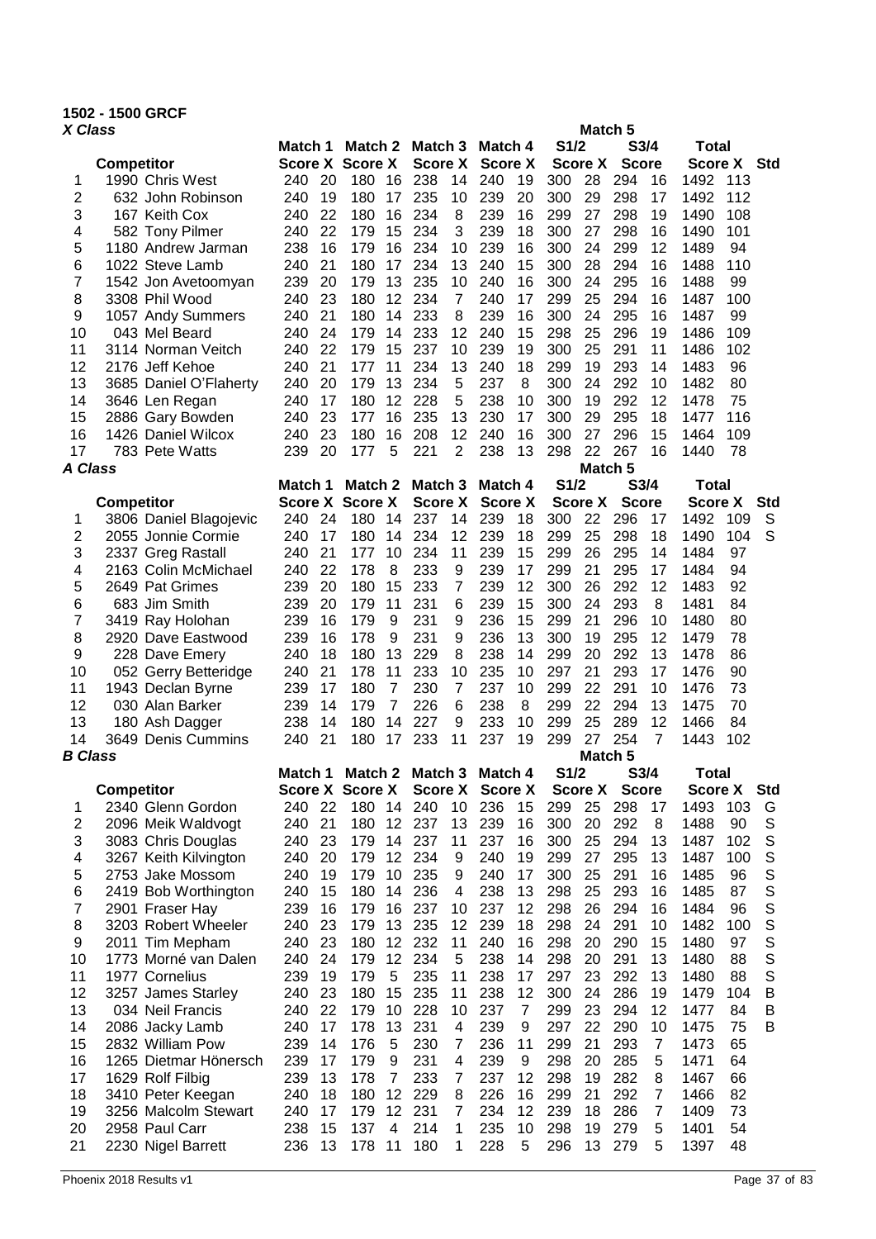# **1502 - 1500 GRCF**

| X Class        |                                           |            |          |                        |                       |                 |        |                |          |            | Match <sub>5</sub>       |              |                |                |            |            |
|----------------|-------------------------------------------|------------|----------|------------------------|-----------------------|-----------------|--------|----------------|----------|------------|--------------------------|--------------|----------------|----------------|------------|------------|
|                |                                           | Match 1    |          | Match 2                |                       | Match 3         |        | Match 4        |          | S1/2       |                          | S3/4         |                | <b>Total</b>   |            |            |
|                | <b>Competitor</b>                         |            |          | <b>Score X Score X</b> |                       | <b>Score X</b>  |        | <b>Score X</b> |          |            | Score X                  | <b>Score</b> |                | <b>Score X</b> |            | <b>Std</b> |
| 1              | 1990 Chris West                           | 240        | 20       | 180                    | 16                    | 238             | 14     | 240            | 19       | 300        | 28                       | 294          | 16             | 1492           | 113        |            |
| 2              | 632 John Robinson                         | 240        | 19       | 180                    | 17                    | 235             | 10     | 239            | 20       | 300        | 29                       | 298          | 17             | 1492           | 112        |            |
| 3              | 167 Keith Cox                             | 240        | 22       | 180                    | 16                    | 234             | 8      | 239            | 16       | 299        | 27                       | 298          | 19             | 1490           | 108        |            |
| 4              | 582 Tony Pilmer                           | 240        | 22       | 179                    | 15                    | 234             | 3      | 239            | 18       | 300        | 27                       | 298          | 16             | 1490           | 101        |            |
| 5              | 1180 Andrew Jarman                        | 238        | 16       | 179                    | 16                    | 234             | 10     | 239            | 16       | 300        | 24                       | 299          | 12             | 1489           | 94         |            |
| 6              | 1022 Steve Lamb                           | 240        | 21       | 180                    | 17                    | 234             | 13     | 240            | 15       | 300        | 28                       | 294          | 16             | 1488           | 110        |            |
| 7              | 1542 Jon Avetoomyan                       | 239        | 20       | 179                    | 13                    | 235             | 10     | 240            | 16       | 300        | 24                       | 295          | 16             | 1488           | 99         |            |
| 8              | 3308 Phil Wood                            | 240        | 23       | 180                    | 12                    | 234             | 7      | 240            | 17       | 299        | 25                       | 294          | 16             | 1487           | 100        |            |
| 9              | 1057 Andy Summers                         | 240        | 21       | 180                    | 14                    | 233             | 8      | 239            | 16       | 300        | 24                       | 295          | 16             | 1487           | 99         |            |
| 10             | 043 Mel Beard                             | 240        | 24       | 179                    | 14                    | 233             | 12     | 240            | 15       | 298        | 25                       | 296          | 19             | 1486           | 109        |            |
| 11             | 3114 Norman Veitch                        | 240        | 22       | 179                    | 15                    | 237             | 10     | 239            | 19       | 300        | 25                       | 291          | 11             | 1486           | 102        |            |
| 12             | 2176 Jeff Kehoe                           | 240        | 21       | 177                    | 11                    | 234             | 13     | 240            | 18       | 299        | 19                       | 293          | 14             | 1483           | 96         |            |
| 13             | 3685 Daniel O'Flaherty                    | 240        | 20       | 179                    | 13                    | 234             | 5      | 237            | 8        | 300        | 24                       | 292          | 10             | 1482           | 80         |            |
| 14             | 3646 Len Regan                            | 240        | 17       | 180                    | 12                    | 228             | 5      | 238            | 10       | 300        | 19                       | 292          | 12             | 1478           | 75         |            |
| 15             | 2886 Gary Bowden                          | 240        | 23       | 177                    | 16                    | 235             | 13     | 230            | 17       | 300        | 29                       | 295          | 18             | 1477           | 116        |            |
| 16             | 1426 Daniel Wilcox                        | 240        | 23       | 180                    | 16                    | 208             | 12     | 240            | 16       | 300        | 27                       | 296          | 15             | 1464           | 109        |            |
| 17<br>A Class  | 783 Pete Watts                            | 239        | 20       | 177                    | 5                     | 221             | 2      | 238            | 13       | 298        | 22<br>Match <sub>5</sub> | 267          | 16             | 1440           | 78         |            |
|                |                                           | Match 1    |          | Match 2                |                       | Match 3         |        | Match 4        |          | S1/2       |                          | S3/4         |                | <b>Total</b>   |            |            |
|                | <b>Competitor</b>                         |            |          | Score X Score X        |                       | <b>Score X</b>  |        | <b>Score X</b> |          |            | <b>Score X</b>           | <b>Score</b> |                | <b>Score X</b> |            | <b>Std</b> |
| 1              | 3806 Daniel Blagojevic                    | 240        | 24       | 180                    | 14                    | 237             | 14     | 239            | 18       | 300        | 22                       | 296          | 17             | 1492           | 109        | S          |
| 2              | 2055 Jonnie Cormie                        | 240        | 17       | 180                    | 14                    | 234             | 12     | 239            | 18       | 299        | 25                       | 298          | 18             | 1490           | 104        | S          |
| 3              | 2337 Greg Rastall                         | 240        | 21       | 177                    | 10                    | 234             | 11     | 239            | 15       | 299        | 26                       | 295          | 14             | 1484           | 97         |            |
| 4              | 2163 Colin McMichael                      | 240        | 22       | 178                    | 8                     | 233             | 9      | 239            | 17       | 299        | 21                       | 295          | 17             | 1484           | 94         |            |
| 5              | 2649 Pat Grimes                           | 239        | 20       | 180                    | 15                    | 233             | 7      | 239            | 12       | 300        | 26                       | 292          | 12             | 1483           | 92         |            |
| 6              | 683 Jim Smith                             | 239        | 20       | 179                    | 11                    | 231             | 6      | 239            | 15       | 300        | 24                       | 293          | 8              | 1481           | 84         |            |
| 7              | 3419 Ray Holohan                          | 239        | 16       | 179                    | 9                     | 231             | 9      | 236            | 15       | 299        | 21                       | 296          | 10             | 1480           | 80         |            |
| 8              | 2920 Dave Eastwood                        | 239        | 16       | 178                    | 9                     | 231             | 9      | 236            | 13       | 300        | 19                       | 295          | 12             | 1479           | 78         |            |
| 9              | 228 Dave Emery                            | 240        | 18       | 180                    | 13                    | 229             | 8      | 238            | 14       | 299        | 20                       | 292          | 13             | 1478           | 86         |            |
| 10             | 052 Gerry Betteridge                      | 240        | 21       | 178                    | 11                    | 233             | 10     | 235            | 10       | 297        | 21                       | 293          | 17             | 1476           | 90         |            |
| 11             | 1943 Declan Byrne                         | 239        | 17       | 180                    | $\overline{7}$        | 230             | 7      | 237            | 10       | 299        | 22                       | 291          | 10             | 1476           | 73         |            |
| 12             | 030 Alan Barker                           | 239        | 14       | 179                    | 7                     | 226             | 6      | 238            | 8        | 299        | 22                       | 294          | 13             | 1475           | 70         |            |
| 13             | 180 Ash Dagger                            | 238        | 14       | 180                    | 14                    | 227             | 9      | 233            | 10       | 299        | 25                       | 289          | 12             | 1466           | 84         |            |
| 14             | 3649 Denis Cummins                        | 240        | 21       | 180                    | 17                    | 233             | 11     | 237            | 19       | 299        | 27                       | 254          | $\overline{7}$ | 1443           | 102        |            |
| <b>B</b> Class |                                           |            |          |                        |                       |                 |        |                |          |            | Match <sub>5</sub>       |              |                |                |            |            |
|                |                                           | Match 1    |          |                        |                       | Match 2 Match 3 |        | Match 4        |          | S1/2       |                          | S3/4         |                | <b>Total</b>   |            |            |
|                | <b>Competitor</b>                         |            |          | <b>Score X Score X</b> |                       | <b>Score X</b>  |        | <b>Score X</b> |          |            | <b>Score X</b>           | <b>Score</b> |                | <b>Score X</b> |            | <b>Std</b> |
| 1              | 2340 Glenn Gordon                         | 240        | 22       | 180                    | 14                    | 240             | 10     | 236            | 15       | 299        | 25                       | 298          | 17             | 1493           | 103        | G          |
| 2              | 2096 Meik Waldvogt                        | 240        | 21       | 180                    | 12 <sup>2</sup>       | 237             | 13     | 239            | 16       | 300        | 20                       | 292          | 8              | 1488<br>1487   | 90         | S<br>S     |
| 3              | 3083 Chris Douglas                        | 240<br>240 | 23<br>20 | 179<br>179             | 14<br>12 <sup>2</sup> | 237<br>234      | 11     | 237<br>240     | 16<br>19 | 300<br>299 | 25<br>27                 | 294<br>295   | 13<br>13       | 1487           | 102<br>100 | S          |
| 4<br>5         | 3267 Keith Kilvington<br>2753 Jake Mossom | 240        | 19       | 179                    | 10                    | 235             | 9<br>9 | 240            | 17       | 300        | 25                       | 291          | 16             | 1485           | 96         | S          |
| 6              | 2419 Bob Worthington                      | 240        | 15       | 180                    | 14                    | 236             | 4      | 238            | 13       | 298        | 25                       | 293          | 16             | 1485           | 87         | S          |
| 7              | 2901 Fraser Hay                           | 239        | 16       | 179                    | 16                    | 237             | 10     | 237            | 12       | 298        | 26                       | 294          | 16             | 1484           | 96         | S          |
| 8              | 3203 Robert Wheeler                       | 240        | 23       | 179                    | 13                    | 235             | 12     | 239            | 18       | 298        | 24                       | 291          | 10             | 1482           | 100        | S          |
| 9              | 2011 Tim Mepham                           | 240        | 23       | 180                    | 12                    | 232             | 11     | 240            | 16       | 298        | 20                       | 290          | 15             | 1480           | 97         | S          |
| 10             | 1773 Morné van Dalen                      | 240        | 24       | 179                    | 12                    | 234             | 5      | 238            | 14       | 298        | 20                       | 291          | 13             | 1480           | 88         | S          |
| 11             | 1977 Cornelius                            | 239        | 19       | 179                    | 5                     | 235             | 11     | 238            | 17       | 297        | 23                       | 292          | 13             | 1480           | 88         | S          |
| 12             | 3257 James Starley                        | 240        | 23       | 180                    | 15                    | 235             | 11     | 238            | 12       | 300        | 24                       | 286          | 19             | 1479           | 104        | Β          |
| 13             | 034 Neil Francis                          | 240        | 22       | 179                    | 10                    | 228             | 10     | 237            | 7        | 299        | 23                       | 294          | 12             | 1477           | 84         | Β          |
| 14             | 2086 Jacky Lamb                           | 240        | 17       | 178                    | 13                    | 231             | 4      | 239            | 9        | 297        | 22                       | 290          | 10             | 1475           | 75         | B          |
| 15             | 2832 William Pow                          | 239        | 14       | 176                    | 5                     | 230             | 7      | 236            | 11       | 299        | 21                       | 293          | $\overline{7}$ | 1473           | 65         |            |
| 16             | 1265 Dietmar Hönersch                     | 239        | 17       | 179                    | 9                     | 231             | 4      | 239            | 9        | 298        | 20                       | 285          | 5              | 1471           | 64         |            |
| 17             | 1629 Rolf Filbig                          | 239        | 13       | 178                    | $\overline{7}$        | 233             | 7      | 237            | 12       | 298        | 19                       | 282          | 8              | 1467           | 66         |            |
| 18             | 3410 Peter Keegan                         | 240        | 18       | 180                    | 12                    | 229             | 8      | 226            | 16       | 299        | 21                       | 292          | $\overline{7}$ | 1466           | 82         |            |
| 19             | 3256 Malcolm Stewart                      | 240        | 17       | 179                    | 12                    | 231             | 7      | 234            | 12       | 239        | 18                       | 286          | $\overline{7}$ | 1409           | 73         |            |
| 20             | 2958 Paul Carr                            | 238        | 15       | 137                    | 4                     | 214             | 1      | 235            | 10       | 298        | 19                       | 279          | 5              | 1401           | 54         |            |
| 21             | 2230 Nigel Barrett                        | 236        | 13       | 178                    | 11                    | 180             | 1      | 228            | 5        | 296        | 13                       | 279          | 5              | 1397           | 48         |            |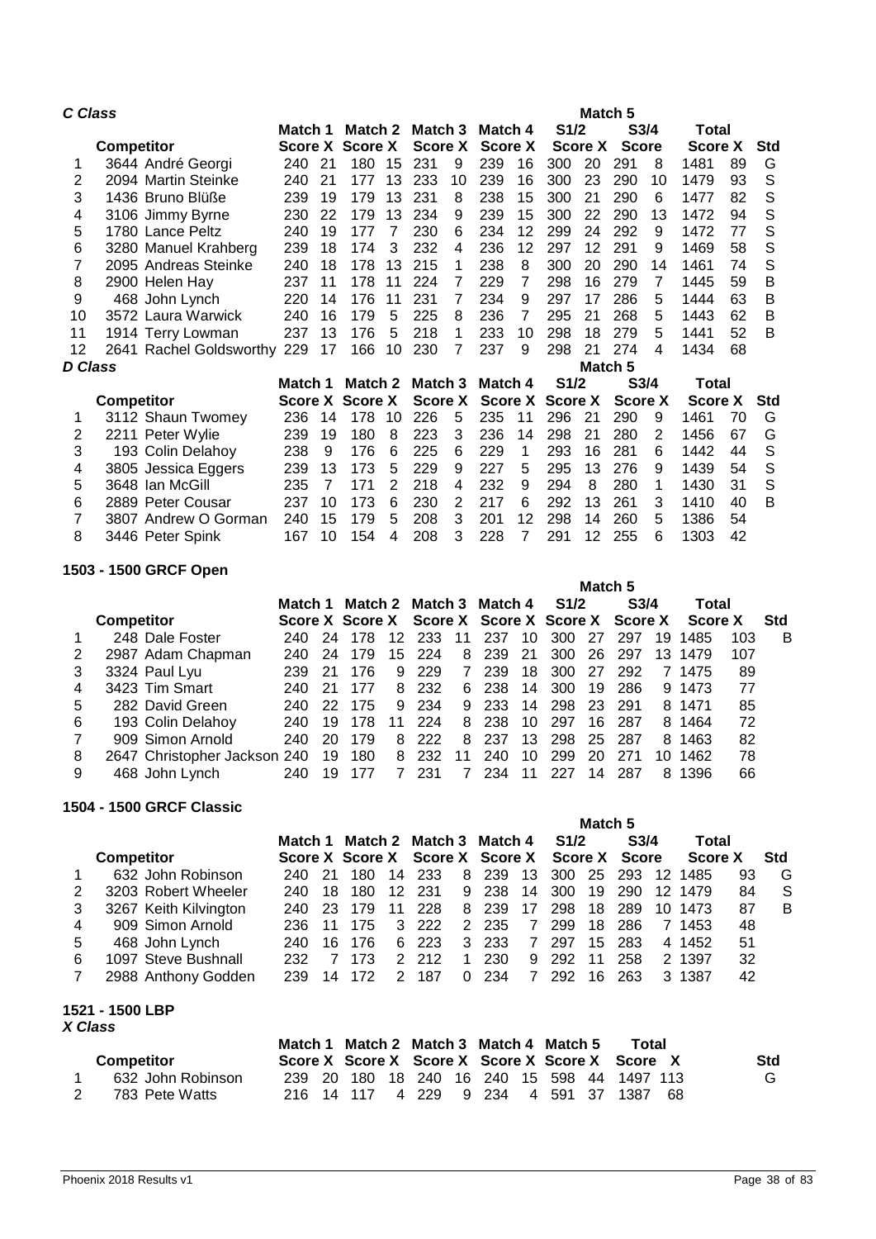| C Class |                             |         |                |                |    |                |    |                |    |                | Match 5        |                  |    |                |    |     |
|---------|-----------------------------|---------|----------------|----------------|----|----------------|----|----------------|----|----------------|----------------|------------------|----|----------------|----|-----|
|         |                             | Match 1 |                | Match 2        |    | Match 3        |    | Match 4        |    | S1/2           |                | S3/4             |    | Total          |    |     |
|         | <b>Competitor</b>           | Score X |                | <b>Score X</b> |    | Score X        |    | <b>Score X</b> |    |                | <b>Score X</b> | <b>Score</b>     |    | <b>Score X</b> |    | Std |
| 1       | 3644 André Georgi           | 240     | 21             | 180            | 15 | 231            | 9  | 239            | 16 | 300            | 20             | 291              | 8  | 1481           | 89 | G   |
| 2       | 2094 Martin Steinke         | 240     | 21             | 177            | 13 | 233            | 10 | 239            | 16 | 300            | 23             | 290              | 10 | 1479           | 93 | S   |
| 3       | 1436 Bruno Blüße            | 239     | 19             | 179            | 13 | 231            | 8  | 238            | 15 | 300            | 21             | 290              | 6  | 1477           | 82 | S   |
| 4       | 3106 Jimmy Byrne            | 230     | 22             | 179            | 13 | 234            | 9  | 239            | 15 | 300            | 22             | 290              | 13 | 1472           | 94 | S   |
| 5       | 1780 Lance Peltz            | 240     | 19             | 177            | 7  | 230            | 6  | 234            | 12 | 299            | 24             | 292              | 9  | 1472           | 77 | S   |
| 6       | 3280 Manuel Krahberg        | 239     | 18             | 174            | 3  | 232            | 4  | 236            | 12 | 297            | 12             | 291              | 9  | 1469           | 58 | S   |
| 7       | 2095 Andreas Steinke        | 240     | 18             | 178            | 13 | 215            | 1  | 238            | 8  | 300            | 20             | 290              | 14 | 1461           | 74 | S   |
| 8       | 2900 Helen Hay              | 237     | 11             | 178            | 11 | 224            | 7  | 229            | 7  | 298            | 16             | 279              | 7  | 1445           | 59 | B   |
| 9       | 468 John Lynch              | 220     | 14             | 176            | 11 | 231            | 7  | 234            | 9  | 297            | 17             | 286              | 5  | 1444           | 63 | B   |
| 10      | 3572 Laura Warwick          | 240     | 16             | 179            | 5  | 225            | 8  | 236            | 7  | 295            | 21             | 268              | 5  | 1443           | 62 | B   |
| 11      | 1914 Terry Lowman           | 237     | 13             | 176            | 5  | 218            | 1  | 233            | 10 | 298            | 18             | 279              | 5  | 1441           | 52 | B   |
| 12      | 2641 Rachel Goldsworthy 229 |         | 17             | 166            | 10 | 230            | 7  | 237            | 9  | 298            | 21             | 274              | 4  | 1434           | 68 |     |
| D Class |                             |         |                |                |    |                |    |                |    |                | Match 5        |                  |    |                |    |     |
|         |                             | Match 1 |                | Match 2        |    | Match 3        |    | Match 4        |    | S1/2           |                | S <sub>3/4</sub> |    | Total          |    |     |
|         | <b>Competitor</b>           | Score X |                | <b>Score X</b> |    | <b>Score X</b> |    | <b>Score X</b> |    | <b>Score X</b> |                | <b>Score X</b>   |    | <b>Score X</b> |    | Std |
|         | 3112 Shaun Twomey           | 236     | 14             | 178            | 10 | 226            | 5  | 235            | 11 | 296            | 21             | 290              | 9  | 1461           | 70 | G   |
| 2       | 2211 Peter Wylie            | 239     | 19             | 180            | 8  | 223            | 3  | 236            | 14 | 298            | 21             | 280              | 2  | 1456           | 67 | G   |
| 3       | 193 Colin Delahoy           | 238     | 9              | 176            | 6  | 225            | 6  | 229            | 1  | 293            | 16             | 281              | 6  | 1442           | 44 | S   |
| 4       | 3805 Jessica Eggers         | 239     | 13             | 173            | 5  | 229            | 9  | 227            | 5  | 295            | 13             | 276              | 9  | 1439           | 54 | S   |
| 5       | 3648 Ian McGill             | 235     | $\overline{7}$ | 171            | 2  | 218            | 4  | 232            | 9  | 294            | 8              | 280              | 1  | 1430           | 31 | S   |
| 6       | 2889 Peter Cousar           | 237     | 10             | 173            | 6  | 230            | 2  | 217            | 6  | 292            | 13             | 261              | 3  | 1410           | 40 | B   |
| 7       | 3807 Andrew O Gorman        | 240     | 15             | 179            | 5  | 208            | 3  | 201            | 12 | 298            | 14             | 260              | 5  | 1386           | 54 |     |
| 8       | 3446 Peter Spink            | 167     | 10             | 154            | 4  | 208            | 3  | 228            | 7  | 291            | 12             | 255              | 6  | 1303           | 42 |     |

## **1503 - 1500 GRCF Open**

|   |                   | $000 - 1000 - 0110 - 0001$   |         |     |                                                 |    |      |    |     |     |        |         |                  |    |         |     |            |
|---|-------------------|------------------------------|---------|-----|-------------------------------------------------|----|------|----|-----|-----|--------|---------|------------------|----|---------|-----|------------|
|   |                   |                              |         |     |                                                 |    |      |    |     |     |        | Match 5 |                  |    |         |     |            |
|   |                   |                              | Match 1 |     | Match 2 Match 3 Match 4                         |    |      |    |     |     | S1/2   |         | S <sub>3/4</sub> |    | Total   |     |            |
|   | <b>Competitor</b> |                              |         |     | Score X Score X Score X Score X Score X Score X |    |      |    |     |     |        |         |                  |    | Score X |     | <b>Std</b> |
|   |                   | 248 Dale Foster              | 240.    | -24 | 178                                             | 12 | 233  | 11 | 237 | 10  | 300 27 |         | 297              | 19 | 1485    | 103 | B          |
|   |                   | 2987 Adam Chapman            | 240.    | 24  | 179                                             | 15 | -224 | 8  | 239 | -21 | 300    | -26     | 297              |    | 13 1479 | 107 |            |
| 3 |                   | 3324 Paul Lyu                | 239.    | -21 | 176                                             | 9  | 229  | 7  | 239 | 18  | 300    | 27      | 292              |    | 7 1475  | 89  |            |
| 4 |                   | 3423 Tim Smart               | 240.    | -21 | 177                                             | 8. | 232  | 6  | 238 | 14  | 300    | 19      | 286              |    | 9 1473  | 77  |            |
| 5 |                   | 282 David Green              | 240.    | 22. | 175                                             | 9  | 234  | 9  | 233 | 14  | 298    | -23.    | -291             |    | 8 1471  | 85  |            |
| 6 |                   | 193 Colin Delahoy            | 240.    | 19  | 178                                             | 11 | 224  | 8  | 238 | 10  | 297    | 16      | 287              |    | 8 1464  | 72  |            |
| 7 |                   | 909 Simon Arnold             | 240     | 20  | 179                                             | 8  | 222  | 8  | 237 | 13  | 298    | 25      | -287             |    | 8 1463  | 82  |            |
| 8 |                   | 2647 Christopher Jackson 240 |         | 19  | 180                                             | 8  | 232  | 11 | 240 | 10  | 299    | 20      | 271              | 10 | 1462    | 78  |            |
| 9 |                   | 468 John Lynch               | 240     | -19 | 177                                             |    | 231  |    | 234 | 11  | 227    | 14      | 287              | 8  | 1396    | 66  |            |

## **1504 - 1500 GRCF Classic**

|   |                       |         |      |      |               |                                               |               |        |                |              | Match 5 |                  |    |                       |    |            |
|---|-----------------------|---------|------|------|---------------|-----------------------------------------------|---------------|--------|----------------|--------------|---------|------------------|----|-----------------------|----|------------|
|   |                       | Match 1 |      |      |               | Match 2 Match 3 Match 4                       |               |        |                | <b>S</b> 1/2 |         | S <sub>3/4</sub> |    | Total                 |    |            |
|   | <b>Competitor</b>     |         |      |      |               | Score X Score X Score X Score X Score X Score |               |        |                |              |         |                  |    | Score X               |    | <b>Std</b> |
|   | 632 John Robinson     | 240.    | - 21 | 180  | 14            | 233                                           | 8             | 239    |                |              |         |                  |    | 13 300 25 293 12 1485 | 93 | G          |
|   | 3203 Robert Wheeler   | 240     | 18   | 180  | 12            | -231                                          | 9             | 238 14 |                | 300          | 19      | 290              |    | 12 1479               | 84 | S          |
| 3 | 3267 Keith Kilvington | 240     | -23  | 179  | 11            | 228                                           | 8             | 239    | 17             | 298          | 18      | 289              | 10 | 1473                  | 87 | B          |
| 4 | 909 Simon Arnold      | 236     |      | 175  | 3             | 222                                           | $\mathcal{P}$ | 235    | 7              | 299          | 18      | 286              |    | 7 1453                | 48 |            |
| 5 | 468 John Lynch        | 240     | 16   | -176 | 6             | 223                                           | 3             | 233    | 7              | 297          | 15      | 283              |    | 4 1452                | 51 |            |
| 6 | 1097 Steve Bushnall   | 232     |      | 173  | $\mathcal{P}$ | 212                                           | 1             | 230    | 9              | 292          | 11      | 258              |    | 2 1397                | 32 |            |
|   | 2988 Anthony Godden   | 239     |      | 172  |               | 187                                           | 0             | 234    | $\overline{7}$ | 292          | 16      | 263              |    | 3 1387                | 42 |            |
|   |                       |         |      |      |               |                                               |               |        |                |              |         |                  |    |                       |    |            |

## **1521 - 1500 LBP**

|                   | Match 1 Match 2 Match 3 Match 4 Match 5 |  |  |  |  | Total                                           |            |
|-------------------|-----------------------------------------|--|--|--|--|-------------------------------------------------|------------|
| <b>Competitor</b> |                                         |  |  |  |  | Score X Score X Score X Score X Score X Score X | <b>Std</b> |
| 632 John Robinson |                                         |  |  |  |  | 239 20 180 18 240 16 240 15 598 44 1497 113     |            |
| 783 Pete Watts    |                                         |  |  |  |  | 216 14 117 4 229 9 234 4 591 37 1387 68         |            |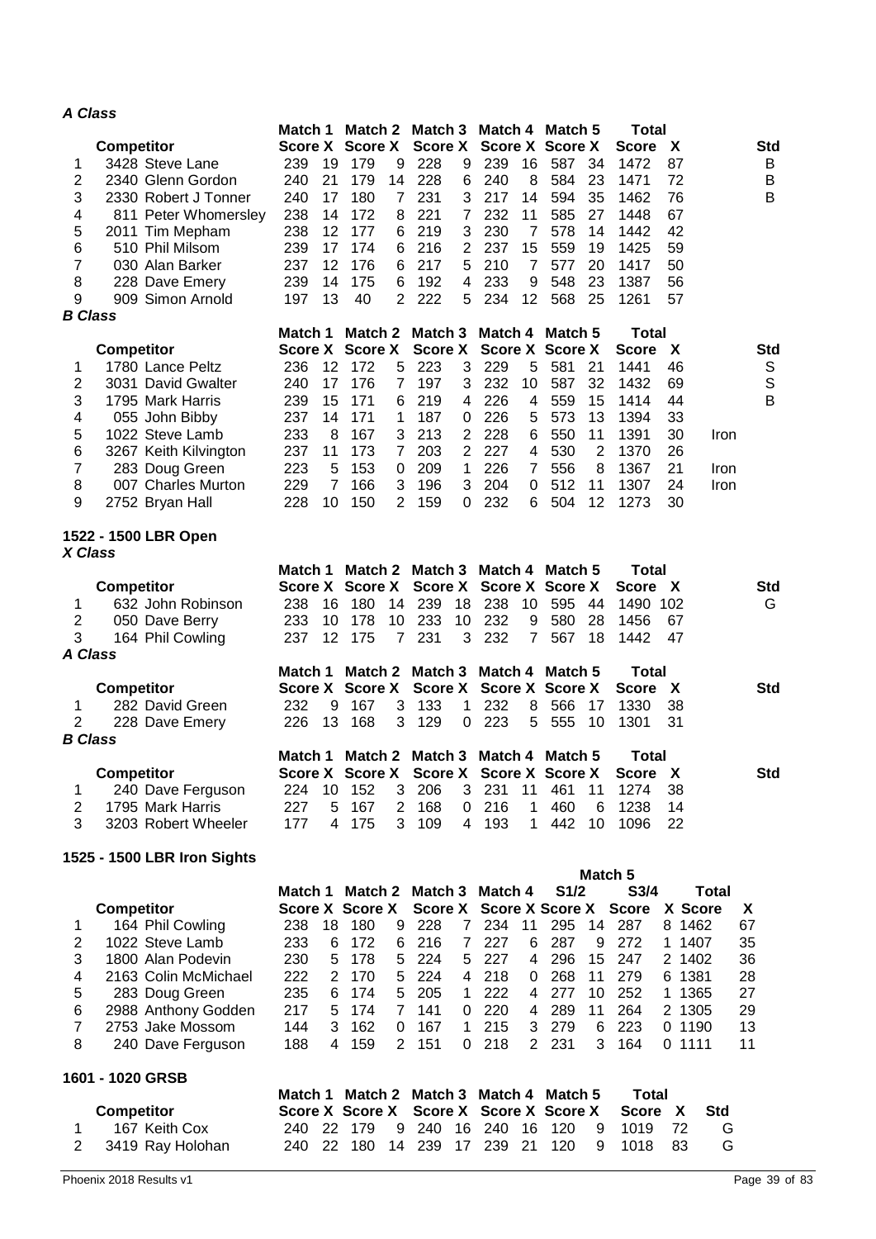## *A Class*

|                |                             | Match 1        |                | Match 2                |                | Match <sub>3</sub>      |                 | Match 4                                 |                | Match 5                |         | <b>Total</b>     |        |              |             |
|----------------|-----------------------------|----------------|----------------|------------------------|----------------|-------------------------|-----------------|-----------------------------------------|----------------|------------------------|---------|------------------|--------|--------------|-------------|
|                | <b>Competitor</b>           |                |                | Score X Score X        |                | <b>Score X</b>          |                 |                                         |                | <b>Score X Score X</b> |         | Score            | X      |              | <b>Std</b>  |
| 1              | 3428 Steve Lane             | 239            | 19             | 179                    | 9              | 228                     | 9               | 239                                     | 16             | 587                    | 34      | 1472             | 87     |              | B           |
| $\overline{c}$ | 2340 Glenn Gordon           | 240            | 21             | 179                    | 14             | 228                     | 6               | 240                                     | 8              | 584                    | 23      | 1471             | 72     |              | B           |
| 3              | 2330 Robert J Tonner        | 240            | 17             | 180                    | 7              | 231                     | 3               | 217                                     | 14             | 594                    | 35      | 1462             | 76     |              | B           |
| 4              |                             | 238            | 14             | 172                    |                | 221                     | 7               | 232                                     | 11             | 585                    | 27      | 1448             | 67     |              |             |
|                | 811 Peter Whomersley        |                |                |                        | 8              |                         |                 |                                         |                |                        |         |                  |        |              |             |
| 5              | 2011 Tim Mepham             | 238            | 12             | 177                    | 6              | 219                     | 3               | 230                                     | $\overline{7}$ | 578                    | 14      | 1442             | 42     |              |             |
| 6              | 510 Phil Milsom             | 239            | 17             | 174                    | 6              | 216                     | $\overline{2}$  | 237                                     | 15             | 559                    | 19      | 1425             | 59     |              |             |
| $\overline{7}$ | 030 Alan Barker             | 237            | 12             | 176                    | 6              | 217                     | 5               | 210                                     | $\overline{7}$ | 577                    | 20      | 1417             | 50     |              |             |
| 8              | 228 Dave Emery              | 239            | 14             | 175                    | 6              | 192                     | 4               | 233                                     | 9              | 548                    | 23      | 1387             | 56     |              |             |
| 9              | 909 Simon Arnold            | 197            | 13             | 40                     | 2              | 222                     | 5               | 234                                     | 12             | 568                    | 25      | 1261             | 57     |              |             |
| <b>B</b> Class |                             |                |                |                        |                |                         |                 |                                         |                |                        |         |                  |        |              |             |
|                |                             | Match 1        |                | Match 2                |                | Match 3                 |                 | Match 4                                 |                | Match 5                |         | <b>Total</b>     |        |              |             |
|                | <b>Competitor</b>           | <b>Score X</b> |                | <b>Score X</b>         |                | <b>Score X</b>          |                 |                                         |                | <b>Score X Score X</b> |         | <b>Score</b>     | X      |              | <b>Std</b>  |
|                |                             |                |                |                        |                |                         |                 |                                         |                |                        |         |                  |        |              |             |
| 1              | 1780 Lance Peltz            | 236            | 12             | 172                    | 5              | 223                     | 3               | 229                                     | 5              | 581                    | 21      | 1441             | 46     |              | S           |
| 2              | 3031 David Gwalter          | 240            | 17             | 176                    | 7              | 197                     | 3               | 232                                     | 10             | 587                    | 32      | 1432             | 69     |              | $\mathbb S$ |
| 3              | 1795 Mark Harris            | 239            | 15             | 171                    | 6              | 219                     | 4               | 226                                     | 4              | 559                    | 15      | 1414             | 44     |              | B           |
| 4              | 055 John Bibby              | 237            | 14             | 171                    | 1              | 187                     | 0               | 226                                     | 5              | 573                    | 13      | 1394             | 33     |              |             |
| 5              | 1022 Steve Lamb             | 233            | 8              | 167                    | 3              | 213                     | 2               | 228                                     | 6              | 550                    | 11      | 1391             | 30     | Iron         |             |
| 6              | 3267 Keith Kilvington       | 237            | 11             | 173                    | $\overline{7}$ | 203                     | $\overline{2}$  | 227                                     | 4              | 530                    | 2       | 1370             | 26     |              |             |
| $\overline{7}$ | 283 Doug Green              | 223            | 5              | 153                    | 0              | 209                     | 1               | 226                                     | $\overline{7}$ | 556                    | 8       | 1367             | 21     | Iron         |             |
| 8              | 007 Charles Murton          | 229            | $\overline{7}$ | 166                    | 3              | 196                     | 3               | 204                                     | 0              | 512                    | 11      | 1307             | 24     |              |             |
|                |                             |                |                |                        |                |                         |                 |                                         |                |                        |         |                  |        | Iron         |             |
| 9              | 2752 Bryan Hall             | 228            | 10             | 150                    | 2              | 159                     | 0               | 232                                     | 6              | 504                    | 12      | 1273             | 30     |              |             |
|                |                             |                |                |                        |                |                         |                 |                                         |                |                        |         |                  |        |              |             |
|                | 1522 - 1500 LBR Open        |                |                |                        |                |                         |                 |                                         |                |                        |         |                  |        |              |             |
| X Class        |                             |                |                |                        |                |                         |                 |                                         |                |                        |         |                  |        |              |             |
|                |                             | Match 1        |                | Match 2                |                | Match 3                 |                 |                                         |                | Match 4 Match 5        |         | <b>Total</b>     |        |              |             |
|                | <b>Competitor</b>           | Score X        |                | Score X                |                | <b>Score X</b>          |                 |                                         |                | Score X Score X        |         | Score            | X      |              | <b>Std</b>  |
| 1              | 632 John Robinson           | 238            | 16             | 180                    | 14             | 239                     | 18              | 238                                     | 10             | 595                    | 44      | 1490             | 102    |              | G           |
| 2              | 050 Dave Berry              | 233            | 10             | 178                    | 10             | 233                     | 10              | 232                                     | 9              | 580                    | 28      | 1456             | 67     |              |             |
| 3              | 164 Phil Cowling            | 237            | 12             | 175                    | 7              | 231                     | 3               | 232                                     | $\overline{7}$ | 567                    | 18      | 1442             | 47     |              |             |
| <b>A Class</b> |                             |                |                |                        |                |                         |                 |                                         |                |                        |         |                  |        |              |             |
|                |                             | Match 1        |                | Match 2                |                | Match 3                 |                 | Match 4                                 |                | Match 5                |         | Total            |        |              |             |
|                | <b>Competitor</b>           | <b>Score X</b> |                | <b>Score X</b>         |                | <b>Score X</b>          |                 |                                         |                | <b>Score X Score X</b> |         | <b>Score</b>     | X      |              | Std         |
| 1              | 282 David Green             | 232            | 9              | 167                    | 3              | 133                     | 1               | 232                                     | 8              | 566                    | 17      | 1330             | 38     |              |             |
| $\overline{2}$ | 228 Dave Emery              | 226            | 13             | 168                    | 3              | 129                     | 0               | 223                                     | 5              | 555                    | 10      | 1301             | 31     |              |             |
| <b>B</b> Class |                             |                |                |                        |                |                         |                 |                                         |                |                        |         |                  |        |              |             |
|                |                             |                |                |                        |                |                         |                 |                                         |                |                        |         |                  |        |              |             |
|                |                             | Match 1        |                | Match 2                |                | Match 3                 |                 | Match 4                                 |                | Match 5                |         | Total            |        |              |             |
|                | <b>Competitor</b>           |                |                |                        |                |                         |                 | Score X Score X Score X Score X Score X |                |                        |         | Score X          |        |              | Std         |
| 1              | 240 Dave Ferguson           | 224            | 10             | 152                    | 3              | 206                     | 3               | 231                                     | 11             | 461                    | 11      | 1274             | 38     |              |             |
| 2              | 1795 Mark Harris            | 227            | 5              | 167                    | $\overline{2}$ | 168                     | 0               | 216                                     | 1              | 460                    | 6       | 1238             | 14     |              |             |
| 3              | 3203 Robert Wheeler         | 177            | 4              | 175                    | 3              | 109                     | 4               | 193                                     | 1              | 442                    | 10      | 1096             | 22     |              |             |
|                |                             |                |                |                        |                |                         |                 |                                         |                |                        |         |                  |        |              |             |
|                | 1525 - 1500 LBR Iron Sights |                |                |                        |                |                         |                 |                                         |                |                        |         |                  |        |              |             |
|                |                             |                |                |                        |                |                         |                 |                                         |                |                        | Match 5 |                  |        |              |             |
|                |                             |                |                |                        |                | Match 1 Match 2 Match 3 |                 | Match 4                                 |                | S1/2                   |         | S <sub>3/4</sub> |        | <b>Total</b> |             |
|                | <b>Competitor</b>           |                |                | Score X Score X        |                |                         |                 | Score X Score X Score X                 |                |                        |         | Score X Score    |        |              | X           |
| 1              | 164 Phil Cowling            | 238            | 18             | 180                    | 9              | 228                     | $\overline{7}$  | 234                                     | 11             | 295                    | 14      | 287              | 8 1462 |              | 67          |
| $\mathbf{2}$   | 1022 Steve Lamb             | 233            | 6              | 172                    | 6              | 216                     | $\overline{7}$  | 227                                     | 6              | 287                    | 9       | 272              | 1 1407 |              | 35          |
| 3              | 1800 Alan Podevin           | 230            | 5              | 178                    | 5              | 224                     | 5               | 227                                     | 4              | 296                    | 15      | 247              | 2 1402 |              | 36          |
| 4              | 2163 Colin McMichael        | 222            | $\overline{2}$ | 170                    | 5              | 224                     | $\overline{4}$  | 218                                     | 0              | 268                    | 11      | 279              | 6 1381 |              | 28          |
| 5              | 283 Doug Green              | 235            | 6              | 174                    | 5              | 205                     | $\mathbf{1}$    | 222                                     | 4              | 277                    | 10      | 252              | 1 1365 |              | 27          |
| 6              | 2988 Anthony Godden         | 217            | 5              | 174                    | 7              | 141                     | 0               | 220                                     | 4              | 289                    | 11      | 264              | 2 1305 |              | 29          |
|                |                             |                |                |                        |                |                         |                 |                                         |                |                        |         |                  |        |              |             |
| $\overline{7}$ | 2753 Jake Mossom            | 144            | 3              | 162                    | 0              | 167                     | 1               | 215                                     | 3              | 279                    | 6       | 223              | 0 1190 |              | 13          |
| 8              | 240 Dave Ferguson           | 188            | 4              | 159                    | 2              | 151                     | 0               | 218                                     | $\overline{2}$ | 231                    | 3       | 164              | 0.1111 |              | 11          |
|                |                             |                |                |                        |                |                         |                 |                                         |                |                        |         |                  |        |              |             |
|                | 1601 - 1020 GRSB            |                |                |                        |                |                         |                 | Match 1 Match 2 Match 3 Match 4 Match 5 |                |                        |         | <b>Total</b>     |        |              |             |
|                |                             |                |                | <b>Score X Score X</b> |                |                         |                 | Score X Score X Score X                 |                |                        |         |                  |        | <b>Std</b>   |             |
|                | <b>Competitor</b>           |                |                |                        |                |                         |                 |                                         |                |                        |         | Score X          |        |              |             |
| $\mathbf 1$    | 167 Keith Cox               |                |                | 240 22 179             | 9              | 240                     | 16              | 240 16                                  |                | 120                    | 9       | 1019             | 72     | G            |             |
| 2              | 3419 Ray Holohan            | 240            | 22             | 180                    | 14             | 239                     | 17 <sup>2</sup> | 239                                     | 21             | 120                    | 9       | 1018             | 83     | G            |             |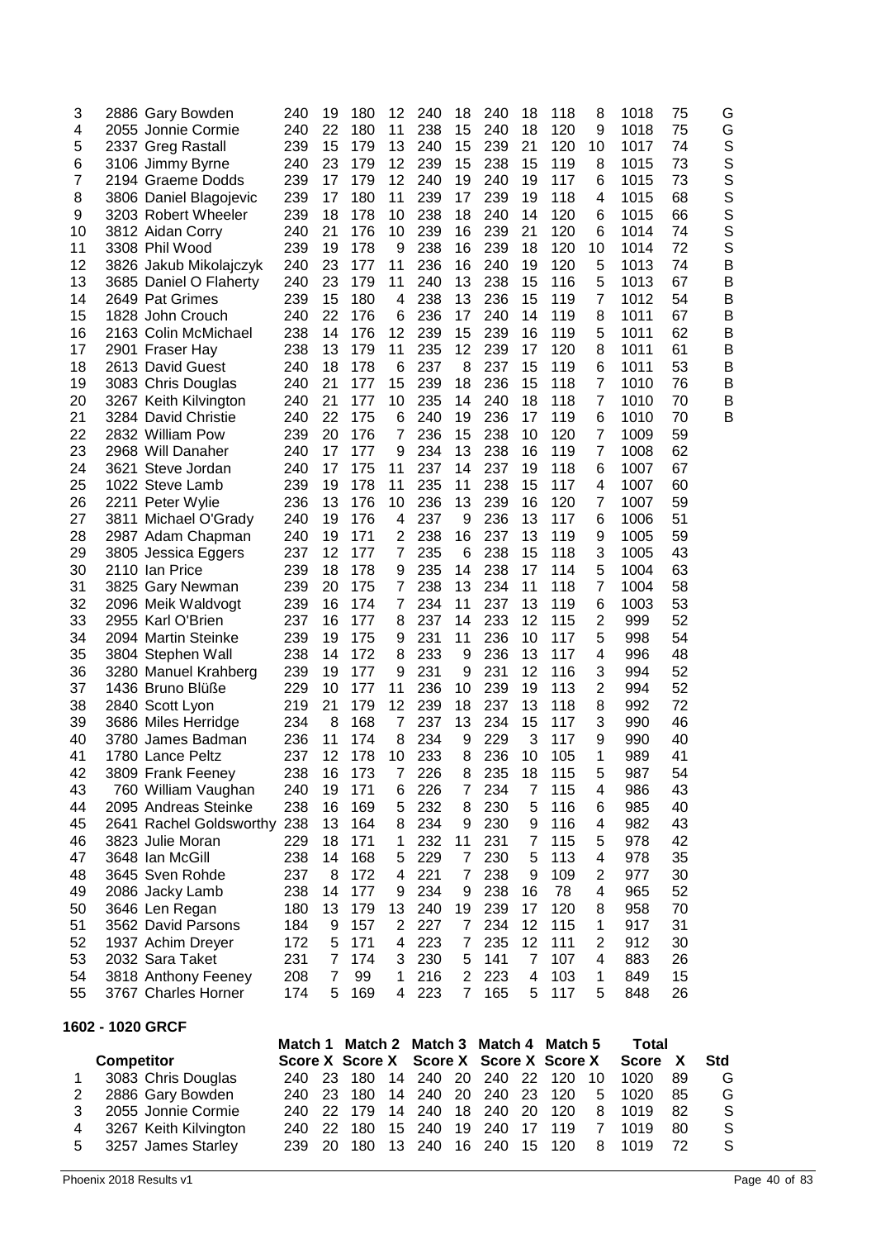| 3        |                   | 2886 Gary Bowden                            | 240        | 19             | 180                    | 12             | 240        | 18                  | 240        | 18                           | 118                    | 8                   | 1018         | 75       | G                |
|----------|-------------------|---------------------------------------------|------------|----------------|------------------------|----------------|------------|---------------------|------------|------------------------------|------------------------|---------------------|--------------|----------|------------------|
| 4        |                   | 2055 Jonnie Cormie                          | 240        | 22             | 180                    | 11             | 238        | 15                  | 240        | 18                           | 120                    | 9                   | 1018         | 75       | G                |
| 5        |                   | 2337 Greg Rastall                           | 239        | 15             | 179                    | 13             | 240        | 15                  | 239        | 21                           | 120                    | 10                  | 1017         | 74       | S                |
| 6<br>7   |                   | 3106 Jimmy Byrne                            | 240        | 23             | 179<br>179             | 12<br>12       | 239<br>240 | 15<br>19            | 238<br>240 | 15<br>19                     | 119                    | 8<br>6              | 1015         | 73<br>73 | S                |
| 8        |                   | 2194 Graeme Dodds<br>3806 Daniel Blagojevic | 239<br>239 | 17<br>17       | 180                    | 11             | 239        | 17                  | 239        | 19                           | 117<br>118             | 4                   | 1015<br>1015 | 68       | S<br>S           |
| 9        |                   | 3203 Robert Wheeler                         | 239        | 18             | 178                    | 10             | 238        | 18                  | 240        | 14                           | 120                    | 6                   | 1015         | 66       | S                |
| 10       |                   | 3812 Aidan Corry                            | 240        | 21             | 176                    | 10             | 239        | 16                  | 239        | 21                           | 120                    | 6                   | 1014         | 74       | S                |
| 11       |                   | 3308 Phil Wood                              | 239        | 19             | 178                    | 9              | 238        | 16                  | 239        | 18                           | 120                    | 10                  | 1014         | 72       | S                |
| 12       |                   | 3826 Jakub Mikolajczyk                      | 240        | 23             | 177                    | 11             | 236        | 16                  | 240        | 19                           | 120                    | 5                   | 1013         | 74       | B                |
| 13       |                   | 3685 Daniel O Flaherty                      | 240        | 23             | 179                    | 11             | 240        | 13                  | 238        | 15                           | 116                    | 5                   | 1013         | 67       | B                |
| 14       |                   | 2649 Pat Grimes                             | 239        | 15             | 180                    | 4              | 238        | 13                  | 236        | 15                           | 119                    | 7                   | 1012         | 54       | B                |
| 15       |                   | 1828 John Crouch                            | 240        | 22             | 176                    | 6              | 236        | 17                  | 240        | 14                           | 119                    | 8                   | 1011         | 67       | B                |
| 16<br>17 |                   | 2163 Colin McMichael<br>2901 Fraser Hay     | 238<br>238 | 14<br>13       | 176<br>179             | 12<br>11       | 239<br>235 | 15<br>12            | 239<br>239 | 16<br>17                     | 119<br>120             | 5<br>8              | 1011<br>1011 | 62<br>61 | B<br>B           |
| 18       |                   | 2613 David Guest                            | 240        | 18             | 178                    | 6              | 237        | 8                   | 237        | 15                           | 119                    | 6                   | 1011         | 53       | B                |
| 19       |                   | 3083 Chris Douglas                          | 240        | 21             | 177                    | 15             | 239        | 18                  | 236        | 15                           | 118                    | $\overline{7}$      | 1010         | 76       | B                |
| 20       |                   | 3267 Keith Kilvington                       | 240        | 21             | 177                    | 10             | 235        | 14                  | 240        | 18                           | 118                    | $\overline{7}$      | 1010         | 70       | B                |
| 21       |                   | 3284 David Christie                         | 240        | 22             | 175                    | 6              | 240        | 19                  | 236        | 17                           | 119                    | 6                   | 1010         | 70       | B                |
| 22       |                   | 2832 William Pow                            | 239        | 20             | 176                    | 7              | 236        | 15                  | 238        | 10                           | 120                    | $\overline{7}$      | 1009         | 59       |                  |
| 23       |                   | 2968 Will Danaher                           | 240        | 17             | 177                    | 9              | 234        | 13                  | 238        | 16                           | 119                    | 7                   | 1008         | 62       |                  |
| 24       |                   | 3621 Steve Jordan                           | 240        | 17             | 175                    | 11             | 237        | 14                  | 237        | 19                           | 118                    | 6                   | 1007         | 67       |                  |
| 25       |                   | 1022 Steve Lamb                             | 239        | 19             | 178                    | 11             | 235        | 11                  | 238        | 15                           | 117                    | 4                   | 1007         | 60       |                  |
| 26<br>27 |                   | 2211 Peter Wylie<br>3811 Michael O'Grady    | 236<br>240 | 13<br>19       | 176<br>176             | 10<br>4        | 236<br>237 | 13<br>9             | 239<br>236 | 16<br>13                     | 120<br>117             | 7<br>6              | 1007<br>1006 | 59<br>51 |                  |
| 28       |                   | 2987 Adam Chapman                           | 240        | 19             | 171                    | 2              | 238        | 16                  | 237        | 13                           | 119                    | 9                   | 1005         | 59       |                  |
| 29       |                   | 3805 Jessica Eggers                         | 237        | 12             | 177                    | 7              | 235        | 6                   | 238        | 15                           | 118                    | 3                   | 1005         | 43       |                  |
| 30       |                   | 2110 Ian Price                              | 239        | 18             | 178                    | 9              | 235        | 14                  | 238        | 17                           | 114                    | 5                   | 1004         | 63       |                  |
| 31       |                   | 3825 Gary Newman                            | 239        | 20             | 175                    | 7              | 238        | 13                  | 234        | 11                           | 118                    | $\overline{7}$      | 1004         | 58       |                  |
| 32       |                   | 2096 Meik Waldvogt                          | 239        | 16             | 174                    | $\overline{7}$ | 234        | 11                  | 237        | 13                           | 119                    | 6                   | 1003         | 53       |                  |
| 33       |                   | 2955 Karl O'Brien                           | 237        | 16             | 177                    | 8              | 237        | 14                  | 233        | 12                           | 115                    | $\overline{2}$      | 999          | 52       |                  |
| 34       |                   | 2094 Martin Steinke                         | 239        | 19             | 175                    | 9              | 231        | 11                  | 236        | 10                           | 117                    | 5                   | 998          | 54       |                  |
| 35       |                   | 3804 Stephen Wall                           | 238<br>239 | 14<br>19       | 172<br>177             | 8<br>9         | 233<br>231 | 9                   | 236<br>231 | 13<br>12                     | 117<br>116             | 4                   | 996<br>994   | 48<br>52 |                  |
| 36<br>37 |                   | 3280 Manuel Krahberg<br>1436 Bruno Blüße    | 229        | 10             | 177                    | 11             | 236        | 9<br>10             | 239        | 19                           | 113                    | 3<br>2              | 994          | 52       |                  |
| 38       |                   | 2840 Scott Lyon                             | 219        | 21             | 179                    | 12             | 239        | 18                  | 237        | 13                           | 118                    | 8                   | 992          | 72       |                  |
| 39       |                   | 3686 Miles Herridge                         | 234        | 8              | 168                    | 7              | 237        | 13                  | 234        | 15                           | 117                    | 3                   | 990          | 46       |                  |
| 40       |                   | 3780 James Badman                           | 236        | 11             | 174                    | 8              | 234        | 9                   | 229        | 3                            | 117                    | 9                   | 990          | 40       |                  |
| 41       |                   | 1780 Lance Peltz                            | 237        | 12             | 178                    | 10             | 233        | 8                   | 236        | 10                           | 105                    | 1                   | 989          | 41       |                  |
| 42       |                   | 3809 Frank Feeney                           | 238        | 16             | 173                    | 7              | 226        | 8                   | 235        | 18                           | 115                    | 5                   | 987          | 54       |                  |
| 43       |                   | 760 William Vaughan                         | 240        | 19             | 171                    | 6              | 226        | $\overline{7}$      | 234        | $\overline{7}$               | 115                    | 4                   | 986          | 43       |                  |
| 44       |                   | 2095 Andreas Steinke                        | 238        | 16             | 169                    | 5              | 232        | 8                   | 230        | 5                            | 116                    | 6                   | 985          | 40       |                  |
| 45<br>46 |                   | 2641 Rachel Goldsworthy<br>3823 Julie Moran | 238<br>229 | 13<br>18       | 164<br>171             | 8<br>1         | 234<br>232 | 9<br>11             | 230<br>231 | 9<br>7                       | 116<br>115             | 4<br>5              | 982<br>978   | 43<br>42 |                  |
| 47       |                   | 3648 Ian McGill                             | 238        | 14             | 168                    | 5              | 229        | $\overline{7}$      | 230        | 5                            | 113                    | 4                   | 978          | 35       |                  |
| 48       |                   | 3645 Sven Rohde                             | 237        | 8              | 172                    | 4              | 221        | 7                   | 238        | 9                            | 109                    | 2                   | 977          | 30       |                  |
| 49       |                   | 2086 Jacky Lamb                             | 238        | 14             | 177                    | 9              | 234        | 9                   | 238        | 16                           | 78                     | 4                   | 965          | 52       |                  |
| 50       |                   | 3646 Len Regan                              | 180        | 13             | 179                    | 13             | 240        | 19                  | 239        | 17                           | 120                    | 8                   | 958          | 70       |                  |
| 51       |                   | 3562 David Parsons                          | 184        | 9              | 157                    | 2              | 227        | $\overline{7}$      | 234        | 12                           | 115                    | 1                   | 917          | 31       |                  |
| 52       |                   | 1937 Achim Dreyer                           | 172        | 5              | 171                    | 4              | 223        | $\overline{7}$      | 235        | 12                           | 111                    | $\overline{2}$      | 912          | 30       |                  |
| 53       |                   | 2032 Sara Taket                             | 231        | 7              | 174                    | 3              | 230        | 5                   | 141        | 7                            | 107                    | 4                   | 883          | 26       |                  |
| 54       |                   | 3818 Anthony Feeney                         | 208        | $\overline{7}$ | 99                     | 1<br>4         | 216        | $\overline{2}$<br>7 | 223        | $\overline{\mathbf{4}}$<br>5 | 103                    | 1<br>5              | 849          | 15       |                  |
| 55       |                   | 3767 Charles Horner                         | 174        | 5              | 169                    |                | 223        |                     | 165        |                              | 117                    |                     | 848          | 26       |                  |
|          |                   | 1602 - 1020 GRCF                            | Match 1    |                | Match 2                |                | Match 3    |                     | Match 4    |                              | Match 5                |                     | <b>Total</b> |          |                  |
|          | <b>Competitor</b> |                                             |            |                | <b>Score X Score X</b> |                | Score X    |                     |            |                              | <b>Score X Score X</b> |                     | <b>Score</b> | X        | <b>Std</b>       |
| 1        |                   | 3083 Chris Douglas                          | 240        | 23             | 180                    | 14             | 240        | 20                  | 240        | 22                           | 120                    | 10                  | 1020         | 89       | G                |
| 2        |                   | 2886 Gary Bowden                            | 240        | 23             | 180                    | 14             | 240        | 20                  | 240        | 23                           | 120                    | 5                   | 1020         | 85       | G                |
| 3<br>4   |                   | 2055 Jonnie Cormie<br>3267 Keith Kilvington | 240<br>240 | 22<br>22       | 179<br>180             | 14<br>15       | 240<br>240 | 18<br>19            | 240<br>240 | 20<br>17                     | 120<br>119             | 8<br>$\overline{7}$ | 1019<br>1019 | 82<br>80 | $\mathsf S$<br>S |
| 5        |                   | 3257 James Starley                          | 239        | 20             | 180                    | 13             | 240        | 16                  | 240        | 15                           | 120                    | 8                   | 1019         | 72       | S                |
|          |                   |                                             |            |                |                        |                |            |                     |            |                              |                        |                     |              |          |                  |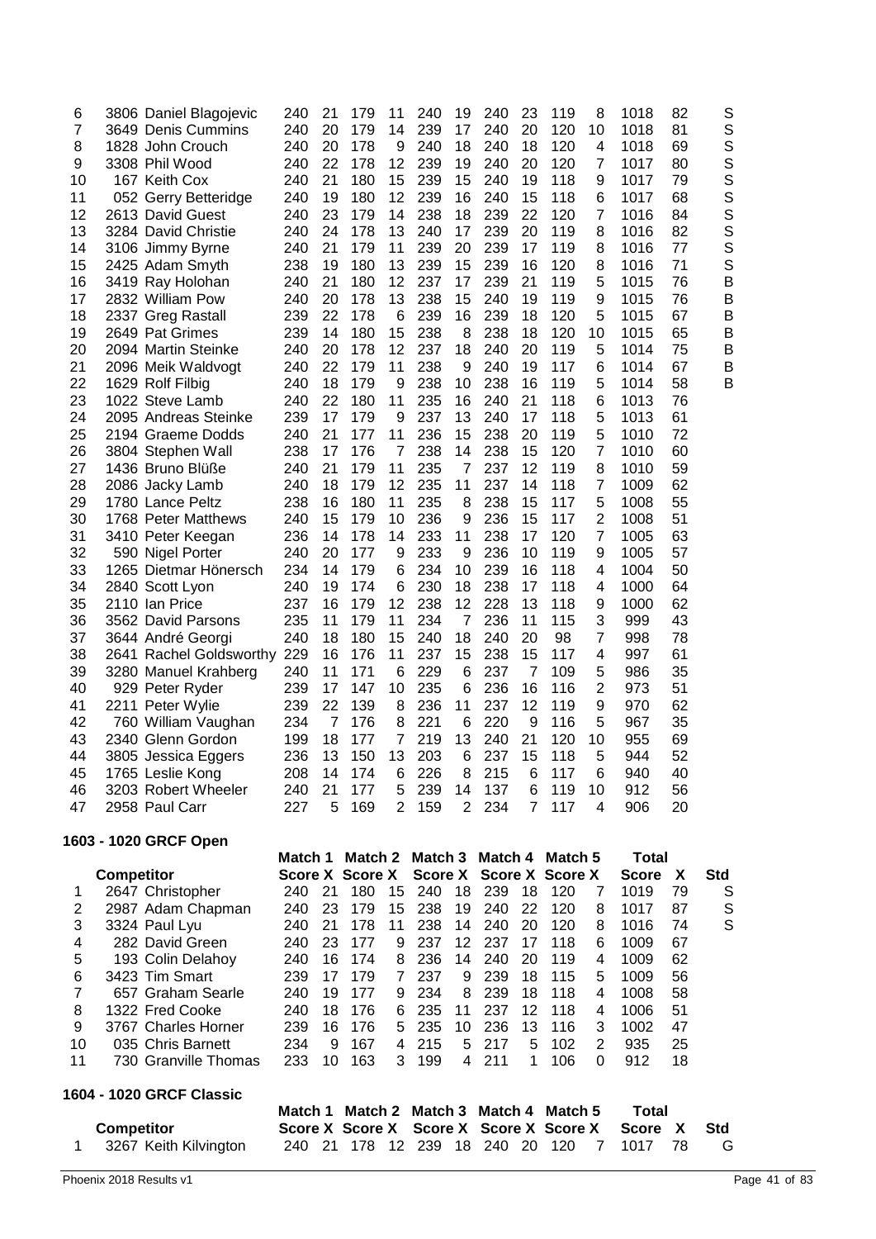| 1.             |                   | 3267 Keith Kilvington                   | 240        |          | 21 178 12 239 18 240 20 120        |                |            |                |                                    |                |            | 7                   | 1017                         | 78       | G          |
|----------------|-------------------|-----------------------------------------|------------|----------|------------------------------------|----------------|------------|----------------|------------------------------------|----------------|------------|---------------------|------------------------------|----------|------------|
|                | <b>Competitor</b> |                                         | Match 1    |          | Match 2 Match 3<br>Score X Score X |                |            |                | Match 4<br>Score X Score X Score X |                | Match 5    |                     | <b>Total</b><br><b>Score</b> | X        | <b>Std</b> |
|                |                   | 1604 - 1020 GRCF Classic                |            |          |                                    |                |            |                |                                    |                |            |                     |                              |          |            |
|                |                   |                                         |            |          |                                    |                |            |                |                                    |                |            |                     |                              |          |            |
| 11             |                   | 730 Granville Thomas                    | 233        | 10       | 163                                | 3              | 199        | 4              | 211                                | 1              | 106        | 0                   | 912                          | 18       |            |
| 10             |                   | 035 Chris Barnett                       | 234        | 9        | 167                                | 4              | 215        | 5              | 217                                | 5              | 102        | $\overline{2}$      | 935                          | 25       |            |
| 9              |                   | 3767 Charles Horner                     | 239        | 16       | 176                                | 5              | 235        | 10             | 236                                | 13             | 116        | 3                   | 1002                         | 47       |            |
| 8              |                   | 657 Graham Searle<br>1322 Fred Cooke    | 240        | 19<br>18 | 176                                | 9<br>6         | 235        | 11             | 237                                | 12             | 118        | 4                   | 1006                         | 51       |            |
| 6<br>7         |                   | 3423 Tim Smart                          | 239<br>240 | 17       | 179<br>177                         | $\overline{7}$ | 237<br>234 | 9<br>8         | 239<br>239                         | 18<br>18       | 115<br>118 | 5<br>4              | 1009<br>1008                 | 56<br>58 |            |
| 5              |                   | 193 Colin Delahoy                       | 240        | 16       | 174                                | 8              | 236        | 14             | 240                                | 20             | 119        | 4                   | 1009                         | 62       |            |
| 4              |                   | 282 David Green                         | 240        | 23       | 177                                | 9              | 237        | 12             | 237                                | 17             | 118        | 6                   | 1009                         | 67       |            |
| 3              |                   | 3324 Paul Lyu                           | 240        | 21       | 178                                | 11             | 238        | 14             | 240                                | 20             | 120        | 8                   | 1016                         | 74       | S          |
| 2              |                   | 2987 Adam Chapman                       | 240        | 23       | 179                                | 15             | 238        | 19             | 240                                | 22             | 120        | 8                   | 1017                         | 87       | S          |
| 1              |                   | 2647 Christopher                        | 240        | 21       | 180                                | 15             | 240        | 18             | 239                                | 18             | 120        | 7                   | 1019                         | 79       | S          |
|                | <b>Competitor</b> |                                         |            |          | Score X Score X                    |                |            |                | Score X Score X Score X            |                |            |                     | <b>Score</b>                 | X        | Std        |
|                |                   | 1603 - 1020 GRCF Open                   | Match 1    |          | Match 2                            |                |            |                | Match 3 Match 4                    |                | Match 5    |                     | <b>Total</b>                 |          |            |
|                |                   |                                         |            |          |                                    |                |            |                |                                    |                |            |                     |                              |          |            |
| 47             |                   | 2958 Paul Carr                          | 227        | 5        | 169                                | $\overline{2}$ | 159        | $\overline{2}$ | 234                                | $\overline{7}$ | 117        | 4                   | 906                          | 20       |            |
| 46             |                   | 3203 Robert Wheeler                     | 240        | 21       | 177                                | 5              | 239        | 14             | 137                                | 6              | 119        | 10                  | 912                          | 56       |            |
| 45             |                   | 1765 Leslie Kong                        | 208        | 14       | 174                                | 6              | 226        | 8              | 215                                | 6              | 117        | 6                   | 940                          | 40       |            |
| 44             |                   | 3805 Jessica Eggers                     | 236        | 13       | 150                                | 13             | 203        | 6              | 237                                | 15             | 118        | 5                   | 944                          | 52       |            |
| 43             |                   | 2340 Glenn Gordon                       | 199        | 18       | 177                                | 7              | 219        | 13             | 240                                | 21             | 120        | 10                  | 955                          | 69       |            |
| 42             |                   | 760 William Vaughan                     | 234        | 7        | 176                                | 8              | 221        | 6              | 220                                | 9              | 116        | 5                   | 967                          | 35       |            |
| 41             |                   | 2211 Peter Wylie                        | 239        | 22       | 139                                | 8              | 236        | 11             | 237                                | 12             | 119        | 9                   | 970                          | 62       |            |
| 40             |                   | 929 Peter Ryder                         | 239        | 17       | 147                                | 10             | 235        | 6              | 236                                | 16             | 116        | 2                   | 973                          | 51       |            |
| 39             |                   | 3280 Manuel Krahberg                    | 240        | 11       | 171                                | 6              | 229        | 6              | 237                                | $\overline{7}$ | 109        | 5                   | 986                          | 35       |            |
| 38             |                   | 2641 Rachel Goldsworthy                 | 229        | 16       | 176                                | 11             | 237        | 15             | 238                                | 15             | 117        | 4                   | 997                          | 61       |            |
| 37             |                   | 3644 André Georgi                       | 240        | 18       | 180                                | 15             | 240        | 18             | 240                                | 20             | 98         | 7                   | 998                          | 78       |            |
| 36             |                   | 3562 David Parsons                      | 235        | 11       | 179                                | 11             | 234        | $\overline{7}$ | 236                                | 11             | 115        | 3                   | 999                          | 43       |            |
| 35             |                   | 2110 Ian Price                          | 237        | 16       | 179                                | 12             | 238        | 12             | 228                                | 13             | 118        | 9                   | 1000                         | 62       |            |
| 34             |                   | 2840 Scott Lyon                         | 240        | 19       | 174                                | 6              | 230        | 18             | 238                                | 17             | 118        | 4                   | 1000                         | 64       |            |
| 33             |                   | 1265 Dietmar Hönersch                   | 234        | 14       | 179                                | 6              | 234        | 10             | 239                                | 16             | 118        | 4                   | 1004                         | 50       |            |
| 32             |                   | 3410 Peter Keegan<br>590 Nigel Porter   | 236<br>240 | 20       | 177                                | 9              | 233        | 9              | 236                                | 10             | 119        | 9                   | 1005                         | 57       |            |
| 30<br>31       |                   | 1768 Peter Matthews                     | 240        | 14       | 179<br>178                         | 10<br>14       | 233        | 9<br>11        | 238                                | 17             | 117<br>120 | 7                   | 1008<br>1005                 | 51<br>63 |            |
| 29             |                   | 1780 Lance Peltz                        | 238        | 16<br>15 | 180                                | 11             | 235<br>236 | 8              | 238<br>236                         | 15<br>15       | 117        | 5<br>$\overline{2}$ | 1008                         | 55       |            |
| 28             |                   | 2086 Jacky Lamb                         | 240        | 18       | 179                                | 12             | 235        | 11             | 237                                | 14             | 118        | 7                   | 1009                         | 62       |            |
| 27             |                   | 1436 Bruno Blüße                        | 240        | 21       | 179                                | 11             | 235        | 7              | 237                                | 12             | 119        | 8                   | 1010                         | 59       |            |
| 26             |                   | 3804 Stephen Wall                       | 238        | 17       | 176                                | $\overline{7}$ | 238        | 14             | 238                                | 15             | 120        | $\overline{7}$      | 1010                         | 60       |            |
| 25             |                   | 2194 Graeme Dodds                       | 240        | 21       | 177                                | 11             | 236        | 15             | 238                                | 20             | 119        | 5                   | 1010                         | 72       |            |
| 24             |                   | 2095 Andreas Steinke                    | 239        | 17       | 179                                | 9              | 237        | 13             | 240                                | 17             | 118        | 5                   | 1013                         | 61       |            |
| 23             |                   | 1022 Steve Lamb                         | 240        | 22       | 180                                | 11             | 235        | 16             | 240                                | 21             | 118        | 6                   | 1013                         | 76       |            |
| 22             |                   | 1629 Rolf Filbig                        | 240        | 18       | 179                                | 9              | 238        | 10             | 238                                | 16             | 119        | 5                   | 1014                         | 58       | B          |
| 21             |                   | 2096 Meik Waldvogt                      | 240        | 22       | 179                                | 11             | 238        | 9              | 240                                | 19             | 117        | 6                   | 1014                         | 67       | B          |
| 20             |                   | 2094 Martin Steinke                     | 240        | 20       | 178                                | 12             | 237        | 18             | 240                                | 20             | 119        | 5                   | 1014                         | 75       | B          |
| 19             |                   | 2649 Pat Grimes                         | 239        | 14       | 180                                | 15             | 238        | 8              | 238                                | 18             | 120        | 10                  | 1015                         | 65       | B          |
| 18             |                   | 2337 Greg Rastall                       | 239        | 22       | 178                                | 6              | 239        | 16             | 239                                | 18             | 120        | 5                   | 1015                         | 67       | B          |
| 17             |                   | 2832 William Pow                        | 240        | 20       | 178                                | 13             | 238        | 15             | 240                                | 19             | 119        | 9                   | 1015                         | 76       | B          |
| 16             |                   | 3419 Ray Holohan                        | 240        | 21       | 180                                | 12             | 237        | 17             | 239                                | 21             | 119        | 5                   | 1015                         | 76       | B          |
| 15             |                   | 2425 Adam Smyth                         | 238        | 19       | 180                                | 13             | 239        | 15             | 239                                | 16             | 120        | 8                   | 1016                         | 71       | S          |
| 13<br>14       |                   | 3284 David Christie<br>3106 Jimmy Byrne | 240<br>240 | 24<br>21 | 178<br>179                         | 13<br>11       | 240<br>239 | 17<br>20       | 239<br>239                         | 20<br>17       | 119<br>119 | 8<br>8              | 1016<br>1016                 | 82<br>77 | S<br>S     |
| 12             |                   | 2613 David Guest                        | 240        | 23       | 179                                | 14             | 238        | 18             | 239                                | 22             | 120        | 7                   | 1016                         | 84       | S          |
| 11             |                   | 052 Gerry Betteridge                    | 240        | 19       | 180                                | 12             | 239        | 16             | 240                                | 15             | 118        | 6                   | 1017                         | 68       | S          |
| 10             |                   | 167 Keith Cox                           | 240        | 21       | 180                                | 15             | 239        | 15             | 240                                | 19             | 118        | 9                   | 1017                         | 79       | S          |
| 9              |                   | 3308 Phil Wood                          | 240        | 22       | 178                                | 12             | 239        | 19             | 240                                | 20             | 120        | 7                   | 1017                         | 80       | S          |
| 8              |                   | 1828 John Crouch                        | 240        | 20       | 178                                | 9              | 240        | 18             | 240                                | 18             | 120        | 4                   | 1018                         | 69       | S          |
| $\overline{7}$ |                   | 3649 Denis Cummins                      | 240        | 20       | 179                                | 14             | 239        | 17             | 240                                | 20             | 120        | 10                  | 1018                         | 81       | S          |
| 6              |                   | 3806 Daniel Blagojevic                  | 240        | 21       | 179                                | 11             | 240        | 19             | 240                                | 23             | 119        | 8                   | 1018                         | 82       | S          |
|                |                   |                                         |            |          |                                    |                |            |                |                                    |                |            |                     |                              |          |            |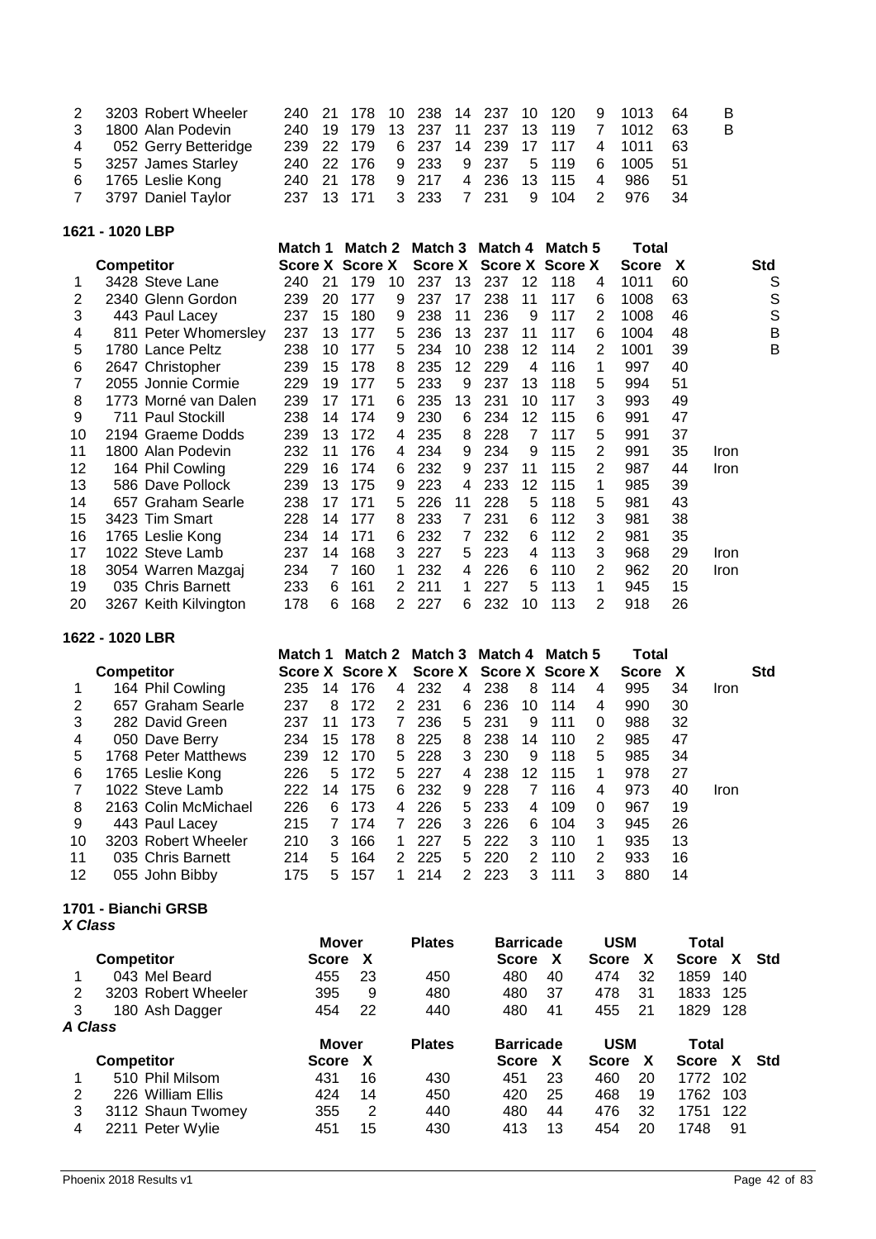| 2 3203 Robert Wheeler  |  |  |  |  |  | 240 21 178 10 238 14 237 10 120 9 1013 64 | - B |
|------------------------|--|--|--|--|--|-------------------------------------------|-----|
| 3 1800 Alan Podevin    |  |  |  |  |  | 240 19 179 13 237 11 237 13 119 7 1012 63 | B.  |
| 4 052 Gerry Betteridge |  |  |  |  |  | 239 22 179 6 237 14 239 17 117 4 1011 63  |     |
| 5 3257 James Starley   |  |  |  |  |  | 240 22 176 9 233 9 237 5 119 6 1005 51    |     |
| 6 1765 Leslie Kong     |  |  |  |  |  | 240 21 178 9 217 4 236 13 115 4 986 51    |     |
| 7 3797 Daniel Taylor   |  |  |  |  |  | 237 13 171 3 233 7 231 9 104 2 976 34     |     |

**1621 - 1020 LBP**

|    |                       | Match 1 |    | Match 2         |    | Match 3 |    | Match 4 |    | Match 5         |   | Total        |    |      |
|----|-----------------------|---------|----|-----------------|----|---------|----|---------|----|-----------------|---|--------------|----|------|
|    | <b>Competitor</b>     |         |    | Score X Score X |    | Score X |    |         |    | Score X Score X |   | <b>Score</b> | X  | Std  |
|    | 3428 Steve Lane       | 240     | 21 | 179             | 10 | 237     | 13 | 237     | 12 | 118             | 4 | 1011         | 60 | S    |
| 2  | 2340 Glenn Gordon     | 239     | 20 | 177             | 9  | 237     | 17 | 238     | 11 | 117             | 6 | 1008         | 63 | S    |
| 3  | 443 Paul Lacey        | 237     | 15 | 180             | 9  | 238     | 11 | 236     | 9  | 117             | 2 | 1008         | 46 | S    |
| 4  | 811 Peter Whomersley  | 237     | 13 | 177             | 5  | 236     | 13 | 237     | 11 | 117             | 6 | 1004         | 48 | B    |
| 5  | 1780 Lance Peltz      | 238     | 10 | 177             | 5  | 234     | 10 | 238     | 12 | 114             | 2 | 1001         | 39 | B    |
| 6  | 2647 Christopher      | 239     | 15 | 178             | 8  | 235     | 12 | 229     | 4  | 116             | 1 | 997          | 40 |      |
|    | 2055 Jonnie Cormie    | 229     | 19 | 177             | 5  | 233     | 9  | 237     | 13 | 118             | 5 | 994          | 51 |      |
| 8  | 1773 Morné van Dalen  | 239     | 17 | 171             | 6  | 235     | 13 | 231     | 10 | 117             | 3 | 993          | 49 |      |
| 9  | 711 Paul Stockill     | 238     | 14 | 174             | 9  | 230     | 6  | 234     | 12 | 115             | 6 | 991          | 47 |      |
| 10 | 2194 Graeme Dodds     | 239     | 13 | 172             | 4  | 235     | 8  | 228     | 7  | 117             | 5 | 991          | 37 |      |
| 11 | 1800 Alan Podevin     | 232     | 11 | 176             | 4  | 234     | 9  | 234     | 9  | 115             | 2 | 991          | 35 | Iron |
| 12 | 164 Phil Cowling      | 229     | 16 | 174             | 6  | 232     | 9  | 237     | 11 | 115             | 2 | 987          | 44 | Iron |
| 13 | 586 Dave Pollock      | 239     | 13 | 175             | 9  | 223     | 4  | 233     | 12 | 115             | 1 | 985          | 39 |      |
| 14 | 657 Graham Searle     | 238     | 17 | 171             | 5  | 226     | 11 | 228     | 5  | 118             | 5 | 981          | 43 |      |
| 15 | 3423 Tim Smart        | 228     | 14 | 177             | 8  | 233     | 7  | 231     | 6  | 112             | 3 | 981          | 38 |      |
| 16 | 1765 Leslie Kong      | 234     | 14 | 171             | 6  | 232     | 7  | 232     | 6  | 112             | 2 | 981          | 35 |      |
| 17 | 1022 Steve Lamb       | 237     | 14 | 168             | 3  | 227     | 5  | 223     | 4  | 113             | 3 | 968          | 29 | Iron |
| 18 | 3054 Warren Mazgaj    | 234     | 7  | 160             | 1  | 232     | 4  | 226     | 6  | 110             | 2 | 962          | 20 | Iron |
| 19 | 035 Chris Barnett     | 233     | 6  | 161             | 2  | 211     | 1  | 227     | 5  | 113             | 1 | 945          | 15 |      |
| 20 | 3267 Keith Kilvington | 178     | 6  | 168             | 2  | 227     | 6  | 232     | 10 | 113             | 2 | 918          | 26 |      |

## **1622 - 1020 LBR**

|    |                      | Match 1 |    | Match 2         |    | Match 3 |    | Match 4 |               | Match 5                 |   | Total        |    |            |
|----|----------------------|---------|----|-----------------|----|---------|----|---------|---------------|-------------------------|---|--------------|----|------------|
|    | <b>Competitor</b>    |         |    | Score X Score X |    |         |    |         |               | Score X Score X Score X |   | <b>Score</b> | X  | <b>Std</b> |
| 1  | 164 Phil Cowling     | 235     | 14 | 176             | 4  | 232     | 4  | 238     | 8             | 114                     | 4 | 995          | 34 | Iron       |
| 2  | 657 Graham Searle    | 237     | 8  | 172             | 2  | 231     | 6  | 236     | 10            | 114                     | 4 | 990          | 30 |            |
| 3  | 282 David Green      | 237     | 11 | 173             | 7  | 236     | 5. | 231     | 9             | 111                     | 0 | 988          | 32 |            |
| 4  | 050 Dave Berry       | 234     | 15 | 178             | 8  | 225     | 8  | 238     | 14            | 110                     | 2 | 985          | 47 |            |
| 5  | 1768 Peter Matthews  | 239     | 12 | 170             | 5. | 228     | 3  | 230     | 9             | 118                     | 5 | 985          | 34 |            |
| 6  | 1765 Leslie Kong     | 226     | 5  | 172             | 5  | 227     | 4  | 238     | 12            | 115                     | 1 | 978          | 27 |            |
|    | 1022 Steve Lamb      | 222     | 14 | 175             | 6  | 232     | 9  | 228     |               | 116                     | 4 | 973          | 40 | Iron       |
| 8  | 2163 Colin McMichael | 226     | 6  | 173             | 4  | 226     | 5. | 233     | 4             | 109                     | 0 | 967          | 19 |            |
| 9  | 443 Paul Lacey       | 215     |    | 174             | 7  | 226     | 3  | 226     | 6             | 104                     | 3 | 945          | 26 |            |
| 10 | 3203 Robert Wheeler  | 210     | 3. | 166             |    | 227     | 5. | 222     | 3             | 110                     | 1 | 935          | 13 |            |
| 11 | 035 Chris Barnett    | 214     | 5. | 164             | 2  | 225     | 5  | 220     | $\mathcal{P}$ | 110                     | 2 | 933          | 16 |            |
| 12 | 055 John Bibby       | 175     | 5  | 157             |    | 214     |    | 223     | 3             | 111                     | 3 | 880          | 14 |            |

#### **1701 - Bianchi GRSB** *X Class*

|         |                     | <b>Mover</b> |    | <b>Plates</b> | <b>Barricade</b> |    | <b>USM</b>   |    | Total        |     |       |
|---------|---------------------|--------------|----|---------------|------------------|----|--------------|----|--------------|-----|-------|
|         | <b>Competitor</b>   | <b>Score</b> | X  |               | <b>Score</b>     | χ  | <b>Score</b> | X  | <b>Score</b> |     | X Std |
|         | 043 Mel Beard       | 455          | 23 | 450           | 480              | 40 | 474          | 32 | 1859         | 140 |       |
| 2       | 3203 Robert Wheeler | 395          | 9  | 480           | 480              | 37 | 478          | 31 | 1833         | 125 |       |
| 3       | 180 Ash Dagger      | 454          | 22 | 440           | 480              | 41 | 455          | 21 | 1829         | 128 |       |
| A Class |                     |              |    |               |                  |    |              |    |              |     |       |
|         |                     |              |    |               |                  |    |              |    |              |     |       |
|         |                     | <b>Mover</b> |    | <b>Plates</b> | <b>Barricade</b> |    | <b>USM</b>   |    | Total        |     |       |
|         | <b>Competitor</b>   | <b>Score</b> | X  |               | <b>Score</b>     | X  | <b>Score</b> | X  | <b>Score</b> |     | X Std |
|         | 510 Phil Milsom     | 431          | 16 | 430           | 451              | 23 | 460          | 20 | 1772         | 102 |       |
| 2       | 226 William Ellis   | 424          | 14 | 450           | 420              | 25 | 468          | 19 | 1762         | 103 |       |
| 3       | 3112 Shaun Twomey   | 355          | 2  | 440           | 480              | 44 | 476          | 32 | 1751         | 122 |       |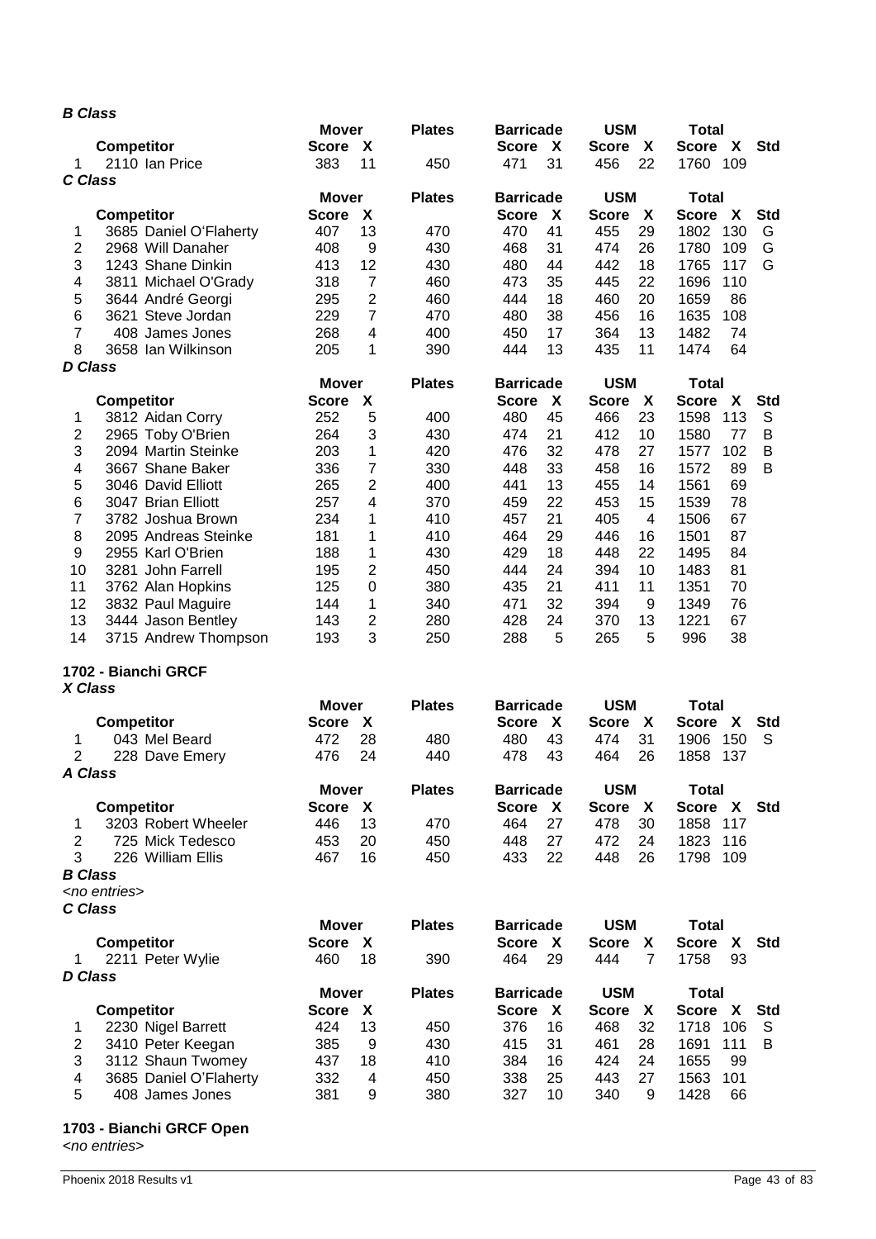## *B Class*

|                |                        | <b>Mover</b>                              | <b>Plates</b> | <b>Barricade</b>             | <b>USM</b>                   | <b>Total</b>                    |
|----------------|------------------------|-------------------------------------------|---------------|------------------------------|------------------------------|---------------------------------|
|                | <b>Competitor</b>      | $\boldsymbol{\mathsf{X}}$<br><b>Score</b> |               | <b>Score</b><br>X            | <b>Score</b><br>X            | X<br><b>Std</b><br><b>Score</b> |
| 1<br>C Class   | 2110 Ian Price         | 11<br>383                                 | 450           | 31<br>471                    | 22<br>456                    | 109<br>1760                     |
|                |                        | <b>Mover</b>                              | <b>Plates</b> | <b>Barricade</b>             | <b>USM</b>                   | <b>Total</b>                    |
|                | Competitor             | <b>Score</b><br>X                         |               | <b>Score</b><br>X            | X<br><b>Score</b>            | X<br><b>Std</b><br><b>Score</b> |
| 1              | 3685 Daniel O'Flaherty | 13<br>407                                 | 470           | 41<br>470                    | 29<br>455                    | 1802<br>130<br>G                |
| $\overline{c}$ | 2968 Will Danaher      | 9<br>408                                  | 430           | 468<br>31                    | 474<br>26                    | 1780<br>G<br>109                |
| 3              | 1243 Shane Dinkin      | 12<br>413                                 | 430           | 480<br>44                    | 442<br>18                    | G<br>1765<br>117                |
| 4              | 3811 Michael O'Grady   | $\overline{7}$<br>318                     | 460           | 473<br>35                    | 22<br>445                    | 1696<br>110                     |
| 5              | 3644 André Georgi      | 2<br>295                                  | 460           | 444<br>18                    | 460<br>20                    | 1659<br>86                      |
| 6              | 3621 Steve Jordan      | 7<br>229                                  | 470           | 38<br>480                    | 456<br>16                    | 1635<br>108                     |
| $\overline{7}$ | 408 James Jones        | 268<br>4                                  | 400           | 17<br>450                    | 13<br>364                    | 1482<br>74                      |
| 8              | 3658 Ian Wilkinson     | 205<br>1                                  | 390           | 13<br>444                    | 11<br>435                    | 1474<br>64                      |
| <b>D</b> Class |                        | <b>Mover</b>                              | <b>Plates</b> | <b>Barricade</b>             | <b>USM</b>                   | <b>Total</b>                    |
|                | <b>Competitor</b>      | X<br><b>Score</b>                         |               | <b>Score</b><br>X            | <b>Score</b><br>X            | <b>Score</b><br>X<br><b>Std</b> |
| 1              | 3812 Aidan Corry       | 252<br>5                                  | 400           | 45<br>480                    | 23<br>466                    | 1598<br>113<br>S                |
| 2              | 2965 Toby O'Brien      | 3<br>264                                  | 430           | 21<br>474                    | 412<br>10                    | 1580<br>B<br>77                 |
| 3              | 2094 Martin Steinke    | 203<br>1                                  | 420           | 32<br>476                    | 478<br>27                    | 1577<br>102<br>B                |
| 4              | 3667 Shane Baker       | 7<br>336                                  | 330           | 33<br>448                    | 458<br>16                    | B<br>1572<br>89                 |
| 5              | 3046 David Elliott     | 2<br>265                                  | 400           | 13<br>441                    | 455<br>14                    | 69<br>1561                      |
| 6              | 3047 Brian Elliott     | 257<br>4                                  | 370           | 22<br>459                    | 453<br>15                    | 78<br>1539                      |
| 7              | 3782 Joshua Brown      | 234<br>1                                  | 410           | 457<br>21                    | 405<br>4                     | 67<br>1506                      |
| 8              | 2095 Andreas Steinke   | 181<br>1                                  | 410           | 29<br>464                    | 446<br>16                    | 87<br>1501                      |
| 9              | 2955 Karl O'Brien      | 188<br>1                                  | 430           | 18<br>429                    | 22<br>448                    | 1495<br>84                      |
| 10             | 3281 John Farrell      | 2<br>195                                  | 450           | 24<br>444                    | 10<br>394                    | 1483<br>81                      |
| 11             | 3762 Alan Hopkins      | 125<br>$\boldsymbol{0}$                   | 380           | 21<br>435                    | 11<br>411                    | 70<br>1351                      |
| 12             | 3832 Paul Maguire      | 1<br>144                                  | 340           | 32<br>471                    | 394<br>9                     | 1349<br>76                      |
| 13             | 3444 Jason Bentley     | 2<br>143                                  | 280           | 24<br>428                    | 13<br>370                    | 1221<br>67                      |
| 14             | 3715 Andrew Thompson   | 3<br>193                                  | 250           | 288<br>5                     | 5<br>265                     | 996<br>38                       |
|                | 1702 - Bianchi GRCF    |                                           |               |                              |                              |                                 |
| X Class        |                        |                                           |               |                              |                              |                                 |
|                |                        | <b>Mover</b>                              | <b>Plates</b> | <b>Barricade</b>             | <b>USM</b>                   | <b>Total</b>                    |
|                | <b>Competitor</b>      | <b>Score</b><br>X                         |               | <b>Score</b><br>X            | <b>Score</b><br>X            | <b>Score</b><br>X<br><b>Std</b> |
| 1              | 043 Mel Beard          | 28<br>472                                 | 480           | 480<br>43                    | 474<br>31                    | S<br>1906<br>150                |
| 2              | 228 Dave Emery         | 24<br>476                                 | 440           | 43<br>478                    | 26<br>464                    | 1858<br>137                     |
| A Class        |                        |                                           |               |                              |                              |                                 |
|                |                        | <b>Mover</b>                              | <b>Plates</b> | <b>Barricade</b>             | <b>USM</b>                   | <b>Total</b>                    |
|                | <b>Competitor</b>      | <b>Score</b><br>$\mathbf{X}$              |               | <b>Score</b><br>$\mathbf{X}$ | <b>Score</b><br>$\mathbf{X}$ | Score X<br><b>Std</b>           |
| 1              | 3203 Robert Wheeler    | 446<br>13                                 | 470           | 27<br>464                    | 478<br>30                    | 1858<br>117                     |
| $\overline{2}$ | 725 Mick Tedesco       | 453<br>20                                 | 450           | 448<br>27                    | 472<br>24                    | 1823<br>116                     |
| 3              | 226 William Ellis      | 16<br>467                                 | 450           | 22<br>433                    | 26<br>448                    | 1798<br>109                     |
| <b>B</b> Class |                        |                                           |               |                              |                              |                                 |
|                | <no entries=""></no>   |                                           |               |                              |                              |                                 |
| C Class        |                        |                                           |               |                              |                              |                                 |
|                |                        | <b>Mover</b>                              | <b>Plates</b> | <b>Barricade</b>             | <b>USM</b>                   | <b>Total</b>                    |
|                | <b>Competitor</b>      | <b>Score</b><br>X                         |               | <b>Score</b><br>X            | <b>Score</b><br>X            | <b>Score</b><br>X<br><b>Std</b> |
| 1              | 2211 Peter Wylie       | 18<br>460                                 | 390           | 29<br>464                    | 444<br>$\overline{7}$        | 93<br>1758                      |
| <b>D</b> Class |                        |                                           |               |                              |                              |                                 |
|                |                        | <b>Mover</b>                              | <b>Plates</b> | <b>Barricade</b>             | <b>USM</b>                   | <b>Total</b>                    |
|                | <b>Competitor</b>      | $\mathbf{X}$<br><b>Score</b>              |               | Score X                      | $\mathbf{X}$<br><b>Score</b> | Score X<br><b>Std</b>           |
| 1              | 2230 Nigel Barrett     | 424<br>13                                 | 450           | 16<br>376                    | 32<br>468                    | 106<br>1718<br>S                |
| 2              | 3410 Peter Keegan      | 385<br>9                                  | 430           | 31<br>415                    | 461<br>28                    | 1691<br>111<br>B                |
| 3              | 3112 Shaun Twomey      | 437<br>18                                 | 410           | 384<br>16                    | 424<br>24                    | 1655<br>99                      |
| 4              | 3685 Daniel O'Flaherty | 332<br>4                                  | 450           | 338<br>25                    | 443<br>27                    | 1563<br>101                     |
| 5              | 408 James Jones        | 381<br>9                                  | 380           | 327<br>10                    | 340<br>9                     | 1428<br>66                      |

## **1703 - Bianchi GRCF Open**

<*no entries*>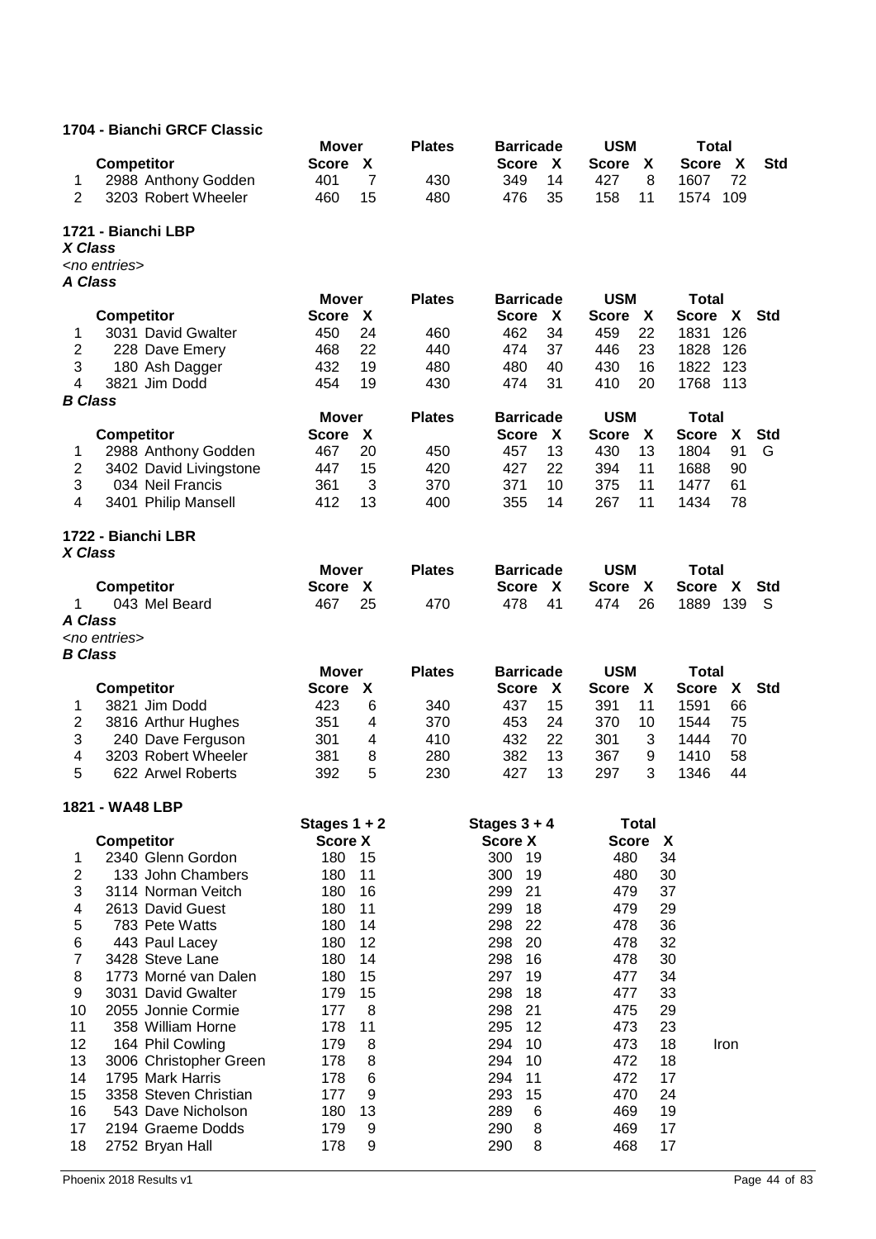## **1704 - Bianchi GRCF Classic**

|                         | <b>Competitor</b>                       | <b>Mover</b><br>X<br><b>Score</b>   | <b>Plates</b> | <b>Barricade</b><br><b>Score</b><br>X | <b>USM</b><br><b>Score</b><br>X | <b>Total</b><br>X<br><b>Std</b><br><b>Score</b> |
|-------------------------|-----------------------------------------|-------------------------------------|---------------|---------------------------------------|---------------------------------|-------------------------------------------------|
| 1                       | 2988 Anthony Godden                     | 7<br>401                            | 430           | 349<br>14                             | 8<br>427                        | 72<br>1607                                      |
| $\overline{2}$          | 3203 Robert Wheeler                     | 15<br>460                           | 480           | 476<br>35                             | 158<br>11                       | 1574<br>109                                     |
| X Class                 | 1721 - Bianchi LBP                      |                                     |               |                                       |                                 |                                                 |
|                         | <no entries=""></no>                    |                                     |               |                                       |                                 |                                                 |
| A Class                 |                                         |                                     |               |                                       |                                 |                                                 |
|                         |                                         | <b>Mover</b>                        | <b>Plates</b> | <b>Barricade</b>                      | <b>USM</b>                      | <b>Total</b>                                    |
|                         | <b>Competitor</b>                       | X<br><b>Score</b>                   |               | <b>Score</b><br>X                     | <b>Score</b><br>X               | <b>Score</b><br>X<br><b>Std</b>                 |
| 1                       | 3031 David Gwalter                      | 24<br>450                           | 460           | 34<br>462                             | 22<br>459                       | 1831<br>126                                     |
| $\mathbf{2}$            | 228 Dave Emery                          | 22<br>468                           | 440           | 37<br>474                             | 23<br>446                       | 126<br>1828                                     |
| 3                       | 180 Ash Dagger                          | 19<br>432                           | 480           | 480<br>40                             | 430<br>16                       | 123<br>1822                                     |
| 4                       | 3821 Jim Dodd                           | 19<br>454                           | 430           | 474<br>31                             | 20<br>410                       | 1768<br>113                                     |
| <b>B</b> Class          |                                         |                                     |               |                                       | <b>USM</b>                      |                                                 |
|                         | <b>Competitor</b>                       | <b>Mover</b><br>X<br><b>Score</b>   | <b>Plates</b> | <b>Barricade</b><br><b>Score</b><br>X | <b>Score</b><br>X               | <b>Total</b><br>X<br><b>Std</b><br><b>Score</b> |
| 1                       | 2988 Anthony Godden                     | 467<br>20                           | 450           | 13<br>457                             | 430<br>13                       | 1804<br>91<br>G                                 |
| $\overline{\mathbf{c}}$ | 3402 David Livingstone                  | 447<br>15                           | 420           | 22<br>427                             | 394<br>11                       | 90<br>1688                                      |
| 3                       | 034 Neil Francis                        | 361<br>3                            | 370           | 10<br>371                             | 375<br>11                       | 1477<br>61                                      |
| $\overline{4}$          | 3401 Philip Mansell                     | 412<br>13                           | 400           | 14<br>355                             | 267<br>11                       | 1434<br>78                                      |
|                         | 1722 - Bianchi LBR                      |                                     |               |                                       |                                 |                                                 |
| X Class                 |                                         |                                     |               |                                       |                                 |                                                 |
|                         |                                         | <b>Mover</b>                        | <b>Plates</b> | <b>Barricade</b>                      | <b>USM</b>                      | <b>Total</b>                                    |
|                         | <b>Competitor</b>                       | X<br><b>Score</b>                   |               | <b>Score</b><br>X                     | <b>Score</b><br>X               | <b>Score</b><br>X<br><b>Std</b>                 |
| 1.                      | 043 Mel Beard                           | 25<br>467                           | 470           | 41<br>478                             | 26<br>474                       | 1889<br>139<br>S                                |
| A Class                 | <no entries=""></no>                    |                                     |               |                                       |                                 |                                                 |
| <b>B</b> Class          |                                         |                                     |               |                                       |                                 |                                                 |
|                         |                                         | <b>Mover</b>                        | <b>Plates</b> | <b>Barricade</b>                      | <b>USM</b>                      | <b>Total</b>                                    |
|                         | <b>Competitor</b>                       | <b>Score</b><br>X                   |               | <b>Score</b><br>X                     | <b>Score</b><br>X               | <b>Score</b><br>X<br><b>Std</b>                 |
|                         |                                         |                                     |               |                                       |                                 |                                                 |
| 1                       | 3821 Jim Dodd                           | 6<br>423                            | 340           | 15<br>437                             | 11<br>391                       | 1591<br>66                                      |
| $\boldsymbol{2}$        | 3816 Arthur Hughes                      | 351<br>4                            | 370           | 24<br>453                             | 370<br>10                       | 1544<br>75                                      |
| 3                       | 240 Dave Ferguson                       | 301<br>4                            | 410           | 22<br>432                             | 3<br>301                        | 70<br>1444                                      |
| 4                       | 3203 Robert Wheeler                     | 381<br>8                            | 280           | 13<br>382                             | 367<br>9                        | 1410<br>58                                      |
| 5                       | 622 Arwel Roberts                       | 392<br>5                            | 230           | 13<br>427                             | 297<br>3                        | 1346<br>44                                      |
|                         | 1821 - WA48 LBP                         |                                     |               |                                       |                                 |                                                 |
|                         |                                         | Stages $1 + 2$                      |               | Stages $3 + 4$                        | <b>Total</b>                    |                                                 |
|                         | <b>Competitor</b>                       | <b>Score X</b>                      |               | <b>Score X</b>                        | <b>Score</b><br>X               |                                                 |
| 1                       | 2340 Glenn Gordon<br>133 John Chambers  | 180<br>15<br>180<br>11              |               | 300<br>19                             | 480<br>480                      | 34                                              |
| $\mathbf{2}$<br>3       | 3114 Norman Veitch                      | 16<br>180                           |               | 300<br>19<br>299<br>21                | 479                             | 30<br>37                                        |
| 4                       | 2613 David Guest                        | 180<br>11                           |               | 299<br>18                             | 479                             | 29                                              |
| 5                       | 783 Pete Watts                          | 180<br>14                           |               | 298<br>22                             | 478                             | 36                                              |
| 6                       | 443 Paul Lacey                          | 12<br>180                           |               | 298<br>20                             | 478                             | 32                                              |
| $\overline{7}$          | 3428 Steve Lane                         | 180<br>14                           |               | 298<br>16                             | 478                             | 30                                              |
| 8                       | 1773 Morné van Dalen                    | 180<br>15                           |               | 297<br>19                             | 477                             | 34                                              |
| 9                       | 3031 David Gwalter                      | 179<br>15                           |               | 298<br>18                             | 477                             | 33                                              |
| 10<br>11                | 2055 Jonnie Cormie<br>358 William Horne | 177<br>8<br>178<br>11               |               | 21<br>298<br>295<br>12                | 475<br>473                      | 29<br>23                                        |
| 12                      | 164 Phil Cowling                        | 179<br>8                            |               | 294<br>10                             | 473                             | 18<br>Iron                                      |
| 13                      | 3006 Christopher Green                  | 8<br>178                            |               | 294<br>10                             | 472                             | 18                                              |
| 14                      | 1795 Mark Harris                        | 6<br>178                            |               | 294<br>11                             | 472                             | 17                                              |
| 15                      | 3358 Steven Christian                   | 177<br>9                            |               | 293<br>15                             | 470                             | 24                                              |
| 16                      | 543 Dave Nicholson                      | 180<br>13                           |               | 289<br>6                              | 469                             | 19                                              |
| 17<br>18                | 2194 Graeme Dodds<br>2752 Bryan Hall    | $\boldsymbol{9}$<br>179<br>178<br>9 |               | 290<br>8<br>290<br>8                  | 469<br>468                      | 17<br>17                                        |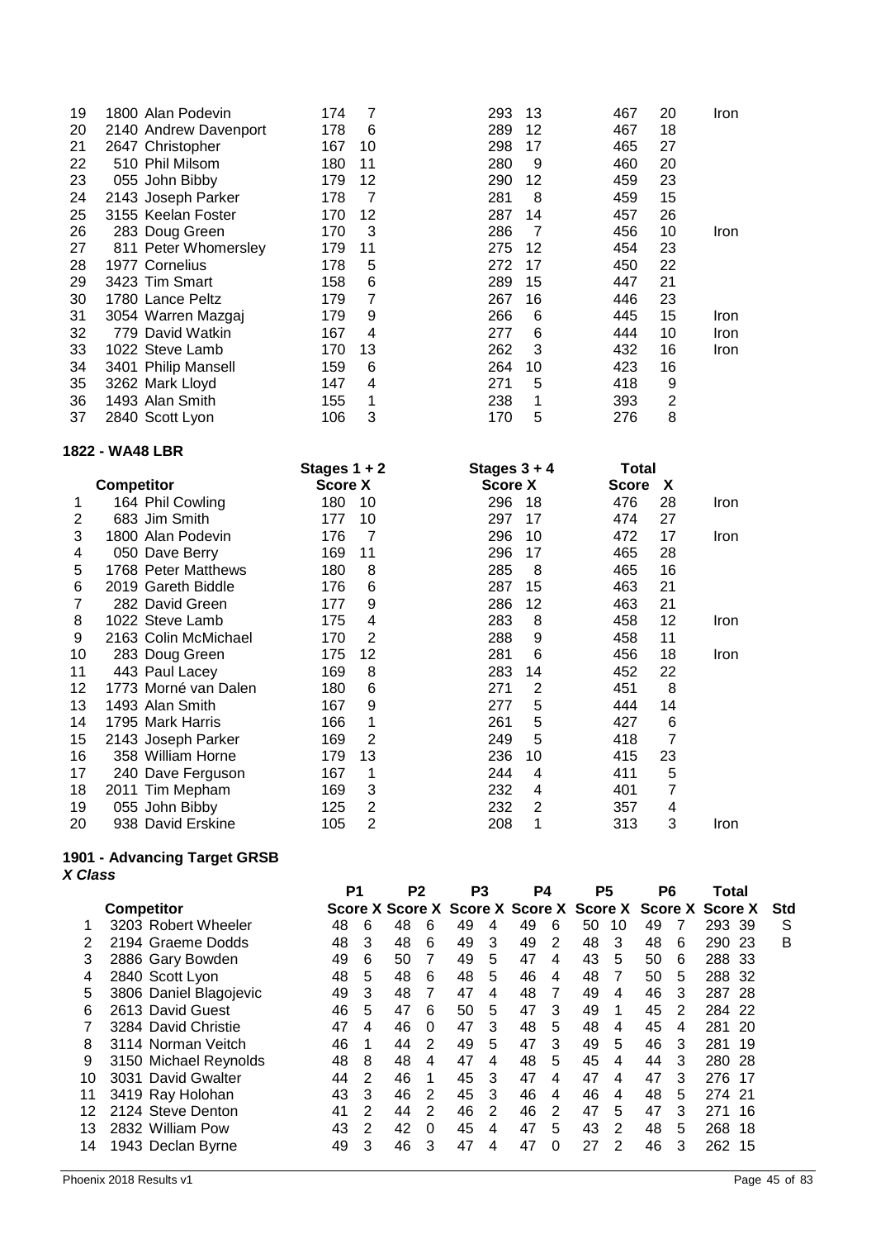| 19 | 1800 Alan Podevin     | 174 | 7  | 293 | 13 | 467 | 20 | Iron        |
|----|-----------------------|-----|----|-----|----|-----|----|-------------|
| 20 | 2140 Andrew Davenport | 178 | 6  | 289 | 12 | 467 | 18 |             |
| 21 | 2647 Christopher      | 167 | 10 | 298 | 17 | 465 | 27 |             |
| 22 | 510 Phil Milsom       | 180 | 11 | 280 | 9  | 460 | 20 |             |
| 23 | 055 John Bibby        | 179 | 12 | 290 | 12 | 459 | 23 |             |
| 24 | 2143 Joseph Parker    | 178 | 7  | 281 | 8  | 459 | 15 |             |
| 25 | 3155 Keelan Foster    | 170 | 12 | 287 | 14 | 457 | 26 |             |
| 26 | 283 Doug Green        | 170 | 3  | 286 | 7  | 456 | 10 | Iron        |
| 27 | 811 Peter Whomersley  | 179 | 11 | 275 | 12 | 454 | 23 |             |
| 28 | 1977 Cornelius        | 178 | 5  | 272 | 17 | 450 | 22 |             |
| 29 | 3423 Tim Smart        | 158 | 6  | 289 | 15 | 447 | 21 |             |
| 30 | 1780 Lance Peltz      | 179 | 7  | 267 | 16 | 446 | 23 |             |
| 31 | 3054 Warren Mazgaj    | 179 | 9  | 266 | 6  | 445 | 15 | Iron        |
| 32 | 779 David Watkin      | 167 | 4  | 277 | 6  | 444 | 10 | <b>Iron</b> |
| 33 | 1022 Steve Lamb       | 170 | 13 | 262 | 3  | 432 | 16 | Iron        |
| 34 | 3401 Philip Mansell   | 159 | 6  | 264 | 10 | 423 | 16 |             |
| 35 | 3262 Mark Lloyd       | 147 | 4  | 271 | 5  | 418 | 9  |             |
| 36 | 1493 Alan Smith       | 155 | 1  | 238 | 1  | 393 | 2  |             |
| 37 | 2840 Scott Lyon       | 106 | 3  | 170 | 5  | 276 | 8  |             |

#### **1822 - WA48 LBR**

|    |                      | Stages $1 + 2$ |    | Stages $3 + 4$ |    | Total        |    |      |
|----|----------------------|----------------|----|----------------|----|--------------|----|------|
|    | <b>Competitor</b>    | <b>Score X</b> |    | <b>Score X</b> |    | <b>Score</b> | X  |      |
|    | 164 Phil Cowling     | 180            | 10 | 296            | 18 | 476          | 28 | Iron |
| 2  | 683 Jim Smith        | 177            | 10 | 297            | 17 | 474          | 27 |      |
| 3  | 1800 Alan Podevin    | 176            | 7  | 296            | 10 | 472          | 17 | Iron |
| 4  | 050 Dave Berry       | 169            | 11 | 296            | 17 | 465          | 28 |      |
| 5  | 1768 Peter Matthews  | 180            | 8  | 285            | 8  | 465          | 16 |      |
| 6  | 2019 Gareth Biddle   | 176            | 6  | 287            | 15 | 463          | 21 |      |
| 7  | 282 David Green      | 177            | 9  | 286            | 12 | 463          | 21 |      |
| 8  | 1022 Steve Lamb      | 175            | 4  | 283            | 8  | 458          | 12 | Iron |
| 9  | 2163 Colin McMichael | 170            | 2  | 288            | 9  | 458          | 11 |      |
| 10 | 283 Doug Green       | 175            | 12 | 281            | 6  | 456          | 18 | Iron |
| 11 | 443 Paul Lacey       | 169            | 8  | 283            | 14 | 452          | 22 |      |
| 12 | 1773 Morné van Dalen | 180            | 6  | 271            | 2  | 451          | 8  |      |
| 13 | 1493 Alan Smith      | 167            | 9  | 277            | 5  | 444          | 14 |      |
| 14 | 1795 Mark Harris     | 166            | 1  | 261            | 5  | 427          | 6  |      |
| 15 | 2143 Joseph Parker   | 169            | 2  | 249            | 5  | 418          | 7  |      |
| 16 | 358 William Horne    | 179            | 13 | 236            | 10 | 415          | 23 |      |
| 17 | 240 Dave Ferguson    | 167            | 1  | 244            | 4  | 411          | 5  |      |
| 18 | 2011 Tim Mepham      | 169            | 3  | 232            | 4  | 401          | 7  |      |
| 19 | 055 John Bibby       | 125            | 2  | 232            | 2  | 357          | 4  |      |
| 20 | 938 David Erskine    | 105            | 2  | 208            | 1  | 313          | 3  | Iron |

#### **1901 - Advancing Target GRSB** *X Class*

|    |                        | P <sub>1</sub> |   | P <sub>2</sub> |          | P3 |   | P4                                                      |          | P5 |    | P6 |   | Total  |      |     |
|----|------------------------|----------------|---|----------------|----------|----|---|---------------------------------------------------------|----------|----|----|----|---|--------|------|-----|
|    | <b>Competitor</b>      |                |   |                |          |    |   | Score X Score X Score X Score X Score X Score X Score X |          |    |    |    |   |        |      | Std |
|    | 3203 Robert Wheeler    | 48             | 6 | 48             | 6        | 49 | 4 | 49                                                      | 6        | 50 | 10 | 49 |   | 293 39 |      | S   |
|    | 2194 Graeme Dodds      | 48             | 3 | 48             | 6        | 49 | 3 | 49                                                      | 2        | 48 | 3  | 48 | 6 | 290    | -23  | B   |
| 3  | 2886 Gary Bowden       | 49             | 6 | 50             |          | 49 | 5 | 47                                                      | 4        | 43 | 5  | 50 | 6 | 288    | -33  |     |
| 4  | 2840 Scott Lyon        | 48             | 5 | 48             | 6        | 48 | 5 | 46                                                      | 4        | 48 | 7  | 50 | 5 | 288    | -32  |     |
| 5  | 3806 Daniel Blagojevic | 49             | 3 | 48             |          | 47 | 4 | 48                                                      | 7        | 49 | 4  | 46 | 3 | 287    | - 28 |     |
| 6  | 2613 David Guest       | 46             | 5 | 47             | 6        | 50 | 5 | 47                                                      | 3        | 49 | 1  | 45 | 2 | 284    | -22  |     |
|    | 3284 David Christie    | 47             | 4 | 46             | $\Omega$ | 47 | 3 | 48                                                      | 5        | 48 | 4  | 45 | 4 | 281    | -20  |     |
| 8  | 3114 Norman Veitch     | 46             | 1 | 44             | 2        | 49 | 5 | 47                                                      | 3        | 49 | 5  | 46 | 3 | 281    | 19   |     |
| 9  | 3150 Michael Reynolds  | 48             | 8 | 48             | 4        | 47 | 4 | 48                                                      | 5        | 45 | 4  | 44 | 3 | 280    | -28  |     |
| 10 | 3031 David Gwalter     | 44             | 2 | 46             | 1        | 45 | 3 | 47                                                      | 4        | 47 | 4  | 47 | 3 | 276    | 17   |     |
| 11 | 3419 Ray Holohan       | 43             | 3 | 46             | 2        | 45 | 3 | 46                                                      | 4        | 46 | 4  | 48 | 5 | 274 21 |      |     |
| 12 | 2124 Steve Denton      | 41             | 2 | 44             | 2        | 46 | 2 | 46                                                      | 2        | 47 | 5  | 47 | 3 | 271    | -16  |     |
| 13 | 2832 William Pow       | 43             | 2 | 42             | $\Omega$ | 45 | 4 | 47                                                      | 5        | 43 | 2  | 48 | 5 | 268    | 18   |     |
| 14 | 1943 Declan Byrne      | 49             | 3 | 46             | 3        | 47 | 4 | 47                                                      | $\Omega$ | 27 | 2  | 46 | 3 | 262    | 15   |     |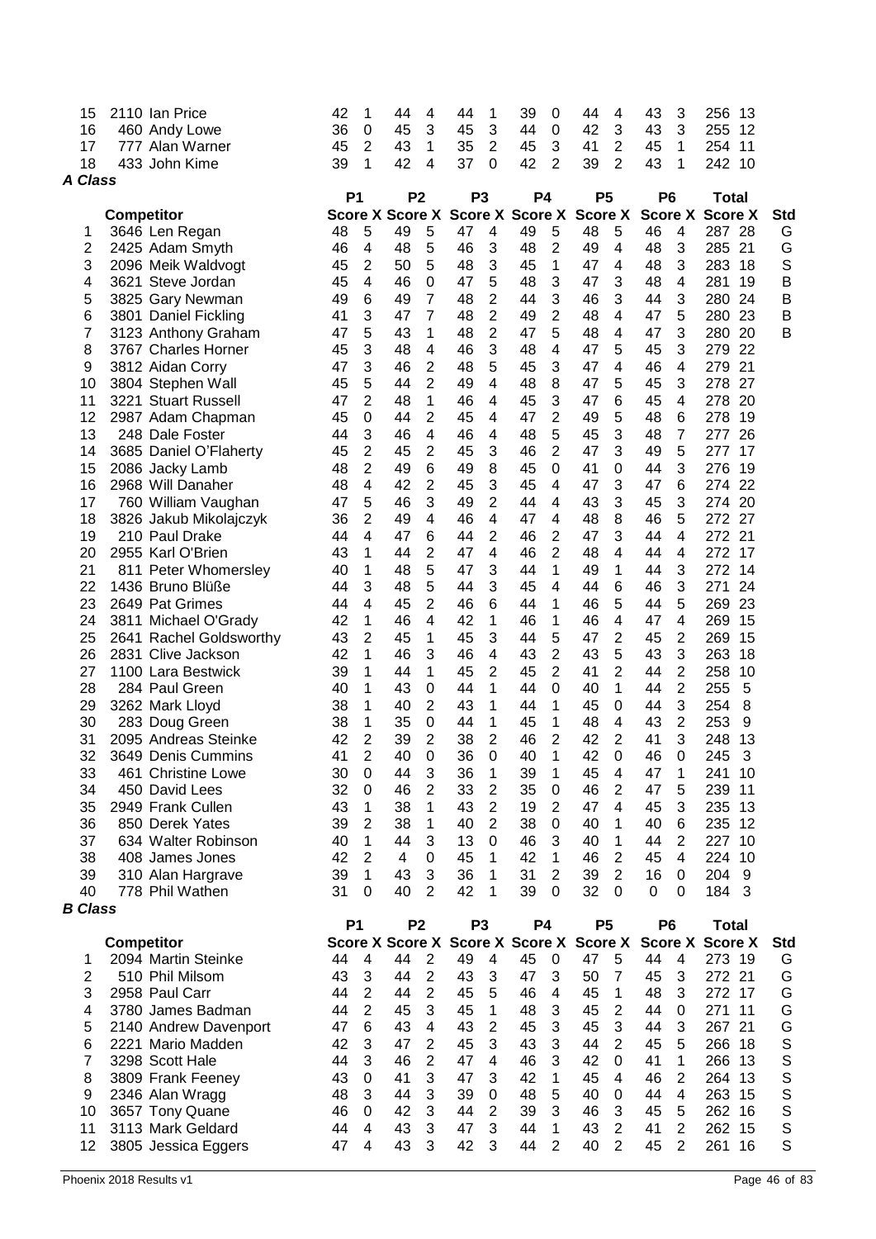| 15             |                   | 2110 Ian Price          | 42        | 1              | 44                                      | 4              | 44             | 1              | 39                     | 0              | 44             | 4              | 43             | 3               | 256                    | 13 |             |
|----------------|-------------------|-------------------------|-----------|----------------|-----------------------------------------|----------------|----------------|----------------|------------------------|----------------|----------------|----------------|----------------|-----------------|------------------------|----|-------------|
| 16             |                   | 460 Andy Lowe           | 36        | 0              | 45                                      | 3              | 45             | 3              | 44                     | 0              | 42             | 3              | 43             | 3               | 255                    | 12 |             |
| 17             |                   | 777 Alan Warner         | 45        | 2              | 43                                      | 1              | 35             | 2              | 45                     | 3              | 41             | $\overline{2}$ | 45             | 1               | 254                    | 11 |             |
| 18             |                   | 433 John Kime           | 39        | 1              | 42                                      | 4              | 37             | $\mathbf 0$    | 42                     | $\overline{2}$ | 39             | $\overline{2}$ | 43             | 1               | 242 10                 |    |             |
| <b>A Class</b> |                   |                         |           |                |                                         |                |                |                |                        |                |                |                |                |                 |                        |    |             |
|                |                   |                         | <b>P1</b> |                | P <sub>2</sub>                          |                | P <sub>3</sub> |                | <b>P4</b>              |                | <b>P5</b>      |                | P <sub>6</sub> |                 | <b>Total</b>           |    |             |
|                | <b>Competitor</b> |                         |           |                | <b>Score X Score X</b>                  |                |                |                | <b>Score X Score X</b> |                | <b>Score X</b> |                |                | <b>Score X</b>  | <b>Score X</b>         |    | <b>Std</b>  |
| 1              |                   | 3646 Len Regan          | 48        | 5              | 49                                      | 5              | 47             | 4              | 49                     | 5              | 48             | 5              | 46             | 4               | 287 28                 |    | G           |
| 2              |                   | 2425 Adam Smyth         | 46        | 4              | 48                                      | 5              | 46             | 3              | 48                     | 2              | 49             | 4              | 48             | 3               | 285 21                 |    | G           |
| 3              |                   |                         | 45        | 2              | 50                                      | 5              | 48             | 3              | 45                     | 1              | 47             | 4              | 48             | 3               | 283                    | 18 | $\mathsf S$ |
|                |                   | 2096 Meik Waldvogt      |           |                |                                         |                |                |                |                        |                |                |                |                |                 |                        |    |             |
| 4              |                   | 3621 Steve Jordan       | 45        | 4              | 46                                      | 0              | 47             | 5              | 48                     | 3              | 47             | 3              | 48             | 4               | 281                    | 19 | B           |
| 5              |                   | 3825 Gary Newman        | 49        | 6              | 49                                      | 7              | 48             | 2              | 44                     | 3              | 46             | 3              | 44             | 3               | 280 24                 |    | B           |
| 6              |                   | 3801 Daniel Fickling    | 41        | 3              | 47                                      | 7              | 48             | $\overline{c}$ | 49                     | 2              | 48             | 4              | 47             | 5               | 280 23                 |    | B           |
| 7              |                   | 3123 Anthony Graham     | 47        | 5              | 43                                      | 1              | 48             | $\overline{2}$ | 47                     | 5              | 48             | 4              | 47             | 3               | 280 20                 |    | B           |
| 8              |                   | 3767 Charles Horner     | 45        | 3              | 48                                      | 4              | 46             | 3              | 48                     | 4              | 47             | 5              | 45             | 3               | 279                    | 22 |             |
| 9              |                   | 3812 Aidan Corry        | 47        | 3              | 46                                      | $\overline{c}$ | 48             | 5              | 45                     | 3              | 47             | 4              | 46             | 4               | 279                    | 21 |             |
| 10             |                   | 3804 Stephen Wall       | 45        | 5              | 44                                      | $\overline{2}$ | 49             | $\overline{4}$ | 48                     | 8              | 47             | 5              | 45             | 3               | 278                    | 27 |             |
| 11             |                   | 3221 Stuart Russell     | 47        | $\overline{2}$ | 48                                      | 1              | 46             | $\overline{4}$ | 45                     | 3              | 47             | 6              | 45             | 4               | 278                    | 20 |             |
| 12             |                   | 2987 Adam Chapman       | 45        | $\mathbf 0$    | 44                                      | $\overline{2}$ | 45             | 4              | 47                     | $\overline{2}$ | 49             | 5              | 48             | 6               | 278                    | 19 |             |
| 13             |                   | 248 Dale Foster         | 44        | 3              | 46                                      | 4              | 46             | 4              | 48                     | 5              | 45             | 3              | 48             | 7               | 277                    | 26 |             |
| 14             |                   | 3685 Daniel O'Flaherty  | 45        | $\overline{2}$ | 45                                      | $\overline{2}$ | 45             | 3              | 46                     | $\overline{2}$ | 47             | 3              | 49             | 5               | 277                    | 17 |             |
| 15             |                   | 2086 Jacky Lamb         | 48        | 2              | 49                                      | 6              | 49             | 8              | 45                     | $\Omega$       | 41             | 0              | 44             | 3               | 276                    | 19 |             |
| 16             |                   | 2968 Will Danaher       | 48        | 4              | 42                                      | $\overline{2}$ | 45             | 3              | 45                     | 4              | 47             | 3              | 47             | 6               | 274                    | 22 |             |
| 17             |                   | 760 William Vaughan     | 47        | 5              | 46                                      | 3              | 49             | 2              | 44                     | 4              | 43             | 3              | 45             | 3               | 274 20                 |    |             |
| 18             |                   | 3826 Jakub Mikolajczyk  | 36        | 2              | 49                                      | 4              | 46             | $\overline{4}$ | 47                     | 4              | 48             | 8              | 46             | 5               | 272 27                 |    |             |
| 19             |                   | 210 Paul Drake          | 44        | 4              | 47                                      | 6              | 44             | 2              | 46                     | 2              | 47             | 3              | 44             | 4               | 272 21                 |    |             |
| 20             |                   | 2955 Karl O'Brien       | 43        | 1              | 44                                      | $\overline{2}$ | 47             | 4              | 46                     | $\overline{2}$ | 48             | 4              | 44             | 4               | 272                    | 17 |             |
|                |                   |                         |           |                |                                         | 5              |                |                |                        |                |                |                |                | 3               |                        | 14 |             |
| 21             |                   | 811 Peter Whomersley    | 40        | 1              | 48                                      |                | 47             | 3              | 44                     | 1              | 49             | 1              | 44             |                 | 272                    |    |             |
| 22             |                   | 1436 Bruno Blüße        | 44        | 3              | 48                                      | 5              | 44             | 3              | 45                     | 4              | 44             | 6              | 46             | 3               | 271                    | 24 |             |
| 23             |                   | 2649 Pat Grimes         | 44        | 4              | 45                                      | $\overline{2}$ | 46             | 6              | 44                     | 1              | 46             | 5              | 44             | 5               | 269                    | 23 |             |
| 24             |                   | 3811 Michael O'Grady    | 42        | 1              | 46                                      | 4              | 42             | 1              | 46                     | 1              | 46             | 4              | 47             | 4               | 269                    | 15 |             |
| 25             |                   | 2641 Rachel Goldsworthy | 43        | $\overline{2}$ | 45                                      | 1              | 45             | 3              | 44                     | 5              | 47             | $\overline{2}$ | 45             | 2               | 269                    | 15 |             |
| 26             |                   | 2831 Clive Jackson      | 42        | 1              | 46                                      | 3              | 46             | 4              | 43                     | 2              | 43             | 5              | 43             | 3               | 263                    | 18 |             |
| 27             |                   | 1100 Lara Bestwick      | 39        | 1              | 44                                      | 1              | 45             | 2              | 45                     | $\overline{2}$ | 41             | 2              | 44             | $\overline{2}$  | 258                    | 10 |             |
| 28             |                   | 284 Paul Green          | 40        | 1              | 43                                      | 0              | 44             | 1              | 44                     | 0              | 40             | 1              | 44             | $\overline{2}$  | 255                    | 5  |             |
| 29             |                   | 3262 Mark Lloyd         | 38        | 1              | 40                                      | $\overline{2}$ | 43             | 1              | 44                     | 1              | 45             | 0              | 44             | 3               | 254                    | 8  |             |
| 30             |                   | 283 Doug Green          | 38        | 1              | 35                                      | 0              | 44             | 1              | 45                     | 1              | 48             | 4              | 43             | 2               | 253                    | 9  |             |
| 31             |                   | 2095 Andreas Steinke    | 42        | 2              | 39                                      | 2              | 38             | 2              | 46                     | 2              | 42             | 2              | 41             | 3               | 248                    | 13 |             |
| 32             |                   | 3649 Denis Cummins      | 41        | 2              | 40                                      | 0              | 36             | $\Omega$       | 40                     | 1              | 42             | 0              | 46             | 0               | 245                    | 3  |             |
| 33             |                   | 461 Christine Lowe      | 30        | 0              | 44                                      | 3              | 36             | 1              | 39                     | 1              | 45             | 4              | 47             | 1               | 241                    | 10 |             |
| 34             |                   | 450 David Lees          | 32        | 0              | 46                                      | $\overline{2}$ | 33             | $\overline{2}$ | 35                     | $\pmb{0}$      | 46             | $\overline{2}$ | 47             | 5               | 239 11                 |    |             |
| 35             |                   | 2949 Frank Cullen       | 43        | 1              | 38                                      | 1              | 43             | $\overline{2}$ | 19                     | $\overline{2}$ | 47             | 4              | 45             | 3               | 235 13                 |    |             |
| 36             |                   | 850 Derek Yates         | 39        | $\overline{2}$ | 38                                      | 1              | 40             | $\overline{2}$ | 38                     | $\mathbf 0$    | 40             | 1              | 40             | $6\phantom{1}6$ | 235 12                 |    |             |
| 37             |                   | 634 Walter Robinson     | 40        | 1              | 44                                      | 3              | 13             | $\mathbf 0$    | 46                     | 3              | 40             | $\mathbf{1}$   | 44             | $\overline{2}$  | 227 10                 |    |             |
| 38             |                   | 408 James Jones         | 42        | 2              | 4                                       | 0              | 45             | 1              | 42                     | 1              | 46             | $\overline{2}$ | 45             | $\overline{4}$  | 224                    | 10 |             |
| 39             |                   | 310 Alan Hargrave       | 39        | 1              | 43                                      | 3              | 36             | 1              | 31                     | 2              | 39             | $\overline{2}$ | 16             | 0               | 204                    | 9  |             |
|                |                   |                         |           |                | 40                                      | $\overline{2}$ | 42             |                | 39                     |                | 32             |                | $\Omega$       |                 | 184 3                  |    |             |
| 40             |                   | 778 Phil Wathen         | 31        | 0              |                                         |                |                | 1              |                        | 0              |                | 0              |                | 0               |                        |    |             |
| <b>B</b> Class |                   |                         |           |                |                                         |                |                |                |                        |                |                |                |                |                 |                        |    |             |
|                |                   |                         | <b>P1</b> |                | P <sub>2</sub>                          |                |                | P <sub>3</sub> | <b>P4</b>              |                | <b>P5</b>      |                | P <sub>6</sub> |                 | <b>Total</b>           |    |             |
|                | <b>Competitor</b> |                         |           |                | Score X Score X Score X Score X Score X |                |                |                |                        |                |                |                |                |                 | <b>Score X Score X</b> |    | <b>Std</b>  |
| 1              |                   | 2094 Martin Steinke     | 44        | $\overline{4}$ | 44                                      | $\overline{2}$ | 49             | 4              | 45                     | $\mathbf 0$    | 47             | 5              | 44             | 4               | 273 19                 |    | G           |
| $\overline{2}$ |                   | 510 Phil Milsom         | 43        | 3              | 44                                      | $\overline{2}$ | 43             | 3              | 47                     | 3              | 50             | $\overline{7}$ | 45             | $\mathbf{3}$    | 272 21                 |    | G           |
| 3              |                   | 2958 Paul Carr          | 44        | $\overline{2}$ | 44                                      | $\overline{2}$ | 45             | 5              | 46                     | 4              | 45             | $\mathbf{1}$   | 48             | 3               | 272 17                 |    | G           |
| 4              |                   | 3780 James Badman       | 44        | $\overline{2}$ | 45                                      | 3              | 45             | 1              | 48                     | 3              | 45             | $\overline{2}$ | 44             | 0               | 271                    | 11 | G           |
| 5              |                   | 2140 Andrew Davenport   | 47        | 6              | 43                                      | 4              | 43             | $\overline{2}$ | 45                     | 3              | 45             | 3              | 44             | 3               | 267 21                 |    | G           |
| 6              |                   | 2221 Mario Madden       | 42        | 3              | 47                                      | $\overline{2}$ | 45             | 3              | 43                     | 3              | 44             | $\overline{2}$ | 45             | 5               | 266 18                 |    | S           |
| 7              |                   | 3298 Scott Hale         | 44        | 3              | 46                                      | $\overline{2}$ | 47             | $\overline{4}$ | 46                     | 3              | 42             | $\Omega$       | 41             | 1               | 266 13                 |    | $\mathsf S$ |
| 8              |                   | 3809 Frank Feeney       | 43        | 0              | 41                                      | 3              | 47             | 3              | 42                     | 1              | 45             | 4              | 46             | $\overline{2}$  | 264 13                 |    | S           |
| 9              |                   | 2346 Alan Wragg         | 48        | 3              | 44                                      | 3              | 39             | 0              | 48                     | 5              | 40             | 0              | 44             | 4               | 263 15                 |    | S           |
| 10             |                   | 3657 Tony Quane         | 46        | 0              | 42                                      | 3              | 44             | $\overline{2}$ | 39                     | 3              | 46             | 3              | 45             | 5               | 262 16                 |    | $\mathbb S$ |
| 11             |                   | 3113 Mark Geldard       | 44        | 4              | 43                                      | 3              | 47             | 3              | 44                     | 1              | 43             | 2              | 41             | 2               | 262 15                 |    | $\mathbb S$ |
| 12             |                   | 3805 Jessica Eggers     | 47        | $\overline{4}$ | 43                                      | 3              | 42             | 3              | 44                     | 2              | 40             | $\overline{2}$ | 45             | 2               | 261                    | 16 | $\mathsf S$ |
|                |                   |                         |           |                |                                         |                |                |                |                        |                |                |                |                |                 |                        |    |             |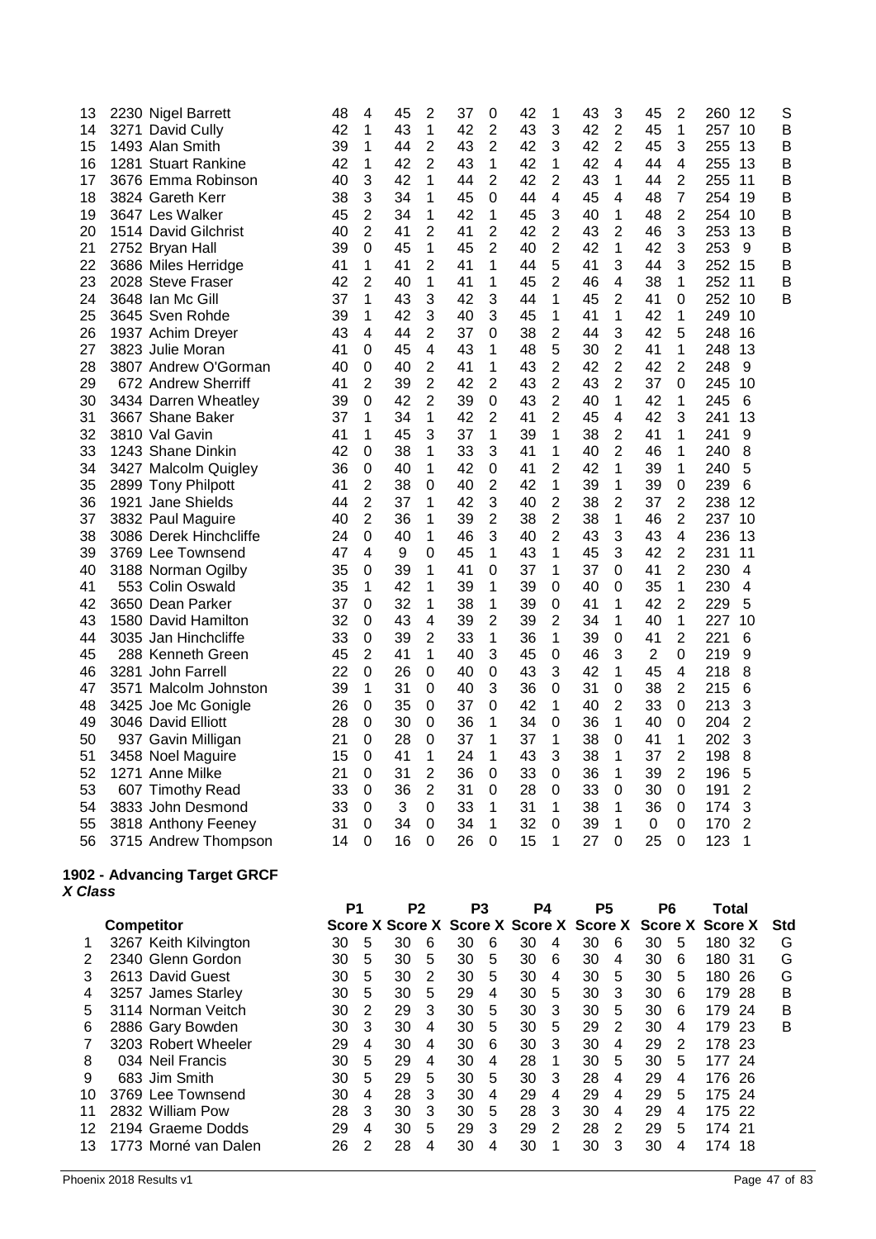| 13 | 2230 Nigel Barrett     | 48 | 4                | 45 | 2              | 37 | 0                | 42 | 1              | 43 | 3              | 45             | $\overline{c}$   | 260<br>12             | S |
|----|------------------------|----|------------------|----|----------------|----|------------------|----|----------------|----|----------------|----------------|------------------|-----------------------|---|
| 14 | 3271 David Cully       | 42 | 1                | 43 | 1              | 42 | $\overline{2}$   | 43 | 3              | 42 | $\overline{2}$ | 45             | $\mathbf{1}$     | 257 10                | B |
| 15 | 1493 Alan Smith        | 39 | 1                | 44 | $\overline{2}$ | 43 | $\overline{2}$   | 42 | 3              | 42 | 2              | 45             | 3                | 255<br>13             | B |
| 16 | 1281 Stuart Rankine    | 42 | 1                | 42 | $\overline{2}$ | 43 | 1                | 42 | 1              | 42 | 4              | 44             | 4                | 255<br>13             | B |
| 17 | 3676 Emma Robinson     | 40 | 3                | 42 | 1              | 44 | $\overline{2}$   | 42 | $\overline{2}$ | 43 | 1              | 44             | $\overline{2}$   | 255<br>-11            | B |
| 18 | 3824 Gareth Kerr       | 38 | 3                | 34 | 1              | 45 | 0                | 44 | 4              | 45 | 4              | 48             | $\overline{7}$   | 254<br>-19            | B |
| 19 | 3647 Les Walker        | 45 | $\overline{2}$   | 34 | 1              | 42 | 1                | 45 | 3              | 40 | $\mathbf 1$    | 48             | $\overline{2}$   | 254<br>10             | B |
| 20 | 1514 David Gilchrist   | 40 | $\overline{2}$   | 41 | $\overline{2}$ | 41 | $\overline{2}$   | 42 | $\overline{2}$ | 43 | $\overline{2}$ | 46             | 3                | 253<br>13             | B |
| 21 | 2752 Bryan Hall        | 39 | 0                | 45 | 1              | 45 | $\overline{2}$   | 40 | 2              | 42 | 1              | 42             | 3                | 253<br>9              | B |
| 22 | 3686 Miles Herridge    | 41 | 1                | 41 | $\overline{2}$ | 41 | 1                | 44 | 5              | 41 | 3              | 44             | 3                | 252 15                | B |
| 23 | 2028 Steve Fraser      | 42 | $\overline{2}$   | 40 | 1              | 41 | 1                | 45 | 2              | 46 | 4              | 38             | $\mathbf{1}$     | 252<br>11             | B |
| 24 | 3648 Ian Mc Gill       | 37 | 1                | 43 | 3              | 42 | 3                | 44 | 1              | 45 | 2              | 41             | 0                | 252 10                | B |
| 25 | 3645 Sven Rohde        | 39 | 1                | 42 | 3              | 40 | 3                | 45 | 1              | 41 | 1              | 42             | 1                | 249<br>10             |   |
| 26 | 1937 Achim Dreyer      | 43 | 4                | 44 | $\overline{2}$ | 37 | $\mathbf 0$      | 38 | $\overline{2}$ | 44 | 3              | 42             | 5                | 248<br>16             |   |
| 27 | 3823 Julie Moran       | 41 | 0                | 45 | 4              | 43 | 1                | 48 | 5              | 30 | $\overline{2}$ | 41             | 1                | 248<br>13             |   |
| 28 | 3807 Andrew O'Gorman   | 40 | 0                | 40 | $\overline{2}$ | 41 | 1                | 43 | $\overline{2}$ | 42 | $\overline{2}$ | 42             | $\overline{2}$   | 248<br>9              |   |
| 29 | 672 Andrew Sherriff    | 41 | 2                | 39 | $\overline{2}$ | 42 | $\overline{2}$   | 43 | $\overline{2}$ | 43 | $\overline{2}$ | 37             | $\mathbf 0$      | 245<br>10             |   |
| 30 | 3434 Darren Wheatley   | 39 | 0                | 42 | $\overline{2}$ | 39 | $\boldsymbol{0}$ | 43 | $\overline{2}$ | 40 | 1              | 42             | 1                | 245<br>6              |   |
| 31 | 3667 Shane Baker       | 37 | 1                | 34 | 1              | 42 | 2                | 41 | 2              | 45 | 4              | 42             | 3                | 13<br>241             |   |
| 32 | 3810 Val Gavin         | 41 | 1                | 45 | 3              | 37 | $\mathbf 1$      | 39 | 1              | 38 | $\overline{2}$ | 41             | 1                | 241<br>9              |   |
| 33 | 1243 Shane Dinkin      | 42 | 0                | 38 | 1              | 33 | 3                | 41 | 1              | 40 | 2              | 46             | 1                | 240<br>8              |   |
| 34 | 3427 Malcolm Quigley   | 36 | 0                | 40 | 1              | 42 | 0                | 41 | 2              | 42 | 1              | 39             | 1                | 5<br>240              |   |
| 35 | 2899 Tony Philpott     | 41 | $\overline{2}$   | 38 | 0              | 40 | $\overline{2}$   | 42 | 1              | 39 | 1              | 39             | $\boldsymbol{0}$ | 6<br>239              |   |
| 36 | 1921 Jane Shields      | 44 | $\overline{2}$   | 37 | 1              | 42 | 3                | 40 | $\overline{2}$ | 38 | $\overline{2}$ | 37             | $\overline{2}$   | 238<br>12             |   |
| 37 | 3832 Paul Maguire      | 40 | $\overline{2}$   | 36 | 1              | 39 | $\overline{2}$   | 38 | $\overline{2}$ | 38 | 1              | 46             | $\overline{2}$   | 237<br>10             |   |
| 38 | 3086 Derek Hinchcliffe | 24 | 0                | 40 | 1              | 46 | 3                | 40 | $\overline{2}$ | 43 | 3              | 43             | 4                | 236<br>13             |   |
| 39 | 3769 Lee Townsend      | 47 | 4                | 9  | 0              | 45 | 1                | 43 | 1              | 45 | 3              | 42             | $\overline{2}$   | 231<br>11             |   |
| 40 | 3188 Norman Ogilby     | 35 | 0                | 39 | 1              | 41 | 0                | 37 | 1              | 37 | 0              | 41             | $\overline{2}$   | 230<br>$\overline{4}$ |   |
| 41 | 553 Colin Oswald       | 35 | 1                | 42 | 1              | 39 | 1                | 39 | 0              | 40 | 0              | 35             | 1                | 230<br>4              |   |
| 42 | 3650 Dean Parker       | 37 | 0                | 32 | 1              | 38 | 1                | 39 | 0              | 41 | 1              | 42             | $\overline{2}$   | 229<br>5              |   |
| 43 | 1580 David Hamilton    | 32 | 0                | 43 | 4              | 39 | $\overline{2}$   | 39 | 2              | 34 | 1              | 40             | 1                | 227<br>10             |   |
| 44 | 3035 Jan Hinchcliffe   | 33 | 0                | 39 | 2              | 33 | 1                | 36 | 1              | 39 | 0              | 41             | $\overline{2}$   | 221<br>6              |   |
| 45 | 288 Kenneth Green      | 45 | $\overline{2}$   | 41 | 1              | 40 | 3                | 45 | $\mathbf 0$    | 46 | 3              | $\overline{2}$ | 0                | 219<br>9              |   |
| 46 | 3281 John Farrell      | 22 | 0                | 26 | 0              | 40 | 0                | 43 | 3              | 42 | 1              | 45             | 4                | 218<br>8              |   |
| 47 | 3571 Malcolm Johnston  | 39 | 1                | 31 | 0              | 40 | 3                | 36 | 0              | 31 | 0              | 38             | $\overline{2}$   | 215<br>6              |   |
| 48 | 3425 Joe Mc Gonigle    | 26 | 0                | 35 | 0              | 37 | 0                | 42 | 1              | 40 | $\overline{2}$ | 33             | $\mathbf 0$      | 213<br>3              |   |
| 49 | 3046 David Elliott     | 28 | 0                | 30 | 0              | 36 | 1                | 34 | $\mathbf 0$    | 36 | $\mathbf{1}$   | 40             | 0                | $\overline{c}$<br>204 |   |
| 50 | 937 Gavin Milligan     | 21 | 0                | 28 | 0              | 37 | 1                | 37 | 1              | 38 | 0              | 41             | 1                | 3<br>202              |   |
| 51 | 3458 Noel Maguire      | 15 | 0                | 41 | 1              | 24 | 1                | 43 | 3              | 38 | 1              | 37             | 2                | 198<br>8              |   |
| 52 | 1271 Anne Milke        | 21 | 0                | 31 | $\overline{2}$ | 36 | $\mathbf 0$      | 33 | $\Omega$       | 36 | 1              | 39             | $\overline{2}$   | 5<br>196              |   |
| 53 | 607 Timothy Read       | 33 | 0                | 36 | $\overline{2}$ | 31 | 0                | 28 | 0              | 33 | 0              | 30             | $\mathbf 0$      | $\overline{c}$<br>191 |   |
| 54 | 3833 John Desmond      | 33 | $\boldsymbol{0}$ | 3  | 0              | 33 | 1                | 31 | 1              | 38 | 1              | 36             | 0                | 3<br>174              |   |
| 55 | 3818 Anthony Feeney    | 31 | 0                | 34 | 0              | 34 | 1                | 32 | $\mathbf 0$    | 39 | $\mathbf{1}$   | 0              | 0                | $\overline{2}$<br>170 |   |
| 56 | 3715 Andrew Thompson   | 14 | 0                | 16 | 0              | 26 | 0                | 15 | 1              | 27 | 0              | 25             | 0                | 123<br>1              |   |
|    |                        |    |                  |    |                |    |                  |    |                |    |                |                |                  |                       |   |

#### **1902 - Advancing Target GRCF** *X Class*

|    |                       | P <sub>1</sub> |   | P <sub>2</sub>                          |   | P <sub>3</sub> |   | P4 |   | P5 |   | P6 |   | Total           |      |            |
|----|-----------------------|----------------|---|-----------------------------------------|---|----------------|---|----|---|----|---|----|---|-----------------|------|------------|
|    | <b>Competitor</b>     |                |   | Score X Score X Score X Score X Score X |   |                |   |    |   |    |   |    |   | Score X Score X |      | <b>Std</b> |
|    | 3267 Keith Kilvington | 30             | 5 | 30                                      | 6 | 30             | 6 | 30 | 4 | 30 | 6 | 30 | 5 | 180             | -32  | G          |
|    | 2340 Glenn Gordon     | 30             | 5 | 30                                      | 5 | 30             | 5 | 30 | 6 | 30 | 4 | 30 | 6 | 180             | -31  | G          |
| 3  | 2613 David Guest      | 30             | 5 | 30                                      | 2 | 30             | 5 | 30 | 4 | 30 | 5 | 30 | 5 | 180             | -26  | G          |
| 4  | 3257 James Starley    | 30             | 5 | 30                                      | 5 | 29             | 4 | 30 | 5 | 30 | 3 | 30 | 6 | 179             | -28  | в          |
| 5  | 3114 Norman Veitch    | 30             | 2 | 29                                      | 3 | 30             | 5 | 30 | 3 | 30 | 5 | 30 | 6 | 179             | -24  | в          |
| 6  | 2886 Gary Bowden      | 30             | 3 | 30                                      | 4 | 30             | 5 | 30 | 5 | 29 | 2 | 30 | 4 | 179             | -23  | В          |
|    | 3203 Robert Wheeler   | 29             | 4 | 30                                      | 4 | 30             | 6 | 30 | 3 | 30 | 4 | 29 | 2 | 178 23          |      |            |
| 8  | 034 Neil Francis      | 30             | 5 | 29                                      | 4 | 30             | 4 | 28 | 1 | 30 | 5 | 30 | 5 | 177             | - 24 |            |
| 9  | 683 Jim Smith         | 30             | 5 | 29                                      | 5 | 30             | 5 | 30 | 3 | 28 | 4 | 29 | 4 | 176 26          |      |            |
| 10 | 3769 Lee Townsend     | 30             | 4 | 28                                      | 3 | 30             | 4 | 29 | 4 | 29 | 4 | 29 | 5 | 175 24          |      |            |
| 11 | 2832 William Pow      | 28             | 3 | 30                                      | 3 | 30             | 5 | 28 | 3 | 30 | 4 | 29 | 4 | 175             | -22  |            |
| 12 | 2194 Graeme Dodds     | 29             | 4 | 30                                      | 5 | 29             | 3 | 29 | 2 | 28 | 2 | 29 | 5 | 174 21          |      |            |
| 13 | 1773 Morné van Dalen  | 26             | 2 | 28                                      | 4 | 30             | 4 | 30 |   | 30 | 3 | 30 | 4 | 174             | 18   |            |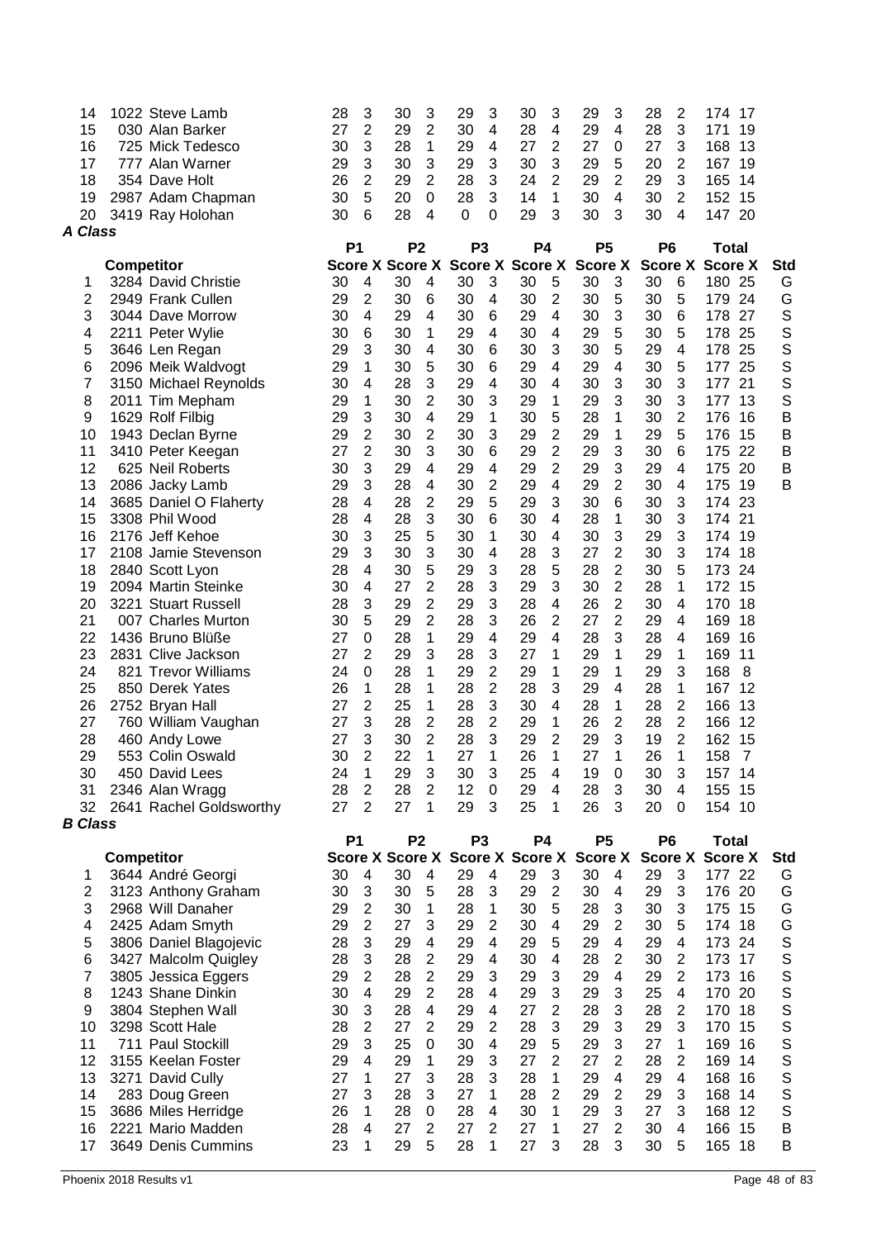| 14<br>15<br>16<br>17<br>18<br>19<br>20<br><b>A Class</b> | 1022 Steve Lamb<br>030 Alan Barker<br>725 Mick Tedesco<br>777 Alan Warner<br>354 Dave Holt<br>2987 Adam Chapman<br>3419 Ray Holohan | 28<br>27<br>30<br>29<br>26<br>30<br>30 | 3<br>$\overline{2}$<br>3<br>3<br>$\overline{2}$<br>5<br>6 | 30<br>29<br>28<br>30<br>29<br>20<br>28 | 3<br>$\overline{c}$<br>1<br>$\ensuremath{\mathsf{3}}$<br>$\overline{2}$<br>$\boldsymbol{0}$<br>4 | 29<br>30<br>29<br>29<br>28<br>28<br>$\Omega$ | 3<br>$\overline{4}$<br>$\overline{4}$<br>3<br>3<br>3<br>0 | 30<br>28<br>27<br>30<br>24<br>14<br>29  | 3<br>4<br>$\overline{c}$<br>3<br>$\overline{2}$<br>1<br>3 | 29<br>29<br>27<br>29<br>29<br>30<br>30 | 3<br>4<br>0<br>5<br>2<br>4<br>3  | 28<br>28<br>27<br>20<br>29<br>30<br>30 | 2<br>3<br>3<br>$\overline{2}$<br>3<br>$\overline{2}$<br>4 | 174<br>17<br>171<br>19<br>168<br>13<br>167<br>19<br>14<br>165<br>152 15<br>147 20 |                  |
|----------------------------------------------------------|-------------------------------------------------------------------------------------------------------------------------------------|----------------------------------------|-----------------------------------------------------------|----------------------------------------|--------------------------------------------------------------------------------------------------|----------------------------------------------|-----------------------------------------------------------|-----------------------------------------|-----------------------------------------------------------|----------------------------------------|----------------------------------|----------------------------------------|-----------------------------------------------------------|-----------------------------------------------------------------------------------|------------------|
|                                                          |                                                                                                                                     | P <sub>1</sub>                         |                                                           | P <sub>2</sub>                         |                                                                                                  | P <sub>3</sub>                               |                                                           | <b>P4</b>                               |                                                           | P <sub>5</sub>                         |                                  | P <sub>6</sub>                         |                                                           | <b>Total</b>                                                                      |                  |
|                                                          | <b>Competitor</b>                                                                                                                   |                                        |                                                           | <b>Score X Score X</b>                 |                                                                                                  |                                              |                                                           | Score X Score X                         |                                                           | <b>Score X</b>                         |                                  |                                        | <b>Score X</b>                                            | <b>Score X</b>                                                                    | <b>Std</b>       |
| 1                                                        | 3284 David Christie                                                                                                                 | 30                                     | 4                                                         | 30                                     | 4                                                                                                | 30                                           | 3                                                         | 30                                      | 5                                                         | 30                                     | 3                                | 30                                     | 6                                                         | 180 25                                                                            | G                |
| 2                                                        | 2949 Frank Cullen                                                                                                                   | 29                                     | 2                                                         | 30                                     | 6                                                                                                | 30                                           | 4                                                         | 30                                      | $\overline{c}$                                            | 30                                     | 5                                | 30                                     | 5                                                         | 179<br>24                                                                         | G                |
| 3                                                        | 3044 Dave Morrow                                                                                                                    | 30                                     | 4                                                         | 29<br>30                               | 4                                                                                                | 30                                           | 6<br>$\overline{4}$                                       | 29<br>30                                | 4                                                         | 30<br>29                               | 3<br>5                           | 30                                     | 6                                                         | 178 27<br>178 25                                                                  | S<br>S           |
| 4<br>5                                                   | 2211 Peter Wylie<br>3646 Len Regan                                                                                                  | 30<br>29                               | 6<br>3                                                    | 30                                     | 1<br>4                                                                                           | 29<br>30                                     | 6                                                         | 30                                      | 4<br>3                                                    | 30                                     | 5                                | 30<br>29                               | 5<br>4                                                    | 25<br>178                                                                         | S                |
| 6                                                        | 2096 Meik Waldvogt                                                                                                                  | 29                                     | 1                                                         | 30                                     | 5                                                                                                | 30                                           | 6                                                         | 29                                      | 4                                                         | 29                                     | $\overline{4}$                   | 30                                     | 5                                                         | 25<br>177                                                                         | S                |
| 7                                                        | 3150 Michael Reynolds                                                                                                               | 30                                     | $\overline{\mathbf{4}}$                                   | 28                                     | 3                                                                                                | 29                                           | $\overline{4}$                                            | 30                                      | 4                                                         | 30                                     | 3                                | 30                                     | 3                                                         | 21<br>177                                                                         | S                |
| 8                                                        | 2011 Tim Mepham                                                                                                                     | 29                                     | 1                                                         | 30                                     | $\overline{2}$                                                                                   | 30                                           | 3                                                         | 29                                      | 1                                                         | 29                                     | 3                                | 30                                     | 3                                                         | 13<br>177                                                                         | S                |
| 9                                                        | 1629 Rolf Filbig                                                                                                                    | 29                                     | 3                                                         | 30                                     | $\overline{4}$                                                                                   | 29                                           | 1                                                         | 30                                      | 5                                                         | 28                                     | 1                                | 30                                     | $\overline{2}$                                            | 176<br>16                                                                         | B                |
| 10                                                       | 1943 Declan Byrne                                                                                                                   | 29                                     | $\overline{2}$                                            | 30                                     | 2                                                                                                | 30                                           | 3                                                         | 29                                      | $\overline{2}$                                            | 29                                     | 1                                | 29                                     | 5                                                         | 176<br>-15                                                                        | B                |
| 11                                                       | 3410 Peter Keegan                                                                                                                   | 27                                     | $\overline{2}$                                            | 30                                     | 3                                                                                                | 30                                           | 6                                                         | 29                                      | $\overline{2}$                                            | 29                                     | 3                                | 30                                     | 6                                                         | 175 22                                                                            | B                |
| 12                                                       | 625 Neil Roberts                                                                                                                    | 30                                     | 3                                                         | 29                                     | 4                                                                                                | 29                                           | 4                                                         | 29                                      | $\overline{2}$                                            | 29                                     | 3                                | 29                                     | 4                                                         | 175 20                                                                            | Β                |
| 13                                                       | 2086 Jacky Lamb                                                                                                                     | 29                                     | 3                                                         | 28                                     | 4                                                                                                | 30                                           | 2                                                         | 29                                      | 4                                                         | 29                                     | 2                                | 30                                     | 4                                                         | 175<br>-19                                                                        | B                |
| 14                                                       | 3685 Daniel O Flaherty                                                                                                              | 28                                     | 4                                                         | 28                                     | 2                                                                                                | 29                                           | 5                                                         | 29                                      | 3                                                         | 30                                     | 6                                | 30                                     | 3                                                         | 174 23                                                                            |                  |
| 15                                                       | 3308 Phil Wood                                                                                                                      | 28                                     | 4                                                         | 28                                     | 3                                                                                                | 30                                           | 6                                                         | 30                                      | 4                                                         | 28                                     | 1                                | 30                                     | 3                                                         | 174<br>21                                                                         |                  |
| 16                                                       | 2176 Jeff Kehoe                                                                                                                     | 30                                     | 3                                                         | 25                                     | 5                                                                                                | 30                                           | 1                                                         | 30                                      | 4                                                         | 30                                     | 3                                | 29                                     | 3                                                         | 19<br>174                                                                         |                  |
| 17                                                       | 2108 Jamie Stevenson                                                                                                                | 29                                     | 3                                                         | 30                                     | 3                                                                                                | 30                                           | $\overline{4}$                                            | 28                                      | 3                                                         | 27                                     | $\overline{2}$                   | 30                                     | 3                                                         | 18<br>174                                                                         |                  |
| 18                                                       | 2840 Scott Lyon                                                                                                                     | 28                                     | $\overline{\mathbf{4}}$                                   | 30                                     | 5                                                                                                | 29                                           | 3                                                         | 28                                      | 5                                                         | 28                                     | $\overline{c}$                   | 30                                     | 5                                                         | 173<br>24                                                                         |                  |
| 19<br>20                                                 | 2094 Martin Steinke<br>3221 Stuart Russell                                                                                          | 30<br>28                               | 4<br>3                                                    | 27<br>29                               | $\overline{2}$<br>$\overline{2}$                                                                 | 28<br>29                                     | 3<br>3                                                    | 29<br>28                                | 3<br>4                                                    | 30<br>26                               | $\overline{c}$<br>$\overline{c}$ | 28<br>30                               | 1<br>4                                                    | 15<br>172<br>18<br>170                                                            |                  |
| 21                                                       | 007 Charles Murton                                                                                                                  | 30                                     | 5                                                         | 29                                     | $\overline{2}$                                                                                   | 28                                           | 3                                                         | 26                                      | $\overline{2}$                                            | 27                                     | $\overline{2}$                   | 29                                     | 4                                                         | 169<br>18                                                                         |                  |
| 22                                                       | 1436 Bruno Blüße                                                                                                                    | 27                                     | 0                                                         | 28                                     | 1                                                                                                | 29                                           | $\overline{4}$                                            | 29                                      | 4                                                         | 28                                     | 3                                | 28                                     | 4                                                         | 169<br>16                                                                         |                  |
| 23                                                       | 2831 Clive Jackson                                                                                                                  | 27                                     | $\overline{2}$                                            | 29                                     | 3                                                                                                | 28                                           | 3                                                         | 27                                      | 1                                                         | 29                                     | 1                                | 29                                     | 1                                                         | 169<br>11                                                                         |                  |
| 24                                                       | 821 Trevor Williams                                                                                                                 | 24                                     | 0                                                         | 28                                     | 1                                                                                                | 29                                           | $\overline{2}$                                            | 29                                      | 1                                                         | 29                                     | 1                                | 29                                     | 3                                                         | 168<br>8                                                                          |                  |
| 25                                                       | 850 Derek Yates                                                                                                                     | 26                                     | 1                                                         | 28                                     | 1                                                                                                | 28                                           | $\overline{c}$                                            | 28                                      | 3                                                         | 29                                     | 4                                | 28                                     | 1                                                         | 167<br>12                                                                         |                  |
| 26                                                       | 2752 Bryan Hall                                                                                                                     | 27                                     | 2                                                         | 25                                     | 1                                                                                                | 28                                           | 3                                                         | 30                                      | 4                                                         | 28                                     | 1                                | 28                                     | $\overline{2}$                                            | 166<br>13                                                                         |                  |
| 27                                                       | 760 William Vaughan                                                                                                                 | 27                                     | 3                                                         | 28                                     | 2                                                                                                | 28                                           | 2                                                         | 29                                      | 1                                                         | 26                                     | 2                                | 28                                     | $\mathbf{2}$                                              | 166<br>12                                                                         |                  |
| 28                                                       | 460 Andy Lowe                                                                                                                       | 27                                     | 3                                                         | 30                                     | $\overline{c}$                                                                                   | 28                                           | 3                                                         | 29                                      | $\overline{2}$                                            | 29                                     | 3                                | 19                                     | $\overline{2}$                                            | 162<br>15                                                                         |                  |
| 29                                                       | 553 Colin Oswald                                                                                                                    | 30                                     | 2                                                         | 22                                     | 1                                                                                                | 27                                           | 1                                                         | 26                                      | 1                                                         | 27                                     | 1                                | 26                                     | 1                                                         | 158<br>7                                                                          |                  |
| 30                                                       | 450 David Lees                                                                                                                      | 24                                     | 1                                                         | 29                                     | 3                                                                                                | 30                                           | 3                                                         | 25                                      | 4                                                         | 19                                     | 0                                | 30                                     | 3                                                         | 157 14                                                                            |                  |
| 31                                                       | 2346 Alan Wragg                                                                                                                     | 28                                     | $\overline{2}$                                            | 28                                     | $\overline{2}$                                                                                   | 12                                           | $\mathbf 0$                                               | 29                                      | 4                                                         | 28                                     | 3                                | 30                                     | 4                                                         | 155<br>15                                                                         |                  |
| 32<br><b>B</b> Class                                     | 2641 Rachel Goldsworthy                                                                                                             | 27                                     | $\overline{2}$                                            | 27                                     | 1                                                                                                | 29                                           | 3                                                         | 25                                      | 1                                                         | 26                                     | 3                                | 20                                     | 0                                                         | 154 10                                                                            |                  |
|                                                          |                                                                                                                                     | <b>P1</b>                              |                                                           | P <sub>2</sub>                         |                                                                                                  | P <sub>3</sub>                               |                                                           | <b>P4</b>                               |                                                           | <b>P5</b>                              |                                  | P <sub>6</sub>                         |                                                           | <b>Total</b>                                                                      |                  |
|                                                          | <b>Competitor</b>                                                                                                                   |                                        |                                                           |                                        |                                                                                                  |                                              |                                                           | Score X Score X Score X Score X Score X |                                                           |                                        |                                  |                                        |                                                           | <b>Score X Score X</b>                                                            | <b>Std</b>       |
| 1                                                        | 3644 André Georgi                                                                                                                   | 30                                     | $\overline{\mathbf{4}}$                                   | 30                                     | 4                                                                                                | 29                                           | 4                                                         | 29                                      | 3                                                         | 30                                     | 4                                | 29                                     | 3                                                         | 177 22                                                                            | G                |
| $\overline{2}$                                           | 3123 Anthony Graham                                                                                                                 | 30                                     | 3                                                         | 30                                     | 5                                                                                                | 28                                           | 3                                                         | 29                                      | $\overline{2}$                                            | 30                                     | 4                                | 29                                     | 3                                                         | 176 20                                                                            | G                |
| 3                                                        | 2968 Will Danaher                                                                                                                   | 29                                     | $\overline{c}$                                            | 30                                     | 1                                                                                                | 28                                           | 1                                                         | 30                                      | 5                                                         | 28                                     | 3                                | 30                                     | 3                                                         | 175 15                                                                            | G                |
| 4                                                        | 2425 Adam Smyth                                                                                                                     | 29                                     | $\overline{2}$                                            | 27                                     | 3                                                                                                | 29                                           | $\overline{2}$                                            | 30                                      | 4                                                         | 29                                     | 2                                | 30                                     | 5                                                         | 174 18                                                                            | G                |
| 5                                                        | 3806 Daniel Blagojevic                                                                                                              | 28                                     | 3                                                         | 29                                     | 4                                                                                                | 29                                           | 4                                                         | 29                                      | 5                                                         | 29                                     | 4                                | 29                                     | 4                                                         | 173 24                                                                            | $\mathbb S$      |
| 6                                                        | 3427 Malcolm Quigley                                                                                                                | 28                                     | 3                                                         | 28                                     | $\overline{2}$                                                                                   | 29                                           | $\overline{4}$                                            | 30                                      | 4                                                         | 28                                     | $\overline{2}$                   | 30                                     | $\overline{2}$                                            | 173<br>17                                                                         | $\mathbb S$      |
| $\overline{7}$                                           | 3805 Jessica Eggers                                                                                                                 | 29                                     | $\overline{2}$                                            | 28                                     | $\overline{2}$                                                                                   | 29                                           | 3                                                         | 29                                      | 3                                                         | 29                                     | 4                                | 29                                     | $\overline{2}$                                            | 173<br>16                                                                         | $\mathbb S$      |
| 8                                                        | 1243 Shane Dinkin                                                                                                                   | 30                                     | $\overline{4}$                                            | 29                                     | $\overline{2}$                                                                                   | 28                                           | 4                                                         | 29                                      | 3                                                         | 29                                     | 3                                | 25                                     | 4<br>$\overline{2}$                                       | 20<br>170                                                                         | $\mathbb S$      |
| 9                                                        | 3804 Stephen Wall<br>3298 Scott Hale                                                                                                | 30                                     | 3<br>$\overline{2}$                                       | 28<br>27                               | 4<br>$\overline{2}$                                                                              | 29                                           | $\overline{4}$<br>$\overline{2}$                          | 27<br>28                                | $\overline{2}$                                            | 28                                     | 3                                | 28<br>29                               | 3                                                         | 170<br>18                                                                         | S                |
| 10<br>11                                                 | 711 Paul Stockill                                                                                                                   | 28<br>29                               | 3                                                         | 25                                     | 0                                                                                                | 29<br>30                                     | $\overline{4}$                                            | 29                                      | 3<br>5                                                    | 29<br>29                               | 3<br>3                           | 27                                     | 1                                                         | 170<br>15<br>169<br>16                                                            | S<br>$\mathbb S$ |
| 12                                                       | 3155 Keelan Foster                                                                                                                  | 29                                     | $\overline{4}$                                            | 29                                     | 1                                                                                                | 29                                           | 3                                                         | 27                                      | $\overline{2}$                                            | 27                                     | $\overline{2}$                   | 28                                     | $\overline{2}$                                            | 169 14                                                                            | S                |
| 13                                                       | 3271 David Cully                                                                                                                    | 27                                     | 1                                                         | 27                                     | 3                                                                                                | 28                                           | 3                                                         | 28                                      | 1                                                         | 29                                     | $\overline{4}$                   | 29                                     | 4                                                         | 168 16                                                                            | $\mathbb S$      |
| 14                                                       | 283 Doug Green                                                                                                                      | 27                                     | 3                                                         | 28                                     | 3                                                                                                | 27                                           | 1                                                         | 28                                      | 2                                                         | 29                                     | 2                                | 29                                     | 3                                                         | 168 14                                                                            | $\mathbb S$      |
| 15                                                       | 3686 Miles Herridge                                                                                                                 | 26                                     | 1                                                         | 28                                     | 0                                                                                                | 28                                           | 4                                                         | 30                                      | 1                                                         | 29                                     | 3                                | 27                                     | 3                                                         | 168 12                                                                            | S                |
| 16                                                       | 2221 Mario Madden                                                                                                                   | 28                                     | $\overline{4}$                                            | 27                                     | $\overline{2}$                                                                                   | 27                                           | 2                                                         | 27                                      | 1                                                         | 27                                     | 2                                | 30                                     | 4                                                         | 166 15                                                                            | B                |
| 17                                                       | 3649 Denis Cummins                                                                                                                  | 23                                     | 1                                                         | 29                                     | 5                                                                                                | 28                                           | 1                                                         | 27                                      | 3                                                         | 28                                     | 3                                | 30                                     | 5                                                         | 165 18                                                                            | B                |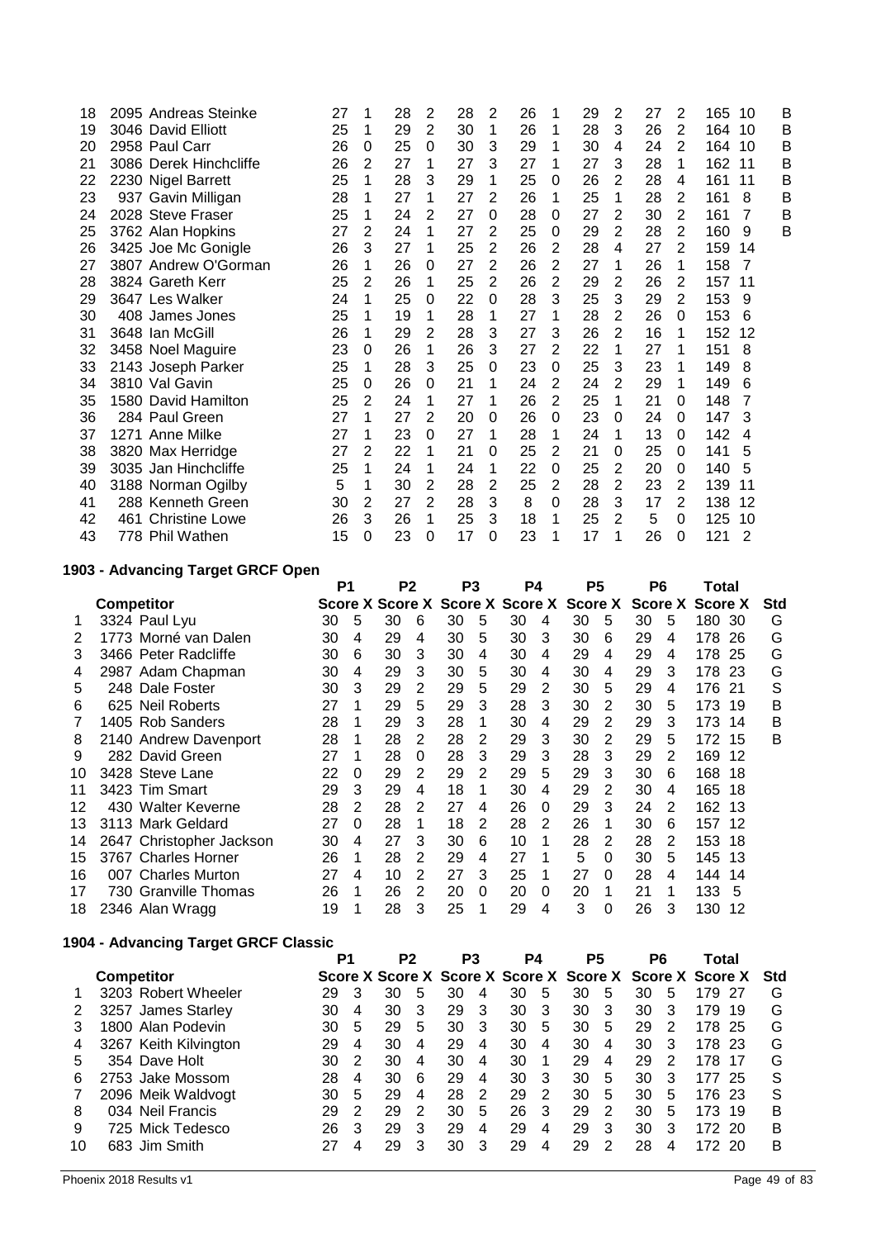| 18 | 2095 Andreas Steinke   | 27 | 1 | 28 | 2 | 28 | 2              | 26 | 1              | 29 | 2 | 27 | 2              | 165<br>10 | В |
|----|------------------------|----|---|----|---|----|----------------|----|----------------|----|---|----|----------------|-----------|---|
| 19 | 3046 David Elliott     | 25 | 1 | 29 | 2 | 30 | 1              | 26 | 1              | 28 | 3 | 26 | 2              | 164<br>10 | в |
| 20 | 2958 Paul Carr         | 26 | 0 | 25 | 0 | 30 | 3              | 29 | 1              | 30 | 4 | 24 | 2              | 164<br>10 | В |
| 21 | 3086 Derek Hinchcliffe | 26 | 2 | 27 | 1 | 27 | 3              | 27 | 1              | 27 | 3 | 28 | 1              | 162<br>11 | В |
| 22 | 2230 Nigel Barrett     | 25 | 1 | 28 | 3 | 29 | 1              | 25 | 0              | 26 | 2 | 28 | 4              | 161<br>11 | В |
| 23 | 937 Gavin Milligan     | 28 |   | 27 | 1 | 27 | 2              | 26 | 1              | 25 | 1 | 28 | 2              | 161<br>8  | В |
| 24 | 2028 Steve Fraser      | 25 | 1 | 24 | 2 | 27 | 0              | 28 | 0              | 27 | 2 | 30 | 2              | 161<br>7  | В |
| 25 | 3762 Alan Hopkins      | 27 | 2 | 24 | 1 | 27 | 2              | 25 | 0              | 29 | 2 | 28 | $\overline{2}$ | 160<br>9  | в |
| 26 | 3425 Joe Mc Gonigle    | 26 | 3 | 27 | 1 | 25 | $\overline{2}$ | 26 | $\overline{2}$ | 28 | 4 | 27 | 2              | 159<br>14 |   |
| 27 | 3807 Andrew O'Gorman   | 26 | 1 | 26 | 0 | 27 | 2              | 26 | $\overline{2}$ | 27 | 1 | 26 | 1              | 158<br>7  |   |
| 28 | 3824 Gareth Kerr       | 25 | 2 | 26 | 1 | 25 | 2              | 26 | $\overline{2}$ | 29 | 2 | 26 | 2              | 157<br>11 |   |
| 29 | 3647 Les Walker        | 24 | 1 | 25 | 0 | 22 | 0              | 28 | 3              | 25 | 3 | 29 | 2              | 153<br>9  |   |
| 30 | 408 James Jones        | 25 | 1 | 19 | 1 | 28 | 1              | 27 | 1              | 28 | 2 | 26 | 0              | 153<br>6  |   |
| 31 | 3648 Ian McGill        | 26 | 1 | 29 | 2 | 28 | 3              | 27 | 3              | 26 | 2 | 16 | 1              | 152<br>12 |   |
| 32 | 3458 Noel Maguire      | 23 | 0 | 26 | 1 | 26 | 3              | 27 | 2              | 22 | 1 | 27 | 1              | 151<br>8  |   |
| 33 | 2143 Joseph Parker     | 25 | 1 | 28 | 3 | 25 | 0              | 23 | 0              | 25 | 3 | 23 | 1              | 149<br>8  |   |
| 34 | 3810 Val Gavin         | 25 | 0 | 26 | 0 | 21 | 1              | 24 | 2              | 24 | 2 | 29 | 1              | 149<br>6  |   |
| 35 | 1580 David Hamilton    | 25 | 2 | 24 | 1 | 27 | 1              | 26 | $\overline{2}$ | 25 | 1 | 21 | 0              | 148<br>7  |   |
| 36 | 284 Paul Green         | 27 | 1 | 27 | 2 | 20 | 0              | 26 | 0              | 23 | 0 | 24 | 0              | 3<br>147  |   |
| 37 | 1271 Anne Milke        | 27 | 1 | 23 | 0 | 27 | 1              | 28 | 1              | 24 | 1 | 13 | 0              | 142<br>4  |   |
| 38 | 3820 Max Herridge      | 27 | 2 | 22 | 1 | 21 | 0              | 25 | $\overline{2}$ | 21 | 0 | 25 | 0              | 5<br>141  |   |
| 39 | 3035 Jan Hinchcliffe   | 25 | 1 | 24 | 1 | 24 | 1              | 22 | 0              | 25 | 2 | 20 | 0              | 140<br>5  |   |
| 40 | 3188 Norman Ogilby     | 5  | 1 | 30 | 2 | 28 | 2              | 25 | 2              | 28 | 2 | 23 | 2              | 139<br>11 |   |
| 41 | 288 Kenneth Green      | 30 | 2 | 27 | 2 | 28 | 3              | 8  | 0              | 28 | 3 | 17 | 2              | 138<br>12 |   |
| 42 | 461 Christine Lowe     | 26 | 3 | 26 | 1 | 25 | 3              | 18 | 1              | 25 | 2 | 5  | 0              | 125<br>10 |   |
| 43 | 778 Phil Wathen        | 15 | 0 | 23 | 0 | 17 | 0              | 23 | 1              | 17 | 1 | 26 | $\Omega$       | 121<br>2  |   |
|    |                        |    |   |    |   |    |                |    |                |    |   |    |                |           |   |

## **1903 - Advancing Target GRCF Open**

| <b>Competitor</b>        |    |   |    |          |    |                 |                |   |    |                 |    |               |     |         | <b>Std</b>                                                                                                                            |
|--------------------------|----|---|----|----------|----|-----------------|----------------|---|----|-----------------|----|---------------|-----|---------|---------------------------------------------------------------------------------------------------------------------------------------|
| 3324 Paul Lyu            | 30 | 5 | 30 | 6        | 30 | 5               | 30             | 4 | 30 | 5               | 30 | 5             |     |         | G                                                                                                                                     |
| 1773 Morné van Dalen     | 30 | 4 | 29 | 4        | 30 | 5               | 30             | 3 | 30 | 6               | 29 | 4             | 178 |         | G                                                                                                                                     |
| 3466 Peter Radcliffe     | 30 | 6 | 30 | 3        | 30 | 4               | 30             | 4 | 29 | 4               | 29 | 4             | 178 |         | G                                                                                                                                     |
| 2987 Adam Chapman        | 30 | 4 | 29 | 3        | 30 | 5               | 30             | 4 | 30 | 4               | 29 | 3             | 178 |         | G                                                                                                                                     |
| 248 Dale Foster          | 30 | 3 | 29 | 2        | 29 | 5               | 29             | 2 | 30 | 5               | 29 | 4             | 176 |         | S                                                                                                                                     |
| 625 Neil Roberts         | 27 |   | 29 | 5        | 29 | 3               | 28             | 3 | 30 | 2               | 30 | 5             | 173 |         | Β                                                                                                                                     |
| 1405 Rob Sanders         | 28 |   | 29 | 3        | 28 |                 | 30             | 4 | 29 | 2               | 29 | 3             | 173 |         | B                                                                                                                                     |
| 2140 Andrew Davenport    | 28 |   | 28 | 2        | 28 | 2               | 29             | 3 | 30 | 2               | 29 | 5             | 172 |         | B                                                                                                                                     |
| 282 David Green          | 27 |   | 28 | $\Omega$ | 28 | 3               | 29             | 3 | 28 | 3               | 29 | $\mathcal{P}$ | 169 |         |                                                                                                                                       |
| 3428 Steve Lane          | 22 | 0 | 29 | 2        | 29 | 2               | 29             | 5 | 29 | 3               | 30 | 6             | 168 |         |                                                                                                                                       |
| 3423 Tim Smart           | 29 | 3 | 29 | 4        | 18 |                 | 30             | 4 | 29 | 2               | 30 | 4             | 165 |         |                                                                                                                                       |
| 430 Walter Keverne       | 28 | 2 | 28 | 2        | 27 | 4               | 26             | 0 | 29 | 3               | 24 | 2             | 162 |         |                                                                                                                                       |
| 3113 Mark Geldard        | 27 | 0 | 28 |          | 18 | 2               | 28             | 2 | 26 | 1               | 30 | 6             | 157 |         |                                                                                                                                       |
| 2647 Christopher Jackson | 30 | 4 | 27 | 3        | 30 | 6               | 10             | 1 | 28 | 2               | 28 | 2             | 153 |         |                                                                                                                                       |
| 3767 Charles Horner      | 26 |   | 28 | 2        | 29 | 4               | 27             |   | 5  | $\Omega$        | 30 | 5             | 145 |         |                                                                                                                                       |
| 007 Charles Murton       | 27 | 4 | 10 | 2        | 27 | 3               | 25             | 1 | 27 | 0               | 28 | 4             | 144 |         |                                                                                                                                       |
| 730 Granville Thomas     | 26 |   | 26 | 2        | 20 | 0               | 20             | 0 | 20 | 1               | 21 |               | 133 | 5       |                                                                                                                                       |
| 2346 Alan Wragg          | 19 |   | 28 | 3        | 25 |                 | 29             | 4 | 3  | 0               | 26 | 3             | 130 |         |                                                                                                                                       |
|                          |    |   | P1 |          | P2 | Score X Score X | P <sub>3</sub> |   | P4 | Score X Score X | P5 | Score X       | P6  | Score X | Total<br><b>Score X</b><br>180 30<br>26<br>-25<br>-23<br>-21<br>-19<br>14<br>15<br>12<br>18<br>18<br>13<br>12<br>18<br>13<br>14<br>12 |

## **1904 - Advancing Target GRCF Classic**

|    |                   | P1                    |    | P <sub>2</sub> |                                                         | P <sub>3</sub> |    |   | P4 | P5 |    | P6 |    | Total |        |     |            |
|----|-------------------|-----------------------|----|----------------|---------------------------------------------------------|----------------|----|---|----|----|----|----|----|-------|--------|-----|------------|
|    | <b>Competitor</b> |                       |    |                | Score X Score X Score X Score X Score X Score X Score X |                |    |   |    |    |    |    |    |       |        |     | <b>Std</b> |
|    |                   | 3203 Robert Wheeler   | 29 | 3              | 30                                                      | 5              | 30 |   | 30 | 5  | 30 | 5  | 30 | 5     | 179    | 27  | G          |
| 2  |                   | 3257 James Starley    | 30 | 4              | 30                                                      | 3              | 29 | 3 | 30 | 3  | 30 | 3  | 30 | 3     | 179    | 19  | G          |
|    |                   | 1800 Alan Podevin     | 30 | 5              | 29                                                      | 5              | 30 | 3 | 30 | 5  | 30 | 5  | 29 | 2     | 178    | 25  | G          |
| 4  |                   | 3267 Keith Kilvington | 29 | 4              | 30                                                      | 4              | 29 | 4 | 30 | 4  | 30 | 4  | 30 | 3     | 178    | -23 | G          |
| 5  |                   | 354 Dave Holt         | 30 | 2              | 30                                                      | 4              | 30 | 4 | 30 |    | 29 | 4  | 29 | 2     | 178    | 17  | G          |
| 6  |                   | 2753 Jake Mossom      | 28 | 4              | 30                                                      | 6              | 29 | 4 | 30 | 3  | 30 | 5  | 30 | 3     | 177    | -25 | S          |
|    |                   | 2096 Meik Waldvogt    | 30 | 5              | 29                                                      | 4              | 28 | 2 | 29 | 2  | 30 | 5  | 30 | 5     | 176 23 |     | S          |
| 8  |                   | 034 Neil Francis      | 29 | 2              | 29                                                      | 2              | 30 | 5 | 26 | 3  | 29 | 2  | 30 | 5     | 173    | 19  | B          |
| 9  |                   | 725 Mick Tedesco      | 26 | 3              | 29                                                      | 3              | 29 | 4 | 29 | 4  | 29 | 3  | 30 | 3     | 172    | 20  | B          |
| 10 |                   | 683 Jim Smith         |    | 4              | 29                                                      | 3              | 30 | 3 | 29 | 4  | 29 | 2  | 28 | 4     | 172    | 20  | B          |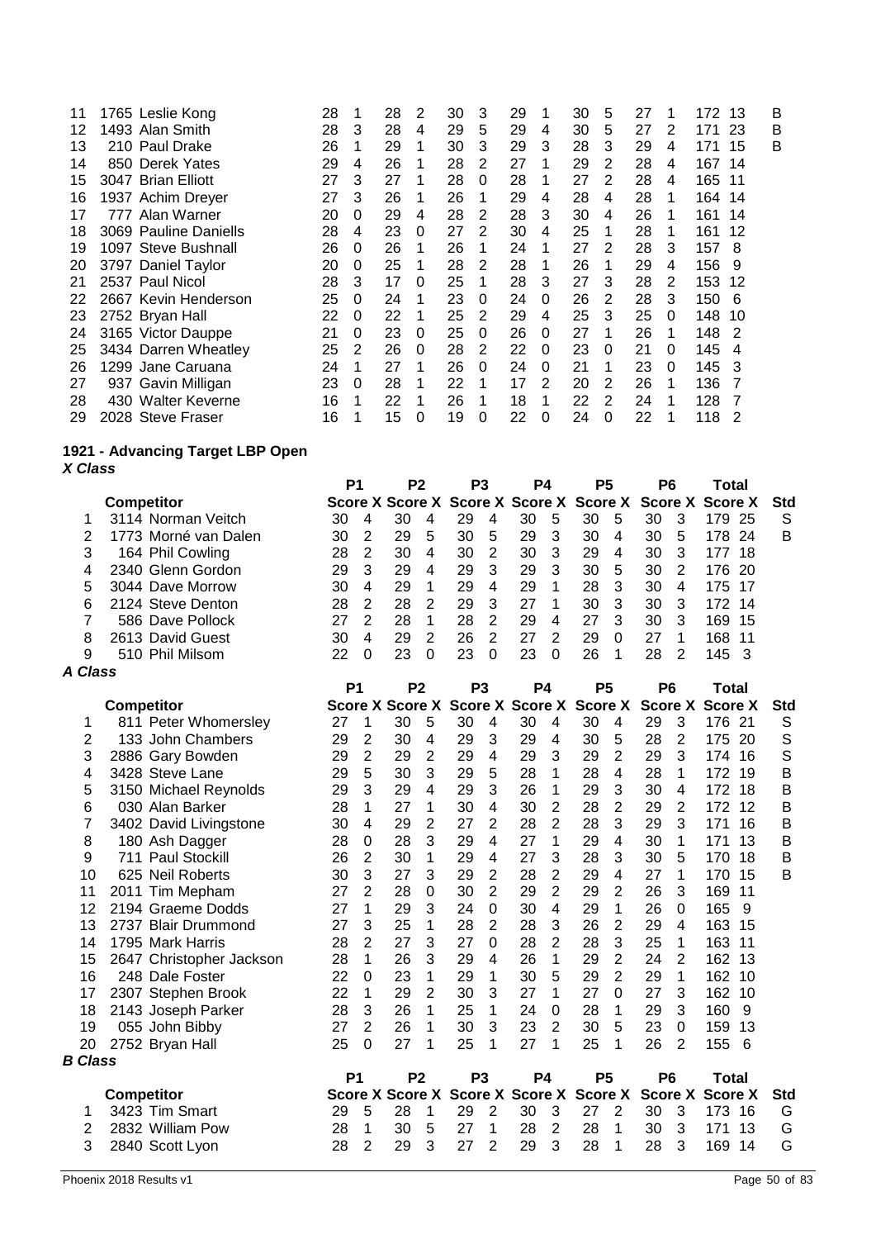| 11      | 1765 Leslie Kong      | 28 |          | 28 | 2        | 30 | 3        | 29 |   | 30 | 5 | 27 | 1 | 172 13 |    | B |
|---------|-----------------------|----|----------|----|----------|----|----------|----|---|----|---|----|---|--------|----|---|
| $12 \,$ | 1493. Alan Smith      | 28 | 3        | 28 | 4        | 29 | 5        | 29 | 4 | 30 | 5 | 27 | 2 | 171    | 23 | B |
| 13      | 210 Paul Drake        | 26 | 1        | 29 |          | 30 | 3        | 29 | 3 | 28 | 3 | 29 | 4 | 171    | 15 | B |
| 14      | 850 Derek Yates       | 29 | 4        | 26 |          | 28 | 2        | 27 |   | 29 | 2 | 28 | 4 | 167 14 |    |   |
| 15      | 3047 Brian Elliott    | 27 | 3        | 27 |          | 28 | $\Omega$ | 28 |   | 27 | 2 | 28 | 4 | 165 11 |    |   |
| 16      | 1937 Achim Dreyer     | 27 | 3        | 26 |          | 26 |          | 29 | 4 | 28 | 4 | 28 |   | 164    | 14 |   |
| 17      | 777 Alan Warner       | 20 | $\Omega$ | 29 | 4        | 28 | 2        | 28 | 3 | 30 | 4 | 26 |   | 161    | 14 |   |
| 18      | 3069 Pauline Daniells | 28 | 4        | 23 | 0        | 27 | 2        | 30 | 4 | 25 |   | 28 |   | 161    | 12 |   |
| 19      | 1097 Steve Bushnall   | 26 | 0        | 26 |          | 26 |          | 24 |   | 27 | 2 | 28 | 3 | 157    | 8  |   |
| 20      | 3797 Daniel Taylor    | 20 | 0        | 25 |          | 28 | 2        | 28 |   | 26 | 1 | 29 | 4 | 156    | 9  |   |
| 21      | 2537 Paul Nicol       | 28 | 3        | 17 | $\Omega$ | 25 |          | 28 | 3 | 27 | 3 | 28 | 2 | 153    | 12 |   |
| 22      | 2667 Kevin Henderson  | 25 | $\Omega$ | 24 |          | 23 | $\Omega$ | 24 | 0 | 26 | 2 | 28 | 3 | 150    | 6  |   |
| 23      | 2752 Bryan Hall       | 22 | 0        | 22 |          | 25 | 2        | 29 | 4 | 25 | 3 | 25 | 0 | 148    | 10 |   |
| 24      | 3165 Victor Dauppe    | 21 | 0        | 23 | $\Omega$ | 25 | $\Omega$ | 26 | 0 | 27 |   | 26 |   | 148    | -2 |   |
| 25      | 3434 Darren Wheatley  | 25 | 2        | 26 | $\Omega$ | 28 | 2        | 22 | 0 | 23 | 0 | 21 | 0 | 145    | 4  |   |
| 26      | 1299 Jane Caruana     | 24 | 1        | 27 |          | 26 | $\Omega$ | 24 | 0 | 21 |   | 23 | 0 | 145    | 3  |   |
| 27      | 937 Gavin Milligan    | 23 | $\Omega$ | 28 |          | 22 |          | 17 | 2 | 20 | 2 | 26 |   | 136    |    |   |
| 28      | 430 Walter Keverne    | 16 | 1        | 22 |          | 26 |          | 18 |   | 22 | 2 | 24 |   | 128    |    |   |
| 29      | 2028 Steve Fraser     | 16 |          | 15 | 0        | 19 | 0        | 22 | 0 | 24 | 0 | 22 |   | 118    | 2  |   |

### **1921 - Advancing Target LBP Open** *X Class*

|                      |                      | P1 |   | P <sub>2</sub> |   | P3 |   | P4                                                      |          | Р5 |          | P6 |   | Total  |     |     |
|----------------------|----------------------|----|---|----------------|---|----|---|---------------------------------------------------------|----------|----|----------|----|---|--------|-----|-----|
|                      | <b>Competitor</b>    |    |   |                |   |    |   | Score X Score X Score X Score X Score X Score X Score X |          |    |          |    |   |        |     | Std |
|                      | 3114 Norman Veitch   | 30 | 4 | 30             |   | 29 | 4 | 30                                                      | 5        | 30 | 5        | 30 |   | 179    | -25 | S   |
|                      | 1773 Morné van Dalen | 30 |   | 29             | 5 | 30 | 5 | 29                                                      | 3        | 30 | 4        | 30 | 5 | 178    | -24 | B   |
|                      | 164 Phil Cowling     | 28 | 2 | 30             | 4 | 30 | 2 | 30                                                      | 3        | 29 | 4        | 30 | 3 | 177    | -18 |     |
| 4                    | 2340 Glenn Gordon    | 29 | 3 | 29             | 4 | 29 | 3 | 29                                                      | 3        | 30 | 5        | 30 |   | 176 20 |     |     |
| 5                    | 3044 Dave Morrow     | 30 | 4 | 29             |   | 29 | 4 | 29                                                      | 1        | 28 | 3        | 30 | 4 | 175    | 17  |     |
| 6                    | 2124 Steve Denton    | 28 | 2 | 28             | 2 | 29 | 3 | 27                                                      |          | 30 | 3        | 30 | 3 | 172 14 |     |     |
|                      | 586 Dave Pollock     | 27 |   | 28             |   | 28 | 2 | 29                                                      | 4        | 27 | 3        | 30 | з | 169    | 15  |     |
| 8                    | 2613 David Guest     | 30 | 4 | 29             | っ | 26 | 2 |                                                         | 2        | 29 | $\Omega$ | 27 |   | 168    | 11  |     |
| 9                    | 510 Phil Milsom      | 22 | 0 | 23             | 0 | 23 | 0 | 23                                                      | $\Omega$ | 26 |          | 28 |   | 145    | - 3 |     |
| $\sim$ $\sim$ $\sim$ |                      |    |   |                |   |    |   |                                                         |          |    |          |    |   |        |     |     |

|                |                          | P <sub>1</sub> |                | P <sub>2</sub>         |                |    | P <sub>3</sub> | P4                     |                | P <sub>5</sub> |                | P <sub>6</sub> |                | Total          |     |             |
|----------------|--------------------------|----------------|----------------|------------------------|----------------|----|----------------|------------------------|----------------|----------------|----------------|----------------|----------------|----------------|-----|-------------|
|                | <b>Competitor</b>        |                |                | <b>Score X Score X</b> |                |    |                | <b>Score X Score X</b> |                | <b>Score X</b> |                | <b>Score X</b> |                | <b>Score X</b> |     | Std         |
| 1              | 811 Peter Whomersley     | 27             | 1              | 30                     | 5              | 30 | 4              | 30                     | 4              | 30             | 4              | 29             | 3              | 176 21         |     | S           |
| 2              | 133 John Chambers        | 29             | 2              | 30                     | 4              | 29 | 3              | 29                     | 4              | 30             | 5              | 28             | 2              | 175            | 20  | S           |
| 3              | 2886 Gary Bowden         | 29             | $\overline{2}$ | 29                     | $\overline{2}$ | 29 | 4              | 29                     | 3              | 29             | $\overline{2}$ | 29             | 3              | 174 16         |     | S           |
| 4              | 3428 Steve Lane          | 29             | 5              | 30                     | 3              | 29 | 5              | 28                     | 1              | 28             | 4              | 28             | 1              | 172 19         |     | B           |
| 5              | 3150 Michael Reynolds    | 29             | 3              | 29                     | 4              | 29 | 3              | 26                     | 1              | 29             | 3              | 30             | 4              | 172 18         |     | $\mathsf B$ |
| 6              | 030 Alan Barker          | 28             | 1              | 27                     | 1              | 30 | 4              | 30                     | 2              | 28             | 2              | 29             | 2              | 172 12         |     | $\mathsf B$ |
|                | 3402 David Livingstone   | 30             | 4              | 29                     | $\overline{2}$ | 27 | 2              | 28                     | 2              | 28             | 3              | 29             | 3              | 171            | 16  | B           |
| 8              | 180 Ash Dagger           | 28             | 0              | 28                     | 3              | 29 | 4              | 27                     | 1              | 29             | 4              | 30             | 1              | 171            | 13  | $\mathsf B$ |
| 9              | 711 Paul Stockill        | 26             | $\overline{2}$ | 30                     | 1              | 29 | 4              | 27                     | 3              | 28             | 3              | 30             | 5              | 170 18         |     | $\mathsf B$ |
| 10             | 625 Neil Roberts         | 30             | 3              | 27                     | 3              | 29 | 2              | 28                     | 2              | 29             | 4              | 27             | 1              | 170            | 15  | B           |
| 11             | 2011 Tim Mepham          | 27             | $\overline{2}$ | 28                     | $\Omega$       | 30 | $\overline{2}$ | 29                     | 2              | 29             | 2              | 26             | 3              | 169            | 11  |             |
| 12             | 2194 Graeme Dodds        | 27             | 1              | 29                     | 3              | 24 | $\Omega$       | 30                     | 4              | 29             | 1              | 26             | $\Omega$       | 165            | 9   |             |
| 13             | 2737 Blair Drummond      | 27             | 3              | 25                     | 1              | 28 | 2              | 28                     | 3              | 26             | 2              | 29             | 4              | 163            | 15  |             |
| 14             | 1795 Mark Harris         | 28             | $\mathbf{2}$   | 27                     | 3              | 27 | 0              | 28                     | 2              | 28             | 3              | 25             | 1              | 163            | 11  |             |
| 15             | 2647 Christopher Jackson | 28             | 1              | 26                     | 3              | 29 | 4              | 26                     | 1              | 29             | 2              | 24             | $\overline{2}$ | 162            | -13 |             |
| 16             | 248 Dale Foster          | 22             | 0              | 23                     | 1              | 29 | 1              | 30                     | 5              | 29             | $\overline{2}$ | 29             | 1              | 162 10         |     |             |
| 17             | 2307 Stephen Brook       | 22             | 1              | 29                     | 2              | 30 | 3              | 27                     | 1              | 27             | 0              | 27             | 3              | 162 10         |     |             |
| 18             | 2143 Joseph Parker       | 28             | 3              | 26                     | 1              | 25 | 1              | 24                     | 0              | 28             | 1              | 29             | 3              | 160            | 9   |             |
| 19             | 055 John Bibby           | 27             | $\overline{2}$ | 26                     | 1              | 30 | 3              | 23                     | 2              | 30             | 5              | 23             | 0              | 159            | 13  |             |
| 20             | 2752 Bryan Hall          | 25             | 0              | 27                     | 1              | 25 | 1              | 27                     | 1              | 25             | 1              | 26             | 2              | 155            | -6  |             |
| <b>B</b> Class |                          |                |                |                        |                |    |                |                        |                |                |                |                |                |                |     |             |
|                |                          | P <sub>1</sub> |                | P <sub>2</sub>         |                |    | P <sub>3</sub> | P4                     |                | P <sub>5</sub> |                | P <sub>6</sub> |                | Total          |     |             |
|                | <b>Competitor</b>        |                |                | <b>Score X Score X</b> |                |    |                | Score X Score X        |                | <b>Score X</b> |                |                | <b>Score X</b> | <b>Score X</b> |     | Std         |
| 1              | 3423 Tim Smart           | 29             | 5              | 28                     | 1              | 29 | $\overline{2}$ | 30                     | 3              | 27             | 2              | 30             | 3              | 173            | 16  | G           |
| 2              | 2832 William Pow         | 28             | 1              | 30                     | 5              | 27 | 1              | 28                     | $\overline{2}$ | 28             | 1              | 30             | 3              | 171            | 13  | G           |
| 3              | 2840 Scott Lyon          | 28             | 2              | 29                     | 3              | 27 | $\overline{2}$ | 29                     | 3              | 28             | 1              | 28             | 3              | 169            | 14  | G           |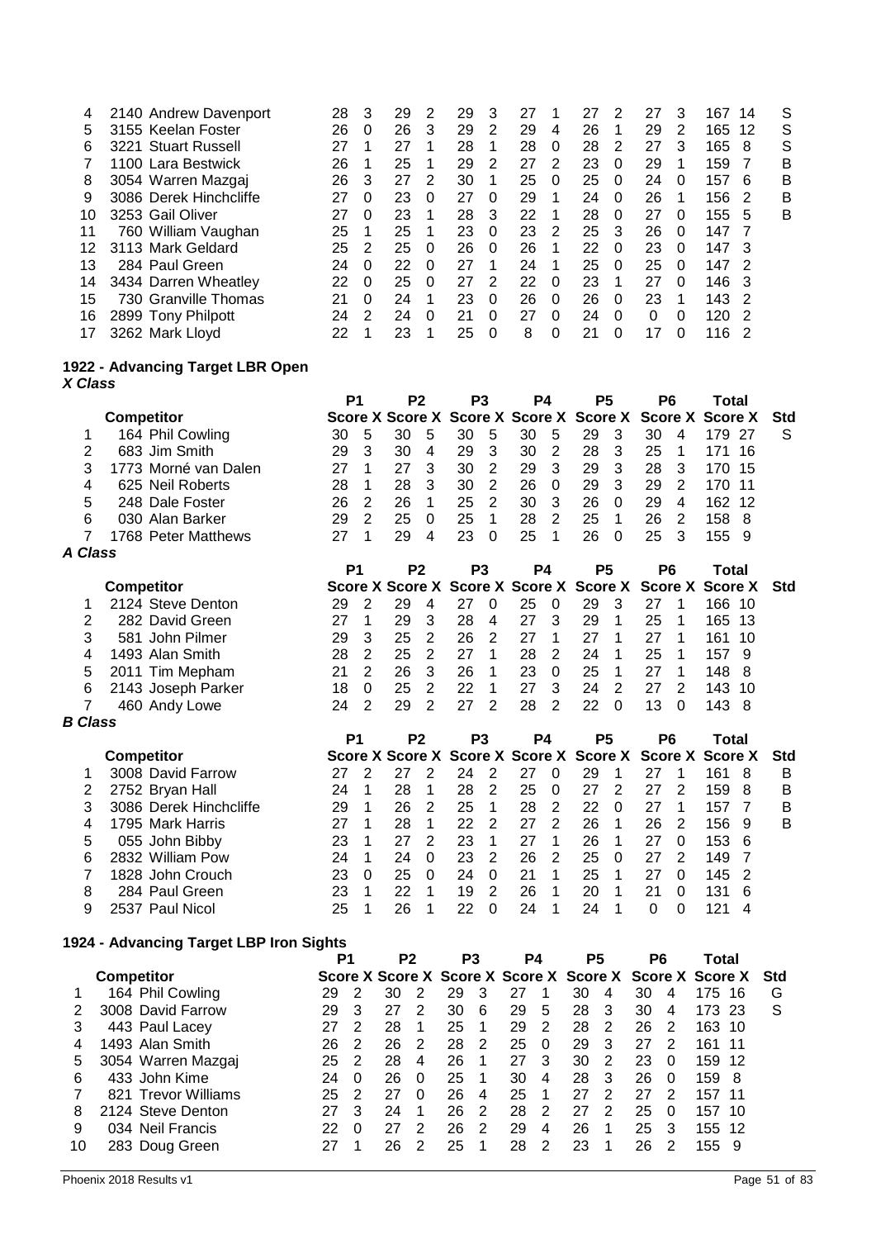|    | 2140 Andrew Davenport  | 28 | 3             | 29 | 2        | 29 | 3 | 27 |          | 27 | 2        | 27 | 3        | 167           | 14  | S |
|----|------------------------|----|---------------|----|----------|----|---|----|----------|----|----------|----|----------|---------------|-----|---|
| 5  | 3155 Keelan Foster     | 26 | 0             | 26 | 3        | 29 | 2 | 29 | 4        | 26 | 1        | 29 | 2        | 165           | -12 | S |
| 6  | 3221 Stuart Russell    | 27 |               | 27 |          | 28 |   | 28 | $\Omega$ | 28 | 2        | 27 | 3        | 165           | -8  | S |
|    | 1100 Lara Bestwick     | 26 |               | 25 |          | 29 | 2 | 27 | 2        | 23 | 0        | 29 |          | 159           |     | В |
| 8  | 3054 Warren Mazgaj     | 26 | 3             | 27 | 2        | 30 |   | 25 | $\Omega$ | 25 | $\Omega$ | 24 | 0        | 157           | 6   | B |
| 9  | 3086 Derek Hinchcliffe | 27 | 0             | 23 | $\Omega$ | 27 | 0 | 29 | 1        | 24 | 0        | 26 |          | 156           | -2  | в |
| 10 | 3253 Gail Oliver       | 27 | $\Omega$      | 23 |          | 28 | 3 | 22 | 1        | 28 | $\Omega$ | 27 | 0        | 155           | 5   | B |
|    | 760 William Vaughan    | 25 |               | 25 |          | 23 | 0 | 23 | 2        | 25 | 3        | 26 | $\Omega$ | 147           |     |   |
| 12 | 3113 Mark Geldard      | 25 | 2             | 25 | $\Omega$ | 26 | 0 | 26 | 1        | 22 | 0        | 23 | 0        | 147           | -3  |   |
| 13 | 284 Paul Green         | 24 | $\Omega$      | 22 | $\Omega$ | 27 | 1 | 24 | 1        | 25 | $\Omega$ | 25 | $\Omega$ | 147           | - 2 |   |
| 14 | 3434 Darren Wheatley   | 22 | $\Omega$      | 25 | $\Omega$ | 27 | 2 | 22 | $\Omega$ | 23 |          | 27 | 0        | $146 \quad 3$ |     |   |
| 15 | 730 Granville Thomas   | 21 | 0             | 24 |          | 23 | 0 | 26 | $\Omega$ | 26 | $\Omega$ | 23 |          | 143           | -2  |   |
| 16 | 2899 Tony Philpott     | 24 | $\mathcal{P}$ | 24 | $\Omega$ | 21 | 0 | 27 | $\Omega$ | 24 | $\Omega$ | 0  | 0        | 120           | - 2 |   |
| 17 | 3262 Mark Lloyd        | 22 |               | 23 |          | 25 | 0 | 8  | 0        | 21 | 0        | 17 | 0        | 116           |     |   |
|    |                        |    |               |    |          |    |   |    |          |    |          |    |          |               |     |   |

#### **1922 - Advancing Target LBR Open** *X Class*

|         |                      | P1 |               | P <sub>2</sub>                                              |          | P <sub>3</sub> |          | P4 |          | P5 |          | P6 |               | Total  |     |     |
|---------|----------------------|----|---------------|-------------------------------------------------------------|----------|----------------|----------|----|----------|----|----------|----|---------------|--------|-----|-----|
|         | <b>Competitor</b>    |    |               | Score X Score X Score X Score X Score X Score X Score X     |          |                |          |    |          |    |          |    |               |        |     | Std |
| 1       | 164 Phil Cowling     | 30 | -5            | 30                                                          | 5        | 30             | 5        | 30 | 5        | 29 | 3        | 30 | 4             | 179    | -27 | S   |
| 2       | 683 Jim Smith        | 29 | 3             | 30                                                          | 4        | 29             | 3        | 30 | 2        | 28 | 3        | 25 |               | 171    | 16  |     |
| 3       | 1773 Morné van Dalen | 27 |               | 27                                                          | 3        | 30             | 2        | 29 | -3       | 29 | 3        | 28 | 3             | 170    | -15 |     |
| 4       | 625 Neil Roberts     | 28 |               | 28                                                          | 3        | 30             | 2        | 26 | - 0      | 29 | 3        | 29 | 2             | 170 11 |     |     |
| 5       | 248 Dale Foster      | 26 | 2             | 26                                                          | 1        | 25             | 2        | 30 | 3        | 26 | $\Omega$ | 29 | 4             | 162    | 12  |     |
| 6       | 030 Alan Barker      | 29 | $\mathcal{P}$ | 25                                                          | $\Omega$ | 25             |          | 28 | 2        | 25 |          | 26 | $\mathcal{P}$ | 158    | -8  |     |
|         | 1768 Peter Matthews  | 27 |               | 29                                                          | 4        | 23             | $\Omega$ | 25 |          | 26 | $\Omega$ | 25 | 3             | 155 9  |     |     |
| A Class |                      |    |               |                                                             |          |                |          |    |          |    |          |    |               |        |     |     |
|         |                      | P1 |               | P <sub>2</sub>                                              |          | P <sub>3</sub> |          | P4 |          | P5 |          | P6 |               | Total  |     |     |
|         | <b>Competitor</b>    |    |               | Score X Score X Score X Score X Score X Score X Score X Std |          |                |          |    |          |    |          |    |               |        |     |     |
| 1       | 2124 Steve Denton    | 29 |               | 29                                                          | 4        | 27             | $\Omega$ | 25 | $\Omega$ | 29 | 3        | 27 |               | 166    | 10  |     |
| 2       | 282 David Green      | 27 |               | 29                                                          | 3        | 28             | 4        |    | 3        | 29 |          | 25 |               | 165    | 13  |     |
|         |                      |    |               |                                                             |          |                |          |    |          |    |          |    |               |        |     |     |

| 2        282  David Green |  |  |  |  |  |  |  |                                                                                                                                                                                                                                           |
|---------------------------|--|--|--|--|--|--|--|-------------------------------------------------------------------------------------------------------------------------------------------------------------------------------------------------------------------------------------------|
| 3 581 John Pilmer         |  |  |  |  |  |  |  |                                                                                                                                                                                                                                           |
| 4 1493 Alan Smith         |  |  |  |  |  |  |  |                                                                                                                                                                                                                                           |
| 5 2011 Tim Mepham         |  |  |  |  |  |  |  |                                                                                                                                                                                                                                           |
| 6 2143 Joseph Parker      |  |  |  |  |  |  |  |                                                                                                                                                                                                                                           |
| 7 460 Andy Lowe           |  |  |  |  |  |  |  |                                                                                                                                                                                                                                           |
|                           |  |  |  |  |  |  |  | 21 1 29 3 28 4 21 3 29 1 25 1 165 13<br>29 3 25 2 26 2 27 1 27 1 27 1 161 10<br>28 2 25 2 27 1 28 2 24 1 25 1 157 9<br>21 2 26 3 26 1 23 0 25 1 27 1 148 8<br>18 0 25 2 22 1 27 3 24 2 27 2 143 10<br>24 2 29 2 27 2 28 2 22 0 13 0 143 8 |

|   |                        | P1 |          | P2 | P3 |   | P4                                                      |          | Р5 |          | P6 |   | Total |     |     |
|---|------------------------|----|----------|----|----|---|---------------------------------------------------------|----------|----|----------|----|---|-------|-----|-----|
|   | <b>Competitor</b>      |    |          |    |    |   | Score X Score X Score X Score X Score X Score X Score X |          |    |          |    |   |       |     | Std |
|   | 3008 David Farrow      |    |          |    | 24 |   |                                                         |          | 29 |          |    |   | 161   |     | B   |
|   | 2752 Bryan Hall        | 24 |          | 28 | 28 | 2 | 25                                                      | $\Omega$ | 27 | 2        | 27 |   | 159   | -8  | B   |
|   | 3086 Derek Hinchcliffe | 29 |          | 26 | 25 |   | 28                                                      | 2        | 22 | $\Omega$ | 27 |   | 157   |     | В   |
|   | 1795 Mark Harris       |    |          | 28 | 22 | 2 | 27                                                      | 2        | 26 |          | 26 |   | 156   | 9   | B   |
| 5 | 055 John Bibby         | 23 |          |    | 23 |   | 27                                                      |          | 26 |          | 27 | 0 | 153   | - 6 |     |
| 6 | 2832 William Pow       | 24 |          | 24 | 23 | 2 | 26                                                      | 2        | 25 | 0        | 27 |   | 149   |     |     |
|   | 1828 John Crouch       | 23 | $\Omega$ | 25 | 24 | 0 |                                                         |          | 25 |          |    |   | 145   | - 2 |     |
| 8 | 284 Paul Green         | 23 |          | 22 | 19 | 2 | 26                                                      |          | 20 |          | 21 |   | 131   | 6   |     |
|   | 2537 Paul Nicol        | 25 |          | 26 |    | ∩ | 24                                                      |          | 24 |          |    |   |       | 4   |     |

## **1924 - Advancing Target LBP Iron Sights**

| <b>Competitor</b>   |    |          |    |          |                |   |                |          |    |   |    |          |     |     | Std                                                                                                        |
|---------------------|----|----------|----|----------|----------------|---|----------------|----------|----|---|----|----------|-----|-----|------------------------------------------------------------------------------------------------------------|
| 164 Phil Cowling    | 29 |          | 30 |          | 29             | 3 |                |          | 30 | 4 | 30 | 4        | 175 | 16  | G                                                                                                          |
| 3008 David Farrow   | 29 | 3        | 27 | 2        | 30             | 6 | 29             | 5        | 28 | 3 | 30 | 4        | 173 |     | S                                                                                                          |
| 443 Paul Lacey      |    |          | 28 |          | 25             |   | 29             | 2        | 28 | 2 | 26 | 2        | 163 | -10 |                                                                                                            |
| 1493 Alan Smith     | 26 | 2        | 26 | 2        | 28             | 2 | 25             | $\Omega$ | 29 | 3 | 27 | 2        | 161 |     |                                                                                                            |
| 3054 Warren Mazgaj  | 25 | 2        | 28 | 4        | 26             |   | 27             | 3        | 30 | 2 | 23 | $\Omega$ | 159 |     |                                                                                                            |
| 433 John Kime       | 24 | $\Omega$ | 26 | $\Omega$ | 25             |   | 30             | 4        | 28 | 3 | 26 | 0        | 159 | -8  |                                                                                                            |
| 821 Trevor Williams | 25 | 2        | 27 | 0        | 26             | 4 | 25             |          |    | っ | 27 | 2        | 157 | 11  |                                                                                                            |
| 2124 Steve Denton   | 27 | 3        | 24 |          | 26             | 2 | 28             | 2        | 27 | 2 | 25 | 0        | 157 | 10  |                                                                                                            |
| 034 Neil Francis    | 22 | $\Omega$ | 27 | 2        | 26             | 2 | 29             | 4        | 26 | 1 | 25 | 3        |     |     |                                                                                                            |
| 283 Doug Green      |    |          | 26 | 2        | 25             |   | 28             | 2        | 23 |   | 26 |          |     | 9   |                                                                                                            |
|                     |    |          | P1 |          | P <sub>2</sub> |   | P <sub>3</sub> |          | P4 |   | Р5 |          | P6  |     | Total<br>Score X Score X Score X Score X Score X Score X Score X<br>-23<br>-11<br>-12<br>155<br>-12<br>155 |

*B Class*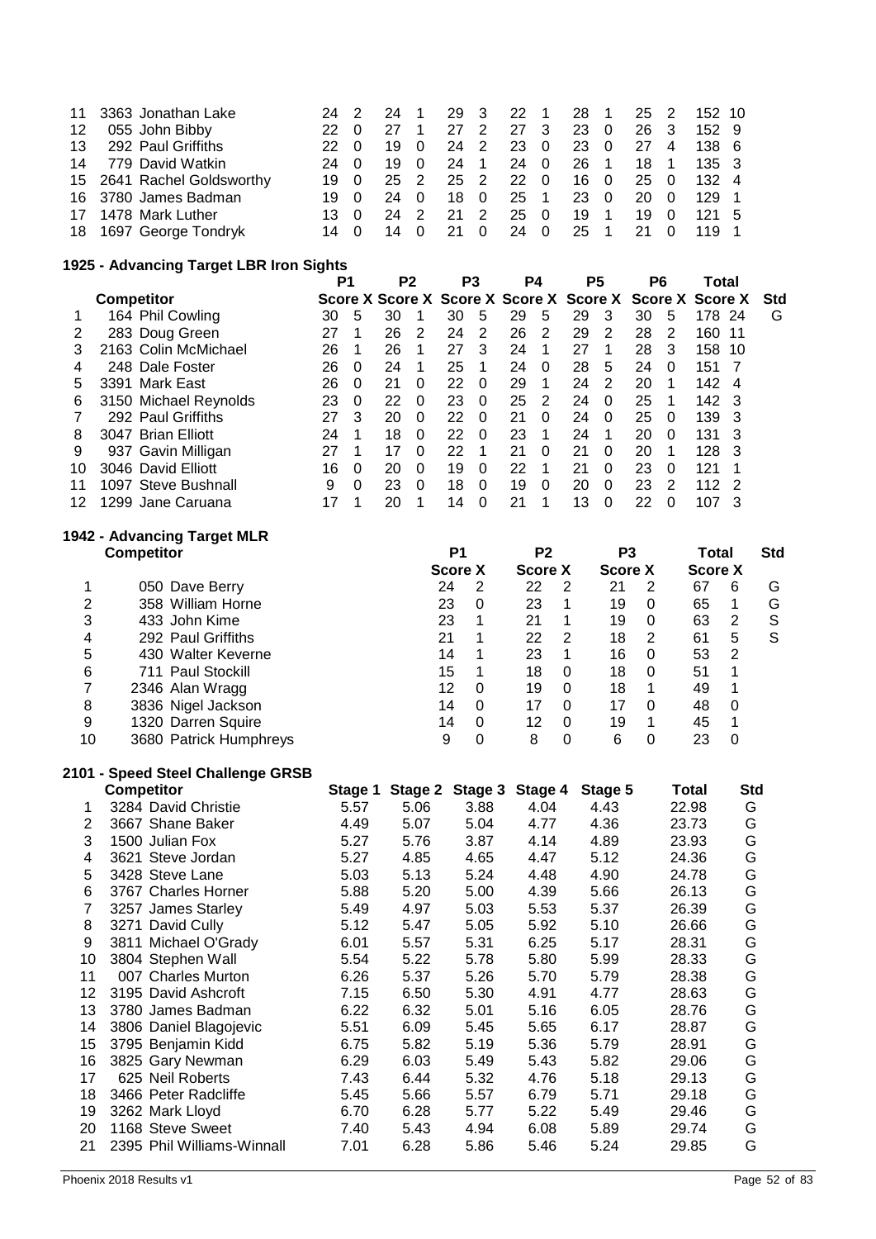| 11 3363 Jonathan Lake      | 24 2         | 24 1 |      |      |           |                     | 29 3 22 1 28 1 25 2 152 10 |  |
|----------------------------|--------------|------|------|------|-----------|---------------------|----------------------------|--|
| 12 055 John Bibby          | 22 0         |      | 27 2 | 27 3 | 23 0      | 26 3                | 152 9                      |  |
| 13 292 Paul Griffiths      | 22 O         | 190  |      |      |           | 24 2 23 0 23 0 27 4 | 138 6                      |  |
| 14 779 David Watkin        | 24 O         | 19 0 | 24 1 | 24 0 | 26 1      | 18 1                | 135 3                      |  |
| 15 2641 Rachel Goldsworthy | 19 O         | 25 2 | 25 2 | 22 0 | 160       | 25 0                | 132 4                      |  |
| 16 3780 James Badman       | 19 O         | 24 0 | 18 0 |      | 25 1 23 0 | 20 O                | 129 1                      |  |
| 17 1478 Mark Luther        | $13 \quad 0$ | 24 2 | 21 2 | 25 0 | 19 1      | 19 0                | $121 \quad 5$              |  |
| 18 1697 George Tondryk     | 14 O         | 14 0 | 21 0 |      | 24 0 25 1 | 21 0                | 119 1                      |  |

## **1925 - Advancing Target LBR Iron Sights**

|    |                       | P1 |          | P <sub>2</sub>                                          |          | P <sub>3</sub> |          | P4 |          | P5 |          | P6 |          | Total |     |            |
|----|-----------------------|----|----------|---------------------------------------------------------|----------|----------------|----------|----|----------|----|----------|----|----------|-------|-----|------------|
|    | <b>Competitor</b>     |    |          | Score X Score X Score X Score X Score X Score X Score X |          |                |          |    |          |    |          |    |          |       |     | <b>Std</b> |
|    | 164 Phil Cowling      | 30 | 5        | 30                                                      |          | 30             | 5        | 29 | 5        | 29 | 3        | 30 | 5        | 178   | 24  | G          |
|    | 283 Doug Green        | 27 |          | 26                                                      | 2        | 24             | 2        | 26 | 2        | 29 | 2        | 28 | 2        | 160   | 11  |            |
|    | 2163 Colin McMichael  | 26 |          | 26                                                      |          | 27             | 3        | 24 |          | 27 |          | 28 | 3        | 158   | -10 |            |
| 4  | 248 Dale Foster       | 26 | $\Omega$ | 24                                                      |          | 25             |          | 24 | $\Omega$ | 28 | 5        | 24 | $\Omega$ | 151   |     |            |
| 5  | 3391 Mark East        | 26 | $\Omega$ | 21                                                      | $\Omega$ | 22             | $\Omega$ | 29 |          | 24 | 2        | 20 |          | 142   | 4   |            |
| 6  | 3150 Michael Reynolds | 23 | $\Omega$ | 22                                                      | $\Omega$ | 23             | $\Omega$ | 25 | 2        | 24 | $\Omega$ | 25 |          | 142   | - 3 |            |
|    | 292 Paul Griffiths    | 27 | 3        | 20                                                      | $\Omega$ | 22             | $\Omega$ | 21 | $\Omega$ | 24 | $\Omega$ | 25 | $\Omega$ | 139   | 3   |            |
| 8  | 3047 Brian Elliott    | 24 |          | 18                                                      | $\Omega$ | 22             | $\Omega$ | 23 |          | 24 |          | 20 | $\Omega$ | 131   | 3   |            |
| 9  | 937 Gavin Milligan    | 27 |          | 17                                                      | $\Omega$ | 22             |          | 21 | $\Omega$ | 21 | $\Omega$ | 20 |          | 128   | 3   |            |
| 10 | 3046 David Elliott    | 16 | $\Omega$ | 20                                                      | $\Omega$ | 19             | 0        | 22 |          | 21 | $\Omega$ | 23 | $\Omega$ | 121   |     |            |
| 11 | 1097 Steve Bushnall   | 9  | 0        | 23                                                      | $\Omega$ | 18             | $\Omega$ | 19 | $\Omega$ | 20 | $\Omega$ | 23 | 2        | 112   | 2   |            |
| 12 | 1299 Jane Caruana     |    |          | 20                                                      |          | 14             | O        | 21 |          | 13 | 0        | 22 | $\Omega$ | 107   | 3   |            |

# **1942 - Advancing Target MLR**

|      | <b>Competitor</b>            |         |         | P1             |      | P <sub>2</sub> |   | P3             |          | Total          |                | Std |
|------|------------------------------|---------|---------|----------------|------|----------------|---|----------------|----------|----------------|----------------|-----|
|      |                              |         |         | <b>Score X</b> |      | <b>Score X</b> |   | <b>Score X</b> |          | <b>Score X</b> |                |     |
| 1    | 050 Dave Berry               |         |         | 24             | 2    | 22             | 2 | 21             | 2        | 67             | 6              | G   |
| 2    | 358 William Horne            |         |         | 23             | 0    | 23             | 1 | 19             | 0        | 65             | 1              | G   |
| 3    | 433 John Kime                |         |         | 23             |      | 21             | 1 | 19             | 0        | 63             | 2              | S   |
| 4    | 292 Paul Griffiths           |         | 21      |                |      | 22             | 2 | 18             | 2        | 61             | 5              | S   |
| 5    | 430 Walter Keverne           |         |         | 14             |      | 23             | 1 | 16             | $\Omega$ | 53             | $\overline{2}$ |     |
| 6    | 711 Paul Stockill            |         |         | 15             |      | 18             | 0 | 18             | $\Omega$ | 51             | 1              |     |
| 7    | 2346 Alan Wragg              |         |         | 12             | 0    | 19             | 0 | 18             |          | 49             | 1              |     |
| 8    | 3836 Nigel Jackson           |         |         | 14             | 0    | 17             | 0 | 17             | 0        | 48             | 0              |     |
| 9    | 1320 Darren Squire           |         |         | 14             | 0    | 12             | 0 | 19             |          | 45             | 1              |     |
| 10   | 3680 Patrick Humphreys       |         | 9       |                | 0    | 8              | 0 | 6              | 0        | 23             | 0              |     |
| 2101 | - Speed Steel Challenge GRSB |         |         |                |      |                |   |                |          |                |                |     |
|      | <b>Competitor</b>            | Stage 1 | Stage 2 | Stage 3        |      | Stage 4        |   | Stage 5        |          | Total          | Std            |     |
|      | 3284 David Christie          | 5.57    | 5.06    |                | 3.88 | 4.04           |   | 4.43           |          | 22.98          | G              |     |
| 2    | 3667 Shane Baker             | 4.49    | 5.07    |                | 5.04 | 4.77           |   | 4.36           |          | 23.73          | G              |     |
| 3    | 1500 Julian Fox              | 5.27    | 5.76    |                | 3.87 | 4.14           |   | 4.89           |          | 23.93          | G              |     |
| 4    | 3621 Steve Jordan            | 5.27    | 4.85    |                | 4.65 | 4.47           |   | 5.12           |          | 24.36          | G              |     |
| 5    | 3428 Steve Lane              | 5.03    | 5.13    | 5.24           |      | 4.48           |   | 4.90           |          | 24.78          | G              |     |
| ◠    | $2707$ $O$ karlaa liamaar    | r oo    | r oo    |                | r oo | $\sqrt{2}$     |   | r oo           |          | 0010           | ⌒              |     |

| 6   | 3767 Charles Horner        | 5.88 | 5.20 | 5.00 | 4.39 | 5.66 | 26.13 | G |
|-----|----------------------------|------|------|------|------|------|-------|---|
|     | 3257 James Starley         | 5.49 | 4.97 | 5.03 | 5.53 | 5.37 | 26.39 | G |
| 8   | 3271 David Cully           | 5.12 | 5.47 | 5.05 | 5.92 | 5.10 | 26.66 | G |
| 9   | 3811 Michael O'Grady       | 6.01 | 5.57 | 5.31 | 6.25 | 5.17 | 28.31 | G |
| 10  | 3804 Stephen Wall          | 5.54 | 5.22 | 5.78 | 5.80 | 5.99 | 28.33 | G |
| 11  | 007 Charles Murton         | 6.26 | 5.37 | 5.26 | 5.70 | 5.79 | 28.38 | G |
| 12. | 3195 David Ashcroft        | 7.15 | 6.50 | 5.30 | 4.91 | 4.77 | 28.63 | G |
| 13  | 3780 James Badman          | 6.22 | 6.32 | 5.01 | 5.16 | 6.05 | 28.76 | G |
| 14  | 3806 Daniel Blagojevic     | 5.51 | 6.09 | 5.45 | 5.65 | 6.17 | 28.87 | G |
| 15  | 3795 Benjamin Kidd         | 6.75 | 5.82 | 5.19 | 5.36 | 5.79 | 28.91 | G |
| 16  | 3825 Gary Newman           | 6.29 | 6.03 | 5.49 | 5.43 | 5.82 | 29.06 | G |
| 17  | 625 Neil Roberts           | 7.43 | 6.44 | 5.32 | 4.76 | 5.18 | 29.13 | G |
| 18  | 3466 Peter Radcliffe       | 5.45 | 5.66 | 5.57 | 6.79 | 5.71 | 29.18 | G |
| 19  | 3262 Mark Lloyd            | 6.70 | 6.28 | 5.77 | 5.22 | 5.49 | 29.46 | G |
| 20  | 1168 Steve Sweet           | 7.40 | 5.43 | 4.94 | 6.08 | 5.89 | 29.74 | G |
| 21  | 2395 Phil Williams-Winnall | 7.01 | 6.28 | 5.86 | 5.46 | 5.24 | 29.85 | G |
|     |                            |      |      |      |      |      |       |   |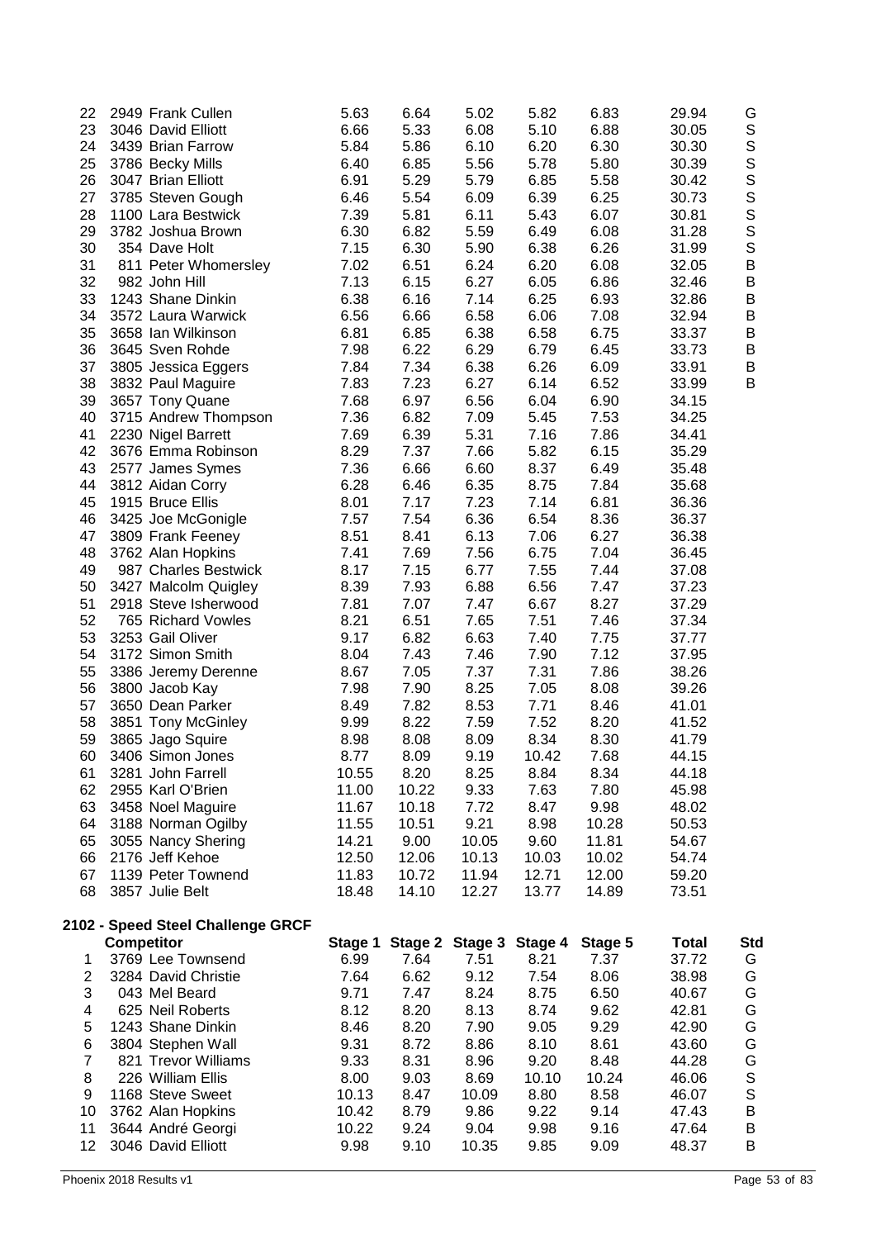| 22                      | 2949 Frank Cullen                 | 5.63    | 6.64  | 5.02            | 5.82    | 6.83    | 29.94        | G                                                                                               |
|-------------------------|-----------------------------------|---------|-------|-----------------|---------|---------|--------------|-------------------------------------------------------------------------------------------------|
| 23                      | 3046 David Elliott                | 6.66    | 5.33  | 6.08            | 5.10    | 6.88    | 30.05        |                                                                                                 |
| 24                      | 3439 Brian Farrow                 | 5.84    | 5.86  | 6.10            | 6.20    | 6.30    | 30.30        |                                                                                                 |
| 25                      | 3786 Becky Mills                  | 6.40    | 6.85  | 5.56            | 5.78    | 5.80    | 30.39        |                                                                                                 |
| 26                      | 3047 Brian Elliott                | 6.91    | 5.29  | 5.79            | 6.85    | 5.58    | 30.42        |                                                                                                 |
| 27                      | 3785 Steven Gough                 | 6.46    | 5.54  | 6.09            | 6.39    | 6.25    | 30.73        |                                                                                                 |
| 28                      | 1100 Lara Bestwick                | 7.39    | 5.81  | 6.11            | 5.43    | 6.07    | 30.81        |                                                                                                 |
| 29                      | 3782 Joshua Brown                 | 6.30    | 6.82  | 5.59            | 6.49    | 6.08    | 31.28        | S<br>S<br>S<br>S<br>S<br>S<br>S<br>S<br>S<br>S<br>S<br><br><br><br><br><br><br><br><br><br><br> |
| 30                      | 354 Dave Holt                     | 7.15    | 6.30  | 5.90            | 6.38    | 6.26    | 31.99        |                                                                                                 |
| 31                      | 811 Peter Whomersley              | 7.02    | 6.51  | 6.24            | 6.20    | 6.08    | 32.05        | $\sf B$                                                                                         |
| 32                      | 982 John Hill                     | 7.13    | 6.15  | 6.27            | 6.05    | 6.86    | 32.46        | $\sf B$                                                                                         |
| 33                      | 1243 Shane Dinkin                 | 6.38    | 6.16  | 7.14            | 6.25    | 6.93    | 32.86        | $\sf B$                                                                                         |
| 34                      | 3572 Laura Warwick                | 6.56    | 6.66  | 6.58            | 6.06    | 7.08    | 32.94        | $\sf B$                                                                                         |
| 35                      | 3658 Ian Wilkinson                | 6.81    | 6.85  | 6.38            | 6.58    | 6.75    | 33.37        | $\sf B$                                                                                         |
| 36                      | 3645 Sven Rohde                   | 7.98    | 6.22  | 6.29            | 6.79    | 6.45    | 33.73        | $\sf B$                                                                                         |
| 37                      | 3805 Jessica Eggers               | 7.84    | 7.34  | 6.38            | 6.26    | 6.09    | 33.91        | B                                                                                               |
| 38                      | 3832 Paul Maguire                 | 7.83    | 7.23  | 6.27            | 6.14    | 6.52    | 33.99        | B                                                                                               |
| 39                      | 3657 Tony Quane                   | 7.68    | 6.97  | 6.56            | 6.04    | 6.90    | 34.15        |                                                                                                 |
| 40                      | 3715 Andrew Thompson              | 7.36    | 6.82  | 7.09            | 5.45    | 7.53    | 34.25        |                                                                                                 |
| 41                      | 2230 Nigel Barrett                | 7.69    | 6.39  | 5.31            | 7.16    | 7.86    | 34.41        |                                                                                                 |
| 42                      | 3676 Emma Robinson                | 8.29    | 7.37  | 7.66            | 5.82    | 6.15    | 35.29        |                                                                                                 |
| 43                      | 2577 James Symes                  | 7.36    | 6.66  | 6.60            | 8.37    | 6.49    | 35.48        |                                                                                                 |
| 44                      | 3812 Aidan Corry                  | 6.28    | 6.46  | 6.35            | 8.75    | 7.84    | 35.68        |                                                                                                 |
| 45                      | 1915 Bruce Ellis                  | 8.01    | 7.17  | 7.23            | 7.14    | 6.81    | 36.36        |                                                                                                 |
| 46                      | 3425 Joe McGonigle                | 7.57    | 7.54  | 6.36            | 6.54    | 8.36    | 36.37        |                                                                                                 |
| 47                      | 3809 Frank Feeney                 | 8.51    | 8.41  | 6.13            | 7.06    | 6.27    | 36.38        |                                                                                                 |
| 48                      | 3762 Alan Hopkins                 | 7.41    | 7.69  | 7.56            | 6.75    | 7.04    | 36.45        |                                                                                                 |
| 49                      | 987 Charles Bestwick              | 8.17    | 7.15  | 6.77            | 7.55    | 7.44    | 37.08        |                                                                                                 |
| 50                      | 3427 Malcolm Quigley              | 8.39    | 7.93  | 6.88            | 6.56    | 7.47    | 37.23        |                                                                                                 |
| 51                      | 2918 Steve Isherwood              | 7.81    | 7.07  | 7.47            | 6.67    | 8.27    | 37.29        |                                                                                                 |
| 52                      | 765 Richard Vowles                | 8.21    | 6.51  | 7.65            | 7.51    | 7.46    | 37.34        |                                                                                                 |
| 53                      | 3253 Gail Oliver                  | 9.17    | 6.82  | 6.63            | 7.40    | 7.75    | 37.77        |                                                                                                 |
| 54                      | 3172 Simon Smith                  | 8.04    | 7.43  | 7.46            | 7.90    | 7.12    | 37.95        |                                                                                                 |
| 55                      | 3386 Jeremy Derenne               | 8.67    | 7.05  | 7.37            | 7.31    | 7.86    | 38.26        |                                                                                                 |
| 56                      | 3800 Jacob Kay                    | 7.98    | 7.90  | 8.25            | 7.05    | 8.08    | 39.26        |                                                                                                 |
| 57                      | 3650 Dean Parker                  | 8.49    | 7.82  | 8.53            | 7.71    | 8.46    | 41.01        |                                                                                                 |
| 58                      | 3851 Tony McGinley                | 9.99    | 8.22  | 7.59            | 7.52    | 8.20    | 41.52        |                                                                                                 |
| 59                      | 3865 Jago Squire                  | 8.98    | 8.08  | 8.09            | 8.34    | 8.30    | 41.79        |                                                                                                 |
| 60                      | 3406 Simon Jones                  | 8.77    | 8.09  | 9.19            | 10.42   | 7.68    | 44.15        |                                                                                                 |
| 61                      | 3281 John Farrell                 | 10.55   | 8.20  | 8.25            | 8.84    | 8.34    | 44.18        |                                                                                                 |
| 62                      | 2955 Karl O'Brien                 | 11.00   | 10.22 | 9.33            | 7.63    | 7.80    | 45.98        |                                                                                                 |
| 63                      | 3458 Noel Maguire                 | 11.67   | 10.18 | 7.72            | 8.47    | 9.98    | 48.02        |                                                                                                 |
| 64                      | 3188 Norman Ogilby                | 11.55   | 10.51 | 9.21            | 8.98    | 10.28   | 50.53        |                                                                                                 |
| 65                      | 3055 Nancy Shering                | 14.21   | 9.00  | 10.05           | 9.60    | 11.81   | 54.67        |                                                                                                 |
| 66                      | 2176 Jeff Kehoe                   | 12.50   | 12.06 | 10.13           | 10.03   | 10.02   | 54.74        |                                                                                                 |
| 67                      | 1139 Peter Townend                | 11.83   | 10.72 | 11.94           | 12.71   | 12.00   | 59.20        |                                                                                                 |
| 68                      | 3857 Julie Belt                   | 18.48   | 14.10 | 12.27           | 13.77   | 14.89   | 73.51        |                                                                                                 |
|                         |                                   |         |       |                 |         |         |              |                                                                                                 |
|                         | 2102 - Speed Steel Challenge GRCF |         |       |                 |         |         |              |                                                                                                 |
|                         | <b>Competitor</b>                 | Stage 1 |       | Stage 2 Stage 3 | Stage 4 | Stage 5 | <b>Total</b> | <b>Std</b>                                                                                      |
| 1                       | 3769 Lee Townsend                 | 6.99    | 7.64  | 7.51            | 8.21    | 7.37    | 37.72        | G                                                                                               |
| $\overline{\mathbf{c}}$ | 3284 David Christie               | 7.64    | 6.62  | 9.12            | 7.54    | 8.06    | 38.98        | G                                                                                               |
| 3                       | 043 Mel Beard                     | 9.71    | 7.47  | 8.24            | 8.75    | 6.50    | 40.67        | G                                                                                               |
| 4                       | 625 Neil Roberts                  | 8.12    | 8.20  | 8.13            | 8.74    | 9.62    | 42.81        | G                                                                                               |
| 5                       | 1243 Shane Dinkin                 | 8.46    | 8.20  | 7.90            | 9.05    | 9.29    | 42.90        | G                                                                                               |
| 6                       | 3804 Stephen Wall                 | 9.31    | 8.72  | 8.86            | 8.10    | 8.61    | 43.60        | G                                                                                               |
| $\overline{7}$          | 821 Trevor Williams               | 9.33    | 8.31  | 8.96            | 9.20    | 8.48    | 44.28        | G<br>S<br>S                                                                                     |
| 8                       | 226 William Ellis                 | 8.00    | 9.03  | 8.69            | 10.10   | 10.24   | 46.06        |                                                                                                 |
| 9                       | 1168 Steve Sweet                  | 10.13   | 8.47  | 10.09           | 8.80    | 8.58    | 46.07        |                                                                                                 |
| 10                      | 3762 Alan Hopkins                 | 10.42   | 8.79  | 9.86            | 9.22    | 9.14    | 47.43        | $\sf B$                                                                                         |
| 11                      | 3644 André Georgi                 | 10.22   | 9.24  | 9.04            | 9.98    | 9.16    | 47.64        | $\sf B$                                                                                         |
| 12                      | 3046 David Elliott                | 9.98    | 9.10  | 10.35           | 9.85    | 9.09    | 48.37        | B                                                                                               |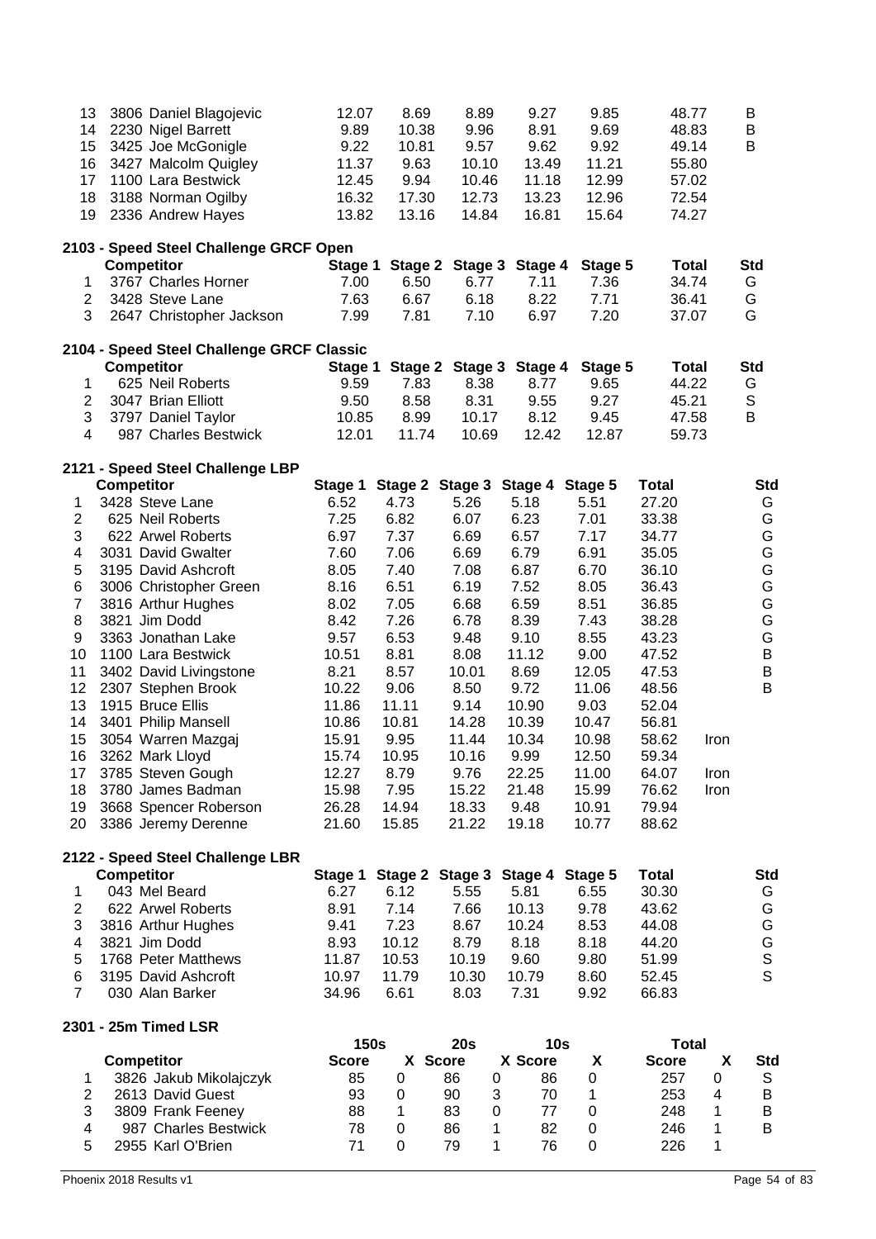| 13                  | 3806 Daniel Blagojevic                    | 12.07                       | 8.69         | 8.89            | 9.27                       | 9.85         | 48.77                        |      | B               |
|---------------------|-------------------------------------------|-----------------------------|--------------|-----------------|----------------------------|--------------|------------------------------|------|-----------------|
| 14                  | 2230 Nigel Barrett                        | 9.89                        | 10.38        | 9.96            | 8.91                       | 9.69         | 48.83                        |      | Β               |
| 15                  | 3425 Joe McGonigle                        | 9.22                        | 10.81        | 9.57            | 9.62                       | 9.92         | 49.14                        |      | B               |
| 16                  | 3427 Malcolm Quigley                      | 11.37                       | 9.63         | 10.10           | 13.49                      | 11.21        | 55.80                        |      |                 |
| 17                  | 1100 Lara Bestwick                        | 12.45                       | 9.94         | 10.46           | 11.18                      | 12.99        | 57.02                        |      |                 |
| 18                  | 3188 Norman Ogilby                        | 16.32                       | 17.30        | 12.73           | 13.23                      | 12.96        | 72.54                        |      |                 |
| 19                  | 2336 Andrew Hayes                         | 13.82                       | 13.16        | 14.84           | 16.81                      | 15.64        | 74.27                        |      |                 |
|                     | 2103 - Speed Steel Challenge GRCF Open    |                             |              |                 |                            |              |                              |      |                 |
|                     | <b>Competitor</b>                         | Stage 1                     | Stage 2      | Stage 3         | Stage 4                    | Stage 5      | <b>Total</b>                 |      | <b>Std</b>      |
| 1                   | 3767 Charles Horner                       | 7.00                        | 6.50         | 6.77            | 7.11                       | 7.36         | 34.74                        |      | G               |
| $\overline{2}$      | 3428 Steve Lane                           | 7.63                        | 6.67         | 6.18            | 8.22                       | 7.71         | 36.41                        |      | G               |
| 3                   | 2647 Christopher Jackson                  | 7.99                        | 7.81         | 7.10            | 6.97                       | 7.20         | 37.07                        |      | G               |
|                     | 2104 - Speed Steel Challenge GRCF Classic |                             |              |                 |                            |              |                              |      |                 |
|                     | <b>Competitor</b>                         | Stage 1                     |              |                 | Stage 2 Stage 3 Stage 4    | Stage 5      | <b>Total</b>                 |      | <b>Std</b>      |
| 1                   | 625 Neil Roberts                          | 9.59                        | 7.83         | 8.38            | 8.77                       | 9.65         | 44.22                        |      | G               |
| $\overline{c}$      | 3047 Brian Elliott                        | 9.50                        | 8.58         | 8.31            | 9.55                       | 9.27         | 45.21                        |      | S               |
| 3                   | 3797 Daniel Taylor                        | 10.85                       | 8.99         | 10.17           | 8.12                       | 9.45         | 47.58                        |      | B               |
| $\overline{4}$      | 987 Charles Bestwick                      | 12.01                       | 11.74        | 10.69           | 12.42                      | 12.87        | 59.73                        |      |                 |
|                     | 2121 - Speed Steel Challenge LBP          |                             |              |                 |                            |              |                              |      |                 |
|                     | <b>Competitor</b>                         | Stage 1                     |              |                 | Stage 2 Stage 3 Stage 4    | Stage 5      | <b>Total</b>                 |      | <b>Std</b>      |
| 1<br>$\overline{c}$ | 3428 Steve Lane<br>625 Neil Roberts       | 6.52<br>7.25                | 4.73<br>6.82 | 5.26<br>6.07    | 5.18<br>6.23               | 5.51<br>7.01 | 27.20<br>33.38               |      | G<br>G          |
| 3                   | 622 Arwel Roberts                         | 6.97                        | 7.37         | 6.69            | 6.57                       | 7.17         | 34.77                        |      | G               |
| 4                   | 3031 David Gwalter                        | 7.60                        | 7.06         | 6.69            | 6.79                       | 6.91         | 35.05                        |      | G               |
| 5                   | 3195 David Ashcroft                       | 8.05                        | 7.40         | 7.08            | 6.87                       | 6.70         | 36.10                        |      | G               |
| 6                   | 3006 Christopher Green                    | 8.16                        | 6.51         | 6.19            | 7.52                       | 8.05         | 36.43                        |      | G               |
| $\overline{7}$      | 3816 Arthur Hughes                        | 8.02                        | 7.05         | 6.68            | 6.59                       | 8.51         | 36.85                        |      | G               |
| 8                   | 3821 Jim Dodd                             | 8.42                        | 7.26         | 6.78            | 8.39                       | 7.43         | 38.28                        |      | G               |
| 9                   | 3363 Jonathan Lake                        | 9.57                        | 6.53         | 9.48            | 9.10                       | 8.55         | 43.23                        |      | G               |
| 10                  | 1100 Lara Bestwick                        | 10.51                       | 8.81         | 8.08            | 11.12                      | 9.00         | 47.52                        |      | $\sf B$         |
| 11                  | 3402 David Livingstone                    | 8.21                        | 8.57         | 10.01           | 8.69                       | 12.05        | 47.53                        |      | $\sf B$         |
| 12                  | 2307 Stephen Brook                        | 10.22                       | 9.06         | 8.50            | 9.72                       | 11.06        | 48.56                        |      | B               |
| 13                  | 1915 Bruce Ellis                          | 11.86                       | 11.11        | 9.14            | 10.90                      | 9.03         | 52.04                        |      |                 |
| 14                  | 3401 Philip Mansell                       | 10.86                       | 10.81        | 14.28           | 10.39                      | 10.47        | 56.81                        |      |                 |
| 15                  | 3054 Warren Mazgaj                        | 15.91                       | 9.95         | 11.44           | 10.34                      | 10.98        | 58.62                        | Iron |                 |
| 16                  | 3262 Mark Lloyd                           | 15.74                       | 10.95        | 10.16           | 9.99                       | 12.50        | 59.34                        |      |                 |
| 17                  | 3785 Steven Gough                         | 12.27                       | 8.79         | 9.76            | 22.25                      | 11.00        | 64.07                        | Iron |                 |
| 18                  | 3780 James Badman                         | 15.98                       | 7.95         | 15.22           | 21.48                      | 15.99        | 76.62                        | Iron |                 |
| 19                  | 3668 Spencer Roberson                     | 26.28                       | 14.94        | 18.33           | 9.48                       | 10.91        | 79.94                        |      |                 |
| 20                  | 3386 Jeremy Derenne                       | 21.60                       | 15.85        | 21.22           | 19.18                      | 10.77        | 88.62                        |      |                 |
|                     | 2122 - Speed Steel Challenge LBR          |                             |              |                 |                            |              |                              |      |                 |
|                     | <b>Competitor</b>                         | Stage 1                     |              | Stage 2 Stage 3 | Stage 4                    | Stage 5      | <b>Total</b>                 |      | <b>Std</b>      |
| 1                   | 043 Mel Beard                             | 6.27                        | 6.12         | 5.55            | 5.81                       | 6.55         | 30.30                        |      | G               |
| $\overline{2}$      | 622 Arwel Roberts                         | 8.91                        | 7.14         | 7.66            | 10.13                      | 9.78         | 43.62                        |      | G               |
| 3                   | 3816 Arthur Hughes                        | 9.41                        | 7.23         | 8.67            | 10.24                      | 8.53         | 44.08                        |      | G               |
| 4                   | 3821 Jim Dodd                             | 8.93                        | 10.12        | 8.79            | 8.18                       | 8.18         | 44.20                        |      | G<br>S<br>S     |
| 5                   | 1768 Peter Matthews                       | 11.87                       | 10.53        | 10.19           | 9.60                       | 9.80         | 51.99                        |      |                 |
| 6                   | 3195 David Ashcroft                       | 10.97                       | 11.79        | 10.30           | 10.79                      | 8.60         | 52.45                        |      |                 |
| $\overline{7}$      | 030 Alan Barker                           | 34.96                       | 6.61         | 8.03            | 7.31                       | 9.92         | 66.83                        |      |                 |
|                     | 2301 - 25m Timed LSR                      |                             |              |                 |                            |              |                              |      |                 |
|                     | <b>Competitor</b>                         | <b>150s</b><br><b>Score</b> |              | 20s<br>X Score  | 10 <sub>s</sub><br>X Score | X            | <b>Total</b><br><b>Score</b> | X    |                 |
| 1                   | 3826 Jakub Mikolajczyk                    | 85                          | 0            | 86<br>0         | 86                         | 0            | 257                          | 0    | <b>Std</b><br>S |
| $\overline{2}$      | 2613 David Guest                          | 93                          | 0            | 90<br>3         | 70                         | 1            | 253                          | 4    | B               |
| 3                   | 3809 Frank Feeney                         | 88                          | 1            | 83<br>0         | 77                         | $\pmb{0}$    | 248                          | 1    | B               |
| 4                   | 987 Charles Bestwick                      | 78                          | 0            | 86<br>1         | 82                         | $\pmb{0}$    | 246                          | 1    | B               |
| 5                   | 2955 Karl O'Brien                         | 71                          | 0            | 79<br>1         | 76                         | 0            | 226                          | 1    |                 |
|                     |                                           |                             |              |                 |                            |              |                              |      |                 |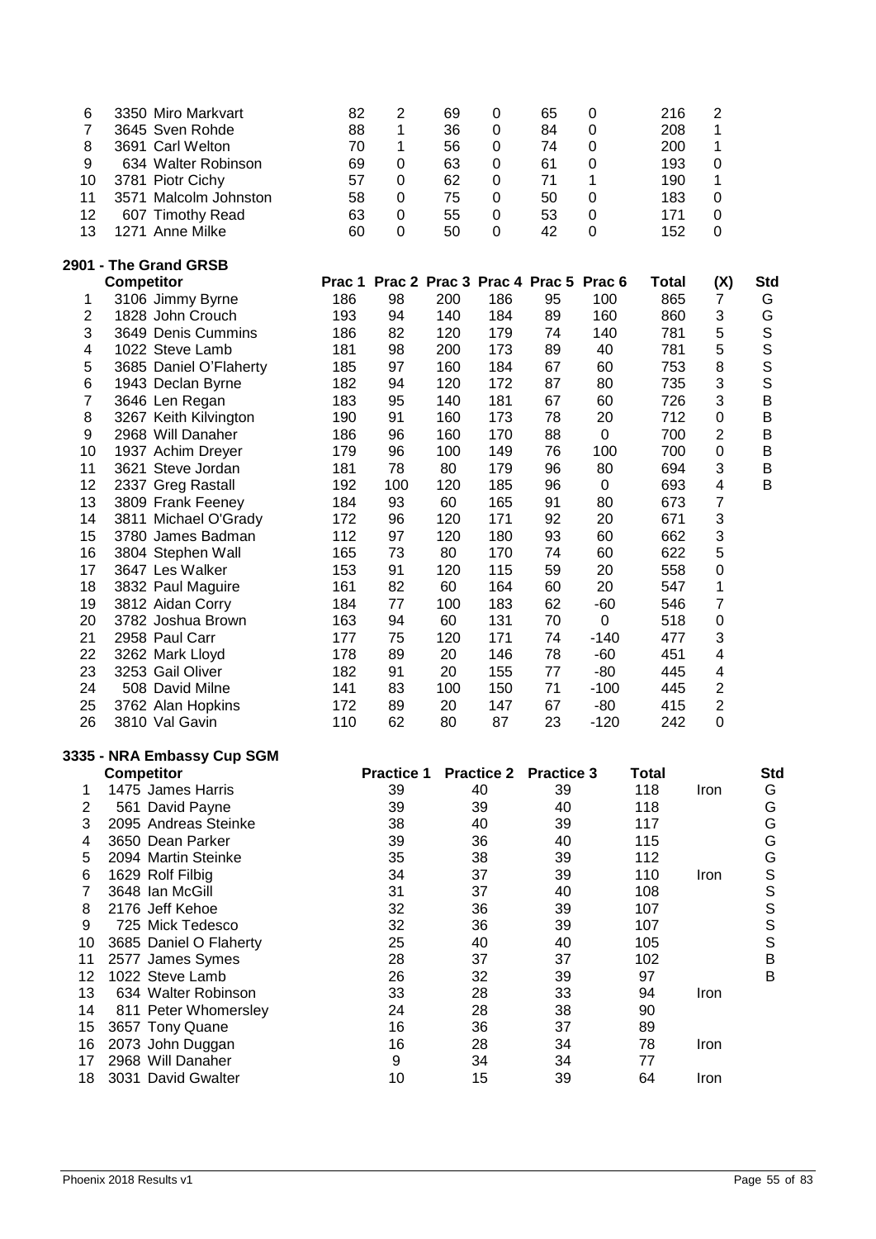| 6                        | 3350 Miro Markvart                              | 82  | $\overline{2}$                            | 69  | $\mathbf 0$       | 65                | 0                | 216          | $\overline{c}$          |               |
|--------------------------|-------------------------------------------------|-----|-------------------------------------------|-----|-------------------|-------------------|------------------|--------------|-------------------------|---------------|
| $\overline{7}$           | 3645 Sven Rohde                                 | 88  | 1                                         | 36  | $\pmb{0}$         | 84                | 0                | 208          | 1                       |               |
| 8                        | 3691 Carl Welton                                | 70  | 1                                         | 56  | $\pmb{0}$         | 74                | $\mathbf 0$      | 200          | 1                       |               |
| 9                        | 634 Walter Robinson                             | 69  | $\pmb{0}$                                 | 63  | $\pmb{0}$         | 61                | 0                | 193          | 0                       |               |
| 10                       | 3781 Piotr Cichy                                | 57  | 0                                         | 62  | $\pmb{0}$         | 71                | 1                | 190          | 1                       |               |
| 11                       | 3571 Malcolm Johnston                           | 58  | $\boldsymbol{0}$                          | 75  | $\boldsymbol{0}$  | 50                | $\mathbf 0$      | 183          | 0                       |               |
| 12                       | 607 Timothy Read                                | 63  | $\boldsymbol{0}$                          | 55  | $\boldsymbol{0}$  | 53                | $\boldsymbol{0}$ | 171          | 0                       |               |
| 13                       | 1271 Anne Milke                                 | 60  | 0                                         | 50  | $\mathbf 0$       | 42                | $\mathbf 0$      | 152          | 0                       |               |
|                          |                                                 |     |                                           |     |                   |                   |                  |              |                         |               |
|                          | 2901 - The Grand GRSB                           |     |                                           |     |                   |                   |                  |              |                         |               |
|                          | <b>Competitor</b>                               |     | Prac 1 Prac 2 Prac 3 Prac 4 Prac 5 Prac 6 |     |                   |                   |                  | Total        | (X)                     | <b>Std</b>    |
| 1                        | 3106 Jimmy Byrne                                | 186 | 98                                        | 200 | 186               | 95                | 100              | 865          | $\overline{7}$          | G             |
| $\overline{c}$           | 1828 John Crouch                                | 193 | 94                                        | 140 | 184               | 89                | 160              | 860          | 3                       | G             |
| 3                        | 3649 Denis Cummins                              | 186 | 82                                        | 120 | 179               | 74                | 140              | 781          | 5                       | s<br>s        |
| 4                        | 1022 Steve Lamb                                 | 181 | 98                                        | 200 | 173               | 89                | 40               | 781          | 5                       |               |
| 5                        | 3685 Daniel O'Flaherty                          | 185 | 97                                        | 160 | 184               | 67                | 60               | 753          | $\bf 8$                 |               |
| 6                        | 1943 Declan Byrne                               | 182 | 94                                        | 120 | 172               | 87                | 80               | 735          | 3                       | $\mathsf{S}$  |
| $\overline{\mathcal{I}}$ | 3646 Len Regan                                  | 183 | 95                                        | 140 | 181               | 67                | 60               | 726          | 3                       | $\mathsf B$   |
| 8                        | 3267 Keith Kilvington                           | 190 | 91                                        | 160 | 173               | 78                | 20               | 712          | $\boldsymbol{0}$        | $\sf B$       |
| 9                        | 2968 Will Danaher                               | 186 | 96                                        | 160 | 170               | 88                | $\pmb{0}$        | 700          | $\overline{2}$          | B             |
| 10                       | 1937 Achim Dreyer                               | 179 | 96                                        | 100 | 149               | 76                | 100              | 700          | $\boldsymbol{0}$        | B             |
| 11                       | 3621 Steve Jordan                               | 181 | 78                                        | 80  | 179               | 96                | 80               | 694          | 3                       | B             |
| 12                       | 2337 Greg Rastall                               | 192 | 100                                       | 120 | 185               | 96                | $\boldsymbol{0}$ | 693          | $\overline{\mathbf{4}}$ | B             |
| 13                       | 3809 Frank Feeney                               | 184 | 93                                        | 60  | 165               | 91                | 80               | 673          | $\overline{7}$          |               |
| 14                       | 3811 Michael O'Grady                            | 172 | 96                                        | 120 | 171               | 92                | 20               | 671          | 3                       |               |
| 15                       | 3780 James Badman                               | 112 | 97                                        | 120 | 180               | 93                | 60               | 662          | 3                       |               |
|                          |                                                 | 165 |                                           |     | 170               | 74                | 60               | 622          | 5                       |               |
| 16                       | 3804 Stephen Wall                               |     | 73                                        | 80  |                   |                   |                  |              |                         |               |
| 17                       | 3647 Les Walker                                 | 153 | 91                                        | 120 | 115               | 59                | 20               | 558          | 0                       |               |
| 18                       | 3832 Paul Maguire                               | 161 | 82                                        | 60  | 164               | 60                | 20               | 547          | 1                       |               |
| 19                       | 3812 Aidan Corry                                | 184 | 77                                        | 100 | 183               | 62                | $-60$            | 546          | $\overline{7}$          |               |
| 20                       | 3782 Joshua Brown                               | 163 | 94                                        | 60  | 131               | 70                | $\pmb{0}$        | 518          | $\boldsymbol{0}$        |               |
| 21                       | 2958 Paul Carr                                  | 177 | 75                                        | 120 | 171               | 74                | $-140$           | 477          | 3                       |               |
| 22                       | 3262 Mark Lloyd                                 | 178 | 89                                        | 20  | 146               | 78                | $-60$            | 451          | $\overline{\mathbf{4}}$ |               |
| 23                       | 3253 Gail Oliver                                | 182 | 91                                        | 20  | 155               | 77                | $-80$            | 445          | 4                       |               |
| 24                       | 508 David Milne                                 | 141 | 83                                        | 100 | 150               | 71                | $-100$           | 445          | $\overline{c}$          |               |
| 25                       | 3762 Alan Hopkins                               | 172 | 89                                        | 20  | 147               | 67                | $-80$            | 415          | $\mathbf 2$             |               |
| 26                       | 3810 Val Gavin                                  | 110 | 62                                        | 80  | 87                | 23                | $-120$           | 242          | $\boldsymbol{0}$        |               |
|                          |                                                 |     |                                           |     |                   |                   |                  |              |                         |               |
|                          | 3335 - NRA Embassy Cup SGM<br><b>Competitor</b> |     | <b>Practice 1</b>                         |     | <b>Practice 2</b> | <b>Practice 3</b> |                  | <b>Total</b> |                         | Std           |
| 1                        | 1475 James Harris                               |     | 39                                        |     | 40                | 39                |                  | 118          | Iron                    | G             |
| $\mathbf{2}$             | 561 David Payne                                 |     | 39                                        |     | 39                | 40                |                  | 118          |                         | G             |
| 3                        | 2095 Andreas Steinke                            |     | 38                                        |     | 40                | 39                |                  | 117          |                         | ${\mathsf G}$ |
|                          |                                                 |     | 39                                        |     |                   | 40                |                  |              |                         | ${\mathsf G}$ |
| 4                        | 3650 Dean Parker                                |     |                                           |     | 36                |                   |                  | 115          |                         |               |
| 5                        | 2094 Martin Steinke                             |     | 35                                        |     | 38                | 39                |                  | 112          |                         |               |
| 6                        | 1629 Rolf Filbig                                |     | 34                                        |     | 37                | 39                |                  | 110          | Iron                    |               |
| 7                        | 3648 Ian McGill                                 |     | 31                                        |     | 37                | 40                |                  | 108          |                         | GSSSS         |
| 8                        | 2176 Jeff Kehoe                                 |     | 32                                        |     | 36                | 39                |                  | 107          |                         |               |
| 9                        | 725 Mick Tedesco                                |     | 32                                        |     | 36                | 39                |                  | 107          |                         |               |
| 10                       | 3685 Daniel O Flaherty                          |     | 25                                        |     | 40                | 40                |                  | 105          |                         |               |
| 11                       | 2577 James Symes                                |     | 28                                        |     | 37                | 37                |                  | 102          |                         | $\sf B$       |
| 12                       | 1022 Steve Lamb                                 |     | 26                                        |     | 32                | 39                |                  | 97           |                         | B             |
| 13                       | 634 Walter Robinson                             |     | 33                                        |     | 28                | 33                |                  | 94           | Iron                    |               |
| 14                       | 811 Peter Whomersley                            |     | 24                                        |     | 28                | 38                |                  | 90           |                         |               |
| 15                       | 3657 Tony Quane                                 |     | 16                                        |     | 36                | 37                |                  | 89           |                         |               |
| 16                       | 2073 John Duggan                                |     | 16                                        |     | 28                | 34                |                  | 78           | Iron                    |               |
| 17                       | 2968 Will Danaher                               |     | 9                                         |     | 34                | 34                |                  | 77           |                         |               |
| 18                       | 3031 David Gwalter                              |     | 10                                        |     | 15                | 39                |                  | 64           | Iron                    |               |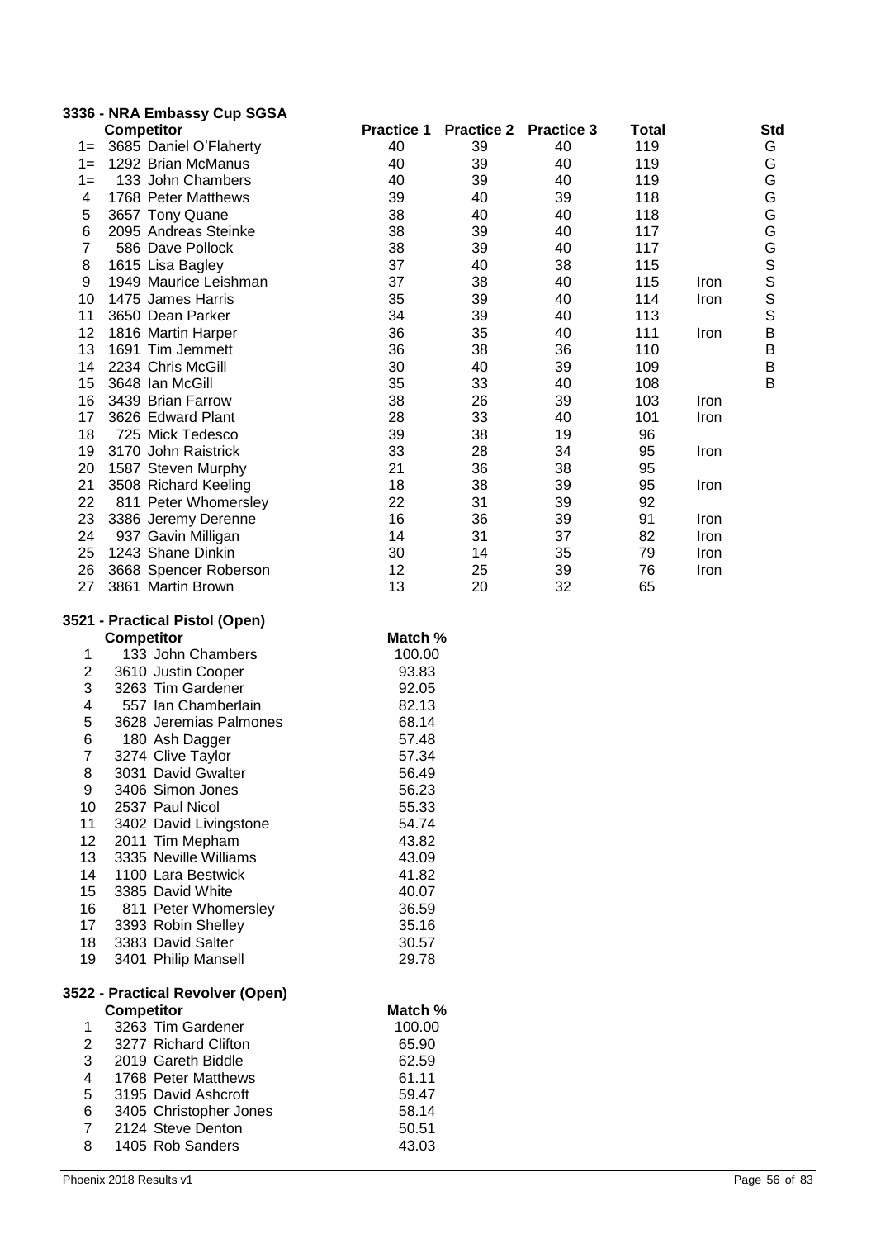|                | 3336 - NRA Embassy Cup SGSA |                   |                   |                   |       |      |               |
|----------------|-----------------------------|-------------------|-------------------|-------------------|-------|------|---------------|
|                | <b>Competitor</b>           | <b>Practice 1</b> | <b>Practice 2</b> | <b>Practice 3</b> | Total |      | Std           |
| $1 =$          | 3685 Daniel O'Flaherty      | 40                | 39                | 40                | 119   |      | G             |
| $1 =$          | 1292 Brian McManus          | 40                | 39                | 40                | 119   |      | G             |
| $1 =$          | 133 John Chambers           | 40                | 39                | 40                | 119   |      | G             |
| 4              | 1768 Peter Matthews         | 39                | 40                | 39                | 118   |      | G             |
| 5              | 3657 Tony Quane             | 38                | 40                | 40                | 118   |      |               |
| 6              | 2095 Andreas Steinke        | 38                | 39                | 40                | 117   |      |               |
| $\overline{7}$ | 586 Dave Pollock            | 38                | 39                | 40                | 117   |      |               |
| 8              | 1615 Lisa Bagley            | 37                | 40                | 38                | 115   |      |               |
| 9              | 1949 Maurice Leishman       | 37                | 38                | 40                | 115   | Iron | GGGSSS        |
| 10             | 1475 James Harris           | 35                | 39                | 40                | 114   | Iron |               |
| 11             | 3650 Dean Parker            | 34                | 39                | 40                | 113   |      |               |
| 12             | 1816 Martin Harper          | 36                | 35                | 40                | 111   | Iron | $\frac{B}{B}$ |
| 13             | 1691 Tim Jemmett            | 36                | 38                | 36                | 110   |      |               |
| 14             | 2234 Chris McGill           | 30                | 40                | 39                | 109   |      | $\sf B$       |
| 15             | 3648 Ian McGill             | 35                | 33                | 40                | 108   |      | $\mathsf B$   |
| 16             | 3439 Brian Farrow           | 38                | 26                | 39                | 103   | Iron |               |
| 17             | 3626 Edward Plant           | 28                | 33                | 40                | 101   | Iron |               |
| 18             | 725 Mick Tedesco            | 39                | 38                | 19                | 96    |      |               |
| 19             | 3170 John Raistrick         | 33                | 28                | 34                | 95    | Iron |               |
| 20             | 1587 Steven Murphy          | 21                | 36                | 38                | 95    |      |               |
| 21             | 3508 Richard Keeling        | 18                | 38                | 39                | 95    | Iron |               |
| 22             | 811 Peter Whomersley        | 22                | 31                | 39                | 92    |      |               |
| 23             | 3386 Jeremy Derenne         | 16                | 36                | 39                | 91    | Iron |               |
| 24             | 937 Gavin Milligan          | 14                | 31                | 37                | 82    | Iron |               |
| 25             | 1243 Shane Dinkin           | 30                | 14                | 35                | 79    | Iron |               |
| 26             | 3668 Spencer Roberson       | 12                | 25                | 39                | 76    | Iron |               |
| 27             | 3861 Martin Brown           | 13                | 20                | 32                | 65    |      |               |

# **3521 - Practical Pistol (Open)**

|    |                   | JZ I - FIALIILAI FISIUI (UPCII) |        |
|----|-------------------|---------------------------------|--------|
|    | <b>Competitor</b> | Match %                         |        |
| 1  |                   | 133 John Chambers               | 100.00 |
| 2  |                   | 3610 Justin Cooper              | 93.83  |
| 3  |                   | 3263 Tim Gardener               | 92.05  |
| 4  |                   | 557 Ian Chamberlain             | 82.13  |
| 5  |                   | 3628 Jeremias Palmones          | 68.14  |
| 6  |                   | 180 Ash Dagger                  | 57.48  |
| 7  |                   | 3274 Clive Taylor               | 57.34  |
| 8  |                   | 3031 David Gwalter              | 56.49  |
| 9  |                   | 3406 Simon Jones                | 56.23  |
| 10 |                   | 2537 Paul Nicol                 | 55.33  |
| 11 |                   | 3402 David Livingstone          | 54.74  |
| 12 |                   | 2011 Tim Mepham                 | 43.82  |
| 13 |                   | 3335 Neville Williams           | 43.09  |
| 14 |                   | 1100 Lara Bestwick              | 41.82  |
| 15 |                   | 3385 David White                | 40.07  |
| 16 |                   | 811 Peter Whomersley            | 36.59  |
| 17 |                   | 3393 Robin Shelley              | 35.16  |
| 18 |                   | 3383 David Salter               | 30.57  |
| 19 |                   | 3401 Philip Mansell             | 29.78  |
|    |                   |                                 |        |

#### **3522 - Practical Revolver (Open) Competitor Match %**

| 1.          | 3263 Tim Gardener      | 100.00 |
|-------------|------------------------|--------|
| 2           | 3277 Richard Clifton   | 65.90  |
| 3           | 2019 Gareth Biddle     | 62.59  |
| 4           | 1768 Peter Matthews    | 61.11  |
| 5           | 3195 David Ashcroft    | 59.47  |
| 6           | 3405 Christopher Jones | 58.14  |
| $7^{\circ}$ | 2124 Steve Denton      | 50.51  |
| 8           | 1405 Rob Sanders       | 43.03  |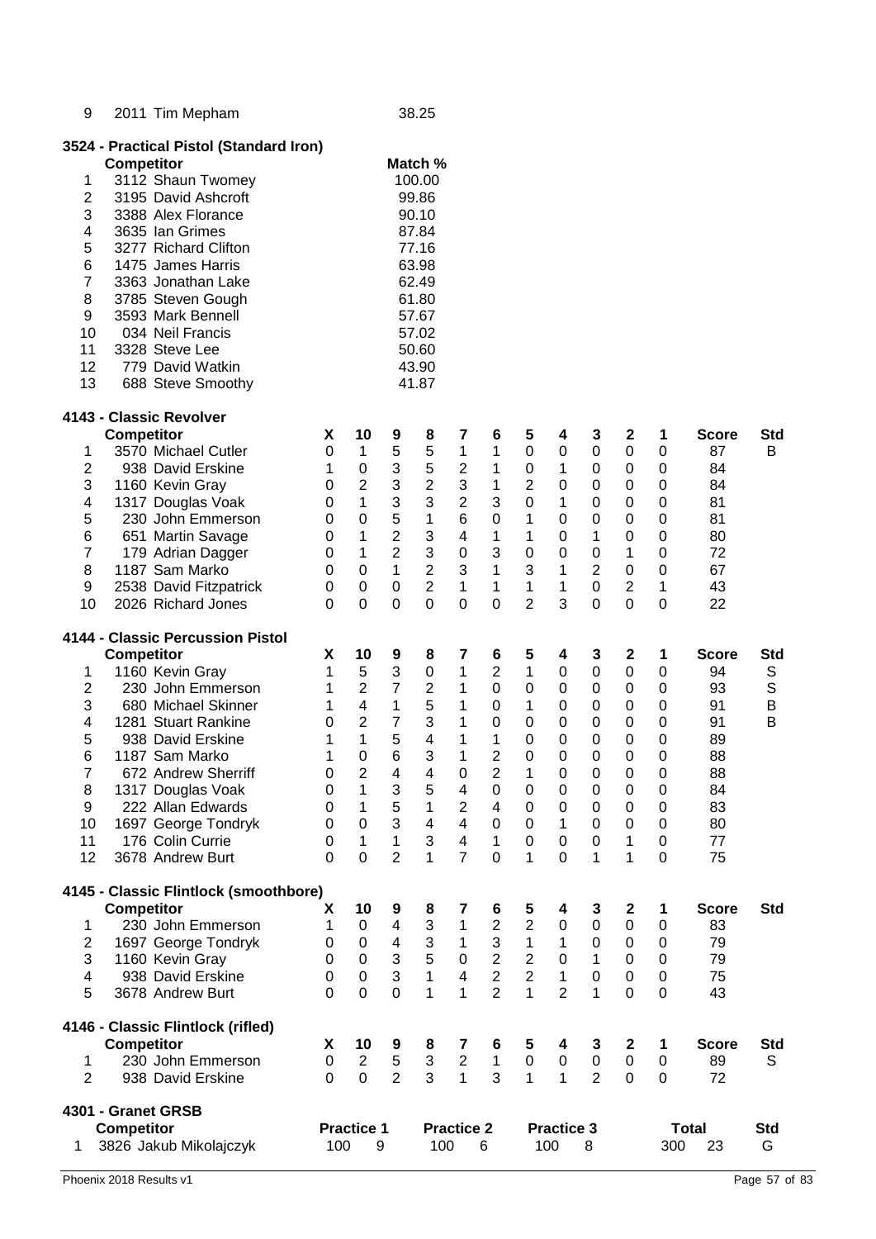| 9              |                   | 2011 Tim Mepham                         |           |                   |                | 38.25                   |                         |                  |                  |                   |                |                  |                  |              |             |
|----------------|-------------------|-----------------------------------------|-----------|-------------------|----------------|-------------------------|-------------------------|------------------|------------------|-------------------|----------------|------------------|------------------|--------------|-------------|
|                |                   | 3524 - Practical Pistol (Standard Iron) |           |                   |                |                         |                         |                  |                  |                   |                |                  |                  |              |             |
|                | <b>Competitor</b> |                                         |           |                   |                | Match %                 |                         |                  |                  |                   |                |                  |                  |              |             |
| 1              |                   | 3112 Shaun Twomey                       |           |                   |                | 100.00                  |                         |                  |                  |                   |                |                  |                  |              |             |
| $\overline{2}$ |                   | 3195 David Ashcroft                     |           |                   |                | 99.86                   |                         |                  |                  |                   |                |                  |                  |              |             |
| 3              |                   | 3388 Alex Florance                      |           |                   |                | 90.10                   |                         |                  |                  |                   |                |                  |                  |              |             |
| 4              |                   | 3635 Ian Grimes                         |           |                   |                | 87.84                   |                         |                  |                  |                   |                |                  |                  |              |             |
| 5              |                   | 3277 Richard Clifton                    |           |                   |                | 77.16                   |                         |                  |                  |                   |                |                  |                  |              |             |
| 6              |                   | 1475 James Harris                       |           |                   |                | 63.98                   |                         |                  |                  |                   |                |                  |                  |              |             |
| 7              |                   | 3363 Jonathan Lake                      |           |                   |                | 62.49                   |                         |                  |                  |                   |                |                  |                  |              |             |
| 8              |                   | 3785 Steven Gough                       |           |                   |                | 61.80                   |                         |                  |                  |                   |                |                  |                  |              |             |
| 9              |                   | 3593 Mark Bennell                       |           |                   |                | 57.67                   |                         |                  |                  |                   |                |                  |                  |              |             |
| 10             |                   | 034 Neil Francis                        |           |                   |                | 57.02                   |                         |                  |                  |                   |                |                  |                  |              |             |
| 11             |                   | 3328 Steve Lee                          |           |                   |                | 50.60                   |                         |                  |                  |                   |                |                  |                  |              |             |
| 12             |                   | 779 David Watkin                        |           |                   |                | 43.90                   |                         |                  |                  |                   |                |                  |                  |              |             |
|                |                   |                                         |           |                   |                |                         |                         |                  |                  |                   |                |                  |                  |              |             |
| 13             |                   | 688 Steve Smoothy                       |           |                   |                | 41.87                   |                         |                  |                  |                   |                |                  |                  |              |             |
|                |                   | 4143 - Classic Revolver                 |           |                   |                |                         |                         |                  |                  |                   |                |                  |                  |              |             |
|                | <b>Competitor</b> |                                         | X         | 10                | 9              | 8                       | 7                       | 6                | 5                | 4                 | 3              | $\boldsymbol{2}$ | 1                | <b>Score</b> | <b>Std</b>  |
| 1              |                   | 3570 Michael Cutler                     | 0         | 1                 | 5              | 5                       | $\mathbf 1$             | 1                | $\boldsymbol{0}$ | $\pmb{0}$         | $\pmb{0}$      | $\pmb{0}$        | $\mathbf 0$      | 87           | B           |
| 2              |                   | 938 David Erskine                       | 1         | $\mathbf 0$       | 3              | 5                       | $\boldsymbol{2}$        | 1                | 0                | 1                 | 0              | 0                | 0                | 84           |             |
| 3              |                   | 1160 Kevin Gray                         | 0         | $\overline{2}$    | 3              | $\overline{c}$          | 3                       | 1                | $\overline{2}$   | 0                 | 0              | 0                | $\mathbf 0$      | 84           |             |
| 4              |                   | 1317 Douglas Voak                       | 0         | 1                 | 3              | 3                       | $\mathbf 2$             | 3                | 0                | 1                 | 0              | 0                | $\mathbf 0$      | 81           |             |
| 5              |                   | 230 John Emmerson                       | 0         | 0                 | 5              | 1                       | 6                       | 0                | 1                | 0                 | 0              | 0                | $\mathbf 0$      | 81           |             |
| 6              |                   | 651 Martin Savage                       | 0         | 1                 | $\overline{2}$ | 3                       | 4                       | 1                | 1                | 0                 | 1              | 0                | $\mathbf 0$      | 80           |             |
| $\overline{7}$ |                   | 179 Adrian Dagger                       | $\Omega$  | 1                 | $\overline{2}$ | 3                       | 0                       | 3                | 0                | 0                 | $\Omega$       | 1                | $\mathbf 0$      | 72           |             |
| 8              |                   | 1187 Sam Marko                          | $\Omega$  | $\mathbf 0$       | $\mathbf{1}$   | $\overline{2}$          | 3                       | $\mathbf{1}$     | 3                | 1                 | $\overline{2}$ | 0                | $\mathbf 0$      | 67           |             |
| 9              |                   | 2538 David Fitzpatrick                  | 0         | $\mathbf 0$       | 0              | $\overline{2}$          | 1                       | $\mathbf{1}$     | 1                | 1                 | $\mathbf 0$    | $\overline{2}$   | 1                | 43           |             |
| 10             |                   | 2026 Richard Jones                      | $\Omega$  | $\mathbf 0$       | $\overline{0}$ | 0                       | $\overline{0}$          | $\overline{0}$   | $\overline{2}$   | 3                 | $\Omega$       | $\overline{0}$   | $\mathbf 0$      | 22           |             |
|                |                   |                                         |           |                   |                |                         |                         |                  |                  |                   |                |                  |                  |              |             |
|                |                   | 4144 - Classic Percussion Pistol        |           |                   |                |                         |                         |                  |                  |                   |                |                  |                  |              |             |
|                | <b>Competitor</b> |                                         | X         | 10                | 9              | 8                       | 7                       | 6                | 5                | 4                 | 3              | $\boldsymbol{2}$ | 1                | <b>Score</b> | <b>Std</b>  |
| 1              |                   | 1160 Kevin Gray                         | 1         | 5                 | 3              | $\boldsymbol{0}$        | 1                       | $\mathbf 2$      | 1                | $\pmb{0}$         | 0              | 0                | 0                | 94           | S           |
| 2              |                   | 230 John Emmerson                       | 1         | $\overline{2}$    | $\overline{7}$ | $\boldsymbol{2}$        | 1                       | $\boldsymbol{0}$ | 0                | $\pmb{0}$         | 0              | $\pmb{0}$        | 0                | 93           | $\mathbb S$ |
| 3              |                   | 680 Michael Skinner                     | 1         | $\overline{4}$    | $\mathbf{1}$   | 5                       | 1                       | $\boldsymbol{0}$ | 1                | $\pmb{0}$         | 0              | 0                | $\pmb{0}$        | 91           | B           |
| 4              |                   | 1281 Stuart Rankine                     | 0         | $\overline{2}$    | $\overline{7}$ | 3                       | 1                       | $\boldsymbol{0}$ | 0                | 0                 | 0              | 0                | 0                | 91           | В           |
| 5              |                   | 938 David Erskine                       | 1         | $\mathbf{1}$      | 5              | 4                       | 1                       | 1                | $\mathbf 0$      | 0                 | 0              | 0                | $\mathbf 0$      | 89           |             |
| 6              |                   | 1187 Sam Marko                          | 1         | $\mathbf 0$       | 6              | 3                       | 1                       | $\overline{2}$   | 0                | 0                 | $\mathbf 0$    | 0                | 0                | 88           |             |
| $\overline{7}$ |                   | 672 Andrew Sherriff                     | 0         | 2                 | 4              | 4                       | 0                       | $\overline{2}$   | 1                | $\mathbf 0$       | $\mathbf 0$    | 0                | $\mathbf 0$      | 88           |             |
| 8              |                   | 1317 Douglas Voak                       | 0         | 1                 | 3              | 5                       | 4                       | 0                | $\mathbf 0$      | $\pmb{0}$         | 0              | $\pmb{0}$        | $\mathbf 0$      | 84           |             |
| 9              |                   | 222 Allan Edwards                       | 0         | $\mathbf{1}$      | 5              | $\mathbf{1}$            | $\overline{2}$          | 4                | $\mathbf 0$      | $\pmb{0}$         | 0              | $\mathbf 0$      | 0                | 83           |             |
| 10             |                   | 1697 George Tondryk                     | 0         | $\mathbf 0$       | 3              | $\overline{\mathbf{4}}$ | $\overline{4}$          | $\mathbf 0$      | $\mathbf 0$      | 1                 | 0              | 0                | $\pmb{0}$        | 80           |             |
| 11             |                   | 176 Colin Currie                        | 0         | 1                 | $\mathbf{1}$   | 3                       | $\overline{\mathbf{4}}$ | $\mathbf{1}$     | $\pmb{0}$        | 0                 | $\mathbf 0$    | 1                | $\boldsymbol{0}$ | 77           |             |
| 12             |                   | 3678 Andrew Burt                        | 0         | 0                 | $\overline{2}$ | 1                       | $\overline{7}$          | $\mathbf 0$      | 1                | 0                 | 1              | 1                | 0                | 75           |             |
|                |                   |                                         |           |                   |                |                         |                         |                  |                  |                   |                |                  |                  |              |             |
|                |                   | 4145 - Classic Flintlock (smoothbore)   |           |                   |                |                         |                         |                  |                  |                   |                |                  |                  |              |             |
|                | <b>Competitor</b> |                                         | X         | 10                | 9              | 8                       | 7                       | 6                | 5                | 4                 | 3              | $\boldsymbol{2}$ | 1                | <b>Score</b> | <b>Std</b>  |
| 1              |                   | 230 John Emmerson                       | 1         | 0                 | 4              | 3                       | 1                       | $\overline{2}$   | $\overline{2}$   | 0                 | 0              | 0                | $\mathbf 0$      | 83           |             |
| $\overline{c}$ |                   | 1697 George Tondryk                     | 0         | 0                 | 4              | 3                       | 1                       | 3                | 1                | 1                 | $\mathbf 0$    | 0                | 0                | 79           |             |
| 3              |                   | 1160 Kevin Gray                         | $\Omega$  | $\Omega$          | 3              | 5                       | 0                       | $\overline{2}$   | $\overline{2}$   | $\mathbf 0$       | 1              | 0                | $\boldsymbol{0}$ | 79           |             |
| 4              |                   | 938 David Erskine                       | $\Omega$  | $\mathbf 0$       | 3              | 1                       | $\overline{4}$          | $\overline{2}$   | $\overline{2}$   | $\mathbf{1}$      | $\mathbf 0$    | 0                | $\pmb{0}$        | 75           |             |
| 5              |                   | 3678 Andrew Burt                        | 0         | $\overline{0}$    | $\overline{0}$ | 1                       | $\mathbf{1}$            | $\overline{2}$   | $\mathbf{1}$     | $\overline{2}$    | 1              | $\mathbf 0$      | $\mathbf 0$      | 43           |             |
|                |                   |                                         |           |                   |                |                         |                         |                  |                  |                   |                |                  |                  |              |             |
|                |                   | 4146 - Classic Flintlock (rifled)       |           |                   |                |                         |                         |                  |                  |                   |                |                  |                  |              |             |
|                | <b>Competitor</b> |                                         | X         | 10                | 9              | 8                       | 7                       | 6                | 5                | 4                 | 3              | $\boldsymbol{2}$ | 1                | <b>Score</b> | <b>Std</b>  |
| 1              |                   | 230 John Emmerson                       | $\pmb{0}$ | $\overline{c}$    | $\,$ 5 $\,$    | 3                       | $\sqrt{2}$              | $\mathbf{1}$     | $\pmb{0}$        | $\pmb{0}$         | $\pmb{0}$      | $\pmb{0}$        | $\pmb{0}$        | 89           | S           |
| $\overline{2}$ |                   | 938 David Erskine                       | 0         | $\overline{0}$    | $\overline{2}$ | 3                       | $\mathbf{1}$            | 3                | 1                | 1                 | $\overline{2}$ | $\mathbf 0$      | 0                | 72           |             |
|                |                   | 4301 - Granet GRSB                      |           |                   |                |                         |                         |                  |                  |                   |                |                  |                  |              |             |
|                | <b>Competitor</b> |                                         |           | <b>Practice 1</b> |                |                         | <b>Practice 2</b>       |                  |                  | <b>Practice 3</b> |                |                  |                  | <b>Total</b> | Std         |
| 1.             |                   | 3826 Jakub Mikolajczyk                  | 100       | 9                 |                | 100                     |                         | 6                |                  | 100               | 8              |                  | 300              | 23           | G           |
|                |                   |                                         |           |                   |                |                         |                         |                  |                  |                   |                |                  |                  |              |             |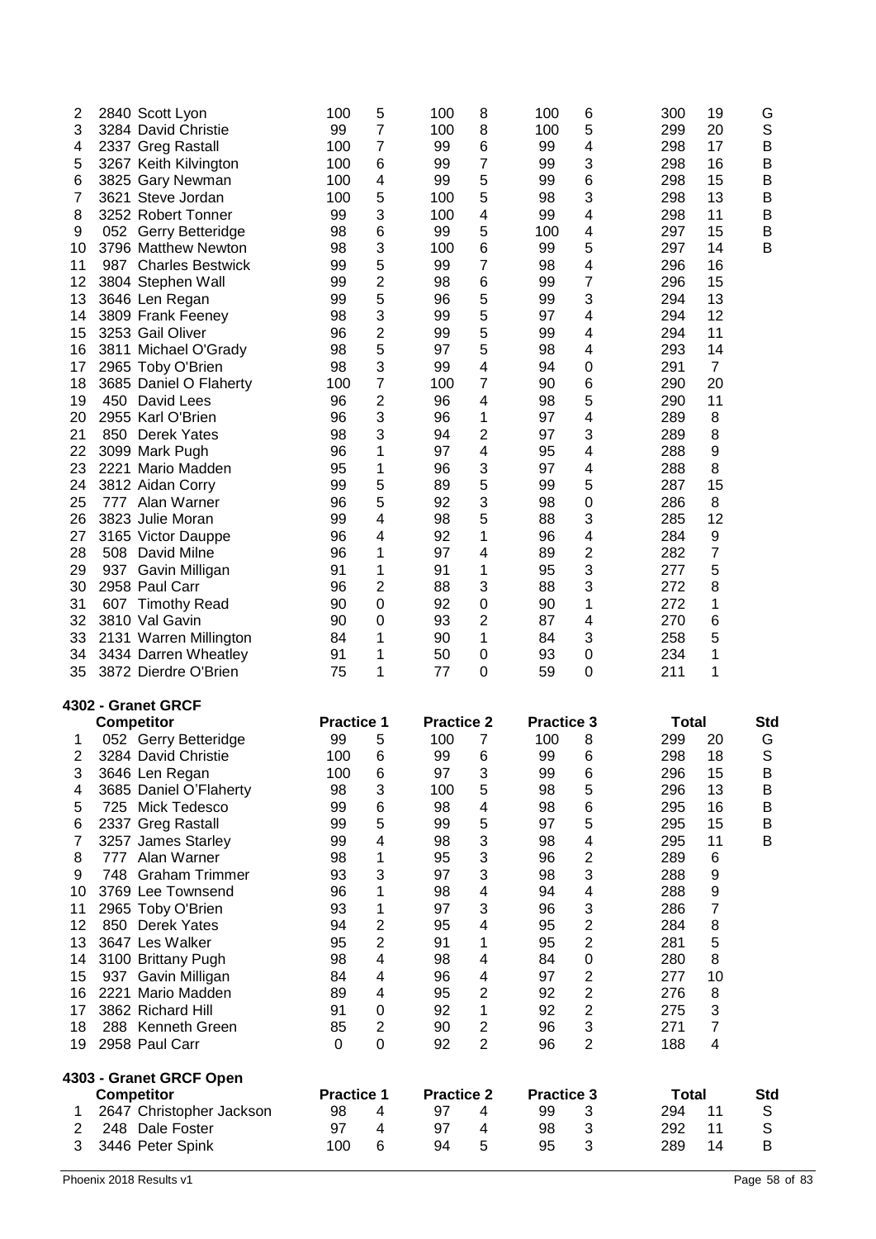| $\overline{2}$ |     | 2840 Scott Lyon         | 100 | 5              | 100 | 8                       | 100 | 6 | 300 | 19               | G |
|----------------|-----|-------------------------|-----|----------------|-----|-------------------------|-----|---|-----|------------------|---|
| 3              |     | 3284 David Christie     | 99  | 7              | 100 | 8                       | 100 | 5 | 299 | 20               | S |
| 4              |     | 2337 Greg Rastall       | 100 | $\overline{7}$ | 99  | 6                       | 99  | 4 | 298 | 17               | B |
| 5              |     | 3267 Keith Kilvington   | 100 | 6              | 99  | 7                       | 99  | 3 | 298 | 16               | B |
| 6              |     | 3825 Gary Newman        | 100 | 4              | 99  | 5                       | 99  | 6 | 298 | 15               | B |
| 7              |     | 3621 Steve Jordan       | 100 | 5              | 100 | 5                       | 98  | 3 | 298 | 13               | B |
| 8              |     | 3252 Robert Tonner      | 99  | 3              | 100 | 4                       | 99  | 4 | 298 | 11               | B |
| 9              |     | 052 Gerry Betteridge    | 98  | 6              | 99  | 5                       | 100 | 4 | 297 | 15               | B |
| 10             |     | 3796 Matthew Newton     | 98  | 3              | 100 | 6                       | 99  | 5 | 297 | 14               | B |
| 11             | 987 | <b>Charles Bestwick</b> | 99  | 5              | 99  | 7                       | 98  | 4 | 296 | 16               |   |
| 12             |     | 3804 Stephen Wall       | 99  | $\overline{c}$ | 98  | 6                       | 99  | 7 | 296 | 15               |   |
| 13             |     | 3646 Len Regan          | 99  | 5              | 96  | 5                       | 99  | 3 | 294 | 13               |   |
| 14             |     | 3809 Frank Feeney       | 98  | 3              | 99  | 5                       | 97  | 4 | 294 | 12               |   |
| 15             |     | 3253 Gail Oliver        | 96  | $\overline{c}$ | 99  | 5                       | 99  | 4 | 294 | 11               |   |
| 16             |     | 3811 Michael O'Grady    | 98  | 5              | 97  | 5                       | 98  | 4 | 293 | 14               |   |
| 17             |     | 2965 Toby O'Brien       | 98  | 3              | 99  | 4                       | 94  | 0 | 291 | $\overline{7}$   |   |
| 18             |     | 3685 Daniel O Flaherty  | 100 | 7              | 100 | 7                       | 90  | 6 | 290 | 20               |   |
| 19             |     | 450 David Lees          | 96  | 2              | 96  | 4                       | 98  | 5 | 290 | 11               |   |
| 20             |     | 2955 Karl O'Brien       | 96  | 3              | 96  | 1                       | 97  | 4 | 289 | 8                |   |
| 21             |     | 850 Derek Yates         | 98  | 3              | 94  | 2                       | 97  | 3 | 289 | 8                |   |
| 22             |     | 3099 Mark Pugh          | 96  | 1              | 97  | 4                       | 95  | 4 | 288 | $\boldsymbol{9}$ |   |
| 23             |     | 2221 Mario Madden       | 95  | 1              | 96  | 3                       | 97  | 4 | 288 | 8                |   |
| 24             |     | 3812 Aidan Corry        | 99  | 5              | 89  | 5                       | 99  | 5 | 287 | 15               |   |
| 25             |     | 777 Alan Warner         | 96  | 5              | 92  | 3                       | 98  | 0 | 286 | 8                |   |
| 26             |     | 3823 Julie Moran        | 99  | 4              | 98  | 5                       | 88  | 3 | 285 | 12               |   |
| 27             |     | 3165 Victor Dauppe      | 96  | 4              | 92  | 1                       | 96  | 4 | 284 | 9                |   |
| 28             |     | 508 David Milne         | 96  | 1              | 97  | 4                       | 89  | 2 | 282 | 7                |   |
| 29             | 937 | Gavin Milligan          | 91  | 1              | 91  | 1                       | 95  | 3 | 277 | 5                |   |
| 30             |     | 2958 Paul Carr          | 96  | 2              | 88  | 3                       | 88  | 3 | 272 | 8                |   |
| 31             | 607 | <b>Timothy Read</b>     | 90  | 0              | 92  | $\mathbf 0$             | 90  | 1 | 272 | 1                |   |
| 32             |     | 3810 Val Gavin          | 90  | 0              | 93  | $\overline{\mathbf{c}}$ | 87  | 4 | 270 | 6                |   |
| 33             |     | 2131 Warren Millington  | 84  | 1              | 90  | 1                       | 84  | 3 | 258 | 5                |   |
| 34             |     | 3434 Darren Wheatley    | 91  | 1              | 50  | 0                       | 93  | 0 | 234 | 1                |   |
| 35             |     | 3872 Dierdre O'Brien    | 75  | 1              | 77  | 0                       | 59  | 0 | 211 | 1                |   |

# **4302 - Granet GRCF**

|    |     | Competitor               | <b>Practice 1</b> |                | <b>Practice 2</b> |   | <b>Practice 3</b> |                         | <b>Total</b> |    | Std |
|----|-----|--------------------------|-------------------|----------------|-------------------|---|-------------------|-------------------------|--------------|----|-----|
|    |     | 052 Gerry Betteridge     | 99                | 5              | 100               | 7 | 100               | 8                       | 299          | 20 | G   |
| 2  |     | 3284 David Christie      | 100               | 6              | 99                | 6 | 99                | 6                       | 298          | 18 | S   |
| 3  |     | 3646 Len Regan           | 100               | 6              | 97                | 3 | 99                | 6                       | 296          | 15 | Β   |
| 4  |     | 3685 Daniel O'Flaherty   | 98                | 3              | 100               | 5 | 98                | 5                       | 296          | 13 | B   |
| 5  |     | 725 Mick Tedesco         | 99                | 6              | 98                | 4 | 98                | 6                       | 295          | 16 | B   |
| 6  |     | 2337 Greg Rastall        | 99                | 5              | 99                | 5 | 97                | 5                       | 295          | 15 | B   |
|    |     | 3257 James Starley       | 99                | 4              | 98                | 3 | 98                | $\overline{\mathbf{4}}$ | 295          | 11 | B   |
| 8  | 777 | Alan Warner              | 98                | 1              | 95                | 3 | 96                | $\overline{2}$          | 289          | 6  |     |
| 9  |     | 748 Graham Trimmer       | 93                | 3              | 97                | 3 | 98                | 3                       | 288          | 9  |     |
| 10 |     | 3769 Lee Townsend        | 96                | 1              | 98                | 4 | 94                | 4                       | 288          | 9  |     |
| 11 |     | 2965 Toby O'Brien        | 93                | 1              | 97                | 3 | 96                | 3                       | 286          | 7  |     |
| 12 |     | 850 Derek Yates          | 94                | 2              | 95                | 4 | 95                | 2                       | 284          | 8  |     |
| 13 |     | 3647 Les Walker          | 95                | $\overline{2}$ | 91                |   | 95                | $\overline{2}$          | 281          | 5  |     |
| 14 |     | 3100 Brittany Pugh       | 98                | 4              | 98                | 4 | 84                | $\mathbf 0$             | 280          | 8  |     |
| 15 | 937 | Gavin Milligan           | 84                | 4              | 96                | 4 | 97                | $\mathbf 2$             | 277          | 10 |     |
| 16 |     | 2221 Mario Madden        | 89                | 4              | 95                | 2 | 92                | $\overline{2}$          | 276          | 8  |     |
| 17 |     | 3862 Richard Hill        | 91                | 0              | 92                | 1 | 92                | 2                       | 275          | 3  |     |
| 18 |     | 288 Kenneth Green        | 85                | $\overline{2}$ | 90                | 2 | 96                | 3                       | 271          | 7  |     |
| 19 |     | 2958 Paul Carr           | 0                 | 0              | 92                | 2 | 96                | $\overline{2}$          | 188          | 4  |     |
|    |     | 4303 - Granet GRCF Open  |                   |                |                   |   |                   |                         |              |    |     |
|    |     | <b>Competitor</b>        | <b>Practice 1</b> |                | <b>Practice 2</b> |   | <b>Practice 3</b> |                         | Total        |    | Std |
|    |     | 2647 Christopher Jackson | 98                | 4              | 97                | 4 | 99                | 3                       | 294          | 11 | S   |
| 2  |     | 248 Dale Foster          | 97                | 4              | 97                | 4 | 98                | 3                       | 292          | 11 | S   |
| 3  |     | 3446 Peter Spink         | 100               | 6              | 94                | 5 | 95                | 3                       | 289          | 14 | B   |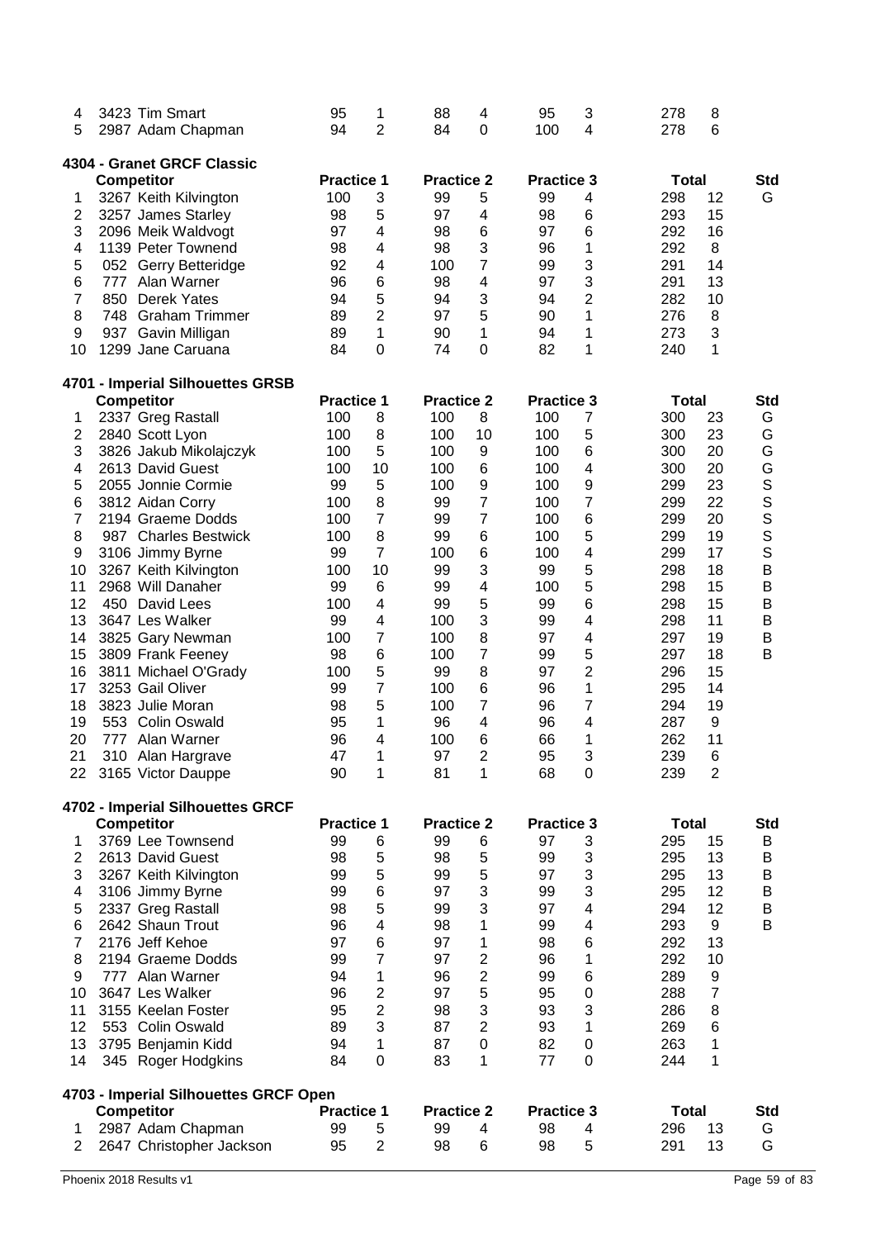| 4<br>5                  |                   | 3423 Tim Smart<br>2987 Adam Chapman   | 95<br>94          | 1<br>$\overline{2}$     | 88<br>84          | 4<br>0                  | 95<br>100         | 3<br>4         | 278<br>278   | 8<br>6         |             |
|-------------------------|-------------------|---------------------------------------|-------------------|-------------------------|-------------------|-------------------------|-------------------|----------------|--------------|----------------|-------------|
|                         |                   |                                       |                   |                         |                   |                         |                   |                |              |                |             |
|                         |                   | 4304 - Granet GRCF Classic            | <b>Practice 1</b> |                         | <b>Practice 2</b> |                         | <b>Practice 3</b> |                | <b>Total</b> |                | <b>Std</b>  |
| 1                       | <b>Competitor</b> | 3267 Keith Kilvington                 | 100               | 3                       | 99                | 5                       | 99                | 4              | 298          | 12             | G           |
| $\overline{\mathbf{c}}$ |                   | 3257 James Starley                    | 98                | 5                       | 97                | 4                       | 98                | 6              | 293          | 15             |             |
| 3                       |                   | 2096 Meik Waldvogt                    | 97                | 4                       | 98                | 6                       | 97                | 6              | 292          | 16             |             |
| 4                       |                   | 1139 Peter Townend                    | 98                | 4                       | 98                | 3                       | 96                | 1              | 292          | 8              |             |
| 5                       |                   | 052 Gerry Betteridge                  | 92                | 4                       | 100               | 7                       | 99                | 3              | 291          | 14             |             |
| 6                       | 777               | Alan Warner                           | 96                | 6                       | 98                | 4                       | 97                | 3              | 291          | 13             |             |
| 7                       | 850               | <b>Derek Yates</b>                    | 94                | 5                       | 94                | 3                       | 94                | $\overline{2}$ | 282          | 10             |             |
| 8                       | 748               | <b>Graham Trimmer</b>                 | 89                | $\overline{2}$          | 97                | 5                       | 90                | 1              | 276          | 8              |             |
| 9                       |                   | 937 Gavin Milligan                    | 89                | 1                       | 90                | 1                       | 94                | 1              | 273          | 3              |             |
| 10                      |                   | 1299 Jane Caruana                     | 84                | 0                       | 74                | 0                       | 82                | 1              | 240          | 1              |             |
|                         |                   | 4701 - Imperial Silhouettes GRSB      |                   |                         |                   |                         |                   |                |              |                |             |
|                         | Competitor        |                                       | <b>Practice 1</b> |                         | <b>Practice 2</b> |                         | <b>Practice 3</b> |                | Total        |                | <b>Std</b>  |
| 1                       |                   | 2337 Greg Rastall                     | 100               | 8                       | 100               | 8                       | 100               | 7              | 300          | 23             | G           |
| 2                       |                   | 2840 Scott Lyon                       | 100               | 8                       | 100               | 10                      | 100               | 5              | 300          | 23             | G           |
| 3                       |                   | 3826 Jakub Mikolajczyk                | 100               | 5                       | 100               | 9                       | 100               | 6              | 300          | 20             | G           |
| 4                       |                   | 2613 David Guest                      | 100               | 10                      | 100               | 6                       | 100               | 4              | 300          | 20             | G           |
| 5                       |                   | 2055 Jonnie Cormie                    | 99                | 5                       | 100               | 9                       | 100               | 9              | 299          | 23             | S<br>S<br>S |
| 6<br>$\overline{7}$     |                   | 3812 Aidan Corry<br>2194 Graeme Dodds | 100<br>100        | 8<br>$\overline{7}$     | 99<br>99          | 7<br>7                  | 100<br>100        | 7<br>6         | 299<br>299   | 22<br>20       |             |
| 8                       |                   | 987 Charles Bestwick                  | 100               | 8                       | 99                | 6                       | 100               | 5              | 299          | 19             | S           |
| 9                       |                   | 3106 Jimmy Byrne                      | 99                | $\overline{7}$          | 100               | 6                       | 100               | 4              | 299          | 17             | S           |
| 10                      |                   | 3267 Keith Kilvington                 | 100               | 10                      | 99                | 3                       | 99                | 5              | 298          | 18             | B           |
| 11                      |                   | 2968 Will Danaher                     | 99                | 6                       | 99                | 4                       | 100               | 5              | 298          | 15             | B           |
| 12                      |                   | 450 David Lees                        | 100               | $\overline{\mathbf{4}}$ | 99                | 5                       | 99                | 6              | 298          | 15             | B           |
| 13                      |                   | 3647 Les Walker                       | 99                | 4                       | 100               | 3                       | 99                | 4              | 298          | 11             | B           |
| 14                      |                   | 3825 Gary Newman                      | 100               | 7                       | 100               | 8                       | 97                | 4              | 297          | 19             | B           |
| 15                      |                   | 3809 Frank Feeney                     | 98                | 6                       | 100               | 7                       | 99                | 5              | 297          | 18             | B           |
| 16                      |                   | 3811 Michael O'Grady                  | 100               | 5                       | 99                | 8                       | 97                | $\overline{2}$ | 296          | 15             |             |
| 17                      |                   | 3253 Gail Oliver                      | 99                | 7                       | 100               | 6                       | 96                | 1              | 295          | 14             |             |
| 18                      |                   | 3823 Julie Moran                      | 98                | 5                       | 100               | 7                       | 96                | 7              | 294          | 19             |             |
| 19                      |                   | 553 Colin Oswald                      | 95                | 1                       | 96                | 4                       | 96                | 4              | 287          | 9              |             |
| 20                      | 777               | Alan Warner                           | 96                | 4                       | 100               | 6                       | 66                | 1              | 262          | 11             |             |
| 21                      | 310               | Alan Hargrave                         | 47                | 1                       | 97                | $\overline{2}$          | 95                | 3              | 239          | 6              |             |
|                         |                   | 22 3165 Victor Dauppe                 | 90                | 1                       | 81                | 1                       | 68                | 0              | 239          | $\overline{2}$ |             |
|                         |                   | 4702 - Imperial Silhouettes GRCF      | <b>Practice 1</b> |                         | <b>Practice 2</b> |                         | <b>Practice 3</b> |                | <b>Total</b> |                | <b>Std</b>  |
| 1                       | <b>Competitor</b> | 3769 Lee Townsend                     | 99                | 6                       | 99                | 6                       | 97                | 3              | 295          | 15             | В           |
| 2                       |                   | 2613 David Guest                      | 98                | 5                       | 98                | 5                       | 99                | 3              | 295          | 13             | Β           |
| 3                       |                   | 3267 Keith Kilvington                 | 99                | 5                       | 99                | 5                       | 97                | 3              | 295          | 13             | Β           |
| 4                       |                   | 3106 Jimmy Byrne                      | 99                | 6                       | 97                | 3                       | 99                | 3              | 295          | 12             | Β           |
| 5                       |                   | 2337 Greg Rastall                     | 98                | 5                       | 99                | 3                       | 97                | 4              | 294          | 12             | Β           |
| 6                       |                   | 2642 Shaun Trout                      | 96                | 4                       | 98                | 1                       | 99                | 4              | 293          | 9              | B           |
| 7                       |                   | 2176 Jeff Kehoe                       | 97                | 6                       | 97                | 1                       | 98                | 6              | 292          | 13             |             |
| 8                       |                   | 2194 Graeme Dodds                     | 99                | $\overline{7}$          | 97                | $\overline{c}$          | 96                | 1              | 292          | 10             |             |
| 9                       |                   | 777 Alan Warner                       | 94                | 1                       | 96                | $\overline{\mathbf{c}}$ | 99                | 6              | 289          | 9              |             |
| 10                      |                   | 3647 Les Walker                       | 96                | $\overline{c}$          | 97                | 5                       | 95                | 0              | 288          | 7              |             |
| 11                      |                   | 3155 Keelan Foster                    | 95                | $\overline{2}$          | 98                | 3                       | 93                | 3              | 286          | 8              |             |
| 12                      |                   | 553 Colin Oswald                      | 89                | 3                       | 87                | $\overline{\mathbf{c}}$ | 93                | 1              | 269          | $\,6$          |             |
| 13                      |                   | 3795 Benjamin Kidd                    | 94                | 1                       | 87                | 0                       | 82                | 0              | 263          | 1              |             |
| 14                      |                   | 345 Roger Hodgkins                    | 84                | 0                       | 83                | 1                       | 77                | 0              | 244          | 1              |             |
|                         |                   | 4703 - Imperial Silhouettes GRCF Open |                   |                         |                   |                         |                   |                |              |                |             |
|                         | <b>Competitor</b> |                                       | <b>Practice 1</b> |                         | <b>Practice 2</b> |                         | <b>Practice 3</b> |                | <b>Total</b> |                | <b>Std</b>  |
| 1                       |                   | 2987 Adam Chapman                     | 99                | 5                       | 99                | 4                       | 98                | 4              | 296          | 13             | G           |
| $\overline{2}$          |                   | 2647 Christopher Jackson              | 95                | $\overline{c}$          | 98                | 6                       | 98                | 5              | 291          | 13             | G           |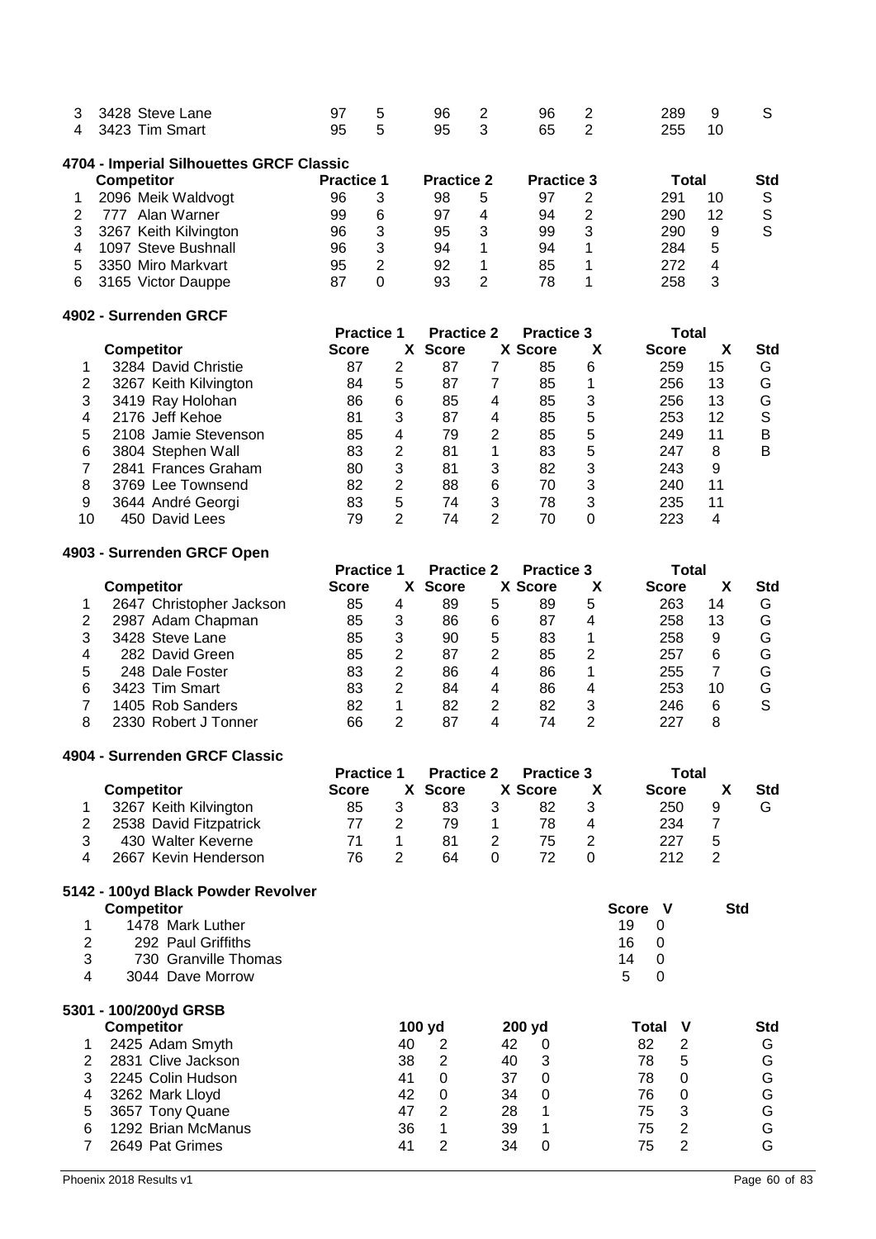| 3 3428 Steve Lane |  |  | 97 5 96 2 96 2 289 9 S |  |  |
|-------------------|--|--|------------------------|--|--|
| 4 3423 Tim Smart  |  |  | 95 5 95 3 65 2 255 10  |  |  |

#### **4704 - Imperial Silhouettes GRCF Classic**

|    | <b>Competitor</b>     |    | <b>Practice 1</b> |    | <b>Practice 2</b> |    | <b>Practice 3</b> |     | Total |  |
|----|-----------------------|----|-------------------|----|-------------------|----|-------------------|-----|-------|--|
|    | 2096 Meik Waldvogt    | 96 | 3                 | 98 | 5                 | 97 | 2                 | 291 | 10    |  |
|    | Alan Warner<br>777    | 99 | 6                 | 97 |                   | 94 | 2                 | 290 | 12    |  |
| 3  | 3267 Keith Kilvington | 96 | 3                 | 95 |                   | 99 | 3                 | 290 | 9     |  |
|    | 1097 Steve Bushnall   | 96 | 3                 | 94 |                   | 94 |                   | 284 | 5     |  |
| 5. | 3350 Miro Markvart    | 95 | 2                 | 92 |                   | 85 |                   | 272 | 4     |  |
| 6. | 3165 Victor Dauppe    | 87 |                   | 93 |                   | 78 |                   | 258 | 3     |  |

#### **4902 - Surrenden GRCF**

|    |                       | <b>Practice 1</b> |          | <b>Practice 2</b> |   | <b>Practice 3</b> |   | Total        |    |            |
|----|-----------------------|-------------------|----------|-------------------|---|-------------------|---|--------------|----|------------|
|    | <b>Competitor</b>     | <b>Score</b>      | <b>X</b> | <b>Score</b>      |   | X Score           | Х | <b>Score</b> |    | <b>Std</b> |
|    | 3284 David Christie   | 87                | 2        | 87                |   | 85                | 6 | 259          | 15 | G          |
|    | 3267 Keith Kilvington | 84                | 5        | 87                |   | 85                |   | 256          | 13 | G          |
|    | 3419 Ray Holohan      | 86                | 6        | 85                | 4 | 85                | 3 | 256          | 13 | G          |
|    | 2176 Jeff Kehoe       | 81                | 3        | 87                | 4 | 85                | 5 | 253          | 12 | S          |
| 5  | 2108 Jamie Stevenson  | 85                | 4        | 79                | 2 | 85                | 5 | 249          | 11 | в          |
| 6  | 3804 Stephen Wall     | 83                | 2        | 81                | 1 | 83                | 5 | 247          | 8  | В          |
|    | 2841 Frances Graham   | 80                | 3        | 81                | 3 | 82                | 3 | 243          | 9  |            |
| 8  | 3769 Lee Townsend     | 82                | 2        | 88                | 6 | 70                | 3 | 240          | 11 |            |
| 9  | 3644 André Georgi     | 83                | 5        | 74                | 3 | 78                | 3 | 235          | 11 |            |
| 10 | 450 David Lees        | 79                | 2        | 74                | 2 | 70                |   | 223          | 4  |            |

#### **4903 - Surrenden GRCF Open**

|   |                          | <b>Practice 1</b> |   | <b>Practice 2</b> |   | <b>Practice 3</b> |   | Total        |    |            |  |
|---|--------------------------|-------------------|---|-------------------|---|-------------------|---|--------------|----|------------|--|
|   | <b>Competitor</b>        | Score             |   | <b>Score</b>      |   | X Score           |   | <b>Score</b> |    | <b>Std</b> |  |
|   | 2647 Christopher Jackson | 85                | 4 | 89                | 5 | 89                | 5 | 263          | 14 | G          |  |
|   | 2987 Adam Chapman        | 85                | 3 | 86                | 6 | 87                | 4 | 258          | 13 | G          |  |
|   | 3428 Steve Lane          | 85                | 3 | 90                | 5 | 83                |   | 258          | 9  | G          |  |
| 4 | 282 David Green          | 85                | 2 | 87                | 2 | 85                | 2 | 257          | 6  | G          |  |
| 5 | 248 Dale Foster          | 83                | 2 | 86                | 4 | 86                |   | 255          |    | G          |  |
| 6 | 3423 Tim Smart           | 83                | 2 | 84                | 4 | 86                | 4 | 253          | 10 | G          |  |
|   | 1405 Rob Sanders         | 82                |   | 82                | 2 | 82                | 3 | 246          | 6  |            |  |
| 8 | 2330 Robert J Tonner     | 66                | 2 | 87                |   | 74                | າ |              | 8  |            |  |

#### **4904 - Surrenden GRCF Classic**

|   |                        |              | <b>Practice 1</b> |         |  | <b>Practice 3</b> | Total        |   |     |
|---|------------------------|--------------|-------------------|---------|--|-------------------|--------------|---|-----|
|   | <b>Competitor</b>      | <b>Score</b> |                   | X Score |  | X Score           | <b>Score</b> |   | Std |
|   | 3267 Keith Kilvington  | 85           |                   | 83      |  | 82                | 250          | 9 | o   |
|   | 2538 David Fitzpatrick |              |                   | 79      |  | 78                | 234          |   |     |
|   | 430 Walter Keverne     |              |                   | 81      |  | 75                | 227          | 5 |     |
| 4 | 2667 Kevin Henderson   | 76           |                   | 64      |  |                   |              |   |     |

# **5142 - 100yd Black Powder Revolver**

|   | <b>Competitor</b>     |        |          |        |          | Score V |          | <b>Std</b> |
|---|-----------------------|--------|----------|--------|----------|---------|----------|------------|
|   | 1478 Mark Luther      |        |          |        |          | 19<br>0 |          |            |
| 2 | 292 Paul Griffiths    |        |          |        |          | 16<br>0 |          |            |
| 3 | 730 Granville Thomas  |        |          |        |          | 14<br>0 |          |            |
| 4 | 3044 Dave Morrow      |        |          |        |          | 5<br>0  |          |            |
|   | 5301 - 100/200yd GRSB |        |          |        |          |         |          |            |
|   | <b>Competitor</b>     | 100 yd |          | 200 yd |          | Total   | v        | Std        |
|   | 2425 Adam Smyth       | 40     | 2        | 42     | 0        | 82      | 2        | G          |
| 2 | 2831 Clive Jackson    | 38     | 2        | 40     | 3        | 78      | 5        | G          |
| 3 | 2245 Colin Hudson     | 41     | $\Omega$ | 37     | $\Omega$ | 78      | $\Omega$ | G          |
| 4 | 3262 Mark Lloyd       | 42     | 0        | 34     | $\Omega$ | 76      | 0        | G          |
| 5 | 3657 Tony Quane       | 47     | 2        | 28     | 1        | 75      | 3        | G          |
| 6 | 1292 Brian McManus    | 36     |          | 39     |          | 75      | 2        | G          |
|   | 2649 Pat Grimes       | 41     | 2        | 34     | 0        | 75      | 2        | G          |
|   |                       |        |          |        |          |         |          |            |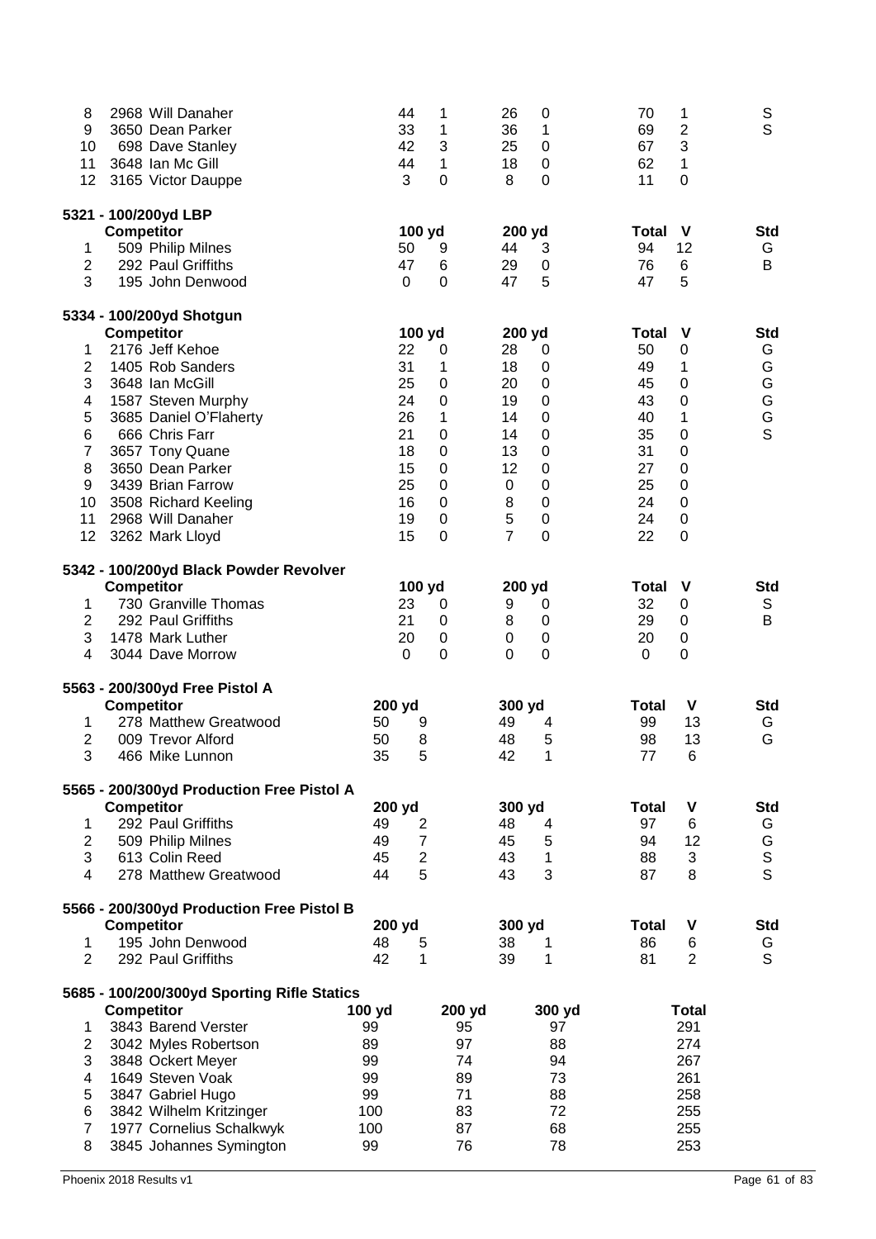| 8                              | 2968 Will Danaher                           | 44                                | 1           | 26<br>0                                 | 70<br>1                 | S<br>$\mathsf{S}$ |
|--------------------------------|---------------------------------------------|-----------------------------------|-------------|-----------------------------------------|-------------------------|-------------------|
| 9                              | 3650 Dean Parker                            | 33                                | 1           | 36<br>1                                 | 2<br>69                 |                   |
| 10                             | 698 Dave Stanley                            | 42                                | 3           | $\boldsymbol{0}$<br>25                  | 3<br>67                 |                   |
| 11                             | 3648 Ian Mc Gill                            | 44                                | 1           | 18<br>$\boldsymbol{0}$                  | 1<br>62                 |                   |
| 12                             | 3165 Victor Dauppe                          | 3                                 | 0           | 0<br>8                                  | $\boldsymbol{0}$<br>11  |                   |
|                                | 5321 - 100/200yd LBP                        |                                   |             |                                         |                         |                   |
|                                | <b>Competitor</b>                           | 100 yd                            |             | 200 yd                                  | <b>Total</b><br>V       | <b>Std</b>        |
| 1                              | 509 Philip Milnes                           | 50                                | 9           | 44<br>3                                 | 12<br>94                | G<br>B            |
| $\overline{2}$                 | 292 Paul Griffiths                          | 47                                | 6           | $\pmb{0}$<br>29                         | 6<br>76                 |                   |
| 3                              | 195 John Denwood                            | 0                                 | $\mathbf 0$ | 5<br>47                                 | 5<br>47                 |                   |
|                                | 5334 - 100/200yd Shotgun                    |                                   |             |                                         |                         |                   |
|                                | <b>Competitor</b>                           | 100 yd                            |             | 200 yd                                  | <b>Total</b><br>V       | <b>Std</b>        |
| 1                              | 2176 Jeff Kehoe                             | 22                                | 0           | 28<br>0                                 | 50<br>$\pmb{0}$         | G                 |
| $\boldsymbol{2}$               | 1405 Rob Sanders                            | 31                                | 1           | 18<br>$\boldsymbol{0}$                  | 1<br>49                 | G                 |
| 3                              | 3648 Ian McGill                             | 25                                | 0           | 20<br>$\boldsymbol{0}$                  | 45<br>$\boldsymbol{0}$  | G                 |
| 4                              | 1587 Steven Murphy                          | 24                                | 0           | 19<br>$\boldsymbol{0}$                  | 43<br>$\boldsymbol{0}$  | G                 |
| $\mathbf 5$                    | 3685 Daniel O'Flaherty                      | 26                                | 1           | 0<br>14                                 | 1<br>40                 | G<br>$\mathsf{S}$ |
| 6                              | 666 Chris Farr                              | 21                                | 0           | 0<br>14                                 | 35<br>0                 |                   |
| $\boldsymbol{7}$               | 3657 Tony Quane                             | 18                                | 0           | 13<br>$\boldsymbol{0}$                  | 31<br>0                 |                   |
| 8                              | 3650 Dean Parker                            | 15                                | 0           | 12<br>0                                 | 27<br>0                 |                   |
| 9                              | 3439 Brian Farrow                           | 25                                | 0           | 0<br>0                                  | 25<br>0                 |                   |
| 10                             | 3508 Richard Keeling                        | 16                                | 0           | 0<br>8                                  | 24<br>0                 |                   |
| 11                             | 2968 Will Danaher                           | 19                                | 0           | 5<br>$\boldsymbol{0}$<br>$\overline{7}$ | 24<br>0                 |                   |
| 12                             | 3262 Mark Lloyd                             | 15                                | 0           | $\mathbf 0$                             | 22<br>0                 |                   |
|                                | 5342 - 100/200yd Black Powder Revolver      |                                   |             |                                         |                         |                   |
|                                | <b>Competitor</b>                           | 100 yd                            |             | 200 yd                                  | V<br><b>Total</b>       | <b>Std</b>        |
| 1                              | 730 Granville Thomas                        | 23                                | 0           | 9<br>0                                  | 32<br>0                 | S                 |
| 2                              | 292 Paul Griffiths                          | 21                                | 0           | 8<br>0                                  | 29<br>0                 | B                 |
| 3                              | 1478 Mark Luther                            | 20                                | 0           | $\boldsymbol{0}$<br>0                   | 20<br>0                 |                   |
| 4                              | 3044 Dave Morrow                            | 0                                 | $\mathbf 0$ | 0<br>0                                  | 0<br>0                  |                   |
|                                | 5563 - 200/300yd Free Pistol A              |                                   |             |                                         |                         |                   |
|                                | <b>Competitor</b>                           | 200 yd                            |             | 300 yd                                  | V<br><b>Total</b>       | <b>Std</b>        |
| 1                              | 278 Matthew Greatwood                       | 50<br>9                           |             | 49<br>4                                 | 13<br>99                | G<br>G            |
| $\boldsymbol{2}$               | 009 Trevor Alford                           | 50<br>8                           |             | 48<br>5                                 | 13<br>98                |                   |
| 3                              | 466 Mike Lunnon                             | 35<br>5                           |             | 1<br>42                                 | 77<br>6                 |                   |
|                                | 5565 - 200/300yd Production Free Pistol A   |                                   |             |                                         |                         |                   |
|                                | <b>Competitor</b>                           | 200 yd                            |             | 300 yd                                  | <b>Total</b><br>V       | <b>Std</b>        |
| 1                              | 292 Paul Griffiths                          | 49<br>$\overline{\mathbf{c}}$     |             | 48<br>4                                 | 97<br>6                 | G                 |
| $\boldsymbol{2}$               | 509 Philip Milnes                           | $\overline{7}$<br>49              |             | 5<br>45                                 | 12<br>94                | G                 |
| 3                              | 613 Colin Reed<br>278 Matthew Greatwood     | 45<br>$\boldsymbol{2}$<br>5<br>44 |             | 43<br>$\mathbf{1}$<br>3                 | 3<br>88                 | s<br>s            |
| 4                              |                                             |                                   |             | 43                                      | 87<br>8                 |                   |
|                                | 5566 - 200/300yd Production Free Pistol B   |                                   |             |                                         |                         |                   |
|                                | <b>Competitor</b><br>195 John Denwood       | 200 yd                            |             | 300 yd                                  | V<br><b>Total</b><br>86 | <b>Std</b>        |
| $\mathbf{1}$<br>$\overline{2}$ |                                             | 48<br>5<br>42                     |             | 38<br>1                                 | 6<br>$\overline{2}$     | G<br>$\mathsf{S}$ |
|                                | 292 Paul Griffiths                          | 1                                 |             | 1<br>39                                 | 81                      |                   |
|                                | 5685 - 100/200/300yd Sporting Rifle Statics |                                   |             |                                         |                         |                   |
|                                | <b>Competitor</b>                           | 100 yd                            | 200 yd      | 300 yd                                  | <b>Total</b>            |                   |
| 1                              | 3843 Barend Verster                         | 99                                | 95          | 97                                      | 291                     |                   |
| 2                              | 3042 Myles Robertson                        | 89                                | 97          | 88                                      | 274                     |                   |
| 3                              | 3848 Ockert Meyer                           | 99                                | 74          | 94                                      | 267                     |                   |
| 4                              | 1649 Steven Voak                            | 99                                | 89          | 73                                      | 261                     |                   |
| 5                              | 3847 Gabriel Hugo                           | 99                                | 71          | 88                                      | 258                     |                   |
| 6                              | 3842 Wilhelm Kritzinger                     | 100                               | 83          | 72                                      | 255                     |                   |
| $\overline{7}$                 | 1977 Cornelius Schalkwyk                    | 100                               | 87          | 68                                      | 255                     |                   |
| 8                              | 3845 Johannes Symington                     | 99                                | 76          | 78                                      | 253                     |                   |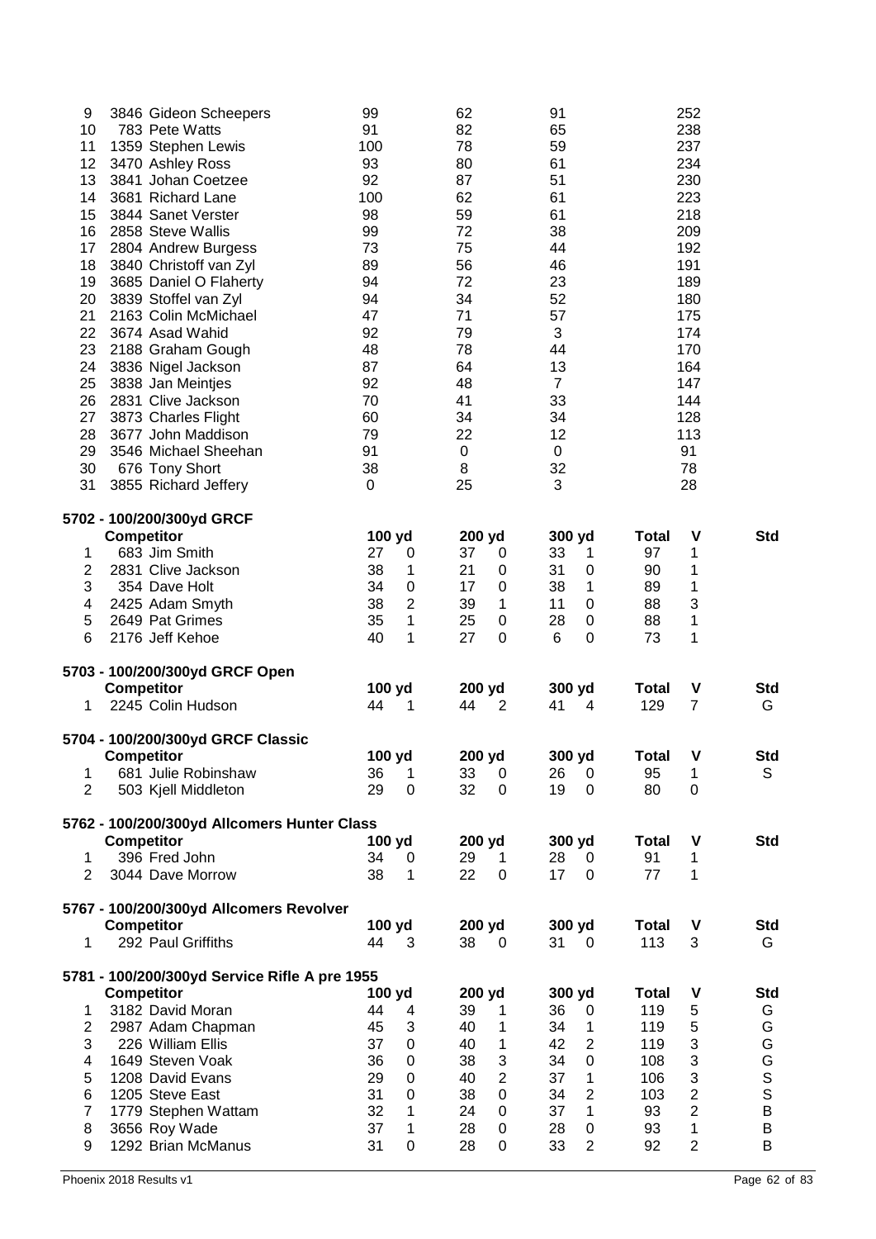| 9                | 3846 Gideon Scheepers                                            | 99           |                               | 62           |                     | 91             |                                |                     | 252                              |                        |
|------------------|------------------------------------------------------------------|--------------|-------------------------------|--------------|---------------------|----------------|--------------------------------|---------------------|----------------------------------|------------------------|
| 10               | 783 Pete Watts                                                   | 91           |                               | 82           |                     | 65             |                                |                     | 238                              |                        |
| 11               | 1359 Stephen Lewis                                               | 100          |                               | 78           |                     | 59             |                                |                     | 237                              |                        |
| 12               | 3470 Ashley Ross                                                 | 93           |                               | 80           |                     | 61             |                                |                     | 234                              |                        |
| 13<br>14         | 3841 Johan Coetzee<br>3681 Richard Lane                          | 92<br>100    |                               | 87<br>62     |                     | 51<br>61       |                                |                     | 230<br>223                       |                        |
| 15               | 3844 Sanet Verster                                               | 98           |                               | 59           |                     | 61             |                                |                     | 218                              |                        |
| 16               | 2858 Steve Wallis                                                | 99           |                               | 72           |                     | 38             |                                |                     | 209                              |                        |
| 17               | 2804 Andrew Burgess                                              | 73           |                               | 75           |                     | 44             |                                |                     | 192                              |                        |
| 18               | 3840 Christoff van Zyl                                           | 89           |                               | 56           |                     | 46             |                                |                     | 191                              |                        |
| 19               | 3685 Daniel O Flaherty                                           | 94           |                               | 72           |                     | 23             |                                |                     | 189                              |                        |
| 20               | 3839 Stoffel van Zyl                                             | 94           |                               | 34           |                     | 52             |                                |                     | 180                              |                        |
| 21               | 2163 Colin McMichael                                             | 47           |                               | 71           |                     | 57             |                                |                     | 175                              |                        |
| 22               | 3674 Asad Wahid                                                  | 92           |                               | 79           |                     | 3              |                                |                     | 174                              |                        |
| 23               | 2188 Graham Gough                                                | 48           |                               | 78           |                     | 44             |                                |                     | 170                              |                        |
| 24               | 3836 Nigel Jackson                                               | 87           |                               | 64           |                     | 13             |                                |                     | 164                              |                        |
| 25               | 3838 Jan Meintjes                                                | 92           |                               | 48           |                     | $\overline{7}$ |                                |                     | 147                              |                        |
| 26               | 2831 Clive Jackson                                               | 70           |                               | 41           |                     | 33             |                                |                     | 144                              |                        |
| 27               | 3873 Charles Flight                                              | 60           |                               | 34           |                     | 34             |                                |                     | 128                              |                        |
| 28               | 3677 John Maddison                                               | 79           |                               | 22           |                     | 12             |                                |                     | 113                              |                        |
| 29               | 3546 Michael Sheehan                                             | 91           |                               | $\mathbf 0$  |                     | 0              |                                |                     | 91                               |                        |
| 30               | 676 Tony Short                                                   | 38           |                               | 8            |                     | 32             |                                |                     | 78                               |                        |
| 31               | 3855 Richard Jeffery                                             | 0            |                               | 25           |                     | 3              |                                |                     | 28                               |                        |
|                  | 5702 - 100/200/300yd GRCF                                        |              |                               |              |                     |                |                                |                     |                                  |                        |
|                  | <b>Competitor</b>                                                | 100 yd       |                               | 200 yd       |                     | 300 yd         |                                | <b>Total</b>        | V                                | Std                    |
| 1                | 683 Jim Smith                                                    | 27           | $\pmb{0}$                     | 37           | $\mathbf 0$         | 33             | 1                              | 97                  | 1                                |                        |
| $\boldsymbol{2}$ | 2831 Clive Jackson                                               | 38           | 1                             | 21           | 0                   | 31             | 0                              | 90                  | 1                                |                        |
| $\sqrt{3}$       | 354 Dave Holt                                                    | 34           | $\boldsymbol{0}$              | 17           | 0                   | 38             | 1                              | 89                  | 1                                |                        |
| 4                | 2425 Adam Smyth                                                  | 38           | $\boldsymbol{2}$              | 39           | 1                   | 11             | $\mathbf 0$                    | 88                  | 3                                |                        |
| 5                | 2649 Pat Grimes                                                  | 35           | 1                             | 25           | 0                   | 28             | $\pmb{0}$                      | 88                  | 1                                |                        |
| 6                | 2176 Jeff Kehoe                                                  | 40           | 1                             | 27           | $\mathbf 0$         | 6              | $\mathbf 0$                    | 73                  | 1                                |                        |
|                  |                                                                  |              |                               |              |                     |                |                                |                     |                                  |                        |
|                  | 5703 - 100/200/300yd GRCF Open                                   |              |                               |              |                     |                |                                |                     |                                  |                        |
|                  | Competitor<br>2245 Colin Hudson                                  | 100 yd<br>44 | 1                             | 200 yd<br>44 | $\overline{2}$      | 300 yd<br>41   | $\overline{4}$                 | <b>Total</b><br>129 | V<br>$\overline{7}$              | <b>Std</b><br>G        |
| 1                |                                                                  |              |                               |              |                     |                |                                |                     |                                  |                        |
|                  | 5704 - 100/200/300yd GRCF Classic                                |              |                               |              |                     |                |                                |                     |                                  |                        |
|                  | <b>Competitor</b>                                                | 100 yd       |                               | 200 yd       |                     | 300 yd         |                                | <b>Total</b>        | V                                | <b>Std</b>             |
| 1                |                                                                  |              |                               |              |                     |                |                                |                     |                                  | S                      |
|                  | 681 Julie Robinshaw                                              | 36           | 1                             | 33           | 0                   | 26             | 0                              | 95                  | 1                                |                        |
| 2                | 503 Kjell Middleton                                              | 29           | $\mathbf 0$                   | 32           | $\Omega$            | 19             | 0                              | 80                  | 0                                |                        |
|                  |                                                                  |              |                               |              |                     |                |                                |                     |                                  |                        |
|                  | 5762 - 100/200/300yd Allcomers Hunter Class<br><b>Competitor</b> | 100 yd       |                               | 200 yd       |                     | 300 yd         |                                | <b>Total</b>        | V                                | <b>Std</b>             |
| 1                | 396 Fred John                                                    | 34           | 0                             | 29           | 1                   | 28             | 0                              | 91                  | 1                                |                        |
| 2                | 3044 Dave Morrow                                                 | 38           | 1                             | 22           | $\mathbf 0$         | 17             | 0                              | 77                  | 1                                |                        |
|                  |                                                                  |              |                               |              |                     |                |                                |                     |                                  |                        |
|                  | 5767 - 100/200/300yd Allcomers Revolver                          |              |                               |              |                     |                |                                | <b>Total</b>        | V                                | Std                    |
| 1                | <b>Competitor</b><br>292 Paul Griffiths                          | 100 yd<br>44 | 3                             | 200 yd<br>38 | 0                   | 300 yd<br>31   | 0                              | 113                 | 3                                | G                      |
|                  |                                                                  |              |                               |              |                     |                |                                |                     |                                  |                        |
|                  | 5781 - 100/200/300yd Service Rifle A pre 1955                    |              |                               |              |                     |                |                                |                     |                                  |                        |
|                  | <b>Competitor</b>                                                | 100 yd       |                               | 200 yd       |                     | 300 yd         |                                | <b>Total</b>        | V                                | Std                    |
| 1                | 3182 David Moran                                                 | 44           | 4                             | 39<br>40     | 1<br>1              | 36             | 0<br>1                         | 119                 | 5                                | G                      |
| $\overline{2}$   | 2987 Adam Chapman                                                | 45           | 3                             |              |                     | 34             |                                | 119                 | 5                                | G                      |
| 3<br>4           | 226 William Ellis                                                | 37           | 0                             | 40           | 1                   | 42             | $\overline{2}$                 | 119                 | 3                                | G                      |
| 5                | 1649 Steven Voak<br>1208 David Evans                             | 36<br>29     | $\boldsymbol{0}$<br>$\pmb{0}$ | 38<br>40     | 3<br>$\overline{2}$ | 34<br>37       | 0<br>$\mathbf 1$               | 108<br>106          | 3                                | G                      |
| 6                | 1205 Steve East                                                  | 31           | $\pmb{0}$                     | 38           | $\mathbf 0$         |                |                                | 103                 | 3                                | $\mathbb S$            |
| $\overline{7}$   |                                                                  | 32           | 1                             | 24           | 0                   | 34<br>37       | $\overline{2}$<br>$\mathbf{1}$ | 93                  | $\overline{2}$<br>$\overline{2}$ | $\mathsf S$<br>$\sf B$ |
| 8                | 1779 Stephen Wattam<br>3656 Roy Wade                             | 37           | 1                             | 28           | 0                   | 28             | 0                              | 93                  | 1                                | B                      |
| 9                | 1292 Brian McManus                                               | 31           | 0                             | 28           | 0                   | 33             | $\overline{2}$                 | 92                  | $\overline{2}$                   | B                      |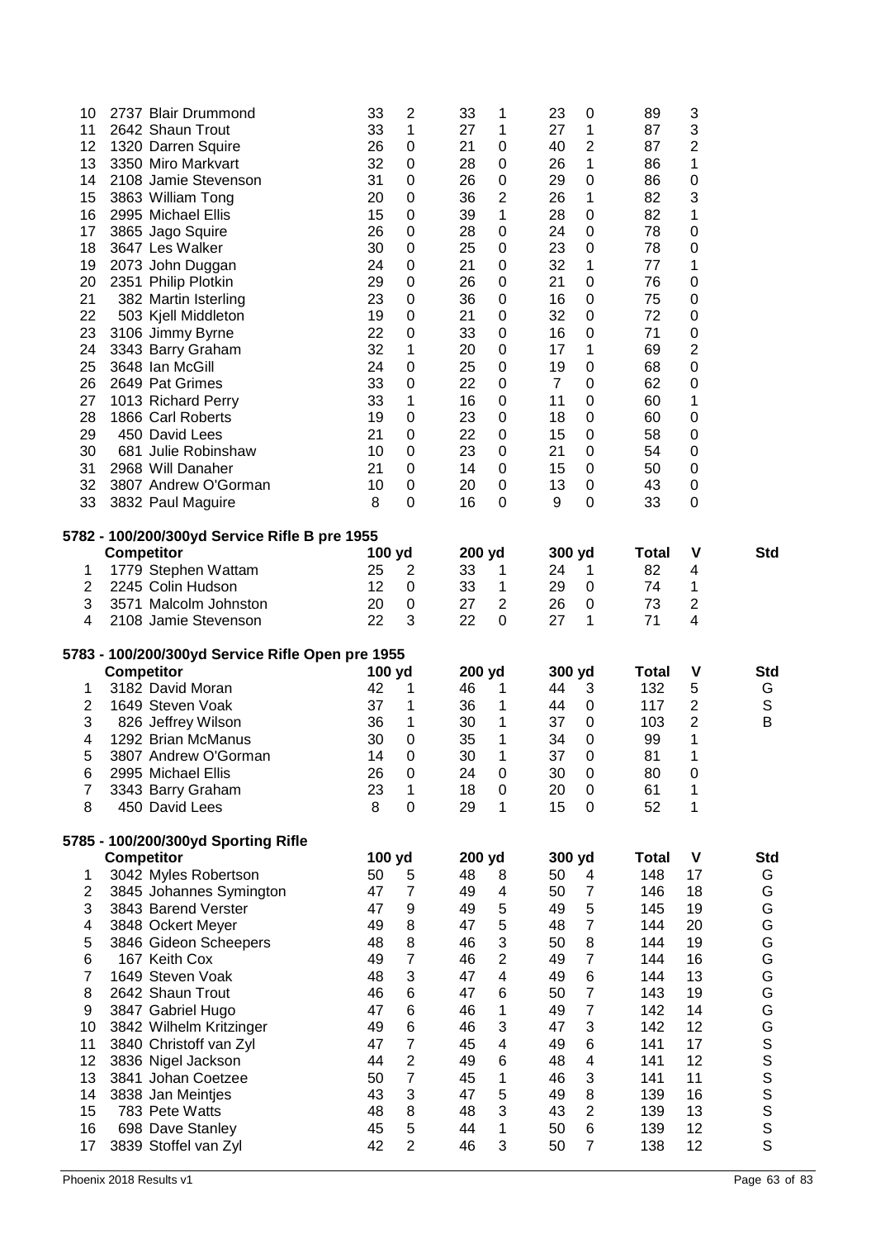| 10               | 2737 Blair Drummond                              | 33           | $\overline{c}$        | 33           | 1                       | 23             | $\mathbf 0$         | 89                 | 3                       |                  |
|------------------|--------------------------------------------------|--------------|-----------------------|--------------|-------------------------|----------------|---------------------|--------------------|-------------------------|------------------|
| 11<br>12         | 2642 Shaun Trout                                 | 33<br>26     | 1<br>$\boldsymbol{0}$ | 27<br>21     | 1<br>0                  | 27<br>40       | 1<br>$\mathbf 2$    | 87<br>87           | 3<br>2                  |                  |
| 13               | 1320 Darren Squire<br>3350 Miro Markvart         | 32           | $\boldsymbol{0}$      | 28           | $\mathbf 0$             | 26             | 1                   | 86                 | 1                       |                  |
| 14               | 2108 Jamie Stevenson                             | 31           | $\mathbf 0$           | 26           | $\mathbf 0$             | 29             | 0                   | 86                 | 0                       |                  |
| 15               | 3863 William Tong                                | 20           | $\boldsymbol{0}$      | 36           | $\overline{2}$          | 26             | 1                   | 82                 | 3                       |                  |
| 16               | 2995 Michael Ellis                               | 15           | $\boldsymbol{0}$      | 39           | 1                       | 28             | 0                   | 82                 | 1                       |                  |
| 17               | 3865 Jago Squire                                 | 26           | $\boldsymbol{0}$      | 28           | $\mathbf 0$             | 24             | $\boldsymbol{0}$    | 78                 | 0                       |                  |
| 18               | 3647 Les Walker                                  | 30           | $\boldsymbol{0}$      | 25           | 0                       | 23             | $\pmb{0}$           | 78                 | 0                       |                  |
| 19               | 2073 John Duggan                                 | 24           | $\boldsymbol{0}$      | 21           | 0                       | 32             | 1                   | 77                 | 1                       |                  |
| 20               | 2351 Philip Plotkin                              | 29           | $\mathbf 0$           | 26           | $\mathbf 0$             | 21             | $\mathbf 0$         | 76                 | 0                       |                  |
| 21               | 382 Martin Isterling                             | 23           | $\boldsymbol{0}$      | 36           | 0                       | 16             | $\boldsymbol{0}$    | 75                 | 0                       |                  |
| 22               | 503 Kjell Middleton                              | 19           | 0                     | 21           | $\mathbf 0$             | 32             | $\boldsymbol{0}$    | 72                 | 0                       |                  |
| 23               | 3106 Jimmy Byrne                                 | 22           | 0                     | 33           | $\mathbf 0$             | 16             | $\boldsymbol{0}$    | 71                 | 0                       |                  |
| 24               | 3343 Barry Graham                                | 32           | 1                     | 20           | $\mathbf 0$             | 17             | 1                   | 69                 | 2                       |                  |
| 25               | 3648 Ian McGill                                  | 24           | 0                     | 25           | 0                       | 19             | 0                   | 68                 | 0                       |                  |
| 26               | 2649 Pat Grimes                                  | 33           | $\mathbf 0$           | 22           | $\mathbf 0$             | $\overline{7}$ | $\mathbf 0$         | 62                 | 0                       |                  |
| 27<br>28         | 1013 Richard Perry<br>1866 Carl Roberts          | 33<br>19     | 1<br>$\boldsymbol{0}$ | 16<br>23     | $\mathbf 0$<br>0        | 11<br>18       | $\mathbf 0$<br>0    | 60<br>60           | 1<br>0                  |                  |
| 29               | 450 David Lees                                   | 21           | $\boldsymbol{0}$      | 22           | 0                       | 15             | 0                   | 58                 | 0                       |                  |
| 30               | 681 Julie Robinshaw                              | 10           | $\boldsymbol{0}$      | 23           | $\mathbf 0$             | 21             | $\boldsymbol{0}$    | 54                 | 0                       |                  |
| 31               | 2968 Will Danaher                                | 21           | $\pmb{0}$             | 14           | 0                       | 15             | $\boldsymbol{0}$    | 50                 | 0                       |                  |
| 32               | 3807 Andrew O'Gorman                             | 10           | $\pmb{0}$             | 20           | $\mathbf 0$             | 13             | $\boldsymbol{0}$    | 43                 | 0                       |                  |
| 33               | 3832 Paul Maguire                                | 8            | 0                     | 16           | 0                       | 9              | 0                   | 33                 | 0                       |                  |
|                  |                                                  |              |                       |              |                         |                |                     |                    |                         |                  |
|                  | 5782 - 100/200/300yd Service Rifle B pre 1955    |              |                       |              |                         |                |                     |                    |                         |                  |
| 1                | <b>Competitor</b><br>1779 Stephen Wattam         | 100 yd<br>25 | $\overline{c}$        | 200 yd<br>33 |                         | 300 yd<br>24   | 1                   | <b>Total</b><br>82 | V<br>4                  | <b>Std</b>       |
| $\boldsymbol{2}$ | 2245 Colin Hudson                                | 12           | $\boldsymbol{0}$      | 33           | 1<br>1                  | 29             | $\boldsymbol{0}$    | 74                 | 1                       |                  |
| 3                | 3571 Malcolm Johnston                            | 20           | $\pmb{0}$             | 27           | $\overline{2}$          | 26             | 0                   | 73                 | $\overline{\mathbf{c}}$ |                  |
| 4                | 2108 Jamie Stevenson                             | 22           | 3                     | 22           | $\mathbf 0$             | 27             | 1                   | 71                 | 4                       |                  |
|                  |                                                  |              |                       |              |                         |                |                     |                    |                         |                  |
|                  |                                                  |              |                       |              |                         |                |                     |                    |                         |                  |
|                  | 5783 - 100/200/300yd Service Rifle Open pre 1955 |              |                       |              |                         |                |                     |                    |                         |                  |
|                  | <b>Competitor</b>                                | 100 yd       |                       | 200 yd       |                         | 300 yd         |                     | Total              | V                       | <b>Std</b>       |
| 1                | 3182 David Moran                                 | 42           | 1                     | 46           | 1                       | 44             | 3                   | 132                | 5                       | G                |
| $\boldsymbol{2}$ | 1649 Steven Voak                                 | 37           | 1                     | 36           | 1                       | 44             | 0                   | 117                | 2                       | $\mathsf S$      |
| 3                | 826 Jeffrey Wilson<br>1292 Brian McManus         | 36<br>30     | 1                     | 30<br>35     | 1<br>1                  | 37<br>34       | 0<br>0              | 103                | 2<br>1                  | B                |
| 4<br>5           | 3807 Andrew O'Gorman                             | 14           | $\boldsymbol{0}$<br>0 | 30           | 1                       | 37             | 0                   | 99<br>81           | 1                       |                  |
| 6                | 2995 Michael Ellis                               | 26           | $\boldsymbol{0}$      | 24           | 0                       | 30             | 0                   | 80                 | 0                       |                  |
| $\overline{7}$   | 3343 Barry Graham                                | 23           | 1                     | 18           | $\mathbf 0$             | 20             | $\boldsymbol{0}$    | 61                 | 1                       |                  |
| 8                | 450 David Lees                                   | 8            | 0                     | 29           | 1                       | 15             | 0                   | 52                 | 1                       |                  |
|                  |                                                  |              |                       |              |                         |                |                     |                    |                         |                  |
|                  | 5785 - 100/200/300yd Sporting Rifle              |              |                       |              |                         |                |                     | <b>Total</b>       | V                       |                  |
| 1                | <b>Competitor</b><br>3042 Myles Robertson        | 100 yd<br>50 | 5                     | 200 yd<br>48 | 8                       | 300 yd<br>50   | 4                   | 148                | 17                      | <b>Std</b><br>G  |
| 2                | 3845 Johannes Symington                          | 47           | $\overline{7}$        | 49           | 4                       | 50             | $\overline{7}$      | 146                | 18                      | G                |
| 3                | 3843 Barend Verster                              | 47           | $\boldsymbol{9}$      | 49           | 5                       | 49             | 5                   | 145                | 19                      | G                |
| 4                | 3848 Ockert Meyer                                | 49           | 8                     | 47           | 5                       | 48             | $\overline{7}$      | 144                | 20                      | G                |
| $\mathbf 5$      | 3846 Gideon Scheepers                            | 48           | 8                     | 46           | 3                       | 50             | 8                   | 144                | 19                      | G                |
| 6                | 167 Keith Cox                                    | 49           | $\overline{7}$        | 46           | $\overline{2}$          | 49             | $\overline{7}$      | 144                | 16                      | G                |
| 7                | 1649 Steven Voak                                 | 48           | 3                     | 47           | $\overline{\mathbf{4}}$ | 49             | $\,6$               | 144                | 13                      | G                |
| 8                | 2642 Shaun Trout                                 | 46           | 6                     | 47           | 6                       | 50             | $\overline{7}$      | 143                | 19                      | G                |
| 9                | 3847 Gabriel Hugo                                | 47           | 6                     | 46           | 1                       | 49             | $\overline{7}$      | 142                | 14                      | G                |
| 10               | 3842 Wilhelm Kritzinger                          | 49           | 6                     | 46           | 3                       | 47             | 3                   | 142                | 12                      | G                |
| 11               | 3840 Christoff van Zyl                           | 47           | $\overline{7}$        | 45           | 4                       | 49             | 6                   | 141                | 17                      |                  |
| 12               | 3836 Nigel Jackson                               | 44           | $\mathbf 2$           | 49           | 6                       | 48             | 4                   | 141                | 12                      |                  |
| 13               | 3841 Johan Coetzee                               | 50           | $\overline{7}$        | 45           | 1                       | 46             | 3                   | 141                | 11                      |                  |
| 14               | 3838 Jan Meintjes                                | 43           | 3                     | 47           | 5                       | 49             | 8                   | 139                | 16                      | S<br>S<br>S<br>S |
| 15<br>16         | 783 Pete Watts                                   | 48<br>45     | 8                     | 48<br>44     | 3<br>1                  | 43<br>50       | $\overline{2}$<br>6 | 139<br>139         | 13<br>12                | S                |
| 17               | 698 Dave Stanley<br>3839 Stoffel van Zyl         | 42           | 5<br>$\overline{2}$   | 46           | 3                       | 50             | $\overline{7}$      | 138                | 12                      | S<br>S           |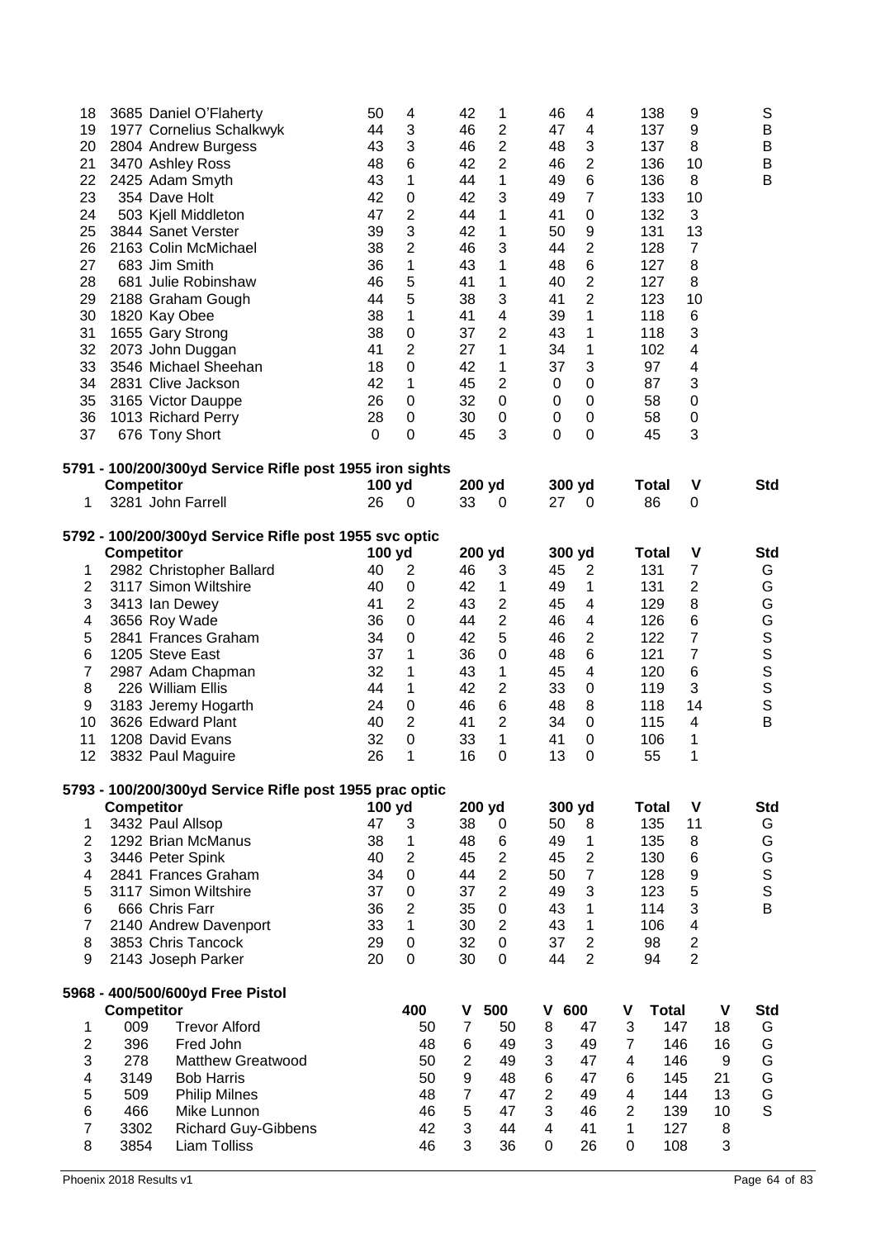| 18<br>19<br>20<br>21<br>22<br>23<br>24<br>25<br>26<br>27<br>28<br>29<br>30<br>31<br>32<br>33 | 3685 Daniel O'Flaherty<br>1977 Cornelius Schalkwyk<br>2804 Andrew Burgess<br>3470 Ashley Ross<br>2425 Adam Smyth<br>354 Dave Holt<br>503 Kjell Middleton<br>3844 Sanet Verster<br>2163 Colin McMichael<br>683 Jim Smith<br>681 Julie Robinshaw<br>2188 Graham Gough<br>1820 Kay Obee<br>1655 Gary Strong<br>2073 John Duggan<br>3546 Michael Sheehan<br>2831 Clive Jackson | 50<br>44<br>43<br>48<br>43<br>42<br>47<br>39<br>38<br>36<br>46<br>44<br>38<br>38<br>41<br>18<br>42 | 4<br>3<br>3<br>6<br>1<br>$\pmb{0}$<br>$\overline{2}$<br>3<br>$\overline{2}$<br>1<br>5<br>5<br>1<br>$\mathbf 0$<br>$\overline{2}$<br>$\mathbf 0$<br>1 | 42<br>46<br>46<br>42<br>44<br>42<br>44<br>42<br>46<br>43<br>41<br>38<br>41<br>37<br>27<br>42<br>45 | 1<br>$\overline{2}$<br>$\overline{2}$<br>$\overline{2}$<br>1<br>3<br>1<br>1<br>3<br>1<br>1<br>3<br>4<br>2<br>1<br>1<br>$\overline{2}$ | 46<br>4<br>47<br>$\overline{\mathbf{4}}$<br>3<br>48<br>$\overline{2}$<br>46<br>$\,6$<br>49<br>$\overline{7}$<br>49<br>41<br>$\boldsymbol{0}$<br>9<br>50<br>44<br>$\overline{2}$<br>$\,6$<br>48<br>$\mathbf 2$<br>40<br>$\overline{2}$<br>41<br>39<br>1<br>43<br>1<br>34<br>$\mathbf 1$<br>3<br>37<br>$\boldsymbol{0}$<br>$\mathbf 0$ | 138<br>137<br>137<br>136<br>136<br>133<br>132<br>131<br>128<br>127<br>127<br>123<br>118<br>118<br>102<br>97<br>87 | 9<br>9<br>8<br>10<br>8<br>10<br>3<br>13<br>$\overline{7}$<br>8<br>8<br>10<br>6<br>3<br>4<br>4<br>3 | S<br>B<br>B<br>B<br>B    |
|----------------------------------------------------------------------------------------------|----------------------------------------------------------------------------------------------------------------------------------------------------------------------------------------------------------------------------------------------------------------------------------------------------------------------------------------------------------------------------|----------------------------------------------------------------------------------------------------|------------------------------------------------------------------------------------------------------------------------------------------------------|----------------------------------------------------------------------------------------------------|---------------------------------------------------------------------------------------------------------------------------------------|--------------------------------------------------------------------------------------------------------------------------------------------------------------------------------------------------------------------------------------------------------------------------------------------------------------------------------------|-------------------------------------------------------------------------------------------------------------------|----------------------------------------------------------------------------------------------------|--------------------------|
| 34<br>35                                                                                     | 3165 Victor Dauppe                                                                                                                                                                                                                                                                                                                                                         | 26                                                                                                 | $\mathbf 0$                                                                                                                                          | 32                                                                                                 | $\boldsymbol{0}$                                                                                                                      | $\pmb{0}$<br>$\boldsymbol{0}$                                                                                                                                                                                                                                                                                                        | 58                                                                                                                | 0                                                                                                  |                          |
| 36<br>37                                                                                     | 1013 Richard Perry<br>676 Tony Short                                                                                                                                                                                                                                                                                                                                       | 28<br>0                                                                                            | $\mathbf 0$<br>$\mathbf 0$                                                                                                                           | 30<br>45                                                                                           | $\mathbf 0$<br>3                                                                                                                      | $\boldsymbol{0}$<br>$\boldsymbol{0}$<br>$\overline{0}$<br>0                                                                                                                                                                                                                                                                          | 58<br>45                                                                                                          | 0<br>3                                                                                             |                          |
|                                                                                              |                                                                                                                                                                                                                                                                                                                                                                            |                                                                                                    |                                                                                                                                                      |                                                                                                    |                                                                                                                                       |                                                                                                                                                                                                                                                                                                                                      |                                                                                                                   |                                                                                                    |                          |
|                                                                                              | 5791 - 100/200/300yd Service Rifle post 1955 iron sights<br><b>Competitor</b>                                                                                                                                                                                                                                                                                              | 100 yd                                                                                             |                                                                                                                                                      | 200 yd                                                                                             |                                                                                                                                       | 300 yd                                                                                                                                                                                                                                                                                                                               | Total                                                                                                             | V                                                                                                  | <b>Std</b>               |
| 1                                                                                            | 3281 John Farrell                                                                                                                                                                                                                                                                                                                                                          | 26                                                                                                 | 0                                                                                                                                                    | 33                                                                                                 | 0                                                                                                                                     | 27<br>0                                                                                                                                                                                                                                                                                                                              | 86                                                                                                                | 0                                                                                                  |                          |
|                                                                                              | 5792 - 100/200/300yd Service Rifle post 1955 svc optic                                                                                                                                                                                                                                                                                                                     |                                                                                                    |                                                                                                                                                      |                                                                                                    |                                                                                                                                       |                                                                                                                                                                                                                                                                                                                                      |                                                                                                                   |                                                                                                    |                          |
|                                                                                              | Competitor                                                                                                                                                                                                                                                                                                                                                                 | 100 yd                                                                                             |                                                                                                                                                      | 200 yd                                                                                             |                                                                                                                                       | 300 yd                                                                                                                                                                                                                                                                                                                               | <b>Total</b>                                                                                                      | $\mathsf{V}$                                                                                       | <b>Std</b>               |
| 1                                                                                            | 2982 Christopher Ballard                                                                                                                                                                                                                                                                                                                                                   | 40                                                                                                 | $\overline{2}$                                                                                                                                       | 46                                                                                                 | 3                                                                                                                                     | 45<br>$\overline{2}$                                                                                                                                                                                                                                                                                                                 | 131                                                                                                               | $\overline{7}$                                                                                     | G                        |
| $\overline{\mathbf{c}}$                                                                      | 3117 Simon Wiltshire                                                                                                                                                                                                                                                                                                                                                       | 40                                                                                                 | $\pmb{0}$                                                                                                                                            | 42                                                                                                 | 1                                                                                                                                     | $\mathbf 1$<br>49                                                                                                                                                                                                                                                                                                                    | 131                                                                                                               | $\overline{c}$                                                                                     | G                        |
| 3                                                                                            | 3413 Ian Dewey                                                                                                                                                                                                                                                                                                                                                             | 41<br>36                                                                                           | $\overline{2}$<br>$\mathbf 0$                                                                                                                        | 43<br>44                                                                                           | $\overline{c}$<br>$\overline{2}$                                                                                                      | 45<br>$\overline{\mathbf{4}}$<br>46<br>$\overline{\mathbf{4}}$                                                                                                                                                                                                                                                                       | 129<br>126                                                                                                        | 8                                                                                                  | G<br>G                   |
| 4<br>5                                                                                       | 3656 Roy Wade<br>2841 Frances Graham                                                                                                                                                                                                                                                                                                                                       | 34                                                                                                 | $\mathbf 0$                                                                                                                                          | 42                                                                                                 | 5                                                                                                                                     | $\mathbf 2$<br>46                                                                                                                                                                                                                                                                                                                    | 122                                                                                                               | 6<br>7                                                                                             |                          |
| 6                                                                                            | 1205 Steve East                                                                                                                                                                                                                                                                                                                                                            | 37                                                                                                 | 1                                                                                                                                                    | 36                                                                                                 | 0                                                                                                                                     | 48<br>6                                                                                                                                                                                                                                                                                                                              | 121                                                                                                               | 7                                                                                                  | SSSS                     |
| 7                                                                                            | 2987 Adam Chapman                                                                                                                                                                                                                                                                                                                                                          | 32                                                                                                 | 1                                                                                                                                                    | 43                                                                                                 | 1                                                                                                                                     | 45<br>$\overline{\mathbf{4}}$                                                                                                                                                                                                                                                                                                        | 120                                                                                                               | 6                                                                                                  |                          |
| 8                                                                                            | 226 William Ellis                                                                                                                                                                                                                                                                                                                                                          | 44                                                                                                 | 1                                                                                                                                                    | 42                                                                                                 | 2                                                                                                                                     | 33<br>$\boldsymbol{0}$                                                                                                                                                                                                                                                                                                               | 119                                                                                                               | 3                                                                                                  |                          |
| 9                                                                                            | 3183 Jeremy Hogarth                                                                                                                                                                                                                                                                                                                                                        | 24                                                                                                 | $\mathbf 0$                                                                                                                                          | 46                                                                                                 | 6                                                                                                                                     | 48<br>8                                                                                                                                                                                                                                                                                                                              | 118                                                                                                               | 14                                                                                                 |                          |
| 10                                                                                           | 3626 Edward Plant                                                                                                                                                                                                                                                                                                                                                          | 40                                                                                                 | $\overline{c}$                                                                                                                                       | 41                                                                                                 | $\overline{2}$                                                                                                                        | 34<br>$\boldsymbol{0}$                                                                                                                                                                                                                                                                                                               | 115                                                                                                               | 4                                                                                                  | B                        |
| 11                                                                                           | 1208 David Evans                                                                                                                                                                                                                                                                                                                                                           | 32                                                                                                 | $\mathbf 0$                                                                                                                                          | 33                                                                                                 | 1                                                                                                                                     | 41<br>$\boldsymbol{0}$                                                                                                                                                                                                                                                                                                               | 106                                                                                                               | 1                                                                                                  |                          |
| 12                                                                                           | 3832 Paul Maguire                                                                                                                                                                                                                                                                                                                                                          | 26                                                                                                 | 1                                                                                                                                                    | 16                                                                                                 | 0                                                                                                                                     | 13<br>$\overline{0}$                                                                                                                                                                                                                                                                                                                 | 55                                                                                                                | 1                                                                                                  |                          |
|                                                                                              | 5793 - 100/200/300yd Service Rifle post 1955 prac optic                                                                                                                                                                                                                                                                                                                    |                                                                                                    |                                                                                                                                                      |                                                                                                    |                                                                                                                                       |                                                                                                                                                                                                                                                                                                                                      |                                                                                                                   |                                                                                                    |                          |
|                                                                                              | <b>Competitor</b>                                                                                                                                                                                                                                                                                                                                                          | 100 yd                                                                                             |                                                                                                                                                      | 200 yd                                                                                             |                                                                                                                                       | 300 yd                                                                                                                                                                                                                                                                                                                               | <b>Total</b>                                                                                                      | $\mathbf v$                                                                                        | <b>Std</b>               |
| 1<br>$\overline{c}$                                                                          | 3432 Paul Allsop                                                                                                                                                                                                                                                                                                                                                           | 47<br>38                                                                                           | 3<br>1                                                                                                                                               | 38<br>48                                                                                           | 0                                                                                                                                     | 50<br>8<br>49<br>$\mathbf{1}$                                                                                                                                                                                                                                                                                                        | 135<br>135                                                                                                        | 11<br>8                                                                                            | G                        |
| 3                                                                                            | 1292 Brian McManus<br>3446 Peter Spink                                                                                                                                                                                                                                                                                                                                     | 40                                                                                                 | $\overline{2}$                                                                                                                                       | 45                                                                                                 | 6<br>$\mathbf{2}$                                                                                                                     | $\sqrt{2}$<br>45                                                                                                                                                                                                                                                                                                                     | 130                                                                                                               | 6                                                                                                  | G                        |
| 4                                                                                            | 2841 Frances Graham                                                                                                                                                                                                                                                                                                                                                        | 34                                                                                                 | $\boldsymbol{0}$                                                                                                                                     | 44                                                                                                 | $\overline{c}$                                                                                                                        | $\boldsymbol{7}$<br>50                                                                                                                                                                                                                                                                                                               | 128                                                                                                               | 9                                                                                                  | G<br>S<br>S<br>B         |
| 5                                                                                            | 3117 Simon Wiltshire                                                                                                                                                                                                                                                                                                                                                       | 37                                                                                                 | $\pmb{0}$                                                                                                                                            | 37                                                                                                 | $\overline{c}$                                                                                                                        | 3<br>49                                                                                                                                                                                                                                                                                                                              | 123                                                                                                               | 5                                                                                                  |                          |
| 6                                                                                            | 666 Chris Farr                                                                                                                                                                                                                                                                                                                                                             | 36                                                                                                 | $\mathbf 2$                                                                                                                                          | 35                                                                                                 | $\pmb{0}$                                                                                                                             | 43<br>$\mathbf{1}$                                                                                                                                                                                                                                                                                                                   | 114                                                                                                               | 3                                                                                                  |                          |
| $\boldsymbol{7}$                                                                             | 2140 Andrew Davenport                                                                                                                                                                                                                                                                                                                                                      | 33                                                                                                 | $\mathbf{1}$                                                                                                                                         | 30                                                                                                 | $\boldsymbol{2}$                                                                                                                      | 43<br>$\mathbf 1$                                                                                                                                                                                                                                                                                                                    | 106                                                                                                               | 4                                                                                                  |                          |
| 8                                                                                            | 3853 Chris Tancock                                                                                                                                                                                                                                                                                                                                                         | 29                                                                                                 | $\boldsymbol{0}$                                                                                                                                     | 32                                                                                                 | $\mathbf 0$                                                                                                                           | $\overline{c}$<br>37                                                                                                                                                                                                                                                                                                                 | 98                                                                                                                | $\mathbf{2}$                                                                                       |                          |
| 9                                                                                            | 2143 Joseph Parker                                                                                                                                                                                                                                                                                                                                                         | 20                                                                                                 | $\pmb{0}$                                                                                                                                            | 30                                                                                                 | $\mathbf 0$                                                                                                                           | $\overline{2}$<br>44                                                                                                                                                                                                                                                                                                                 | 94                                                                                                                | $\overline{2}$                                                                                     |                          |
|                                                                                              | 5968 - 400/500/600yd Free Pistol                                                                                                                                                                                                                                                                                                                                           |                                                                                                    |                                                                                                                                                      |                                                                                                    |                                                                                                                                       |                                                                                                                                                                                                                                                                                                                                      |                                                                                                                   |                                                                                                    |                          |
|                                                                                              | <b>Competitor</b>                                                                                                                                                                                                                                                                                                                                                          |                                                                                                    | 400                                                                                                                                                  | V                                                                                                  | 500                                                                                                                                   | 600<br>V                                                                                                                                                                                                                                                                                                                             | V<br><b>Total</b>                                                                                                 | $\mathbf v$                                                                                        | <b>Std</b>               |
| 1                                                                                            | 009<br><b>Trevor Alford</b>                                                                                                                                                                                                                                                                                                                                                |                                                                                                    | 50                                                                                                                                                   | $\overline{7}$                                                                                     | 50                                                                                                                                    | 8<br>47                                                                                                                                                                                                                                                                                                                              | 3<br>147                                                                                                          | 18                                                                                                 | G                        |
| $\boldsymbol{2}$                                                                             | 396<br>Fred John                                                                                                                                                                                                                                                                                                                                                           |                                                                                                    | 48                                                                                                                                                   | 6                                                                                                  | 49                                                                                                                                    | 49<br>3                                                                                                                                                                                                                                                                                                                              | $\overline{7}$<br>146                                                                                             | 16                                                                                                 | G                        |
| 3<br>4                                                                                       | 278<br><b>Matthew Greatwood</b><br>3149<br><b>Bob Harris</b>                                                                                                                                                                                                                                                                                                               |                                                                                                    | 50<br>50                                                                                                                                             | $\overline{c}$<br>9                                                                                | 49<br>48                                                                                                                              | 3<br>47<br>6<br>47                                                                                                                                                                                                                                                                                                                   | 4<br>146<br>145                                                                                                   | 9<br>21                                                                                            | G<br>G                   |
| 5                                                                                            | 509<br><b>Philip Milnes</b>                                                                                                                                                                                                                                                                                                                                                |                                                                                                    | 48                                                                                                                                                   | $\overline{7}$                                                                                     | 47                                                                                                                                    | $\overline{c}$<br>49                                                                                                                                                                                                                                                                                                                 | 6<br>4<br>144                                                                                                     | 13                                                                                                 |                          |
| 6                                                                                            | 466<br>Mike Lunnon                                                                                                                                                                                                                                                                                                                                                         |                                                                                                    | 46                                                                                                                                                   | 5                                                                                                  | 47                                                                                                                                    | 3<br>46                                                                                                                                                                                                                                                                                                                              | $\overline{2}$<br>139                                                                                             | 10                                                                                                 | $^\mathsf{G}_\mathsf{S}$ |
| $\overline{\mathcal{I}}$                                                                     | 3302<br><b>Richard Guy-Gibbens</b>                                                                                                                                                                                                                                                                                                                                         |                                                                                                    | 42                                                                                                                                                   | 3                                                                                                  | 44                                                                                                                                    | 4<br>41                                                                                                                                                                                                                                                                                                                              | 127<br>1                                                                                                          | 8                                                                                                  |                          |
| 8                                                                                            | 3854<br>Liam Tolliss                                                                                                                                                                                                                                                                                                                                                       |                                                                                                    | 46                                                                                                                                                   | 3                                                                                                  | 36                                                                                                                                    | 26<br>0                                                                                                                                                                                                                                                                                                                              | 108<br>0                                                                                                          | 3                                                                                                  |                          |
|                                                                                              |                                                                                                                                                                                                                                                                                                                                                                            |                                                                                                    |                                                                                                                                                      |                                                                                                    |                                                                                                                                       |                                                                                                                                                                                                                                                                                                                                      |                                                                                                                   |                                                                                                    |                          |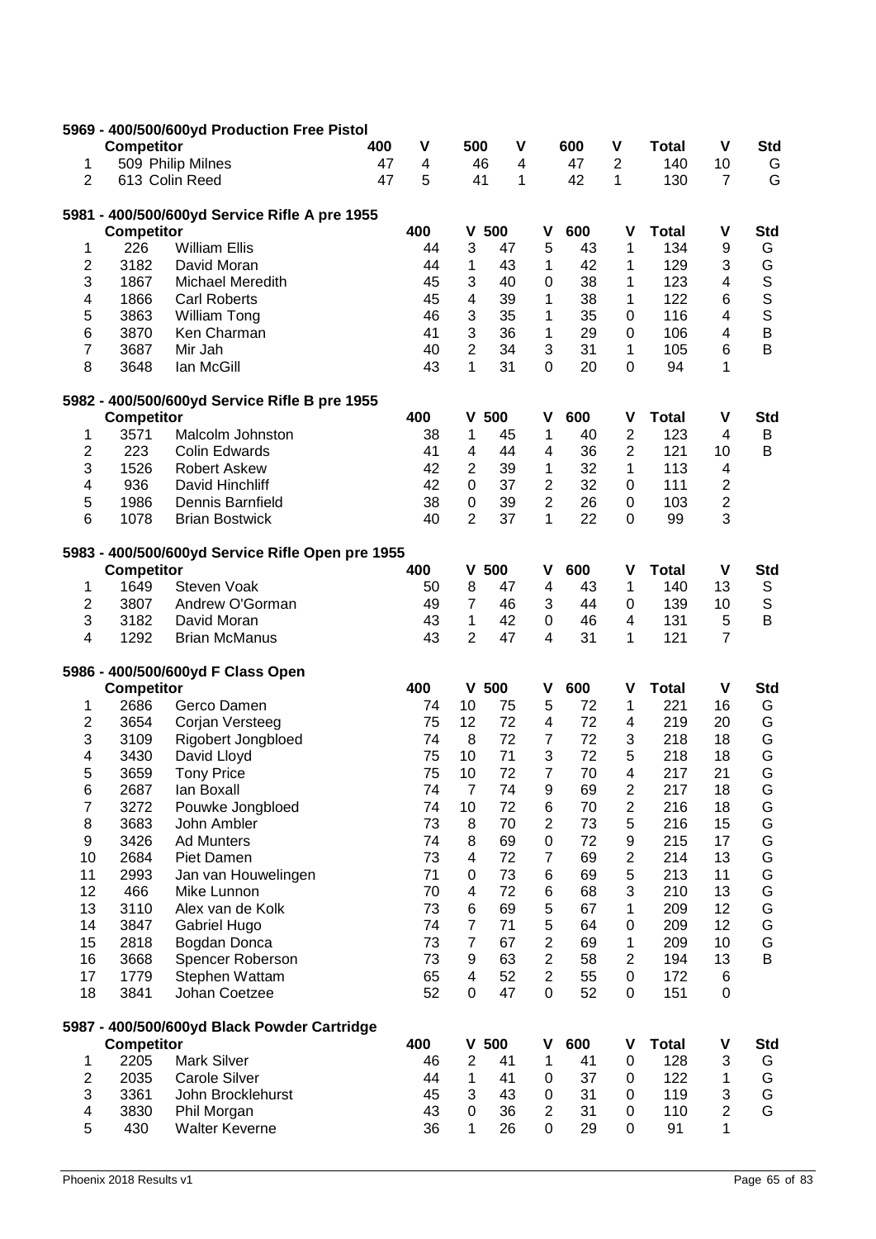|                |                   | 5969 - 400/500/600yd Production Free Pistol      |     |          |                         |          |                     |          |                |              |                |             |
|----------------|-------------------|--------------------------------------------------|-----|----------|-------------------------|----------|---------------------|----------|----------------|--------------|----------------|-------------|
|                | <b>Competitor</b> |                                                  | 400 | V        | 500                     | V        |                     | 600      | V              | <b>Total</b> | V              | <b>Std</b>  |
| 1              |                   | 509 Philip Milnes                                | 47  | 4        |                         | 46<br>4  |                     | 47       | $\mathbf{2}$   | 140          | 10             | G           |
| $\overline{2}$ |                   | 613 Colin Reed                                   | 47  | 5        | 41                      | 1        |                     | 42       | 1              | 130          | $\overline{7}$ | G           |
|                |                   | 5981 - 400/500/600yd Service Rifle A pre 1955    |     |          |                         |          |                     |          |                |              |                |             |
|                | <b>Competitor</b> |                                                  |     | 400      | V                       | 500      | ۷                   | 600      | ۷              | <b>Total</b> | V              | <b>Std</b>  |
| 1              | 226               | <b>William Ellis</b>                             |     | 44       | 3                       | 47       | 5                   | 43       | 1              | 134          | 9              | G           |
| 2              | 3182              | David Moran                                      |     | 44       | 1                       | 43       | 1                   | 42       | 1              | 129          | 3              | G           |
| 3              | 1867              | Michael Meredith                                 |     | 45       | 3                       | 40       | $\mathbf 0$         | 38       | 1              | 123          | $\overline{4}$ | $\mathbf S$ |
| 4              | 1866              | <b>Carl Roberts</b>                              |     | 45       | $\overline{\mathbf{4}}$ | 39       | 1                   | 38       | 1              | 122          | 6              | S           |
| 5              | 3863              | William Tong                                     |     | 46       | 3                       | 35       | 1                   | 35       | 0              | 116          | 4              | S           |
| 6              | 3870              | Ken Charman                                      |     | 41       | 3                       | 36       | 1                   | 29       | $\mathbf 0$    | 106          | 4              | $\sf B$     |
| 7              | 3687              | Mir Jah                                          |     | 40       | $\overline{2}$          | 34       | 3                   | 31       | 1              | 105          | 6              | B           |
| 8              | 3648              | Ian McGill                                       |     | 43       | 1                       | 31       | $\mathbf 0$         | 20       | $\mathbf 0$    | 94           | 1              |             |
|                |                   | 5982 - 400/500/600yd Service Rifle B pre 1955    |     |          |                         |          |                     |          |                |              |                |             |
|                | <b>Competitor</b> |                                                  |     | 400      | ۷                       | 500      | ٧                   | 600      | ۷              | <b>Total</b> | V              | <b>Std</b>  |
| 1              | 3571              | Malcolm Johnston                                 |     | 38       | 1                       | 45       | 1                   | 40       | $\overline{2}$ | 123          | 4              | B           |
| 2              | 223               | <b>Colin Edwards</b>                             |     | 41       | 4                       | 44       | 4                   | 36       | 2              | 121          | 10             | B           |
| 3              | 1526              | <b>Robert Askew</b>                              |     | 42       | $\overline{c}$          | 39       | 1                   | 32       | 1              | 113          | 4              |             |
| $\overline{4}$ | 936               | David Hinchliff                                  |     | 42       | $\mathbf 0$             | 37       | $\overline{2}$      | 32       | 0              | 111          | $\mathbf{2}$   |             |
| 5              | 1986              | Dennis Barnfield                                 |     | 38       | 0                       | 39       | $\overline{2}$      | 26       | 0              | 103          | $\overline{c}$ |             |
| 6              | 1078              | <b>Brian Bostwick</b>                            |     | 40       | $\overline{2}$          | 37       | 1                   | 22       | $\mathbf 0$    | 99           | 3              |             |
|                |                   | 5983 - 400/500/600yd Service Rifle Open pre 1955 |     |          |                         |          |                     |          |                |              |                |             |
|                | <b>Competitor</b> |                                                  |     | 400      | V                       | 500      | V                   | 600      | ۷              | <b>Total</b> | $\mathbf v$    | <b>Std</b>  |
| 1              | 1649              | Steven Voak                                      |     | 50       | 8                       | 47       | 4                   | 43       | 1              | 140          | 13             | $\mathbb S$ |
| $\overline{2}$ | 3807              | Andrew O'Gorman                                  |     | 49       | $\overline{7}$          | 46       | 3                   | 44       | 0              | 139          | 10             | $\mathsf S$ |
| 3              | 3182              | David Moran                                      |     | 43       | 1                       | 42       | 0                   | 46       | 4              | 131          | 5              | B           |
| 4              | 1292              | <b>Brian McManus</b>                             |     | 43       | $\overline{2}$          | 47       | 4                   | 31       | 1              | 121          | $\overline{7}$ |             |
|                |                   | 5986 - 400/500/600yd F Class Open                |     |          |                         |          |                     |          |                |              |                |             |
|                | <b>Competitor</b> |                                                  |     | 400      |                         | $V$ 500  | ۷                   | 600      | ٧              | <b>Total</b> | $\mathbf v$    | <b>Std</b>  |
| 1              | 2686              | Gerco Damen                                      |     | 74       | 10                      | 75       | 5                   | 72       | 1              | 221          | 16             | G           |
| $\overline{2}$ | 3654              | Corjan Versteeg                                  |     | 75       | 12                      | 72       | 4                   | 72       | 4              | 219          | 20             | G           |
| 3              | 3109              | <b>Rigobert Jongbloed</b>                        |     | 74       | 8                       | 72       | $\overline{7}$      | 72       | 3              | 218          | 18             | G           |
| 4              | 3430              | David Lloyd                                      |     | 75       | 10                      | 71       | 3                   | 72       | 5              | 218          | 18             | G           |
| 5              | 3659              | <b>Tony Price</b>                                |     | 75       | 10                      | 72       | $\overline{7}$      | 70       | 4              | 217          | 21             | G           |
| 6              | 2687              | lan Boxall                                       |     | 74       | $\overline{7}$          | 74       | 9                   | 69       | $\overline{c}$ | 217          | 18             | G           |
| 7              | 3272              | Pouwke Jongbloed                                 |     | 74       | 10                      | 72       | 6                   | 70       | $\overline{c}$ | 216          | 18             | G           |
| 8              | 3683              | John Ambler                                      |     | 73       | 8                       | 70       | $\overline{2}$      | 73       | 5              | 216          | 15             | G           |
| 9              | 3426              | <b>Ad Munters</b>                                |     | 74       | 8                       | 69       | 0                   | 72       | 9              | 215          | 17             | G           |
| 10             | 2684              | Piet Damen                                       |     | 73       | 4                       | 72       | 7                   | 69       | $\overline{c}$ | 214          | 13             | G           |
| 11             | 2993              | Jan van Houwelingen                              |     | 71       | 0                       | 73       | 6                   | 69       | 5              | 213          | 11             | G           |
| 12             | 466               | Mike Lunnon                                      |     | 70       | 4                       | 72       | 6                   | 68       | 3              | 210          | 13             | G           |
| 13             | 3110              | Alex van de Kolk                                 |     | 73       | 6                       | 69       | 5                   | 67       | 1              | 209          | 12             | G           |
| 14             | 3847              | Gabriel Hugo                                     |     | 74       | $\overline{7}$          | 71       | 5                   | 64       | 0              | 209          | 12             | G           |
| 15             | 2818              | Bogdan Donca                                     |     | 73       | $\overline{7}$          | 67       | $\overline{2}$      | 69       | 1              | 209          | 10             | G           |
|                |                   |                                                  |     |          |                         | 63       |                     | 58       | $\overline{2}$ |              | 13             | B           |
| 16             | 3668              | Spencer Roberson                                 |     | 73       | 9                       |          | $\overline{c}$      |          |                | 194          |                |             |
| 17<br>18       | 1779<br>3841      | Stephen Wattam<br>Johan Coetzee                  |     | 65<br>52 | 4<br>0                  | 52<br>47 | $\overline{2}$<br>0 | 55<br>52 | 0<br>0         | 172<br>151   | 6<br>0         |             |
|                |                   |                                                  |     |          |                         |          |                     |          |                |              |                |             |
|                | <b>Competitor</b> | 5987 - 400/500/600yd Black Powder Cartridge      |     | 400      | V                       | 500      | ٧                   | 600      | ۷              | <b>Total</b> | V              | <b>Std</b>  |
| 1              | 2205              | <b>Mark Silver</b>                               |     | 46       | $\overline{c}$          | 41       | 1                   | 41       | 0              | 128          | 3              | G           |
| 2              | 2035              | <b>Carole Silver</b>                             |     | 44       | 1                       | 41       | 0                   | 37       | 0              | 122          | 1              | G           |
| 3              | 3361              | John Brocklehurst                                |     | 45       | 3                       | 43       | 0                   | 31       | 0              | 119          | 3              | G           |
| 4              | 3830              | Phil Morgan                                      |     | 43       | 0                       | 36       | $\overline{2}$      | 31       | 0              | 110          | $\overline{c}$ | G           |
| 5              | 430               | <b>Walter Keverne</b>                            |     | 36       | $\mathbf 1$             | 26       | 0                   | 29       | 0              | 91           | $\mathbf{1}$   |             |
|                |                   |                                                  |     |          |                         |          |                     |          |                |              |                |             |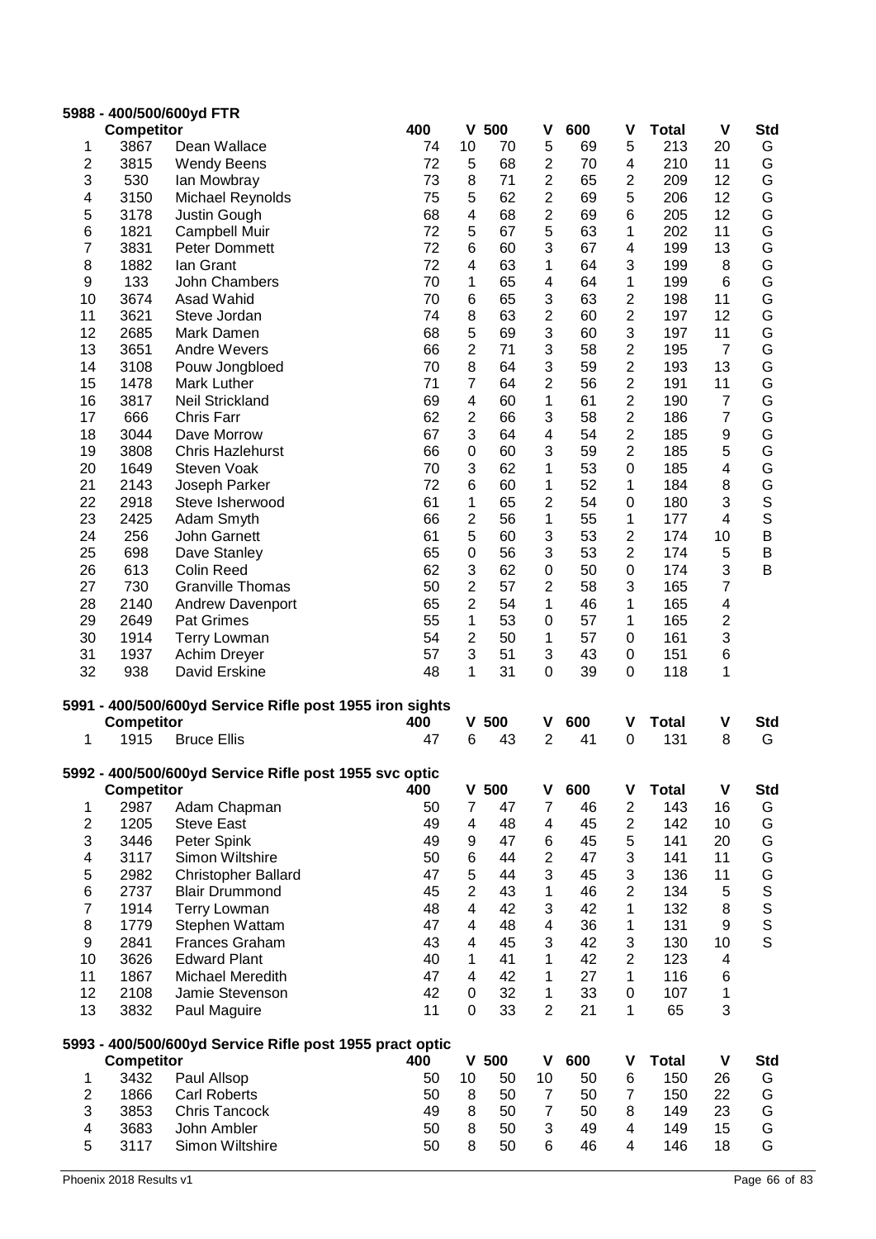|                  | <b>Competitor</b> | 5988 - 400/500/600yd FTR                                 | 400      | V                        | 500      | V                              | 600      | ۷                       | <b>Total</b> | V                       | <b>Std</b>       |
|------------------|-------------------|----------------------------------------------------------|----------|--------------------------|----------|--------------------------------|----------|-------------------------|--------------|-------------------------|------------------|
| 1                | 3867              | Dean Wallace                                             | 74       | 10                       | 70       | 5                              | 69       | 5                       | 213          | 20                      | G                |
| 2                | 3815              | <b>Wendy Beens</b>                                       | 72       | 5                        | 68       | 2                              | 70       | 4                       | 210          | 11                      | G                |
| 3                | 530               |                                                          | 73       | 8                        | 71       | $\overline{2}$                 | 65       | 2                       | 209          | 12                      | G                |
| 4                | 3150              | lan Mowbray<br>Michael Reynolds                          | 75       | 5                        | 62       | $\overline{2}$                 | 69       | 5                       | 206          | 12                      | G                |
| 5                | 3178              | Justin Gough                                             | 68       | 4                        | 68       | $\overline{c}$                 | 69       | 6                       | 205          | 12                      | G                |
| 6                | 1821              | Campbell Muir                                            | 72       | 5                        | 67       | 5                              | 63       | 1                       | 202          | 11                      | G                |
| 7                | 3831              | Peter Dommett                                            | 72       | 6                        | 60       | 3                              | 67       | 4                       | 199          | 13                      | G                |
| 8                | 1882              | Ian Grant                                                | 72       | 4                        | 63       | 1                              | 64       | 3                       | 199          | 8                       | G                |
| 9                | 133               | <b>John Chambers</b>                                     | 70       | 1                        | 65       | 4                              | 64       | 1                       | 199          | 6                       | G                |
| 10               | 3674              | Asad Wahid                                               | 70       | 6                        | 65       | 3                              | 63       | $\mathbf 2$             | 198          | 11                      | G                |
| 11               | 3621              | Steve Jordan                                             | 74       | 8                        | 63       | $\overline{2}$                 | 60       | $\overline{2}$          | 197          | 12                      | G                |
| 12               | 2685              | Mark Damen                                               | 68       | 5                        | 69       | 3                              | 60       | 3                       | 197          | 11                      | G                |
| 13               | 3651              | <b>Andre Wevers</b>                                      | 66       | 2                        | 71       | 3                              | 58       | 2                       | 195          | $\overline{7}$          | G                |
| 14               | 3108              | Pouw Jongbloed                                           | 70       | 8                        | 64       | 3                              | 59       | $\overline{2}$          | 193          | 13                      | G                |
| 15               | 1478              | Mark Luther                                              | 71       | $\overline{7}$           | 64       | $\overline{2}$                 | 56       | 2                       | 191          | 11                      | G                |
| 16               | 3817              | Neil Strickland                                          | 69       | $\overline{\mathcal{A}}$ | 60       | $\mathbf 1$                    | 61       | $\overline{2}$          | 190          | 7                       | G                |
| 17               | 666               | Chris Farr                                               | 62       | $\overline{2}$           | 66       | 3                              | 58       | $\overline{2}$          | 186          | $\overline{7}$          | G                |
| 18               | 3044              | Dave Morrow                                              | 67       | 3                        | 64       | 4                              | 54       | $\overline{2}$          | 185          | 9                       | G                |
| 19               | 3808              | <b>Chris Hazlehurst</b>                                  | 66       | $\boldsymbol{0}$         | 60       | 3                              | 59       | $\overline{2}$          | 185          | 5                       | G                |
| 20               | 1649              | Steven Voak                                              | 70       | 3                        | 62       | 1                              | 53       | 0                       | 185          | 4                       | G                |
| 21               | 2143              | Joseph Parker                                            | 72       | 6                        | 60       | 1                              | 52       | 1                       | 184          | 8                       | G                |
| 22               | 2918              | Steve Isherwood                                          | 61       | 1                        | 65       | $\overline{2}$                 | 54       | 0                       | 180          | 3                       | S                |
| 23               | 2425              | Adam Smyth                                               | 66       | $\overline{c}$           | 56       | 1                              | 55       | 1                       | 177          | 4                       | S                |
| 24               | 256               | John Garnett                                             | 61       | 5                        | 60       | 3                              | 53       | 2                       | 174          | 10                      | $\sf B$          |
| 25               | 698               | Dave Stanley                                             | 65       | 0                        | 56       | 3                              | 53       | $\overline{2}$          | 174          | 5                       | B                |
| 26               | 613               | <b>Colin Reed</b>                                        | 62       | 3                        | 62       | 0                              | 50       | $\mathbf 0$             | 174          | 3                       | B                |
| 27               | 730               | <b>Granville Thomas</b>                                  | 50       | $\overline{2}$           | 57       | $\overline{2}$                 | 58       | 3                       | 165          | $\overline{7}$          |                  |
| 28               | 2140              | <b>Andrew Davenport</b>                                  | 65       | $\overline{c}$           | 54       | $\mathbf{1}$                   | 46       | 1                       | 165          | $\overline{\mathbf{4}}$ |                  |
| 29               | 2649              | Pat Grimes                                               | 55       | $\mathbf{1}$             | 53       | $\mathbf 0$                    | 57       | 1                       | 165          | $\overline{\mathbf{c}}$ |                  |
| 30               | 1914              | <b>Terry Lowman</b>                                      | 54       | $\overline{2}$           | 50       | 1                              | 57       | 0                       | 161          | 3                       |                  |
| 31               | 1937              | Achim Dreyer                                             | 57       | 3                        | 51       | 3                              | 43       | 0                       | 151          | 6                       |                  |
| 32               | 938               | David Erskine                                            | 48       | 1                        | 31       | 0                              | 39       | 0                       | 118          | 1                       |                  |
|                  |                   | 5991 - 400/500/600yd Service Rifle post 1955 iron sights |          |                          |          |                                |          |                         |              |                         |                  |
|                  | <b>Competitor</b> |                                                          | 400      |                          | $V$ 500  | ۷                              | 600      | ۷                       | <b>Total</b> | V                       | <b>Std</b>       |
| 1                | 1915              | <b>Bruce Ellis</b>                                       | 47       | 6                        | 43       | $\overline{2}$                 | 41       | 0                       | 131          | 8                       | G                |
|                  |                   | 5992 - 400/500/600yd Service Rifle post 1955 svc optic   |          |                          |          |                                |          |                         |              |                         |                  |
|                  | <b>Competitor</b> |                                                          | 400      |                          | $V$ 500  | ۷                              | 600      | ٧                       | <b>Total</b> | $\pmb{\mathsf{V}}$      | <b>Std</b>       |
| 1                | 2987              | Adam Chapman                                             | 50       | $\overline{7}$           | 47       | $\overline{7}$                 | 46       | $\overline{c}$          | 143          | 16                      | G                |
| $\boldsymbol{2}$ | 1205              | <b>Steve East</b>                                        | 49       | 4                        | 48       | 4                              | 45       | $\overline{\mathbf{c}}$ | 142          | 10                      | G                |
| 3                | 3446              | Peter Spink                                              | 49       | 9                        | 47       | 6                              | 45       | 5                       | 141          | 20                      | G                |
| 4                | 3117              | Simon Wiltshire                                          | 50       | 6                        | 44       | $\overline{2}$                 | 47       | 3                       | 141          | 11                      | G                |
| 5                | 2982              | <b>Christopher Ballard</b>                               | 47       | 5                        | 44       | 3                              | 45       | 3                       | 136          | 11                      | G                |
| 6                | 2737              | <b>Blair Drummond</b>                                    | 45       | $\overline{2}$           | 43       | 1                              | 46       | $\overline{2}$          | 134          | 5                       |                  |
| $\boldsymbol{7}$ | 1914              | <b>Terry Lowman</b>                                      | 48       | 4                        | 42       | 3                              | 42       | 1                       | 132          | 8                       |                  |
| 8                | 1779              | Stephen Wattam                                           | 47       | 4                        | 48       | 4                              | 36       | 1                       | 131          | 9                       | S<br>S<br>S<br>S |
| 9                | 2841              | <b>Frances Graham</b>                                    | 43       | 4                        | 45       | 3                              | 42       | 3                       | 130          | 10                      |                  |
| 10               | 3626              | <b>Edward Plant</b>                                      | 40       | 1                        | 41       | 1                              | 42       | $\overline{2}$          | 123          | 4                       |                  |
| 11               | 1867              | Michael Meredith                                         | 47       | 4                        | 42       | 1                              | 27       | 1                       | 116          | 6                       |                  |
| 12<br>13         | 2108              | Jamie Stevenson                                          | 42<br>11 | 0<br>$\mathbf 0$         | 32<br>33 | $\mathbf{1}$<br>$\overline{2}$ | 33<br>21 | $\mathbf 0$<br>1        | 107<br>65    | $\mathbf{1}$<br>3       |                  |
|                  | 3832              | Paul Maguire                                             |          |                          |          |                                |          |                         |              |                         |                  |
|                  | <b>Competitor</b> | 5993 - 400/500/600yd Service Rifle post 1955 pract optic | 400      |                          | $V$ 500  | $\mathbf v$                    | 600      | ۷                       | <b>Total</b> | $\pmb{\mathsf{V}}$      | <b>Std</b>       |
| 1                | 3432              | Paul Allsop                                              | 50       | 10                       | 50       | 10                             | 50       | $\,6$                   | 150          | 26                      | G                |
| $\mathbf{2}$     | 1866              | <b>Carl Roberts</b>                                      | 50       | 8                        | 50       | $\overline{7}$                 | 50       | $\overline{7}$          | 150          | 22                      | G                |
| 3                | 3853              | Chris Tancock                                            | 49       | 8                        | 50       | $\overline{7}$                 | 50       | 8                       | 149          | 23                      | G                |
| 4                |                   |                                                          |          |                          |          |                                |          |                         |              |                         |                  |
|                  |                   |                                                          |          |                          |          |                                | 49       | 4                       |              |                         |                  |
| 5                | 3683<br>3117      | John Ambler<br>Simon Wiltshire                           | 50<br>50 | 8<br>8                   | 50<br>50 | 3<br>6                         | 46       | 4                       | 149<br>146   | 15<br>18                | G<br>G           |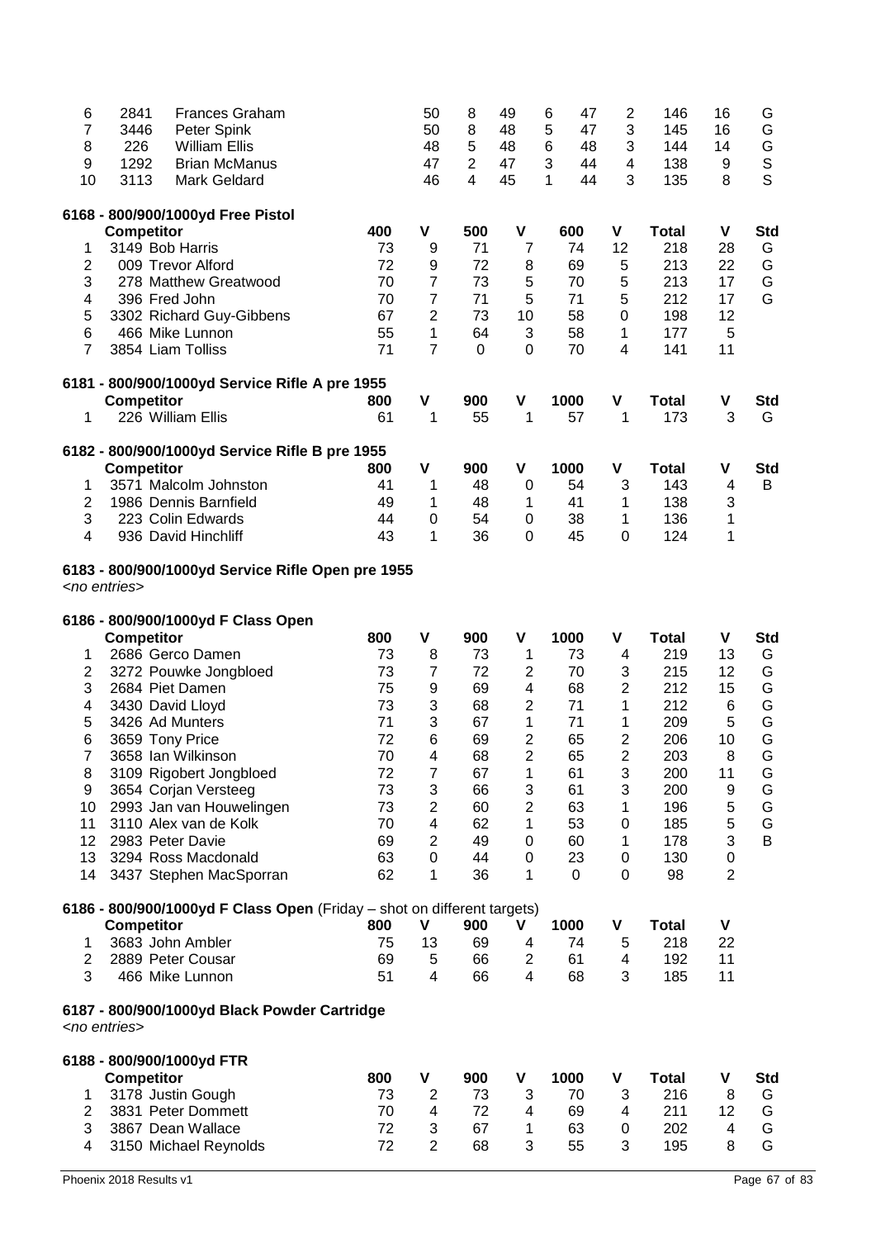| 6<br>7<br>8<br>9<br>10 | 2841<br>3446<br>226<br>1292<br>3113 | <b>Frances Graham</b><br>Peter Spink<br><b>William Ellis</b><br><b>Brian McManus</b><br><b>Mark Geldard</b> |          | 50<br>50<br>48<br>47<br>46 | 8<br>8<br>5<br>$\overline{2}$<br>$\overline{4}$ | 49<br>48<br>48<br>47<br>45 | 6<br>47<br>5<br>47<br>6<br>48<br>3<br>44<br>1<br>44 | $\overline{c}$<br>3<br>3<br>4<br>3 | 146<br>145<br>144<br>138<br>135 | 16<br>16<br>14<br>9<br>8 | G<br>G<br>G<br>$\mathsf S$<br>$\mathsf{S}$ |
|------------------------|-------------------------------------|-------------------------------------------------------------------------------------------------------------|----------|----------------------------|-------------------------------------------------|----------------------------|-----------------------------------------------------|------------------------------------|---------------------------------|--------------------------|--------------------------------------------|
|                        |                                     | 6168 - 800/900/1000yd Free Pistol                                                                           |          |                            |                                                 |                            |                                                     |                                    |                                 |                          |                                            |
|                        | <b>Competitor</b>                   |                                                                                                             | 400      | V                          | 500                                             | V                          | 600                                                 | ۷                                  | <b>Total</b>                    | $\mathbf v$              | <b>Std</b>                                 |
| 1                      | 3149 Bob Harris                     |                                                                                                             | 73       | 9                          | 71                                              | $\overline{7}$             | 74                                                  | 12                                 | 218                             | 28                       | G                                          |
| $\overline{2}$<br>3    |                                     | 009 Trevor Alford<br>278 Matthew Greatwood                                                                  | 72<br>70 | 9<br>$\overline{7}$        | 72<br>73                                        | 8<br>5                     | 69<br>70                                            | 5<br>5                             | 213<br>213                      | 22<br>17                 | G<br>G                                     |
| 4                      | 396 Fred John                       |                                                                                                             | 70       | $\overline{7}$             | 71                                              | 5                          | 71                                                  | 5                                  | 212                             | 17                       | G                                          |
| 5                      |                                     | 3302 Richard Guy-Gibbens                                                                                    | 67       | $\overline{2}$             | 73                                              | 10                         | 58                                                  | 0                                  | 198                             | 12                       |                                            |
| 6                      |                                     | 466 Mike Lunnon                                                                                             | 55       | $\mathbf{1}$               | 64                                              | 3                          | 58                                                  | 1                                  | 177                             | 5                        |                                            |
| $\overline{7}$         |                                     | 3854 Liam Tolliss                                                                                           | 71       | $\overline{7}$             | 0                                               | 0                          | 70                                                  | 4                                  | 141                             | 11                       |                                            |
|                        |                                     | 6181 - 800/900/1000yd Service Rifle A pre 1955                                                              |          |                            |                                                 |                            |                                                     |                                    |                                 |                          |                                            |
|                        | <b>Competitor</b>                   |                                                                                                             | 800      | V                          | 900                                             | V                          | 1000                                                | V                                  | <b>Total</b>                    | V                        | <b>Std</b>                                 |
| 1                      |                                     | 226 William Ellis                                                                                           | 61       | 1                          | 55                                              | 1                          | 57                                                  | 1                                  | 173                             | 3                        | G                                          |
|                        |                                     | 6182 - 800/900/1000yd Service Rifle B pre 1955                                                              |          |                            |                                                 |                            |                                                     |                                    |                                 |                          |                                            |
|                        | <b>Competitor</b>                   |                                                                                                             | 800      | $\mathbf v$                | 900                                             | $\mathbf v$                | 1000                                                | V                                  | <b>Total</b>                    | V                        | <b>Std</b>                                 |
| 1                      |                                     | 3571 Malcolm Johnston                                                                                       | 41       | 1                          | 48                                              | 0                          | 54                                                  | 3                                  | 143                             | 4                        | B                                          |
| $\overline{c}$<br>3    |                                     | 1986 Dennis Barnfield<br>223 Colin Edwards                                                                  | 49<br>44 | 1<br>$\mathbf 0$           | 48<br>54                                        | 1<br>0                     | 41<br>38                                            | 1<br>1                             | 138<br>136                      | 3<br>1                   |                                            |
| 4                      |                                     | 936 David Hinchliff                                                                                         | 43       | $\mathbf{1}$               | 36                                              | 0                          | 45                                                  | 0                                  | 124                             | 1                        |                                            |
|                        | <no entries=""></no>                | 6183 - 800/900/1000yd Service Rifle Open pre 1955<br>6186 - 800/900/1000yd F Class Open                     |          |                            |                                                 |                            |                                                     |                                    |                                 |                          |                                            |
|                        | <b>Competitor</b>                   |                                                                                                             | 800      | $\mathbf v$                | 900                                             | V                          | 1000                                                | V                                  | <b>Total</b>                    | $\mathbf v$              | <b>Std</b>                                 |
| 1<br>2                 |                                     | 2686 Gerco Damen<br>3272 Pouwke Jongbloed                                                                   | 73<br>73 | 8<br>$\overline{7}$        | 73<br>72                                        | 1<br>$\overline{c}$        | 73<br>70                                            | 4<br>3                             | 219<br>215                      | 13<br>12                 | G<br>G                                     |
| 3                      | 2684 Piet Damen                     |                                                                                                             | 75       | 9                          | 69                                              | 4                          | 68                                                  | $\overline{2}$                     | 212                             | 15                       | G                                          |
| 4                      | 3430 David Lloyd                    |                                                                                                             | 73       | 3                          | 68                                              | $\overline{c}$             | 71                                                  | 1                                  | 212                             | 6                        | G                                          |
| 5                      | 3426 Ad Munters                     |                                                                                                             | 71       | 3                          | 67                                              | 1                          | 71                                                  | 1                                  | 209                             | 5                        | G                                          |
| 6                      | 3659 Tony Price                     |                                                                                                             | 72       | 6                          | 69                                              | $\overline{c}$             | 65                                                  | $\overline{c}$                     | 206                             | 10                       | G                                          |
| $\overline{7}$         |                                     | 3658 Ian Wilkinson                                                                                          | 70       | 4                          | 68                                              | $\overline{2}$             | 65                                                  | $\overline{2}$                     | 203                             | 8                        | G                                          |
| 8                      |                                     | 3109 Rigobert Jongbloed                                                                                     | 72       | $\overline{7}$             | 67                                              | 1                          | 61                                                  | 3                                  | 200                             | 11                       | G                                          |
| 9<br>10                |                                     | 3654 Corjan Versteeg<br>2993 Jan van Houwelingen                                                            | 73<br>73 | 3<br>$\overline{c}$        | 66<br>60                                        | 3<br>$\overline{c}$        | 61<br>63                                            | 3<br>1                             | 200<br>196                      | 9<br>5                   | G<br>G                                     |
| 11                     |                                     | 3110 Alex van de Kolk                                                                                       | 70       | 4                          | 62                                              | 1                          | 53                                                  | 0                                  | 185                             | 5                        | G                                          |
| 12                     | 2983 Peter Davie                    |                                                                                                             | 69       | $\overline{2}$             | 49                                              | 0                          | 60                                                  | 1                                  | 178                             | 3                        | B                                          |
| 13                     |                                     | 3294 Ross Macdonald                                                                                         | 63       | $\mathbf 0$                | 44                                              | 0                          | 23                                                  | 0                                  | 130                             | $\pmb{0}$                |                                            |
| 14                     |                                     | 3437 Stephen MacSporran                                                                                     | 62       | 1                          | 36                                              | 1                          | 0                                                   | 0                                  | 98                              | $\overline{c}$           |                                            |
|                        |                                     | 6186 - 800/900/1000yd F Class Open (Friday - shot on different targets)                                     |          |                            |                                                 |                            |                                                     |                                    |                                 |                          |                                            |
|                        | Competitor                          |                                                                                                             | 800      | V                          | 900                                             | V                          | 1000                                                | V                                  | <b>Total</b>                    | V                        |                                            |
| 1<br>$\overline{c}$    |                                     | 3683 John Ambler<br>2889 Peter Cousar                                                                       | 75<br>69 | 13<br>5                    | 69<br>66                                        | 4<br>2                     | 74<br>61                                            | 5<br>4                             | 218<br>192                      | 22<br>11                 |                                            |
| 3                      |                                     | 466 Mike Lunnon                                                                                             | 51       | 4                          | 66                                              | 4                          | 68                                                  | 3                                  | 185                             | 11                       |                                            |
|                        | <no entries=""></no>                | 6187 - 800/900/1000yd Black Powder Cartridge                                                                |          |                            |                                                 |                            |                                                     |                                    |                                 |                          |                                            |
|                        | <b>Competitor</b>                   | 6188 - 800/900/1000yd FTR                                                                                   | 800      | V                          | 900                                             | V                          | 1000                                                | V                                  | <b>Total</b>                    | V                        | <b>Std</b>                                 |
| 1                      | 3178 Justin Gough                   |                                                                                                             | 73       | $\overline{\mathbf{c}}$    | 73                                              | 3                          | 70                                                  | 3                                  | 216                             | 8                        | G                                          |
|                        |                                     |                                                                                                             |          |                            |                                                 |                            |                                                     |                                    |                                 |                          |                                            |
| 2                      |                                     | 3831 Peter Dommett                                                                                          | 70       | 4                          | 72                                              | 4                          | 69                                                  | 4                                  | 211                             | 12                       |                                            |
| 3                      |                                     | 3867 Dean Wallace                                                                                           | 72       | 3                          | 67                                              | 1                          | 63                                                  | 0                                  | 202                             | $\overline{\mathbf{4}}$  | G<br>G<br>G                                |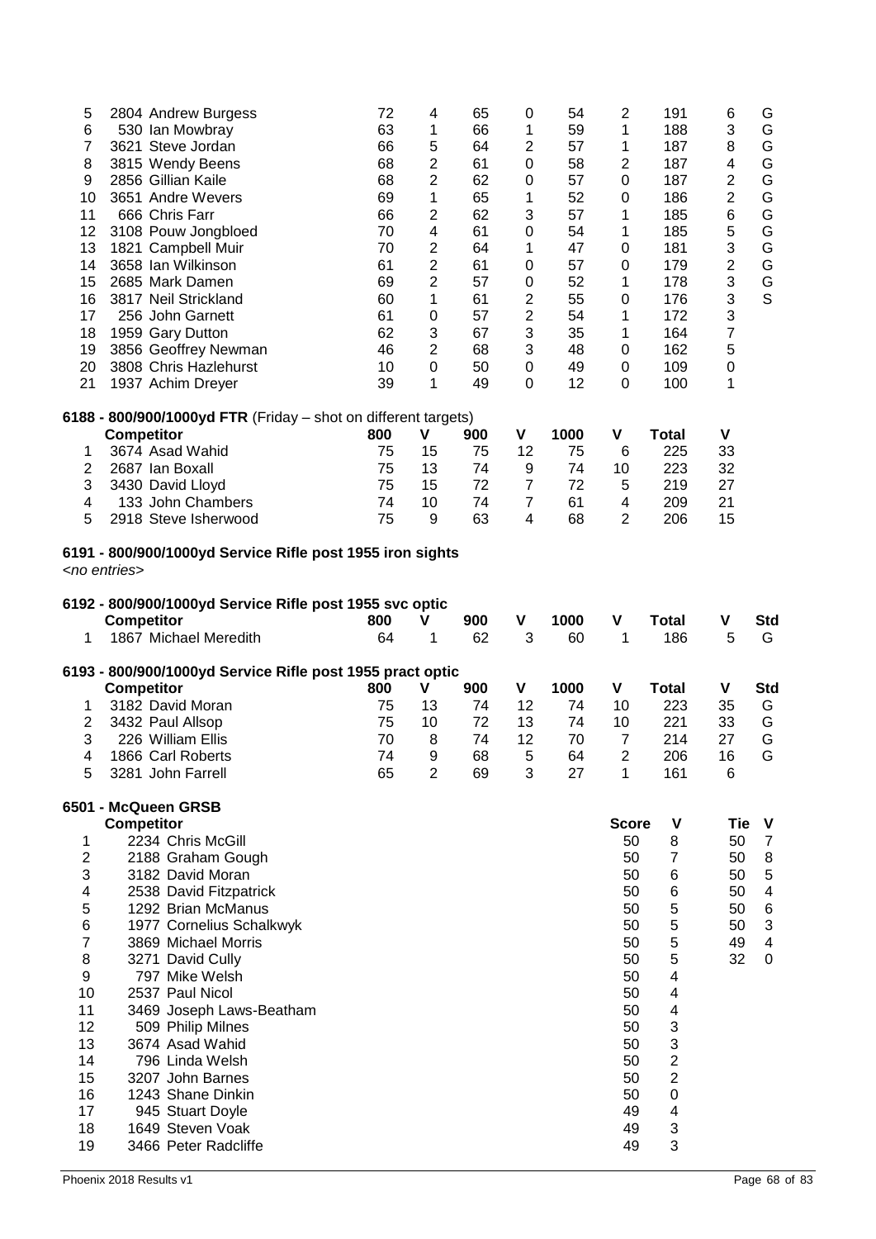| 5<br>6<br>$\overline{7}$<br>8<br>9<br>10<br>11<br>12<br>13<br>14<br>15<br>16<br>17<br>18<br>19<br>20<br>21 | 2804 Andrew Burgess<br>530 Ian Mowbray<br>3621 Steve Jordan<br>3815 Wendy Beens<br>2856 Gillian Kaile<br>3651 Andre Wevers<br>666 Chris Farr<br>3108 Pouw Jongbloed<br>1821 Campbell Muir<br>3658 Ian Wilkinson<br>2685 Mark Damen<br>3817 Neil Strickland<br>256 John Garnett<br>1959 Gary Dutton<br>3856 Geoffrey Newman<br>3808 Chris Hazlehurst<br>1937 Achim Dreyer | 72<br>63<br>66<br>68<br>68<br>69<br>66<br>70<br>70<br>61<br>69<br>60<br>61<br>62<br>46<br>10<br>39 | 4<br>1<br>5<br>$\overline{c}$<br>$\overline{c}$<br>1<br>$\mathbf{2}$<br>4<br>$\overline{c}$<br>$\mathbf{2}$<br>$\overline{c}$<br>1<br>$\mathbf 0$<br>3<br>$\overline{2}$<br>$\boldsymbol{0}$<br>1 | 65<br>66<br>64<br>61<br>62<br>65<br>62<br>61<br>64<br>61<br>57<br>61<br>57<br>67<br>68<br>50<br>49 | 0<br>1<br>$\overline{\mathbf{c}}$<br>0<br>0<br>1<br>3<br>0<br>1<br>0<br>0<br>$\overline{\mathbf{c}}$<br>$\overline{\mathbf{c}}$<br>3<br>3<br>$\mathbf 0$<br>$\boldsymbol{0}$ | 54<br>59<br>57<br>58<br>57<br>52<br>57<br>54<br>47<br>57<br>52<br>55<br>54<br>35<br>48<br>49<br>12 | 2<br>1<br>1<br>$\boldsymbol{2}$<br>$\pmb{0}$<br>$\mathbf 0$<br>$\mathbf 1$<br>1<br>0<br>0<br>1<br>$\mathbf 0$<br>1<br>1<br>$\pmb{0}$<br>$\pmb{0}$<br>$\boldsymbol{0}$ | 191<br>188<br>187<br>187<br>187<br>186<br>185<br>185<br>181<br>179<br>178<br>176<br>172<br>164<br>162<br>109<br>100 | 6<br>3<br>8<br>$\overline{\mathbf{4}}$<br>$\overline{\mathbf{c}}$<br>$\mathbf{2}$<br>6<br>5<br>3<br>$\overline{c}$<br>3<br>3<br>3<br>$\overline{7}$<br>5<br>$\pmb{0}$<br>1 | G<br>G<br>G<br>G<br>G<br>G<br>G<br>G<br>G<br>G<br>$^\mathsf{G}_\mathsf{S}$ |
|------------------------------------------------------------------------------------------------------------|--------------------------------------------------------------------------------------------------------------------------------------------------------------------------------------------------------------------------------------------------------------------------------------------------------------------------------------------------------------------------|----------------------------------------------------------------------------------------------------|---------------------------------------------------------------------------------------------------------------------------------------------------------------------------------------------------|----------------------------------------------------------------------------------------------------|------------------------------------------------------------------------------------------------------------------------------------------------------------------------------|----------------------------------------------------------------------------------------------------|-----------------------------------------------------------------------------------------------------------------------------------------------------------------------|---------------------------------------------------------------------------------------------------------------------|----------------------------------------------------------------------------------------------------------------------------------------------------------------------------|----------------------------------------------------------------------------|
|                                                                                                            | 6188 - 800/900/1000yd FTR (Friday - shot on different targets)                                                                                                                                                                                                                                                                                                           |                                                                                                    |                                                                                                                                                                                                   |                                                                                                    |                                                                                                                                                                              |                                                                                                    |                                                                                                                                                                       |                                                                                                                     | V                                                                                                                                                                          |                                                                            |
| 1                                                                                                          | <b>Competitor</b><br>3674 Asad Wahid                                                                                                                                                                                                                                                                                                                                     | 800<br>75                                                                                          | V<br>15                                                                                                                                                                                           | 900<br>75                                                                                          | V<br>12                                                                                                                                                                      | 1000<br>75                                                                                         | V<br>6                                                                                                                                                                | <b>Total</b><br>225                                                                                                 | 33                                                                                                                                                                         |                                                                            |
| $\mathbf{2}$                                                                                               | 2687 Ian Boxall                                                                                                                                                                                                                                                                                                                                                          | 75                                                                                                 | 13                                                                                                                                                                                                | 74                                                                                                 | 9                                                                                                                                                                            | 74                                                                                                 | 10                                                                                                                                                                    | 223                                                                                                                 | 32                                                                                                                                                                         |                                                                            |
| 3                                                                                                          | 3430 David Lloyd                                                                                                                                                                                                                                                                                                                                                         | 75                                                                                                 | 15                                                                                                                                                                                                | 72                                                                                                 | $\overline{7}$                                                                                                                                                               | 72                                                                                                 | 5                                                                                                                                                                     | 219                                                                                                                 | 27                                                                                                                                                                         |                                                                            |
| 4                                                                                                          | 133 John Chambers                                                                                                                                                                                                                                                                                                                                                        | 74                                                                                                 | 10                                                                                                                                                                                                | 74                                                                                                 | $\overline{7}$                                                                                                                                                               | 61                                                                                                 | 4                                                                                                                                                                     | 209                                                                                                                 | 21                                                                                                                                                                         |                                                                            |
| 5                                                                                                          | 2918 Steve Isherwood                                                                                                                                                                                                                                                                                                                                                     | 75                                                                                                 | 9                                                                                                                                                                                                 | 63                                                                                                 | 4                                                                                                                                                                            | 68                                                                                                 | 2                                                                                                                                                                     | 206                                                                                                                 | 15                                                                                                                                                                         |                                                                            |
|                                                                                                            | 6191 - 800/900/1000yd Service Rifle post 1955 iron sights<br><no entries=""></no>                                                                                                                                                                                                                                                                                        |                                                                                                    |                                                                                                                                                                                                   |                                                                                                    |                                                                                                                                                                              |                                                                                                    |                                                                                                                                                                       |                                                                                                                     |                                                                                                                                                                            |                                                                            |
|                                                                                                            | 6192 - 800/900/1000yd Service Rifle post 1955 svc optic<br><b>Competitor</b>                                                                                                                                                                                                                                                                                             | 800                                                                                                | V                                                                                                                                                                                                 | 900                                                                                                | V                                                                                                                                                                            | 1000                                                                                               | $\pmb{\mathsf{V}}$                                                                                                                                                    | <b>Total</b>                                                                                                        | ٧                                                                                                                                                                          | <b>Std</b>                                                                 |
| 1                                                                                                          | 1867 Michael Meredith                                                                                                                                                                                                                                                                                                                                                    | 64                                                                                                 | 1                                                                                                                                                                                                 | 62                                                                                                 | 3                                                                                                                                                                            | 60                                                                                                 | 1                                                                                                                                                                     | 186                                                                                                                 | 5                                                                                                                                                                          | G                                                                          |
|                                                                                                            | 6193 - 800/900/1000yd Service Rifle post 1955 pract optic                                                                                                                                                                                                                                                                                                                |                                                                                                    |                                                                                                                                                                                                   |                                                                                                    |                                                                                                                                                                              |                                                                                                    |                                                                                                                                                                       |                                                                                                                     |                                                                                                                                                                            |                                                                            |
|                                                                                                            | <b>Competitor</b>                                                                                                                                                                                                                                                                                                                                                        | 800                                                                                                | V                                                                                                                                                                                                 | 900                                                                                                | V                                                                                                                                                                            | 1000                                                                                               | V                                                                                                                                                                     | <b>Total</b>                                                                                                        | ۷                                                                                                                                                                          | <b>Std</b>                                                                 |
| 1                                                                                                          | 3182 David Moran                                                                                                                                                                                                                                                                                                                                                         | 75                                                                                                 | 13                                                                                                                                                                                                | 74                                                                                                 | 12                                                                                                                                                                           | 74                                                                                                 | 10                                                                                                                                                                    | 223                                                                                                                 | 35                                                                                                                                                                         | G                                                                          |
| $\overline{\mathbf{c}}$                                                                                    | 3432 Paul Allsop                                                                                                                                                                                                                                                                                                                                                         | 75                                                                                                 | 10                                                                                                                                                                                                | 72<br>74                                                                                           | 13                                                                                                                                                                           | 74                                                                                                 | 10                                                                                                                                                                    | 221                                                                                                                 | 33                                                                                                                                                                         | G<br>G                                                                     |
| 3<br>4                                                                                                     | 226 William Ellis<br>1866 Carl Roberts                                                                                                                                                                                                                                                                                                                                   | 70<br>74                                                                                           | 8<br>9                                                                                                                                                                                            | 68                                                                                                 | 12<br>5                                                                                                                                                                      | 70<br>64                                                                                           | $\boldsymbol{7}$<br>$\overline{2}$                                                                                                                                    | 214<br>206                                                                                                          | 27<br>16                                                                                                                                                                   | G                                                                          |
| 5                                                                                                          | 3281 John Farrell                                                                                                                                                                                                                                                                                                                                                        | 65                                                                                                 | $\overline{2}$                                                                                                                                                                                    | 69                                                                                                 | 3                                                                                                                                                                            | 27                                                                                                 | 1                                                                                                                                                                     | 161                                                                                                                 | 6                                                                                                                                                                          |                                                                            |
|                                                                                                            | 6501 - McQueen GRSB                                                                                                                                                                                                                                                                                                                                                      |                                                                                                    |                                                                                                                                                                                                   |                                                                                                    |                                                                                                                                                                              |                                                                                                    |                                                                                                                                                                       |                                                                                                                     |                                                                                                                                                                            |                                                                            |
|                                                                                                            | <b>Competitor</b>                                                                                                                                                                                                                                                                                                                                                        |                                                                                                    |                                                                                                                                                                                                   |                                                                                                    |                                                                                                                                                                              |                                                                                                    | <b>Score</b>                                                                                                                                                          | $\pmb{\mathsf{V}}$                                                                                                  | <b>Tie</b>                                                                                                                                                                 | V                                                                          |
|                                                                                                            |                                                                                                                                                                                                                                                                                                                                                                          |                                                                                                    |                                                                                                                                                                                                   |                                                                                                    |                                                                                                                                                                              |                                                                                                    |                                                                                                                                                                       |                                                                                                                     |                                                                                                                                                                            |                                                                            |
| 1                                                                                                          | 2234 Chris McGill                                                                                                                                                                                                                                                                                                                                                        |                                                                                                    |                                                                                                                                                                                                   |                                                                                                    |                                                                                                                                                                              |                                                                                                    | 50                                                                                                                                                                    |                                                                                                                     | 50                                                                                                                                                                         |                                                                            |
| $\mathbf{2}$                                                                                               | 2188 Graham Gough                                                                                                                                                                                                                                                                                                                                                        |                                                                                                    |                                                                                                                                                                                                   |                                                                                                    |                                                                                                                                                                              |                                                                                                    | 50                                                                                                                                                                    | 8<br>$\overline{7}$                                                                                                 | 50                                                                                                                                                                         | $\boldsymbol{7}$<br>8                                                      |
| 3                                                                                                          | 3182 David Moran                                                                                                                                                                                                                                                                                                                                                         |                                                                                                    |                                                                                                                                                                                                   |                                                                                                    |                                                                                                                                                                              |                                                                                                    | 50                                                                                                                                                                    | 6                                                                                                                   | 50                                                                                                                                                                         | $\,$ 5 $\,$                                                                |
| 4                                                                                                          | 2538 David Fitzpatrick                                                                                                                                                                                                                                                                                                                                                   |                                                                                                    |                                                                                                                                                                                                   |                                                                                                    |                                                                                                                                                                              |                                                                                                    | 50                                                                                                                                                                    | 6                                                                                                                   | 50                                                                                                                                                                         | $\overline{\mathcal{A}}$                                                   |
| $\mathbf 5$                                                                                                | 1292 Brian McManus                                                                                                                                                                                                                                                                                                                                                       |                                                                                                    |                                                                                                                                                                                                   |                                                                                                    |                                                                                                                                                                              |                                                                                                    | 50                                                                                                                                                                    | 5                                                                                                                   | 50                                                                                                                                                                         | $\,6$                                                                      |
| $\,6$                                                                                                      | 1977 Cornelius Schalkwyk                                                                                                                                                                                                                                                                                                                                                 |                                                                                                    |                                                                                                                                                                                                   |                                                                                                    |                                                                                                                                                                              |                                                                                                    | 50                                                                                                                                                                    | 5                                                                                                                   | 50                                                                                                                                                                         | $\ensuremath{\mathsf{3}}$                                                  |
| $\overline{\mathbf{7}}$                                                                                    | 3869 Michael Morris                                                                                                                                                                                                                                                                                                                                                      |                                                                                                    |                                                                                                                                                                                                   |                                                                                                    |                                                                                                                                                                              |                                                                                                    | 50                                                                                                                                                                    | 5                                                                                                                   | 49                                                                                                                                                                         | $\overline{\mathbf{4}}$                                                    |
| 8                                                                                                          | 3271 David Cully                                                                                                                                                                                                                                                                                                                                                         |                                                                                                    |                                                                                                                                                                                                   |                                                                                                    |                                                                                                                                                                              |                                                                                                    | 50                                                                                                                                                                    | 5                                                                                                                   | 32                                                                                                                                                                         | $\pmb{0}$                                                                  |
| 9<br>10                                                                                                    | 797 Mike Welsh<br>2537 Paul Nicol                                                                                                                                                                                                                                                                                                                                        |                                                                                                    |                                                                                                                                                                                                   |                                                                                                    |                                                                                                                                                                              |                                                                                                    | 50<br>50                                                                                                                                                              | $\overline{\mathbf{4}}$<br>$\overline{\mathbf{4}}$                                                                  |                                                                                                                                                                            |                                                                            |
| 11                                                                                                         | 3469 Joseph Laws-Beatham                                                                                                                                                                                                                                                                                                                                                 |                                                                                                    |                                                                                                                                                                                                   |                                                                                                    |                                                                                                                                                                              |                                                                                                    | 50                                                                                                                                                                    | 4                                                                                                                   |                                                                                                                                                                            |                                                                            |
| 12                                                                                                         | 509 Philip Milnes                                                                                                                                                                                                                                                                                                                                                        |                                                                                                    |                                                                                                                                                                                                   |                                                                                                    |                                                                                                                                                                              |                                                                                                    | 50                                                                                                                                                                    | 3                                                                                                                   |                                                                                                                                                                            |                                                                            |
| 13                                                                                                         | 3674 Asad Wahid                                                                                                                                                                                                                                                                                                                                                          |                                                                                                    |                                                                                                                                                                                                   |                                                                                                    |                                                                                                                                                                              |                                                                                                    | 50                                                                                                                                                                    | 3                                                                                                                   |                                                                                                                                                                            |                                                                            |
| 14                                                                                                         | 796 Linda Welsh                                                                                                                                                                                                                                                                                                                                                          |                                                                                                    |                                                                                                                                                                                                   |                                                                                                    |                                                                                                                                                                              |                                                                                                    | 50                                                                                                                                                                    | $\mathbf 2$                                                                                                         |                                                                                                                                                                            |                                                                            |
| 15                                                                                                         | 3207 John Barnes                                                                                                                                                                                                                                                                                                                                                         |                                                                                                    |                                                                                                                                                                                                   |                                                                                                    |                                                                                                                                                                              |                                                                                                    | 50                                                                                                                                                                    | $\overline{2}$                                                                                                      |                                                                                                                                                                            |                                                                            |
| 16                                                                                                         | 1243 Shane Dinkin                                                                                                                                                                                                                                                                                                                                                        |                                                                                                    |                                                                                                                                                                                                   |                                                                                                    |                                                                                                                                                                              |                                                                                                    | 50                                                                                                                                                                    | 0                                                                                                                   |                                                                                                                                                                            |                                                                            |
| 17<br>18                                                                                                   | 945 Stuart Doyle<br>1649 Steven Voak                                                                                                                                                                                                                                                                                                                                     |                                                                                                    |                                                                                                                                                                                                   |                                                                                                    |                                                                                                                                                                              |                                                                                                    | 49<br>49                                                                                                                                                              | 4<br>3                                                                                                              |                                                                                                                                                                            |                                                                            |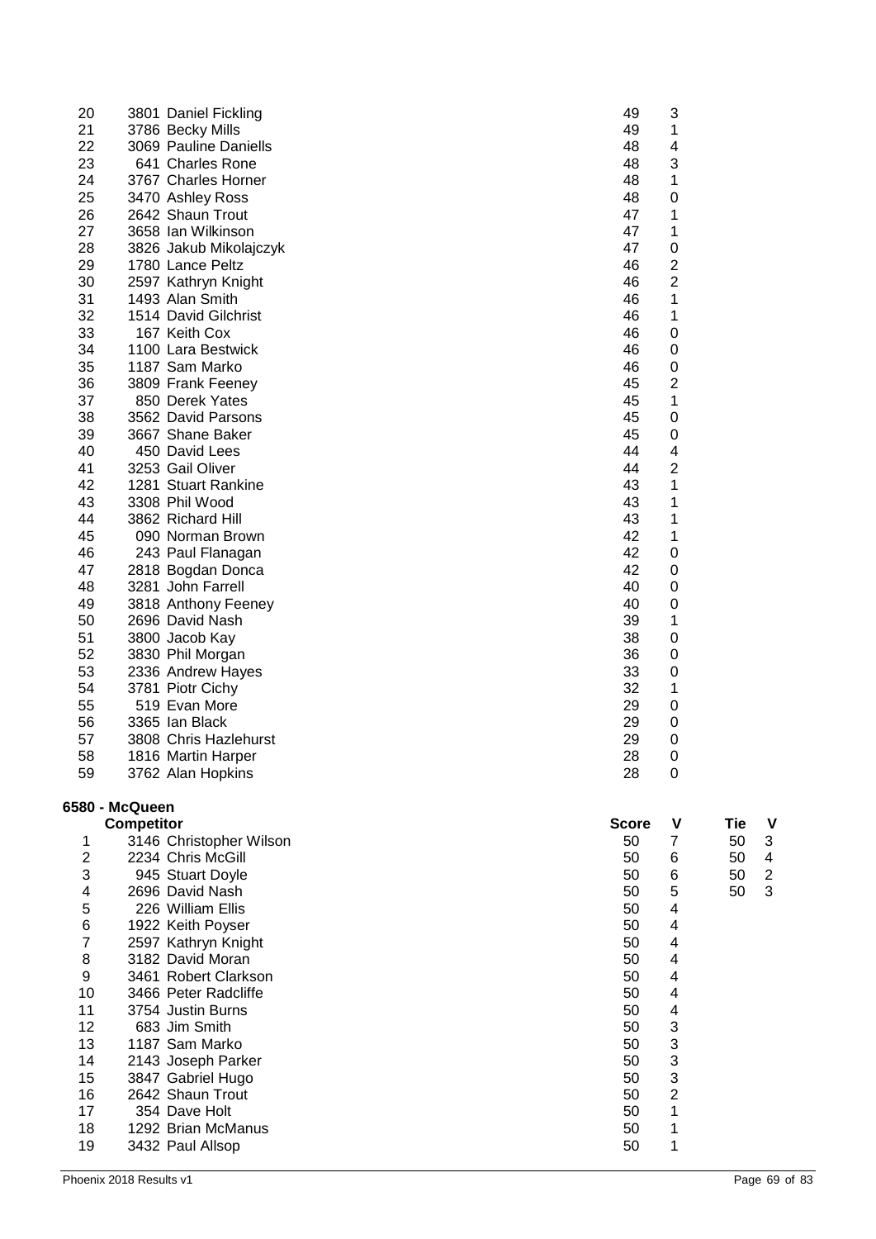| 20             |                   | 3801 Daniel Fickling    | 49           | 3                       |                                 |
|----------------|-------------------|-------------------------|--------------|-------------------------|---------------------------------|
| 21             |                   | 3786 Becky Mills        | 49           | 1                       |                                 |
| 22             |                   | 3069 Pauline Daniells   | 48           | 4                       |                                 |
| 23             |                   | 641 Charles Rone        | 48           | 3                       |                                 |
| 24             |                   | 3767 Charles Horner     | 48           | 1                       |                                 |
| 25             |                   | 3470 Ashley Ross        | 48           | $\mathbf 0$             |                                 |
| 26             |                   | 2642 Shaun Trout        | 47           | 1                       |                                 |
| 27             |                   | 3658 Ian Wilkinson      | 47           | 1                       |                                 |
| 28             |                   | 3826 Jakub Mikolajczyk  | 47           | $\mathbf 0$             |                                 |
| 29             |                   | 1780 Lance Peltz        | 46           | 2                       |                                 |
| 30             |                   | 2597 Kathryn Knight     | 46           | 2                       |                                 |
| 31             |                   | 1493 Alan Smith         | 46           | 1                       |                                 |
| 32             |                   | 1514 David Gilchrist    | 46           | 1                       |                                 |
| 33             |                   | 167 Keith Cox           | 46           | 0                       |                                 |
| 34             |                   | 1100 Lara Bestwick      | 46           | 0                       |                                 |
| 35             |                   | 1187 Sam Marko          | 46           | 0                       |                                 |
| 36             |                   | 3809 Frank Feeney       | 45           | $\overline{2}$          |                                 |
| 37             |                   | 850 Derek Yates         | 45           | 1                       |                                 |
| 38             |                   | 3562 David Parsons      | 45           | 0                       |                                 |
| 39             |                   | 3667 Shane Baker        | 45           | 0                       |                                 |
| 40             |                   | 450 David Lees          | 44           | $\overline{\mathbf{4}}$ |                                 |
| 41             |                   | 3253 Gail Oliver        | 44           | 2                       |                                 |
| 42             |                   | 1281 Stuart Rankine     | 43           | 1                       |                                 |
|                |                   |                         |              |                         |                                 |
| 43             |                   | 3308 Phil Wood          | 43           | 1                       |                                 |
| 44             |                   | 3862 Richard Hill       | 43           | 1                       |                                 |
| 45             |                   | 090 Norman Brown        | 42           | 1                       |                                 |
| 46             |                   | 243 Paul Flanagan       | 42           | 0                       |                                 |
| 47             |                   | 2818 Bogdan Donca       | 42           | 0                       |                                 |
| 48             |                   | 3281 John Farrell       | 40           | 0                       |                                 |
| 49             |                   | 3818 Anthony Feeney     | 40           | 0                       |                                 |
| 50             |                   | 2696 David Nash         | 39           | 1                       |                                 |
| 51             |                   | 3800 Jacob Kay          | 38           | $\mathbf 0$             |                                 |
| 52             |                   | 3830 Phil Morgan        | 36           | 0                       |                                 |
| 53             |                   | 2336 Andrew Hayes       | 33           | $\mathbf 0$             |                                 |
| 54             |                   | 3781 Piotr Cichy        | 32           | 1                       |                                 |
| 55             |                   | 519 Evan More           | 29           | $\mathbf 0$             |                                 |
| 56             |                   | 3365 Ian Black          | 29           | 0                       |                                 |
| 57             |                   | 3808 Chris Hazlehurst   | 29           | 0                       |                                 |
| 58             |                   | 1816 Martin Harper      | 28           | 0                       |                                 |
| 59             |                   | 3762 Alan Hopkins       | 28           | $\boldsymbol{0}$        |                                 |
|                | 6580 - McQueen    |                         |              |                         |                                 |
|                | <b>Competitor</b> |                         | <b>Score</b> | V                       | <b>Tie</b><br>V                 |
| 1              |                   | 3146 Christopher Wilson | 50           | $\overline{7}$          | $\ensuremath{\mathsf{3}}$<br>50 |
| $\overline{2}$ |                   | 2234 Chris McGill       | 50           | 6                       | $\overline{\mathbf{4}}$<br>50   |
| 3              |                   | 945 Stuart Doyle        | 50           | 6                       | $\boldsymbol{2}$<br>50          |
| 4              |                   | 2696 David Nash         | 50           | 5                       | $\sqrt{3}$<br>50                |
| 5              |                   | 226 William Ellis       | 50           | $\overline{\mathbf{4}}$ |                                 |
| 6              |                   | 1922 Keith Poyser       | 50           | 4                       |                                 |
| $\overline{7}$ |                   | 2597 Kathryn Knight     | 50           | 4                       |                                 |
| 8              |                   | 3182 David Moran        | 50           | $\overline{\mathbf{4}}$ |                                 |
| 9              |                   | 3461 Robert Clarkson    | 50           | 4                       |                                 |
| 10             |                   | 3466 Peter Radcliffe    | 50           | 4                       |                                 |
| 11             |                   | 3754 Justin Burns       | 50           | $\overline{\mathbf{4}}$ |                                 |
| 12             |                   | 683 Jim Smith           | 50           | 3                       |                                 |
| 13             |                   | 1187 Sam Marko          | 50           | 3                       |                                 |
| 14             |                   | 2143 Joseph Parker      | 50           | 3                       |                                 |
| 15             |                   | 3847 Gabriel Hugo       | 50           | 3                       |                                 |
| 16             |                   | 2642 Shaun Trout        | 50           | $\overline{2}$          |                                 |
| 17             |                   | 354 Dave Holt           | 50           | 1                       |                                 |
| 18             |                   | 1292 Brian McManus      | 50           | 1                       |                                 |
| 19             |                   | 3432 Paul Allsop        | 50           | 1                       |                                 |
|                |                   |                         |              |                         |                                 |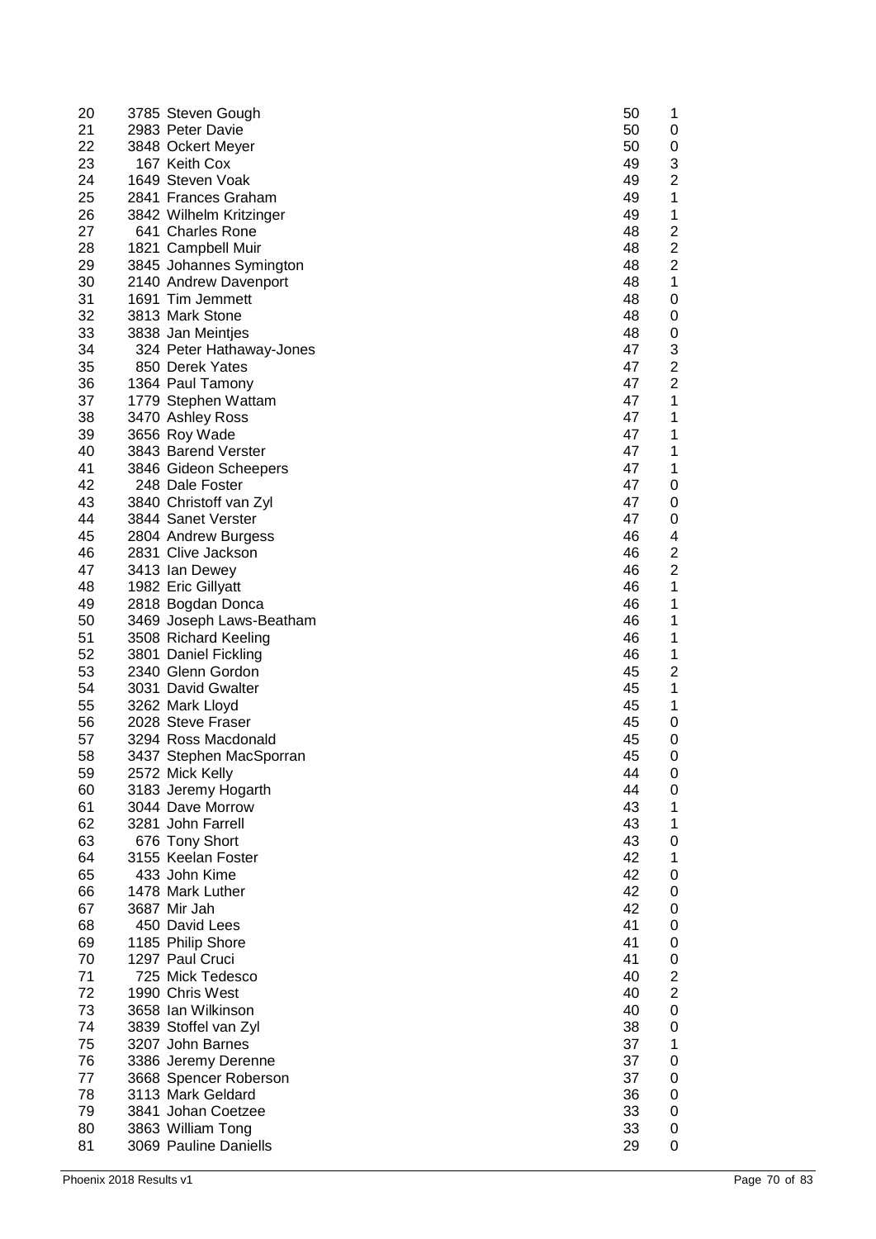| 20 | 3785 Steven Gough        | 50 | 1                       |
|----|--------------------------|----|-------------------------|
| 21 | 2983 Peter Davie         | 50 | 0                       |
| 22 | 3848 Ockert Meyer        | 50 | 0                       |
| 23 | 167 Keith Cox            | 49 | 3                       |
| 24 | 1649 Steven Voak         | 49 | $\overline{\mathbf{c}}$ |
| 25 | 2841 Frances Graham      | 49 | 1                       |
| 26 | 3842 Wilhelm Kritzinger  | 49 | 1                       |
| 27 | 641 Charles Rone         | 48 | $\overline{c}$          |
| 28 | 1821 Campbell Muir       | 48 | 2                       |
| 29 | 3845 Johannes Symington  | 48 | 2                       |
| 30 | 2140 Andrew Davenport    | 48 | 1                       |
| 31 | 1691 Tim Jemmett         | 48 | 0                       |
| 32 | 3813 Mark Stone          | 48 | 0                       |
| 33 | 3838 Jan Meintjes        | 48 | 0                       |
| 34 | 324 Peter Hathaway-Jones | 47 | 3                       |
| 35 | 850 Derek Yates          | 47 | $\boldsymbol{2}$        |
| 36 | 1364 Paul Tamony         | 47 | $\overline{\mathbf{c}}$ |
| 37 | 1779 Stephen Wattam      | 47 | 1                       |
| 38 | 3470 Ashley Ross         | 47 | 1                       |
| 39 | 3656 Roy Wade            | 47 | 1                       |
| 40 | 3843 Barend Verster      | 47 | 1                       |
| 41 | 3846 Gideon Scheepers    | 47 | 1                       |
| 42 | 248 Dale Foster          | 47 | 0                       |
| 43 | 3840 Christoff van Zyl   | 47 | 0                       |
| 44 | 3844 Sanet Verster       | 47 | 0                       |
| 45 | 2804 Andrew Burgess      | 46 | 4                       |
| 46 | 2831 Clive Jackson       | 46 | $\overline{\mathbf{c}}$ |
| 47 | 3413 Ian Dewey           | 46 | $\overline{\mathbf{c}}$ |
| 48 | 1982 Eric Gillyatt       | 46 | 1                       |
| 49 | 2818 Bogdan Donca        | 46 | 1                       |
| 50 | 3469 Joseph Laws-Beatham | 46 | 1                       |
| 51 | 3508 Richard Keeling     | 46 | 1                       |
| 52 | 3801 Daniel Fickling     | 46 | 1                       |
| 53 | 2340 Glenn Gordon        | 45 | 2                       |
| 54 | 3031 David Gwalter       | 45 | 1                       |
| 55 | 3262 Mark Lloyd          | 45 | 1                       |
| 56 | 2028 Steve Fraser        | 45 | 0                       |
| 57 | 3294 Ross Macdonald      | 45 | 0                       |
| 58 | 3437 Stephen MacSporran  | 45 | $\mathbf 0$             |
| 59 | 2572 Mick Kelly          | 44 | 0                       |
| 60 | 3183 Jeremy Hogarth      | 44 | 0                       |
| 61 | 3044 Dave Morrow         | 43 | 1                       |
| 62 | 3281 John Farrell        | 43 | 1                       |
| 63 | 676 Tony Short           | 43 | $\pmb{0}$               |
| 64 | 3155 Keelan Foster       | 42 | 1                       |
| 65 | 433 John Kime            | 42 | 0                       |
| 66 | 1478 Mark Luther         | 42 | 0                       |
| 67 | 3687 Mir Jah             | 42 | $\pmb{0}$               |
| 68 | 450 David Lees           | 41 | $\pmb{0}$               |
| 69 | 1185 Philip Shore        | 41 | $\pmb{0}$               |
| 70 | 1297 Paul Cruci          | 41 | $\mathbf 0$             |
| 71 | 725 Mick Tedesco         | 40 | $\overline{\mathbf{c}}$ |
| 72 | 1990 Chris West          | 40 | $\overline{c}$          |
| 73 | 3658 Ian Wilkinson       | 40 | $\pmb{0}$               |
| 74 | 3839 Stoffel van Zyl     | 38 | $\mathbf 0$             |
| 75 | 3207 John Barnes         | 37 | 1                       |
| 76 | 3386 Jeremy Derenne      | 37 | 0                       |
| 77 | 3668 Spencer Roberson    | 37 | 0                       |
| 78 | 3113 Mark Geldard        | 36 | 0                       |
| 79 | 3841 Johan Coetzee       | 33 | $\pmb{0}$               |
| 80 | 3863 William Tong        | 33 | 0                       |
| 81 | 3069 Pauline Daniells    | 29 | 0                       |
|    |                          |    |                         |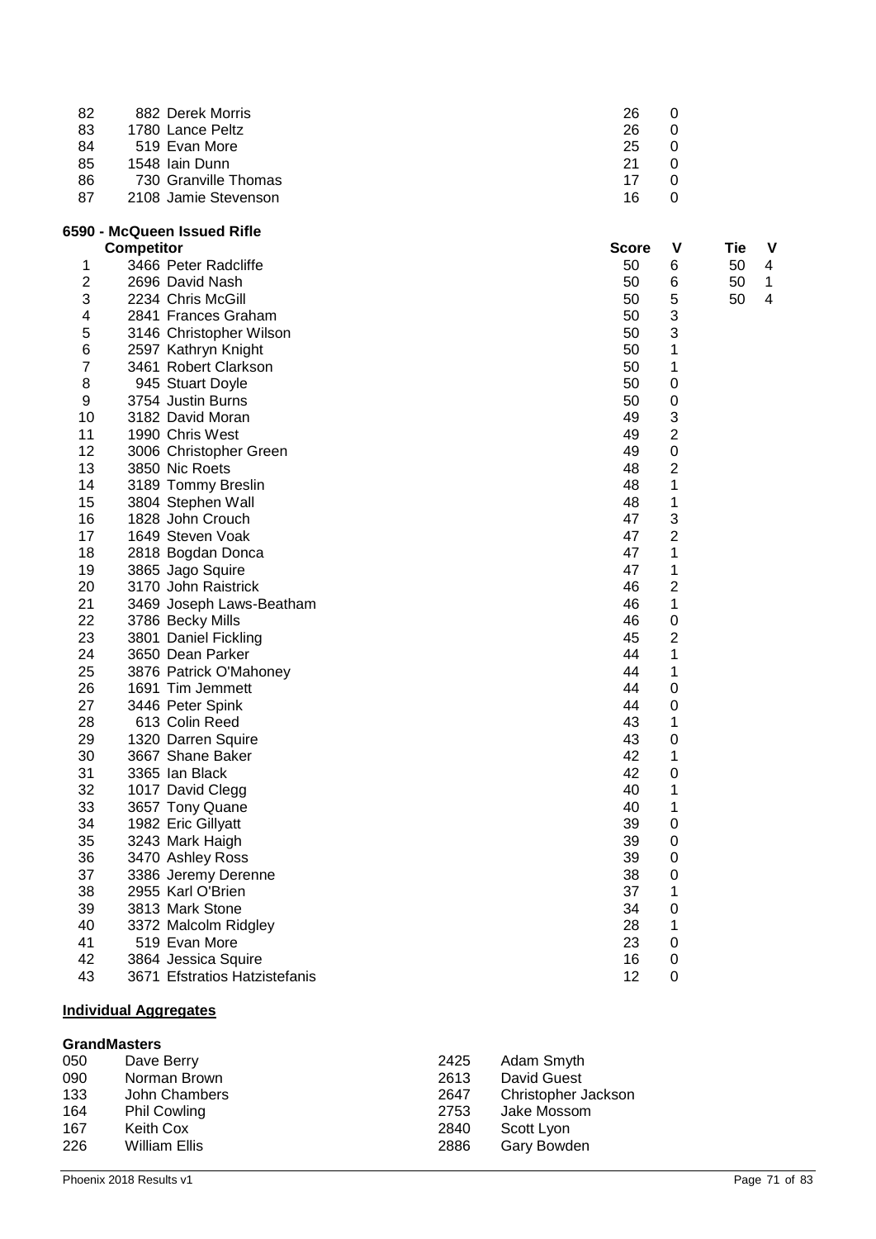| 82 | 882 Derek Morris     | 26 |  |
|----|----------------------|----|--|
| 83 | 1780 Lance Peltz     | 26 |  |
| 84 | 519 Evan More        | 25 |  |
| 85 | 1548 Iain Dunn       | 21 |  |
| 86 | 730 Granville Thomas | 17 |  |
| 87 | 2108 Jamie Stevenson | 16 |  |

## **6590 - McQueen Issued Rifle**

|                | <b>Competitor</b>             | Score | ۷               | Tie | V |
|----------------|-------------------------------|-------|-----------------|-----|---|
| 1              | 3466 Peter Radcliffe          | 50    | 6               | 50  | 4 |
| $\overline{2}$ | 2696 David Nash               | 50    | $6\phantom{1}6$ | 50  | 1 |
| 3              | 2234 Chris McGill             | 50    | 5               | 50  | 4 |
| 4              | 2841 Frances Graham           | 50    | 3               |     |   |
| 5              | 3146 Christopher Wilson       | 50    | 3               |     |   |
| 6              | 2597 Kathryn Knight           | 50    | 1               |     |   |
| $\overline{7}$ | 3461 Robert Clarkson          | 50    | 1               |     |   |
| 8              | 945 Stuart Doyle              | 50    | 0               |     |   |
| 9              | 3754 Justin Burns             | 50    | 0               |     |   |
| 10             | 3182 David Moran              | 49    | 3               |     |   |
| 11             | 1990 Chris West               | 49    | 2               |     |   |
| 12             | 3006 Christopher Green        | 49    | $\mathbf 0$     |     |   |
| 13             | 3850 Nic Roets                | 48    | $\overline{2}$  |     |   |
| 14             | 3189 Tommy Breslin            | 48    | 1               |     |   |
| 15             | 3804 Stephen Wall             | 48    | 1               |     |   |
| 16             | 1828 John Crouch              | 47    | 3               |     |   |
| 17             | 1649 Steven Voak              | 47    | $\overline{2}$  |     |   |
| 18             | 2818 Bogdan Donca             | 47    | 1               |     |   |
| 19             | 3865 Jago Squire              | 47    | 1               |     |   |
| 20             | 3170 John Raistrick           | 46    | $\overline{2}$  |     |   |
| 21             | 3469 Joseph Laws-Beatham      | 46    | 1               |     |   |
| 22             | 3786 Becky Mills              | 46    | $\mathbf 0$     |     |   |
| 23             | 3801 Daniel Fickling          | 45    | 2               |     |   |
| 24             | 3650 Dean Parker              | 44    | 1               |     |   |
| 25             | 3876 Patrick O'Mahoney        | 44    | 1               |     |   |
| 26             | 1691 Tim Jemmett              | 44    | $\mathbf 0$     |     |   |
| 27             | 3446 Peter Spink              | 44    | $\mathbf 0$     |     |   |
| 28             | 613 Colin Reed                | 43    | 1               |     |   |
| 29             | 1320 Darren Squire            | 43    | $\mathbf 0$     |     |   |
| 30             | 3667 Shane Baker              | 42    | 1               |     |   |
| 31             | 3365 Ian Black                | 42    | 0               |     |   |
| 32             | 1017 David Clegg              | 40    | 1               |     |   |
| 33             | 3657 Tony Quane               | 40    | 1               |     |   |
| 34             | 1982 Eric Gillyatt            | 39    | $\mathbf 0$     |     |   |
| 35             | 3243 Mark Haigh               | 39    | $\mathbf 0$     |     |   |
| 36             | 3470 Ashley Ross              | 39    | $\mathbf 0$     |     |   |
| 37             | 3386 Jeremy Derenne           | 38    | $\mathbf 0$     |     |   |
| 38             | 2955 Karl O'Brien             | 37    | 1               |     |   |
| 39             | 3813 Mark Stone               | 34    | 0               |     |   |
| 40             | 3372 Malcolm Ridgley          | 28    | 1               |     |   |
| 41             | 519 Evan More                 | 23    | $\mathbf 0$     |     |   |
| 42             | 3864 Jessica Squire           | 16    | $\mathbf 0$     |     |   |
| 43             | 3671 Efstratios Hatzistefanis | 12    | 0               |     |   |

## **Individual Aggregates**

## **GrandMasters**

| 050 | Dave Berry          | 2425 | Adam Smyth          |
|-----|---------------------|------|---------------------|
| 090 | Norman Brown        | 2613 | David Guest         |
| 133 | John Chambers       | 2647 | Christopher Jackson |
| 164 | <b>Phil Cowling</b> | 2753 | Jake Mossom         |
| 167 | Keith Cox           | 2840 | Scott Lyon          |
| 226 | William Ellis       | 2886 | Gary Bowden         |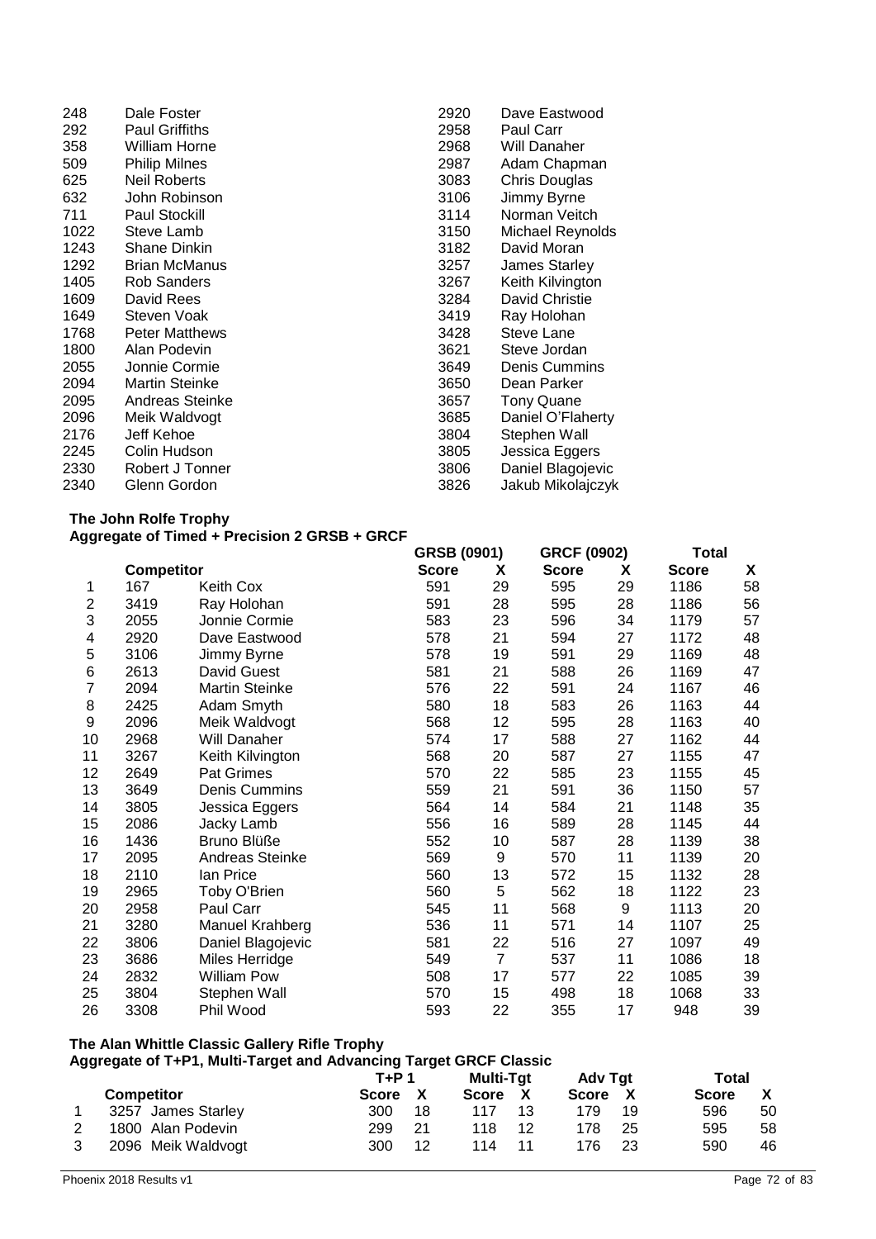| 248  | Dale Foster           | 2920 | Dave Eastwood     |
|------|-----------------------|------|-------------------|
| 292  | <b>Paul Griffiths</b> | 2958 | Paul Carr         |
| 358  | William Horne         | 2968 | Will Danaher      |
| 509  | <b>Philip Milnes</b>  | 2987 | Adam Chapman      |
| 625  | <b>Neil Roberts</b>   | 3083 | Chris Douglas     |
| 632  | John Robinson         | 3106 | Jimmy Byrne       |
| 711  | <b>Paul Stockill</b>  | 3114 | Norman Veitch     |
| 1022 | Steve Lamb            | 3150 | Michael Reynolds  |
| 1243 | <b>Shane Dinkin</b>   | 3182 | David Moran       |
| 1292 | <b>Brian McManus</b>  | 3257 | James Starley     |
| 1405 | <b>Rob Sanders</b>    | 3267 | Keith Kilvington  |
| 1609 | David Rees            | 3284 | David Christie    |
| 1649 | Steven Voak           | 3419 | Ray Holohan       |
| 1768 | <b>Peter Matthews</b> | 3428 | Steve Lane        |
| 1800 | Alan Podevin          | 3621 | Steve Jordan      |
| 2055 | Jonnie Cormie         | 3649 | Denis Cummins     |
| 2094 | <b>Martin Steinke</b> | 3650 | Dean Parker       |
| 2095 | Andreas Steinke       | 3657 | <b>Tony Quane</b> |
| 2096 | Meik Waldvogt         | 3685 | Daniel O'Flaherty |
| 2176 | Jeff Kehoe            | 3804 | Stephen Wall      |
| 2245 | Colin Hudson          | 3805 | Jessica Eggers    |
| 2330 | Robert J Tonner       | 3806 | Daniel Blagojevic |
| 2340 | Glenn Gordon          | 3826 | Jakub Mikolajczyk |

#### **The John Rolfe Trophy Aggregate of Timed + Precision 2 GRSB + GRCF**

|                |            |                       | GRSB (0901)  | <b>GRCF (0902)</b> |              | <b>Total</b> |              |    |
|----------------|------------|-----------------------|--------------|--------------------|--------------|--------------|--------------|----|
|                | Competitor |                       | <b>Score</b> | X                  | <b>Score</b> | X            | <b>Score</b> | X  |
| 1              | 167        | Keith Cox             | 591          | 29                 | 595          | 29           | 1186         | 58 |
| 2              | 3419       | Ray Holohan           | 591          | 28                 | 595          | 28           | 1186         | 56 |
| 3              | 2055       | Jonnie Cormie         | 583          | 23                 | 596          | 34           | 1179         | 57 |
| 4              | 2920       | Dave Eastwood         | 578          | 21                 | 594          | 27           | 1172         | 48 |
| 5              | 3106       | Jimmy Byrne           | 578          | 19                 | 591          | 29           | 1169         | 48 |
| 6              | 2613       | David Guest           | 581          | 21                 | 588          | 26           | 1169         | 47 |
| $\overline{7}$ | 2094       | <b>Martin Steinke</b> | 576          | 22                 | 591          | 24           | 1167         | 46 |
| 8              | 2425       | Adam Smyth            | 580          | 18                 | 583          | 26           | 1163         | 44 |
| 9              | 2096       | Meik Waldvogt         | 568          | 12                 | 595          | 28           | 1163         | 40 |
| 10             | 2968       | Will Danaher          | 574          | 17                 | 588          | 27           | 1162         | 44 |
| 11             | 3267       | Keith Kilvington      | 568          | 20                 | 587          | 27           | 1155         | 47 |
| 12             | 2649       | Pat Grimes            | 570          | 22                 | 585          | 23           | 1155         | 45 |
| 13             | 3649       | Denis Cummins         | 559          | 21                 | 591          | 36           | 1150         | 57 |
| 14             | 3805       | Jessica Eggers        | 564          | 14                 | 584          | 21           | 1148         | 35 |
| 15             | 2086       | Jacky Lamb            | 556          | 16                 | 589          | 28           | 1145         | 44 |
| 16             | 1436       | Bruno Blüße           | 552          | 10                 | 587          | 28           | 1139         | 38 |
| 17             | 2095       | Andreas Steinke       | 569          | 9                  | 570          | 11           | 1139         | 20 |
| 18             | 2110       | lan Price             | 560          | 13                 | 572          | 15           | 1132         | 28 |
| 19             | 2965       | Toby O'Brien          | 560          | $\mathbf 5$        | 562          | 18           | 1122         | 23 |
| 20             | 2958       | Paul Carr             | 545          | 11                 | 568          | 9            | 1113         | 20 |
| 21             | 3280       | Manuel Krahberg       | 536          | 11                 | 571          | 14           | 1107         | 25 |
| 22             | 3806       | Daniel Blagojevic     | 581          | 22                 | 516          | 27           | 1097         | 49 |
| 23             | 3686       | Miles Herridge        | 549          | $\overline{7}$     | 537          | 11           | 1086         | 18 |
| 24             | 2832       | <b>William Pow</b>    | 508          | 17                 | 577          | 22           | 1085         | 39 |
| 25             | 3804       | Stephen Wall          | 570          | 15                 | 498          | 18           | 1068         | 33 |
| 26             | 3308       | Phil Wood             | 593          | 22                 | 355          | 17           | 948          | 39 |

## **The Alan Whittle Classic Gallery Rifle Trophy**

|  | Aggregate of T+P1, Multi-Target and Advancing Target GRCF Classic |              |    |                  |    |         |    |              |    |
|--|-------------------------------------------------------------------|--------------|----|------------------|----|---------|----|--------------|----|
|  |                                                                   | $T+P$ 1      |    | <b>Multi-Tat</b> |    | Adv Tgt |    | Total        |    |
|  | <b>Competitor</b>                                                 | <b>Score</b> | X  | Score            | X  | Score   |    | <b>Score</b> |    |
|  | 3257 James Starley                                                | 300          | 18 | 117              | 13 | 179     | 19 | 596          | 50 |
|  | 1800 Alan Podevin                                                 | 299          | 21 | 118              | 12 | 178     | 25 | 595          | 58 |
|  | 2096 Meik Waldvogt                                                | 300          | 12 | 114              | 11 | 176     | 23 | 590          | 46 |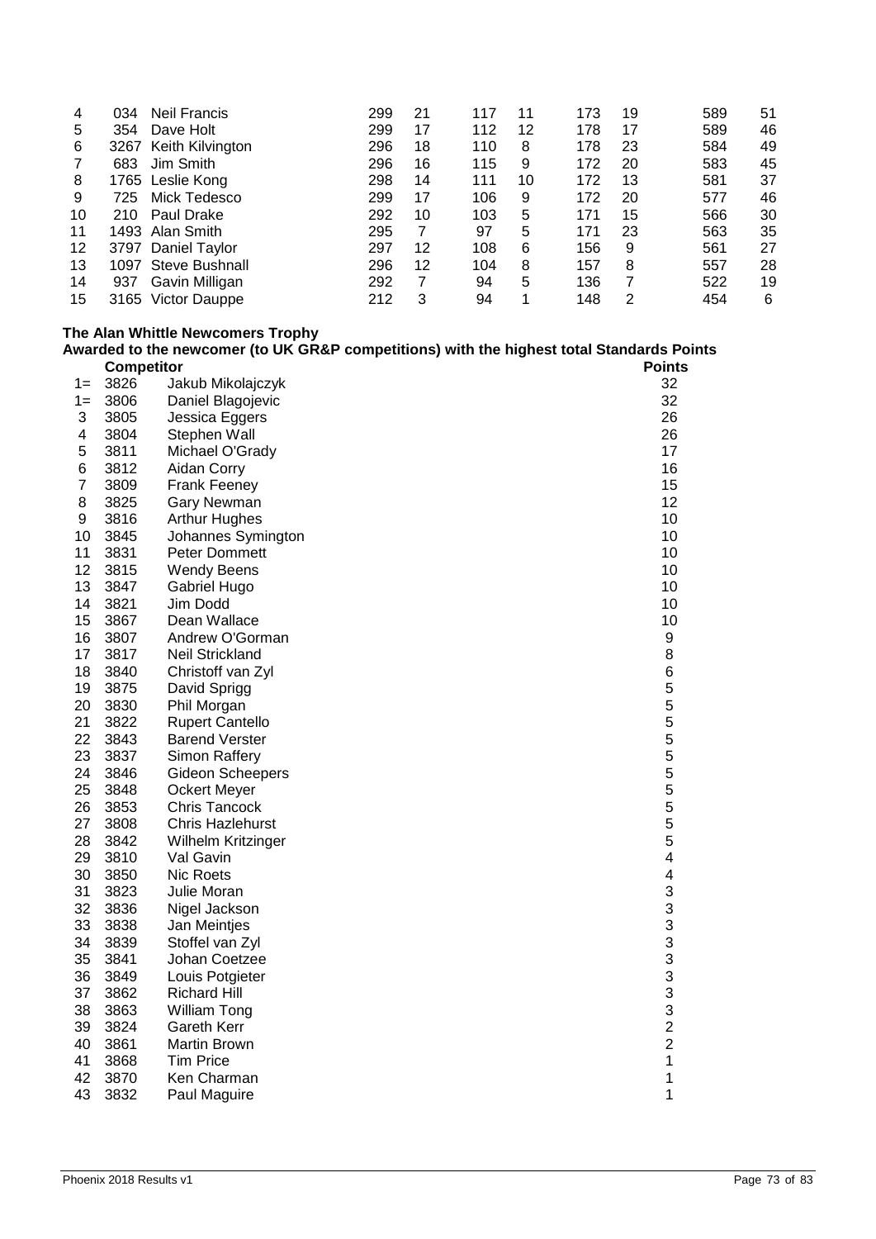| 034 | <b>Neil Francis</b>   | 299                                                                                                | 21 | 117 | 11 | 173 | 19 | 589 | 51 |
|-----|-----------------------|----------------------------------------------------------------------------------------------------|----|-----|----|-----|----|-----|----|
| 354 | Dave Holt             | 299                                                                                                | 17 | 112 | 12 | 178 | 17 | 589 | 46 |
|     |                       | 296                                                                                                | 18 | 110 | 8  | 178 | 23 | 584 | 49 |
| 683 | Jim Smith             | 296                                                                                                | 16 | 115 | 9  | 172 | 20 | 583 | 45 |
|     |                       | 298                                                                                                | 14 | 111 | 10 | 172 | 13 | 581 | 37 |
| 725 | Mick Tedesco          | 299                                                                                                | 17 | 106 | 9  | 172 | 20 | 577 | 46 |
| 210 | Paul Drake            | 292                                                                                                | 10 | 103 | 5  | 171 | 15 | 566 | 30 |
|     |                       | 295                                                                                                | 7  | 97  | 5  | 171 | 23 | 563 | 35 |
|     |                       | 297                                                                                                | 12 | 108 | 6  | 156 | 9  | 561 | 27 |
|     | <b>Steve Bushnall</b> | 296                                                                                                | 12 | 104 | 8  | 157 | 8  | 557 | 28 |
| 937 | Gavin Milligan        | 292                                                                                                | 7  | 94  | 5  | 136 |    | 522 | 19 |
|     | Victor Dauppe         | 212                                                                                                | 3  | 94  | 1  | 148 | 2  | 454 | 6  |
|     |                       | 3267 Keith Kilvington<br>1765 Leslie Kong<br>1493 Alan Smith<br>3797 Daniel Taylor<br>1097<br>3165 |    |     |    |     |    |     |    |

# **The Alan Whittle Newcomers Trophy**

|                |                   | Awarded to the newcomer (to UK GR&P competitions) with the highest total Standards Points |                         |
|----------------|-------------------|-------------------------------------------------------------------------------------------|-------------------------|
|                | <b>Competitor</b> |                                                                                           | Points                  |
| $1 =$          | 3826              | Jakub Mikolajczyk                                                                         | 32                      |
| $1 =$          | 3806              | Daniel Blagojevic                                                                         | 32                      |
| 3              | 3805              | Jessica Eggers                                                                            | 26                      |
| 4              | 3804              | Stephen Wall                                                                              | 26                      |
| 5              | 3811              | Michael O'Grady                                                                           | 17                      |
| 6              | 3812              | Aidan Corry                                                                               | 16                      |
| $\overline{7}$ | 3809              | Frank Feeney                                                                              | 15                      |
| 8              | 3825              | Gary Newman                                                                               | 12                      |
| 9              | 3816              | <b>Arthur Hughes</b>                                                                      | 10                      |
| 10             | 3845              | Johannes Symington                                                                        | 10                      |
| 11             | 3831              | Peter Dommett                                                                             | 10                      |
| 12             | 3815              | <b>Wendy Beens</b>                                                                        | 10                      |
| 13             | 3847              | Gabriel Hugo                                                                              | 10                      |
| 14             | 3821              | Jim Dodd                                                                                  | 10                      |
| 15             | 3867              | Dean Wallace                                                                              | 10                      |
| 16             | 3807              | Andrew O'Gorman                                                                           | 9                       |
| 17             | 3817              | Neil Strickland                                                                           | 8                       |
| 18             | 3840              | Christoff van Zyl                                                                         | 6                       |
| 19             | 3875              | David Sprigg                                                                              | 5                       |
| 20             | 3830              | Phil Morgan                                                                               | 5                       |
| 21             | 3822              | Rupert Cantello                                                                           | 5                       |
| 22             | 3843              | <b>Barend Verster</b>                                                                     | 5                       |
| 23             | 3837              | Simon Raffery                                                                             | 5                       |
| 24             | 3846              | Gideon Scheepers                                                                          | 5                       |
| 25             | 3848              | <b>Ockert Meyer</b>                                                                       | 5                       |
| 26             | 3853              | Chris Tancock                                                                             | 5                       |
| 27             | 3808              | Chris Hazlehurst                                                                          | 5                       |
| 28             | 3842              | Wilhelm Kritzinger                                                                        | 5                       |
| 29             | 3810              | Val Gavin                                                                                 | 4                       |
| 30             | 3850              | Nic Roets                                                                                 | $\overline{\mathbf{4}}$ |
| 31             | 3823              | Julie Moran                                                                               | 3                       |
| 32             | 3836              | Nigel Jackson                                                                             | 3                       |
| 33             | 3838              | Jan Meintjes                                                                              | 3                       |
| 34             | 3839              | Stoffel van Zyl                                                                           | 3                       |
| 35             | 3841              | Johan Coetzee                                                                             | 3                       |
| 36             | 3849              | Louis Potgieter                                                                           | 3                       |
| 37             | 3862              | <b>Richard Hill</b>                                                                       | 3                       |
| 38             | 3863              | <b>William Tong</b>                                                                       | 3                       |
| 39             | 3824              | Gareth Kerr                                                                               | $\overline{c}$          |
| 40             | 3861              | Martin Brown                                                                              | $\overline{c}$          |
| 41             | 3868              | <b>Tim Price</b>                                                                          | $\mathbf{1}$            |
| 42             | 3870              | Ken Charman                                                                               | 1                       |
| 43             | 3832              | Paul Maguire                                                                              | 1                       |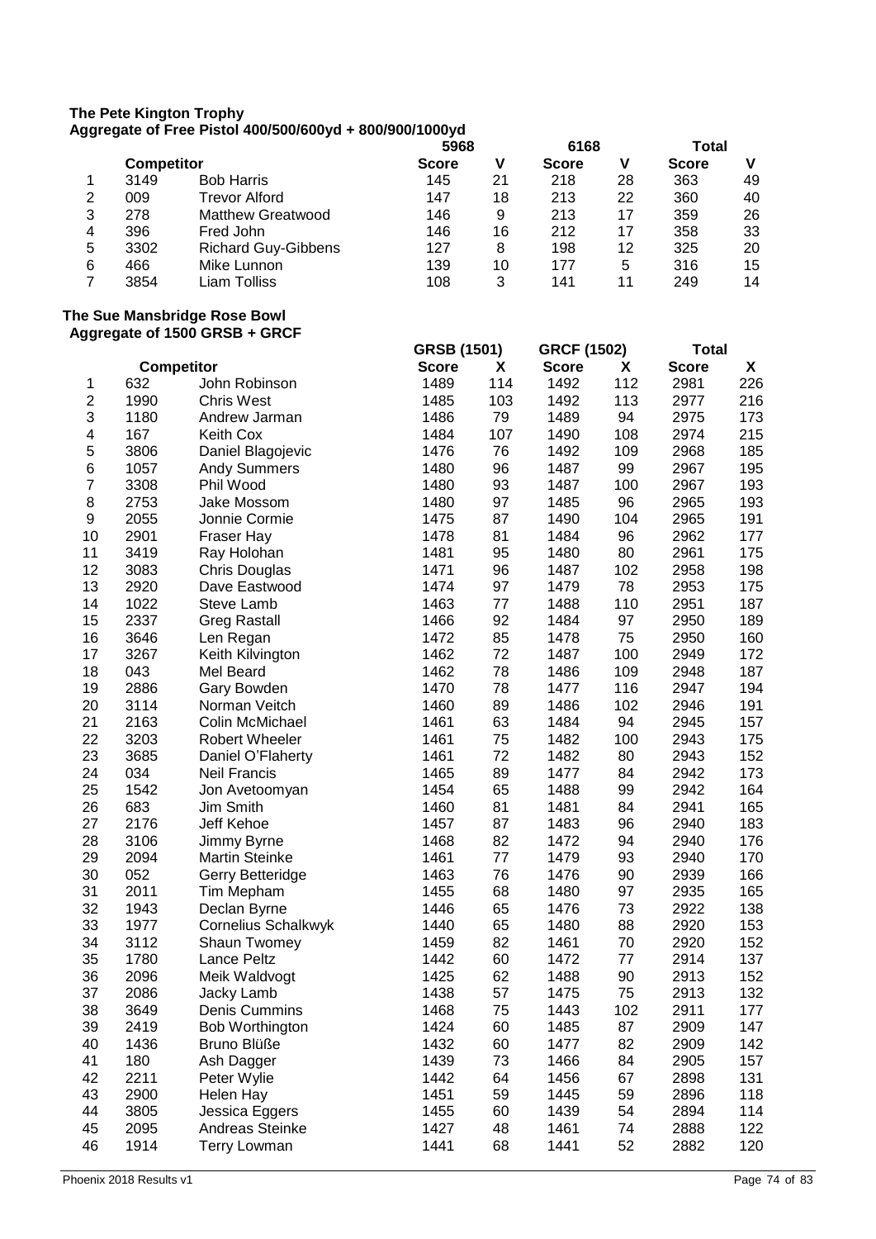#### **The Pete Kington Trophy Aggregate of Free Pistol 400/500/600yd + 800/900/1000yd**

|   | <b>Competitor</b> |                            | 5968         |    | 6168         |    | Total        |    |
|---|-------------------|----------------------------|--------------|----|--------------|----|--------------|----|
|   |                   |                            | <b>Score</b> | V  | <b>Score</b> | V  | <b>Score</b> | v  |
|   | 3149              | <b>Bob Harris</b>          | 145          | 21 | 218          | 28 | 363          | 49 |
| 2 | 009               | <b>Trevor Alford</b>       | 147          | 18 | 213          | 22 | 360          | 40 |
| 3 | 278               | <b>Matthew Greatwood</b>   | 146          | 9  | 213          | 17 | 359          | 26 |
| 4 | 396               | Fred John                  | 146          | 16 | 212          | 17 | 358          | 33 |
| 5 | 3302              | <b>Richard Guy-Gibbens</b> | 127          | 8  | 198          | 12 | 325          | 20 |
| 6 | 466               | Mike Lunnon                | 139          | 10 | 177          | 5  | 316          | 15 |
|   | 3854              | Liam Tolliss               | 108          | 3  | 141          | 11 | 249          | 14 |

#### **The Sue Mansbridge Rose Bowl Aggregate of 1500 GRSB + GRCF**

|                         |      |                            | <b>GRSB (1501)</b> |     | <b>GRCF (1502)</b> |     | <b>Total</b> |     |
|-------------------------|------|----------------------------|--------------------|-----|--------------------|-----|--------------|-----|
|                         |      | <b>Competitor</b>          | <b>Score</b>       | X   | <b>Score</b>       | X   | <b>Score</b> | X   |
| 1                       | 632  | John Robinson              | 1489               | 114 | 1492               | 112 | 2981         | 226 |
| $\overline{\mathbf{c}}$ | 1990 | <b>Chris West</b>          | 1485               | 103 | 1492               | 113 | 2977         | 216 |
| 3                       | 1180 | Andrew Jarman              | 1486               | 79  | 1489               | 94  | 2975         | 173 |
| $\overline{\mathbf{4}}$ | 167  | Keith Cox                  | 1484               | 107 | 1490               | 108 | 2974         | 215 |
| 5                       | 3806 | Daniel Blagojevic          | 1476               | 76  | 1492               | 109 | 2968         | 185 |
| 6                       | 1057 | <b>Andy Summers</b>        | 1480               | 96  | 1487               | 99  | 2967         | 195 |
| $\overline{7}$          | 3308 | Phil Wood                  | 1480               | 93  | 1487               | 100 | 2967         | 193 |
| 8                       | 2753 | Jake Mossom                | 1480               | 97  | 1485               | 96  | 2965         | 193 |
| 9                       | 2055 | Jonnie Cormie              | 1475               | 87  | 1490               | 104 | 2965         | 191 |
| 10                      | 2901 | Fraser Hay                 | 1478               | 81  | 1484               | 96  | 2962         | 177 |
| 11                      | 3419 | Ray Holohan                | 1481               | 95  | 1480               | 80  | 2961         | 175 |
| 12                      | 3083 | Chris Douglas              | 1471               | 96  | 1487               | 102 | 2958         | 198 |
| 13                      | 2920 | Dave Eastwood              | 1474               | 97  | 1479               | 78  | 2953         | 175 |
| 14                      | 1022 | Steve Lamb                 | 1463               | 77  | 1488               | 110 | 2951         | 187 |
| 15                      | 2337 | <b>Greg Rastall</b>        | 1466               | 92  | 1484               | 97  | 2950         | 189 |
| 16                      | 3646 | Len Regan                  | 1472               | 85  | 1478               | 75  | 2950         | 160 |
| 17                      | 3267 | Keith Kilvington           | 1462               | 72  | 1487               | 100 | 2949         | 172 |
| 18                      | 043  | Mel Beard                  | 1462               | 78  | 1486               | 109 | 2948         | 187 |
| 19                      | 2886 | Gary Bowden                | 1470               | 78  | 1477               | 116 | 2947         | 194 |
| 20                      | 3114 | Norman Veitch              | 1460               | 89  | 1486               | 102 | 2946         | 191 |
| 21                      | 2163 | Colin McMichael            | 1461               | 63  | 1484               | 94  | 2945         | 157 |
| 22                      | 3203 | Robert Wheeler             | 1461               | 75  | 1482               | 100 | 2943         | 175 |
| 23                      | 3685 | Daniel O'Flaherty          | 1461               | 72  | 1482               | 80  | 2943         | 152 |
| 24                      | 034  | <b>Neil Francis</b>        | 1465               | 89  | 1477               | 84  | 2942         | 173 |
| 25                      | 1542 | Jon Avetoomyan             | 1454               | 65  | 1488               | 99  | 2942         | 164 |
| 26                      | 683  | Jim Smith                  | 1460               | 81  | 1481               | 84  | 2941         | 165 |
| 27                      | 2176 | Jeff Kehoe                 | 1457               | 87  | 1483               | 96  | 2940         | 183 |
| 28                      | 3106 | Jimmy Byrne                | 1468               | 82  | 1472               | 94  | 2940         | 176 |
| 29                      | 2094 | <b>Martin Steinke</b>      | 1461               | 77  | 1479               | 93  | 2940         | 170 |
| 30                      | 052  | Gerry Betteridge           | 1463               | 76  | 1476               | 90  | 2939         | 166 |
| 31                      | 2011 | Tim Mepham                 | 1455               | 68  | 1480               | 97  | 2935         | 165 |
| 32                      | 1943 | Declan Byrne               | 1446               | 65  | 1476               | 73  | 2922         | 138 |
| 33                      | 1977 | <b>Cornelius Schalkwyk</b> | 1440               | 65  | 1480               | 88  | 2920         | 153 |
| 34                      | 3112 | Shaun Twomey               | 1459               | 82  | 1461               | 70  | 2920         | 152 |
| 35                      | 1780 | <b>Lance Peltz</b>         | 1442               | 60  | 1472               | 77  | 2914         | 137 |
| 36                      | 2096 | Meik Waldvogt              | 1425               | 62  | 1488               | 90  | 2913         | 152 |
| 37                      | 2086 | Jacky Lamb                 | 1438               | 57  | 1475               | 75  | 2913         | 132 |
| 38                      | 3649 | Denis Cummins              | 1468               | 75  | 1443               | 102 | 2911         | 177 |
| 39                      | 2419 | Bob Worthington            | 1424               | 60  | 1485               | 87  | 2909         | 147 |
| 40                      | 1436 | Bruno Blüße                | 1432               | 60  | 1477               | 82  | 2909         | 142 |
| 41                      | 180  | Ash Dagger                 | 1439               | 73  | 1466               | 84  | 2905         | 157 |
| 42                      | 2211 | Peter Wylie                | 1442               | 64  | 1456               | 67  | 2898         | 131 |
| 43                      | 2900 | Helen Hay                  | 1451               | 59  | 1445               | 59  | 2896         | 118 |
| 44                      | 3805 | Jessica Eggers             | 1455               | 60  | 1439               | 54  | 2894         | 114 |
| 45                      | 2095 | Andreas Steinke            | 1427               | 48  | 1461               | 74  | 2888         | 122 |
| 46                      | 1914 | <b>Terry Lowman</b>        | 1441               | 68  | 1441               | 52  | 2882         | 120 |
|                         |      |                            |                    |     |                    |     |              |     |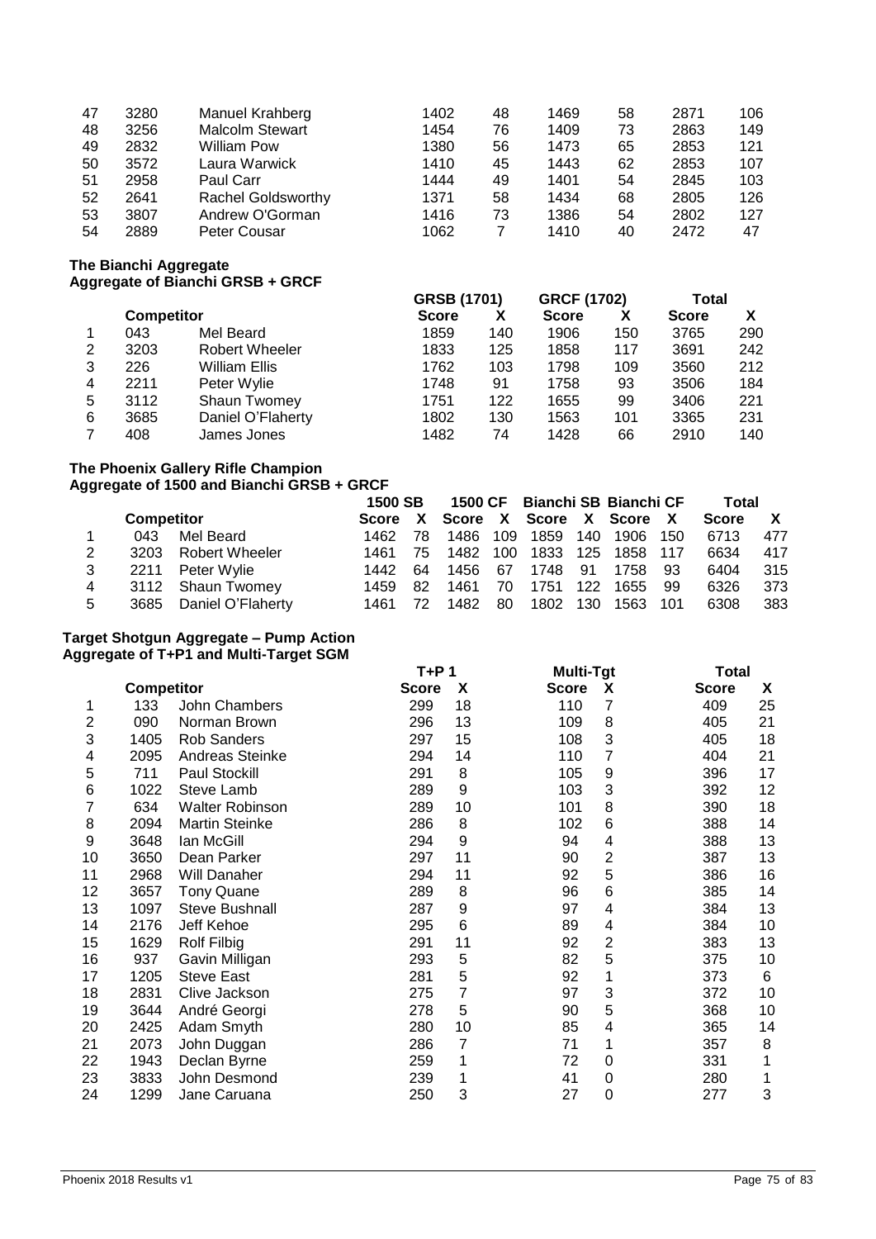| 47 | 3280 | Manuel Krahberg           | 1402 | 48 | 1469 | 58 | 2871 | 106 |
|----|------|---------------------------|------|----|------|----|------|-----|
| 48 | 3256 | <b>Malcolm Stewart</b>    | 1454 | 76 | 1409 | 73 | 2863 | 149 |
| 49 | 2832 | <b>William Pow</b>        | 1380 | 56 | 1473 | 65 | 2853 | 121 |
| 50 | 3572 | Laura Warwick             | 1410 | 45 | 1443 | 62 | 2853 | 107 |
| 51 | 2958 | Paul Carr                 | 1444 | 49 | 1401 | 54 | 2845 | 103 |
| 52 | 2641 | <b>Rachel Goldsworthy</b> | 1371 | 58 | 1434 | 68 | 2805 | 126 |
| 53 | 3807 | Andrew O'Gorman           | 1416 | 73 | 1386 | 54 | 2802 | 127 |
| 54 | 2889 | Peter Cousar              | 1062 |    | 1410 | 40 | 2472 | 47  |

**The Bianchi Aggregate**

|   |                   | Aggregate of Bianchi GRSB + GRCF |                    |     |                    |     |              |     |
|---|-------------------|----------------------------------|--------------------|-----|--------------------|-----|--------------|-----|
|   |                   |                                  | <b>GRSB (1701)</b> |     | <b>GRCF (1702)</b> |     | Total        |     |
|   | <b>Competitor</b> |                                  | <b>Score</b>       | х   | <b>Score</b>       | х   | <b>Score</b> |     |
|   | 043               | Mel Beard                        | 1859               | 140 | 1906               | 150 | 3765         | 290 |
| 2 | 3203              | Robert Wheeler                   | 1833               | 125 | 1858               | 117 | 3691         | 242 |
| 3 | 226               | William Ellis                    | 1762               | 103 | 1798               | 109 | 3560         | 212 |
| 4 | 2211              | Peter Wylie                      | 1748               | 91  | 1758               | 93  | 3506         | 184 |
| 5 | 3112              | <b>Shaun Twomey</b>              | 1751               | 122 | 1655               | 99  | 3406         | 221 |
| 6 | 3685              | Daniel O'Flaherty                | 1802               | 130 | 1563               | 101 | 3365         | 231 |
|   | 408               | James Jones                      | 1482               | 74  | 1428               | 66  | 2910         | 140 |

# **The Phoenix Gallery Rifle Champion**

## **Aggregate of 1500 and Bianchi GRSB + GRCF 1500 SB 1500 CF Bianchi SB Bianchi CF Total**

|   |                   |                        | םכ טטכו |     |                                 |    | <b>1300 GF BRINGHI SB BRINGHI GF</b> |       |              |      | i otal       |     |
|---|-------------------|------------------------|---------|-----|---------------------------------|----|--------------------------------------|-------|--------------|------|--------------|-----|
|   | <b>Competitor</b> |                        |         |     | Score X Score X Score X Score X |    |                                      |       |              |      | <b>Score</b> |     |
|   | 043               | Mel Beard              | 1462    | 78. |                                 |    | 1486 109 1859                        |       | 140 1906 150 |      | 6713         | 477 |
|   |                   | 3203 Robert Wheeler    | 1461 75 |     |                                 |    | 1482 100 1833 125 1858 117           |       |              |      | 6634         | 417 |
|   |                   | 2211 Peter Wylie       | 1442    | 64  |                                 |    | 1456 67 1748                         |       | 91 1758      | - 93 | 6404         | 315 |
| 4 |                   | 3112 Shaun Twomey      | 1459    | -82 |                                 |    | 1461 70 1751                         | - 122 | 1655         | - 99 | 6326         | 373 |
| 5 |                   | 3685 Daniel O'Flaherty | 1461    |     | 1482                            | 80 | 1802 130                             |       | 1563 101     |      | 6308         | 383 |

#### **Target Shotgun Aggregate – Pump Action Aggregate of T+P1 and Multi-Target SGM**

|    |                   |                        | T+P 1        |    | <b>Multi-Tgt</b> |   | Total        |    |
|----|-------------------|------------------------|--------------|----|------------------|---|--------------|----|
|    | <b>Competitor</b> |                        | <b>Score</b> | X  | <b>Score</b>     | X | <b>Score</b> | X  |
| 1  | 133               | John Chambers          | 299          | 18 | 110              | 7 | 409          | 25 |
| 2  | 090               | Norman Brown           | 296          | 13 | 109              | 8 | 405          | 21 |
| 3  | 1405              | <b>Rob Sanders</b>     | 297          | 15 | 108              | 3 | 405          | 18 |
| 4  | 2095              | Andreas Steinke        | 294          | 14 | 110              | 7 | 404          | 21 |
| 5  | 711               | Paul Stockill          | 291          | 8  | 105              | 9 | 396          | 17 |
| 6  | 1022              | Steve Lamb             | 289          | 9  | 103              | 3 | 392          | 12 |
| 7  | 634               | <b>Walter Robinson</b> | 289          | 10 | 101              | 8 | 390          | 18 |
| 8  | 2094              | <b>Martin Steinke</b>  | 286          | 8  | 102              | 6 | 388          | 14 |
| 9  | 3648              | lan McGill             | 294          | 9  | 94               | 4 | 388          | 13 |
| 10 | 3650              | Dean Parker            | 297          | 11 | 90               | 2 | 387          | 13 |
| 11 | 2968              | Will Danaher           | 294          | 11 | 92               | 5 | 386          | 16 |
| 12 | 3657              | <b>Tony Quane</b>      | 289          | 8  | 96               | 6 | 385          | 14 |
| 13 | 1097              | <b>Steve Bushnall</b>  | 287          | 9  | 97               | 4 | 384          | 13 |
| 14 | 2176              | Jeff Kehoe             | 295          | 6  | 89               | 4 | 384          | 10 |
| 15 | 1629              | Rolf Filbig            | 291          | 11 | 92               | 2 | 383          | 13 |
| 16 | 937               | Gavin Milligan         | 293          | 5  | 82               | 5 | 375          | 10 |
| 17 | 1205              | <b>Steve East</b>      | 281          | 5  | 92               | 1 | 373          | 6  |
| 18 | 2831              | Clive Jackson          | 275          | 7  | 97               | 3 | 372          | 10 |
| 19 | 3644              | André Georgi           | 278          | 5  | 90               | 5 | 368          | 10 |
| 20 | 2425              | Adam Smyth             | 280          | 10 | 85               | 4 | 365          | 14 |
| 21 | 2073              | John Duggan            | 286          | 7  | 71               | 1 | 357          | 8  |
| 22 | 1943              | Declan Byrne           | 259          | 1  | 72               | 0 | 331          | 1  |
| 23 | 3833              | John Desmond           | 239          | 1  | 41               | 0 | 280          |    |
| 24 | 1299              | Jane Caruana           | 250          | 3  | 27               | 0 | 277          | 3  |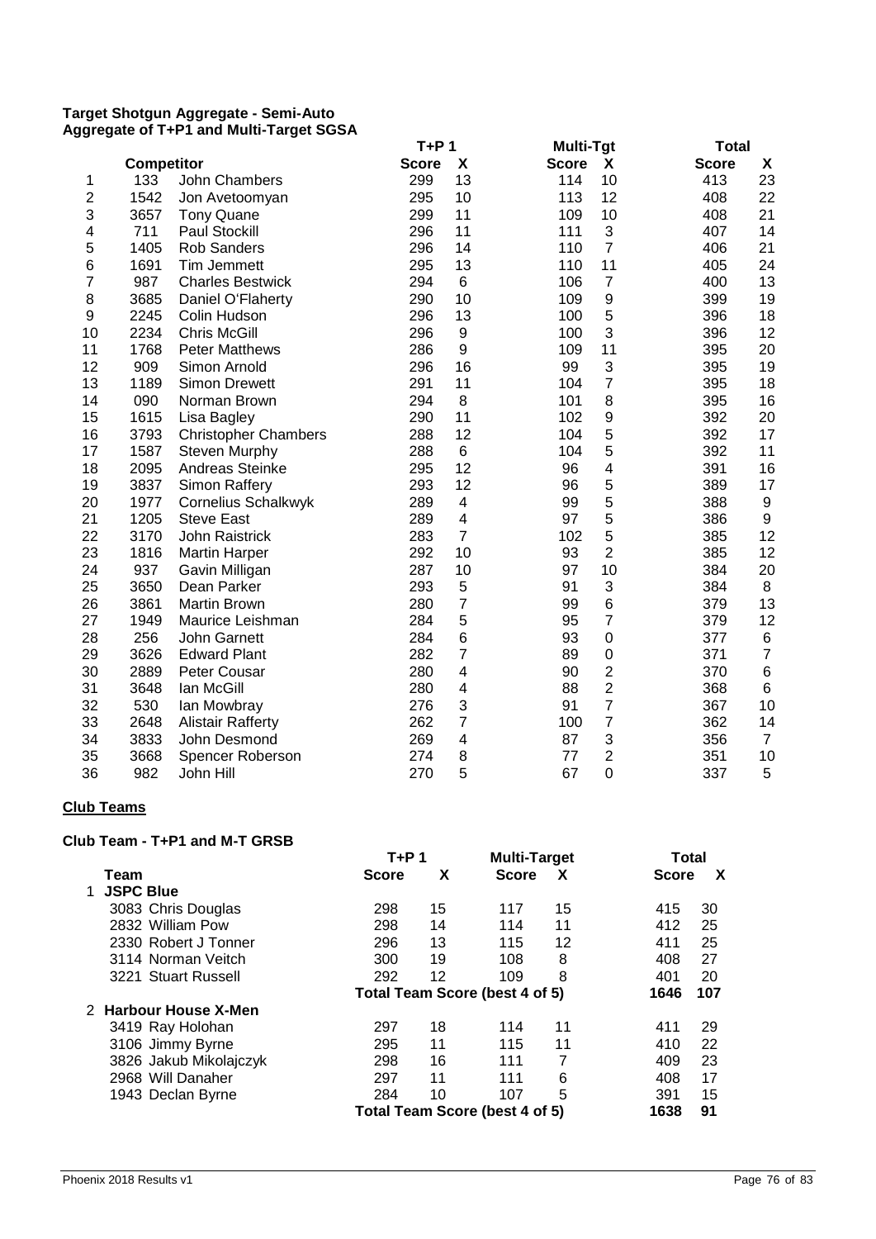#### **Target Shotgun Aggregate - Semi-Auto Aggregate of T+P1 and Multi-Target SGSA**

|                |            |                             | $T+P1$       |                         | Multi-Tgt               | <b>Total</b>                       |
|----------------|------------|-----------------------------|--------------|-------------------------|-------------------------|------------------------------------|
|                | Competitor |                             | <b>Score</b> | X                       | <b>Score</b><br>X       | $\pmb{\mathsf{X}}$<br><b>Score</b> |
| 1              | 133        | John Chambers               | 299          | 13                      | 10<br>114               | 23<br>413                          |
| $\overline{c}$ | 1542       | Jon Avetoomyan              | 295          | 10                      | 113<br>12               | 22<br>408                          |
| 3              | 3657       | <b>Tony Quane</b>           | 299          | 11                      | 10<br>109               | 408<br>21                          |
| 4              | 711        | <b>Paul Stockill</b>        | 296          | 11                      | 3<br>111                | 14<br>407                          |
| 5              | 1405       | Rob Sanders                 | 296          | 14                      | $\overline{7}$<br>110   | 406<br>21                          |
| 6              | 1691       | Tim Jemmett                 | 295          | 13                      | 11<br>110               | 24<br>405                          |
| 7              | 987        | <b>Charles Bestwick</b>     | 294          | 6                       | $\overline{7}$<br>106   | 13<br>400                          |
| 8              | 3685       | Daniel O'Flaherty           | 290          | 10                      | $\boldsymbol{9}$<br>109 | 19<br>399                          |
| 9              | 2245       | Colin Hudson                | 296          | 13                      | 5<br>100                | 18<br>396                          |
| 10             | 2234       | <b>Chris McGill</b>         | 296          | $\boldsymbol{9}$        | 3<br>100                | 12<br>396                          |
| 11             | 1768       | <b>Peter Matthews</b>       | 286          | 9                       | 11<br>109               | 20<br>395                          |
| 12             | 909        | Simon Arnold                | 296          | 16                      | 3<br>99                 | 19<br>395                          |
| 13             | 1189       | <b>Simon Drewett</b>        | 291          | 11                      | $\overline{7}$<br>104   | 18<br>395                          |
| 14             | 090        | Norman Brown                | 294          | 8                       | 8<br>101                | 16<br>395                          |
| 15             | 1615       | Lisa Bagley                 | 290          | 11                      | 9<br>102                | 392<br>20                          |
| 16             | 3793       | <b>Christopher Chambers</b> | 288          | 12                      | 5<br>104                | 392<br>17                          |
| 17             | 1587       | Steven Murphy               | 288          | 6                       | 5<br>104                | 392<br>11                          |
| 18             | 2095       | Andreas Steinke             | 295          | 12                      | 4<br>96                 | 391<br>16                          |
| 19             | 3837       | Simon Raffery               | 293          | 12                      | 5<br>96                 | 389<br>17                          |
| 20             | 1977       | Cornelius Schalkwyk         | 289          | $\overline{\mathbf{4}}$ | 5<br>99                 | 388<br>9                           |
| 21             | 1205       | <b>Steve East</b>           | 289          | $\overline{\mathbf{4}}$ | 5<br>97                 | 386<br>9                           |
| 22             | 3170       | <b>John Raistrick</b>       | 283          | $\overline{7}$          | 5<br>102                | 12<br>385                          |
| 23             | 1816       | <b>Martin Harper</b>        | 292          | 10                      | $\overline{c}$<br>93    | 12<br>385                          |
| 24             | 937        | Gavin Milligan              | 287          | 10                      | 10<br>97                | 384<br>20                          |
| 25             | 3650       | Dean Parker                 | 293          | 5                       | 3<br>91                 | 384<br>8                           |
| 26             | 3861       | <b>Martin Brown</b>         | 280          | $\overline{7}$          | $\,6$<br>99             | 13<br>379                          |
| 27             | 1949       | Maurice Leishman            | 284          | 5                       | $\overline{7}$<br>95    | 12<br>379                          |
| 28             | 256        | <b>John Garnett</b>         | 284          | 6                       | 93<br>$\mathbf 0$       | 377<br>$\,6$                       |
| 29             | 3626       | <b>Edward Plant</b>         | 282          | $\overline{7}$          | $\mathbf 0$<br>89       | $\overline{7}$<br>371              |
| 30             | 2889       | Peter Cousar                | 280          | $\overline{\mathbf{4}}$ | $\overline{2}$<br>90    | $\,6$<br>370                       |
| 31             | 3648       | lan McGill                  | 280          | $\overline{\mathbf{4}}$ | $\overline{2}$<br>88    | $\,6\,$<br>368                     |
| 32             | 530        | lan Mowbray                 | 276          | 3                       | $\overline{7}$<br>91    | 10<br>367                          |
| 33             | 2648       | <b>Alistair Rafferty</b>    | 262          | $\overline{7}$          | $\overline{7}$<br>100   | 362<br>14                          |
| 34             | 3833       | John Desmond                | 269          | $\overline{\mathbf{4}}$ | 3<br>87                 | 356<br>$\overline{7}$              |
| 35             | 3668       | Spencer Roberson            | 274          | 8                       | $\overline{2}$<br>77    | 351<br>10                          |
| 36             | 982        | John Hill                   | 270          | 5                       | 67<br>$\overline{0}$    | 337<br>5                           |

### **Club Teams**

#### **Club Team - T+P1 and M-T GRSB**

|                        | $T+P$ 1      |    | <b>Multi-Target</b>            |    | Total        |     |
|------------------------|--------------|----|--------------------------------|----|--------------|-----|
| Team                   | <b>Score</b> | X  | <b>Score</b>                   | X  | <b>Score</b> | X   |
| <b>JSPC Blue</b>       |              |    |                                |    |              |     |
| 3083 Chris Douglas     | 298          | 15 | 117                            | 15 | 415          | 30  |
| 2832 William Pow       | 298          | 14 | 114                            | 11 | 412          | 25  |
| 2330 Robert J Tonner   | 296          | 13 | 115                            | 12 | 411          | 25  |
| 3114 Norman Veitch     | 300          | 19 | 108                            | 8  | 408          | 27  |
| 3221 Stuart Russell    | 292          | 12 | 109                            | 8  | 401          | 20  |
|                        |              |    | Total Team Score (best 4 of 5) |    | 1646         | 107 |
| 2 Harbour House X-Men  |              |    |                                |    |              |     |
| 3419 Ray Holohan       | 297          | 18 | 114                            | 11 | 411          | 29  |
| 3106 Jimmy Byrne       | 295          | 11 | 115                            | 11 | 410          | 22  |
| 3826 Jakub Mikolajczyk | 298          | 16 | 111                            | 7  | 409          | 23  |
| 2968 Will Danaher      | 297          | 11 | 111                            | 6  | 408          | 17  |
| 1943 Declan Byrne      | 284          | 10 | 107                            | 5  | 391          | 15  |
|                        |              |    | Total Team Score (best 4 of 5) |    | 1638         | 91  |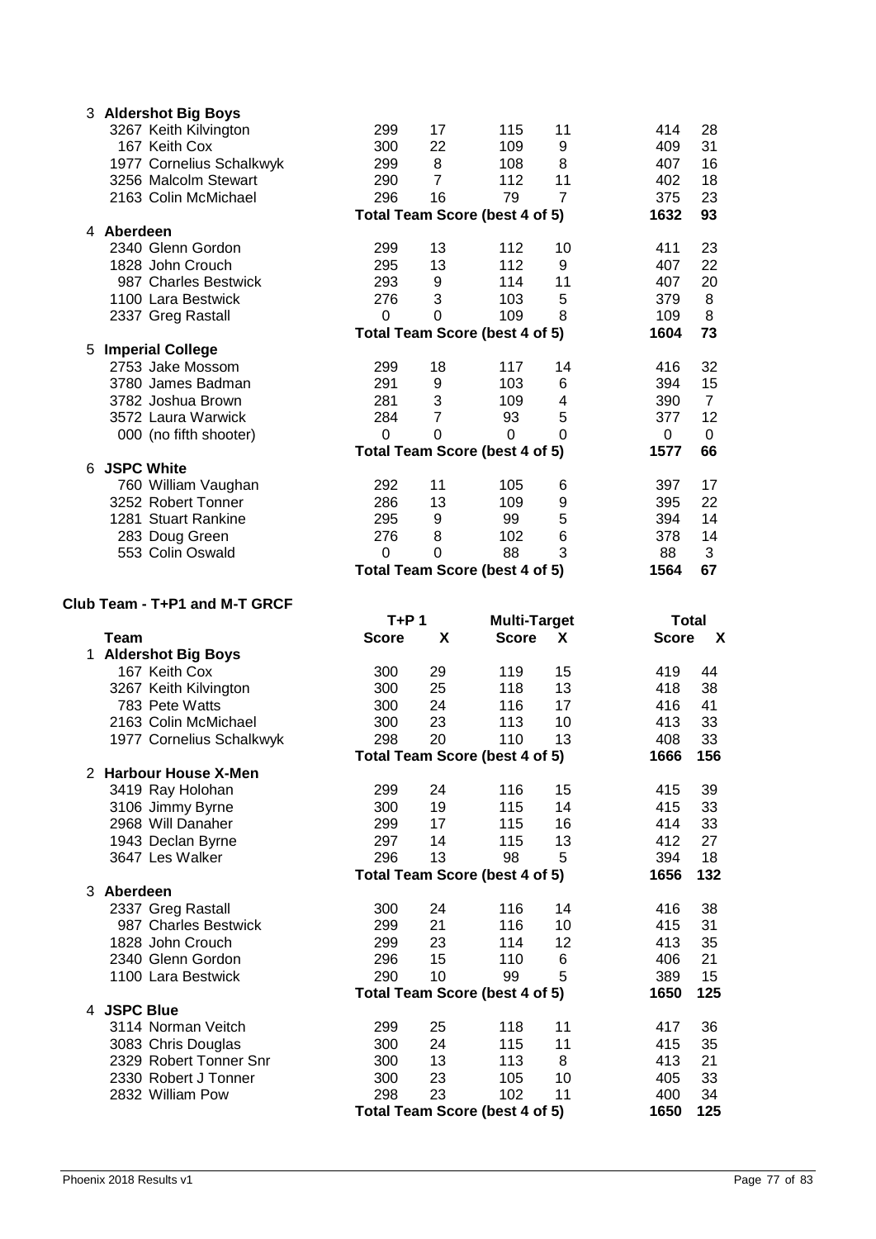|    | 3 Aldershot Big Boys          |                |                |                                       |                |              |                           |
|----|-------------------------------|----------------|----------------|---------------------------------------|----------------|--------------|---------------------------|
|    | 3267 Keith Kilvington         | 299            | 17             | 115                                   | 11             | 414          | 28                        |
|    | 167 Keith Cox                 | 300            | 22             | 109                                   | 9              | 409          | 31                        |
|    | 1977 Cornelius Schalkwyk      | 299            | 8              | 108                                   | 8              | 407          | 16                        |
|    | 3256 Malcolm Stewart          | 290            | $\overline{7}$ | 112                                   | 11             | 402          | 18                        |
|    | 2163 Colin McMichael          | 296            | 16             | 79                                    | $\overline{7}$ | 375          | 23                        |
|    |                               |                |                | <b>Total Team Score (best 4 of 5)</b> |                | 1632         | 93                        |
|    | 4 Aberdeen                    |                |                |                                       |                |              |                           |
|    | 2340 Glenn Gordon             | 299            | 13             | 112                                   | 10             | 411          | 23                        |
|    | 1828 John Crouch              | 295            | 13             | 112                                   | 9              | 407          | 22                        |
|    | 987 Charles Bestwick          | 293            | 9              | 114                                   | 11             | 407          | 20                        |
|    | 1100 Lara Bestwick            | 276            | 3              | 103                                   | 5              | 379          | 8                         |
|    | 2337 Greg Rastall             | 0              | 0              | 109                                   | 8              | 109          | 8                         |
|    |                               |                |                | <b>Total Team Score (best 4 of 5)</b> |                | 1604         | 73                        |
| 5. | <b>Imperial College</b>       |                |                |                                       |                |              |                           |
|    | 2753 Jake Mossom              | 299            | 18             | 117                                   | 14             | 416          | 32                        |
|    | 3780 James Badman             | 291            | 9              | 103                                   | 6              | 394          | 15                        |
|    | 3782 Joshua Brown             | 281            | 3              | 109                                   | 4              | 390          | $\overline{7}$            |
|    | 3572 Laura Warwick            | 284            | $\overline{7}$ | 93                                    | 5              | 377          | 12                        |
|    | 000 (no fifth shooter)        | $\overline{0}$ | $\Omega$       | $\mathbf 0$                           | 0              | 0            | 0                         |
|    |                               |                |                | Total Team Score (best 4 of 5)        |                | 1577         | 66                        |
|    | 6 JSPC White                  |                |                |                                       |                |              |                           |
|    | 760 William Vaughan           | 292            | 11             | 105                                   | 6              | 397          | 17                        |
|    | 3252 Robert Tonner            | 286            | 13             | 109                                   | 9              | 395          | 22                        |
|    | 1281 Stuart Rankine           | 295            | 9              | 99                                    | 5              | 394          | 14                        |
|    | 283 Doug Green                | 276            | 8              | 102                                   | 6              | 378          | 14                        |
|    | 553 Colin Oswald              | 0              | 0              | 88                                    | 3              | 88           | 3                         |
|    |                               |                |                | <b>Total Team Score (best 4 of 5)</b> |                | 1564         | 67                        |
|    |                               |                |                |                                       |                |              |                           |
|    | Club Team - T+P1 and M-T GRCF |                |                |                                       |                |              |                           |
|    |                               |                |                |                                       |                |              |                           |
|    |                               | $T+P1$         |                | <b>Multi-Target</b>                   |                | <b>Total</b> |                           |
|    | Team                          | <b>Score</b>   | X              | <b>Score</b>                          | X              | <b>Score</b> | $\boldsymbol{\mathsf{X}}$ |
|    | 1 Aldershot Big Boys          |                |                |                                       |                |              |                           |
|    | 167 Keith Cox                 | 300            | 29             | 119                                   | 15             | 419          | 44                        |
|    | 3267 Keith Kilvington         | 300            | 25             | 118                                   | 13             | 418          | 38                        |
|    | 783 Pete Watts                | 300            | 24             | 116                                   | 17             | 416          | 41                        |
|    | 2163 Colin McMichael          | 300            | 23             | 113                                   | 10             | 413          | 33                        |
|    | 1977 Cornelius Schalkwyk      | 298            | 20             | 110                                   | 13             | 408          | 33                        |
|    |                               |                |                | <b>Total Team Score (best 4 of 5)</b> |                | 1666         | 156                       |
|    | 2 Harbour House X-Men         |                |                |                                       |                |              |                           |
|    | 3419 Ray Holohan              | 299            | 24             | 116                                   | 15             | 415          | 39                        |
|    | 3106 Jimmy Byrne              | 300            | 19             | 115                                   | 14             | 415          | 33                        |
|    | 2968 Will Danaher             | 299            | 17             | 115                                   | 16             | 414          | 33                        |
|    | 1943 Declan Byrne             | 297            | 14             | 115                                   | 13             | 412          | 27                        |
|    | 3647 Les Walker               | 296            | 13             | 98                                    | 5              | 394          | 18                        |
|    |                               |                |                | Total Team Score (best 4 of 5)        |                | 1656         | 132                       |
|    | 3 Aberdeen                    |                |                |                                       |                |              |                           |
|    | 2337 Greg Rastall             | 300            | 24             | 116                                   | 14             | 416          | 38                        |
|    | 987 Charles Bestwick          | 299            | 21             | 116                                   | 10             | 415          | 31                        |
|    | 1828 John Crouch              | 299            | 23             | 114                                   | 12             | 413          | 35                        |
|    | 2340 Glenn Gordon             | 296            | 15             | 110                                   | 6              | 406          | 21                        |
|    | 1100 Lara Bestwick            | 290            | 10             | 99                                    | 5              | 389          | 15                        |
|    | 4 JSPC Blue                   |                |                | Total Team Score (best 4 of 5)        |                | 1650         | 125                       |
|    | 3114 Norman Veitch            | 299            | 25             | 118                                   | 11             | 417          | 36                        |
|    | 3083 Chris Douglas            | 300            | 24             | 115                                   | 11             | 415          | 35                        |
|    | 2329 Robert Tonner Snr        | 300            | 13             | 113                                   | 8              | 413          | 21                        |
|    | 2330 Robert J Tonner          | 300            | 23             | 105                                   | 10             | 405          | 33                        |
|    | 2832 William Pow              | 298            | 23             | 102                                   | 11             | 400          | 34                        |
|    |                               |                |                | Total Team Score (best 4 of 5)        |                | 1650         | 125                       |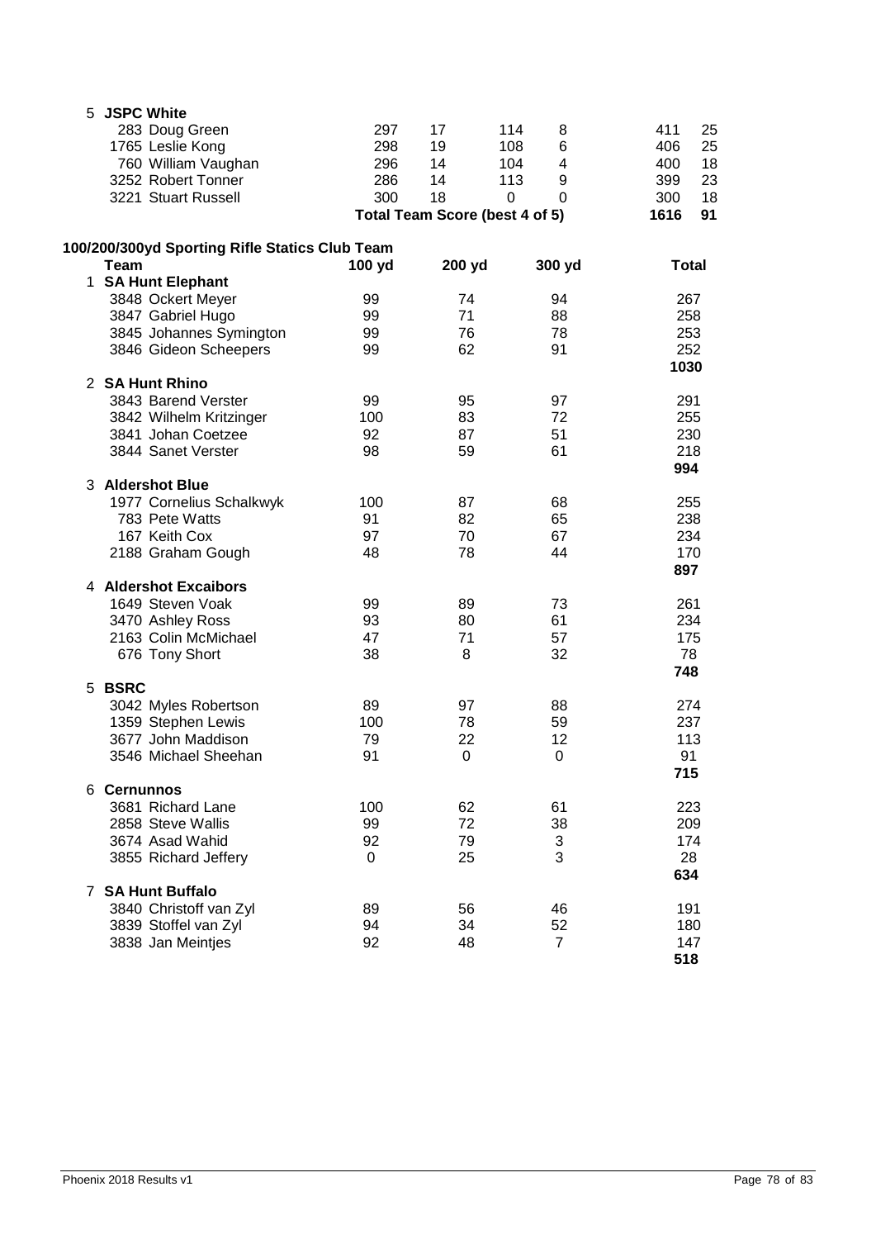| 5. | <b>JSPC White</b>                              |          |                                |                |              |
|----|------------------------------------------------|----------|--------------------------------|----------------|--------------|
|    | 283 Doug Green                                 | 297      | 17                             | 114<br>8       | 411<br>25    |
|    | 1765 Leslie Kong                               | 298      | 19                             | 108<br>6       | 406<br>25    |
|    | 760 William Vaughan                            | 296      | 14                             | 104<br>4       | 18<br>400    |
|    | 3252 Robert Tonner                             | 286      | 14                             | 113<br>9       | 23<br>399    |
|    | 3221 Stuart Russell                            | 300      | 18                             | 0<br>$\Omega$  | 300<br>18    |
|    |                                                |          | Total Team Score (best 4 of 5) |                | 91<br>1616   |
|    | 100/200/300yd Sporting Rifle Statics Club Team |          |                                |                |              |
|    | Team                                           | 100 yd   | 200 yd                         | 300 yd         | <b>Total</b> |
|    | 1 SA Hunt Elephant                             |          |                                |                |              |
|    | 3848 Ockert Meyer                              | 99       | 74                             | 94             | 267          |
|    | 3847 Gabriel Hugo                              | 99       | 71                             | 88             | 258          |
|    | 3845 Johannes Symington                        | 99       | 76                             | 78             | 253          |
|    | 3846 Gideon Scheepers                          | 99       | 62                             | 91             | 252<br>1030  |
|    | 2 SA Hunt Rhino                                |          |                                |                |              |
|    | 3843 Barend Verster                            | 99       | 95                             | 97             | 291          |
|    | 3842 Wilhelm Kritzinger                        | 100      | 83                             | 72             | 255          |
|    | 3841 Johan Coetzee                             | 92       | 87                             | 51             | 230          |
|    | 3844 Sanet Verster                             | 98       | 59                             | 61             | 218<br>994   |
|    | 3 Aldershot Blue                               |          |                                |                |              |
|    | 1977 Cornelius Schalkwyk                       | 100      | 87                             | 68             | 255          |
|    | 783 Pete Watts                                 | 91       | 82                             | 65             | 238          |
|    | 167 Keith Cox                                  | 97       | 70                             | 67             | 234          |
|    | 2188 Graham Gough                              | 48       | 78                             | 44             | 170          |
|    |                                                |          |                                |                | 897          |
|    | 4 Aldershot Excaibors                          |          |                                |                |              |
|    | 1649 Steven Voak<br>3470 Ashley Ross           | 99<br>93 | 89<br>80                       | 73<br>61       | 261<br>234   |
|    | 2163 Colin McMichael                           | 47       | 71                             | 57             | 175          |
|    | 676 Tony Short                                 | 38       | 8                              | 32             | 78           |
|    |                                                |          |                                |                | 748          |
|    | 5 BSRC                                         |          |                                |                |              |
|    | 3042 Myles Robertson                           | 89       | 97                             | 88             | 274          |
|    | 1359 Stephen Lewis                             | 100      | 78                             | 59             | 237          |
|    | 3677 John Maddison                             | 79       | 22                             | 12             | 113          |
|    | 3546 Michael Sheehan                           | 91       | 0                              | 0              | 91<br>715    |
|    | 6 Cernunnos                                    |          |                                |                |              |
|    | 3681 Richard Lane                              | 100      | 62                             | 61             | 223          |
|    | 2858 Steve Wallis                              | 99       | 72                             | 38             | 209          |
|    | 3674 Asad Wahid                                | 92       | 79                             | 3              | 174          |
|    | 3855 Richard Jeffery                           | 0        | 25                             | 3              | 28<br>634    |
|    | 7 SA Hunt Buffalo                              |          |                                |                |              |
|    | 3840 Christoff van Zyl                         | 89       | 56                             | 46             | 191          |
|    | 3839 Stoffel van Zyl                           | 94       | 34                             | 52             | 180          |
|    | 3838 Jan Meintjes                              | 92       | 48                             | $\overline{7}$ | 147          |
|    |                                                |          |                                |                | 518          |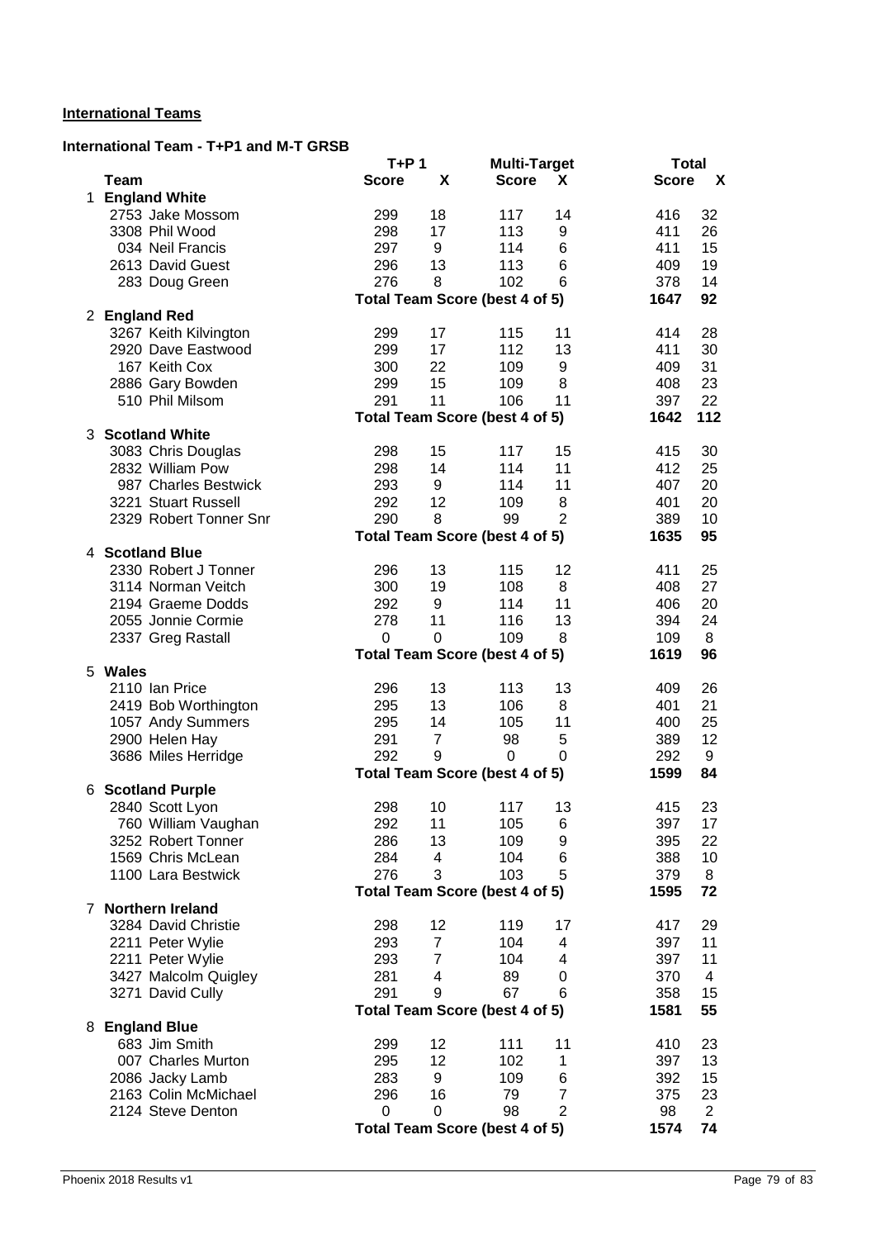### **International Teams**

### **International Team - T+P1 and M-T GRSB**

|                        | $T+P1$       |                | <b>Multi-Target</b>                   |                | <b>Total</b> |                           |
|------------------------|--------------|----------------|---------------------------------------|----------------|--------------|---------------------------|
| Team                   | <b>Score</b> | X              | <b>Score</b>                          | X              | <b>Score</b> | $\boldsymbol{\mathsf{X}}$ |
| 1 England White        |              |                |                                       |                |              |                           |
| 2753 Jake Mossom       | 299          | 18             | 117                                   | 14             | 416          | 32                        |
| 3308 Phil Wood         | 298          | 17             | 113                                   | 9              | 411          | 26                        |
| 034 Neil Francis       | 297          | 9              | 114                                   | 6              | 411          | 15                        |
| 2613 David Guest       | 296          | 13             | 113                                   | 6              | 409          | 19                        |
| 283 Doug Green         | 276          | 8              | 102                                   | 6              | 378          | 14                        |
|                        |              |                | <b>Total Team Score (best 4 of 5)</b> |                | 1647         | 92                        |
| 2 England Red          |              |                |                                       |                |              |                           |
| 3267 Keith Kilvington  | 299          | 17             | 115                                   | 11             | 414          | 28                        |
| 2920 Dave Eastwood     | 299          | 17             | 112                                   | 13             | 411          | 30                        |
| 167 Keith Cox          | 300          | 22             | 109                                   | 9              | 409          | 31                        |
| 2886 Gary Bowden       | 299          | 15             | 109                                   | 8              | 408          | 23                        |
| 510 Phil Milsom        | 291          | 11             | 106                                   | 11             | 397          | 22                        |
|                        |              |                | Total Team Score (best 4 of 5)        |                | 1642         | 112                       |
| 3 Scotland White       |              |                |                                       |                |              |                           |
| 3083 Chris Douglas     | 298          | 15             | 117                                   | 15             | 415          | 30                        |
| 2832 William Pow       | 298          | 14             | 114                                   | 11             | 412          | 25                        |
| 987 Charles Bestwick   | 293          | 9              | 114                                   | 11             | 407          | 20                        |
| 3221 Stuart Russell    | 292          | 12             | 109                                   | 8              | 401          | 20                        |
| 2329 Robert Tonner Snr | 290          | 8              | 99                                    | $\overline{2}$ | 389          | 10                        |
|                        |              |                | Total Team Score (best 4 of 5)        |                | 1635         | 95                        |
| 4 Scotland Blue        |              |                |                                       |                |              |                           |
| 2330 Robert J Tonner   | 296          | 13             | 115                                   | 12             | 411          | 25                        |
| 3114 Norman Veitch     | 300          | 19             | 108                                   | 8              | 408          | 27                        |
| 2194 Graeme Dodds      | 292          | 9              | 114                                   | 11             | 406          | 20                        |
| 2055 Jonnie Cormie     | 278          | 11             | 116                                   | 13             | 394          | 24                        |
| 2337 Greg Rastall      | 0            | $\Omega$       | 109                                   | 8              | 109          | 8                         |
|                        |              |                | Total Team Score (best 4 of 5)        |                | 1619         | 96                        |
| 5 Wales                |              |                |                                       |                |              |                           |
| 2110 Ian Price         | 296          | 13             | 113                                   | 13             | 409          | 26                        |
| 2419 Bob Worthington   | 295          | 13             | 106                                   | 8              | 401          | 21                        |
| 1057 Andy Summers      | 295          | 14             | 105                                   | 11             | 400          | 25                        |
| 2900 Helen Hay         | 291          | $\overline{7}$ | 98                                    | 5              | 389          | 12                        |
| 3686 Miles Herridge    | 292          | 9              | $\mathbf 0$                           | 0              | 292          | 9                         |
|                        |              |                | <b>Total Team Score (best 4 of 5)</b> |                | 1599         | 84                        |
| 6 Scotland Purple      |              |                |                                       |                |              |                           |
| 2840 Scott Lyon        | 298          | 10             | 117                                   | 13             | 415          | 23                        |
| 760 William Vaughan    | 292          | 11             | 105                                   | 6              | 397          | 17                        |
| 3252 Robert Tonner     | 286          | 13             | 109                                   | 9              | 395          | 22                        |
| 1569 Chris McLean      | 284          | 4              | 104                                   | 6              | 388          | 10                        |
| 1100 Lara Bestwick     | 276          | 3              | 103                                   | 5              | 379          | 8                         |
|                        |              |                | Total Team Score (best 4 of 5)        |                | 1595         | 72                        |
| 7 Northern Ireland     |              |                |                                       |                |              |                           |
| 3284 David Christie    | 298          | 12             | 119                                   | 17             | 417          | 29                        |
| 2211 Peter Wylie       | 293          | $\overline{7}$ | 104                                   | 4              | 397          | 11                        |
| 2211 Peter Wylie       | 293          | $\overline{7}$ | 104                                   | 4              | 397          | 11                        |
| 3427 Malcolm Quigley   | 281          | 4              | 89                                    | 0              | 370          | 4                         |
| 3271 David Cully       | 291          | 9              | 67                                    | 6              | 358          | 15                        |
|                        |              |                | Total Team Score (best 4 of 5)        |                | 1581         | 55                        |
| 8 England Blue         |              |                |                                       |                |              |                           |
| 683 Jim Smith          | 299          | 12             | 111                                   | 11             | 410          | 23                        |
| 007 Charles Murton     | 295          | 12             | 102                                   | 1              | 397          | 13                        |
| 2086 Jacky Lamb        | 283          | 9              | 109                                   | 6              | 392          | 15                        |
| 2163 Colin McMichael   | 296          | 16             | 79                                    | $\overline{7}$ | 375          | 23                        |
| 2124 Steve Denton      | 0            | $\Omega$       | 98                                    | $\overline{2}$ | 98           | $\overline{2}$            |
|                        |              |                | Total Team Score (best 4 of 5)        |                | 1574         | 74                        |
|                        |              |                |                                       |                |              |                           |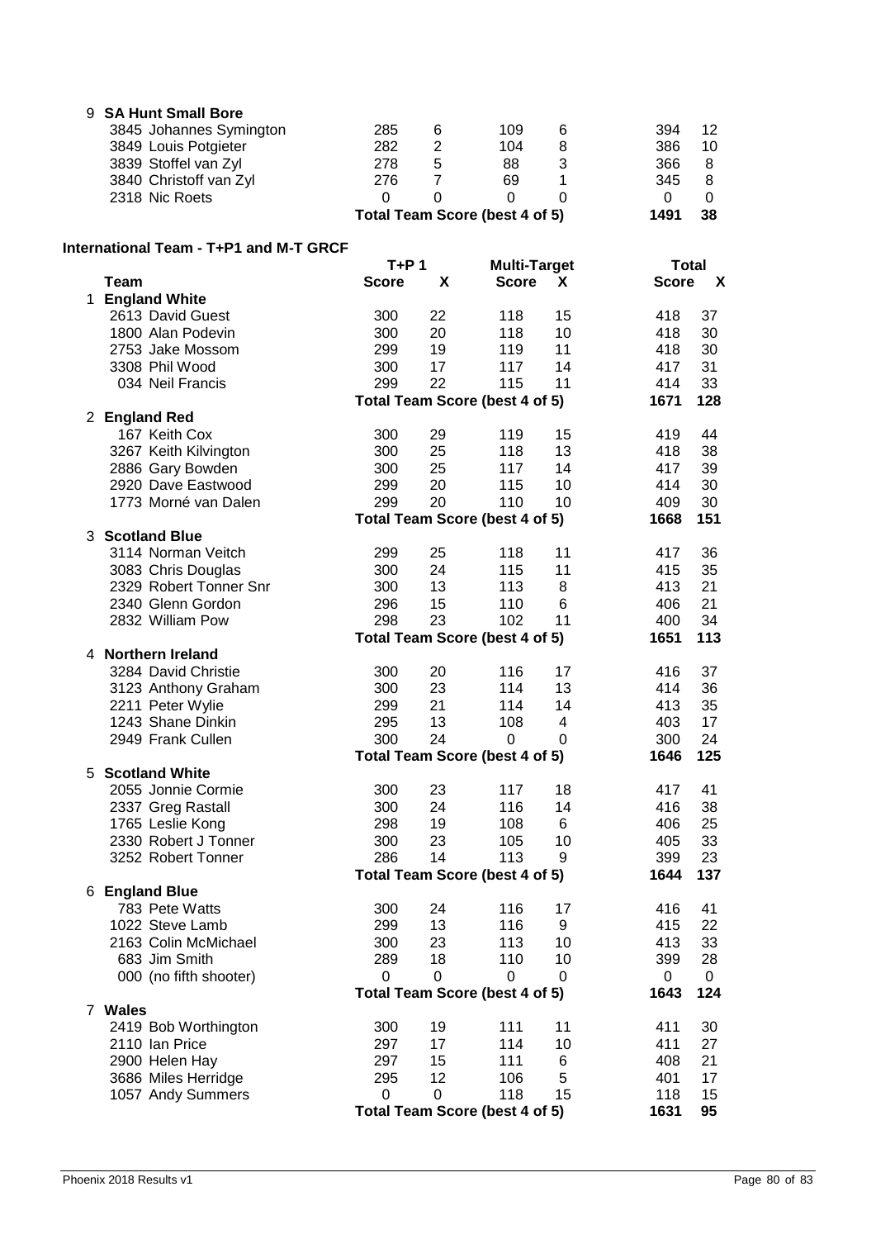| 9  | <b>SA Hunt Small Bore</b>              |              |                |                                       |          |              |             |
|----|----------------------------------------|--------------|----------------|---------------------------------------|----------|--------------|-------------|
|    | 3845 Johannes Symington                | 285          | 6              | 109                                   | 6        | 394          | 12          |
|    | 3849 Louis Potgieter                   | 282          | $\mathbf 2$    | 104                                   | 8        | 386          | 10          |
|    | 3839 Stoffel van Zyl                   | 278          | 5              | 88                                    | 3        | 366          | 8           |
|    | 3840 Christoff van Zyl                 | 276          | $\overline{7}$ | 69                                    | 1        | 345          | 8           |
|    | 2318 Nic Roets                         | 0            | 0              | $\mathbf 0$                           | 0        | 0            | 0           |
|    |                                        |              |                | Total Team Score (best 4 of 5)        |          | 1491         | 38          |
|    | International Team - T+P1 and M-T GRCF |              |                |                                       |          |              |             |
|    |                                        | $T+P1$       |                | <b>Multi-Target</b>                   |          | <b>Total</b> |             |
|    | <b>Team</b>                            | <b>Score</b> | X              | <b>Score</b>                          | X.       | <b>Score</b> | X           |
|    | 1 England White                        |              |                |                                       |          |              |             |
|    | 2613 David Guest<br>1800 Alan Podevin  | 300<br>300   | 22<br>20       | 118<br>118                            | 15<br>10 | 418<br>418   | 37<br>30    |
|    | 2753 Jake Mossom                       | 299          | 19             | 119                                   | 11       | 418          | 30          |
|    | 3308 Phil Wood                         | 300          | 17             | 117                                   | 14       | 417          | 31          |
|    | 034 Neil Francis                       | 299          | 22             | 115                                   | 11       | 414          | 33          |
|    |                                        |              |                | Total Team Score (best 4 of 5)        |          | 1671         | 128         |
|    | 2 England Red                          |              |                |                                       |          |              |             |
|    | 167 Keith Cox                          | 300          | 29             | 119                                   | 15       | 419          | 44          |
|    | 3267 Keith Kilvington                  | 300          | 25             | 118                                   | 13       | 418          | 38          |
|    | 2886 Gary Bowden                       | 300          | 25             | 117                                   | 14       | 417          | 39          |
|    | 2920 Dave Eastwood                     | 299          | 20             | 115                                   | 10       | 414          | 30          |
|    | 1773 Morné van Dalen                   | 299          | 20             | 110                                   | 10       | 409          | 30          |
|    |                                        |              |                | <b>Total Team Score (best 4 of 5)</b> |          | 1668         | 151         |
|    | 3 Scotland Blue                        |              |                |                                       |          |              |             |
|    | 3114 Norman Veitch                     | 299          | 25             | 118                                   | 11       | 417          | 36          |
|    | 3083 Chris Douglas                     | 300          | 24             | 115                                   | 11       | 415          | 35          |
|    | 2329 Robert Tonner Snr                 | 300          | 13             | 113                                   | 8        | 413          | 21          |
|    | 2340 Glenn Gordon<br>2832 William Pow  | 296<br>298   | 15<br>23       | 110<br>102                            | 6<br>11  | 406<br>400   | 21<br>34    |
|    |                                        |              |                | <b>Total Team Score (best 4 of 5)</b> |          | 1651         | 113         |
|    | 4 Northern Ireland                     |              |                |                                       |          |              |             |
|    | 3284 David Christie                    | 300          | 20             | 116                                   | 17       | 416          | 37          |
|    | 3123 Anthony Graham                    | 300          | 23             | 114                                   | 13       | 414          | 36          |
|    | 2211 Peter Wylie                       | 299          | 21             | 114                                   | 14       | 413          | 35          |
|    | 1243 Shane Dinkin                      | 295          | 13             | 108                                   | 4        | 403          | 17          |
|    | 2949 Frank Cullen                      | 300          | 24             | 0                                     | 0        | 300          | 24          |
|    |                                        |              |                | Total Team Score (best 4 of 5)        |          | 1646         | 125         |
| 5. | <b>Scotland White</b>                  |              |                |                                       |          |              |             |
|    | 2055 Jonnie Cormie                     | 300          | 23             | 117                                   | 18       | 417          | 41          |
|    | 2337 Greg Rastall                      | 300          | 24             | 116                                   | 14       | 416          | 38          |
|    | 1765 Leslie Kong                       | 298          | 19             | 108                                   | 6        | 406          | 25          |
|    | 2330 Robert J Tonner                   | 300          | 23             | 105                                   | 10       | 405          | 33          |
|    | 3252 Robert Tonner                     | 286          | 14             | 113                                   | 9        | 399          | 23          |
|    | 6 England Blue                         |              |                | Total Team Score (best 4 of 5)        |          | 1644         | 137         |
|    | 783 Pete Watts                         | 300          | 24             | 116                                   | 17       | 416          | 41          |
|    | 1022 Steve Lamb                        | 299          | 13             | 116                                   | 9        | 415          | 22          |
|    | 2163 Colin McMichael                   | 300          | 23             | 113                                   | 10       | 413          | 33          |
|    | 683 Jim Smith                          | 289          | 18             | 110                                   | 10       | 399          | 28          |
|    | 000 (no fifth shooter)                 | 0            | 0              | 0                                     | 0        | 0            | $\mathbf 0$ |
|    |                                        |              |                | Total Team Score (best 4 of 5)        |          | 1643         | 124         |
|    | 7 Wales                                |              |                |                                       |          |              |             |
|    | 2419 Bob Worthington                   | 300          | 19             | 111                                   | 11       | 411          | 30          |
|    | 2110 Ian Price                         | 297          | 17             | 114                                   | 10       | 411          | 27          |
|    | 2900 Helen Hay                         | 297          | 15             | 111                                   | 6        | 408          | 21          |
|    | 3686 Miles Herridge                    | 295          | 12             | 106                                   | 5        | 401          | 17          |
|    | 1057 Andy Summers                      | $\mathbf 0$  | $\mathbf 0$    | 118                                   | 15       | 118          | 15          |
|    |                                        |              |                | Total Team Score (best 4 of 5)        |          | 1631         | 95          |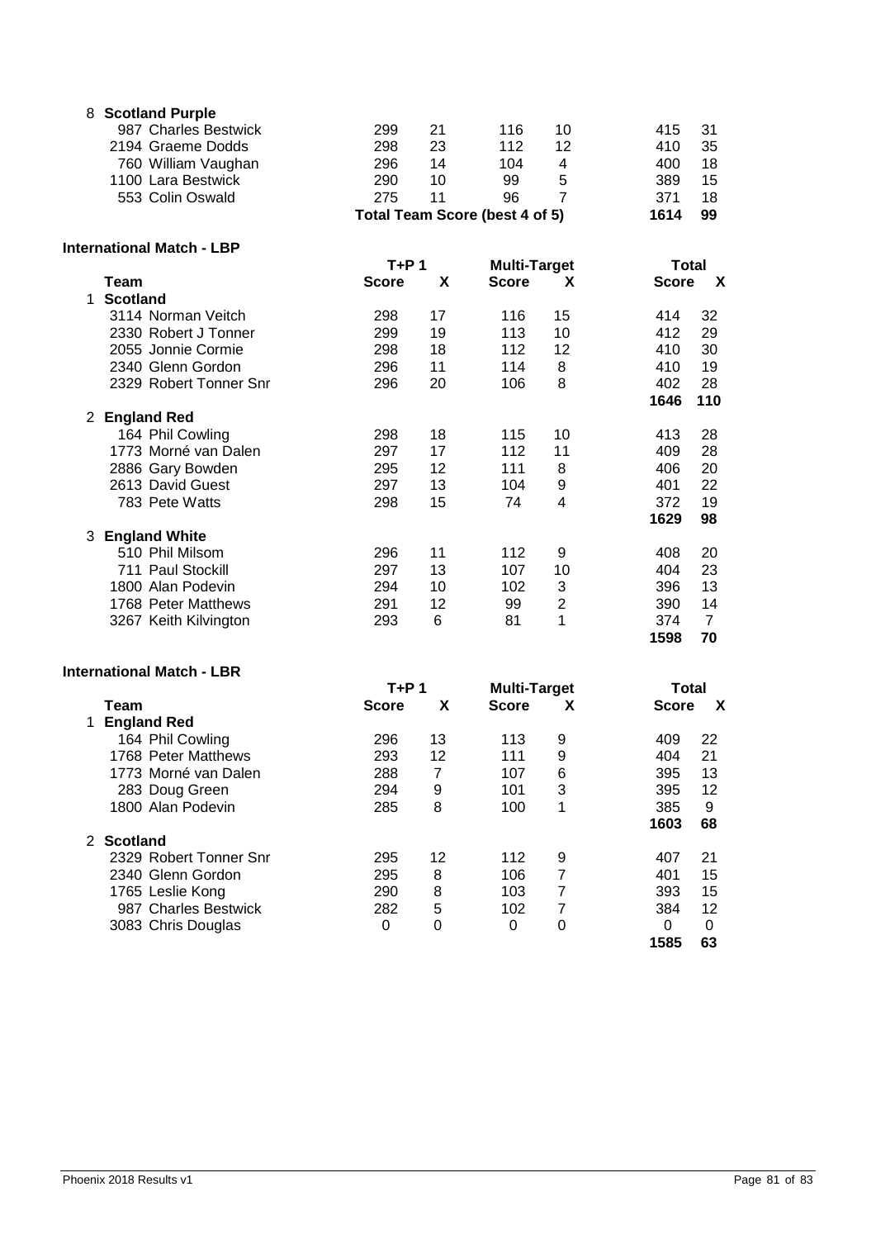| 8 Scotland Purple    |     |    |                                |    |      |    |
|----------------------|-----|----|--------------------------------|----|------|----|
| 987 Charles Bestwick | 299 | 21 | 116                            | 10 | 415  | 31 |
| 2194 Graeme Dodds    | 298 | 23 | 112                            | 12 | 410  | 35 |
| 760 William Vaughan  | 296 | 14 | 104                            | 4  | 400  | 18 |
| 1100 Lara Bestwick   | 290 | 10 | 99                             | 5  | 389  | 15 |
| 553 Colin Oswald     | 275 | 11 | 96                             |    | 371  | 18 |
|                      |     |    | Total Team Score (best 4 of 5) |    | 1614 | 99 |

#### **International Match - LBP**

|   | itilialivilai maluli - LDF |              |    |                     |                |              |                |  |
|---|----------------------------|--------------|----|---------------------|----------------|--------------|----------------|--|
|   |                            | T+P 1        |    | <b>Multi-Target</b> |                | Total        |                |  |
|   | Team                       | <b>Score</b> | X  | <b>Score</b>        | X              | <b>Score</b> | X              |  |
|   | <b>Scotland</b>            |              |    |                     |                |              |                |  |
|   | 3114 Norman Veitch         | 298          | 17 | 116                 | 15             | 414          | 32             |  |
|   | 2330 Robert J Tonner       | 299          | 19 | 113                 | 10             | 412          | 29             |  |
|   | 2055 Jonnie Cormie         | 298          | 18 | 112                 | 12             | 410          | 30             |  |
|   | 2340 Glenn Gordon          | 296          | 11 | 114                 | 8              | 410          | 19             |  |
|   | 2329 Robert Tonner Snr     | 296          | 20 | 106                 | 8              | 402          | 28             |  |
|   |                            |              |    |                     |                | 1646         | 110            |  |
| 2 | <b>England Red</b>         |              |    |                     |                |              |                |  |
|   | 164 Phil Cowling           | 298          | 18 | 115                 | 10             | 413          | 28             |  |
|   | 1773 Morné van Dalen       | 297          | 17 | 112                 | 11             | 409          | 28             |  |
|   | 2886 Gary Bowden           | 295          | 12 | 111                 | 8              | 406          | 20             |  |
|   | 2613 David Guest           | 297          | 13 | 104                 | 9              | 401          | 22             |  |
|   | 783 Pete Watts             | 298          | 15 | 74                  | 4              | 372          | 19             |  |
|   |                            |              |    |                     |                | 1629         | 98             |  |
| 3 | <b>England White</b>       |              |    |                     |                |              |                |  |
|   | 510 Phil Milsom            | 296          | 11 | 112                 | 9              | 408          | 20             |  |
|   | 711 Paul Stockill          | 297          | 13 | 107                 | 10             | 404          | 23             |  |
|   | 1800 Alan Podevin          | 294          | 10 | 102                 | 3              | 396          | 13             |  |
|   | 1768 Peter Matthews        | 291          | 12 | 99                  | $\overline{2}$ | 390          | 14             |  |
|   | 3267 Keith Kilvington      | 293          | 6  | 81                  | 1              | 374          | $\overline{7}$ |  |
|   |                            |              |    |                     |                | 1598         | 70             |  |

### **International Match - LBR**

|                        | T+P 1        |    | <b>Multi-Target</b> |   | Total        |             |
|------------------------|--------------|----|---------------------|---|--------------|-------------|
| Team                   | <b>Score</b> | X  | <b>Score</b>        | х | <b>Score</b> | $\mathbf x$ |
| <b>England Red</b>     |              |    |                     |   |              |             |
| 164 Phil Cowling       | 296          | 13 | 113                 | 9 | 409          | 22          |
| 1768 Peter Matthews    | 293          | 12 | 111                 | 9 | 404          | 21          |
| 1773 Morné van Dalen   | 288          | 7  | 107                 | 6 | 395          | 13          |
| 283 Doug Green         | 294          | 9  | 101                 | 3 | 395          | 12          |
| 1800 Alan Podevin      | 285          | 8  | 100                 | 1 | 385          | 9           |
|                        |              |    |                     |   | 1603         | 68          |
| 2 Scotland             |              |    |                     |   |              |             |
| 2329 Robert Tonner Snr | 295          | 12 | 112                 | 9 | 407          | 21          |
| 2340 Glenn Gordon      | 295          | 8  | 106                 | 7 | 401          | 15          |
| 1765 Leslie Kong       | 290          | 8  | 103                 | 7 | 393          | 15          |
| 987 Charles Bestwick   | 282          | 5  | 102                 | 7 | 384          | 12          |
| 3083 Chris Douglas     | 0            | 0  | 0                   | 0 | 0            | 0           |
|                        |              |    |                     |   | 1585         | 63          |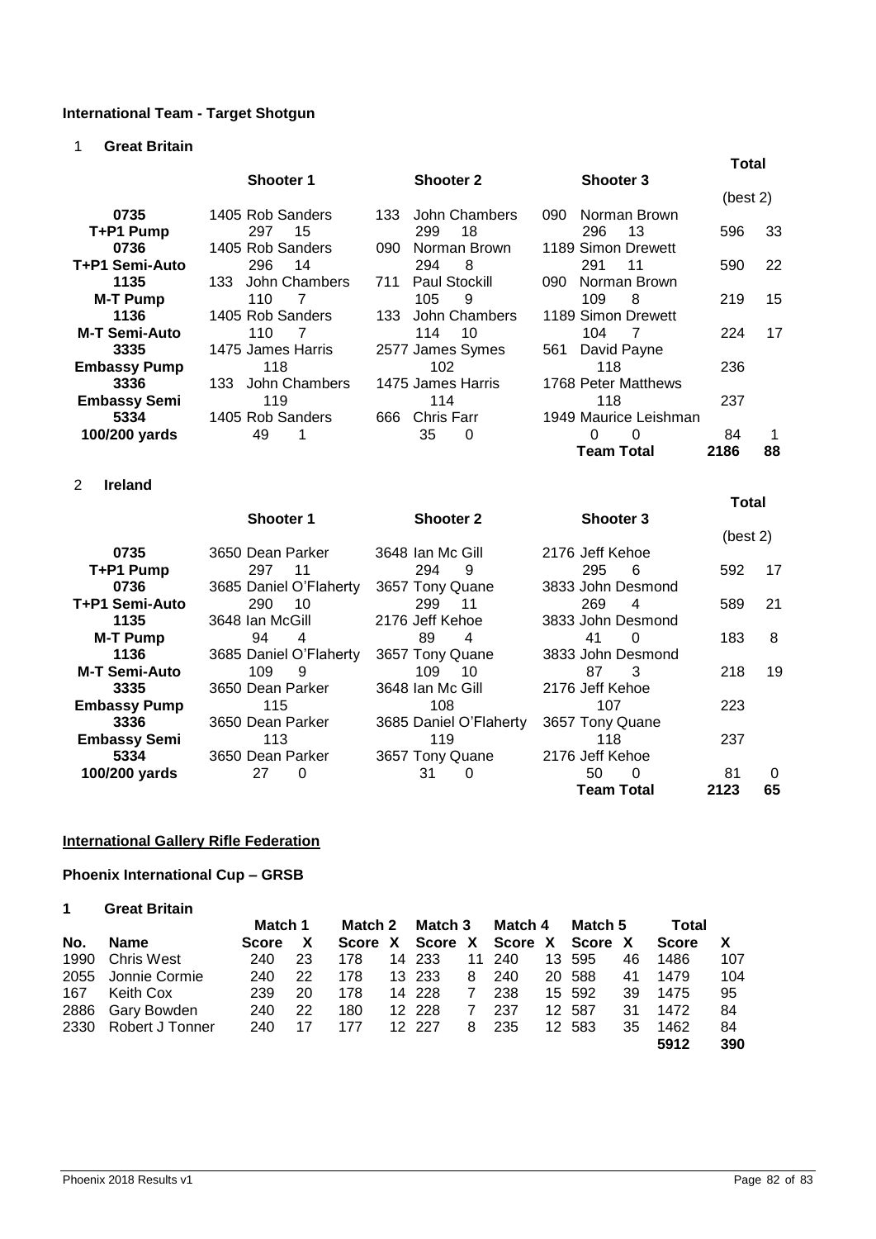# **International Team - Target Shotgun**

1 **Great Britain**

|                      |                       |                             |                       | <b>Total</b> |    |
|----------------------|-----------------------|-----------------------------|-----------------------|--------------|----|
|                      | <b>Shooter 1</b>      | <b>Shooter 2</b>            | <b>Shooter 3</b>      |              |    |
|                      |                       |                             |                       | (best 2)     |    |
| 0735                 | 1405 Rob Sanders      | John Chambers<br>133        | 090<br>Norman Brown   |              |    |
| T+P1 Pump            | 297<br>15             | 299<br>18                   | 296<br>13             | 596          | 33 |
| 0736                 | 1405 Rob Sanders      | Norman Brown<br>090         | 1189 Simon Drewett    |              |    |
| T+P1 Semi-Auto       | 296<br>14             | 294<br>8                    | 291<br>11             | 590          | 22 |
| 1135                 | John Chambers<br>133. | <b>Paul Stockill</b><br>711 | Norman Brown<br>090   |              |    |
| <b>M-T Pump</b>      | 110<br>7              | 105<br>9                    | 109<br>8              | 219          | 15 |
| 1136                 | 1405 Rob Sanders      | John Chambers<br>133        | 1189 Simon Drewett    |              |    |
| <b>M-T Semi-Auto</b> | 110<br>7              | 114<br>10                   | 104<br>7              | 224          | 17 |
| 3335                 | 1475 James Harris     | 2577 James Symes            | David Payne<br>561    |              |    |
| <b>Embassy Pump</b>  | 118                   | 102                         | 118                   | 236          |    |
| 3336                 | John Chambers<br>133  | 1475 James Harris           | 1768 Peter Matthews   |              |    |
| <b>Embassy Semi</b>  | 119                   | 114                         | 118                   | 237          |    |
| 5334                 | 1405 Rob Sanders      | Chris Farr<br>666           | 1949 Maurice Leishman |              |    |
| 100/200 yards        | 49                    | 35<br>0                     | 0<br>$\Omega$         | 84           |    |
|                      |                       |                             | <b>Team Total</b>     | 2186         | 88 |
| 2<br><b>Ireland</b>  |                       |                             |                       |              |    |
|                      |                       |                             |                       | <b>Total</b> |    |
|                      | <b>Shooter 1</b>      | <b>Shooter 2</b>            | <b>Shooter 3</b>      | $(L - L)$    |    |

|                      |                        |                        |                   | (best 2) |          |
|----------------------|------------------------|------------------------|-------------------|----------|----------|
| 0735                 | 3650 Dean Parker       | 3648 Ian Mc Gill       | 2176 Jeff Kehoe   |          |          |
| T+P1 Pump            | 297<br>11              | 294<br>9               | 295<br>-6         | 592      | 17       |
| 0736                 | 3685 Daniel O'Flaherty | 3657 Tony Quane        | 3833 John Desmond |          |          |
| T+P1 Semi-Auto       | 290<br>10              | 299<br>11              | 269<br>4          | 589      | 21       |
| 1135                 | 3648 Ian McGill        | 2176 Jeff Kehoe        | 3833 John Desmond |          |          |
| <b>M-T Pump</b>      | 94<br>4                | 89<br>4                | 41<br>$\Omega$    | 183      | 8        |
| 1136                 | 3685 Daniel O'Flaherty | 3657 Tony Quane        | 3833 John Desmond |          |          |
| <b>M-T Semi-Auto</b> | 109<br>9               | 109<br>10              | 87<br>-3          | 218      | 19       |
| 3335                 | 3650 Dean Parker       | 3648 Ian Mc Gill       | 2176 Jeff Kehoe   |          |          |
| <b>Embassy Pump</b>  | 115                    | 108                    | 107               | 223      |          |
| 3336                 | 3650 Dean Parker       | 3685 Daniel O'Flaherty | 3657 Tony Quane   |          |          |
| <b>Embassy Semi</b>  | 113                    | 119                    | 118               | 237      |          |
| 5334                 | 3650 Dean Parker       | 3657 Tony Quane        | 2176 Jeff Kehoe   |          |          |
| 100/200 yards        | 27<br>0                | 31<br>0                | 50<br>$\Omega$    | 81       | $\Omega$ |
|                      |                        |                        | <b>Team Total</b> | 2123     | 65       |

### **International Gallery Rifle Federation**

# **Phoenix International Cup – GRSB**

| <b>Great Britain</b> |  |
|----------------------|--|
|----------------------|--|

|     |                      | Match 1      |    | Match 2 |  | Match 3 |   | Match 4                         |  | Match 5 |    | Total        |     |
|-----|----------------------|--------------|----|---------|--|---------|---|---------------------------------|--|---------|----|--------------|-----|
| No. | Name                 | <b>Score</b> | X  |         |  |         |   | Score X Score X Score X Score X |  |         |    | <b>Score</b> |     |
|     | 1990 Chris West      | 240          | 23 | 178     |  | 14 233  |   | 11 240                          |  | 13 595  | 46 | 1486         | 107 |
|     | 2055 Jonnie Cormie   | 240          | 22 | 178     |  | 13 233  | 8 | - 240                           |  | 20 588  | 41 | 1479         | 104 |
| 167 | Keith Cox            | 239          | 20 | 178     |  | 14 228  | 7 | 238                             |  | 15 592  | 39 | 1475         | 95  |
|     | 2886 Gary Bowden     | 240          | 22 | 180     |  | 12 228  | 7 | -237                            |  | 12 587  | 31 | 1472         | 84  |
|     | 2330 Robert J Tonner | 240          | 17 | 177     |  | 12 227  | 8 | -235                            |  | 12 583  | 35 | 1462         | 84  |
|     |                      |              |    |         |  |         |   |                                 |  |         |    | 5912         | 390 |